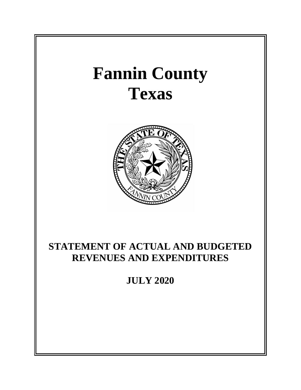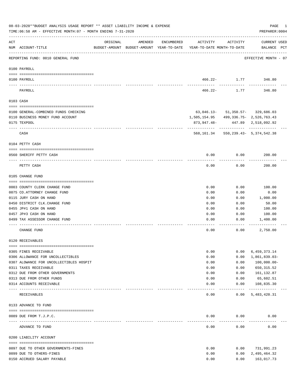|          | 08-03-2020**BUDGET ANALYSIS USAGE REPORT ** ASSET LIABILITY INCOME & EXPENSE<br>TIME:06:58 AM - EFFECTIVE MONTH:07 - MONTH ENDING 7-31-2020 |          |         |            |                                                                                 |                                      | PAGE<br>PREPARER: 0004             | 1 |
|----------|---------------------------------------------------------------------------------------------------------------------------------------------|----------|---------|------------|---------------------------------------------------------------------------------|--------------------------------------|------------------------------------|---|
| ACT      | NUM ACCOUNT-TITLE                                                                                                                           | ORIGINAL | AMENDED | ENCUMBERED | ACTIVITY<br>BUDGET-AMOUNT BUDGET-AMOUNT YEAR-TO-DATE YEAR-TO-DATE MONTH-TO-DATE | ACTIVITY                             | <b>CURRENT USED</b><br>BALANCE PCT |   |
|          | REPORTING FUND: 0010 GENERAL FUND                                                                                                           |          |         |            |                                                                                 |                                      | EFFECTIVE MONTH - 07               |   |
|          | 0100 PAYROLL                                                                                                                                |          |         |            |                                                                                 |                                      |                                    |   |
|          | 0100 PAYROLL                                                                                                                                |          |         |            |                                                                                 | 466.22- 1.77 346.80                  |                                    |   |
| ---- --- | PAYROLL                                                                                                                                     |          |         |            | 466.22-                                                                         | 1.77                                 | 346.80                             |   |
|          | 0103 CASH                                                                                                                                   |          |         |            |                                                                                 |                                      |                                    |   |
|          | 0100 GENERAL-COMBINED FUNDS CHECKING                                                                                                        |          |         |            |                                                                                 | $63,046.13 - 51,350.57 - 329,686.03$ |                                    |   |
|          | 0110 BUSINESS MONEY FUND ACCOUNT                                                                                                            |          |         |            | 1,505,154.95 499,336.75- 2,526,763.43                                           |                                      |                                    |   |
|          | 0175 TEXPOOL                                                                                                                                |          |         |            | 873,947.48-                                                                     |                                      | 447.89 2,518,092.92                |   |
|          | CASH                                                                                                                                        |          |         |            | 568,161.34                                                                      |                                      | 550, 239. 43 - 5, 374, 542. 38     |   |
|          | 0104 PETTY CASH                                                                                                                             |          |         |            |                                                                                 |                                      |                                    |   |
|          | 0560 SHERIFF PETTY CASH                                                                                                                     |          |         |            | 0.00                                                                            | 0.00                                 | 200.00                             |   |
|          | PETTY CASH                                                                                                                                  |          |         |            | 0.00                                                                            | 0.00                                 | 200.00                             |   |
|          | 0105 CHANGE FUND                                                                                                                            |          |         |            |                                                                                 |                                      |                                    |   |
|          |                                                                                                                                             |          |         |            |                                                                                 |                                      |                                    |   |
|          | 0003 COUNTY CLERK CHANGE FUND                                                                                                               |          |         |            | 0.00                                                                            | 0.00                                 | 100.00                             |   |
|          | 0075 CO. ATTORNEY CHANGE FUND                                                                                                               |          |         |            | 0.00                                                                            | 0.00                                 | 0.00                               |   |
|          | 0115 JURY CASH ON HAND                                                                                                                      |          |         |            | 0.00                                                                            | 0.00                                 | 1,000.00                           |   |
|          | 0450 DISTRICT CLK. CHANGE FUND                                                                                                              |          |         |            | 0.00                                                                            | 0.00                                 | 50.00                              |   |
|          | 0455 JP#1 CASH ON HAND                                                                                                                      |          |         |            | 0.00                                                                            | 0.00                                 | 100.00                             |   |
|          | 0457 JP#3 CASH ON HAND                                                                                                                      |          |         |            | 0.00                                                                            | 0.00                                 | 100.00                             |   |
|          | 0499 TAX ASSESSOR CHANGE FUND                                                                                                               |          |         |            | 0.00                                                                            | 0.00                                 | 1,400.00                           |   |
|          | CHANGE FUND                                                                                                                                 |          |         |            | 0.00                                                                            | 0.00                                 | 2,750.00                           |   |
|          | 0120 RECEIVABLES                                                                                                                            |          |         |            |                                                                                 |                                      |                                    |   |
|          | 0305 FINES RECEIVABLE                                                                                                                       |          |         |            | 0.00                                                                            | 0.00                                 | 6,459,373.14                       |   |
|          | 0306 ALLOWANCE FOR UNCOLLECTIBLES                                                                                                           |          |         |            | 0.00                                                                            | 0.00                                 | $1,861,839.03-$                    |   |
|          | 0307 ALOWANCE FOR UNCOLLECTIBLES HOSPIT                                                                                                     |          |         |            | 0.00                                                                            | 0.00                                 | 100,000.00-                        |   |
|          | 0311 TAXES RECEIVABLE                                                                                                                       |          |         |            | 0.00                                                                            | 0.00                                 | 650, 315.52                        |   |
|          | 0312 DUE FROM OTHER GOVERNMENTS                                                                                                             |          |         |            | 0.00                                                                            | 0.00                                 | 161,132.87                         |   |
|          | 0313 DUE FROM OTHER FUNDS                                                                                                                   |          |         |            | 0.00                                                                            | 0.00                                 | 65,602.51                          |   |
|          | 0314 ACCOUNTS RECEIVABLE<br>------------------------ -----------                                                                            |          |         |            | 0.00                                                                            | 0.00<br>---------                    | 108,835.30<br>-------------        |   |
|          | RECEIVABLES                                                                                                                                 |          |         |            | 0.00                                                                            | 0.00                                 | 5,483,420.31                       |   |
|          | 0133 ADVANCE TO FUND                                                                                                                        |          |         |            |                                                                                 |                                      |                                    |   |
|          | 0089 DUE FROM T.J.P.C.                                                                                                                      |          |         |            | 0.00                                                                            | 0.00                                 | 0.00                               |   |
|          | ADVANCE TO FUND                                                                                                                             |          |         |            | 0.00                                                                            | 0.00                                 | 0.00                               |   |
|          | 0200 LIABILITY ACCOUNT                                                                                                                      |          |         |            |                                                                                 |                                      |                                    |   |
|          |                                                                                                                                             |          |         |            |                                                                                 |                                      |                                    |   |
|          | 0097 DUE TO OTHER GOVERNMENTS-FINES                                                                                                         |          |         |            | 0.00                                                                            | 0.00                                 | 731,991.23                         |   |
|          | 0099 DUE TO OTHERS-FINES                                                                                                                    |          |         |            | 0.00                                                                            | 0.00                                 | 2,495,464.32                       |   |
|          | 0150 ACCRUED SALARY PAYABLE                                                                                                                 |          |         |            | 0.00                                                                            | 0.00                                 | 163,017.73                         |   |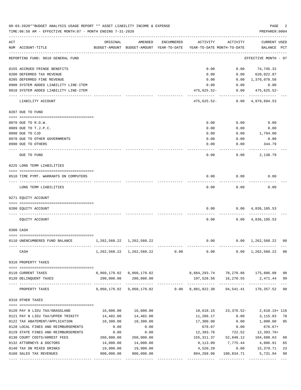|     | 08-03-2020**BUDGET ANALYSIS USAGE REPORT ** ASSET LIABILITY INCOME & EXPENSE<br>TIME: 06:58 AM - EFFECTIVE MONTH: 07 - MONTH ENDING 7-31-2020 |                              |                                                       |            |                                        |                            | PAGE<br>PREPARER: 0004            | 2              |
|-----|-----------------------------------------------------------------------------------------------------------------------------------------------|------------------------------|-------------------------------------------------------|------------|----------------------------------------|----------------------------|-----------------------------------|----------------|
| ACT | NUM ACCOUNT-TITLE                                                                                                                             | ORIGINAL                     | AMENDED<br>BUDGET-AMOUNT BUDGET-AMOUNT YEAR-TO-DATE   | ENCUMBERED | ACTIVITY<br>YEAR-TO-DATE MONTH-TO-DATE | ACTIVITY                   | CURRENT USED<br>BALANCE PCT       |                |
|     | REPORTING FUND: 0010 GENERAL FUND                                                                                                             |                              |                                                       |            |                                        |                            | EFFECTIVE MONTH - 07              |                |
|     | 0155 ACCRUED FRINGE BENEFITS                                                                                                                  |                              |                                                       |            | 0.00                                   |                            | $0.00$ $74,745.32$                |                |
|     | 0200 DEFERRED TAX REVENUE                                                                                                                     |                              |                                                       |            | 0.00                                   | 0.00                       | 620,022.87                        |                |
|     | 0205 DEFERRED FINE REVENUE                                                                                                                    |                              |                                                       |            | 0.00                                   | 0.00                       | 1,370,078.58                      |                |
|     | 0900 SYSTEM ADDED LIABILITY LINE-ITEM                                                                                                         |                              |                                                       |            | 0.00                                   | 0.00                       | 0.00                              |                |
|     | 0910 SYSTEM ADDED LIABILITY LINE-ITEM                                                                                                         |                              |                                                       |            | 475,625.52-                            | 0.00                       | 475,625.52-                       |                |
|     | LIABILITY ACCOUNT                                                                                                                             |                              |                                                       |            | 475,625.52-                            | 0.00                       | 4,979,694.53                      |                |
|     | 0207 DUE TO FUND                                                                                                                              |                              |                                                       |            |                                        |                            |                                   |                |
|     | 0070 DUE TO R.O.W.                                                                                                                            |                              |                                                       |            | 0.00                                   | 0.00                       | 0.00                              |                |
|     | 0089 DUE TO T.J.P.C.                                                                                                                          |                              |                                                       |            | 0.00                                   | 0.00                       | 0.00                              |                |
|     | 0090 DUE TO CJD                                                                                                                               |                              |                                                       |            | 0.00                                   | 0.00                       | 1,794.00                          |                |
|     | 0970 DUE TO OTHER GOVERNMENTS                                                                                                                 |                              |                                                       |            | 0.00                                   | 0.00                       | 0.00                              |                |
|     | 0990 DUE TO OTHERS                                                                                                                            |                              |                                                       |            | 0.00                                   | 0.00                       | 344.79                            |                |
|     | DUE TO FUND                                                                                                                                   |                              |                                                       |            | 0.00                                   | 0.00                       | 2,138.79                          |                |
|     |                                                                                                                                               |                              |                                                       |            |                                        |                            |                                   |                |
|     | 0225 LONG TERM LIABILITIES                                                                                                                    |                              |                                                       |            |                                        |                            |                                   |                |
|     | 0510 TIME PYMT. WARRANTS ON COMPUTERS                                                                                                         |                              |                                                       |            | 0.00                                   | 0.00                       | 0.00                              |                |
|     | LONG TERM LIABILITIES                                                                                                                         |                              |                                                       |            | 0.00                                   | 0.00                       | 0.00                              |                |
|     | 0271 EQUITY ACCOUNT                                                                                                                           |                              |                                                       |            |                                        |                            |                                   |                |
|     | 0200 EQUITY ACCOUNT                                                                                                                           |                              |                                                       |            | 0.00                                   |                            | $0.00 \quad 4,836,105.53$         |                |
|     | EQUITY ACCOUNT                                                                                                                                |                              |                                                       |            | 0.00                                   |                            | $0.00 \quad 4,836,105.53$         |                |
|     | 0300 CASH                                                                                                                                     |                              |                                                       |            |                                        |                            |                                   |                |
|     | 0110 UNENCUMBERED FUND BALANCE                                                                                                                | 1,262,560.22 1,262,560.22    |                                                       |            | 0.00                                   |                            | $0.00 \quad 1,262,560.22$         | 0 <sub>0</sub> |
|     | CASH                                                                                                                                          | ------------- -------------- | 1, 262, 560. 22 1, 262, 560. 22                       | 0.00       |                                        |                            | $0.00$ $0.00$ $1,262,560.22$      | 00             |
|     | 0310 PROPERTY TAXES                                                                                                                           |                              |                                                       |            |                                        |                            |                                   |                |
|     | 0110 CURRENT TAXES                                                                                                                            |                              | 8,860,179.82 8,860,179.82                             |            |                                        |                            | 8,684,293.74 78,270.86 175,886.08 | 98             |
|     | 0120 DELINQUENT TAXES                                                                                                                         |                              | 200,000.00 200,000.00                                 |            |                                        |                            | 197,528.56 16,270.55 2,471.44     | 99             |
|     | PROPERTY TAXES                                                                                                                                |                              | 9,060,179.82 9,060,179.82 0.00 8,881,822.30 94,541.41 |            |                                        | ------------- ------------ | -------------<br>178,357.52 98    | $---$          |
|     | 0318 OTHER TAXES                                                                                                                              |                              |                                                       |            |                                        |                            |                                   |                |
|     |                                                                                                                                               |                              |                                                       |            |                                        |                            |                                   |                |
|     | 0120 PAY N LIEU TAX/GRASSLAND                                                                                                                 | 16,000.00                    | 16,000.00                                             |            | 18,618.15                              |                            | 23, 376.52-2, 618.15+116          |                |
|     | 0121 PAY N LIEU TAX/UPPER TRINITY                                                                                                             | 14,402.00                    | 14, 402.00                                            |            | 11,286.17                              | 0.00                       | 3,115.83                          | 78             |
|     | 0122 TAX ABATEMENT/APPLICATION                                                                                                                | 18,300.00                    | 18,300.00                                             |            | 17,300.00                              | 0.00                       | 1,000.00                          | 95             |
|     | 0128 LOCAL FINES AND REIMBURSEMENTS                                                                                                           | 0.00                         | 0.00                                                  |            | 676.67                                 | 0.00                       | $676.67+$                         |                |
|     | 0129 STATE FINES AND REIMBURSEMENTS                                                                                                           | 0.00                         | 0.00                                                  |            |                                        | 12,393.76 722.52           | 12,393.76+                        |                |
|     | 0130 COURT COSTS/ARREST FEES                                                                                                                  | 260,000.00                   | 260,000.00                                            |            |                                        | 155, 311.37 52, 840.12     | 104,688.63                        | 60             |
|     | 0132 ATTORNEYS & DOCTORS                                                                                                                      | 14,000.00                    | 14,000.00                                             |            | 9,113.09                               | 7,775.44                   | 4,886.91                          | 65             |
|     | 0140 TAX ON MIXED DRINKS                                                                                                                      | 19,900.00                    | 19,900.00                                             |            | 4,520.29                               | 0.00                       | 15,379.71                         | 23             |
|     | 0160 SALES TAX REVENUES                                                                                                                       | 900,000.00                   | 900,000.00                                            |            | 894,268.06                             | 108,834.71                 | 5,731.94                          | 99             |

---- ---------------------------------- ------------- ------------- ------------ ------------- ------------ ------------- ---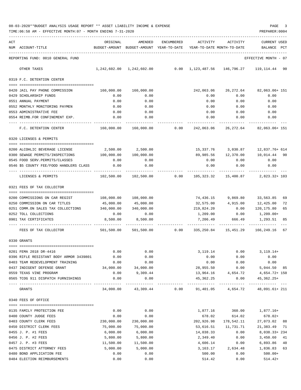|     | TIME:06:58 AM - EFFECTIVE MONTH:07 - MONTH ENDING 7-31-2020                 |                    |                                                     |            |                                        |                      | PREPARER: 0004                                                             |
|-----|-----------------------------------------------------------------------------|--------------------|-----------------------------------------------------|------------|----------------------------------------|----------------------|----------------------------------------------------------------------------|
| ACT | NUM ACCOUNT-TITLE                                                           | ORIGINAL           | AMENDED<br>BUDGET-AMOUNT BUDGET-AMOUNT YEAR-TO-DATE | ENCUMBERED | ACTIVITY<br>YEAR-TO-DATE MONTH-TO-DATE | ACTIVITY             | CURRENT USED<br>BALANCE<br>PCT                                             |
|     | REPORTING FUND: 0010 GENERAL FUND                                           |                    |                                                     |            |                                        |                      | EFFECTIVE MONTH - 07                                                       |
|     | OTHER TAXES                                                                 |                    |                                                     |            |                                        |                      | $1,242,602.00$ $1,242,602.00$ 0.00 $1,123,487.56$ 146,796.27 119,114.44 90 |
|     | 0319 F.C. DETENTION CENTER                                                  |                    |                                                     |            |                                        |                      |                                                                            |
|     | 0420 JAIL PAY PHONE COMMISSION                                              | 160,000.00         | 160,000.00                                          |            | 242,063.06                             |                      | 26, 272.64 82, 063.06+ 151                                                 |
|     | 0429 SCHOLARSHIP FUNDS                                                      | 0.00               | 0.00                                                |            | 0.00                                   | 0.00                 | 0.00                                                                       |
|     | 0551 ANNUAL PAYMENT                                                         | 0.00               | 0.00                                                |            | 0.00                                   | 0.00                 | 0.00                                                                       |
|     | 0552 MONTHLY MONITORING PAYMEN                                              | 0.00               | 0.00                                                |            | 0.00                                   | 0.00                 | 0.00                                                                       |
|     | 0553 ADMINISTRATIVE FEE                                                     | 0.00               | 0.00                                                |            | 0.00                                   | 0.00                 | 0.00                                                                       |
|     | 0554 REIMB.FOR CONFINEMENT EXP.<br>--- -----------------                    | 0.00               | 0.00                                                |            | 0.00                                   | 0.00                 | 0.00                                                                       |
|     | F.C. DETENTION CENTER                                                       |                    |                                                     |            |                                        |                      | $160,000.00$ $160,000.00$ 0.00 $242,063.06$ $26,272.64$ 82,063.06 + 151    |
|     | 0320 LICENSES & PERMITS                                                     |                    |                                                     |            |                                        |                      |                                                                            |
|     | 0200 ALCOHLIC BEVERAGE LICENSE                                              | 2,500.00           | 2,500.00                                            |            |                                        |                      | 15,337.76 3,030.87 12,837.76+614                                           |
|     | 0300 SEWAGE PERMITS/INSPECTIONS                                             | 100,000.00         | 100,000.00                                          |            |                                        |                      | 89,985.56 12,370.00 10,014.44 90                                           |
|     | 0545 FOOD SERV. PERMITS/CLASSES                                             | 0.00               | 0.00                                                |            | 0.00                                   | 0.00                 | 0.00                                                                       |
|     | 0546 \$5 COUNTY FEE/FOOD HANDLERS CLASS                                     | 0.00               | 0.00                                                |            | 0.00                                   | 0.00                 | 0.00                                                                       |
|     | LICENSES & PERMITS                                                          |                    | 102,500.00  102,500.00  0.00                        |            |                                        | 105,323.32 15,400.87 | 2,823.32+ 103                                                              |
|     | 0321 FEES OF TAX COLLECTOR                                                  |                    |                                                     |            |                                        |                      |                                                                            |
|     | 0200 COMMISSIONS ON CAR REGIST                                              | 108,000.00         | 108,000.00                                          |            |                                        |                      | 74,436.15 9,869.80 33,563.85<br>69                                         |
|     | 0250 COMMISSION ON CAR TITLES                                               | 45,000.00          | 45,000.00                                           |            |                                        | 32,575.00 4,915.00   | 12,425.00<br>72                                                            |
|     | 0251 COMM.ON SALES TAX COLLECTIONS 340,000.00                               |                    | 340,000.00                                          |            |                                        | 219,824.20 0.00      | 120,175.80<br>65                                                           |
|     | 0252 TOLL COLLECTIONS                                                       | 0.00               | 0.00                                                |            | 1,209.00                               | 0.00                 | $1,209.00+$                                                                |
|     | 0901 TAX CERTIFICATES                                                       | 8,500.00           | 8,500.00                                            |            |                                        | 7,206.49 666.49      | 1,293.51<br>85                                                             |
|     | FEES OF TAX COLLECTOR                                                       | 501,500.00         |                                                     |            |                                        |                      | ------------                                                               |
|     | 0330 GRANTS                                                                 |                    |                                                     |            |                                        |                      |                                                                            |
|     |                                                                             |                    |                                                     |            |                                        |                      |                                                                            |
|     | 0201 FEMA 2018 DR-4416                                                      | 0.00               | 0.00                                                |            | 3, 119. 14                             | 0.00                 | $3, 119.14+$                                                               |
|     | 0396 RIFLE RESISTANT BODY ARMOR 3439801<br>0403 TEAM REDEVELOPMENT TRAINING | 0.00               | 0.00                                                |            | 0.00<br>0.00                           | 0.00                 | 0.00                                                                       |
|     | 0437 INDIGENT DEFENSE GRANT                                                 | 0.00<br>34,000.00  | 0.00<br>34,000.00                                   |            | 28,955.50                              | 0.00                 | 0.00<br>$0.00$ 5,044.50 85                                                 |
|     | 0559 TEXAS VINE PROGRAM                                                     | 0.00               | 9,309.44                                            |            |                                        |                      | 13,964.16 4,654.72 4,654.72 + 150                                          |
|     | 0565 TCOG 911 DISPATCH FURNISHINGS                                          | 0.00               | 0.00                                                |            | 45,362.25                              | 0.00                 | 45,362.25+                                                                 |
|     | GRANTS                                                                      |                    |                                                     |            |                                        |                      | $34,000.00$ $43,309.44$ 0.00 $91,401.05$ $4,654.72$ $48,091.61+211$        |
|     | 0340 FEES OF OFFICE                                                         |                    |                                                     |            |                                        |                      |                                                                            |
|     |                                                                             |                    |                                                     |            |                                        |                      |                                                                            |
|     | 0135 FAMILY PROTECTION FEE                                                  | 0.00               | 0.00<br>0.00                                        |            | 1,877.16                               | 360.00               | 1,877.16+                                                                  |
|     | 0400 COUNTY JUDGE FEES<br>0403 COUNTY CLERK FEES                            | 0.00<br>230,000.00 | 230,000.00                                          |            | 678.02<br>202,926.98                   | 614.02<br>178,542.11 | $678.02+$<br>27,073.02 88                                                  |
|     | 0450 DISTRICT CLERK FEES                                                    | 75,000.00          | 75,000.00                                           |            |                                        | 53,616.51 11,731.71  | 21, 383. 49 71                                                             |
|     | 0455 J. P. #1 FEES                                                          | 6,000.00           | 6,000.00                                            |            | 14,038.33                              | 0.00                 | 8,038.33+234                                                               |
|     | 0456 J. P. #2 FEES                                                          | 5,800.00           | 5,800.00                                            |            | 2,349.40                               | 0.00                 | 3,450.60<br>41                                                             |
|     | 0457 J. P. #3 FEES                                                          | 11,500.00          | 11,500.00                                           |            | 4,606.14                               | 0.00                 | 6,893.86 40                                                                |
|     | 0475 DISTRICT ATTORNEY FEES                                                 | 5,000.00           | 5,000.00                                            |            | 3,163.17                               | 2,634.48             | 1,836.83 63                                                                |
|     | 0480 BOND APPLICATION FEE                                                   | 0.00               | 0.00                                                |            | 500.00                                 | 0.00                 | $500.00+$                                                                  |
|     | 0484 ELECTION REIMBURSEMENTS                                                | 0.00               | 0.00                                                |            | 514.42                                 | 0.00                 | $514.42+$                                                                  |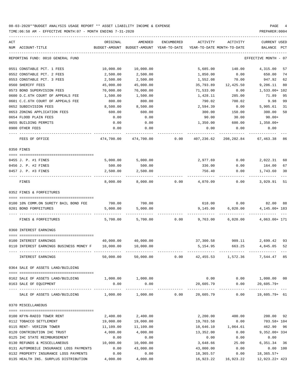| ACT | NUM ACCOUNT-TITLE                                                                           | ORIGINAL<br>BUDGET-AMOUNT | AMENDED<br>BUDGET-AMOUNT | ENCUMBERED<br>YEAR-TO-DATE | ACTIVITY   | ACTIVITY<br>YEAR-TO-DATE MONTH-TO-DATE | <b>CURRENT USED</b><br>BALANCE<br>PCT |
|-----|---------------------------------------------------------------------------------------------|---------------------------|--------------------------|----------------------------|------------|----------------------------------------|---------------------------------------|
|     | REPORTING FUND: 0010 GENERAL FUND                                                           |                           |                          |                            |            |                                        | EFFECTIVE MONTH<br>- 07               |
|     | 0551 CONSTABLE PCT. 1 FEES                                                                  | 10,000.00                 | 10,000.00                |                            | 5,685.00   | 140.00                                 | 4,315.00<br>57                        |
|     | 0552 CONSTABLE PCT. 2 FEES                                                                  | 2,500.00                  | 2,500.00                 |                            | 1,850.00   | 0.00                                   | 650.00<br>74                          |
|     | 0553 CONSTABLE PCT. 3 FEES                                                                  | 2,500.00                  | 2,500.00                 |                            | 1,552.08   | 70.00                                  | 947.92<br>62                          |
|     | 0560 SHERIFF FEES                                                                           | 45,000.00                 | 45,000.00                |                            | 35,793.89  | 12,425.50                              | 9,206.11<br>80                        |
|     | 0573 BOND SUPERVISION FEES                                                                  | 70,000.00                 | 70,000.00                |                            | 71,533.00  | 0.00                                   | 1,533.00+ 102                         |
|     | 0600 D.C.6TH COURT OF APPEALS FEE                                                           | 1,500.00                  | 1,500.00                 |                            | 1,428.11   | 285.00                                 | 95<br>71.89                           |
|     | 0601 C.C.6TH COURT OF APPEALS FEE                                                           | 800.00                    | 800.00                   |                            | 790.02     | 700.02                                 | 9.98<br>99                            |
|     | 0652 SUBDIVISION FEES                                                                       | 8,500.00                  | 8,500.00                 |                            | 2,594.39   | 0.00                                   | 5,905.61<br>31                        |
|     | 0653 ZONING APPLICATION FEES                                                                | 600.00                    | 600.00                   |                            | 300.00     | 150.00                                 | 300.00<br>50                          |
|     | 0654 FLOOD PLAIN FEES                                                                       | 0.00                      | 0.00                     |                            | 90.00      | 30.00                                  | $90.00+$                              |
|     | 0655 BUILDING PERMITS                                                                       | 0.00                      | 0.00                     |                            | 1,350.00   | 600.00                                 | $1,350.00+$                           |
|     | 0900 OTHER FEES                                                                             | 0.00                      | 0.00                     |                            | 0.00       | 0.00                                   | 0.00                                  |
|     | FEES OF OFFICE                                                                              | 474,700.00                | 474,700.00               | 0.00                       | 407,236.62 | 208,282.84                             | 67,463.38 86                          |
|     | 0350 FINES                                                                                  |                           |                          |                            |            |                                        |                                       |
|     |                                                                                             |                           |                          |                            |            |                                        |                                       |
|     | 0455 J. P. #1 FINES                                                                         | 5,000.00                  | 5,000.00                 |                            | 2,977.69   | 0.00                                   | 2,022.31<br>60                        |
|     | 0456 J. P. #2 FINES                                                                         | 500.00                    | 500.00                   |                            | 336.00     | 0.00                                   | 67<br>164.00                          |
|     | 0457 J. P. #3 FINES                                                                         | 2,500.00                  | 2,500.00                 |                            | 756.40     | 0.00                                   | 1,743.60<br>30                        |
|     | FINES                                                                                       | 8,000.00                  | 8,000.00                 | 0.00                       | 4,070.09   | 0.00                                   | 3,929.91<br>51                        |
|     | 0352 FINES & FORFEITURES                                                                    |                           |                          |                            |            |                                        |                                       |
|     |                                                                                             |                           |                          |                            |            |                                        |                                       |
|     | 0100 10% COMM.ON SURETY BAIL BOND FEE                                                       | 700.00                    | 700.00                   |                            | 618.00     | 0.00                                   | 82.00 88                              |
|     | 0201 BOND FORFEITURES                                                                       | 5,000.00                  | 5,000.00                 |                            | 9,145.00   | 6,020.00                               | 4, 145.00+ 183                        |
|     | FINES & FORFEITURES                                                                         | 5,700.00                  | 5,700.00                 | 0.00                       | 9,763.00   | 6,020.00                               | 4,063.00+ 171                         |
|     | 0360 INTEREST EARNINGS                                                                      |                           |                          |                            |            |                                        |                                       |
|     |                                                                                             |                           |                          |                            |            |                                        |                                       |
|     | 0100 INTEREST EARNINGS                                                                      | 40,000.00                 | 40,000.00                |                            | 37,300.58  | 909.11                                 | 2,699.42<br>93                        |
|     | 0110 INTEREST EARNINGS BUSINESS MONEY F                                                     | 10,000.00                 | 10,000.00                |                            | 5,154.95   | 663.25                                 | 4,845.05<br>52                        |
|     | INTEREST EARNINGS                                                                           | 50,000.00                 | 50,000.00                | 0.00                       | 42,455.53  | 1,572.36                               | 7,544.47                              |
|     | 0364 SALE OF ASSETS LAND/BUILDING                                                           |                           |                          |                            |            |                                        |                                       |
|     |                                                                                             |                           |                          |                            |            |                                        |                                       |
|     | 0162 SALE OF ASSETS LAND/BUILDING                                                           | 1,000.00 1,000.00         |                          |                            |            |                                        | $0.00$ $0.00$ $1,000.00$ $00$         |
|     | 0163 SALE OF EQUIPMENT<br>------------------- -------------                                 | 0.00                      | 0.00                     |                            | 20,605.79  |                                        | $0.00$ $20,605.79+$                   |
|     | SALE OF ASSETS LAND/BUILDING $1,000.00$ $1,000.00$ $0.00$ $20,605.79$ 0.00 $19,605.79$ + 61 |                           |                          |                            |            |                                        |                                       |
|     | 0370 MISCELLANEOUS                                                                          |                           |                          |                            |            |                                        |                                       |
|     | 0100 KFYN-RADIO TOWER RENT                                                                  | 2,400.00                  | 2,400.00                 |                            | 2,200.00   | 400.00                                 | 200.00 92                             |
|     | 0112 TOBACCO SETTLEMENT                                                                     | 19,000.00                 | 19,000.00                |                            | 19,703.58  | 0.00                                   | 703.58+ 104                           |
|     | 0115 RENT- VERIZON TOWER                                                                    | 11,109.00                 | 11,109.00                |                            |            | 10,646.10 1,064.61                     | 462.90 96                             |
|     | 0120 CONTRIBUTION IHC TRUST                                                                 | 4,000.00                  | 4,000.00                 |                            | 13,352.00  | 0.00                                   | $9,352.00+334$                        |
|     | 0125 IHC STATE REIMBURSEMENT                                                                | 0.00                      | 0.00                     |                            | 0.00       | 0.00                                   | 0.00                                  |
|     | 0130 REFUNDS & MISCELLANEOUS                                                                | 10,000.00                 | 10,000.00                |                            | 3,648.66   | 25.00                                  | 6,351.34 36                           |
|     | 0131 AUTOMOBILE INSURANCE LOSS PAYMENTS                                                     | 0.00                      | 43,000.00                |                            | 43,000.00  | 0.00                                   | 0.00 100                              |
|     | 0132 PROPERTY INSURANCE LOSS PAYMENTS                                                       | 0.00                      | 0.00                     |                            | 18,365.57  |                                        | $0.00$ 18,365.57+                     |
|     | 0135 HEALTH INS. SURPLUS DISTRIBUTION 4,000.00                                              |                           | 4,000.00                 |                            |            | 16,923.22 16,923.22                    | 12,923.22+ 423                        |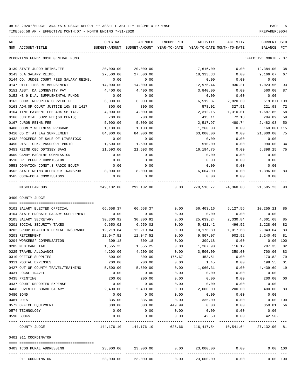TIME:06:58 AM - EFFECTIVE MONTH:07 - MONTH ENDING 7-31-2020

| ACT |                                         | ORIGINAL     | AMENDED                                                             | ENCUMBERED   |               | ACTIVITY ACTIVITY                        | CURRENT USED         |                |
|-----|-----------------------------------------|--------------|---------------------------------------------------------------------|--------------|---------------|------------------------------------------|----------------------|----------------|
|     | NUM ACCOUNT-TITLE                       |              | BUDGET-AMOUNT BUDGET-AMOUNT YEAR-TO-DATE YEAR-TO-DATE MONTH-TO-DATE |              |               |                                          | BALANCE PCT          |                |
|     | REPORTING FUND: 0010 GENERAL FUND       |              |                                                                     |              |               |                                          | EFFECTIVE MONTH - 07 |                |
|     | 0139 STATE JUROR REIMB.FEE              | 20,000.00    | 20,000.00                                                           |              | 7,616.00      | 0.00                                     | 12,384.00            | 38             |
|     | 0143 D.A.SALARY REIMB.                  | 27,500.00    | 27,500.00                                                           |              | 18,333.33     | 0.00                                     | 9,166.67             | 67             |
|     | 0144 CO. JUDGE COURT FEES SALARY REIMB. | 0.00         | 0.00                                                                |              | 0.00          | 0.00                                     | 0.00                 |                |
|     | 0147 UTILITIES REIMBURSEMENT            | 14,000.00    | 14,000.00                                                           |              | 12,976.44     | 936.21                                   | 1,023.56             | 93             |
|     | 0151 ASST. DA LONGEVITY PAY             | 4,400.00     | 4,400.00                                                            |              | 3,840.00      | 0.00                                     | 560.00               | 87             |
|     | 0152 HB 9 D.A. SUPPLEMENTAL FUNDS       | 0.00         | 0.00                                                                |              | 0.00          | 0.00                                     | 0.00                 |                |
|     | 0162 COURT REPORTER SERVICE FEE         | 6,000.00     | 6,000.00                                                            |              | 6,519.87      | 2,820.60                                 | 519.87+ 109          |                |
|     | 0163 ADM.OF COURT JUSTICE 10% SB 1417   | 800.00       | 800.00                                                              |              | 578.02        | 327.51                                   | 221.98               | 72             |
|     | 0164 TIME PAYMENT FEE 40% SB 1417       | 4,000.00     | 4,000.00                                                            |              | 2,312.15      | 1,310.01                                 | 1,687.85             | 58             |
|     | 0166 JUDICIAL SUPP.FEE(60 CENTS)        | 700.00       | 700.00                                                              |              | 415.11        | 72.18                                    | 284.89               | 59             |
|     | 0167 JUROR REIMB.FEE                    | 5,000.00     | 5,000.00                                                            |              | 2,517.97      | 480.74                                   | 2,482.03             | 50             |
|     | 0408 COUNTY WELLNESS PROGRAM            | 1,100.00     | 1,100.00                                                            |              | 1,260.00      | 0.00                                     | $160.00 + 115$       |                |
|     | 0410 CO CT AT LAW SUPPLEMENT            | 84,000.00    | 84,000.00                                                           |              | 63,000.00     | 0.00                                     | 21,000.00            | 75             |
|     | 0432 PROCEEDS OF SALE OF LIVESTOCK      | 0.00         | 0.00                                                                |              | 0.00          | 0.00                                     | 0.00                 |                |
|     | 0450 DIST. CLK. PASSPORT PHOTO          | 1,500.00     | 1,500.00                                                            |              | 510.00        | 0.00                                     | 990.00               | 34             |
|     | 0453 REIMB.CEC ODYSSEY SAAS             | 21,593.00    | 21,593.00                                                           |              | 16,194.75     | 0.00                                     | 5,398.25             | 75             |
|     | 0509 CANDY MACHINE COMMISSION           | 0.00         | 0.00                                                                |              | 0.00          | 0.00                                     | 0.00                 |                |
|     | 0510 DR. PEPPER COMMISSION              | 0.00         | 0.00                                                                |              | 0.00          | 0.00                                     | 0.00                 |                |
|     | 0553 DONATION CONST.3 RADIO EQUIP.      | 0.00         | 0.00                                                                |              | 0.00          | 0.00                                     | 0.00                 |                |
|     | 0562 STATE REIMB.OFFENDER TRANSPORT     | 8,000.00     | 8,000.00                                                            |              | 6,604.00      | 0.00                                     | 1,396.00             | 83             |
|     | 0565 COCA-COLA COMMISSIONS              | 0.00         | 0.00                                                                |              | 0.00          | 0.00                                     | 0.00                 |                |
|     | MISCELLANEOUS                           |              | 249,102.00 292,102.00 0.00                                          |              |               | 270,516.77 24,360.08                     | 21,585.23            | 93             |
|     | 0400 COUNTY JUDGE                       |              |                                                                     |              |               |                                          |                      |                |
|     |                                         |              |                                                                     |              |               |                                          |                      |                |
|     | 0101 SALARY ELECTED OFFICIAL            | 66,658.37    | 66,658.37                                                           | 0.00         | 56,403.16     | 5,127.56                                 | 10,255.21            | 85             |
|     | 0104 STATE PROBATE SALARY SUPPLEMENT    | 0.00         | 0.00                                                                | 0.00         | 0.00          | 0.00                                     | 0.00                 |                |
|     | 0105 SALARY SECRETARY                   | 30,300.92    | 30,300.92                                                           | 0.00         | 25,639.24     | 2,330.84                                 | 4,661.68             | 85             |
|     | 0201 SOCIAL SECURITY TAXES              | 6,650.02     | 6,650.02                                                            | 0.00         | 5,421.42      | 496.52                                   | 1,228.60             | 82             |
|     | 0202 GROUP HEALTH & DENTAL INSURANCE    | 12,219.84    | 12,219.84                                                           | 0.00         | 10,176.80     | 1,017.68                                 | 2,043.04             | 83             |
|     | 0203 RETIREMENT                         | 12,047.52    | 12,047.52                                                           | 0.00         | 9,807.07      | 902.92                                   | 2,240.45             | 81             |
|     | 0204 WORKERS' COMPENSATION              | 309.18       | 309.18                                                              | 0.00         | 309.18        | 0.00                                     | $0.00$ 100           |                |
|     | 0205 MEDICARE TAX                       | 1,555.25     | 1,555.25                                                            | 0.00         | 1,267.90      | 116.12                                   | 287.35               | 82             |
|     | 0225 TRAVEL ALLOWANCE                   | 4,200.00     | 4,200.00                                                            | 0.00         | 3,500.00      | 350.00                                   | 700.00               | 83             |
|     | 0310 OFFICE SUPPLIES                    | 800.00       | 800.00                                                              | 175.67       | 453.51        | 0.00                                     | 170.82               | 79             |
|     | 0311 POSTAL EXPENSES                    | 200.00       | 200.00                                                              | 0.00         | 1.45          | 0.00                                     | 198.55               | 01             |
|     | 0427 OUT OF COUNTY TRAVEL/TRAINING      | 5,500.00     | 5,500.00                                                            | 0.00         | 1,060.31      | 0.00                                     | 4,439.69             | 19             |
|     | 0431 LOCAL TRAVEL                       | 0.00         | 0.00                                                                | 0.00         | 0.00          | 0.00                                     | 0.00                 |                |
|     | 0435 PRINTING                           | 200.00       | 200.00                                                              | 0.00         | 0.00          | 0.00                                     | 200.00               | 0 <sub>0</sub> |
|     | 0437 COURT REPORTER EXPENSE             | 0.00         | 0.00                                                                | 0.00         | 0.00          | 0.00                                     | 0.00                 |                |
|     | 0468 JUVENILE BOARD SALARY              | 2,400.00     | 2,400.00                                                            | 0.00         | 2,000.00      | 200.00                                   | 400.00               | 83             |
|     | 0480 BOND                               | 0.00         | 0.00                                                                | 0.00         | 0.00          | 0.00                                     | 0.00                 |                |
|     | 0481 DUES                               | 335.00       | 335.00                                                              | 0.00         | 335.00        | 0.00                                     | 0.00 100             |                |
|     | 0572 OFFICE EQUIPMENT                   | 800.00       | 800.00                                                              | 449.99       | 0.00          | 0.00                                     | 350.01               | 56             |
|     | 0574 TECHNOLOGY<br>0590 BOOKS           | 0.00<br>0.00 | 0.00<br>0.00                                                        | 0.00<br>0.00 | 0.00<br>42.50 | 0.00<br>0.00                             | 0.00<br>$42.50 -$    |                |
|     |                                         |              |                                                                     |              | ------------  |                                          |                      |                |
|     | COUNTY JUDGE                            |              | 144, 176. 10 144, 176. 10                                           |              |               | 625.66 116,417.54 10,541.64 27,132.90 81 |                      |                |
|     | 0401 911 COORDINATOR                    |              |                                                                     |              |               |                                          |                      |                |
|     | 0403 TCOG RURAL ADDRESSING              | 23,000.00    |                                                                     |              |               | $23,000.00$ $0.00$ $23,000.00$ $0.00$    | 0.00 100             |                |
|     | 911 COORDINATOR                         |              | $23,000.00$ $23,000.00$ $0.00$ $23,000.00$                          |              |               |                                          | 0.00<br>0.00 100     |                |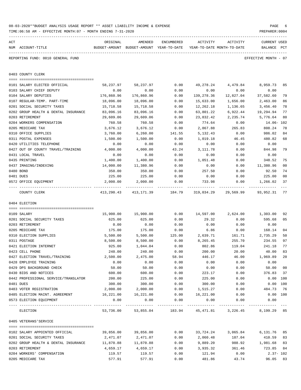|     | TIME: 06:58 AM - EFFECTIVE MONTH: 07 - MONTH ENDING 7-31-2020 |                     |                                          |              |                     |                                                           | PREPARER: 0004        |              |
|-----|---------------------------------------------------------------|---------------------|------------------------------------------|--------------|---------------------|-----------------------------------------------------------|-----------------------|--------------|
| ACT |                                                               | ORIGINAL            | AMENDED                                  | ENCUMBERED   | ACTIVITY            | ACTIVITY                                                  | <b>CURRENT USED</b>   |              |
|     | NUM ACCOUNT-TITLE                                             |                     | BUDGET-AMOUNT BUDGET-AMOUNT YEAR-TO-DATE |              |                     | YEAR-TO-DATE MONTH-TO-DATE                                | BALANCE               | $_{\rm PCT}$ |
|     | REPORTING FUND: 0010 GENERAL FUND                             |                     |                                          |              |                     |                                                           | EFFECTIVE MONTH - 07  |              |
|     | 0403 COUNTY CLERK                                             |                     |                                          |              |                     |                                                           |                       |              |
|     |                                                               |                     |                                          |              |                     |                                                           |                       |              |
|     | 0101 SALARY ELECTED OFFICIAL                                  | 58,237.97           | 58,237.97                                | 0.00         | 49,278.24           | 4,479.84                                                  | 8,959.73              | 85           |
|     | 0103 SALARY CHIEF DEPUTY                                      | 0.00                | 0.00                                     | 0.00         | 0.00                | 0.00                                                      | 0.00                  |              |
|     | 0104 SALARY DEPUTIES                                          | 176,860.96          | 176,860.96                               | 0.00         | 139,278.36          | 12,827.04                                                 | 37,582.60             | 79           |
|     | 0107 REGULAR-TEMP. PART-TIME<br>0201 SOCIAL SECURITY TAXES    | 18,096.00           | 18,096.00                                | 0.00         | 15,633.00           | 1,656.00                                                  | 2,463.00              | 86<br>78     |
|     |                                                               | 15,718.58           | 15,718.58                                | 0.00         | 12,262.18           | 1,136.65                                                  | 3,456.40              | 77           |
|     | 0202 GROUP HEALTH & DENTAL INSURANCE<br>0203 RETIREMENT       | 83,096.16           | 83,096.16                                | 0.00         | 63,801.22           | 6,922.44                                                  | 19,294.94<br>5,776.64 |              |
|     | 0204 WORKERS COMPENSATION                                     | 29,609.06<br>760.58 | 29,609.06<br>760.58                      | 0.00<br>0.00 | 23,832.42<br>774.64 | 2,235.74<br>0.00                                          | 14.06- 102            | 80           |
|     | 0205 MEDICARE TAX                                             | 3,676.12            | 3,676.12                                 | 0.00         | 2,867.88            | 265.83                                                    | 808.24                | 78           |
|     | 0310 OFFICE SUPPLIES                                          | 3,760.00            | 6,260.00                                 | 141.55       | 5,132.43            | 0.00                                                      | 986.02                | 84           |
|     | 0311 POSTAL EXPENSES                                          | 1,500.00            | 1,500.00                                 | 0.00         | 1,019.18            | 46.45                                                     | 480.82                | 68           |
|     | 0420 UTILITIES TELEPHONE                                      | 0.00                | 0.00                                     | 0.00         | 0.00                | 0.00                                                      | 0.00                  |              |
|     | 0427 OUT OF COUNTY TRAVEL/TRAINING                            | 4,000.00            | 4,000.00                                 | 43.24        | 3,111.78            | 0.00                                                      | 844.98                | 79           |
|     | 0431 LOCAL TRAVEL                                             | 0.00                | 0.00                                     | 0.00         | 0.00                | 0.00                                                      | 0.00                  |              |
|     | 0435 PRINTING                                                 | 1,400.00            | 1,400.00                                 | 0.00         | 1,051.48            | 0.00                                                      | 348.52                | 75           |
|     | 0437 IMAGING/INDEXING                                         | 14,000.00           | 11,380.96                                | 0.00         | 0.00                | 0.00                                                      | 11,380.96             | 00           |
|     | 0480 BOND                                                     | 350.00              | 350.00                                   | 0.00         | 257.50              | 0.00                                                      | 92.50                 | 74           |
|     | 0481 DUES                                                     | 225.00              | 225.00                                   | 0.00         | 0.00                | 0.00                                                      | 225.00                | 00           |
|     | 0572 OFFICE EQUIPMENT                                         | 2,000.00            | 2,000.00                                 | 0.00         | 733.98              | 0.00                                                      | 1,266.02              | 37           |
|     | COUNTY CLERK                                                  | 413,290.43          | 413,171.39                               | 184.79       | 319,034.29          | 29,569.99                                                 | 93,952.31             | 77           |
|     | 0404 ELECTION                                                 |                     |                                          |              |                     |                                                           |                       |              |
|     |                                                               |                     |                                          |              |                     |                                                           |                       |              |
|     | 0109 SALARY                                                   | 15,900.00           | 15,900.00                                | 0.00         | 14,597.00           | 2,624.00                                                  | 1,303.00              | 92           |
|     | 0201 SOCIAL SECURITY TAXES                                    | 625.00              | 625.00                                   | 0.00         | 29.32               | 0.00                                                      | 595.68                | 05           |
|     | 0203 RETIREMENT                                               | 0.00                | 0.00                                     | 0.00         | 0.00                | 0.00                                                      | 0.00                  |              |
|     | 0205 MEDICARE TAX                                             | 175.00              | 175.00                                   | 0.00         | 6.86                | 0.00                                                      | 168.14                | 04           |
|     | 0310 ELECTION SUPPLIES                                        | 5,500.00            | 5,500.00                                 | 125.00       | 2,639.71            | 161.71                                                    | 2,735.29              | 50           |
|     | 0311 POSTAGE                                                  | 8,500.00            | 8,500.00                                 | 0.00         | 8,265.45            | 255.70                                                    | 234.55                | 97           |
|     | 0421 ELECTION INTERNET                                        | 925.00              | 1,044.04                                 | 0.00         | 802.86              | 119.04                                                    | 241.18                | 77           |
|     | 0423 CELL PHONE                                               | 240.00              | 240.00                                   | 0.00         | 200.00              | 20.00                                                     | 40.00                 | 83           |
|     | 0427 ELECTION TRAVEL/TRAINING                                 | 2,500.00            | 2,475.00                                 | 58.94        | 446.17              | 46.00                                                     | 1,969.89              | 20           |
|     | 0428 EMPLOYEE TRAINING                                        | 0.00                | 0.00                                     | 0.00         | 0.00                | 0.00                                                      | 0.00                  |              |
|     | 0429 DPS BACKGROUND CHECK                                     | 50.00               | 50.00                                    | 0.00         | 0.00                | 0.00                                                      | 50.00                 | 00           |
|     | 0430 BIDS AND NOTICES                                         | 600.00              | 600.00                                   | 0.00         | 223.17              | 0.00                                                      | 376.83                | 37           |
|     | 0442 PROFESSIONAL SERVICE/TRANSLATOR                          | 200.00              | 225.00                                   | 0.00         | 225.00              | 0.00                                                      | $0.00$ 100            |              |
|     | 0481 DUES                                                     | 300.00              | 300.00                                   | 0.00         | 300.00              | 0.00                                                      | 0.00                  | 100          |
|     | 0483 VOTER REGISTRATION                                       | 2,000.00            | 2,000.00                                 | 0.00         | 1,515.27            | 0.00                                                      | 484.73                | 76           |
|     | 0485 ELECTION MAINT. AGREEMENT                                | 16,221.00           | 16,221.00                                | 0.00         | 16,221.00           | 0.00                                                      | $0.00$ 100            |              |
|     | 0573 ELECTION EQUIPMENT                                       | 0.00                | 0.00                                     | 0.00         | 0.00                | 0.00                                                      | 0.00                  |              |
|     | ELECTION                                                      |                     |                                          |              |                     | 53,736.00 53,855.04 183.94 45,471.81 3,226.45 8,199.29 85 |                       |              |
|     | 0405 VETERANS'SERVICE                                         |                     |                                          |              |                     |                                                           |                       |              |
|     |                                                               |                     |                                          |              |                     |                                                           |                       |              |
|     | 0102 SALARY APPOINTED OFFICIAL                                | 39,856.00           | 39,856.00                                | 0.00         | 33,724.24           | 3,065.84                                                  | 6,131.76              | 85           |
|     | 0201 SOCIAL SECURITY TAXES                                    | 2,471.07            | 2,471.07                                 | 0.00         | 2,060.48            | 187.04                                                    | 410.59                | 83           |
|     | 0202 GROUP HEALTH & DENTAL INSURANCE<br>0203 RETIREMENT       | 11,870.88           | 11,870.88                                | 0.00<br>0.00 | 9,889.20            | 988.92                                                    | 1,981.68<br>723.85    | 83<br>84     |
|     | 0204 WORKERS' COMPENSATION                                    | 4,659.17            | 4,659.17<br>119.57                       | 0.00         | 3,935.32<br>121.94  | 361.46<br>0.00                                            | $2.37 - 102$          |              |
|     | 0205 MEDICARE TAX                                             | 119.57<br>577.91    | 577.91                                   | 0.00         | 481.86              | 43.74                                                     | 96.05 83              |              |
|     |                                                               |                     |                                          |              |                     |                                                           |                       |              |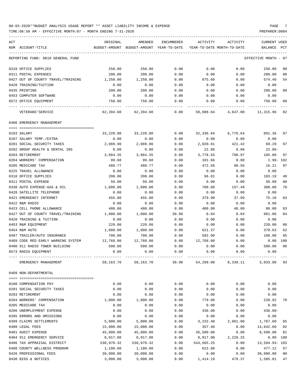TIME:06:58 AM - EFFECTIVE MONTH:07 - MONTH ENDING 7-31-2020 PREPARER:0004

| ACT |                                    | ORIGINAL   | AMENDED                                  | ENCUMBERED | ACTIVITY                   | ACTIVITY | <b>CURRENT USED</b>            |                |
|-----|------------------------------------|------------|------------------------------------------|------------|----------------------------|----------|--------------------------------|----------------|
|     | NUM ACCOUNT-TITLE                  |            | BUDGET-AMOUNT BUDGET-AMOUNT YEAR-TO-DATE |            | YEAR-TO-DATE MONTH-TO-DATE |          | BALANCE                        | PCT            |
|     |                                    |            |                                          |            |                            |          |                                |                |
|     | REPORTING FUND: 0010 GENERAL FUND  |            |                                          |            |                            |          | EFFECTIVE MONTH - 07           |                |
|     | 0310 OFFICE SUPPLIES               | 250.00     | 250.00                                   | 0.00       | 0.00                       | 0.00     | 250.00                         | 00             |
|     | 0311 POSTAL EXPENSES               | 200.00     | 200.00                                   | 0.00       | 0.00                       | 0.00     | 200.00                         | 0 <sub>0</sub> |
|     | 0427 OUT OF COUNTY TRAVEL/TRAINING | 1,250.00   | 1,250.00                                 | 0.00       | 675.60                     | 0.00     | 574.40                         | 54             |
|     | 0428 TRAINING/TUITION              | 0.00       | 0.00                                     | 0.00       | 0.00                       | 0.00     | 0.00                           |                |
|     | 0435 PRINTING                      | 200.00     | 200.00                                   | 0.00       | 0.00                       | 0.00     | 200.00                         | 0 <sub>0</sub> |
|     | 0453 COMPUTER SOFTWARE             | 0.00       | 0.00                                     | 0.00       | 0.00                       | 0.00     | 0.00                           |                |
|     | 0572 OFFICE EQUIPMENT              | 750.00     | 750.00                                   | 0.00       | 0.00                       | 0.00     | 750.00                         | 0 <sub>0</sub> |
|     | VETERANS ' SERVICE                 |            | 62,204.60 62,204.60                      | 0.00       |                            |          | 50,888.64  4,647.00  11,315.96 | 82             |
|     | 0406 EMERGENCY MANAGEMENT          |            |                                          |            |                            |          |                                |                |
|     | 0103 SALARY                        | 33,228.00  | 33,228.00                                | 0.00       | 32,336.64                  | 6,776.64 | 891.36                         | 97             |
|     | 0107 SALARY TEMP./EXTRA            | 0.00       | 0.00                                     | 0.00       | 0.00                       | 0.00     | 0.00                           |                |
|     | 0201 SOCIAL SECURITY TAXES         | 2,089.90   | 2,089.90                                 | 0.00       | 2,020.61                   | 421.42   | 69.29                          | 97             |
|     | 0202 GROUP HEALTH & DENTAL INS     | 0.00       | 0.00                                     | 0.00       | 22.86                      | 0.00     | $22.86-$                       |                |
|     | 0203 RETIREMENT                    | 3,884.35   | 3,884.35                                 | 0.00       | 3,778.55                   | 798.97   | 105.80                         | 97             |
|     | 0204 WORKERS' COMPENSATION         | 99.68      | 99.68                                    | 0.00       | 101.66                     | 0.00     | 1.98- 102                      |                |
|     | 0205 MEDICARE TAX                  | 488.77     | 488.77                                   | 0.00       | 472.56                     | 98.56    | 16.21                          | 97             |
|     | 0225 TRAVEL ALLOWANCE              | 0.00       | 0.00                                     | 0.00       | 0.00                       | 0.00     | 0.00                           |                |
|     | 0310 OFFICE SUPPLIES               | 200.00     | 200.00                                   | 0.00       | 96.81                      | 0.00     | 103.19                         | 48             |
|     | 0311 POSTAL EXPENSE                | 50.00      | 50.00                                    | 0.00       | 0.00                       | 0.00     | 50.00                          | 00             |
|     | 0330 AUTO EXPENSE-GAS & OIL        | 1,000.00   | 1,000.00                                 | 0.00       | 700.00                     | 157.49   | 300.00                         | 70             |
|     | 0420 SATELLITE TELEPHONE           | 0.00       | 0.00                                     | 0.00       | 0.00                       | 0.00     | 0.00                           |                |
|     | 0421 EMERGENCY INTERNET            | 455.00     | 455.00                                   | 0.00       | 379.90                     | 37.99    | 75.10                          | 83             |
|     | 0422 R&M RADIO                     | 0.00       | 0.00                                     | 0.00       | 0.00                       | 0.00     | 0.00                           |                |
|     | 0423 CELL PHONE ALLOWANCE          | 480.00     | 480.00                                   | 0.00       | 400.00                     | 40.00    | 80.00                          | 83             |
|     | 0427 OUT OF COUNTY TRAVEL/TRAINING | 1,000.00   | 1,000.00                                 | 30.90      | 8.04                       | 8.04     | 961.06                         | 0 <sub>4</sub> |
|     | 0428 TRAINING & TUITION            | 0.00       | 0.00                                     | 0.00       | 0.00                       | 0.00     | 0.00                           |                |
|     | 0453 R&M EQUIPMENT                 | 220.00     | 220.00                                   | 0.00       | 0.00                       | 0.00     | 220.00                         | 0 <sub>0</sub> |
|     | 0454 R&M AUTO                      | 1,000.00   | 1,000.00                                 | 0.00       | 621.37                     | 0.00     | 378.63                         | 62             |
|     | 0487 TRAILER/AUTO INSURANCE        | 700.00     | 700.00                                   | 0.00       | 592.00                     | 0.00     | 108.00                         | 85             |
|     | 0489 CODE RED EARLY WARNING SYSTEM | 12,768.00  | 12,768.00                                | 0.00       | 12,768.00                  | 0.00     | 0.00                           | 100            |
|     | 0490 911 RADIO TOWER BUILDING      | 500.00     | 500.00                                   | 0.00       | 0.00                       | 0.00     | 500.00                         | 0 <sup>0</sup> |
|     | 0573 RADIO EQUIPMENT               | 0.00       | 0.00                                     | 0.00       | 0.00                       | 0.00     | 0.00                           |                |
|     | EMERGENCY MANAGEMENT               | 58,163.70  | 58,163.70                                | 30.90      | 54,299.00                  | 8,339.11 | 3,833.80                       | 93             |
|     | 0409 NON-DEPARTMENTAL              |            |                                          |            |                            |          |                                |                |
|     |                                    |            |                                          |            |                            |          |                                |                |
|     | 0100 COMPENSATION PAY              | 0.00       | 0.00                                     | 0.00       | 0.00                       | 0.00     | 0.00                           |                |
|     | 0201 SOCIAL SECURITY TAXES         | 0.00       | 0.00                                     | 0.00       | 0.00                       | 0.00     | 0.00                           |                |
|     | 0203 RETIREMENT                    | 0.00       | 0.00                                     | 0.00       | 0.00                       | 0.00     | 0.00                           |                |
|     | 0204 WORKERS' COMPENSATION         | 1,000.00   | 1,000.00                                 | 0.00       | 779.08                     | 0.00     | 220.92                         | 78             |
|     | 0205 MEDICARE TAX                  | 0.00       | 0.00                                     | 0.00       | 0.00                       | 0.00     | 0.00                           |                |
|     | 0206 UNEMPLOYMENT EXPENSE          | 0.00       | 0.00                                     | 0.00       | 436.00                     | 0.00     | $436.00 -$                     |                |
|     | 0395 ERRORS AND OMISSIONS          | 0.00       | 0.00                                     | 0.00       | 0.00                       | 0.00     | 0.00                           |                |
|     | 0399 CLAIMS SETTLEMENTS            | 5,000.00   | 5,000.00                                 | 0.00       | 3,232.40                   | 2,961.00 | 1,767.60                       | 65             |
|     | 0400 LEGAL FEES                    | 15,000.00  | 15,000.00                                | 0.00       | 357.40                     | 0.00     | 14,642.60                      | 02             |
|     | 0401 AUDIT EXPENSE                 | 45,000.00  | 45,000.00                                | 0.00       | 36,500.00                  | 0.00     | 8,500.00                       | 81             |
|     | 0404 911 EMERGENCY SERVICE         | 8,917.00   | 8,917.00                                 | 0.00       | 8,917.00                   | 2,229.25 | 0.00                           | 100            |
|     | 0406 TAX APPRAISAL DISTRICT        | 530,970.32 | 530,970.32                               | 0.00       | 544, 565.25                | 0.00     | 13,594.93-103                  |                |
|     | 0408 COUNTY WELLNESS PROGRAM       | 1,100.00   | 1,100.00                                 | 0.00       | 622.88                     | 0.00     | 477.12                         | 57             |

0426 PROFESSIONAL FEES 30,000.00 30,000.00 0.00 0.00 0.00 30,000.00 00 0430 BIDS & NOTICES 3,000.00 3,000.00 0.00 1,414.19 479.37 1,585.81 47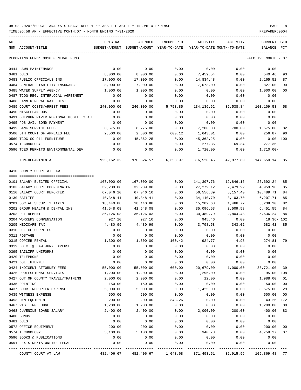TIME:06:58 AM - EFFECTIVE MONTH:07 - MONTH ENDING 7-31-2020 PREPARER:0004

----------------------------------------------------------------------------------------------------------------------------------- ACT ORIGINAL AMENDED ENCUMBERED ACTIVITY ACTIVITY CURRENT USED NUM ACCOUNT-TITLE BUDGET-AMOUNT BUDGET-AMOUNT YEAR-TO-DATE YEAR-TO-DATE MONTH-TO-DATE BALANCE PCT ----------------------------------------------------------------------------------------------------------------------------------- REPORTING FUND: 0010 GENERAL FUND EFFECTIVE MONTH - 07 0444 LAWN MAINTENANCE 0.00 0.00 0.00 0.00 0.00 0.00 0481 DUES 8,000.00 8,000.00 0.00 7,459.54 0.00 540.46 93 0483 PUBLIC OFFICIALS INS. 17,000.00 17,000.00 0.00 14,834.48 0.00 2,165.52 87 0484 GENERAL LIABILITY INSURANCE 8,000.00 7,900.00 0.00 7,073.00 0.00 827.00 90 0485 WATER SUPPLY AGENCY  $1,000.00$   $1,000.00$   $0.00$  0.00 0.00 0.00  $1,000.00$  00 0487 TCOG-REG. INTERLOCAL AGREEMENT 0.00 0.00 0.00 0.00 0.00 0.00 0488 FANNIN RURAL RAIL DIST 0.00 0.00 0.00 0.00 0.00 0.00 0489 COURT COSTS/ARREST FEES 240,000.00 240,000.00 5,753.85 134,136.62 36,538.84 100,109.53 58 0490 MISCELLANEOUS 0.00 0.00 0.00 0.00 0.00 0.00 0491 SULPHUR RIVER REGIONAL MOBILITY AU 0.00 0.00 0.00 0.00 0.00 0.00 0495 '98 JAIL BOND PAYMENT 0.00 0.00 0.00 0.00 0.00 0.00 0499 BANK SERVICE FEES 6,675.00 8,675.00 8,775.00 0.00 7,200.00 700.00 1,575.00 82 0500 6TH COURT OF APPEALS FEE  $2,500.00$   $2,500.00$   $600.12$   $1,643.01$  0.00  $256.87$  90 0560 TCOG SO 911 FURNITURE 0.00 45,362.25 0.00 45,362.25 0.00 0.00 100 0574 TECHNOLOGY 0.00 0.00 0.00 277.36 69.34 277.36- 0590 TCEQ PERMITS ENVIRONMENTAL DEV 0.00 0.00 0.00 1,710.00 0.00 1,710.00- ---- ---------------------------------- ------------- ------------- ------------ ------------- ------------ ------------- --- NON-DEPARTMENTAL 925,162.32 970,524.57 6,353.97 816,520.46 42,977.80 147,650.14 85 0410 COUNTY COURT AT LAW ==== =================================== 0101 SALARY ELECTED OFFICIAL 167,000.00 167,000.00 0.00 141,307.76 12,846.16 25,692.24 85 0103 SALARY COURT COORDINATOR 32,239.08 32,239.08 0.00 27,279.12 2,479.92 4,959.96 85 0110 SALARY COURT REPORTER 67,046.10 67,046.10 0.00 56,556.39 5,157.40 10,489.71 84 0130 BAILIFF 40,348.41 40,348.41 0.00 34,140.70 3,103.70 6,207.71 85 0201 SOCIAL SECURITY TAXES 18,440.88 18,440.88 0.00 15,202.68 1,466.72 3,238.20 82 0202 GROUP HEALTH & DENTAL INS 41,548.08 41,548.08 0.00 35,096.53 3,509.58 6,451.55 84 0203 RETIREMENT 36,126.03 36,126.03 0.00 30,489.79 2,804.48 5,636.24 84 0204 WORKERS COMPENSATION 927.10 927.10 0.00 945.46 0.00 18.36- 102 0205 MEDICARE TAX 682.41 85 (4,480.99 4,480.99 0.00 3,798.58 343.02 682.41 85 0310 OFFICE SUPPLIES 0.00 0.00 0.00 0.00 0.00 0.00 0311 POSTAGE 0.00 0.00 0.00 0.00 0.00 0.00 0315 COPIER RENTAL 1,300.00 1,300.00 100.42 924.77 4.98 274.81 79 0319 CO.CT @ LAW JURY EXPENSE 0.00 0.00 0.00 0.00 0.00 0.00 0395 BAILIFF UNIFORMS 0.00 0.00 0.00 0.00 0.00 0.00 0420 TELEPHONE 0.00 0.00 0.00 0.00 0.00 0.00 0421 DSL INTERNET 0.00 0.00 0.00 0.00 0.00 0.00 0424 INDIGENT ATTORNEY FEES  $1,200.00$  55,000.00 600.00 600.00 20,679.00 1,000.00 33,721.00<br>0425 PROFESSIONAL SERVICES 1,200.00 1,200.00 0.00 1,295.00 0.00 95.00 0425 PROFESSIONAL SERVICES 1,200.00 1,200.00 0.00 1,295.00 0.00 95.00- 108 0427 OUT OF COUNTY TRAVEL/TRAINING 2,000.00 2,000.00 0.00 12.00 0.00 1,988.00 01 0435 PRINTING 150.00 150.00 0.00 0.00 0.00 150.00 00 0437 COURT REPORTER EXPENSE 5,000.00 5,000.00 0.00 1,425.00 0.00 3,575.00 29 0439 WITNESS EXPENSE 500.00 500.00 0.00 0.00 0.00 500.00 00 0453 R&M EQUIPMENT 200.00 200.00 200.00 343.26 0.00 0.00 143.26- 172 0467 VISITING JUDGE  $1,200.00$   $1,200.00$   $0.00$  0.00 0.00  $1,200.00$  00 0468 JUVENILE BOARD SALARY 2,400.00 2,400.00 0.00 2,000.00 200.00 400.00 83 0480 BONDS 0.00 0.00 0.00 0.00 0.00 0.00 0481 DUES 0.00 0.00 0.00 0.00 0.00 0.00 0572 OFFICE EQUIPMENT 200.00 200.00 0.00 0.00 0.00 200.00 00 0574 TECHNOLOGY 5,100.00 5,100.00 0.00 340.73 0.00 4,759.27 07 0590 BOOKS & PUBLICATIONS 0.00 0.00 0.00 0.00 0.00 0.00

0591 LEXIS NEXIS ONLINE LEGAL 0.00 0.00 0.00 0.00 0.00 0.00 ---- ---------------------------------- ------------- ------------- ------------ ------------- ------------ ------------- ---

COUNTY COURT AT LAW 482,406.67 482,406.67 1,043.68 371,493.51 32,915.96 109,869.48 77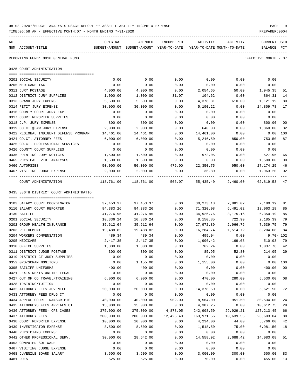| 08-03-2020**BUDGET ANALYSIS USAGE REPORT ** ASSET LIABILITY INCOME & EXPENSE | PAGE           |
|------------------------------------------------------------------------------|----------------|
| TIME:06:58 AM - EFFECTIVE MONTH:07 - MONTH ENDING 7-31-2020                  | PREPARER: 0004 |

| ACT | NUM ACCOUNT-TITLE                       | ORIGINAL   | AMENDED<br>BUDGET-AMOUNT BUDGET-AMOUNT YEAR-TO-DATE | ENCUMBERED | ACTIVITY   | ACTIVITY<br>YEAR-TO-DATE MONTH-TO-DATE | CURRENT USED<br>BALANCE | PCT            |
|-----|-----------------------------------------|------------|-----------------------------------------------------|------------|------------|----------------------------------------|-------------------------|----------------|
|     | REPORTING FUND: 0010 GENERAL FUND       |            |                                                     |            |            |                                        | EFFECTIVE MONTH - 07    |                |
|     | 0425 COURT ADMINISTRATION               |            |                                                     |            |            |                                        |                         |                |
|     | 0201 SOCIAL SECURITY                    | 0.00       | 0.00                                                | 0.00       | 0.00       | 0.00                                   | 0.00                    |                |
|     | 0205 MEDICARE TAX                       | 0.00       | 0.00                                                | 0.00       | 0.00       | 0.00                                   | 0.00                    |                |
|     | 0311 JURY POSTAGE                       | 4,000.00   | 4,000.00                                            | 0.00       | 2,054.65   | 50.00                                  | 1,945.35                | 51             |
|     | 0312 DISTRICT JURY SUPPLIES             | 1,000.00   | 1,000.00                                            | 31.07      | 104.62     | 0.00                                   | 864.31                  | 14             |
|     | 0313 GRAND JURY EXPENSE                 | 5,500.00   | 5,500.00                                            | 0.00       | 4,378.81   | 610.00                                 | 1,121.19                | 80             |
|     | 0314 PETIT JURY EXPENSE                 | 30,000.00  | 30,000.00                                           | 0.00       | 5,190.22   | 0.00                                   | 24,809.78               | 17             |
|     | 0316 COUNTY COURT JURY EXP.             | 0.00       | 0.00                                                | 0.00       | 0.00       | 0.00                                   | 0.00                    |                |
|     | 0317 COURT REPORTER SUPPLIES            | 0.00       | 0.00                                                | 0.00       | 0.00       | 0.00                                   | 0.00                    |                |
|     | 0318 J.P. JURY EXPENSE                  | 800.00     | 800.00                                              | 0.00       | 0.00       | 0.00                                   | 800.00                  | 00             |
|     | 0319 CO.CT.@LAW JURY EXPENSE            | 2,000.00   | 2,000.00                                            | 0.00       | 640.00     | 0.00                                   | 1,360.00                | 32             |
|     | 0422 REGIONAL INDIGENT DEFENSE PROGRAM  | 14,461.00  | 14,461.00                                           | 0.00       | 14,461.00  | 0.00                                   | $0.00$ $100$            |                |
|     | 0424 CO.CT. ATTORNEY FEES               | 6,000.00   | 6,000.00                                            | 0.00       | 5,246.50   | 850.00                                 | 753.50                  | 87             |
|     | 0425 CO.CT. PROFESSIONAL SERVICES       | 0.00       | 0.00                                                | 0.00       | 0.00       | 0.00                                   | 0.00                    |                |
|     | 0426 COUNTY COURT SUPPLIES              | 0.00       | 0.00                                                | 0.00       | 0.00       | 0.00                                   | 0.00                    |                |
|     | 0435 PRINTING JURY NOTICES              | 1,500.00   | 1,500.00                                            | 0.00       | 972.05     | 0.00                                   | 527.95                  | 65             |
|     | 0465 PHYSICAL EVID. ANALYSES            | 1,500.00   | 1,500.00                                            | 0.00       | 0.00       | 0.00                                   | 1,500.00                | 0 <sub>0</sub> |
|     | 0466 AUTOPSIES                          | 50,000.00  | 50,000.00                                           | 475.00     | 22,350.75  | 950.00                                 | 27,174.25               | 46             |
|     | 0467 VISITING JUDGE EXPENSE             | 2,000.00   | 2,000.00                                            | 0.00       | 36.80      | 0.00                                   | 1,963.20                | 02             |
|     | COURT ADMINISTRATION                    | 118,761.00 | 118,761.00                                          | 506.07     |            | 55,435.40 2,460.00                     | 62,819.53 47            |                |
|     | 0435 336TH DISTRICT COURT ADMINISTRATIO |            |                                                     |            |            |                                        |                         |                |
|     | 0103 SALARY COURT COORDINATOR           | 37,453.37  | 37,453.37                                           | 0.00       | 30,273.18  | 2,881.02                               | 7,180.19                | 81             |
|     | 0110 SALARY COURT REPORTER              | 84,383.26  | 84,383.26                                           | 0.00       | 71,320.08  | 6,491.02                               | 13,063.18               | 85             |
|     | 0130 BAILIFF                            | 41,276.95  | 41,276.95                                           | 0.00       | 34,926.76  | 3,175.16                               | 6,350.19                | 85             |
|     | 0201 SOCIAL SECURITY                    | 10,336.24  | 10,336.24                                           | 0.00       | 8,150.85   | 722.90                                 | 2,185.39                | 79             |
|     | 0202 GROUP HEALTH INSURANCE             | 35,612.64  | 35,612.64                                           | 0.00       | 27,972.89  | 2,966.76                               | 7,639.75                | 79             |
|     | 0203 RETIREMENT                         | 19,488.82  | 19,488.82                                           | 0.00       | 16,284.74  | 1,514.72                               | 3,204.08                | 84             |
|     | 0204 WORKERS COMPENSATION               | 489.34     | 489.34                                              | 0.00       | 499.04     | 0.00                                   | 9.70- 102               |                |
|     | 0205 MEDICARE                           | 2,417.35   | 2, 417.35                                           | 0.00       | 1,906.42   | 169.08                                 | 510.93                  | 79             |
|     | 0310 OFFICE SUPPLIES                    | 1,800.00   | 1,800.00                                            | 0.00       | 762.24     | 0.00                                   | 1,037.76                | 42             |
|     | 0311 DISTRICT JUDGE POSTAGE             | 300.00     | 300.00                                              | 0.00       | 85.95      | 52.80                                  | 214.05                  | 29             |
|     | 0319 DISTRICT CT JURY SUPPLIES          | 0.00       | 0.00                                                | 0.00       | 0.00       | 0.00                                   | 0.00                    |                |
|     | 0352 GPS/SCRAM MONITORS                 | 0.00       | 1,155.00                                            | 0.00       | 1,155.00   | 0.00                                   | 0.00 100                |                |
|     | 0395 BAILIFF UNIFORMS                   | 400.00     | 400.00                                              | 0.00       | 0.00       | 0.00                                   | 400.00                  | 0 <sub>0</sub> |
|     | 0421 LEXIS NEXIS ONLINE LEGAL           | 0.00       | 0.00                                                | 0.00       | 0.00       | 0.00                                   | 0.00                    |                |
|     | 0427 OUT OF CO TRAVEL/TRAINING          | 6,000.00   | 6,000.00                                            | 0.00       | 470.00     | 280.00                                 | 5,530.00                | 08             |
|     | 0428 TRAINING/TUITION                   | 0.00       | 0.00                                                | 0.00       | 0.00       | 0.00                                   | 0.00                    |                |
|     | 0432 ATTORNEY FEES JUVENILE             | 20,000.00  | 20,000.00                                           | 0.00       | 14,378.50  | 0.00                                   | 5,621.50                | 72             |
|     | 0433 ATTORNEY FEES DRUG CT              | 0.00       | 0.00                                                | 0.00       | 0.00       | 0.00                                   | 0.00                    |                |
|     | 0434 APPEAL COURT TRANSCRIPTS           | 40,000.00  | 40,000.00                                           | 902.00     | 8,564.00   | 951.50                                 | 30,534.00               | 24             |
|     | 0435 ATTORNEYS FEES APPEALS CT          | 15,000.00  | 15,000.00                                           | 0.00       | 4,387.25   | 0.00                                   | 10,612.75               | 29             |
|     | 0436 ATTORNEY FEES- CPS CASES           | 375,000.00 | 375,000.00                                          | 4,878.05   | 242,908.50 | 29,929.21                              | 127,213.45              | 66             |
|     | 0437 ATTORNEY FEES                      | 200,000.00 | 200,000.00                                          | 12,425.40  | 163,971.56 | 10,639.55                              | 23,603.04               | 88             |
|     | 0438 COURT REPORTER EXPENSE             | 10,000.00  | 10,000.00                                           | 0.00       | 4,234.00   | 44.00                                  | 5,766.00                | 42             |
|     | 0439 INVESTIGATOR EXPENSE               | 8,500.00   | 8,500.00                                            | 0.00       | 1,518.50   | 75.00                                  | 6,981.50                | 18             |
|     | 0440 PHYSICIANS EXPENSE                 | 0.00       | 0.00                                                | 0.00       | 0.00       | 0.00                                   | 0.00                    |                |
|     | 0442 OTHER PROFESSIONAL SERV.           | 30,000.00  | 28,642.00                                           | 0.00       | 14,558.92  | 2,688.42                               | 14,083.08               | 51             |
|     | 0453 COMPUTER SOFTWARE                  | 0.00       | 0.00                                                | 0.00       | 0.00       | 0.00                                   | 0.00                    |                |
|     | 0467 VISITING JUDGE EXPENSE             | 0.00       | 0.00                                                | 0.00       | 0.00       | 0.00                                   | 0.00                    |                |
|     | 0468 JUVENILE BOARD SALARY              | 3,600.00   | 3,600.00                                            | 0.00       | 3,000.00   | 300.00                                 | 600.00                  | 83             |
|     | 0481 DUES                               | 525.00     | 525.00                                              | 0.00       | 70.00      | 0.00                                   | 455.00 13               |                |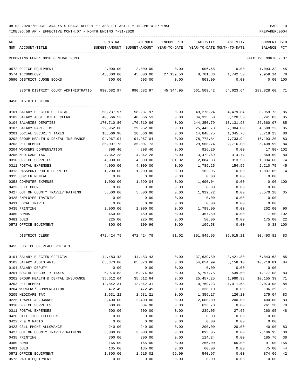TIME:06:58 AM - EFFECTIVE MONTH:07 - MONTH ENDING 7-31-2020 PREPARER:0004

| ACT                                          | ORIGINAL             | AMENDED                                  | ENCUMBERED       | ACTIVITY           | ACTIVITY                              | <b>CURRENT USED</b>  |            |
|----------------------------------------------|----------------------|------------------------------------------|------------------|--------------------|---------------------------------------|----------------------|------------|
| NUM ACCOUNT-TITLE                            |                      | BUDGET-AMOUNT BUDGET-AMOUNT YEAR-TO-DATE |                  |                    | YEAR-TO-DATE MONTH-TO-DATE            | BALANCE              | PCT        |
| REPORTING FUND: 0010 GENERAL FUND            |                      |                                          |                  |                    |                                       | EFFECTIVE MONTH - 07 |            |
| 0572 OFFICE EQUIPMENT                        | 2,000.00             | 2,000.00                                 | 0.00             | 906.68             | 0.00                                  | 1,093.32             | 45         |
| 0574 TECHNOLOGY                              | 45,800.00            |                                          |                  |                    | 45,800.00 27,139.50 8,701.36 1,742.50 | 9,959.14             | 78         |
| 0590 DISTRICT JUDGE BOOKS                    | 300.00               | 503.00                                   | 0.00             | 503.00             | 0.00                                  |                      | $0.00$ 100 |
| 336TH DISTRICT COURT ADMINISTRATIO           | 990,682.97           | 990,682.97                               | 45,344.95        | 661,509.42         | 64,623.64                             | 283,828.60           | 71         |
| 0450 DISTRICT CLERK                          |                      |                                          |                  |                    |                                       |                      |            |
| 0101 SALARY ELECTED OFFICIAL                 | 58,237.97            | 58,237.97                                | 0.00             | 49,278.24          | 4,479.84                              | 8,959.73             | 85         |
| 0103 SALARY ASST. DIST. CLERK                | 40,566.53            | 40,566.53                                | 0.00             | 34,325.50          | 3,120.50                              | 6,241.03             | 85         |
| 0104 SALARIES DEPUTIES                       | 170,710.86           | 170,710.86                               | 0.00             | 144,350.79         | 13,131.98                             | 26,360.07            | 85         |
| 0107 SALARY PART-TIME                        | 29,952.00            | 29,952.00                                | 0.00             | 25,443.78          | 2,304.00                              | 4,508.22             | 85         |
| 0201 SOCIAL SECURITY TAXES                   | 18,566.98            | 18,566.98                                | 0.00             | 14,848.75          | 1,345.76                              | 3,718.23             | 80         |
| 0202 GROUP HEALTH & DENTAL INSURANCE         | 94,967.04            | 94,967.04                                | 0.00             | 78,773.84          | 7,733.94                              | 16,193.20            | 83         |
| 0203 RETIREMENT                              | 35,007.73            | 35,007.73                                | 0.00             | 29,568.74          | 2,716.00                              | 5,438.99             | 84         |
| 0204 WORKERS COMPENSATION                    | 898.40               | 898.40                                   | 0.00             | 916.20             | 0.00                                  | $17.80 - 102$        |            |
| 0205 MEDICARE TAX                            | 4,342.28             | 4,342.28                                 | 0.00             | 3,472.69           | 314.74                                | 869.59               | 80         |
| 0310 OFFICE SUPPLIES<br>0311 POSTAL EXPENSES | 4,000.00             | 4,000.00                                 | 81.02            | 2,884.38           | 313.50                                | 1,034.60             | 74         |
| 0313 PASSPORT PHOTO SUPPLIES                 | 4,000.00<br>1,200.00 | 4,000.00<br>1,200.00                     | 0.00<br>0.00     | 1,789.25<br>162.95 | 154.95<br>0.00                        | 2,210.75<br>1,037.05 | 45<br>14   |
| 0315 COPIER RENTAL                           | 0.00                 | 0.00                                     | 0.00             | 0.00               | 0.00                                  | 0.00                 |            |
| 0353 COMPUTER EXPENSE                        | 1,000.00             | 1,690.04                                 | 0.00             | 1,690.04           | 0.00                                  | 0.00                 | 100        |
| 0423 CELL PHONE                              | 0.00                 | 0.00                                     | 0.00             | 0.00               | 0.00                                  | 0.00                 |            |
| 0427 OUT OF COUNTY TRAVEL/TRAINING           | 5,500.00             | 5,500.00                                 | 0.00             | 1,929.72           | 0.00                                  | 3,570.28             | 35         |
| 0428 EMPLOYEE TRAINING                       | 0.00                 | 0.00                                     | 0.00             | 0.00               | 0.00                                  | 0.00                 |            |
| 0431 LOCAL TRAVEL                            | 0.00                 | 0.00                                     | 0.00             | 0.00               | 0.00                                  | 0.00                 |            |
| 0435 PRINTING                                | 2,000.00             | 2,000.00                                 | 0.00             | 1,798.00           | 0.00                                  | 202.00               | 90         |
| 0480 BONDS                                   | 450.00               | 450.00                                   | 0.00             | 457.50             | 0.00                                  | $7.50 - 102$         |            |
| 0481 DUES                                    | 225.00               | 225.00                                   | 0.00             | 50.00              | 0.00                                  | 175.00               | 22         |
| 0572 OFFICE EQUIPMENT                        | 800.00               | 109.96                                   | 0.00             | 109.58             | 0.00                                  |                      | $0.38$ 100 |
| DISTRICT CLERK                               |                      | 472, 424.79 472, 424.79                  | 81.02 391,849.95 |                    | 35,615.21                             | 80,493.82 83         |            |
| 0455 JUSTICE OF PEACE PCT # 1                |                      |                                          |                  |                    |                                       |                      |            |
|                                              |                      |                                          |                  |                    |                                       |                      |            |
| 0101 SALARY ELECTED OFFICIAL                 | 44, 483. 43          | 44, 483. 43                              | 0.00             | 37,639.80          | 3,421.80                              | 6,843.63             | 85         |
| 0103 SALARY ASSISTANTS<br>0104 SALARY DEPUTY | 65,373.80<br>0.00    | 65, 373.80<br>0.00                       | 0.00<br>0.00     | 54,654.99          | 5,158.10                              | 10,718.81<br>0.00    | 84         |
| 0201 SOCIAL SECURITY TAXES                   | 6,974.83             | 6,974.83                                 | 0.00             | 0.00<br>5,797.75   | 0.00<br>539.50                        | 1,177.08             | 83         |
| 0202 GROUP HEALTH & DENTAL INSURANCE         | 35,612.64            | 35,612.64                                | 0.00             | 25, 457. 25        | 1,980.38                              | 10,155.39            | 71         |
| 0203 RETIREMENT                              | 12,842.31            | 12,842.31                                | 0.00             | 10,769.23          | 1,011.58                              | 2,073.08             | 84         |
| 0204 WORKERS' COMPENSATION                   | 472.49               | 472.49                                   | 0.00             | 336.10             | 0.00                                  | 136.39               | 71         |
| 0205 MEDICARE TAX                            | 1,631.21             | 1,631.21                                 | 0.00             | 1,356.17           | 126.20                                | 275.04               | 83         |
| 0225 TRAVEL ALLOWANCE                        | 2,400.00             | 2,400.00                                 | 0.00             | 2,000.00           | 200.00                                | 400.00               | 83         |
| 0310 OFFICE SUPPLIES                         | 600.00               | 884.98                                   | 0.00             | 623.70             | 0.00                                  | 261.28               | 70         |
| 0311 POSTAL EXPENSES                         | 500.00               | 500.00                                   | 0.00             | 239.05             | 27.65                                 | 260.95               | 48         |
| 0420 UTILITIES TELEPHONE                     | 0.00                 | 0.00                                     | 0.00             | 0.00               | 0.00                                  | 0.00                 |            |
| 0422 R & M RADIO                             | 0.00                 | 0.00                                     | 0.00             | 0.00               | 0.00                                  | 0.00                 |            |
| 0423 CELL PHONE ALLOWANCE                    | 240.00               | 240.00                                   | 0.00             | 200.00             | 20.00                                 | 40.00                | 83         |
| 0427 OUT OF COUNTY TRAVEL/TRAINING           | 3,000.00             | 3,000.00                                 | 0.00             | 893.05             | 0.00                                  | 2,106.95             | 30         |
| 0435 PRINTING                                | 300.00               | 300.00                                   | 0.00             | 114.24             | 0.00                                  | 185.76               | 38         |
| 0480 BOND                                    | 165.00               | 165.00                                   | 0.00             | 256.00             | 165.00                                | $91.00 - 155$        |            |
| 0481 DUES                                    | 135.00               | 135.00                                   | 0.00<br>99.99    | 60.00<br>540.97    | 0.00<br>0.00                          | 75.00<br>874.06      | 44         |
| 0572 OFFICE EQUIPMENT                        | 1,800.00             | 1,515.02                                 |                  |                    |                                       |                      | 42         |

0573 RADIO EQUIPMENT 0.00 0.00 0.00 0.00 0.00 0.00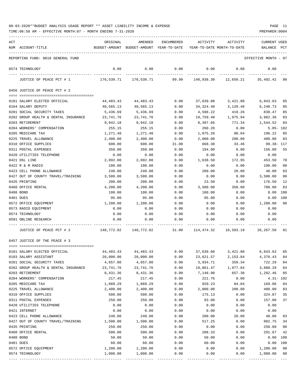| ACT | NUM ACCOUNT-TITLE                    | ORIGINAL                                                               | AMENDED<br>BUDGET-AMOUNT BUDGET-AMOUNT YEAR-TO-DATE | ENCUMBERED  | ACTIVITY<br>YEAR-TO-DATE MONTH-TO-DATE | ACTIVITY             | CURRENT USED<br>BALANCE PCT    |                |
|-----|--------------------------------------|------------------------------------------------------------------------|-----------------------------------------------------|-------------|----------------------------------------|----------------------|--------------------------------|----------------|
|     | REPORTING FUND: 0010 GENERAL FUND    |                                                                        |                                                     |             |                                        |                      | EFFECTIVE MONTH - 07           |                |
|     | 0574 TECHNOLOGY                      | 0.00                                                                   | 0.00                                                | 0.00        | 0.00                                   | 0.00                 | 0.00                           |                |
|     | JUSTICE OF PEACE PCT # 1             |                                                                        | 176,530.71 176,530.71 99.99                         | ----------- |                                        |                      | 140,938.30 12,650.21 35,492.42 | 80             |
|     | 0456 JUSTICE OF PEACE PCT # 2        |                                                                        |                                                     |             |                                        |                      |                                |                |
|     |                                      |                                                                        |                                                     |             |                                        |                      |                                |                |
|     | 0101 SALARY ELECTED OFFICIAL         | 44,483.43                                                              | 44,483.43                                           | 0.00        | 37,639.80                              | 3,421.80             | 6,843.63                       | 85             |
|     | 0104 SALARY DEPUTY                   | 40,565.13                                                              | 40,565.13                                           | 0.00        | 34,324.40                              | 3,120.40             | 6,240.73                       | 85             |
|     | 0201 SOCIAL SECURITY TAXES           | 5,436.69                                                               | 5,436.69                                            | 0.00        | 4,598.22                               | 419.26               | 838.47                         | 85             |
|     | 0202 GROUP HEALTH & DENTAL INSURANCE | 23,741.76                                                              | 23,741.76                                           | 0.00        | 19,759.40                              | 1,975.94             | 3,982.36                       | 83             |
|     | 0203 RETIREMENT                      | 9,942.18                                                               | 9,942.18                                            | 0.00        | 8,397.66                               | 771.34               | 1,544.52                       | 84             |
|     | 0204 WORKERS' COMPENSATION           | 255.15                                                                 | 255.15                                              | 0.00        | 260.20                                 | 0.00                 | $5.05 - 102$                   |                |
|     | 0205 MEDICARE TAX                    | 1,271.48                                                               | 1,271.48                                            | 0.00        | 1,075.26                               | 98.04                | 196.22                         | 85             |
|     | 0225 TRAVEL ALLOWANCE                | 2,400.00                                                               | 2,400.00                                            | 0.00        | 2,000.00                               | 200.00               | 400.00                         | 83             |
|     | 0310 OFFICE SUPPLIES                 | 600.00                                                                 | 600.00                                              | 31.00       | 668.38                                 | 33.46                | 99.38- 117                     |                |
|     | 0311 POSTAL EXPENSES                 | 350.00                                                                 | 350.00                                              | 0.00        | 194.00                                 | 0.00                 | 156.00                         | 55             |
|     | 0420 UTILITIES TELEPHONE             | 0.00                                                                   | 0.00                                                | 0.00        | 0.00                                   | 0.00                 | 0.00                           |                |
|     | 0421 DSL LINE                        | 2,092.00                                                               | 2,092.00                                            | 0.00        | 1,638.50                               | 172.95               | 453.50                         | 78             |
|     | 0422 R & M RADIO                     | 100.00                                                                 | 100.00                                              | 0.00        | 0.00                                   | 0.00                 | 100.00                         | 0 <sub>0</sub> |
|     | 0423 CELL PHONE ALLOWANCE            | 240.00                                                                 | 240.00                                              | 0.00        | 200.00                                 | 20.00                | 40.00                          | 83             |
|     | 0427 OUT OF COUNTY TRAVEL/TRAINING   | 3,500.00                                                               | 3,500.00                                            | 0.00        | 0.00                                   | 0.00                 | 3,500.00                       | 0 <sub>0</sub> |
|     | 0435 PRINTING                        | 200.00                                                                 | 200.00                                              | 0.00        | 23.50                                  | 0.00                 | 176.50                         | 12             |
|     | 0460 OFFICE RENTAL                   | 4,200.00                                                               | 4,200.00                                            | 0.00        | 3,500.00                               | 350.00               | 700.00                         | 83             |
|     | 0480 BOND                            | 100.00                                                                 | 100.00                                              | 0.00        | 100.00                                 | 0.00                 | 0.00                           | 100            |
|     | 0481 DUES                            | 95.00                                                                  | 95.00                                               | 0.00        | 95.00                                  | 0.00                 | 0.00                           | 100            |
|     | 0572 OFFICE EQUIPMENT                | 1,200.00                                                               | 1,200.00                                            | 0.00        | 0.00                                   | 0.00                 | 1,200.00                       | 0 <sub>0</sub> |
|     | 0573 RADIO EQUIPMENT                 | 0.00                                                                   | 0.00                                                | 0.00        | 0.00                                   | 0.00                 | 0.00                           |                |
|     | 0574 TECHNOLOGY                      | 0.00                                                                   | 0.00                                                | 0.00        | 0.00                                   | 0.00                 | 0.00                           |                |
|     | 0591 ONLINE RESEARCH                 | 0.00                                                                   | 0.00                                                | 0.00        | 0.00                                   | 0.00                 | 0.00                           |                |
|     | JUSTICE OF PEACE PCT # 2             | $140,772.82$ $140,772.82$ $31.00$ $114,474.32$ $10,583.19$ $26,267.50$ |                                                     |             |                                        |                      |                                | 81             |
|     | 0457 JUSTICE OF THE PEACE # 3        |                                                                        |                                                     |             |                                        |                      |                                |                |
|     |                                      |                                                                        |                                                     |             |                                        |                      |                                |                |
|     | 0101 SALARY ELECTED OFFICIAL         | $44,483.43$ $44,483.43$ $0.00$ $37,639.80$ $3,421.80$ $6,843.63$       |                                                     |             |                                        |                      |                                | 85             |
|     | 0103 SALARY ASSISTANT                | 28,000.00                                                              | 28,000.00                                           | 0.00        | 23,621.57                              | 2,153.84             | 4,378.43                       | 84             |
|     | 0201 SOCIAL SECURITY TAXES           | 4,657.00                                                               | 4,657.00                                            | 0.00        | 3,934.71                               | 359.34               | 722.29                         | 84             |
|     | 0202 GROUP HEALTH & DENTAL INSURANCE | 23,741.76                                                              | 23,741.76                                           | 0.00        | 19,861.47                              | 1,977.84             | 3,880.29                       | 84             |
|     | 0203 RETIREMENT                      | 8,431.36                                                               | 8,431.36                                            | 0.00        | 7,148.90                               | 657.38               | 1,282.46                       | 85             |
|     | 0204 WORKERS' COMPENSATION           | 217.45                                                                 | 217.45                                              | 0.00        | 221.76                                 | 0.00                 |                                | $4.31 - 102$   |
|     | 0205 MEDICARE TAX                    | 1,089.29                                                               | 1,089.29                                            | 0.00        | 920.23                                 | 84.04                | 169.06                         | 84             |
|     | 0225 TRAVEL ALLOWANCE                | 2,400.00                                                               | 2,400.00                                            | 0.00        | 2,000.00                               | 200.00               | 400.00                         | 83             |
|     | 0310 OFFICE SUPPLIES                 | 500.00                                                                 | 500.00                                              | 0.00        | 175.13                                 | 0.00                 | 324.87                         | 35             |
|     | 0311 POSTAL EXPENSES                 | 250.00                                                                 | 250.00                                              | 0.00        | 93.00                                  | 0.00                 | 157.00                         | 37             |
|     | 0420 UTILITIES TELEPHONE             | 0.00                                                                   | 0.00                                                | 0.00        | 0.00                                   | 0.00                 | 0.00                           |                |
|     | 0421 INTERNET                        | 0.00                                                                   | 0.00                                                | 0.00        | 0.00                                   | 0.00                 | 0.00                           |                |
|     | 0423 CELL PHONE ALLOWANCE            | 240.00                                                                 | 240.00                                              | 0.00        | 200.00                                 | 20.00                | 40.00                          | 83             |
|     | 0427 OUT OF COUNTY TRAVEL/TRAINING   | 1,500.00                                                               | 1,500.00                                            | 0.00        | 517.25                                 | 0.00                 | 982.75                         | 34             |
|     | 0435 PRINTING                        | 250.00                                                                 | 250.00                                              | 0.00        | 0.00                                   | 0.00                 | 250.00                         | 0 <sub>0</sub> |
|     | 0460 OFFICE RENTAL                   | 500.00                                                                 | 500.00                                              | 0.00        | 208.33                                 | 0.00                 | 291.67                         | 42             |
|     | 0480 BOND                            | 50.00                                                                  | 50.00                                               | 0.00        | 50.00                                  | 0.00                 | 0.00                           | 100            |
|     | 0481 DUES                            | 60.00                                                                  | 60.00                                               | 0.00        | 60.00                                  | 0.00                 | 0.00                           | 100            |
|     | 0572 OFFICE EQUIPMENT                | 1,200.00                                                               | 1,200.00                                            | 0.00        | 0.00                                   | 0.00                 | 1,200.00                       | 0 <sub>0</sub> |
|     | 0574 TECHNOLOGY                      | 1,000.00                                                               | 1,000.00                                            | 0.00        | 0.00<br>-------------                  | 0.00<br>------------ | 1,000.00                       | 0 <sub>0</sub> |
|     |                                      |                                                                        |                                                     |             |                                        |                      |                                |                |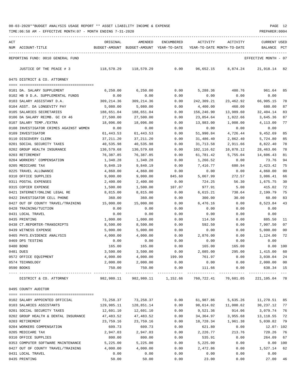TIME:06:58 AM - EFFECTIVE MONTH:07 - MONTH ENDING 7-31-2020 PREPARER:0004

| ACT |                                        | ORIGINAL   | AMENDED                                  | ENCUMBERED | ACTIVITY                   | ACTIVITY  | <b>CURRENT USED</b>  |             |
|-----|----------------------------------------|------------|------------------------------------------|------------|----------------------------|-----------|----------------------|-------------|
|     | NUM ACCOUNT-TITLE                      |            | BUDGET-AMOUNT BUDGET-AMOUNT YEAR-TO-DATE |            | YEAR-TO-DATE MONTH-TO-DATE |           | BALANCE              | PCT         |
|     | REPORTING FUND: 0010 GENERAL FUND      |            |                                          |            |                            |           | EFFECTIVE MONTH - 07 |             |
|     | JUSTICE OF THE PEACE # 3               | 118,570.29 | 118,570.29                               | 0.00       | 96,652.15                  | 8,874.24  | 21,918.14 82         |             |
|     | 0475 DISTRICT & CO. ATTORNEY           |            |                                          |            |                            |           |                      |             |
|     | 0101 DA. SALARY SUPPLEMENT             | 6, 250.00  | 6,250.00                                 | 0.00       | 5,288.36                   | 480.76    | 961.64 85            |             |
|     | 0102 HB 9 D.A. SUPPLEMENTAL FUNDS      | 0.00       | 0.00                                     | 0.00       | 0.00                       | 0.00      | 0.00                 |             |
|     | 0103 SALARY ASSISTANT D.A.             | 309,214.36 | 309, 214.36                              | 0.00       | 242,309.21                 | 23,462.92 | 66,905.15            | 78          |
|     | 0104 ASST. DA LONGEVITY PAY            | 5,080.00   | 5,080.00                                 | 0.00       | 4,400.00                   | 460.00    | 680.00               | 87          |
|     | 0105 SALARIES SECRETARIES              | 188,651.04 | 188,651.04                               | 0.00       | 156,246.90                 | 13,989.60 | 32,404.14            | 83          |
|     | 0106 DA SALARY REIMB. GC CH 46         | 27,500.00  | 27,500.00                                | 0.00       | 23,854.64                  | 1,822.66  | 3,645.36             | 87          |
|     | 0107 SALARY TEMP./EXTRA                | 18,096.00  | 18,096.00                                | 0.00       | 13,983.00                  | 1,008.00  | 4,113.00             | 77          |
|     | 0108 INVESTIGATOR CRIMES AGAINST WOMEN | 0.00       | 0.00                                     | 0.00       | 0.00                       | 0.00      | 0.00                 |             |
|     | 0109 INVESTIGATOR                      | 61,443.53  | 61,443.53                                | 0.00       | 51,990.84                  | 4,726.44  | 9,452.69             | 85          |
|     | 0110 DISCOVERY CLERK                   | 37,211.20  | 37, 211.20                               | 0.00       | 31,486.40                  | 2,862.40  | 5,724.80             | 85          |
|     | 0201 SOCIAL SECURITY TAXES             | 40,535.98  | 40,535.98                                | 0.00       | 31,713.58                  | 2,911.66  | 8,822.40             | 78          |
|     | 0202 GROUP HEALTH INSURANCE            | 130,579.68 | 130,579.68                               | 0.00       | 102,116.62                 | 10,878.12 | 28,463.06            | 78          |
|     | 0203 RETIREMENT                        | 76,387.85  | 76,387.85                                | 0.00       | 61,781.42                  | 5,755.04  | 14,606.43            | 81          |
|     | 0204 WORKERS' COMPENSATION             | 1,340.28   | 1,340.28                                 | 0.00       | 1,266.52                   | 0.00      | 73.76                | 94          |
|     | 0205 MEDICARE TAX                      | 9,840.19   | 9,840.19                                 | 0.00       | 7,416.77                   | 680.94    | 2,423.42             | 75          |
|     | 0225 TRAVEL ALLOWANCE                  | 4,860.00   | 4,860.00                                 | 0.00       | 0.00                       | 0.00      | 4,860.00             | 00          |
|     | 0310 OFFICE SUPPLIES                   | 9,000.00   | 9,000.00                                 | 845.60     | 5,067.99                   | 272.57    | 3,086.41             | 66          |
|     | 0311 POSTAL EXPENSES                   | 2,400.00   | 2,400.00                                 | 0.00       | 724.25                     | 56.30     | 1,675.75             | 30          |
|     | 0315 COPIER EXPENSE                    | 1,500.00   | 1,500.00                                 | 107.07     | 977.91                     | 5.00      | 415.02               | 72          |
|     | 0421 INTERNET/ONLINE LEGAL RE          | 8,815.00   | 8,815.00                                 | 0.00       | 6,615.21                   | 738.64    | 2,199.79             | 75          |
|     | 0422 INVESTIGATOR CELL PHONE           | 360.00     | 360.00                                   | 0.00       | 300.00                     | 30.00     | 60.00                | 83          |
|     | 0427 OUT OF COUNTY TRAVEL/TRAINING     | 15,000.00  | 15,000.00                                | 0.00       | 6,476.16                   | 0.00      | 8,523.84             | 43          |
|     | 0428 TRAINING/TUITION                  | 0.00       | 0.00                                     | 0.00       | 0.00                       | 0.00      | 0.00                 |             |
|     | 0431 LOCAL TRAVEL                      | 0.00       | 0.00                                     | 0.00       | 0.00                       | 0.00      | 0.00                 |             |
|     | 0435 PRINTING                          | 1,000.00   | 1,000.00                                 | 0.00       | 114.50                     | 0.00      | 885.50               | 11          |
|     | 0438 CT.REPORTER-TRANSCRIPTS           | 8,500.00   | 8,500.00                                 | 0.00       | 592.50                     | 0.00      | 7,907.50             | 07          |
|     | 0439 WITNESS EXPENSE                   | 5,000.00   | 5,000.00                                 | 0.00       | 0.00                       | 0.00      | 5,000.00             | 00          |
|     | 0465 PHYS. EVIDENCE ANALYSIS           | 4,000.00   | 4,000.00                                 | 0.00       | 2,876.00                   | 0.00      | 1,124.00             | 72          |
|     | 0469 DPS TESTING                       | 0.00       | 0.00                                     | 0.00       | 0.00                       | 0.00      | 0.00                 |             |
|     | 0480 BOND                              | 165.00     | 165.00                                   | 0.00       | 165.00                     | 165.00    | 0.00 100             |             |
|     | 0481 DUES                              | 3,500.00   | 3,500.00                                 | 0.00       | 2,085.00                   | 295.00    | 1,415.00             | 60          |
|     | 0572 OFFICE EQUIPMENT                  | 4,000.00   | 4,000.00                                 | 199.99     | 761.97                     | 0.00      | 3,038.04             | 24          |
|     | 0574 TECHNOLOGY                        | 2,000.00   | 2,000.00                                 | 0.00       | 0.00                       | 0.00      | 2,000.00             | 00          |
|     | 0590 BOOKS                             | 750.00     | 750.00                                   | 0.00       | 111.66<br>----------       | 0.00      | 638.34<br>.          | 15<br>$  -$ |
|     | DISTRICT & CO. ATTORNEY                | 982,980.11 | 982,980.11                               | 1,152.66   | 760,722.41                 | 70,601.05 | 221,105.04           | 78          |
|     | 0495 COUNTY AUDITOR                    |            |                                          |            |                            |           |                      |             |
|     |                                        |            |                                          |            |                            |           |                      |             |
|     | 0102 SALARY APPOINTED OFFICIAL         | 73,258.37  | 73,258.37                                | 0.00       | 61,987.86                  | 5,635.26  | 11,270.51            | 85          |
|     | 0103 SALARIES ASSISTANTS               | 129,985.11 | 128,851.14                               | 0.00       | 98,614.02                  | 11,000.62 | 30,237.12            | 77          |
|     | 0201 SOCIAL SECURITY TAXES             | 12,601.10  | 12,601.10                                | 0.00       | 9,521.36                   | 914.06    | 3,079.74             | 76          |
|     | 0202 GROUP HEALTH & DENTAL INSURANCE   | 47,483.52  | 47, 483.52                               | 0.00       | 34,364.97                  | 3,955.68  | 13, 118.55           | 72          |
|     | 0203 RETIREMENT                        | 23,759.16  | 23,759.16                                | 0.00       | 18,728.34                  | 1,961.38  | 5,030.82             | 79          |
|     | 0204 WORKERS COMPENSATION              | 609.73     | 609.73                                   | 0.00       | 621.80                     | 0.00      | $12.07 - 102$        |             |
|     | 0205 MEDICARE TAX                      | 2,947.03   | 2,947.03                                 | 0.00       | 2,226.77                   | 213.76    | 720.26               | 76          |
|     | 0310 OFFICE SUPPLIES                   | 800.00     | 800.00                                   | 0.00       | 535.91                     | 0.00      | 264.09               | 67          |
|     | 0353 COMPUTER SOFTWARE MAINTENANCE     | 5,225.00   | 5,225.00                                 | 0.00       | 5,225.00                   | 0.00      |                      | 0.00 100    |
|     | 0427 OUT OF COUNTY TRAVEL/TRAINING     | 4,000.00   | 4,000.00                                 | 0.00       | 2,472.86                   | 0.00      | 1,527.14             | 62          |
|     | 0431 LOCAL TRAVEL                      | 0.00       | 0.00                                     | 0.00       | 0.00                       | 0.00      | 0.00                 |             |

0435 PRINTING 50.00 50.00 0.00 23.00 0.00 27.00 46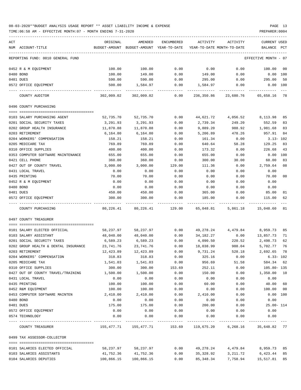| ACT                                  | ORIGINAL   | AMENDED                                  | ENCUMBERED | ACTIVITY                   | ACTIVITY                                                      | CURRENT USED         |        |
|--------------------------------------|------------|------------------------------------------|------------|----------------------------|---------------------------------------------------------------|----------------------|--------|
| NUM ACCOUNT-TITLE                    |            | BUDGET-AMOUNT BUDGET-AMOUNT YEAR-TO-DATE |            | YEAR-TO-DATE MONTH-TO-DATE |                                                               | BALANCE              | PCT    |
| REPORTING FUND: 0010 GENERAL FUND    |            |                                          |            |                            |                                                               | EFFECTIVE MONTH - 07 |        |
| 0452 R & M EQUIPMENT                 | 100.00     | 100.00                                   | 0.00       | 0.00                       | 0.00                                                          | 100.00               | 00     |
| 0480 BOND                            | 100.00     | 149.00                                   | 0.00       | 149.00                     | 0.00                                                          | $0.00$ $100$         |        |
| 0481 DUES                            | 590.00     | 590.00                                   | 0.00       | 295.00                     | 0.00                                                          | 295.00               | 50     |
| 0572 OFFICE EQUIPMENT                | 500.00     | 1,584.97                                 | 0.00       | 1,584.97                   | 0.00                                                          | $0.00$ 100           |        |
| COUNTY AUDITOR                       | 302,009.02 | 302,009.02                               | 0.00       | 236,350.86                 | 23,680.76                                                     | 65,658.16 78         |        |
| 0496 COUNTY PURCHASING               |            |                                          |            |                            |                                                               |                      |        |
|                                      |            |                                          |            |                            |                                                               |                      |        |
| 0103 SALARY PURCHASING AGENT         | 52,735.70  | 52,735.70                                | 0.00       | 44,621.72                  | 4,056.52                                                      | 8,113.98             | 85     |
| 0201 SOCIAL SECURITY TAXES           | 3,291.93   | 3,291.93                                 | 0.00       | 2,739.34                   | 249.20                                                        | 552.59               | 83     |
| 0202 GROUP HEALTH INSURANCE          | 11,870.88  | 11,870.88                                | 0.00       | 9,889.20                   | 988.92                                                        | 1,981.68             | 83     |
| 0203 RETIREMENT                      | 6,164.80   | 6,164.80                                 | 0.00       | 5,206.89                   | 478.26                                                        | 957.91               | 84     |
| 0204 WORKERS' COMPENSATION           | 158.21     | 158.21                                   | 0.00       | 161.34                     | 0.00                                                          | $3.13 - 102$         |        |
| 0205 MEDICARE TAX                    | 769.89     | 769.89                                   | 0.00       | 640.64                     | 58.28                                                         | 129.25               | 83     |
| 0310 OFFICE SUPPLIES                 | 400.00     | 400.00                                   | 0.00       | 173.32                     | 0.00                                                          | 226.68               | 43     |
| 0353 COMPUTER SOFTWARE MAINTENANCE   | 655.00     | 655.00                                   | 0.00       | 655.00                     | 0.00                                                          | 0.00                 | 100    |
| 0421 CELL PHONE                      | 360.00     | 360.00                                   | 0.00       | 300.00                     | 30.00                                                         | 60.00                | 83     |
| 0427 OUT OF COUNTY TRAVEL            | 3,000.00   | 3,000.00                                 | 129.00     | 111.36                     | 0.00                                                          | 2,759.64             | 08     |
| 0431 LOCAL TRAVEL                    | 0.00       | 0.00                                     | 0.00       | 0.00                       | 0.00                                                          | 0.00                 |        |
| 0435 PRINTING                        | 70.00      | 70.00                                    | 0.00       | 0.00                       | 0.00                                                          | 70.00                | $00\,$ |
| 0452 R & M EQUIPMENT                 | 0.00       | 0.00                                     | 0.00       | 0.00                       | 0.00                                                          | 0.00                 |        |
| 0480 BOND                            | 0.00       | 0.00                                     | 0.00       | 0.00                       | 0.00                                                          | 0.00                 |        |
| 0481 DUES                            | 450.00     | 450.00                                   | 0.00       | 365.00                     | 0.00                                                          | 85.00                | 81     |
| 0572 OFFICE EQUIPMENT                | 300.00     | 300.00                                   | 0.00       | 185.00                     | 0.00                                                          | 115.00               | 62     |
| COUNTY PURCHASING                    | 80,226.41  | 80,226.41                                | 129.00     | 65,048.81                  | 5,861.18                                                      | 15,048.60            | 81     |
| 0497 COUNTY TREASURER                |            |                                          |            |                            |                                                               |                      |        |
| 0101 SALARY ELECTED OFFICIAL         | 58,237.97  | 58,237.97                                | 0.00       | 49,278.24                  | 4,479.84                                                      | 8,959.73             | 85     |
| 0103 SALARY ASSISTANT                | 48,040.00  | 48,040.00                                | 0.00       | 34,182.27                  | 0.00                                                          | 13,857.73            | 71     |
| 0201 SOCIAL SECURITY TAXES           | 6,589.23   | 6,589.23                                 | 0.00       | 4,090.50                   | 220.52                                                        | 2,498.73             | 62     |
| 0202 GROUP HEALTH & DENTAL INSURANCE | 23,741.76  | 23,741.76                                | 0.00       | 18,038.99                  | 988.04                                                        | 5,702.77             | 76     |
| 0203 RETIREMENT                      | 12,423.89  | 12,423.89                                | 0.00       | 9,731.24                   | 528.18                                                        | 2,692.65             | 78     |
| 0204 WORKERS' COMPENSATION           | 318.83     | 318.83                                   | 0.00       | 325.16                     | 0.00                                                          | $6.33 - 102$         |        |
| 0205 MEDICARE TAX                    | 1,541.03   | 1,541.03                                 | 0.00       | 956.69                     | 51.58                                                         | 584.34 62            |        |
| 0310 OFFICE SUPPLIES                 | 300.00     | 300.00                                   | 153.69     | 252.11                     | 0.00                                                          | $105.80 - 135$       |        |
| 0427 OUT OF COUNTY TRAVEL/TRAINING   | 1,500.00   | 1,500.00                                 | 0.00       | 150.00                     | 0.00                                                          | 1,350.00             | 10     |
| 0431 LOCAL TRAVEL                    | 0.00       | 0.00                                     | 0.00       | 0.00                       | 0.00                                                          | 0.00                 |        |
| 0435 PRINTING                        | 100.00     | 100.00                                   | 0.00       | 60.00                      | 0.00                                                          | 40.00                | 60     |
| 0452 R&M EQUIPMENT                   | 100.00     | 100.00                                   | 0.00       | 0.00                       | 0.00                                                          | 100.00 00            |        |
| 0453 COMPUTER SOFTWARE MAINTEN       | 2,410.00   | 2,410.00                                 | 0.00       | 2,410.00                   | 0.00                                                          | 0.00 100             |        |
| 0480 BOND                            | 0.00       | 0.00                                     | 0.00       | 0.00                       | 0.00                                                          | 0.00                 |        |
| 0481 DUES                            | 175.00     | 175.00                                   | 0.00       | 200.00                     | 0.00                                                          | $25.00 - 114$        |        |
| 0572 OFFICE EQUIPMENT                | 0.00       | 0.00                                     | 0.00       | 0.00                       | 0.00                                                          | 0.00                 |        |
| 0574 TECHNOLOGY                      | 0.00       | 0.00                                     | 0.00       | 0.00                       | 0.00                                                          | 0.00                 |        |
| COUNTY TREASURER                     |            |                                          |            |                            | 155,477.71 155,477.71 153.69 119,675.20 6,268.16 35,648.82 77 |                      |        |
| 0499 TAX ASSESSOR-COLLECTOR          |            |                                          |            |                            |                                                               |                      |        |
| 0101 SALARIES ELECTED OFFICIAL       | 58,237.97  | 58,237.97                                | 0.00       | 49,278.24                  | 4,479.84                                                      | 8,959.73 85          |        |
| 0103 SALARIES ASSISTANTS             | 41,752.36  | 41,752.36                                | 0.00       | 35,328.92                  | 3,211.72                                                      | 6,423.44 85          |        |
| 0104 SALARIES DEPUTIES               | 100,866.15 | 100,866.15                               | 0.00       | 85,348.34                  | 7,758.94                                                      | 15,517.81 85         |        |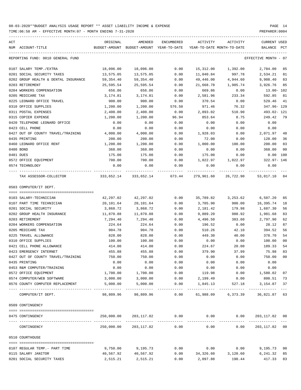TIME:06:58 AM - EFFECTIVE MONTH:07 - MONTH ENDING 7-31-2020

| ACT |                                                                | ORIGINAL             | AMENDED                                  | ENCUMBERED | ACTIVITY                   | ACTIVITY                                 | CURRENT USED          |                |
|-----|----------------------------------------------------------------|----------------------|------------------------------------------|------------|----------------------------|------------------------------------------|-----------------------|----------------|
|     | NUM ACCOUNT-TITLE                                              |                      | BUDGET-AMOUNT BUDGET-AMOUNT YEAR-TO-DATE |            | YEAR-TO-DATE MONTH-TO-DATE |                                          | BALANCE PCT           |                |
|     | REPORTING FUND: 0010 GENERAL FUND                              |                      |                                          |            |                            |                                          | EFFECTIVE MONTH - 07  |                |
|     | 0107 SALARY TEMP./EXTRA                                        | 18,096.00            | 18,096.00                                | 0.00       | 15,312.00                  | 1,392.00                                 | 2,784.00              | 85             |
|     | 0201 SOCIAL SECURITY TAXES                                     | 13,575.05            | 13,575.05                                | 0.00       | 11,040.84                  | 997.78                                   | 2,534.21              | 81             |
|     | 0202 GROUP HEALTH & DENTAL INSURANCE                           | 59,354.40            | 59,354.40                                | 0.00       | 49,446.00                  | 4,944.60                                 | 9,908.40              | 83             |
|     | 0203 RETIREMENT                                                | 25,595.54            | 25,595.54                                | 0.00       | 21,668.78                  | 1,985.74                                 | 3,926.76              | 85             |
|     | 0204 WORKERS COMPENSATION                                      | 656.86               | 656.86                                   | 0.00       | 669.86                     | 0.00                                     | $13.00 - 102$         |                |
|     | 0205 MEDICARE TAX                                              | 3,174.81             | 3,174.81                                 | 0.00       | 2,581.96                   | 233.34                                   | 592.85                | 81             |
|     | 0225 LEONARD OFFICE TRAVEL                                     | 900.00               | 900.00                                   | 0.00       | 370.54                     | 0.00                                     | 529.46                | 41             |
|     | 0310 OFFICE SUPPLIES                                           | 1,200.00             | 1,200.00                                 | 576.50     | 971.46                     | 76.32                                    | 347.96- 129           |                |
|     | 0311 POSTAL EXPENSES                                           | 2,400.00             | 2,400.00                                 | 0.00       | 2,893.02                   | 510.90                                   | 493.02- 121           |                |
|     | 0315 COPIER EXPENSE                                            | 1,200.00             | 1,200.00                                 | 96.94      | 853.64                     | 8.75                                     | 249.42                | 79             |
|     | 0420 TELEPHONE LEONARD OFFICE                                  | 0.00                 | 0.00                                     | 0.00       | 0.00                       | 0.00                                     | 0.00                  |                |
|     | 0423 CELL PHONE                                                | 0.00                 | 0.00                                     | 0.00       | 0.00                       | 0.00                                     | 0.00                  |                |
|     | 0427 OUT OF COUNTY TRAVEL/TRAINING                             | 4,000.00             | 4,000.00                                 | 0.00       | 1,928.03                   | 0.00                                     | 2,071.97              | 48             |
|     | 0435 PRINTING                                                  | 200.00               | 200.00                                   | 0.00       | 72.00                      | 0.00                                     | 128.00                | 36             |
|     | 0460 LEONARD OFFICE RENT                                       | 1,200.00             | 1,200.00                                 | 0.00       | 1,000.00                   | 100.00                                   | 200.00                | 83             |
|     | 0480 BOND                                                      | 368.00               | 368.00                                   | 0.00       | 0.00                       | 0.00                                     | 368.00                | 0 <sub>0</sub> |
|     | 0481 DUES                                                      | 175.00               | 175.00                                   | 0.00       | 175.00                     | 0.00                                     | $0.00$ 100            |                |
|     | 0572 OFFICE EQUIPMENT                                          | 700.00               | 700.00                                   | 0.00       | 1,022.97                   | 1,022.97                                 | 322.97- 146           |                |
|     | 0574 TECHNOLOGY                                                | 0.00                 | 0.00                                     | 0.00       | 0.00<br>------------       | 0.00<br>------------                     | 0.00                  |                |
|     | TAX ASSESSOR-COLLECTOR                                         |                      | 333,652.14 333,652.14 673.44             |            | 279,961.60                 | 26,722.90                                | 53,017.10             | -84            |
|     | 0503 COMPUTER/IT DEPT.                                         |                      |                                          |            |                            |                                          |                       |                |
|     |                                                                |                      |                                          |            |                            |                                          |                       |                |
|     | 0103 SALARY-TECHNICIAN                                         | 42,297.02            | 42,297.02                                | 0.00       | 35,789.82                  | 3,253.62                                 | 6,507.20              | 85             |
|     | 0107 PART TIME TECHNICIAN                                      | 20,101.64            | 20,101.64                                | 0.00       | 3,705.90                   | 900.00                                   | 16,395.74             | 18             |
|     | 0201 SOCIAL SECURITY                                           | 3,868.72             | 3,868.72                                 | 0.00       | 2,181.42                   | 179.98                                   | 1,687.30              | 56             |
|     | 0202 GROUP HEALTH INSURANCE                                    | 11,870.88            | 11,870.88                                | 0.00       | 9,889.20                   | 988.92                                   | 1,981.68              | 83             |
|     | 0203 RETIREMENT                                                | 7,294.40             | 7,294.40                                 | 0.00       | 4,496.50                   | 383.60                                   | 2,797.90              | 62             |
|     | 0204 WORKERS COMPENSATION                                      | 224.64               | 224.64                                   | 0.00       | 196.52                     | 0.00                                     | 28.12                 | 87             |
|     | 0205 MEDICARE TAX                                              | 904.78               | 904.78                                   | 0.00       | 510.26                     | 42.10                                    | 394.52                | 56             |
|     | 0225 TRAVEL ALLOWANCE                                          | 828.00               | 828.00                                   | 0.00       | 449.30                     | 40.00                                    | 378.70                | 54             |
|     | 0310 OFFICE SUPPLIES                                           | 100.00               | 100.00                                   | 0.00       | 0.00                       | 0.00                                     | 100.00                | 0 <sub>0</sub> |
|     | 0421 CELL PHONE ALLOWANCE                                      | 414.00               | 414.00                                   | 0.00       | 224.67                     | 20.00                                    | 189.33                | 54             |
|     | 0423 EMERGENCY INTERNET                                        | 455.88               | 455.88                                   | 0.00       | 379.90                     | 37.99                                    | 75.98                 | 83             |
|     | 0427 OUT OF COUNTY TRAVEL/TRAINING                             | 750.00               | 750.00                                   | 0.00       | 0.00                       | 0.00                                     | 750.00                | 0 <sub>0</sub> |
|     | 0435 PRINTING                                                  | 0.00                 | 0.00                                     | 0.00       | 0.00                       | 0.00                                     | 0.00                  |                |
|     | 0453 R&M COMPUTER/TRAINING                                     | 0.00                 | 0.00                                     | 0.00       | 0.00                       | 0.00                                     | 0.00                  |                |
|     | 0572 OFFICE EQUIPMENT                                          | 1,700.00             | 1,700.00                                 | 0.00       | 119.98                     | 0.00                                     | 1,580.02              | 07             |
|     | 0574 COMPUTER/WEB SOFTWARE<br>0576 COUNTY COMPUTER REPLACEMENT | 3,000.00<br>5,000.00 | 3,000.00<br>5,000.00                     | 0.00       | $0.00$ 2,199.49            | 0.00<br>1,845.13 527.18                  | 800.51<br>3,154.87    | 73<br>37       |
|     | COMPUTER/IT DEPT.                                              | 98,809.96            | 98,809.96                                | .<br>0.00  |                            | 61,988.09    6,373.39    36,821.87    63 | _____________         |                |
|     | 0509 CONTINGENCY                                               |                      |                                          |            |                            |                                          |                       |                |
|     | 0475 CONTINGENCY                                               |                      | $250,000.00$ $203,117.82$ 0.00 0.00      |            |                            |                                          | $0.00$ 203, 117.82 00 |                |
|     | CONTINGENCY                                                    |                      | 250,000.00 203,117.82                    | 0.00       | 0.00                       | 0.00                                     | 203,117.82 00         |                |
|     | 0510 COURTHOUSE                                                |                      |                                          |            |                            |                                          |                       |                |
|     |                                                                |                      |                                          |            |                            |                                          |                       |                |
|     | 0107 REGULAR TEMP. - PART TIME                                 | 9,750.00             | 9,195.73                                 | 0.00       | 0.00                       | 0.00                                     | 9,195.73 00           |                |
|     | 0115 SALARY JANITOR                                            | 40,567.92            | 40,567.92                                |            |                            | $0.00$ $34,326.60$ $3,120.60$            | 6, 241.32 85          |                |

0201 SOCIAL SECURITY TAXES 2,515.21 2,515.21 0.00 2,097.88 190.44 417.33 83

-----------------------------------------------------------------------------------------------------------------------------------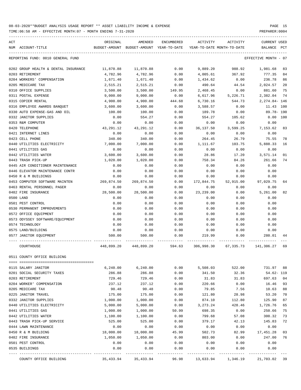TIME:06:58 AM - EFFECTIVE MONTH:07 - MONTH ENDING 7-31-2020

| ACT | NUM ACCOUNT-TITLE                             | ORIGINAL   | AMENDED<br>BUDGET-AMOUNT BUDGET-AMOUNT YEAR-TO-DATE | ENCUMBERED           | ACTIVITY<br>YEAR-TO-DATE MONTH-TO-DATE | ACTIVITY             | <b>CURRENT USED</b><br>BALANCE PCT |                      |
|-----|-----------------------------------------------|------------|-----------------------------------------------------|----------------------|----------------------------------------|----------------------|------------------------------------|----------------------|
|     | REPORTING FUND: 0010 GENERAL FUND             |            |                                                     |                      |                                        |                      | EFFECTIVE MONTH - 07               |                      |
|     | 0202 GROUP HEALTH & DENTAL INSURANCE          | 11,870.88  | 11,870.88                                           | 0.00                 | 9,889.20                               | 988.92               | 1,981.68                           | 83                   |
|     | 0203 RETIREMENT                               | 4,782.96   | 4,782.96                                            | 0.00                 | 4,005.61                               | 367.92               | 777.35                             | 84                   |
|     | 0204 WORKERS' COMPENSATION                    | 1,671.40   | 1,671.40                                            | 0.00                 | 1,434.62                               | 0.00                 | 236.78                             | 86                   |
|     | 0205 MEDICARE TAX                             | 2,515.21   | 2,515.21                                            | 0.00                 | 490.64                                 | 44.54                | 2,024.57                           | 20                   |
|     | 0310 OFFICE SUPPLIES                          | 3,500.00   | 3,500.00                                            | 149.95               | 2,468.45                               | 0.00                 | 881.60                             | 75                   |
|     | 0311 POSTAL EXPENSE                           | 9,000.00   | 9,000.00                                            | 0.00                 | 6,617.96                               | 5,226.71             | 2,382.04                           | 74                   |
|     | 0315 COPIER RENTAL                            | 4,900.00   | 4,900.00                                            | 444.68               | 6,730.16                               | 544.73               | 2,274.84- 146                      |                      |
|     | 0316 EMPLOYEE AWARDS BANQUET                  | 3,600.00   | 3,600.00                                            | 0.00                 | 3,588.57                               | 0.00                 | 11.43 100                          |                      |
|     | 0330 AUTO EXPENSE-GAS AND OIL                 | 100.00     | 100.00                                              | 0.00                 | 189.78                                 | 0.00                 | 89.78- 190                         |                      |
|     | 0332 JANITOR SUPPLIES                         | 0.00       | 554.27                                              | 0.00                 | 554.27                                 | 105.62               | 0.00 100                           |                      |
|     | 0353 R&M COMPUTER                             | 0.00       | 0.00                                                | 0.00                 | 0.00                                   | 0.00                 | 0.00                               |                      |
|     | 0420 TELEPHONE                                | 43,291.12  | 43,291.12                                           | 0.00                 | 36,137.50                              | 3,599.25             | 7,153.62                           | 83                   |
|     | 0421 INTERNET LINES                           | 0.00       | 0.00                                                | 0.00                 | 0.00                                   | 0.00                 | 0.00                               |                      |
|     | 0423 CELL PHONE                               | 340.00     | 340.00                                              | 0.00                 | 264.45                                 | 26.79                | 75.55                              | 78                   |
|     | 0440 UTILITIES ELECTRICITY                    | 7,000.00   | 7,000.00                                            | 0.00                 | 1,111.67                               | 103.75               | 5,888.33                           | 16                   |
|     | 0441 UTILITIES GAS                            | 0.00       | 0.00                                                | 0.00                 | 0.00                                   | 0.00                 | 0.00                               |                      |
|     | 0442 UTILITIES WATER                          | 3,600.00   | 3,600.00                                            | 0.00                 | 28.86                                  | 17.20                | 3,571.14                           | 01                   |
|     | 0443 TRASH PICK-UP                            | 1,020.00   | 1,020.00                                            | 0.00                 | 758.34                                 | 84.26                | 261.66                             | 74                   |
|     | 0445 AIR CONDITIONER MAINTENANCE              | 0.00       | 0.00                                                | 0.00                 | 0.00                                   | 0.00                 | 0.00                               |                      |
|     | 0446 ELEVATOR MAINTENANCE CONTR               | 0.00       | 0.00                                                | 0.00                 | 0.00                                   | 0.00                 | 0.00                               |                      |
|     | 0450 R & M BUILDINGS                          | 0.00       | 0.00                                                | 0.00                 | 0.00                                   | 0.00                 | 0.00                               |                      |
|     | 0453 COMPUTER SOFTWARE MAINTEN                | 269,874.50 | 269,874.50                                          | 0.00                 | 172,844.75                             | 52,915.00            | 97,029.75                          | 64                   |
|     | 0463 RENTAL PERSONNEL PAGER                   | 0.00       | 0.00                                                | 0.00                 | 0.00                                   | 0.00                 | 0.00                               |                      |
|     | 0482 FIRE INSURANCE                           | 28,500.00  | 28,500.00                                           | 0.00                 | 23,239.00                              | 0.00                 | 5,261.00                           | 82                   |
|     | 0500 LAND                                     | 0.00       | 0.00                                                | 0.00                 | 0.00                                   | 0.00                 | 0.00                               |                      |
|     | 0501 PEST CONTROL                             | 0.00       | 0.00                                                | 0.00                 | 0.00                                   | 0.00                 | 0.00                               |                      |
|     | 0530 PERMANENT IMPROVEMENTS                   | 0.00       | 0.00                                                | 0.00                 | 0.00                                   | 0.00                 | 0.00                               |                      |
|     | 0572 OFFICE EQUIPMENT                         | 0.00       | 0.00                                                | 0.00                 | 0.00                                   | 0.00                 | 0.00                               |                      |
|     | 0573 ODYSSEY SOFTWARE/EQUIPMENT               | 0.00       | 0.00                                                | 0.00                 | 0.00                                   | 0.00                 | 0.00                               |                      |
|     | 0574 TECHNOLOGY                               | 0.00       | 0.00                                                | 0.00                 | 0.00                                   | 0.00                 | 0.00                               |                      |
|     | 0575 LAND/BUILDING                            | 0.00       | 0.00                                                | 0.00                 | 0.00                                   | 0.00                 | 0.00                               |                      |
|     | 0577 JANITOR EQUIPMENT                        | 500.00     | 500.00                                              | 0.00                 | 219.99                                 | 0.00                 | 280.01                             | 44                   |
|     | COURTHOUSE                                    | 448,899.20 | 448,899.20                                          | 594.63               | 306,998.30                             | 67,335.73            | 141,306.27                         | 69                   |
|     | 0511 COUNTY OFFICE BUILDING                   |            |                                                     |                      |                                        |                      |                                    |                      |
|     |                                               |            |                                                     |                      |                                        |                      |                                    |                      |
|     | 0115 SALARY JANITOR                           | 6,240.00   | 6, 240.00                                           | 0.00                 | 5,508.03                               | 522.00               | 731.97                             | 88                   |
|     | 0201 SOCIAL SECURITY TAXES<br>0203 RETIREMENT | 286.88     | 286.88                                              | 0.00                 | 341.50                                 | 32.36                | $54.62 - 119$                      |                      |
|     |                                               | 729.46     | 729.46                                              | 0.00                 | 31.83                                  | 31.83                | 697.63<br>16.46                    | 0 <sub>4</sub><br>93 |
|     | 0204 WORKER' COMPENSATION                     | 237.12     | 237.12                                              | 0.00                 | 220.66                                 | 0.00                 |                                    | 88                   |
|     | 0205 MEDICARE TAX                             | 90.48      | 90.48                                               | 0.00                 | 79.85                                  | 7.56                 | 10.63                              |                      |
|     | 0225 JANITOR TRAVEL                           | 175.00     | 175.00                                              | 0.00                 | 121.80                                 | 28.98                | 53.20                              | 70                   |
|     | 0332 JANITOR SUPPLIES                         | 1,000.00   | 1,000.00                                            | 0.00                 | 874.10                                 | 112.80               | 125.90                             | 87                   |
|     | 0440 UTILITIES ELECTRICITY                    | 5,000.00   | 5,000.00                                            | 0.00                 | 3, 273. 24                             | 428.46               | 1,726.76                           | 65                   |
|     | 0441 UTILITIES GAS                            | 1,000.00   | 1,000.00                                            | 50.99                | 698.35                                 | 0.00                 | 250.66                             | 75                   |
|     | 0442 UTILITIES WATER                          | 1,100.00   | 1,100.00                                            | 0.00                 | 799.68                                 | 57.08                | 300.32                             | 73                   |
|     | 0443 TRASH PICK-UP SERVICE                    | 525.00     | 525.00                                              | 0.00                 | 379.17                                 | 42.13                | 145.83                             | 72                   |
|     | 0444 LAWN MAINTENANCE                         | 0.00       | 0.00                                                | 0.00                 | 0.00                                   | 0.00                 | 0.00                               |                      |
|     | 0450 R & M BUILDING                           | 18,000.00  | 18,000.00                                           | 45.99                | 502.73                                 | 82.99                | 17,451.28                          | 03                   |
|     | 0482 FIRE INSURANCE                           | 1,050.00   | 1,050.00                                            | 0.00                 | 803.00                                 | 0.00                 | 247.00                             | 76                   |
|     | 0501 PEST CONTROL                             | 0.00       | 0.00                                                | 0.00                 | 0.00                                   | 0.00                 | 0.00                               |                      |
|     | 0535 BUILDINGS                                | 0.00       | 0.00<br>-------------                               | 0.00<br>------------ | 0.00<br>-------------                  | 0.00<br>------------ | 0.00<br>-------------              |                      |

COUNTY OFFICE BUILDING 35,433.94 35,433.94 96.98 13,633.94 1,346.19 21,703.02 39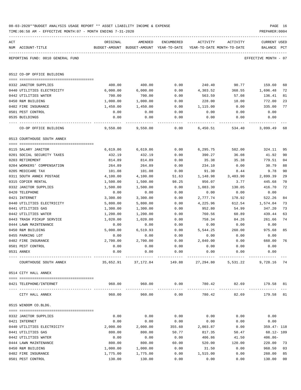|     | 08-03-2020**BUDGET ANALYSIS USAGE REPORT ** ASSET LIABILITY INCOME & EXPENSE<br>TIME:06:58 AM - EFFECTIVE MONTH:07 - MONTH ENDING 7-31-2020 |                    |                                                     |               |                                        |                                                             | PAGE 16<br>PREPARER: 0004      |          |
|-----|---------------------------------------------------------------------------------------------------------------------------------------------|--------------------|-----------------------------------------------------|---------------|----------------------------------------|-------------------------------------------------------------|--------------------------------|----------|
| ACT | NUM ACCOUNT-TITLE                                                                                                                           | ORIGINAL           | AMENDED<br>BUDGET-AMOUNT BUDGET-AMOUNT YEAR-TO-DATE | ENCUMBERED    | ACTIVITY<br>YEAR-TO-DATE MONTH-TO-DATE | ACTIVITY                                                    | <b>CURRENT USED</b><br>BALANCE | PCT      |
|     | REPORTING FUND: 0010 GENERAL FUND                                                                                                           |                    |                                                     |               |                                        |                                                             | EFFECTIVE MONTH - 07           |          |
|     | 0512 CO-OP OFFICE BUILDING                                                                                                                  |                    |                                                     |               |                                        |                                                             |                                |          |
|     | 0332 JANITOR SUPPLIES                                                                                                                       | 400.00             | 400.00                                              | 0.00          | 240.40                                 | 90.77                                                       | 159.60                         | 60       |
|     | 0440 UTILITIES ELECTRICITY                                                                                                                  | 6,000.00           | 6,000.00                                            | 0.00          | 4,303.52                               | 368.55                                                      | 1,696.48                       | 72       |
|     | 0442 UTILITIES WATER                                                                                                                        | 700.00             | 700.00                                              | 0.00          | 563.59                                 | 57.08                                                       | 136.41                         | 81       |
|     | 0450 R&M BUILDING                                                                                                                           | 1,000.00           | 1,000.00                                            | 0.00          | 228.00                                 | 18.00                                                       | 772.00                         | 23       |
|     | 0482 FIRE INSURANCE                                                                                                                         | 1,450.00           | 1,450.00                                            | 0.00          | 1,115.00                               | 0.00                                                        | 335.00                         | 77       |
|     | 0501 PEST CONTROL                                                                                                                           | 0.00               | 0.00                                                | 0.00          | 0.00                                   | 0.00                                                        | 0.00                           |          |
|     | 0535 BUILDINGS                                                                                                                              | 0.00               | 0.00                                                | 0.00          | 0.00                                   | 0.00                                                        | 0.00                           |          |
|     | CO-OP OFFICE BUILDING                                                                                                                       | 9,550.00           | 9,550.00                                            | 0.00          | 6,450.51                               | 534.40                                                      | 3,099.49                       | 68       |
|     | 0513 COURTHOUSE SOUTH ANNEX                                                                                                                 |                    |                                                     |               |                                        |                                                             |                                |          |
|     | 0115 SALARY JANITOR                                                                                                                         |                    | 6,619.86                                            |               | 6,295.75                               | 582.00                                                      |                                |          |
|     |                                                                                                                                             | 6,619.86           |                                                     | 0.00          | 390.27                                 |                                                             | 324.11                         | 95       |
|     | 0201 SOCIAL SECURITY TAXES<br>0203 RETIREMENT                                                                                               | 432.19<br>814.89   | 432.19<br>814.89                                    | 0.00<br>0.00  | 35.38                                  | 36.08<br>35.38                                              | 41.92<br>779.51                | 90<br>04 |
|     | 0204 WORKERS' COMPENSATION                                                                                                                  | 264.89             | 264.89                                              | 0.00          | 234.10                                 | 0.00                                                        | 30.79                          | 88       |
|     | 0205 MEDICARE TAX                                                                                                                           | 101.08             | 101.08                                              | 0.00          | 91.30                                  | 8.44                                                        | 9.78                           | 90       |
|     | 0311 SOUTH ANNEX POSTAGE                                                                                                                    | 4,100.00           | 4,100.00                                            | 51.63         | 1,148.98                               | 3,483.90                                                    | 2,899.39                       | 29       |
|     | 0315 COPIER RENTAL                                                                                                                          | 1,500.00           | 1,500.00                                            | 98.25         | 956.07                                 | 3.77                                                        | 445.68                         | 70       |
|     | 0332 JANITOR SUPPLIES                                                                                                                       | 1,500.00           | 1,500.00                                            | 0.00          | 1,083.30                               | 130.05                                                      | 416.70                         | 72       |
|     | 0420 TELEPHONE                                                                                                                              | 0.00               | 0.00                                                | 0.00          | 0.00                                   | 0.00                                                        | 0.00                           |          |
|     | 0421 INTERNET                                                                                                                               | 3,300.00           | 3,300.00                                            | 0.00          | 2,777.74                               | 178.92                                                      | 522.26                         | 84       |
|     | 0440 UTILITIES ELECTRICITY                                                                                                                  | 5,800.00           | 5,800.00                                            | 0.00          | 4,225.96                               | 612.54                                                      | 1,574.04                       | 73       |
|     | 0441 UTILITIES GAS                                                                                                                          | 1,300.00           | 1,300.00                                            | 0.00          | 952.80                                 | 54.99                                                       | 347.20                         | 73       |
|     | 0442 UTILITIES WATER                                                                                                                        | 1,200.00           | 1,200.00                                            | 0.00          | 760.56                                 | 60.89                                                       | 439.44                         | 63       |
|     | 0443 TRASH PICKUP SERVICE                                                                                                                   | 1,020.00           | 1,020.00                                            | 0.00          | 758.34                                 | 84.26                                                       | 261.66                         | 74       |
|     | 0444 LAWN MAINTENANCE                                                                                                                       | 0.00               | 0.00                                                | 0.00          | 0.00                                   | 0.00                                                        | 0.00                           |          |
|     | 0450 R&M BUILDING                                                                                                                           | 5,000.00           | 6,519.93                                            | 0.00          | 5,544.25                               | 260.00                                                      | 975.68                         | 85       |
|     | 0455 PARKING LOT                                                                                                                            | 0.00               | 0.00                                                | 0.00          | 0.00                                   | 0.00                                                        | 0.00                           |          |
|     | 0482 FIRE INSURANCE                                                                                                                         | 2,700.00           | 2,700.00                                            | 0.00          | 2,040.00                               | 0.00                                                        | 660.00                         | 76       |
|     | 0501 PEST CONTROL                                                                                                                           | 0.00               | 0.00                                                | 0.00          | 0.00                                   | 0.00                                                        | 0.00                           |          |
|     | 0531 ANNEX                                                                                                                                  | 0.00               | 0.00                                                | 0.00          | 0.00                                   | 0.00                                                        | 0.00                           |          |
|     | COURTHOUSE SOUTH ANNEX                                                                                                                      |                    | 35,652.91 37,172.84                                 |               |                                        | 149.88 27,294.80 5,531.22                                   | 9,728.16 74                    |          |
|     | 0514 CITY HALL ANNEX                                                                                                                        |                    |                                                     |               |                                        |                                                             |                                |          |
|     | 0421 TELEPHONE/INTERNET                                                                                                                     |                    | 960.00 960.00                                       |               |                                        | $0.00$ $780.42$ $82.69$ $179.58$ $81$<br><u>uuuuuuuuuuu</u> |                                |          |
|     | CITY HALL ANNEX                                                                                                                             | 960.00             | 960.00                                              | 0.00          | 780.42                                 | 82.69                                                       | 179.58 81                      |          |
|     | 0515 WINDOM CO.BLDG.                                                                                                                        |                    |                                                     |               |                                        |                                                             |                                |          |
|     |                                                                                                                                             |                    |                                                     |               |                                        |                                                             |                                |          |
|     | 0332 JANITOR SUPPLIES                                                                                                                       | 0.00               | 0.00                                                | 0.00          | 0.00                                   | 0.00                                                        | 0.00                           |          |
|     | 0421 INTERNET                                                                                                                               | 0.00               | 0.00                                                | 0.00          | 0.00                                   | 0.00                                                        | 0.00                           |          |
|     | 0440 UTILITIES ELECTRICITY                                                                                                                  | 2,000.00           | 2,000.00                                            | 355.60        | 2,003.87                               | 0.00                                                        | 359.47- 118                    |          |
|     | 0441 UTILITIES GAS                                                                                                                          | 800.00             | 800.00                                              | 50.77         | 817.35                                 | 50.47                                                       | 68.12- 109                     |          |
|     | 0442 UTILITIES WATER                                                                                                                        | 0.00               | 0.00                                                | 0.00          | 406.86                                 | 41.50                                                       | $406.86 -$                     |          |
|     | 0444 LAWN MAINTENANCE<br>0450 R&M BUILDING                                                                                                  | 800.00<br>1,000.00 | 800.00<br>1,000.00                                  | 60.00<br>0.00 | 520.00<br>31.50                        | 120.00<br>0.00                                              | 220.00<br>968.50               | 73<br>03 |
|     | 0482 FIRE INSURANCE                                                                                                                         | 1,775.00           | 1,775.00                                            | 0.00          | 1,515.00                               | 0.00                                                        | 260.00                         | 85       |
|     |                                                                                                                                             |                    |                                                     |               |                                        |                                                             |                                |          |

0501 PEST CONTROL 130.00 130.00 0.00 0.00 0.00 130.00 00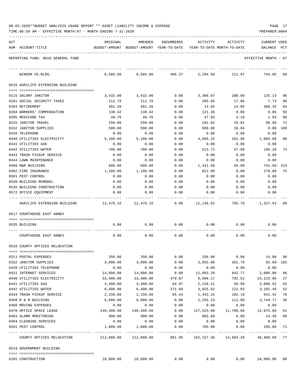|  |  | 08-03-2020**BUDGET ANALYSIS USAGE REPORT ** ASSET LIABILITY INCOME & EXPENSE | PAGE |  |
|--|--|------------------------------------------------------------------------------|------|--|
|  |  |                                                                              |      |  |

| ACT             | NUM ACCOUNT-TITLE                                   | ORIGINAL         | AMENDED<br>BUDGET-AMOUNT BUDGET-AMOUNT YEAR-TO-DATE | ENCUMBERED   | ACTIVITY<br>YEAR-TO-DATE MONTH-TO-DATE | ACTIVITY     | <b>CURRENT USED</b><br>BALANCE | PCT      |
|-----------------|-----------------------------------------------------|------------------|-----------------------------------------------------|--------------|----------------------------------------|--------------|--------------------------------|----------|
|                 | REPORTING FUND: 0010 GENERAL FUND                   |                  |                                                     |              |                                        |              | EFFECTIVE MONTH - 07           |          |
|                 | WINDOM CO.BLDG.                                     | 6,505.00         | 6,505.00                                            | 466.37       | 5,294.58                               | 211.97       | 744.05                         | 89       |
|                 | 0516 AGRILIFE EXTENSION BUILDING                    |                  |                                                     |              |                                        |              |                                |          |
|                 |                                                     | 3.432.00         |                                                     |              |                                        | 288.00       |                                |          |
|                 | 0115 SALARY JANITOR<br>0201 SOCIAL SECURITY TAXES   | 212.78           | 3,432.00<br>212.78                                  | 0.00<br>0.00 | 3,306.87<br>205.05                     | 17.86        | 125.13<br>7.73                 | 96<br>96 |
| 0203 RETIREMENT |                                                     | 401.20           | 401.20                                              | 0.00         | 14.85                                  | 14.85        | 386.35                         | 04       |
|                 | 0204 WORKERS' COMPENSATION                          | 130.42           | 130.42                                              | 0.00         | 121.36                                 | 0.00         | 9.06                           | 93       |
|                 | 0205 MEDICARE TAX                                   | 49.76            | 49.76                                               | 0.00         | 47.93                                  | 4.18         | 1.83                           | 96       |
|                 | 0225 JANITOR TRAVEL                                 | 250.00           | 250.00                                              | 0.00         | 181.02                                 | 33.81        | 68.98                          | 72       |
|                 | 0332 JANITOR SUPPLIES                               | 500.00           | 500.00                                              | 0.00         | 500.00                                 | 18.04        | 0.00                           | 100      |
| 0420 TELEPHONE  |                                                     | 0.00             | 0.00                                                | 0.00         | 0.00                                   | 0.00         | 0.00                           |          |
|                 | 0440 UTILITIES ELECTRICITY                          | 5,100.00         | 5,100.00                                            | 0.00         | 4,095.32                               | 292.96       | 1,004.68                       | 80       |
|                 | 0441 UTILITIES GAS                                  | 0.00             | 0.00                                                | 0.00         | 0.00                                   | 0.00         | 0.00                           |          |
|                 | 0442 UTILITIES WATER                                | 700.00           | 700.00                                              | 0.00         | 513.72                                 | 57.08        | 186.28                         | 73       |
|                 | 0443 TRASH PICKUP SERVICE                           | 0.00             | 0.00                                                | 0.00         | 0.00                                   | 0.00         | 0.00                           |          |
|                 | 0444 LAWN MAINTENANCE                               | 0.00             | 0.00                                                | 0.00         | 0.00                                   | 0.00         | 0.00                           |          |
|                 | 0450 R&M BUILDING                                   | 600.00           | 600.00                                              | 0.00         | 1,341.50                               | 69.00        | 741.50-224                     |          |
|                 | 0482 FIRE INSURANCE                                 | 1,100.00         | 1,100.00                                            | 0.00         | 821.00                                 | 0.00         | 279.00                         | 75       |
|                 | 0501 PEST CONTROL                                   | 0.00             | 0.00                                                | 0.00         | 0.00                                   | 0.00         | 0.00                           |          |
|                 | 0530 BUILDING REMODEL                               | 0.00             | 0.00                                                | 0.00         | 0.00                                   | 0.00         | 0.00                           |          |
|                 | 0535 BUILDING CONSTRUCTION<br>0572 OFFICE EQUIPMENT | 0.00<br>0.00     | 0.00<br>0.00                                        | 0.00<br>0.00 | 0.00<br>0.00                           | 0.00<br>0.00 | 0.00<br>0.00                   |          |
|                 | AGRILIFE EXTENSION BUILDING                         | 12,476.16        | 12,476.16                                           | 0.00         | 11,148.62                              | 795.78       | 1,327.54 89                    |          |
|                 | 0517 COURTHOUSE EAST ANNEX                          |                  |                                                     |              |                                        |              |                                |          |
|                 |                                                     |                  |                                                     |              |                                        |              |                                |          |
| 0535 BUILDING   |                                                     | 0.00             | 0.00                                                | 0.00         | 0.00                                   | 0.00         | 0.00                           |          |
|                 | COURTHOUSE EAST ANNEX                               | 0.00             | 0.00                                                | 0.00         | 0.00                                   | 0.00         | 0.00                           |          |
|                 | 0518 COUNTY OFFICES RELOCATION                      |                  |                                                     |              |                                        |              |                                |          |
|                 | 0311 POSTAL EXPENSES                                | 350.00           | 350.00                                              | 0.00         | 336.00                                 | 0.00         | 14.00                          | 96       |
|                 | 0332 JANITOR SUPPLIES                               | 3,000.00         | 3,000.00                                            | 0.00         | 3,055.68                               | 361.79       | $55.68 - 102$                  |          |
|                 | 0420 UTILITIES TELEPHONE                            | 0.00             | 0.00                                                | 0.00         | 0.00                                   | 0.00         | 0.00                           |          |
|                 | 0421 INTERNET SERVICES                              | 14,000.00        | 14,000.00                                           | 0.00         | 11,993.20                              | 842.77       | 2,006.80                       | 86       |
|                 | 0440 UTILITIES ELECTRICITY                          | 33,400.00        | 33,400.00                                           | 479.87       | 8,696.17                               | 702.52       | 24, 223.96                     | 27       |
|                 | 0441 UTILITIES GAS                                  | 4,400.00         | 4,400.00                                            | 64.97        | 2,236.51                               | 50.99        | 2,098.52                       | 52       |
|                 | 0442 UTILITIES WATER                                | 6,400.00         | 6,400.00                                            | 271.69       | 3,025.82                               | 222.03       | 3,102.49                       | 52       |
|                 | 0443 TRASH PICKUP SERVICE                           | 2,150.00         | 2,150.00                                            | 65.43        | 1,443.15                               | 102.19       | 641.42                         | 70       |
|                 | 0450 R & M BUILDING                                 | 6,000.00         | 6,000.00                                            | 0.00         | 2,255.23                               | 111.00       | 3,744.77                       | 38       |
|                 | 0460 MOVING EXPENSES                                | 0.00             | 0.00                                                | 0.00         | 0.00                                   | 0.00         | 0.00                           |          |
|                 | 0470 OFFICE SPACE LEASE                             | 140,400.00       | 140,400.00                                          | 0.00         | 127,525.00                             | 11,700.00    | 12,875.00                      | 91       |
|                 | 0483 ALARM MONITORING                               | 900.00           | 900.00                                              | 0.00         | 885.60                                 | 0.00         | 14.40                          | 98       |
|                 | 0484 CLEANING SERVICES<br>0501 PEST CONTROL         | 0.00<br>1,000.00 | 0.00<br>1,000.00                                    | 0.00<br>0.00 | 0.00<br>705.00                         | 0.00<br>0.00 | 0.00<br>295.00                 | 71       |
|                 | COUNTY OFFICES RELOCATION                           | 212,000.00       | 212,000.00                                          | 881.96       | .<br>162,157.36                        | 14,093.29    | 48,960.68 77                   |          |
|                 |                                                     |                  |                                                     |              |                                        |              |                                |          |
|                 | 0519 GOVERNMENT BUILDING                            |                  |                                                     |              |                                        |              |                                |          |
|                 | 0165 CONSTRUCTION                                   | 10,000.00        | 10,000.00                                           | 0.00         | 0.00                                   | 0.00         | 10,000.00 00                   |          |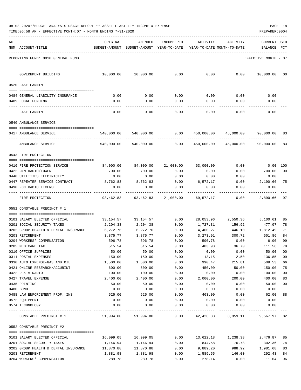| ACT | NUM ACCOUNT-TITLE                                        | ORIGINAL                     | AMENDED<br>BUDGET-AMOUNT BUDGET-AMOUNT YEAR-TO-DATE | ENCUMBERED          | ACTIVITY<br>YEAR-TO-DATE MONTH-TO-DATE | ACTIVITY           | CURRENT USED<br>BALANCE | PCT    |
|-----|----------------------------------------------------------|------------------------------|-----------------------------------------------------|---------------------|----------------------------------------|--------------------|-------------------------|--------|
|     | REPORTING FUND: 0010 GENERAL FUND                        |                              |                                                     |                     |                                        |                    | EFFECTIVE MONTH - 07    |        |
|     | GOVERNMENT BUILDING                                      | 10,000.00                    | 10,000.00                                           | 0.00                | 0.00                                   | 0.00               | 10,000.00               | 00     |
|     | 0520 LAKE FANNIN                                         |                              |                                                     |                     |                                        |                    |                         |        |
|     |                                                          |                              |                                                     |                     |                                        |                    |                         |        |
|     | 0484 GENERAL LIABILITY INSURANCE<br>0489 LOCAL FUNDING   | 0.00                         | 0.00                                                | 0.00<br>0.00        | 0.00                                   | 0.00               | 0.00                    |        |
|     |                                                          | 0.00                         | 0.00                                                |                     | 0.00                                   | 0.00               | 0.00                    |        |
|     | LAKE FANNIN                                              | 0.00                         | 0.00                                                | 0.00                | 0.00                                   | 0.00               | 0.00                    |        |
|     | 0540 AMBULANCE SERVICE                                   |                              |                                                     |                     |                                        |                    |                         |        |
|     | 0417 AMBULANCE SERVICE                                   | 540,000.00                   | 540,000.00                                          | 0.00                | 450,000.00                             | 45,000.00          | 90,000.00 83            |        |
|     | AMBULANCE SERVICE                                        | 540,000.00                   | 540,000.00                                          | 0.00                | 450,000.00                             | 45,000.00          | 90,000.00               | 83     |
|     | 0543 FIRE PROTECTION                                     |                              |                                                     |                     |                                        |                    |                         |        |
|     |                                                          |                              |                                                     |                     |                                        |                    |                         |        |
|     | 0416 FIRE PROTECTION SERVICE                             | 84,000.00                    | 84,000.00                                           | 21,000.00           | 63,000.00                              | 0.00               | $0.00$ 100              |        |
|     | 0422 R&M RADIO/TOWER                                     | 700.00                       | 700.00                                              | 0.00                | 0.00                                   | 0.00               | 700.00                  | 00     |
|     | 0440 UTILITIES ELECTRICITY                               | 0.00                         | 0.00                                                | 0.00                | 0.00                                   | 0.00               | 0.00                    |        |
|     | 0447 REPEATER SERVICE CONTRACT<br>0490 FCC RADIO LICENSE | 8,762.83<br>0.00             | 8,762.83<br>0.00                                    | 0.00<br>0.00        | 6,572.17<br>0.00                       | 0.00<br>0.00       | 2,190.66<br>0.00        | 75     |
|     |                                                          |                              |                                                     |                     |                                        |                    |                         |        |
|     | FIRE PROTECTION                                          | 93,462.83                    |                                                     | 93,462.83 21,000.00 | 69,572.17                              | 0.00               | 2,890.66                | 97     |
|     | 0551 CONSTABLE PRECINCT # 1                              |                              |                                                     |                     |                                        |                    |                         |        |
|     | 0101 SALARY ELECTED OFFICIAL                             | 33,154.57                    | 33,154.57                                           | 0.00                |                                        | 28,053.96 2,550.36 | 5,100.61                | 85     |
|     | 0201 SOCIAL SECURITY TAXES                               | 2,204.38                     | 2,204.38                                            | 0.00                | 1,727.31                               | 156.92             | 477.07                  | 78     |
|     | 0202 GROUP HEALTH & DENTAL INSURANCE                     | 6,272.76                     | 6,272.76                                            | 0.00                | 4,460.27                               | 446.10             | 1,812.49                | 71     |
|     | 0203 RETIREMENT                                          | 3,875.77                     | 3,875.77                                            | 0.00                | 3,273.91                               | 300.72             | 601.86                  | 84     |
|     | 0204 WORKERS' COMPENSATION                               | 596.78                       | 596.78                                              | 0.00                | 590.78                                 | 0.00               | 6.00                    | 99     |
|     | 0205 MEDICARE TAX                                        | 515.54                       | 515.54                                              | 0.00                | 403.98                                 | 36.70              | 111.56                  | 78     |
|     | 0310 OFFICE SUPPLIES                                     | 50.00                        | 50.00                                               | 0.00                | 0.00                                   | 0.00               | 50.00                   | 00     |
|     | 0311 POSTAL EXPENSES                                     | 150.00                       | 150.00                                              | 0.00                | 13.15                                  | 2.50               | 136.85                  | 09     |
|     | 0330 AUTO EXPENSE-GAS AND OIL                            | 1,500.00                     | 1,500.00                                            | 0.00                | 990.47                                 | 215.81             | 509.53                  | 66     |
|     | 0421 ONLINE RESEARCH/ACCURINT                            | 600.00                       | 600.00                                              | 0.00                | 450.00                                 | 50.00              | 150.00                  | 75     |
|     | 0422 R & M RADIO                                         | 100.00                       | 100.00                                              | 0.00                | 0.00                                   | 0.00               | 100.00                  | 00     |
|     | 0427 TRAVEL EXPENSE                                      | 2,400.00                     | 2,400.00                                            | 0.00                | 2,000.00                               | 200.00             | 400.00                  | 83     |
|     | 0435 PRINTING                                            | 50.00                        | 50.00                                               | 0.00                | 0.00                                   | 0.00               | 50.00                   | $00\,$ |
|     | 0480 BOND                                                | 0.00                         | 0.00                                                | 0.00                | 0.00                                   | 0.00               | 0.00                    |        |
|     | 0488 LAW ENFORCEMENT PROF. INS<br>0572 EQUIPMENT         | 525.00<br>0.00               | 525.00<br>0.00                                      | 0.00<br>0.00        | 463.00<br>0.00                         | 0.00<br>0.00       | 62.00<br>0.00           | 88     |
|     | 0574 TECHNOLOGY                                          | 0.00                         | 0.00                                                | 0.00                | 0.00                                   | 0.00               | 0.00                    |        |
|     |                                                          | -------------- ------------- |                                                     | -----------         |                                        |                    |                         |        |
|     | CONSTABLE PRECINCT # 1                                   |                              | 51,994.80 51,994.80                                 | 0.00                |                                        | 42,426.83 3,959.11 | 9,567.97 82             |        |
|     | 0552 CONSTABLE PRECINCT #2                               |                              |                                                     |                     |                                        |                    |                         |        |
|     | 0101 SALARY ELECTED OFFICIAL                             | 16,099.05                    | 16,099.05                                           | 0.00                | 13,622.18                              | 1,238.38           | 2,476.87                | 85     |
|     | 0201 SOCIAL SECURITY TAXES                               | 1,146.94                     | 1,146.94                                            | 0.00                | 844.58                                 | 76.78              | 302.36                  | 74     |
|     | 0202 GROUP HEALTH & DENTAL INSURANCE                     | 11,870.88                    | 11,870.88                                           | 0.00                | 9,889.20                               | 988.92             | 1,981.68                | 83     |
|     | 0203 RETIREMENT                                          | 1,881.98                     | 1,881.98                                            | 0.00                | 1,589.55                               | 146.00             | 292.43                  | 84     |
|     | 0204 WORKERS' COMPENSATION                               | 289.78                       | 289.78                                              | 0.00                | 278.14                                 | 0.00               | 11.64                   | 96     |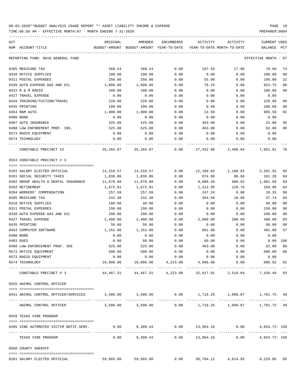| ACT                                                                                       | ORIGINAL      | AMENDED                    | ENCUMBERED                  | ACTIVITY                                                                | ACTIVITY | <b>CURRENT USED</b>  |                |
|-------------------------------------------------------------------------------------------|---------------|----------------------------|-----------------------------|-------------------------------------------------------------------------|----------|----------------------|----------------|
| NUM ACCOUNT-TITLE                                                                         | BUDGET-AMOUNT | BUDGET-AMOUNT YEAR-TO-DATE |                             | YEAR-TO-DATE MONTH-TO-DATE                                              |          | <b>BALANCE</b>       | PCT            |
| REPORTING FUND: 0010 GENERAL FUND                                                         |               |                            |                             |                                                                         |          | EFFECTIVE MONTH - 07 |                |
| 0205 MEDICARE TAX                                                                         | 268.24        | 268.24                     | 0.00                        | 197.56                                                                  | 17.96    | 70.68                | 74             |
| 0310 OFFICE SUPPLIES                                                                      | 100.00        | 100.00                     | 0.00                        | 0.00                                                                    | 0.00     | 100.00               | 00             |
| 0311 POSTAL EXPENSES                                                                      | 250.00        | 250.00                     | 0.00                        | 55.00                                                                   | 0.00     | 195.00               | 22             |
| 0330 AUTO EXPENSE-GAS AND OIL                                                             | 1,000.00      | 1,000.00                   | 0.00                        | 76.25                                                                   | 0.00     | 923.75               | 08             |
| 0422 R & M RADIO                                                                          | 100.00        | 100.00                     | 0.00                        | 0.00                                                                    | 0.00     | 100.00               | 00             |
| 0427 TRAVEL EXPENSE                                                                       | 0.00          | 0.00                       | 0.00                        | 0.00                                                                    | 0.00     | 0.00                 |                |
| 0428 TRAINING/TUITION/TRAVEL                                                              | 228.00        | 228.00                     | 0.00                        | 0.00                                                                    | 0.00     | 228.00               | 00             |
| 0435 PRINTING                                                                             | 100.00        | 100.00                     | 0.00                        | 0.00                                                                    | 0.00     | 100.00               | 00             |
| 0454 R&M AUTO                                                                             | 1,000.00      | 1,000.00                   | 0.00                        | 14.50                                                                   | 0.00     | 985.50               | 01             |
| 0480 BOND                                                                                 | 0.00          | 0.00                       | 0.00                        | 0.00                                                                    | 0.00     | 0.00                 |                |
| 0487 AUTO INSURANCE                                                                       | 425.00        | 425.00                     | 0.00                        | 403.00                                                                  | 0.00     | 22.00                | 95             |
| 0488 LAW ENFOREMENT PROF. INS.                                                            | 525.00        | 525.00                     | 0.00                        | 463.00                                                                  | 0.00     | 62.00                | 88             |
| 0573 RADIO EQUIPMENT                                                                      | 0.00          | 0.00                       | 0.00                        | 0.00                                                                    | 0.00     | 0.00                 |                |
| 0574 TECHNOLOGY                                                                           | 0.00          | 0.00                       | 0.00                        | 0.00                                                                    | 0.00     | 0.00                 |                |
| CONSTABLE PRECINCT #2                                                                     | 35,284.87     | 35,284.87                  | 0.00                        | 27,432.96                                                               | 2,468.04 | 7,851.91             | -78            |
| 0553 CONSTABLE PRECINCT # 3                                                               |               |                            |                             |                                                                         |          |                      |                |
| -------------------------------------                                                     |               |                            |                             |                                                                         |          |                      |                |
| 0101 SALARY ELECTED OFFICIAL                                                              | 14,310.57     | 14,310.57                  | 0.00                        | 12,109.02                                                               | 1,100.82 | 2,201.55             | 85             |
| 0201 SOCIAL SECURITY TAXES                                                                | 1,036.06      | 1,036.06                   | 0.00                        | 874.86                                                                  | 80.66    | 161.20               | 84             |
| 0202 GROUP HEALTH & DENTAL INSURANCE                                                      | 11,870.88     | 11,870.88                  | 0.00                        | 9,889.20                                                                | 988.92   | 1,981.68             | 83             |
| 0203 RETIREMENT                                                                           | 1,672.91      | 1,672.91                   | 0.00                        | 1,412.95                                                                | 129.78   | 259.96               | 84             |
| 0204 WORKERS' COMPENSATION                                                                | 257.59        | 257.59                     | 0.00                        | 247.24                                                                  | 0.00     | 10.35                | 96             |
| 0205 MEDICARE TAX                                                                         | 242.30        | 242.30                     | 0.00                        | 204.56                                                                  | 18.86    | 37.74                | 84             |
| 0310 OFFICE SUPPLIES                                                                      | 100.00        | 40.00                      | 0.00                        | 0.00                                                                    | 0.00     | 40.00                | 00             |
| 0311 POSTAL EXPENSES                                                                      | 150.00        | 150.00                     | 0.00                        | 0.00                                                                    | 0.00     | 150.00               | 00             |
| 0330 AUTO EXPENSE-GAS AND OIL                                                             | 200.00        | 200.00                     | 0.00                        | 0.00                                                                    | 0.00     | 200.00               | 00             |
| 0427 TRAVEL EXPENSE                                                                       | 2,400.00      | 2,400.00                   | 0.00                        | 2,000.00                                                                | 200.00   | 400.00               | 83             |
| 0435 PRINTING                                                                             | 50.00         | 50.00                      | 0.00                        | 0.00                                                                    | 0.00     | 50.00                | 00             |
| 0453 COMPUTER SOFTWARE                                                                    | 1,152.00      | 1,152.00                   | 0.00                        | 661.00                                                                  | 0.00     | 491.00               | 57             |
| 0480 BOND                                                                                 | 0.00          | 0.00                       | 0.00                        | 0.00                                                                    | 0.00     | 0.00                 |                |
| 0481 DUES                                                                                 | 0.00          | 60.00                      | 0.00                        | 60.00                                                                   | 0.00     | 0.00                 | 100            |
| 0488 LAW ENFORCEMENT PROF. INS                                                            | 525.00        | 525.00                     | 0.00                        | 463.00                                                                  | 0.00     | 62.00                | 88             |
| 0572 OFFICE EQUIPMENT                                                                     | 500.00        | 500.00                     | 0.00                        | 0.00                                                                    | 0.00     | 500.00               | 0 <sub>0</sub> |
| 0573 RADIO EQUIPMENT                                                                      | 0.00          |                            | $0.00$ $0.00$ $0.00$ $0.00$ |                                                                         | 0.00     | 0.00                 |                |
| 0574 TECHNOLOGY                                                                           |               |                            |                             | $10,000.00$ $10,000.00$ $4,223.00$ $4,896.08$ 0.00                      |          | 880.92 91            |                |
| CONSTABLE PRECINCT # 3                                                                    |               |                            |                             | $44,467.31$ $44,467.31$ $4,223.00$ $32,817.91$ $2,519.04$ $7,426.40$ 83 |          |                      |                |
| 0555 ANIMAL CONTROL OFFICER                                                               |               |                            |                             |                                                                         |          |                      |                |
|                                                                                           |               |                            |                             |                                                                         |          |                      |                |
| 0441 ANIMAL CONTROL OFFICER/SERVICES 3,500.00 3,500.00 0.00 1,718.25 1,099.87 1,781.75 49 |               |                            |                             |                                                                         |          |                      |                |
| ANIMAL CONTROL OFFICER                                                                    |               |                            |                             | 3,500.00 3,500.00 0.00 1,718.25 1,099.87 1,781.75 49                    |          |                      |                |
| 0559 TEXAS VINE PROGRAM                                                                   |               |                            |                             |                                                                         |          |                      |                |
| 0495 VINE AUTOMATED VICTIM NOTIF.SERV.                                                    |               |                            |                             | $0.00$ $9,309.44$ $0.00$ $13,964.16$ $0.00$ $4,654.72$ - 150            |          |                      |                |
| TEXAS VINE PROGRAM                                                                        |               |                            |                             | $0.00$ 9,309.44 0.00 13,964.16 0.00 4,654.72-150                        |          |                      |                |
| 0560 COUNTY SHERIFF                                                                       |               |                            |                             |                                                                         |          |                      |                |
| 0101 SALARY ELECTED OFFICIAL                                                              |               | 59,993.98 59,993.98        |                             | $0.00$ 50,764.12 4,614.92 9,229.86 85                                   |          |                      |                |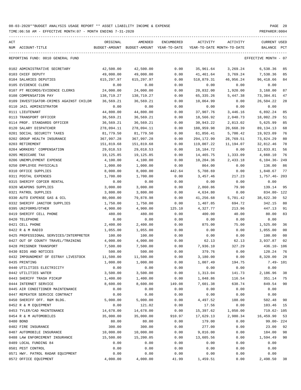TIME:06:58 AM - EFFECTIVE MONTH:07 - MONTH ENDING 7-31-2020

| ACT |                                         | ORIGINAL    | AMENDED                                  | ENCUMBERED | ACTIVITY    | ACTIVITY                   | <b>CURRENT USED</b>     |
|-----|-----------------------------------------|-------------|------------------------------------------|------------|-------------|----------------------------|-------------------------|
|     | NUM ACCOUNT-TITLE                       |             | BUDGET-AMOUNT BUDGET-AMOUNT YEAR-TO-DATE |            |             | YEAR-TO-DATE MONTH-TO-DATE | BALANCE<br>$_{\rm PCT}$ |
|     |                                         |             |                                          |            |             |                            |                         |
|     | REPORTING FUND: 0010 GENERAL FUND       |             |                                          |            |             |                            | EFFECTIVE MONTH - 07    |
|     |                                         |             |                                          |            |             |                            |                         |
|     | 0102 ADMINISTRATIVE SECRETARY           | 42,500.00   | 42,500.00                                | 0.00       | 35,961.64   | 3,269.24                   | 6,538.36<br>85          |
|     | 0103 CHIEF DEPUTY                       | 49,000.00   | 49,000.00                                | 0.00       | 41,461.64   | 3,769.24                   | 85<br>7,538.36          |
|     | 0104 SALARIES DEPUTIES                  | 615, 297.97 | 615,297.97                               | 0.00       | 518,879.31  | 46,956.24                  | 96,418.66<br>84         |
|     | 0105 EVIDENCE CLERK                     | 0.00        | 0.00                                     | 0.00       | 0.00        | 0.00                       | 0.00                    |
|     | 0107 PT RECORDS/EVIDENCE CLERKS         | 24,000.00   | 24,000.00                                | 0.00       | 20,832.00   | 1,920.00                   | 3,168.00<br>87          |
|     | 0108 COMPENSATION PAY                   | 138,719.27  | 138,719.27                               | 0.00       | 65, 335. 26 | 5,447.38                   | 73,384.01<br>47         |
|     | 0109 INVESTIGATOR-CRIMES AGAINST CHILDR | 36,569.21   | 36,569.21                                | 0.00       | 10,064.99   | 0.00                       | 26,504.22<br>28         |
|     | 0110 JAIL ADMINISTRATOR                 | 0.00        | 0.00                                     | 0.00       | 0.00        | 0.00                       | 0.00                    |
|     | 0111 LIEUTENANT                         | 44,800.00   | 44,800.00                                | 0.00       | 37,907.76   | 3,446.16                   | 6,892.24<br>85          |
|     | 0113 TRANSPORT OFFICER                  | 36,569.21   | 36,569.21                                | 0.00       | 18,566.92   | 2,040.73                   | 18,002.29<br>51         |
|     | 0114 PROF. STANDARDS OFFICER            | 36,569.21   | 36,569.21                                | 0.00       | 30,943.22   | 2,813.02                   | 5,625.99<br>85          |
|     | 0120 SALARY DISPATCHER                  | 278,094.11  | 278,094.11                               | 0.00       | 188,959.98  | 20,668.39                  | 89, 134. 13<br>68       |
|     | 0201 SOCIAL SECURITY TAXES              | 81,779.50   | 81,779.50                                | 0.00       | 61,856.41   | 5,700.42                   | 19,923.09<br>76         |
|     | 0202 GROUP HEALTH INSURANCE             | 367,997.28  | 367,997.28                               | 0.00       | 294,172.99  | 28,769.51                  | 73,824.29<br>80         |
|     | 0203 RETIREMENT                         | 151,819.68  | 151,819.68                               | 0.00       | 119,007.22  | 11,194.07                  | 32,812.46<br>78         |
|     | 0204 WORKERS' COMPENSATION              | 29,018.53   | 29,018.53                                | 0.00       | 16,184.72   | 0.00                       | 12,833.81<br>56         |
|     | 0205 MEDICARE TAX                       | 19,125.85   | 19,125.85                                | 0.00       | 14,465.75   | 1,333.09                   | 4,660.10<br>76          |
|     | 0206 UNEMPLOYMENT EXPENSE               | 4,100.00    | 4,100.00                                 | 0.00       | 10,204.36   | 2,433.18                   | $6, 104.36 - 249$       |
|     | 0250 EMPLOYEE PHYSICALS                 | 1,000.00    | 1,000.00                                 | 0.00       | 864.00      | 0.00                       | 136.00<br>86            |
|     | 0310 OFFICE SUPPLIES                    | 8,000.00    | 8,000.00                                 | 442.64     | 5,708.69    | 0.00                       | 1,848.67<br>77          |
|     | 0311 POSTAL EXPENSES                    | 1,700.00    | 1,700.00                                 | 0.00       | 3,457.46    | 217.23                     | 1,757.46-203            |
|     | 0315 SHERIFF COPIER RENTAL              | 0.00        | 0.00                                     | 0.00       | 0.00        | 0.00                       | 0.00                    |
|     | 0320 WEAPONS SUPPLIES                   | 3,000.00    | 3,000.00                                 | 0.00       | 2,860.86    | 79.90                      | 139.14<br>95            |
|     | 0321 PATROL SUPPLIES                    | 3,800.00    | 3,800.00                                 |            |             |                            | 834.80- 122             |
|     |                                         |             |                                          | 0.00       | 4,634.80    | 0.00                       |                         |
|     | 0330 AUTO EXPENSE GAS & OIL             | 80,000.00   | 79,878.98                                | 0.00       | 41,256.68   | 5,701.42                   | 38,622.30<br>52         |
|     | 0332 SHERIFF JANITOR SUPPLIES           | 1,750.00    | 1,750.00                                 | 0.00       | 1,407.85    | 694.72                     | 342.15<br>80            |
|     | 0395 UNIFORMS/OTHER                     | 4,900.00    | 4,900.00                                 | 125.10     | 4,327.77    | 213.96                     | 447.13<br>91            |
|     | 0419 SHERIFF CELL PHONE                 | 480.00      | 480.00                                   | 0.00       | 400.00      | 40.00                      | 80.00<br>83             |
|     | 0420 TELEPHONE                          | 0.00        | 0.00                                     | 0.00       | 0.00        | 0.00                       | 0.00                    |
|     | 0421 CELL PHONE                         | 2,400.00    | 2,400.00                                 | 0.00       | 875.00      | 75.00                      | 1,525.00<br>36          |
|     | 0422 R & M RADIO                        | 1,055.00    | 1,055.00                                 | 0.00       | 0.00        | 0.00                       | 1,055.00<br>00          |
|     | 0425 PROFESSIONAL SERVICES/INTERPRETER  | 100.00      | 100.00                                   | 0.00       | 0.00        | 0.00                       | 100.00<br>00            |
|     | 0427 OUT OF COUNTY TRAVEL/TRAINING      | 4,000.00    | 4,000.00                                 | 0.00       | 62.13       | 62.13                      | 3,937.87<br>02          |
|     | 0428 PRISONER TRANSPORT                 | 7,500.00    | 7,500.00                                 | 0.00       | 7,936.10    | 327.29                     | $436.10 - 106$          |
|     | 0430 BIDS AND NOTICES                   | 500.00      | 500.00                                   | 0.00       | 379.76      | 0.00                       | 120.24<br>76            |
|     | 0432 IMPOUNDMENT OF ESTRAY LIVESTOCK    | 11,500.00   | 11,500.00                                | 0.00       | 3,180.00    | 0.00                       | 28<br>8,320.00          |
|     | 0435 PRINTING                           | 1,000.00    | 1,000.00                                 | 0.00       | 1,007.49    | 194.75                     | $7.49 - 101$            |
|     | 0440 UTILITIES ELECTRICITY              | 0.00        | 0.00                                     | 0.00       | 0.00        | 0.00                       | 0.00                    |
|     | 0442 UTILITIES WATER                    | 3,500.00    | 3,500.00                                 | 0.00       | 1,313.04    | 141.73                     | 2,186.96<br>38          |
|     | 0443 SHERIFF TRASH PICKUP               | 1,400.00    | 1,400.00                                 | 0.00       | 1,048.86    | 116.54                     | 351.14<br>75            |
|     | 0444 INTERNET SERVICE                   | 8,600.00    | 8,600.00                                 | 149.08     | 7,601.38    | 638.74                     | 849.54<br>90            |
|     | 0445 AIR CONDITIONER MAINTENANCE        | 0.00        | 0.00                                     | 0.00       | 0.00        | 0.00                       | 0.00                    |
|     | 0447 REPEATER SERVICE CONTRACT          | 0.00        | 0.00                                     | 0.00       | 0.00        | 0.00                       | 0.00                    |
|     | 0450 SHERIFF OFF. R&M BLDG.             | 5,000.00    | 5,000.00                                 | 0.00       | 4,497.52    | 188.00                     | 502.48<br>90            |
|     | 0452 R & M EQUIPMENT                    | 0.00        | 121.02                                   | 0.00       | 17.56       | 0.00                       | 103.46<br>15            |
|     | 0453 TYLER/CAD MAINTENANCE              | 14,678.00   | 14,678.00                                | 0.00       | 15,397.62   | 1,050.00                   | 719.62- 105             |
|     | 0454 R & M AUTOMOBILES                  | 35,000.00   | 35,000.00                                | 910.97     | 17,629.13   | 2,980.34                   | 16,459.90<br>53         |
|     | 0480 BOND                               | 80.00       | 80.00                                    | 0.00       | 179.00      | 0.00                       | $99.00 - 224$           |
|     | 0482 FIRE INSURANCE                     | 300.00      | 300.00                                   | 0.00       | 277.00      | 0.00                       | 23.00<br>92             |
|     |                                         |             |                                          |            |             |                            |                         |
|     | 0487 AUTOMOBILE INSURANCE               | 10,000.00   | 10,000.00                                | 0.00       | 9,816.00    | 0.00                       | 184.00<br>98            |
|     | 0488 LAW ENFORCEMENT INSURANCE          | 15,500.00   | 15,200.05                                | 0.00       | 13,605.56   | 0.00                       | 1,594.49<br>90          |
|     | 0489 LOCAL FUNDING 84                   | 0.00        | 0.00                                     | 0.00       | 0.00        | 0.00                       | 0.00                    |
|     | 0501 PEST CONTROL                       | 0.00        | 0.00                                     | 0.00       | 0.00        | 0.00                       | 0.00                    |
|     | 0571 HWY. PATROL RADAR EQUIPMENT        | 0.00        | 0.00                                     | 0.00       | 0.00        | 0.00                       | 0.00                    |
|     | 0572 OFFICE EQUIPMENT                   | 4,000.00    | 4,000.00                                 | 41.99      | 1,459.51    | 0.00                       | 2,498.50<br>38          |

-----------------------------------------------------------------------------------------------------------------------------------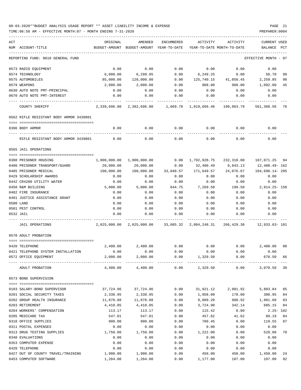08-03-2020\*\*BUDGET ANALYSIS USAGE REPORT \*\* ASSET LIABILITY INCOME & EXPENSE PAGE 21 TIME:06:58 AM - EFFECTIVE MONTH:07 - MONTH ENDING 7-31-2020 PREPARER:0004

| ACT |                                         | ORIGINAL      | AMENDED                                 | ENCUMBERED   | <b>ACTIVITY</b> | ACTIVITY                   | <b>CURRENT USED</b>  |     |
|-----|-----------------------------------------|---------------|-----------------------------------------|--------------|-----------------|----------------------------|----------------------|-----|
|     | NUM ACCOUNT-TITLE                       | BUDGET-AMOUNT | BUDGET-AMOUNT                           | YEAR-TO-DATE |                 | YEAR-TO-DATE MONTH-TO-DATE | BALANCE              | PCT |
|     | REPORTING FUND: 0010 GENERAL FUND       |               |                                         |              |                 |                            | EFFECTIVE MONTH - 07 |     |
|     | 0573 RADIO EQUIPMENT                    | 0.00          | 0.00                                    | 0.00         | 0.00            | 0.00                       | 0.00                 |     |
|     | 0574 TECHNOLOGY                         | 6,000.00      | 6,299.95                                | 0.00         | 6,249.25        | 0.00                       | 50.70                | 99  |
|     | 0575 AUTOMOBILES                        | 85,000.00     | 128,000.00                              | 0.00         | 125,740.15      | 41,058.45                  | 2,259.85             | 98  |
|     | 0579 WEAPONS                            | 2,000.00      | 2,000.00                                | 0.00         | 908.00          | 908.00                     | 1,092.00             | 45  |
|     | 0630 AUTO NOTE PMT-PRINCIPAL            | 0.00          | 0.00                                    | 0.00         | 0.00            | 0.00                       | 0.00                 |     |
|     | 0670 AUTO NOTE PMT-INTEREST             | 0.00          | 0.00                                    | 0.00         | 0.00            | 0.00                       | 0.00                 |     |
|     | COUNTY SHERIFF                          | 2,339,696.80  | 2,382,696.80                            | 1,669.78     | 1,819,666.46    | 199,063.79                 | 561,360.56           | 76  |
|     | 0562 RIFLE RESISTANT BODY ARMOR 3439801 |               |                                         |              |                 |                            |                      |     |
|     | 0396 BODY ARMOR                         | 0.00          | 0.00                                    | 0.00         | 0.00            | 0.00                       | 0.00                 |     |
|     | RIFLE RESISTANT BODY ARMOR 3439801      | 0.00          | 0.00                                    | 0.00         | 0.00            | 0.00                       | 0.00                 |     |
|     | 0565 JAIL OPERATIONS                    |               |                                         |              |                 |                            |                      |     |
|     | 0380 PRISONER HOUSING                   | 1,900,000.00  | 1,900,000.00                            | 0.00         | 1,792,928.75    | 232,310.00                 | 107,071.25           | 94  |
|     | 0400 PRISONER TRANSPORT/GUARD           | 20,000.00     | 20,000.00                               | 0.00         | 32,400.49       | 9,843.13                   | 12,400.49- 162       |     |
|     | 0405 PRISONER MEDICAL                   | 100,000.00    | 100,000.00                              | 33,040.57    | 171,649.57      | 24,076.67                  | 104,690.14-205       |     |
|     | 0429 SCHOLARSHIP AWARDS                 | 0.00          | 0.00                                    | 0.00         | 0.00            | 0.00                       | 0.00                 |     |
|     | 0442 CR4200 UTILITY WATER               | 0.00          | 0.00                                    | 0.00         | 0.00            | 0.00                       | 0.00                 |     |
|     | 0450 R&M BUILDING                       | 5,000.00      | 5,000.00                                | 644.75       | 7,269.50        | 199.50                     | 2,914.25- 158        |     |
|     | 0482 FIRE INSURANCE                     | 0.00          | 0.00                                    | 0.00         | 0.00            | 0.00                       | 0.00                 |     |
|     | 0491 JUSTICE ASSISTANCE GRANT           | 0.00          | 0.00                                    | 0.00         | 0.00            | 0.00                       | 0.00                 |     |
|     | 0500 LAND                               | 0.00          | 0.00                                    | 0.00         | 0.00            | 0.00                       | 0.00                 |     |
|     | 0501 PEST CONTROL                       | 0.00          | 0.00                                    | 0.00         | 0.00            | 0.00                       | 0.00                 |     |
|     | 0532 JAIL                               | 0.00          | 0.00                                    | 0.00         | 0.00            | 0.00                       | 0.00                 |     |
|     | <b>JAIL OPERATIONS</b>                  | 2,025,000.00  | 2,025,000.00                            | 33,685.32    | 2,004,248.31    | 266,429.30                 | 12,933.63- 101       |     |
|     | 0570 ADULT PROBATION                    |               |                                         |              |                 |                            |                      |     |
|     | 0420 TELEPHONE                          | 2,400.00      | 2,400.00                                | 0.00         | 0.00            | 0.00                       | 2,400.00             | 00  |
|     | 0421 TELEPHONE SYSTEM INSTALLATION      | 0.00          | 0.00                                    | 0.00         | 0.00            | 0.00                       | 0.00                 |     |
|     | 0572 OFFICE EQUIPMENT                   | 2,000.00      | 2,000.00                                | 0.00         | 1,329.50        | 0.00                       | 670.50 66            |     |
|     | ADULT PROBATION                         |               | $4,400.00$ $4,400.00$ $0.00$ $1,329.50$ |              |                 | 0.00                       | 3,070.50 30          |     |
|     | 0573 BOND SUPERVISION                   |               |                                         |              |                 |                            |                      |     |
|     | 0103 SALARY-BOND SUPERVISOR             | 37,724.96     | 37,724.96                               | 0.00         |                 | 31,921.12 2,901.92         | 5,803.84             | 85  |
|     | 0201 SOCIAL SECURITY TAXES              | 2,338.95      | 2,338.95                                | 0.00         | 1,958.00        | 178.00                     | 380.95               | 84  |
|     | 0202 GROUP HEALTH INSURANCE             | 11,870.88     | 11,870.88                               | 0.00         | 9,889.20        | 988.92                     | 1,981.68             | 83  |
|     | 0203 RETIREMENT                         | 4,410.05      | 4,410.05                                | 0.00         | 3,724.90        | 342.14                     | 685.15               | 84  |
|     | 0204 WORKERS' COMPENSATION              | 113.17        | 113.17                                  | 0.00         | 115.42          | 0.00                       | $2.25 - 102$         |     |
|     | 0205 MEDICARE TAX                       | 547.01        | 547.01                                  | 0.00         | 457.82          | 41.62                      | 89.19                | 84  |
|     | 0310 OFFICE SUPPLIES                    | 900.00        | 900.00                                  | 0.00         | 780.45          | 0.00                       | 119.55               | 87  |
|     | 0311 POSTAL EXPENSES                    | 0.00          | 0.00                                    | 0.00         | 0.00            | 0.00                       | 0.00                 |     |
|     | 0313 DRUG TESTING SUPPLIES              | 1,750.00      | 1,750.00                                | 0.00         | 1,222.00        | 0.00                       | 528.00               | 70  |
|     | 0340 EVALUATIONS                        | 0.00          | 0.00                                    | 0.00         | 0.00            | 0.00                       | 0.00                 |     |
|     | 0353 COMPUTER EXPENSE                   | 0.00          | 0.00                                    | 0.00         | 0.00            | 0.00                       | 0.00                 |     |
|     | 0420 TELEPHONE                          | 0.00          | 0.00                                    | 0.00         | 0.00            | 0.00                       | 0.00                 |     |
|     | 0427 OUT OF COUNTY TRAVEL/TRAINING      | 1,900.00      | 1,900.00                                | 0.00         | 450.00          | 450.00                     | 1,450.00             | 24  |

0453 COMPUTER SOFTWARE 1,284.00 1,284.00 1,284.00 0.00 1,177.00 107.00 107.00 92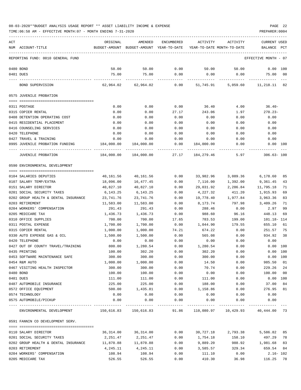TIME:06:58 AM - EFFECTIVE MONTH:07 - MONTH ENDING 7-31-2020 PREPARER:0004

| ACT                                  | ORIGINAL              | AMENDED                                                             | ENCUMBERED | ACTIVITY   | ACTIVITY                                | CURRENT USED         |                |
|--------------------------------------|-----------------------|---------------------------------------------------------------------|------------|------------|-----------------------------------------|----------------------|----------------|
| NUM ACCOUNT-TITLE                    |                       | BUDGET-AMOUNT BUDGET-AMOUNT YEAR-TO-DATE YEAR-TO-DATE MONTH-TO-DATE |            |            |                                         | BALANCE PCT          |                |
| REPORTING FUND: 0010 GENERAL FUND    |                       |                                                                     |            |            |                                         | EFFECTIVE MONTH - 07 |                |
| 0480 BOND                            | 50.00                 | 50.00                                                               | 0.00       | 50.00      | 50.00                                   | $0.00$ $100$         |                |
| 0481 DUES                            | 75.00                 | 75.00                                                               | 0.00       | 0.00       | 0.00                                    | 75.00                | 00             |
| BOND SUPERVISION                     |                       | 62,964.02 62,964.02                                                 | 0.00       |            | 51,745.91 5,059.60 11,218.11 82         |                      |                |
| 0575 JUVENILE PROBATION              |                       |                                                                     |            |            |                                         |                      |                |
|                                      |                       |                                                                     |            |            |                                         |                      |                |
| 0311 POSTAGE                         | 0.00                  | 0.00                                                                | 0.00       | 36.40      | 4.00                                    | 36.40-               |                |
| 0315 COPIER RENTAL                   | 0.00                  | 0.00                                                                | 27.17      | 243.06     | 1.97                                    | $270.23-$            |                |
| 0408 DETENTION OPERATING COST        | 0.00                  | 0.00                                                                | 0.00       | 0.00       | 0.00                                    | 0.00                 |                |
| 0415 RESIDENTIAL PLACEMENT           | 0.00                  | 0.00                                                                | 0.00       | 0.00       | 0.00                                    | 0.00                 |                |
| 0416 COUNSELING SERVICES             | 0.00                  | 0.00                                                                | 0.00       | 0.00       | 0.00                                    | 0.00                 |                |
| 0420 TELEPHONE                       | 0.00                  | 0.00                                                                | 0.00       | 0.00       | 0.00                                    | 0.00                 |                |
| 0427 TRAVEL & TRAINING               | 0.00                  | 0.00                                                                | 0.00       | 0.00       | 0.00                                    | 0.00                 |                |
| 0995 JUVENILE PROBATION FUNDING      | 184,000.00            | 184,000.00                                                          | 0.00       | 184,000.00 | 0.00                                    | 0.00 100             |                |
| JUVENILE PROBATION                   | 184,000.00            | 184,000.00                                                          | 27.17      | 184,279.46 | 5.97                                    | $306.63 - 100$       |                |
| 0590 ENVIRONMENTAL DEVELOPMENT       |                       |                                                                     |            |            |                                         |                      |                |
|                                      |                       |                                                                     |            |            |                                         |                      |                |
| 0104 SALARIES DEPUTIES               | 40,161.56             | 40,161.56                                                           | 0.00       | 33,982.96  | 3,089.36                                | 6,178.60             | 85             |
| 0107 SALARY TEMP/EXTRA               | 18,096.00             | 16,477.45                                                           | 0.00       | 7,116.00   | 1,392.00                                | 9,361.45             | 43             |
| 0151 SALARY DIRECTOR                 | 40,827.10             | 40,827.10                                                           | 0.00       | 29,031.92  | 2,286.84                                | 11,795.18            | 71             |
| 0201 SOCIAL SECURITY TAXES           | 6,143.25              | 6,143.25                                                            | 0.00       | 4,227.32   | 411.20                                  | 1,915.93             | 69             |
| 0202 GROUP HEALTH & DENTAL INSURANCE | 23,741.76             | 23,741.76                                                           | 0.00       | 19,778.40  | 1,977.84                                | 3,963.36             | 83             |
| 0203 RETIREMENT                      | 11,583.00             | 11,583.00                                                           | 0.00       | 8,173.74   | 797.98                                  | 3,409.26             | 71             |
| 0204 WORKERS' COMPENSATION           | 291.43                | 291.43                                                              | 0.00       | 288.46     | 0.00                                    | 2.97                 | 99             |
| 0205 MEDICARE TAX                    | 1,436.73              | 1,436.73                                                            | 0.00       | 988.60     | 96.16                                   | 448.13               | 69             |
| 0310 OFFICE SUPPLIES                 | 700.00                | 700.00                                                              | 17.65      | 783.53     | 199.00                                  | 101.18- 114          |                |
| 0311 POSTAL EXPENSE                  | 1,700.00              | 1,700.00                                                            | 0.00       | 1,044.90   | 179.55                                  | 655.10               | 61             |
| 0315 COPIER RENTAL                   | 1,000.00              | 1,000.00                                                            | 74.21      | 674.22     | 0.00                                    | 251.57               | 75             |
| 0330 AUTO EXPENSE GAS & OIL          | 1,500.00              | 1,500.00                                                            | 0.00       | 565.08     | 0.00                                    | 934.92               | 38             |
| 0420 TELEPHONE                       | 0.00                  | 0.00                                                                | 0.00       | 0.00       | 0.00                                    | 0.00                 |                |
| 0427 OUT OF COUNTY TRAVEL/TRAINING   | 800.00                | 1,280.54                                                            | 0.00       | 1,280.54   | 0.00                                    | 0.00 100             |                |
| 0435 PRINTING                        | 100.00                | 302.20                                                              | 0.00       | 302.20     | 0.00                                    | 0.00 100             |                |
| 0453 SOFTWARE MAINTENANCE SAFE       | 300.00                | 300.00                                                              | 0.00       | 300.00     | 0.00                                    | 0.00 100             |                |
| 0454 R&M AUTO                        | 1,000.00              | 1,000.00                                                            | 0.00       | 14.50      | 0.00                                    | 985.50 01            |                |
| 0467 VISITING HEALTH INSPECTOR       | 300.00                | 300.00                                                              | 0.00       | 70.74      | 0.00                                    | 229.26 24            |                |
| 0480 BOND                            | 100.00                | 100.00                                                              | 0.00       | 0.00       | 0.00                                    | 100.00               | 0 <sub>0</sub> |
| 0481 DUES                            | 111.00                | 111.00                                                              | 0.00       | 111.00     | 0.00                                    | $0.00$ 100           |                |
| 0487 AUTOMOBILE INSURANCE            | 225.00                | 225.00                                                              | 0.00       | 188.00     | 0.00                                    | 37.00                | 84             |
| 0572 OFFICE EQUIPMENT                | 500.00                | 1,435.81                                                            | 0.00       | 1,158.86   | 0.00                                    | 276.95 81            |                |
| 0574 TECHNOLOGY                      | 0.00                  | 0.00                                                                | 0.00       | 0.00       | 0.00                                    | 0.00                 |                |
| 0575 AUTOMOBILE/PICKUP               | 0.00                  | 0.00                                                                | 0.00       | 0.00       | 0.00                                    | 0.00                 |                |
| ENVIRONMENTAL DEVELOPMENT            | 150,616.83 150,616.83 |                                                                     | 91.86      |            | 110,080.97   10,429.93   40,444.00   73 |                      |                |
| 0591 FANNIN CO DEVELOPMENT SERV.     |                       |                                                                     |            |            |                                         |                      |                |
|                                      |                       |                                                                     |            |            |                                         |                      |                |
| 0110 SALARY DIRECTOR                 | 36,314.00             | 36,314.00                                                           | 0.00       |            | 30,727.18 2,793.38                      | 5,586.82             | 85             |
| 0201 SOCIAL SECURITY TAXES           | 2,251.47              | 2,251.47                                                            | 0.00       | 1,754.18   | 158.10                                  | 497.29               | 78             |
| 0202 GROUP HEALTH & DENTAL INSURANCE | 11,870.88             | 11,870.88                                                           | 0.00       | 9,889.20   | 988.92                                  | 1,981.68 83          |                |
| 0203 RETIREMENT                      | 4,245.11              | 4,245.11                                                            | 0.00       | 3,585.57   | 329.34                                  | 659.54 84            |                |
| 0204 WORKERS' COMPENSATION           | 108.94                | 108.94                                                              | 0.00       | 111.10     | 0.00                                    | $2.16 - 102$         |                |

0205 MEDICARE TAX 526.55 526.55 0.00 410.30 36.98 116.25 78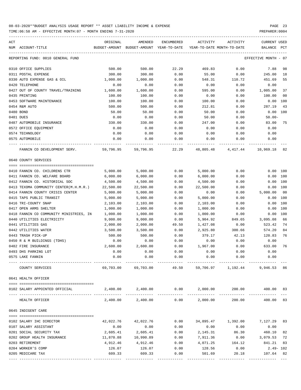| ACT | NUM ACCOUNT-TITLE                                                     | ORIGINAL     | AMENDED<br>BUDGET-AMOUNT BUDGET-AMOUNT YEAR-TO-DATE | ENCUMBERED   | ACTIVITY     | ACTIVITY<br>YEAR-TO-DATE MONTH-TO-DATE | <b>CURRENT USED</b><br>BALANCE | PCT            |
|-----|-----------------------------------------------------------------------|--------------|-----------------------------------------------------|--------------|--------------|----------------------------------------|--------------------------------|----------------|
|     |                                                                       |              |                                                     |              |              |                                        |                                |                |
|     | REPORTING FUND: 0010 GENERAL FUND                                     |              |                                                     |              |              |                                        | EFFECTIVE MONTH - 07           |                |
|     | 0310 OFFICE SUPPLIES                                                  | 500.00       | 500.00                                              | 22.29        | 469.83       | 0.00                                   | 7.88                           | 98             |
|     | 0311 POSTAL EXPENSE                                                   | 300.00       | 300.00                                              | 0.00         | 55.00        | 0.00                                   | 245.00                         | 18             |
|     | 0330 AUTO EXPENSE GAS & OIL                                           | 1,000.00     | 1,000.00                                            | 0.00         | 548.31       | 110.72                                 | 451.69                         | 55             |
|     | 0420 TELEPHONE                                                        | 0.00         | 0.00                                                | 0.00         | 0.00         | 0.00                                   | 0.00                           |                |
|     | 0427 OUT OF COUNTY TRAVEL/TRAINING                                    | 1,600.00     | 1,600.00                                            | 0.00         | 595.00       | 0.00                                   | 1,005.00                       | 37             |
|     | 0435 PRINTING                                                         | 100.00       | 100.00                                              | 0.00         | 0.00         | 0.00                                   | 100.00                         | 0 <sub>0</sub> |
|     | 0453 SOFTWARE MAINTENANCE                                             | 100.00       | 100.00                                              | 0.00         | 100.00       | 0.00                                   | 0.00                           | 100            |
|     | 0454 R&M AUTO                                                         | 500.00       | 500.00                                              | 0.00         | 212.81       | 0.00                                   | 287.19                         | 43             |
|     | 0480 BOND                                                             | 50.00        | 50.00                                               | 0.00         | 50.00        | 0.00                                   | $0.00$ $100$                   |                |
|     | 0481 DUES                                                             | 0.00         | 0.00                                                | 0.00         | 50.00        | 0.00                                   | $50.00 -$                      |                |
|     | 0487 AUTOMOBILE INSURANCE                                             | 330.00       | 330.00                                              | 0.00         | 247.00       | 0.00                                   | 83.00                          | 75             |
|     | 0572 OFFICE EQUIPMENT                                                 | 0.00         | 0.00                                                | 0.00         | 0.00         | 0.00                                   | 0.00                           |                |
|     | 0574 TECHNOLOGY                                                       | 0.00         | 0.00                                                | 0.00         | 0.00         | 0.00                                   | 0.00                           |                |
|     | 0575 AUTOMOBILE                                                       | 0.00         | 0.00                                                | 0.00         | 0.00         | 0.00                                   | 0.00                           |                |
|     | FANNIN CO DEVELOPMENT SERV.                                           | 59,796.95    | 59,796.95                                           | 22.29        | 48,805.48    | 4,417.44                               | 10,969.18 82                   |                |
|     |                                                                       |              |                                                     |              |              |                                        |                                |                |
|     | 0640 COUNTY SERVICES                                                  |              |                                                     |              |              |                                        |                                |                |
|     | 0410 FANNIN CO. CHILDRENS CTR                                         | 5,000.00     | 5,000.00                                            | 0.00         | 5,000.00     | 0.00                                   | 0.00 100                       |                |
|     | 0411 FANNIN CO. WELFARE BOARD                                         | 6,000.00     |                                                     |              |              |                                        |                                |                |
|     |                                                                       |              | 6,000.00                                            | 0.00         | 6,000.00     | 0.00                                   | 0.00 100<br>0.00 100           |                |
|     | 0412 FANNIN CO. HISTORICAL SOC                                        | 4,500.00     | 4,500.00                                            | 0.00         | 4,500.00     | 0.00                                   |                                |                |
|     | 0413 TEXOMA COMMUNITY CENTER(M.H.M.R.) 22,500.00                      |              | 22,500.00                                           | 0.00<br>0.00 | 22,500.00    | 0.00<br>0.00                           | 0.00 100<br>5,000.00           | 00             |
|     | 0414 FANNIN COUNTY CRISIS CENTER<br>0415 TAPS PUBLIC TRANSIT          | 5,000.00     | 5,000.00                                            |              | 0.00         |                                        |                                | 100            |
|     | 0416 TRI-COUNTY SNAP                                                  | 5,000.00     | 5,000.00                                            | 0.00         | 5,000.00     | 0.00                                   | 0.00<br>0.00                   | 100            |
|     |                                                                       | 2,103.00     | 2,103.00                                            | 0.00         | 2,103.00     | 0.00                                   |                                | 100            |
|     | 0417 OPEN ARMS SHELTER                                                | 1,000.00     | 1,000.00                                            | 0.00         | 1,000.00     | 0.00                                   | 0.00                           | 100            |
|     | 0418 FANNIN CO COMMUNITY MINISTRIES, IN<br>0440 UTILITIES ELECTRICITY | 1,000.00     | 1,000.00                                            | 0.00         | 1,000.00     | 0.00                                   | 0.00<br>3,095.08               | 66             |
|     |                                                                       | 9,000.00     | 9,000.00                                            | 0.00         | 5,904.92     | 849.65                                 |                                | 74             |
|     | 0441 UTILITIES GAS<br>0442 UTILITIES WATER                            | 2,000.00     | 2,000.00<br>3,500.00                                | 49.50        | 1,427.08     | 0.00                                   | 523.42                         | 84             |
|     |                                                                       | 3,500.00     |                                                     | 0.00         | 2,925.80     | 300.66                                 | 574.20                         |                |
|     | 0443 TRASH PICK-UP                                                    | 500.00       | 500.00                                              | 0.00         | 379.17       | 42.13                                  | 120.83                         | 76             |
|     | 0450 R & M BUILDINGS (TDHS)                                           | 0.00         | 0.00                                                | 0.00         | 0.00         | 0.00                                   | 0.00                           |                |
|     | 0482 FIRE INSURANCE<br>0493 DHS PARKING LOT                           | 2,600.00     | 2,600.00                                            | 0.00         | 1,967.00     | 0.00                                   | 633.00<br>0.00                 | 76             |
|     | 0575 LAKE FANNIN                                                      | 0.00<br>0.00 | 0.00<br>0.00                                        | 0.00<br>0.00 | 0.00<br>0.00 | 0.00<br>0.00                           | 0.00                           |                |
|     |                                                                       |              |                                                     |              |              |                                        |                                |                |
|     | COUNTY SERVICES                                                       | 69,703.00    | 69,703.00                                           | 49.50        |              | 59,706.97 1,192.44                     | 9,946.53 86                    |                |
|     | 0641 HEALTH OFFICER                                                   |              |                                                     |              |              |                                        |                                |                |
|     |                                                                       |              |                                                     |              |              |                                        |                                |                |
|     | 0102 SALARY APPOINTED OFFICIAL                                        |              | $2,400.00$ $2,400.00$ $0.00$ $2,000.00$             |              |              |                                        | 200.00 400.00 83               |                |
|     | HEALTH OFFICER                                                        |              | 2,400.00 2,400.00                                   | 0.00         | 2,000.00     | 200.00                                 | 400.00 83                      |                |
|     | 0645 INDIGENT CARE                                                    |              |                                                     |              |              |                                        |                                |                |
|     |                                                                       |              |                                                     |              |              |                                        |                                |                |
|     | 0102 SALARY IHC DIRECTOR                                              | 42,022.76    | 42,022.76                                           | 0.00         | 34,895.47    | 1,392.00                               | 7,127.29 83                    |                |
|     | 0107 SALARY ASSISTANT                                                 | 0.00         | 0.00                                                | 0.00         | 0.00         | 0.00                                   | 0.00                           |                |
|     | 0201 SOCIAL SECURITY TAX                                              | 2,605.41     | 2,605.41                                            | 0.00         | 2,145.31     | 86.30                                  | 460.10                         | 82             |
|     | 0202 GROUP HEALTH INSURANCE                                           | 11,870.88    | 10,990.89                                           | 0.00         | 7,911.36     | 0.00                                   | 3,079.53                       | 72             |
|     | 0203 RETIREMENT                                                       | 4,912.46     | 4,912.46                                            | 0.00         | 4,071.25     | 164.12                                 | 841.21                         | 83             |
|     | 0204 WORKER'S COMP                                                    | 126.07       | 126.07                                              | 0.00         | 128.56       | 0.00                                   | $2.49 - 102$                   |                |
|     | 0205 MEDICARE TAX                                                     | 609.33       | 609.33                                              | 0.00         | 501.69       | 20.18                                  | 107.64 82                      |                |
|     |                                                                       |              |                                                     |              |              |                                        |                                |                |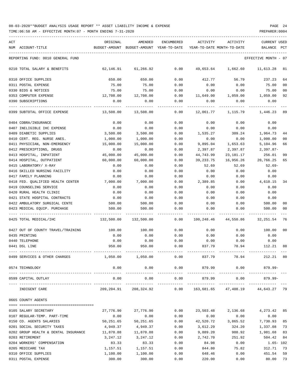| ACT | NUM ACCOUNT-TITLE                    | ORIGINAL<br>BUDGET-AMOUNT BUDGET-AMOUNT YEAR-TO-DATE | AMENDED                                                      | <b>ENCUMBERED</b>     | ACTIVITY<br>YEAR-TO-DATE MONTH-TO-DATE | ACTIVITY           | <b>CURRENT USED</b><br><b>BALANCE</b> | $_{\rm PCT}$   |
|-----|--------------------------------------|------------------------------------------------------|--------------------------------------------------------------|-----------------------|----------------------------------------|--------------------|---------------------------------------|----------------|
|     |                                      |                                                      |                                                              |                       |                                        |                    |                                       |                |
|     | REPORTING FUND: 0010 GENERAL FUND    |                                                      |                                                              |                       |                                        |                    | EFFECTIVE MONTH - 07                  |                |
|     | 0210 TOTAL SALARY & BENEFITS         | 62,146.91                                            | 61,266.92                                                    | 0.00                  | 49,653.64                              | 1,662.60           | 11,613.28                             | 81             |
|     | 0310 OFFICE SUPPLIES                 | 650.00                                               | 650.00                                                       | 0.00                  | 412.77                                 | 56.79              | 237.23                                | 64             |
|     | 0311 POSTAL EXPENSE                  | 75.00                                                | 75.00                                                        | 0.00                  | 0.00                                   | 0.00               | 75.00                                 | 0 <sub>0</sub> |
|     | 0330 BIDS & NOTICES                  | 75.00                                                | 75.00                                                        | 0.00                  | 0.00                                   | 0.00               | 75.00                                 | 00             |
|     | 0353 COMPUTER EXPENSE                | 12,708.00                                            | 12,708.00                                                    | 0.00                  | 11,649.00                              | 1,059.00           | 1,059.00                              | 92             |
|     | 0390 SUBSCRIPTIONS                   | 0.00                                                 | 0.00                                                         | 0.00                  | 0.00                                   | 0.00               | 0.00                                  |                |
|     | 0399 SUBTOTAL OFFICE EXPENSE         | 13,508.00                                            | 13,508.00                                                    | 0.00                  | 12,061.77                              | 1,115.79           | 1,446.23                              | 89             |
|     | 0404 COBRA/INSURANCE                 | 0.00                                                 | 0.00                                                         | 0.00                  | 0.00                                   | 0.00               | 0.00                                  |                |
|     | 0407 INELIGIBLE IHC EXPENSE          | 0.00                                                 | 0.00                                                         | 0.00                  | 0.00                                   | 0.00               | 0.00                                  |                |
|     | 0409 DIABETIC SUPPLIES               | 3,500.00                                             | 3,500.00                                                     | 0.00                  | 1,535.27                               | 309.24             | 1,964.73                              | 44             |
|     | 0410 CERT. REG. NURSE ANES.          | 1,000.00                                             | 1,000.00                                                     | 0.00                  | 0.00                                   | 0.00               | 1,000.00                              | 00             |
|     | 0411 PHYSICIAN, NON-EMERGENCY        | 15,000.00                                            | 15,000.00                                                    | 0.00                  | 9,895.04                               | 1,653.63           | 5,104.96                              | 66             |
|     | 0412 PRESCRIPTIONS, DRUGS            | 0.00                                                 | 0.00                                                         | 0.00                  | 2,397.87                               | 2,397.87           | $2,397.87-$                           |                |
|     | 0413 HOSPITAL, INPATIENT             | 45,000.00                                            | 45,000.00                                                    | 0.00                  | 44,743.99                              | 23,181.17          | 256.01                                | 99             |
|     | 0414 HOSPITAL, OUTPATIENT            | 60,000.00                                            | 60,000.00                                                    | 0.00                  | 39,233.75                              | 16,956.26          | 20,766.25                             | 65             |
|     | 0415 LABORATORY/ X-RAY               | 0.00                                                 | 0.00                                                         | 0.00                  | 52.69                                  | 52.69              | 52.69-                                |                |
|     | 0416 SKILLED NURSING FACILITY        | 0.00                                                 | 0.00                                                         | 0.00                  | 0.00                                   | 0.00               | 0.00                                  |                |
|     | 0417 FAMILY PLANNING                 | 0.00                                                 | 0.00                                                         | 0.00                  | 0.00                                   | 0.00               | 0.00                                  |                |
|     |                                      |                                                      |                                                              |                       |                                        |                    |                                       |                |
|     | 0418 FED. QUALIFIED HEALTH CENTER    | 7,000.00                                             | 7,000.00                                                     | 0.00                  | 2,389.85                               | 0.00               | 4,610.15                              | 34             |
|     | 0419 COUNSELING SERVICE              | 0.00                                                 | 0.00                                                         | 0.00                  | 0.00                                   | 0.00               | 0.00                                  |                |
|     | 0420 RURAL HEALTH CLINIC             | 0.00                                                 | 0.00                                                         | 0.00                  | 0.00                                   | 0.00               | 0.00                                  |                |
|     | 0421 STATE HOSPITAL CONTRACTS        | 0.00                                                 | 0.00                                                         | 0.00                  | 0.00                                   | 0.00               | 0.00                                  |                |
|     | 0422 AMBULATORY SURGICAL CENTE       | 500.00                                               | 500.00                                                       | 0.00                  | 0.00                                   | 0.00               | 500.00                                | 00             |
|     | 0423 MEDICAL EOUIP. PURCHASE         | 500.00                                               | 500.00                                                       | 0.00                  | 0.00                                   | 0.00               | 500.00                                | 00             |
|     | 0425 TOTAL MEDICAL/IHC               | 132,500.00                                           | 132,500.00                                                   | 0.00                  | 100,248.46                             | 44,550.86          | 32,251.54                             | 76             |
|     | 0427 OUT OF COUNTY TRAVEL/TRAINING   | 100.00                                               | 100.00                                                       | 0.00                  | 0.00                                   | 0.00               | 100.00                                | 00             |
|     | 0435 PRINTING                        | 0.00                                                 | 0.00                                                         | 0.00                  | 0.00                                   | 0.00               | 0.00                                  |                |
|     | 0440 TELEPHONE                       | 0.00                                                 | 0.00                                                         | 0.00                  | 0.00                                   | 0.00               | 0.00                                  |                |
|     | 0441 DSL LINE                        | 950.00                                               | 950.00                                                       | 0.00                  | 837.79                                 | 78.94              | 112.21                                | 88             |
|     | 0499 SERVICES & OTHER CHARGES        | 1,050.00                                             | 1,050.00                                                     | 0.00                  | 837.79                                 | 78.94              | 212.21 80                             |                |
|     | 0574 TECHNOLOGY                      | 0.00                                                 | 0.00<br>. <u>.</u> .                                         | 0.00<br>_____________ |                                        | 879.99 0.00        | 879.99-                               |                |
|     | 0599 CAPITAL OUTLAY                  | 0.00                                                 | 0.00                                                         | 0.00                  | 879.99                                 | 0.00               | 879.99-                               |                |
|     | INDIGENT CARE                        |                                                      | 209,204.91 208,324.92 0.00 163,681.65 47,408.19 44,643.27 79 |                       |                                        |                    |                                       |                |
|     | 0665 COUNTY AGENTS                   |                                                      |                                                              |                       |                                        |                    |                                       |                |
|     |                                      |                                                      |                                                              |                       |                                        |                    |                                       |                |
|     | 0105 SALARY SECRETARY                | 27,776.90                                            | 27,776.90                                                    | 0.00                  |                                        | 23,503.48 2,136.68 | 4,273.42 85                           |                |
|     | 0107 REGULAR-TEMP. PART-TIME         | 0.00                                                 | 0.00                                                         | 0.00                  | 0.00                                   | 0.00               | 0.00                                  |                |
|     | 0150 CO. AGENTS SALARIES             | 50,251.65                                            | 50,251.65                                                    | 0.00                  | 42,520.72                              | 3,865.52           | 7,730.93                              | 85             |
|     | 0201 SOCIAL SECURITY TAXES           | 4,949.37                                             | 4,949.37                                                     | 0.00                  | 3,612.29                               | 324.20             | 1,337.08 73                           |                |
|     | 0202 GROUP HEALTH & DENTAL INSURANCE | 11,870.88                                            | 11,870.88                                                    | 0.00                  | 9,889.20                               | 988.92             | 1,981.68                              | 83             |
|     | 0203 RETIREMENT                      | 3,247.12                                             | 3,247.12                                                     | 0.00                  | 2,742.70                               | 251.92             | 504.42                                | 84             |
|     | 0204 WORKERS' COMPENSATION           | 83.33                                                | 83.33                                                        | 0.00                  | 84.98                                  | 0.00               | 1.65- 102                             |                |
|     | 0205 MEDICARE TAX                    | 1,157.51                                             | 1,157.51                                                     | 0.00                  | 844.80                                 | 75.82              | 312.71                                | 73             |
|     | 0310 OFFICE SUPPLIES                 | 1,100.00                                             | 1,100.00                                                     | 0.00                  | 648.46                                 | 0.00               | 451.54                                | 59             |
|     | 0311 POSTAL EXPENSE                  | 300.00                                               | 300.00                                                       | 0.00                  | 220.00                                 | 0.00               | 80.00                                 | 73             |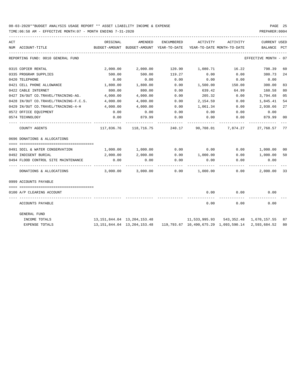TIME:06:58 AM - EFFECTIVE MONTH:07 - MONTH ENDING 7-31-2020 -----------------------------------------------------------------------------------------------------------------------------------

| ACT |                                       | ORIGINAL                        | AMENDED                                                                                         | ENCUMBERED        | ACTIVITY                   | ACTIVITY                        | <b>CURRENT USED</b>  |              |
|-----|---------------------------------------|---------------------------------|-------------------------------------------------------------------------------------------------|-------------------|----------------------------|---------------------------------|----------------------|--------------|
|     | NUM ACCOUNT-TITLE                     | BUDGET-AMOUNT                   | BUDGET-AMOUNT YEAR-TO-DATE                                                                      |                   | YEAR-TO-DATE MONTH-TO-DATE |                                 | BALANCE              | $_{\rm PCT}$ |
|     | REPORTING FUND: 0010 GENERAL FUND     |                                 |                                                                                                 |                   |                            |                                 | EFFECTIVE MONTH - 07 |              |
|     | 0315 COPIER RENTAL                    | 2,000.00                        | 2,000.00                                                                                        |                   | 120.90 1,080.71            | 16.22                           | 798.39               | 60           |
|     | 0335 PROGRAM SUPPLIES                 | 500.00                          | 500.00                                                                                          | 119.27            | 0.00                       | 0.00                            | 380.73               | 24           |
|     | 0420 TELEPHONE                        | 0.00                            | 0.00                                                                                            | 0.00              | 0.00                       | 0.00                            | 0.00                 |              |
|     | 0421 CELL PHONE ALLOWANCE             | 1,800.00                        | 1,800.00                                                                                        | 0.00              | 1,500.00                   | 150.00                          | 300.00               | 83           |
|     | 0422 CABLE INTERNET                   | 800.00                          | 800.00                                                                                          | 0.00              | 639.42                     | 64.99                           | 160.58               | 80           |
|     | 0427 IN/OUT CO.TRAVEL/TRAINING-AG.    | 4,000.00                        | 4,000.00                                                                                        | 0.00              | 205.32                     | 0.00                            | 3,794.68             | 05           |
|     | 0428 IN/OUT CO.TRAVEL/TRAINING-F.C.S. | 4,000.00                        | 4,000.00                                                                                        | 0.00              | 2,154.59                   | 0.00                            | 1,845.41             | 54           |
|     | 0429 IN/OUT CO.TRAVEL/TRAINING-4-H    | 4,000.00                        | 4,000.00                                                                                        | 0.00              | 1,061.34                   | 0.00                            | 2,938.66             | 27           |
|     | 0572 OFFICE EOUIPMENT                 | 0.00                            | 0.00                                                                                            | 0.00              | 0.00                       | 0.00                            | 0.00                 |              |
|     | 0574 TECHNOLOGY                       | 0.00                            | 879.99                                                                                          | 0.00              | 0.00                       | 0.00                            | 879.99               | 00           |
|     | COUNTY AGENTS                         | 117,836.76                      |                                                                                                 | 118,716.75 240.17 |                            | 90,708.01 7,874.27 27,768.57 77 |                      |              |
|     | 0696 DONATIONS & ALLOCATIONS          |                                 |                                                                                                 |                   |                            |                                 |                      |              |
|     | 0491 SOIL & WATER CONSERVATION        |                                 | 1,000.00 1,000.00                                                                               | 0.00              | 0.00                       |                                 | $0.00$ 1,000.00      | 00           |
|     | 0492 INDIGENT BURIAL                  | 2,000.00                        | 2,000.00                                                                                        | 0.00              | 1,000.00                   |                                 | 0.00 1,000.00        | 50           |
|     | 0494 FLOOD CONTROL SITE MAINTENANCE   | 0.00                            | 0.00                                                                                            | 0.00              | 0.00                       | 0.00                            | 0.00                 |              |
|     | DONATIONS & ALLOCATIONS               | -------------                   | 3,000.00 3,000.00                                                                               | 0.00              | 1,000.00                   | 0.00                            | 2,000.00 33          |              |
|     | 0999 ACCOUNTS PAYABLE                 |                                 |                                                                                                 |                   |                            |                                 |                      |              |
|     | 0100 A/P CLEARING ACCOUNT             |                                 |                                                                                                 |                   | 0.00                       | 0.00                            | 0.00                 |              |
|     | ACCOUNTS PAYABLE                      |                                 |                                                                                                 |                   | 0.00                       | 0.00                            | 0.00                 |              |
|     | <b>GENERAL FUND</b>                   |                                 |                                                                                                 |                   |                            |                                 |                      |              |
|     | INCOME TOTALS                         | 13, 151, 844.04 13, 204, 153.48 |                                                                                                 |                   |                            |                                 |                      | 87           |
|     | <b>EXPENSE TOTALS</b>                 |                                 | 13, 151, 844. 04 13, 204, 153. 48 119, 793. 67 10, 490, 675. 29 1, 093, 590. 14 2, 593, 684. 52 |                   |                            |                                 |                      | 80           |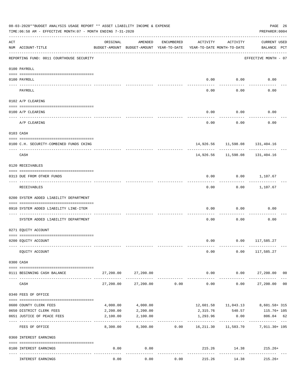|           | 08-03-2020**BUDGET ANALYSIS USAGE REPORT ** ASSET LIABILITY INCOME & EXPENSE<br>TIME: 06:58 AM - EFFECTIVE MONTH: 07 - MONTH ENDING 7-31-2020 |           |                                                     |                                |                                        |                     | PAGE 26<br>PREPARER: 0004                                 |                |
|-----------|-----------------------------------------------------------------------------------------------------------------------------------------------|-----------|-----------------------------------------------------|--------------------------------|----------------------------------------|---------------------|-----------------------------------------------------------|----------------|
| ACT       | NUM ACCOUNT-TITLE                                                                                                                             | ORIGINAL  | AMENDED<br>BUDGET-AMOUNT BUDGET-AMOUNT YEAR-TO-DATE | ENCUMBERED                     | ACTIVITY<br>YEAR-TO-DATE MONTH-TO-DATE | ACTIVITY            | <b>CURRENT USED</b><br>BALANCE PCT                        |                |
|           | REPORTING FUND: 0011 COURTHOUSE SECURITY                                                                                                      |           |                                                     |                                |                                        |                     | EFFECTIVE MONTH - 07                                      |                |
|           | 0100 PAYROLL                                                                                                                                  |           |                                                     |                                |                                        |                     |                                                           |                |
| ---- ---- | 0100 PAYROLL<br>-------------------------- --------                                                                                           |           |                                                     |                                | 0.00                                   | 0.00                | 0.00                                                      |                |
|           | PAYROLL                                                                                                                                       |           |                                                     |                                | 0.00                                   | 0.00                | 0.00                                                      |                |
|           | 0102 A/P CLEARING                                                                                                                             |           |                                                     |                                |                                        |                     |                                                           |                |
|           | 0100 A/P CLEARING<br>-----------------------------------                                                                                      |           |                                                     |                                | 0.00                                   | 0.00                | 0.00                                                      |                |
|           | A/P CLEARING                                                                                                                                  |           |                                                     |                                | 0.00                                   | 0.00                | 0.00                                                      |                |
|           | 0103 CASH                                                                                                                                     |           |                                                     |                                |                                        |                     |                                                           |                |
|           | 0100 C.H. SECURITY-COMBINED FUNDS CKING                                                                                                       |           |                                                     |                                |                                        |                     | 14,926.56 11,598.08 131,404.16                            |                |
|           | CASH                                                                                                                                          |           |                                                     |                                |                                        | 14,926.56 11,598.08 | 131,404.16                                                |                |
|           | 0120 RECEIVABLES                                                                                                                              |           |                                                     |                                |                                        |                     |                                                           |                |
|           | 0313 DUE FROM OTHER FUNDS                                                                                                                     |           |                                                     |                                | 0.00                                   |                     | $0.00$ 1,107.67                                           |                |
|           | RECEIVABLES                                                                                                                                   |           |                                                     |                                | 0.00                                   |                     | $0.00$ 1,107.67                                           |                |
|           | 0200 SYSTEM ADDED LIABILITY DEPARTMENT                                                                                                        |           |                                                     |                                |                                        |                     |                                                           |                |
|           | 0910 SYSTEM ADDED LIABILITY LINE-ITEM                                                                                                         |           |                                                     |                                | 0.00                                   | 0.00                | 0.00                                                      |                |
|           | SYSTEM ADDED LIABILITY DEPARTMENT                                                                                                             |           |                                                     |                                | 0.00                                   | 0.00                | 0.00                                                      |                |
|           | 0271 EQUITY ACCOUNT                                                                                                                           |           |                                                     |                                |                                        |                     |                                                           |                |
|           | 0200 EQUITY ACCOUNT                                                                                                                           |           |                                                     |                                |                                        |                     | $0.00$ $0.00$ $117,585.27$                                |                |
|           | EQUITY ACCOUNT                                                                                                                                |           |                                                     |                                | 0.00                                   |                     | $0.00$ 117,585.27                                         |                |
|           | 0300 CASH                                                                                                                                     |           |                                                     |                                |                                        |                     |                                                           |                |
|           | 0111 BEGINNING CASH BALANCE                                                                                                                   |           | 27,200.00 27,200.00                                 |                                | 0.00                                   |                     | $0.00$ 27,200.00 00                                       |                |
|           | CASH                                                                                                                                          | 27,200.00 |                                                     | ------------<br>27,200.00 0.00 | --------------<br>0.00                 | -----------         | ______________<br>27,200.00<br>0.00                       | 0 <sub>0</sub> |
|           | 0340 FEES OF OFFICE                                                                                                                           |           |                                                     |                                |                                        |                     |                                                           |                |
|           | 0600 COUNTY CLERK FEES                                                                                                                        |           | 4,000.00 4,000.00                                   |                                |                                        |                     | 12,601.58  11,043.13  8,601.58+  315                      |                |
|           | 0650 DISTRICT CLERK FEES                                                                                                                      | 2,200.00  | 2,200.00                                            |                                |                                        |                     | 2,315.76 540.57 115.76+105                                |                |
|           | 0651 JUSTICE OF PEACE FEES                                                                                                                    | 2,100.00  | 2,100.00                                            |                                | 1,293.96<br>-------------              | 0.00<br>----------- | 806.04 62<br>------------- ---                            |                |
|           | FEES OF OFFICE                                                                                                                                | 8,300.00  |                                                     |                                |                                        |                     | 8,300.00   0.00   16,211.30   11,583.70   7,911.30+   195 |                |
|           | 0360 INTEREST EARNINGS                                                                                                                        |           |                                                     |                                |                                        |                     |                                                           |                |
|           | 0100 INTEREST EARNINGS                                                                                                                        | 0.00      | 0.00                                                |                                |                                        |                     | 215.26 14.38 215.26+                                      |                |
|           | INTEREST EARNINGS                                                                                                                             | 0.00      | 0.00                                                | 0.00                           | 215.26                                 | 14.38               | $215.26+$                                                 |                |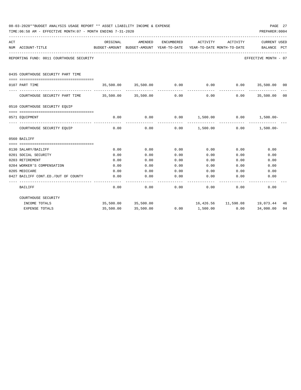| PAGE 27<br>08-03-2020**BUDGET ANALYSIS USAGE REPORT ** ASSET LIABILITY INCOME & EXPENSE<br>PREPARER: 0004<br>TIME:06:58 AM - EFFECTIVE MONTH:07 - MONTH ENDING 7-31-2020 |                                          |                     |                                          |            |                                                               |             |                                     |    |  |  |
|--------------------------------------------------------------------------------------------------------------------------------------------------------------------------|------------------------------------------|---------------------|------------------------------------------|------------|---------------------------------------------------------------|-------------|-------------------------------------|----|--|--|
| ACT                                                                                                                                                                      |                                          | ORIGINAL            | AMENDED                                  | ENCUMBERED | ACTIVITY                                                      | ACTIVITY    | <b>CURRENT USED</b>                 |    |  |  |
|                                                                                                                                                                          | NUM ACCOUNT-TITLE                        |                     | BUDGET-AMOUNT BUDGET-AMOUNT YEAR-TO-DATE |            | YEAR-TO-DATE MONTH-TO-DATE                                    |             | BALANCE PCT                         |    |  |  |
|                                                                                                                                                                          | REPORTING FUND: 0011 COURTHOUSE SECURITY |                     |                                          |            |                                                               |             | EFFECTIVE MONTH - 07                |    |  |  |
|                                                                                                                                                                          | 0435 COURTHOUSE SECURITY PART TIME       |                     |                                          |            |                                                               |             |                                     |    |  |  |
|                                                                                                                                                                          | 0107 PART TIME                           |                     |                                          |            | $35,500.00$ $35,500.00$ $0.00$ $0.00$ $0.00$ $35,500.00$ $00$ |             |                                     |    |  |  |
|                                                                                                                                                                          | COURTHOUSE SECURITY PART TIME            | 35,500.00 35,500.00 |                                          | 0.00       | 0.00                                                          | 0.00        | 35,500.00 00                        |    |  |  |
|                                                                                                                                                                          | 0510 COURTHOUSE SECURITY EQUIP           |                     |                                          |            |                                                               |             |                                     |    |  |  |
|                                                                                                                                                                          |                                          |                     |                                          |            |                                                               |             |                                     |    |  |  |
|                                                                                                                                                                          | 0571 EOUIPMENT                           | 0.00                | 0.00                                     | 0.00       | $1,500.00$ 0.00 $1,500.00$ -                                  | ----------- |                                     |    |  |  |
|                                                                                                                                                                          | COURTHOUSE SECURITY EQUIP                | 0.00                | 0.00                                     | 0.00       | $1,500.00$ 0.00 $1,500.00$                                    |             |                                     |    |  |  |
|                                                                                                                                                                          | 0560 BAILIFF                             |                     |                                          |            |                                                               |             |                                     |    |  |  |
|                                                                                                                                                                          |                                          |                     |                                          |            |                                                               |             |                                     |    |  |  |
|                                                                                                                                                                          | 0130 SALARY/BAILIFF                      | 0.00                | 0.00                                     | 0.00       | 0.00                                                          | 0.00        | 0.00                                |    |  |  |
|                                                                                                                                                                          | 0201 SOCIAL SECURITY                     | 0.00                | 0.00                                     | 0.00       | 0.00                                                          | 0.00        | 0.00                                |    |  |  |
|                                                                                                                                                                          | 0203 RETIREMENT                          | 0.00                | 0.00                                     | 0.00       | 0.00                                                          | 0.00        | 0.00                                |    |  |  |
|                                                                                                                                                                          | 0204 WORKER'S COMPENSATION               | 0.00                | 0.00                                     | 0.00       | 0.00                                                          | 0.00        | 0.00                                |    |  |  |
|                                                                                                                                                                          | 0205 MEDICARE                            | 0.00                | 0.00                                     | 0.00       | 0.00                                                          | 0.00        | 0.00                                |    |  |  |
|                                                                                                                                                                          | 0427 BAILIFF CONT.ED./OUT OF COUNTY      | 0.00                | 0.00                                     | 0.00       | 0.00                                                          | 0.00        | 0.00                                |    |  |  |
|                                                                                                                                                                          | BAILIFF                                  | 0.00                | 0.00                                     | 0.00       | 0.00                                                          | 0.00        | 0.00                                |    |  |  |
|                                                                                                                                                                          | COURTHOUSE SECURITY                      |                     |                                          |            |                                                               |             |                                     |    |  |  |
|                                                                                                                                                                          | INCOME TOTALS                            |                     | 35,500.00 35,500.00                      |            |                                                               |             | 16,426.56  11,598.08  19,073.44  46 |    |  |  |
|                                                                                                                                                                          | EXPENSE TOTALS                           | 35,500.00           | 35,500.00                                | 0.00       | 1,500.00                                                      | 0.00        | 34,000.00                           | 04 |  |  |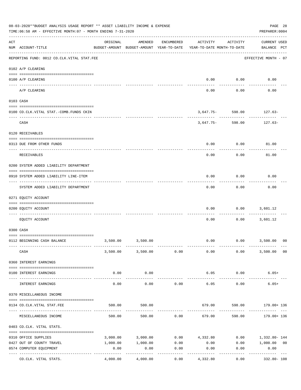|     | 08-03-2020**BUDGET ANALYSIS USAGE REPORT ** ASSET LIABILITY INCOME & EXPENSE<br>TIME: 06:58 AM - EFFECTIVE MONTH: 07 - MONTH ENDING 7-31-2020<br>PREPARER: 0004 |                                                      |                                      |                 |                                        |                      |                                                                 |  |  |  |
|-----|-----------------------------------------------------------------------------------------------------------------------------------------------------------------|------------------------------------------------------|--------------------------------------|-----------------|----------------------------------------|----------------------|-----------------------------------------------------------------|--|--|--|
| ACT | NUM ACCOUNT-TITLE                                                                                                                                               | ORIGINAL<br>BUDGET-AMOUNT BUDGET-AMOUNT YEAR-TO-DATE | AMENDED                              | ENCUMBERED      | ACTIVITY<br>YEAR-TO-DATE MONTH-TO-DATE | ACTIVITY             | <b>CURRENT USED</b><br>BALANCE PCT                              |  |  |  |
|     | REPORTING FUND: 0012 CO.CLK.VITAL STAT.FEE                                                                                                                      |                                                      |                                      |                 |                                        |                      | EFFECTIVE MONTH - 07                                            |  |  |  |
|     | 0102 A/P CLEARING                                                                                                                                               |                                                      |                                      |                 |                                        |                      |                                                                 |  |  |  |
|     | 0100 A/P CLEARING                                                                                                                                               |                                                      |                                      |                 | 0.00                                   | 0.00                 | 0.00                                                            |  |  |  |
|     | ---- ---------<br>A/P CLEARING                                                                                                                                  |                                                      |                                      |                 | 0.00                                   | 0.00                 | 0.00                                                            |  |  |  |
|     | 0103 CASH                                                                                                                                                       |                                                      |                                      |                 |                                        |                      |                                                                 |  |  |  |
|     | 0100 CO.CLK.VITAL STAT.-COMB.FUNDS CKIN                                                                                                                         |                                                      |                                      |                 |                                        | $3,647.75 - 598.00$  | 127.63-                                                         |  |  |  |
|     | CASH                                                                                                                                                            |                                                      |                                      |                 | 3,647.75-                              | --------<br>598.00   | 127.63-                                                         |  |  |  |
|     | 0120 RECEIVABLES                                                                                                                                                |                                                      |                                      |                 |                                        |                      |                                                                 |  |  |  |
|     | 0313 DUE FROM OTHER FUNDS                                                                                                                                       |                                                      |                                      |                 | 0.00                                   | 0.00                 | 81.00                                                           |  |  |  |
|     | RECEIVABLES                                                                                                                                                     |                                                      |                                      |                 | 0.00                                   | 0.00                 | 81.00                                                           |  |  |  |
|     | 0200 SYSTEM ADDED LIABILITY DEPARTMENT                                                                                                                          |                                                      |                                      |                 |                                        |                      |                                                                 |  |  |  |
|     | 0910 SYSTEM ADDED LIABILITY LINE-ITEM                                                                                                                           |                                                      |                                      |                 | 0.00                                   | 0.00                 | 0.00                                                            |  |  |  |
|     | SYSTEM ADDED LIABILITY DEPARTMENT                                                                                                                               |                                                      |                                      |                 | 0.00                                   | 0.00                 | 0.00                                                            |  |  |  |
|     | 0271 EQUITY ACCOUNT                                                                                                                                             |                                                      |                                      |                 |                                        |                      |                                                                 |  |  |  |
|     | 0200 EQUITY ACCOUNT                                                                                                                                             |                                                      |                                      |                 | 0.00                                   | 0.00                 | 3,601.12                                                        |  |  |  |
|     | EQUITY ACCOUNT                                                                                                                                                  |                                                      |                                      |                 | 0.00                                   | 0.00                 | 3,601.12                                                        |  |  |  |
|     | 0300 CASH                                                                                                                                                       |                                                      |                                      |                 |                                        |                      |                                                                 |  |  |  |
|     | 0112 BEGINNING CASH BALANCE                                                                                                                                     |                                                      | 3,500.00 3,500.00                    |                 | 0.00                                   |                      | $0.00$ 3,500.00<br>00                                           |  |  |  |
|     | CASH                                                                                                                                                            |                                                      | 3,500.00 3,500.00 0.00               |                 |                                        | $0.00$ 0.00          | 3,500.00 00                                                     |  |  |  |
|     | 0360 INTEREST EARNINGS                                                                                                                                          |                                                      |                                      |                 |                                        |                      |                                                                 |  |  |  |
|     | 0100 INTEREST EARNINGS                                                                                                                                          | 0.00                                                 | 0.00                                 |                 | 6.05                                   | 0.00                 | $6.05+$                                                         |  |  |  |
|     | INTEREST EARNINGS                                                                                                                                               | 0.00                                                 | . <u>.</u> .<br>0.00                 | 0.00            | _____________<br>6.05                  | ____________<br>0.00 | -----------<br>$6.05+$                                          |  |  |  |
|     | 0370 MISCELLANEOUS INCOME                                                                                                                                       |                                                      |                                      |                 |                                        |                      |                                                                 |  |  |  |
|     | 0134 CO. CLK. VITAL STAT. FEE                                                                                                                                   | 500.00                                               | 500.00                               |                 |                                        |                      | 679.00 598.00 179.00+136                                        |  |  |  |
|     | MISCELLANEOUS INCOME                                                                                                                                            | 500.00                                               |                                      |                 |                                        |                      | 598.00 179.00+ 136                                              |  |  |  |
|     | 0403 CO.CLK. VITAL STATS.                                                                                                                                       |                                                      |                                      |                 |                                        |                      |                                                                 |  |  |  |
|     |                                                                                                                                                                 |                                                      |                                      |                 |                                        |                      |                                                                 |  |  |  |
|     | 0310 OFFICE SUPPLIES                                                                                                                                            |                                                      |                                      |                 |                                        |                      | $3,000.00$ $3,000.00$ $0.00$ $4,332.80$ $0.00$ $1,332.80$ $144$ |  |  |  |
|     | 0427 OUT OF COUNTY TRAVEL<br>0574 COMPUTER EQUIPMENT                                                                                                            | 0.00                                                 | 1,000.00    1,000.00    0.00<br>0.00 | 0.00            | 0.00<br>0.00                           | 0.00                 | $0.00$ 1,000.00 00<br>0.00                                      |  |  |  |
|     | CO.CLK. VITAL STATS.                                                                                                                                            |                                                      | 4,000.00 4,000.00                    | -------<br>0.00 | 4,332.80                               | 0.00                 | ----------<br>332.80- 108                                       |  |  |  |
|     |                                                                                                                                                                 |                                                      |                                      |                 |                                        |                      |                                                                 |  |  |  |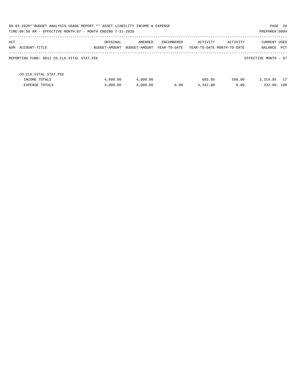|                                            | 08-03-2020**BUDGET ANALYSIS USAGE REPORT ** ASSET LIABILITY INCOME & EXPENSE<br>PAGE 29<br>TIME: 06:58 AM - EFFECTIVE MONTH: 07 - MONTH ENDING 7-31-2020<br>PREPARER: 0004 |               |              |          |                            |                      |  |  |  |  |
|--------------------------------------------|----------------------------------------------------------------------------------------------------------------------------------------------------------------------------|---------------|--------------|----------|----------------------------|----------------------|--|--|--|--|
|                                            |                                                                                                                                                                            |               |              |          |                            |                      |  |  |  |  |
| ACT                                        | ORIGINAL                                                                                                                                                                   | AMENDED       | ENCUMBERED   | ACTIVITY | ACTIVITY                   | CURRENT USED         |  |  |  |  |
| NUM ACCOUNT-TITLE                          | BUDGET-AMOUNT                                                                                                                                                              | BUDGET-AMOUNT | YEAR-TO-DATE |          | YEAR-TO-DATE MONTH-TO-DATE | PCT<br>BALANCE       |  |  |  |  |
| REPORTING FUND: 0012 CO.CLK.VITAL STAT.FEE |                                                                                                                                                                            |               |              |          |                            | EFFECTIVE MONTH - 07 |  |  |  |  |
| CO. CLK. VITAL STAT. FEE                   |                                                                                                                                                                            |               |              |          |                            |                      |  |  |  |  |
| INCOME TOTALS                              | 4,000.00                                                                                                                                                                   | 4,000.00      |              | 685.05   | 598.00                     | 3, 314, 95 17        |  |  |  |  |
| EXPENSE TOTALS                             | 4,000.00                                                                                                                                                                   | 4,000.00      | 0.00         | 4,332.80 | 0.00                       | 332.80-108           |  |  |  |  |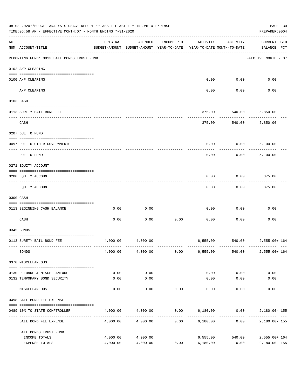|     | 08-03-2020**BUDGET ANALYSIS USAGE REPORT ** ASSET LIABILITY INCOME & EXPENSE<br>TIME: 06:58 AM - EFFECTIVE MONTH: 07 - MONTH ENDING 7-31-2020 |                                                      |                      |            |                      |                                        | PAGE 30<br>PREPARER: 0004          |  |
|-----|-----------------------------------------------------------------------------------------------------------------------------------------------|------------------------------------------------------|----------------------|------------|----------------------|----------------------------------------|------------------------------------|--|
| ACT | NUM ACCOUNT-TITLE                                                                                                                             | ORIGINAL<br>BUDGET-AMOUNT BUDGET-AMOUNT YEAR-TO-DATE | AMENDED              | ENCUMBERED | ACTIVITY             | ACTIVITY<br>YEAR-TO-DATE MONTH-TO-DATE | <b>CURRENT USED</b><br>BALANCE PCT |  |
|     | REPORTING FUND: 0013 BAIL BONDS TRUST FUND                                                                                                    |                                                      |                      |            |                      |                                        | EFFECTIVE MONTH - 07               |  |
|     | 0102 A/P CLEARING                                                                                                                             |                                                      |                      |            |                      |                                        |                                    |  |
|     | 0100 A/P CLEARING<br>---- ----------<br>-------------------- -------                                                                          |                                                      |                      |            | 0.00                 | 0.00                                   | 0.00                               |  |
|     | A/P CLEARING                                                                                                                                  |                                                      |                      |            | 0.00                 | 0.00                                   | 0.00                               |  |
|     | 0103 CASH                                                                                                                                     |                                                      |                      |            |                      |                                        |                                    |  |
|     | 0113 SURETY BAIL BOND FEE                                                                                                                     |                                                      |                      |            | 375.00               | 540.00                                 | 5,850.00                           |  |
|     | CASH                                                                                                                                          |                                                      |                      |            | 375.00               | 540.00                                 | 5,850.00                           |  |
|     |                                                                                                                                               |                                                      |                      |            |                      |                                        |                                    |  |
|     | 0207 DUE TO FUND                                                                                                                              |                                                      |                      |            |                      |                                        |                                    |  |
|     | 0097 DUE TO OTHER GOVERNMENTS                                                                                                                 |                                                      |                      |            | 0.00                 | 0.00                                   | 5,100.00                           |  |
|     | DUE TO FUND                                                                                                                                   |                                                      |                      |            | 0.00                 | 0.00                                   | 5,100.00                           |  |
|     | 0271 EQUITY ACCOUNT                                                                                                                           |                                                      |                      |            |                      |                                        |                                    |  |
|     | 0200 EQUITY ACCOUNT                                                                                                                           |                                                      |                      |            | 0.00                 | 0.00                                   | 375.00                             |  |
|     | EQUITY ACCOUNT                                                                                                                                |                                                      |                      |            | 0.00                 | 0.00                                   | 375.00                             |  |
|     | 0300 CASH                                                                                                                                     |                                                      |                      |            |                      |                                        |                                    |  |
|     | 0113 BEGINNING CASH BALANCE                                                                                                                   | 0.00                                                 | 0.00                 |            | 0.00                 | 0.00                                   | 0.00                               |  |
|     | CASH                                                                                                                                          | 0.00                                                 | 0.00                 | 0.00       | 0.00                 | 0.00                                   | 0.00                               |  |
|     | 0345 BONDS                                                                                                                                    |                                                      |                      |            |                      |                                        |                                    |  |
|     | 0113 SURETY BAIL BOND FEE                                                                                                                     | 4,000.00                                             | 4,000.00             |            |                      |                                        | 6,555.00 540.00 2,555.00+164       |  |
|     | <b>BONDS</b>                                                                                                                                  |                                                      | 4,000.00 4,000.00    | 0.00       | 6,555.00             | 540.00                                 | 2,555.00+ 164                      |  |
|     | 0370 MISCELLANEOUS                                                                                                                            |                                                      |                      |            |                      |                                        |                                    |  |
|     | 0130 REFUNDS & MISCELLANEOUS                                                                                                                  | 0.00                                                 | 0.00                 |            | 0.00                 | 0.00                                   | 0.00                               |  |
|     | 0132 TEMPORARY BOND SECURITY                                                                                                                  | 0.00                                                 | 0.00                 |            | 0.00                 | 0.00                                   | 0.00                               |  |
|     | MISCELLANEOUS                                                                                                                                 | 0.00                                                 | ----------<br>0.00   | 0.00       | 0.00                 | $- - - - - -$<br>0.00                  | 0.00                               |  |
|     | 0498 BAIL BOND FEE EXPENSE                                                                                                                    |                                                      |                      |            |                      |                                        |                                    |  |
|     | 0489 10% TO STATE COMPTROLLER                                                                                                                 |                                                      | 4,000.00 4,000.00    |            |                      |                                        | $0.00$ 6,180.00 0.00 2,180.00-155  |  |
|     | BAIL BOND FEE EXPENSE                                                                                                                         | 4,000.00                                             | 4,000.00             | 0.00       | 6,180.00             | 0.00                                   | 2,180.00- 155                      |  |
|     | BAIL BONDS TRUST FUND                                                                                                                         |                                                      |                      |            |                      |                                        |                                    |  |
|     | INCOME TOTALS<br>EXPENSE TOTALS                                                                                                               | 4,000.00<br>4,000.00                                 | 4,000.00<br>4,000.00 | 0.00       | 6,555.00<br>6,180.00 | 540.00<br>0.00                         | 2,555.00+ 164<br>2,180.00-155      |  |
|     |                                                                                                                                               |                                                      |                      |            |                      |                                        |                                    |  |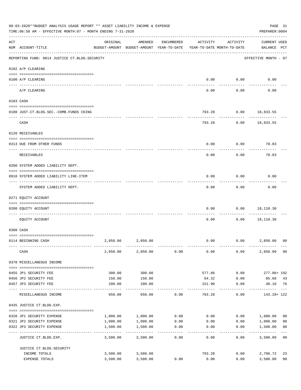|     | 08-03-2020**BUDGET ANALYSIS USAGE REPORT ** ASSET LIABILITY INCOME & EXPENSE<br>TIME:06:58 AM - EFFECTIVE MONTH:07 - MONTH ENDING 7-31-2020 |                  |                                                                                |            |          |              | PAGE 31<br>PREPARER: 0004   |                |
|-----|---------------------------------------------------------------------------------------------------------------------------------------------|------------------|--------------------------------------------------------------------------------|------------|----------|--------------|-----------------------------|----------------|
| ACT | NUM ACCOUNT-TITLE                                                                                                                           | ORIGINAL         | AMENDED<br>BUDGET-AMOUNT BUDGET-AMOUNT YEAR-TO-DATE YEAR-TO-DATE MONTH-TO-DATE | ENCUMBERED | ACTIVITY | ACTIVITY     | CURRENT USED<br>BALANCE PCT |                |
|     | REPORTING FUND: 0014 JUSTICE CT.BLDG.SECURITY                                                                                               |                  |                                                                                |            |          |              | EFFECTIVE MONTH - 07        |                |
|     | 0102 A/P CLEARING                                                                                                                           |                  |                                                                                |            |          |              |                             |                |
|     | 0100 A/P CLEARING                                                                                                                           |                  |                                                                                |            | 0.00     | 0.00         | 0.00                        |                |
|     | A/P CLEARING                                                                                                                                |                  |                                                                                |            | 0.00     | 0.00         | 0.00                        |                |
|     | 0103 CASH                                                                                                                                   |                  |                                                                                |            |          |              |                             |                |
|     | 0100 JUST.CT.BLDG.SEC.-COMB.FUNDS CKING                                                                                                     |                  |                                                                                |            | 793.28   |              | $0.00$ 18,833.55            |                |
|     | ------------------------------------<br>CASH                                                                                                |                  |                                                                                |            | 793.28   | ----------   | $0.00$ 18,833.55            |                |
|     | 0120 RECEIVABLES                                                                                                                            |                  |                                                                                |            |          |              |                             |                |
|     |                                                                                                                                             |                  |                                                                                |            |          |              |                             |                |
|     | 0313 DUE FROM OTHER FUNDS                                                                                                                   |                  |                                                                                |            | 0.00     | 0.00         | 70.03                       |                |
|     | RECEIVABLES                                                                                                                                 |                  |                                                                                |            | 0.00     | 0.00         | 70.03                       |                |
|     | 0200 SYSTEM ADDED LIABILITY DEPT.                                                                                                           |                  |                                                                                |            |          |              |                             |                |
|     | 0910 SYSTEM ADDED LIABILITY LINE-ITEM                                                                                                       |                  |                                                                                |            | 0.00     | 0.00         | 0.00                        |                |
|     | SYSTEM ADDED LIABILITY DEPT.                                                                                                                |                  |                                                                                |            | 0.00     | 0.00         | 0.00                        |                |
|     | 0271 EQUITY ACCOUNT                                                                                                                         |                  |                                                                                |            |          |              |                             |                |
|     | 0200 EQUITY ACCOUNT                                                                                                                         |                  |                                                                                |            | 0.00     | 0.00         | 18,110.30                   |                |
|     |                                                                                                                                             |                  |                                                                                |            |          |              |                             |                |
|     | EQUITY ACCOUNT                                                                                                                              |                  |                                                                                |            | 0.00     | 0.00         | 18,110.30                   |                |
|     | 0300 CASH                                                                                                                                   |                  |                                                                                |            |          |              |                             |                |
|     |                                                                                                                                             |                  |                                                                                |            |          |              |                             |                |
|     | 0114 BEGINNING CASH                                                                                                                         | 2,850.00         | 2,850.00                                                                       |            |          |              | $0.00$ $0.00$ $2,850.00$    | 0 <sup>0</sup> |
|     | CASH                                                                                                                                        | 2,850.00         | 2,850.00                                                                       | 0.00       | 0.00     | 0.00         | 2,850.00                    | 00             |
|     | 0370 MISCELLANEOUS INCOME                                                                                                                   |                  |                                                                                |            |          |              |                             |                |
|     |                                                                                                                                             |                  |                                                                                |            | 577.06   |              |                             |                |
|     | 0455 JP1 SECURITY FEE<br>0456 JP2 SECURITY FEE                                                                                              | 300.00<br>150.00 | 300.00<br>150.00                                                               |            | 64.32    | 0.00<br>0.00 | 277.06+ 192<br>85.68        | 43             |
|     | 0457 JP3 SECURITY FEE                                                                                                                       | 200.00           | 200.00                                                                         |            | 151.90   | 0.00         | 48.10 76                    |                |
|     | MISCELLANEOUS INCOME                                                                                                                        | 650.00           | 650.00                                                                         | 0.00       | 793.28   | 0.00         | 143.28+ 122                 |                |
|     | 0435 JUSTICE CT.BLDG.EXP.                                                                                                                   |                  |                                                                                |            |          |              |                             |                |
|     | 0320 JP1 SECURITY EXPENSE                                                                                                                   | 1,000.00         | 1,000.00                                                                       | 0.00       | 0.00     | 0.00         | 1,000.00                    | 0 <sub>0</sub> |
|     | 0321 JP2 SECURITY EXPENSE                                                                                                                   | 1,000.00         | 1,000.00                                                                       | 0.00       | 0.00     | 0.00         | 1,000.00                    | 0 <sub>0</sub> |
|     | 0322 JP3 SECURITY EXPENSE                                                                                                                   | 1,500.00         | 1,500.00                                                                       | 0.00       | 0.00     | 0.00         | 1,500.00                    | 0 <sub>0</sub> |
|     | JUSTICE CT.BLDG.EXP.                                                                                                                        | 3,500.00         | 3,500.00                                                                       | 0.00       | 0.00     | 0.00         | 3,500.00                    | 0 <sub>0</sub> |
|     | JUSTICE CT. BLDG. SECURITY                                                                                                                  |                  |                                                                                |            |          |              |                             |                |
|     | INCOME TOTALS                                                                                                                               | 3,500.00         | 3,500.00                                                                       |            | 793.28   | 0.00         | 2,706.72                    | 23             |
|     | EXPENSE TOTALS                                                                                                                              | 3,500.00         | 3,500.00                                                                       | 0.00       | 0.00     | 0.00         | 3,500.00                    | 0 <sub>0</sub> |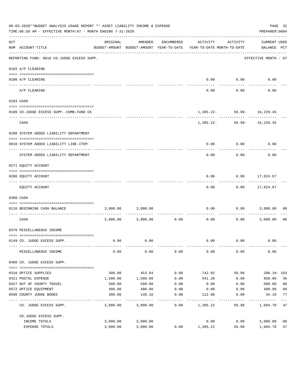|     | 08-03-2020**BUDGET ANALYSIS USAGE REPORT ** ASSET LIABILITY INCOME & EXPENSE<br>TIME: 06:58 AM - EFFECTIVE MONTH: 07 - MONTH ENDING 7-31-2020 |                                                      |          |            |                                        |                                | PAGE 32<br>PREPARER: 0004   |                |
|-----|-----------------------------------------------------------------------------------------------------------------------------------------------|------------------------------------------------------|----------|------------|----------------------------------------|--------------------------------|-----------------------------|----------------|
| ACT | NUM ACCOUNT-TITLE                                                                                                                             | ORIGINAL<br>BUDGET-AMOUNT BUDGET-AMOUNT YEAR-TO-DATE | AMENDED  | ENCUMBERED | ACTIVITY<br>YEAR-TO-DATE MONTH-TO-DATE | ACTIVITY                       | CURRENT USED<br>BALANCE PCT |                |
|     | REPORTING FUND: 0016 CO.JUDGE EXCESS SUPP.                                                                                                    |                                                      |          |            |                                        |                                | EFFECTIVE MONTH - 07        |                |
|     | 0102 A/P CLEARING                                                                                                                             |                                                      |          |            |                                        |                                |                             |                |
|     | 0100 A/P CLEARING                                                                                                                             |                                                      |          |            | 0.00                                   | 0.00                           | 0.00                        |                |
|     | ---------------------- ---------<br>____ ________<br>A/P CLEARING                                                                             |                                                      |          |            | 0.00                                   | 0.00                           | 0.00                        |                |
|     | 0103 CASH                                                                                                                                     |                                                      |          |            |                                        |                                |                             |                |
|     |                                                                                                                                               |                                                      |          |            |                                        |                                |                             |                |
|     | 0100 CO.JUDGE EXCESS SUPP.-COMB.FUND CK                                                                                                       |                                                      |          |            | ---------- ------------                | $1,395.22 - 59.98 - 16,229.45$ | .                           |                |
|     | CASH                                                                                                                                          |                                                      |          |            |                                        | $1,395.22 - 59.98 - 16,229.45$ |                             |                |
|     | 0200 SYSTEM ADDED LIABILITY DEPARTMENT                                                                                                        |                                                      |          |            |                                        |                                |                             |                |
|     | 0910 SYSTEM ADDED LIABILITY LINE-ITEM                                                                                                         |                                                      |          |            | 0.00                                   | 0.00                           | 0.00                        |                |
|     | SYSTEM ADDED LIABILITY DEPARTMENT                                                                                                             |                                                      |          |            | 0.00                                   | 0.00                           | 0.00                        |                |
|     |                                                                                                                                               |                                                      |          |            |                                        |                                |                             |                |
|     | 0271 EQUITY ACCOUNT                                                                                                                           |                                                      |          |            |                                        |                                |                             |                |
|     | 0200 EQUITY ACCOUNT                                                                                                                           |                                                      |          |            | 0.00                                   | 0.00                           | 17,624.67                   |                |
|     | EQUITY ACCOUNT                                                                                                                                |                                                      |          |            | 0.00                                   |                                | $0.00$ 17,624.67            |                |
|     |                                                                                                                                               |                                                      |          |            |                                        |                                |                             |                |
|     | 0300 CASH                                                                                                                                     |                                                      |          |            |                                        |                                |                             |                |
|     | 0116 BEGINNING CASH BALANCE<br>-----------------------------------                                                                            | 3,000.00                                             | 3,000.00 | ---------- | 0.00                                   | 0.00                           | 3,000.00                    | 00             |
|     | CASH                                                                                                                                          | 3,000.00                                             | 3,000.00 | 0.00       | 0.00                                   | 0.00                           | 3,000.00                    | 00             |
|     | 0370 MISCELLANEOUS INCOME                                                                                                                     |                                                      |          |            |                                        |                                |                             |                |
|     | 0149 CO. JUDGE EXCESS SUPP.                                                                                                                   | 0.00                                                 | 0.00     |            | 0.00                                   | 0.00                           | 0.00                        |                |
|     | MISCELLANEOUS INCOME                                                                                                                          | 0.00                                                 | 0.00     | 0.00       | 0.00                                   | 0.00                           | 0.00                        |                |
|     | 0400 CO. JUDGE EXCESS SUPP.                                                                                                                   |                                                      |          |            |                                        |                                |                             |                |
|     | 0310 OFFICE SUPPLIES                                                                                                                          | 300.00                                               | 453.84   | 0.00       | 742.02                                 | 59.98                          | $288.18 - 163$              |                |
|     | 0311 POSTAL EXPENSE                                                                                                                           | 1,500.00                                             | 1,500.00 | 0.00       | 541.20                                 | 0.00                           | 958.80                      | 36             |
|     | 0427 OUT OF COUNTY TRAVEL                                                                                                                     | 500.00                                               | 500.00   | 0.00       | 0.00                                   | 0.00                           | 500.00                      | 0 <sub>0</sub> |
|     | 0572 OFFICE EQUIPMENT                                                                                                                         | 400.00                                               | 400.00   | 0.00       | 0.00                                   | 0.00                           | 400.00                      | 0 <sub>0</sub> |
|     | 0590 COUNTY JUDGE BOOKS                                                                                                                       | 300.00                                               | 146.16   | 0.00       | 112.00                                 | 0.00                           | 34.16                       | 77             |
|     | CO. JUDGE EXCESS SUPP.                                                                                                                        | 3,000.00                                             | 3,000.00 | 0.00       | 1,395.22                               | 59.98                          | 1,604.78 47                 | $---$          |
|     | CO.JUDGE EXCESS SUPP.                                                                                                                         |                                                      |          |            |                                        |                                |                             |                |
|     | INCOME TOTALS                                                                                                                                 | 3,000.00                                             | 3,000.00 |            | 0.00                                   | 0.00                           | 3,000.00                    | 00             |
|     | EXPENSE TOTALS                                                                                                                                | 3,000.00                                             | 3,000.00 | 0.00       | 1,395.22                               | 59.98                          | 1,604.78                    | 47             |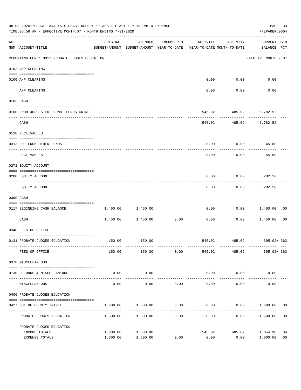|     | 08-03-2020**BUDGET ANALYSIS USAGE REPORT ** ASSET LIABILITY INCOME & EXPENSE<br>TIME: 06:58 AM - EFFECTIVE MONTH: 07 - MONTH ENDING 7-31-2020 |                                                                                 |                     |            |                               |                                                       |                             |                |  |
|-----|-----------------------------------------------------------------------------------------------------------------------------------------------|---------------------------------------------------------------------------------|---------------------|------------|-------------------------------|-------------------------------------------------------|-----------------------------|----------------|--|
| ACT | NUM ACCOUNT-TITLE                                                                                                                             | ORIGINAL<br>BUDGET-AMOUNT BUDGET-AMOUNT YEAR-TO-DATE YEAR-TO-DATE MONTH-TO-DATE | AMENDED             | ENCUMBERED |                               | ACTIVITY ACTIVITY                                     | CURRENT USED<br>BALANCE PCT |                |  |
|     | REPORTING FUND: 0017 PROBATE JUDGES EDUCATION                                                                                                 |                                                                                 |                     |            |                               |                                                       | EFFECTIVE MONTH - 07        |                |  |
|     | 0102 A/P CLEARING                                                                                                                             |                                                                                 |                     |            |                               |                                                       |                             |                |  |
|     | 0100 A/P CLEARING                                                                                                                             |                                                                                 |                     |            | 0.00                          | 0.00                                                  | 0.00                        |                |  |
|     | A/P CLEARING                                                                                                                                  |                                                                                 |                     |            | 0.00                          | 0.00                                                  | 0.00                        |                |  |
|     | 0103 CASH                                                                                                                                     |                                                                                 |                     |            |                               |                                                       |                             |                |  |
|     | 0100 PROB.JUDGES ED. - COMB. FUNDS CKING                                                                                                      |                                                                                 |                     |            |                               | 545.02 485.02                                         | 5,782.52                    |                |  |
|     | CASH                                                                                                                                          |                                                                                 |                     |            | ----------                    | -----------------------------<br>545.02 485.02        | 5,782.52                    |                |  |
|     | 0120 RECEIVABLES                                                                                                                              |                                                                                 |                     |            |                               |                                                       |                             |                |  |
|     | 0313 DUE FROM OTHER FUNDS                                                                                                                     |                                                                                 |                     |            |                               | $0.00$ $0.00$ $45.00$                                 |                             |                |  |
|     | RECEIVABLES                                                                                                                                   |                                                                                 |                     |            | 0.00                          | 0.00                                                  | 45.00                       |                |  |
|     | 0271 EQUITY ACCOUNT                                                                                                                           |                                                                                 |                     |            |                               |                                                       |                             |                |  |
|     | 0200 EQUITY ACCOUNT                                                                                                                           |                                                                                 |                     |            | 0.00                          | 0.00                                                  | 5,282.50                    |                |  |
|     | EQUITY ACCOUNT                                                                                                                                |                                                                                 |                     |            | -------<br>0.00               | ---------<br>0.00                                     | 5,282.50                    |                |  |
|     | 0300 CASH                                                                                                                                     |                                                                                 |                     |            |                               |                                                       |                             |                |  |
|     | 0117 BEGINNING CASH BALANCE                                                                                                                   | 1,450.00                                                                        | 1,450.00            |            | 0.00                          | 0.00                                                  | 1,450.00 00                 |                |  |
|     | CASH                                                                                                                                          |                                                                                 |                     |            | ----------------------------- | $1,450.00$ $1,450.00$ $0.00$ $0.00$ $0.00$ $1,450.00$ |                             | 0 <sub>0</sub> |  |
|     | 0340 FEES OF OFFICE                                                                                                                           |                                                                                 |                     |            |                               |                                                       |                             |                |  |
|     | 0131 PROBATE JUDGES EDUCATION                                                                                                                 |                                                                                 | 150.00 150.00       |            |                               | 545.02 485.02 395.02+363                              |                             |                |  |
|     | FEES OF OFFICE                                                                                                                                | 150.00                                                                          | 150.00              | 0.00       | 545.02                        | 485.02                                                | $395.02 + 363$              |                |  |
|     | 0370 MISCELLANEOUS                                                                                                                            |                                                                                 |                     |            |                               |                                                       |                             |                |  |
|     | 0130 REFUNDS & MISCELLANEOUS                                                                                                                  | 0.00                                                                            | 0.00                |            | 0.00                          | 0.00                                                  | 0.00                        |                |  |
|     | MISCELLANEOUS                                                                                                                                 | 0.00                                                                            | -----------<br>0.00 | 0.00       | ______________<br>0.00        | ------------<br>0.00                                  | ----------<br>0.00          |                |  |
|     | 0400 PROBATE JUDGES EDUCATION                                                                                                                 |                                                                                 |                     |            |                               |                                                       |                             |                |  |
|     | 0427 OUT OF COUNTY TRAVEL                                                                                                                     | 1,600.00                                                                        | 1,600.00            | 0.00       | 0.00                          |                                                       | $0.00$ 1,600.00 00          |                |  |
|     | PROBATE JUDGES EDUCATION                                                                                                                      |                                                                                 | 1,600.00 1,600.00   | 0.00       | 0.00                          | 0.00                                                  | 1,600.00                    | 0 <sub>0</sub> |  |
|     | PROBATE JUDGES EDUCATION                                                                                                                      |                                                                                 |                     |            |                               |                                                       |                             |                |  |
|     | INCOME TOTALS                                                                                                                                 | 1,600.00                                                                        | 1,600.00            |            | 545.02                        | 485.02                                                | 1,054.98                    | 34             |  |
|     | EXPENSE TOTALS                                                                                                                                | 1,600.00                                                                        | 1,600.00            | 0.00       | 0.00                          | 0.00                                                  | 1,600.00                    | 0 <sub>0</sub> |  |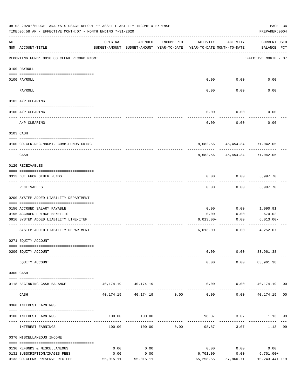|     | 08-03-2020**BUDGET ANALYSIS USAGE REPORT ** ASSET LIABILITY INCOME & EXPENSE<br>TIME: 06:58 AM - EFFECTIVE MONTH: 07 - MONTH ENDING 7-31-2020 |           |                                                     |               |                                        |                                                | PAGE 34<br>PREPARER: 0004                    |
|-----|-----------------------------------------------------------------------------------------------------------------------------------------------|-----------|-----------------------------------------------------|---------------|----------------------------------------|------------------------------------------------|----------------------------------------------|
| ACT | NUM ACCOUNT-TITLE                                                                                                                             | ORIGINAL  | AMENDED<br>BUDGET-AMOUNT BUDGET-AMOUNT YEAR-TO-DATE | ENCUMBERED    | ACTIVITY<br>YEAR-TO-DATE MONTH-TO-DATE | ACTIVITY                                       | CURRENT USED<br>BALANCE PCT                  |
|     | REPORTING FUND: 0018 CO.CLERK RECORD MNGMT.                                                                                                   |           |                                                     |               |                                        |                                                | EFFECTIVE MONTH - 07                         |
|     | 0100 PAYROLL                                                                                                                                  |           |                                                     |               |                                        |                                                |                                              |
|     | 0100 PAYROLL                                                                                                                                  |           |                                                     |               |                                        | $0.00$ 0.00                                    | 0.00                                         |
|     | PAYROLL                                                                                                                                       |           |                                                     |               | 0.00                                   | 0.00                                           | 0.00                                         |
|     | 0102 A/P CLEARING                                                                                                                             |           |                                                     |               |                                        |                                                |                                              |
|     | 0100 A/P CLEARING                                                                                                                             |           |                                                     |               | 0.00                                   | 0.00                                           | 0.00                                         |
|     | A/P CLEARING                                                                                                                                  |           |                                                     |               | 0.00                                   | 0.00                                           | 0.00                                         |
|     | 0103 CASH                                                                                                                                     |           |                                                     |               |                                        |                                                |                                              |
|     | 0100 CO.CLK.REC.MNGMT.-COMB.FUNDS CKING                                                                                                       |           |                                                     |               |                                        | 8,682.56- 45,454.34 71,042.05                  |                                              |
|     | CASH                                                                                                                                          |           |                                                     |               |                                        | -------------<br>8,682.56- 45,454.34 71,042.05 |                                              |
|     | 0120 RECEIVABLES                                                                                                                              |           |                                                     |               |                                        |                                                |                                              |
|     | 0313 DUE FROM OTHER FUNDS                                                                                                                     |           |                                                     |               | 0.00                                   |                                                | $0.00$ 5,997.70                              |
|     | RECEIVABLES                                                                                                                                   |           |                                                     |               | 0.00                                   | 0.00                                           | 5,997.70                                     |
|     | 0200 SYSTEM ADDED LIABILITY DEPARTMENT                                                                                                        |           |                                                     |               |                                        |                                                |                                              |
|     | 0150 ACCRUED SALARY PAYABLE                                                                                                                   |           |                                                     |               | 0.00                                   | 0.00                                           | 1,090.91                                     |
|     | 0155 ACCRUED FRINGE BENEFITS                                                                                                                  |           |                                                     |               | 0.00                                   | 0.00                                           | 670.02                                       |
|     | 0910 SYSTEM ADDED LIABILITY LINE-ITEM                                                                                                         |           |                                                     |               | $6,013.00-$                            | 0.00                                           | $6,013.00 -$                                 |
|     | SYSTEM ADDED LIABILITY DEPARTMENT                                                                                                             |           |                                                     |               | $6,013.00-$                            | ------------<br>0.00                           | $4,252.07-$                                  |
|     | 0271 EQUITY ACCOUNT                                                                                                                           |           |                                                     |               |                                        |                                                |                                              |
|     | 0200 EQUITY ACCOUNT                                                                                                                           |           |                                                     |               | 0.00                                   |                                                | $0.00$ $83,961.38$                           |
|     |                                                                                                                                               |           |                                                     |               |                                        |                                                |                                              |
|     | EQUITY ACCOUNT                                                                                                                                |           |                                                     |               | 0.00                                   |                                                | $0.00$ $83,961.38$                           |
|     | 0300 CASH                                                                                                                                     |           |                                                     |               |                                        |                                                |                                              |
|     | 0118 BEGINNING CASH BALANCE                                                                                                                   |           | 40, 174. 19 40, 174. 19                             |               |                                        |                                                | $0.00$ $0.00$ $40,174.19$ 00<br>------------ |
|     | CASH                                                                                                                                          |           | 40, 174. 19 40, 174. 19 0. 00                       | ------------- | $- - - - -$<br>0.00                    | ------------                                   | $0.00$ 40,174.19 00                          |
|     | 0360 INTEREST EARNINGS                                                                                                                        |           |                                                     |               |                                        |                                                |                                              |
|     | 0100 INTEREST EARNINGS                                                                                                                        |           | 100.00 100.00                                       |               |                                        | 98.87 3.07                                     | 1.13<br>99                                   |
|     | INTEREST EARNINGS                                                                                                                             | 100.00    | 100.00                                              | 0.00          | 98.87                                  | 3.07                                           | 99<br>1.13                                   |
|     | 0370 MISCELLANEOUS INCOME                                                                                                                     |           |                                                     |               |                                        |                                                |                                              |
|     | 0130 REFUNDS & MISCELLANEOUS                                                                                                                  | 0.00      | 0.00                                                |               | 0.00                                   | 0.00                                           | 0.00                                         |
|     | 0131 SUBSCRIPTION/IMAGES FEES                                                                                                                 | 0.00      | 0.00                                                |               | 6,701.00                               | 0.00                                           | $6,701.00+$                                  |
|     | 0133 CO.CLERK PRESERVE REC FEE                                                                                                                | 55,015.11 | 55,015.11                                           |               | 65,258.55                              | 57,860.71                                      | 10,243.44+ 119                               |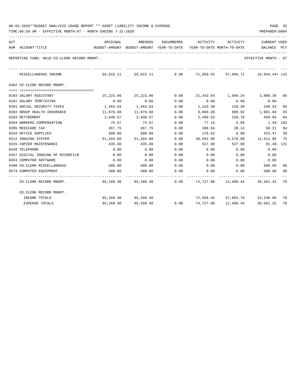TIME:06:58 AM - EFFECTIVE MONTH:07 - MONTH ENDING 7-31-2020

| ACT | NUM ACCOUNT-TITLE                           | ORIGINAL<br>BUDGET-AMOUNT BUDGET-AMOUNT YEAR-TO-DATE YEAR-TO-DATE MONTH-TO-DATE | AMENDED                 |                                | ENCUMBERED ACTIVITY ACTIVITY |              | <b>CURRENT USED</b><br>BALANCE PCT                              |    |
|-----|---------------------------------------------|---------------------------------------------------------------------------------|-------------------------|--------------------------------|------------------------------|--------------|-----------------------------------------------------------------|----|
|     | REPORTING FUND: 0018 CO.CLERK RECORD MNGMT. |                                                                                 |                         |                                |                              |              | EFFECTIVE MONTH - 07                                            |    |
|     | MISCELLANEOUS INCOME                        |                                                                                 | --------------          | ------------------------------ |                              |              | 55,015.11 55,015.11 0.00 71,959.55 57,860.71 16,944.44+ 131     |    |
|     | 0402 CO.CLERK RECORD MNGMT.                 |                                                                                 |                         |                                |                              |              |                                                                 |    |
|     | 0103 SALARY ASSISTANT                       |                                                                                 | 25, 223, 00 25, 223, 00 | 0.00                           |                              |              | 21,342.64 1,940.24 3,880.36 85                                  |    |
|     | 0107 SALARY TEMP/EXTRA                      | 0.00                                                                            | 0.00                    | 0.00                           | 0.00                         | 0.00         | 0.00                                                            |    |
|     | 0201 SOCIAL SECURITY TAXES                  | 1,563.83                                                                        | 1,563.83                | 0.00                           |                              |              | 1,323.30 120.30 240.53                                          | 85 |
|     | 0202 GROUP HEALTH INSURANCE                 | 11,870.88                                                                       | 11,870.88               | 0.00                           | 9,889.20                     |              | 988.92 1,981.68                                                 | 83 |
|     | 0203 RETIREMENT                             | 2,948.57                                                                        | 2,948.57                | 0.00                           | 2,490.53                     |              | 228.76 458.04                                                   | 84 |
|     | 0204 WORKERS COMPENSATION                   | 75.67                                                                           | 75.67                   | 0.00                           |                              | 77.16 0.00   | 1.49- 102                                                       |    |
|     | 0205 MEDICARE TAX                           | 367.75                                                                          | 367.75                  | 0.00                           |                              | 309.54 28.14 | 58.21                                                           | 84 |
|     | 0310 OFFICE SUPPLIES                        | 600.00                                                                          | 600.00                  | 0.00                           | $176.53$ 0.00                |              | 423.47                                                          | 29 |
|     | 0312 IMAGING SYSTEM                         |                                                                                 | 51,204.00 51,204.00     |                                |                              |              | 0.00 38,592.00 8,576.00 12,612.00 75                            |    |
|     | 0315 COPIER MAINTENANCE                     | 435.60                                                                          | 435.60                  | 0.00                           | 527.08                       | 527.08       | 91.48- 121                                                      |    |
|     | 0420 TELEPHONE                              | 0.00                                                                            | 0.00                    | 0.00                           | 0.00                         | 0.00         | 0.00                                                            |    |
|     | 0437 DIGITAL IMAGING OF MICROFILM           | 0.00                                                                            | 0.00                    | 0.00                           | 0.00                         | 0.00         | 0.00                                                            |    |
|     | 0453 COMPUTER SOFTWARE                      | 0.00                                                                            | 0.00                    | 0.00                           | 0.00                         | 0.00         | 0.00                                                            |    |
|     | 0490 CO. CLERK MISCELLANEOUS                | 500.00                                                                          | 500.00                  | 0.00                           | $0.00$ $0.00$                |              | 500.00                                                          | 00 |
|     | 0574 COMPUTER EQUIPMENT                     | 500.00                                                                          | 500.00                  | 0.00                           | 0.00                         | 0.00         | 500.00 00                                                       |    |
|     | CO.CLERK RECORD MNGMT.                      |                                                                                 |                         |                                |                              |              | 95,289.30  95,289.30  0.00  74,727.98  12,409.44  20,561.32  78 |    |
|     | CO.CLERK RECORD MNGMT.                      |                                                                                 |                         |                                |                              |              |                                                                 |    |
|     | INCOME TOTALS                               |                                                                                 | 95,289.30 95,289.30     |                                |                              |              | 72,058.42 57,863.78 23,230.88 76                                |    |
|     | <b>EXPENSE TOTALS</b>                       | 95,289.30                                                                       | 95,289.30               | 0.00                           | 74,727.98                    | 12,409.44    | 20,561.32 78                                                    |    |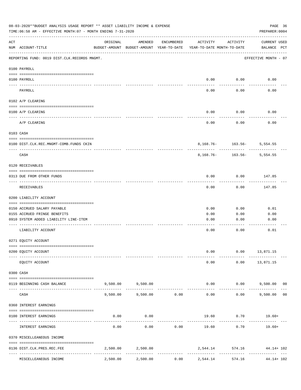|     | 08-03-2020**BUDGET ANALYSIS USAGE REPORT ** ASSET LIABILITY INCOME & EXPENSE<br>TIME:06:58 AM - EFFECTIVE MONTH:07 - MONTH ENDING 7-31-2020 |          |                                                     |                               |                                        |                                   | PAGE 36<br>PREPARER: 0004          |  |
|-----|---------------------------------------------------------------------------------------------------------------------------------------------|----------|-----------------------------------------------------|-------------------------------|----------------------------------------|-----------------------------------|------------------------------------|--|
| ACT | NUM ACCOUNT-TITLE                                                                                                                           | ORIGINAL | AMENDED<br>BUDGET-AMOUNT BUDGET-AMOUNT YEAR-TO-DATE | ENCUMBERED                    | ACTIVITY<br>YEAR-TO-DATE MONTH-TO-DATE | ACTIVITY                          | <b>CURRENT USED</b><br>BALANCE PCT |  |
|     | REPORTING FUND: 0019 DIST.CLK.RECORDS MNGMT.                                                                                                |          |                                                     |                               |                                        |                                   | EFFECTIVE MONTH - 07               |  |
|     | 0100 PAYROLL                                                                                                                                |          |                                                     |                               |                                        |                                   |                                    |  |
|     | 0100 PAYROLL                                                                                                                                |          |                                                     |                               | 0.00                                   | 0.00                              | 0.00                               |  |
|     | $\frac{1}{2}$<br>PAYROLL                                                                                                                    |          |                                                     |                               | 0.00                                   | 0.00                              | 0.00                               |  |
|     | 0102 A/P CLEARING                                                                                                                           |          |                                                     |                               |                                        |                                   |                                    |  |
|     | 0100 A/P CLEARING                                                                                                                           |          |                                                     |                               | 0.00                                   | 0.00                              | 0.00                               |  |
|     | A/P CLEARING                                                                                                                                |          |                                                     |                               | 0.00                                   | 0.00                              | 0.00                               |  |
|     | 0103 CASH                                                                                                                                   |          |                                                     |                               |                                        |                                   |                                    |  |
|     | 0100 DIST.CLK.REC.MNGMT-COMB.FUNDS CKIN                                                                                                     |          |                                                     |                               |                                        | 8, 168. 76 - 163. 56 - 5, 554. 55 |                                    |  |
|     | _____________________________<br>CASH                                                                                                       |          |                                                     |                               | 8,168.76-                              | . <u>.</u>                        | $163.56 - 5,554.55$                |  |
|     | 0120 RECEIVABLES                                                                                                                            |          |                                                     |                               |                                        |                                   |                                    |  |
|     | 0313 DUE FROM OTHER FUNDS                                                                                                                   |          |                                                     |                               | 0.00                                   | 0.00                              | 147.85                             |  |
|     | RECEIVABLES                                                                                                                                 |          |                                                     |                               | 0.00                                   | 0.00                              | 147.85                             |  |
|     | 0200 LIABILITY ACCOUNT                                                                                                                      |          |                                                     |                               |                                        |                                   |                                    |  |
|     | 0150 ACCRUED SALARY PAYABLE                                                                                                                 |          |                                                     |                               | 0.00                                   | 0.00                              | 0.01                               |  |
|     | 0155 ACCRUED FRINGE BENEFITS                                                                                                                |          |                                                     |                               | 0.00                                   | 0.00                              | 0.00                               |  |
|     | 0910 SYSTEM ADDED LIABILITY LINE-ITEM                                                                                                       |          |                                                     |                               | 0.00                                   | 0.00                              | 0.00                               |  |
|     | LIABILITY ACCOUNT                                                                                                                           |          |                                                     |                               | 0.00                                   | 0.00                              | 0.01                               |  |
|     | 0271 EQUITY ACCOUNT                                                                                                                         |          |                                                     |                               |                                        |                                   |                                    |  |
|     | 0200 EQUITY ACCOUNT                                                                                                                         |          |                                                     |                               | 0.00                                   |                                   | $0.00$ 13,871.15                   |  |
|     | EQUITY ACCOUNT                                                                                                                              |          |                                                     |                               | 0.00                                   |                                   | $0.00$ 13,871.15                   |  |
|     | 0300 CASH                                                                                                                                   |          |                                                     |                               |                                        |                                   |                                    |  |
|     | 0119 BEGINNING CASH BALANCE                                                                                                                 |          | 9,500.00 9,500.00                                   |                               |                                        | 0.00                              | $0.00$ 9,500.00 00                 |  |
|     | CASH                                                                                                                                        | 9,500.00 | -------------                                       | ------------<br>9,500.00 0.00 | -------------<br>0.00                  | ----------<br>0.00                | ------------<br>9,500.00 00        |  |
|     | 0360 INTEREST EARNINGS                                                                                                                      |          |                                                     |                               |                                        |                                   |                                    |  |
|     | 0100 INTEREST EARNINGS                                                                                                                      | 0.00     | 0.00                                                |                               |                                        | 19.60 0.70 19.60+                 |                                    |  |
|     | INTEREST EARNINGS                                                                                                                           | 0.00     | 0.00                                                | 0.00                          | 19.60                                  | 0.70                              | 19.60+                             |  |
|     | 0370 MISCELLEANEOUS INCOME                                                                                                                  |          |                                                     |                               |                                        |                                   |                                    |  |
|     | 0136 DIST.CLK.PRES.REC.FEE                                                                                                                  |          | 2,500.00 2,500.00                                   |                               |                                        | 2,544.14 574.16 44.14 + 102       |                                    |  |
|     |                                                                                                                                             | 2,500.00 | 2,500.00                                            |                               |                                        |                                   | --------------<br>44.14+ 102       |  |
|     | MISCELLEANEOUS INCOME                                                                                                                       |          |                                                     | 0.00                          | 2,544.14                               | 574.16                            |                                    |  |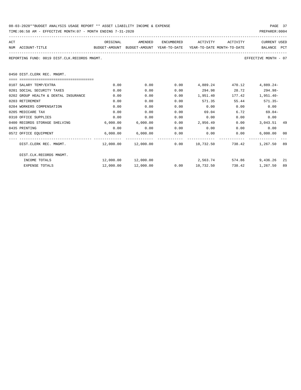| 08-03-2020**BUDGET ANALYSIS USAGE REPORT ** ASSET LIABILITY INCOME & EXPENSE | PAGE 37        |  |
|------------------------------------------------------------------------------|----------------|--|
| TIME:06:58 AM - EFFECTIVE MONTH:07 - MONTH ENDING 7-31-2020                  | PREPARER: 0004 |  |

| ACT |                                                                                          | ORIGINAL                     | AMENDED              | ENCUMBERED | ACTIVITY                     | ACTIVITY   | <b>CURRENT USED</b>                                       |  |
|-----|------------------------------------------------------------------------------------------|------------------------------|----------------------|------------|------------------------------|------------|-----------------------------------------------------------|--|
|     | NUM ACCOUNT-TITLE<br>BUDGET-AMOUNT BUDGET-AMOUNT YEAR-TO-DATE YEAR-TO-DATE_MONTH-TO-DATE |                              |                      |            |                              |            | BALANCE<br>PCT                                            |  |
|     | REPORTING FUND: 0019 DIST.CLK.RECORDS MNGMT.                                             |                              |                      |            |                              |            | EFFECTIVE MONTH - 07                                      |  |
|     | 0450 DIST.CLERK REC. MNGMT.                                                              |                              |                      |            |                              |            |                                                           |  |
|     |                                                                                          |                              |                      |            |                              |            |                                                           |  |
|     | 0107 SALARY TEMP/EXTRA                                                                   | 0.00                         | 0.00                 |            | $0.00 \t 4.889.24 \t 470.12$ |            | $4.889.24-$                                               |  |
|     | 0201 SOCIAL SECURITY TAXES                                                               | 0.00                         | 0.00                 | 0.00       |                              |            | 294.98 28.72 294.98-                                      |  |
|     | 0202 GROUP HEALTH & DENTAL INSURANCE                                                     | 0.00                         | 0.00                 | 0.00       |                              |            | 1,951.40 177.42 1,951.40-                                 |  |
|     | 0203 RETIREMENT                                                                          | 0.00                         | 0.00                 | 0.00       | 571.35                       |            | 55.44 571.35-                                             |  |
|     | 0204 WORKERS COMPENSATION                                                                | 0.00                         | 0.00                 | 0.00       | 0.00                         | 0.00       | 0.00                                                      |  |
|     | 0205 MEDICARE TAX                                                                        | 0.00                         | 0.00                 | 0.00       |                              | 69.04 6.72 | $69.04-$                                                  |  |
|     | 0310 OFFICE SUPPLIES                                                                     | 0.00                         | 0.00                 | 0.00       | 0.00                         | 0.00       | 0.00                                                      |  |
|     | 0400 RECORDS STORAGE SHELVING                                                            | 6.000.00                     | 6,000.00             |            |                              |            | $0.00$ 2,956.49 0.00 3,043.51 49                          |  |
|     | 0435 PRINTING                                                                            | 0.00                         | 0.00                 | 0.00       | 0.00                         | 0.00       | 0.00                                                      |  |
|     | 0572 OFFICE EQUIPMENT                                                                    | $6,000.00$ $6,000.00$ $0.00$ |                      |            |                              |            | $0.00$ $0.00$ $0.00$ $0.00$ $0.00$<br>00                  |  |
|     | DIST.CLERK REC. MNGMT.                                                                   |                              |                      |            |                              |            | $12,000.00$ $12,000.00$ 0.00 10,732.50 738.42 1,267.50 89 |  |
|     | DIST.CLK.RECORDS MNGMT.                                                                  |                              |                      |            |                              |            |                                                           |  |
|     | INCOME TOTALS                                                                            |                              |                      |            |                              |            | 2,563.74 574.86 9,436.26 21                               |  |
|     | <b>EXPENSE TOTALS</b>                                                                    |                              | 12,000.00  12,000.00 |            |                              |            | 738.42 1,267.50<br>89                                     |  |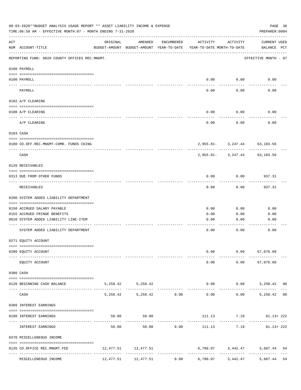|     | 08-03-2020**BUDGET ANALYSIS USAGE REPORT ** ASSET LIABILITY INCOME & EXPENSE<br>TIME: 06:58 AM - EFFECTIVE MONTH: 07 - MONTH ENDING 7-31-2020 |          |                                                     |            |                                                                    |              | PREPARER: 0004                                    | PAGE 38 |
|-----|-----------------------------------------------------------------------------------------------------------------------------------------------|----------|-----------------------------------------------------|------------|--------------------------------------------------------------------|--------------|---------------------------------------------------|---------|
| ACT | NUM ACCOUNT-TITLE                                                                                                                             | ORIGINAL | AMENDED<br>BUDGET-AMOUNT BUDGET-AMOUNT YEAR-TO-DATE | ENCUMBERED | ACTIVITY<br>YEAR-TO-DATE MONTH-TO-DATE                             | ACTIVITY     | CURRENT USED<br>BALANCE PCT                       |         |
|     | REPORTING FUND: 0020 COUNTY OFFICES REC.MNGMT.                                                                                                |          |                                                     |            |                                                                    |              | EFFECTIVE MONTH - 07                              |         |
|     | 0100 PAYROLL                                                                                                                                  |          |                                                     |            |                                                                    |              |                                                   |         |
|     | 0100 PAYROLL                                                                                                                                  |          |                                                     |            | 0.00                                                               | 0.00         | 0.00                                              |         |
|     | -------------------------- -----------<br>PAYROLL                                                                                             |          |                                                     |            | 0.00                                                               | 0.00         | 0.00                                              |         |
|     | 0102 A/P CLEARING                                                                                                                             |          |                                                     |            |                                                                    |              |                                                   |         |
|     | 0100 A/P CLEARING                                                                                                                             |          |                                                     |            | 0.00                                                               | 0.00         | 0.00                                              |         |
|     | A/P CLEARING                                                                                                                                  |          |                                                     |            | 0.00                                                               | 0.00         | 0.00                                              |         |
|     | 0103 CASH                                                                                                                                     |          |                                                     |            |                                                                    |              |                                                   |         |
|     | 0100 CO.OFF.REC.MNGMT-COMB. FUNDS CKING                                                                                                       |          |                                                     |            |                                                                    |              | 2,955.81- 3,247.44 63,183.56                      |         |
|     | CASH                                                                                                                                          |          |                                                     |            |                                                                    |              | 2,955.81- 3,247.44 63,183.56                      |         |
|     | 0120 RECEIVABLES                                                                                                                              |          |                                                     |            |                                                                    |              |                                                   |         |
|     | 0313 DUE FROM OTHER FUNDS                                                                                                                     |          |                                                     |            | 0.00                                                               | 0.00         | 937.31                                            |         |
|     | RECEIVABLES                                                                                                                                   |          |                                                     |            | 0.00                                                               | 0.00         | 937.31                                            |         |
|     | 0200 SYSTEM ADDED LIABILITY DEPARTMENT                                                                                                        |          |                                                     |            |                                                                    |              |                                                   |         |
|     | 0150 ACCRUED SALARY PAYABLE                                                                                                                   |          |                                                     |            | 0.00                                                               | 0.00         | 0.00                                              |         |
|     | 0155 ACCRUED FRINGE BENEFITS                                                                                                                  |          |                                                     |            | 0.00                                                               | 0.00         | 0.00                                              |         |
|     | 0910 SYSTEM ADDED LIABILITY LINE-ITEM                                                                                                         |          |                                                     |            | 0.00                                                               | 0.00         | 0.00                                              |         |
|     | SYSTEM ADDED LIABILITY DEPARTMENT                                                                                                             |          |                                                     |            | 0.00                                                               | 0.00         | 0.00                                              |         |
|     | 0271 EQUITY ACCOUNT                                                                                                                           |          |                                                     |            |                                                                    |              |                                                   |         |
|     | 0200 EQUITY ACCOUNT                                                                                                                           |          |                                                     |            | 0.00<br>$- - - - -$                                                |              | $0.00$ 67,076.68<br>----------------------------- |         |
|     | EQUITY ACCOUNT                                                                                                                                |          |                                                     |            | 0.00                                                               |              | $0.00$ 67,076.68                                  |         |
|     | 0300 CASH                                                                                                                                     |          |                                                     |            |                                                                    |              |                                                   |         |
|     | 0120 BEGINNING CASH BALANCE                                                                                                                   |          | 5, 258.42 5, 258.42                                 |            |                                                                    | ------------ | $0.00$ $0.00$ $5,258.42$ 00<br>------------------ |         |
|     | CASH                                                                                                                                          |          | 5,258.42 5,258.42 0.00                              |            | 0.00                                                               |              | $0.00$ 5,258.42 00                                |         |
|     | 0360 INTEREST EARNINGS                                                                                                                        |          |                                                     |            |                                                                    |              |                                                   |         |
|     | 0100 INTEREST EARNINGS                                                                                                                        |          | 50.00 50.00                                         |            |                                                                    |              | 111.13 7.19 61.13+222                             |         |
|     | INTEREST EARNINGS                                                                                                                             | 50.00    |                                                     | 50.00 0.00 |                                                                    |              | $111.13$ $7.19$ $61.13+222$                       |         |
|     | 0370 MISCELLENEOUS INCOME                                                                                                                     |          |                                                     |            |                                                                    |              |                                                   |         |
|     | 0135 CO.OFFICE REC.MNGMT.FEE                                                                                                                  |          | 12,477.51 12,477.51                                 |            |                                                                    |              | 6,790.07 3,442.47 5,687.44 54                     |         |
|     | MISCELLENEOUS INCOME                                                                                                                          |          |                                                     |            | $12,477.51$ $12,477.51$ $0.00$ $6,790.07$ $3,442.47$ $5,687.44$ 54 |              |                                                   |         |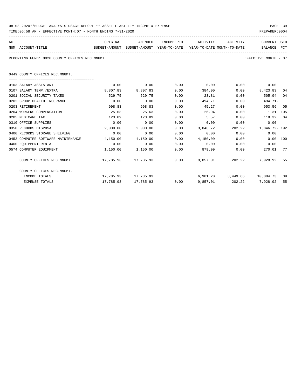| 08-03-2020**BUDGET ANALYSIS USAGE REPORT ** ASSET LIABILITY INCOME & EXPENSE | PAGE 39        |  |
|------------------------------------------------------------------------------|----------------|--|
| TIME:06:58 AM - EFFECTIVE MONTH:07 - MONTH ENDING 7-31-2020                  | PREPARER: 0004 |  |

| ACT<br>NUM ACCOUNT-TITLE<br>BUDGET-AMOUNT BUDGET-AMOUNT YEAR-TO-DATE YEAR-TO-DATE_MONTH-TO-DATE | ORIGINAL           | AMENDED             |              | ENCUMBERED ACTIVITY ACTIVITY |        | CURRENT USED<br>BALANCE PCT    |     |
|-------------------------------------------------------------------------------------------------|--------------------|---------------------|--------------|------------------------------|--------|--------------------------------|-----|
| REPORTING FUND: 0020 COUNTY OFFICES REC.MNGMT.                                                  |                    |                     |              |                              |        | EFFECTIVE MONTH - 07           |     |
| 0449 COUNTY OFFICES REC.MNGMT.                                                                  |                    |                     |              |                              |        |                                |     |
|                                                                                                 |                    |                     |              |                              |        |                                |     |
| 0103 SALARY ASSISTANT                                                                           | 0.00               | 0.00                | 0.00<br>0.00 | $0.00$ 0.00                  |        | 0.00                           |     |
| 0107 SALARY TEMP./EXTRA                                                                         | 8,807.83<br>529.75 | 8,807.83            |              |                              | 384.00 | $0.00$ $8,423.83$ 04           |     |
| 0201 SOCIAL SECURITY TAXES                                                                      |                    | 529.75              | 0.00         | 23.81                        | 0.00   | 505.94 04                      |     |
| 0202 GROUP HEALTH INSURANCE                                                                     | 0.00               | 0.00                | 0.00         | 494.71                       | 0.00   | $494.71-$                      |     |
| 0203 RETIREMENT                                                                                 | 998.83             | 998.83              | 0.00         | 45.27                        | 0.00   | 953.56                         | 0.5 |
| 0204 WORKERS COMPENSATION                                                                       | 25.63              | 25.63               | 0.00         | 26.94                        | 0.00   | $1.31 - 105$                   |     |
| 0205 MEDICARE TAX                                                                               | 123.89             | 123.89              | 0.00         | 5.57                         |        | 0.00<br>118.32 04              |     |
| 0310 OFFICE SUPPLIES                                                                            | 0.00               | 0.00                | 0.00         | 0.00                         | 0.00   | 0.00                           |     |
| 0350 RECORDS DISPOSAL                                                                           | 2,000.00           | 2,000.00            | 0.00         | 3,846.72                     |        | 202.22 1,846.72-192            |     |
| 0400 RECORDS STORAGE SHELVING                                                                   | 0.00               | 0.00                | 0.00         | 0.00                         | 0.00   | 0.00                           |     |
| 0453 COMPUTER SOFTWARE MAINTENANCE                                                              | 4,150.00           | 4,150.00            | 0.00         | $4.150.00$ 0.00              |        | $0.00$ 100                     |     |
| 0460 EOUIPMENT RENTAL                                                                           | 0.00               | 0.00                | 0.00         | $0.00$ $0.00$ $0.00$ $0.00$  |        |                                |     |
| 0574 COMPUTER EOUIPMENT                                                                         | 1,150.00           | 1,150.00            | 0.00         | 879.99 0.00                  |        | 270.01 77                      |     |
| COUNTY OFFICES REC.MNGMT. 47,785.93 17,785.93 0.00                                              |                    |                     |              | 9,857.01                     |        | 202.22 7.928.92 55             |     |
| COUNTY OFFICES REC.MNGMT.                                                                       |                    |                     |              |                              |        |                                |     |
| INCOME TOTALS                                                                                   |                    | 17,785.93 17,785.93 |              |                              |        | 6,901.20 3,449.66 10,884.73 39 |     |

EXPENSE TOTALS 17,785.93 17,785.93 0.00 9,857.01 202.22 7,928.92 55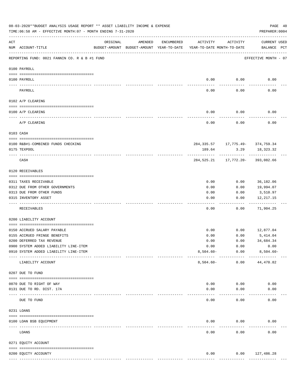|     | 08-03-2020**BUDGET ANALYSIS USAGE REPORT ** ASSET LIABILITY INCOME & EXPENSE<br>TIME:06:58 AM - EFFECTIVE MONTH:07 - MONTH ENDING 7-31-2020 |                                                      |         |               |                                        |                                                | PAGE 40<br>PREPARER: 0004           |
|-----|---------------------------------------------------------------------------------------------------------------------------------------------|------------------------------------------------------|---------|---------------|----------------------------------------|------------------------------------------------|-------------------------------------|
| ACT | NUM ACCOUNT-TITLE                                                                                                                           | ORIGINAL<br>BUDGET-AMOUNT BUDGET-AMOUNT YEAR-TO-DATE | AMENDED | ENCUMBERED    | ACTIVITY<br>YEAR-TO-DATE MONTH-TO-DATE | ACTIVITY                                       | <b>CURRENT USED</b><br>BALANCE PCT  |
|     | REPORTING FUND: 0021 FANNIN CO. R & B #1 FUND                                                                                               |                                                      |         |               |                                        |                                                | EFFECTIVE MONTH - 07                |
|     | 0100 PAYROLL                                                                                                                                |                                                      |         |               |                                        |                                                |                                     |
|     | 0100 PAYROLL<br>----- ----                                                                                                                  |                                                      |         |               | 0.00                                   | 0.00                                           | 0.00                                |
|     | PAYROLL                                                                                                                                     |                                                      |         |               | 0.00                                   | 0.00                                           | 0.00                                |
|     | 0102 A/P CLEARING                                                                                                                           |                                                      |         |               |                                        |                                                |                                     |
|     | 0100 A/P CLEARING                                                                                                                           |                                                      |         |               | 0.00                                   | 0.00                                           | 0.00                                |
|     | A/P CLEARING                                                                                                                                |                                                      |         |               | 0.00                                   | 0.00                                           | 0.00                                |
|     | 0103 CASH                                                                                                                                   |                                                      |         |               |                                        |                                                |                                     |
|     | 0100 R&B#1-COMBINED FUNDS CHECKING                                                                                                          |                                                      |         |               |                                        | 284, 335.57 17, 775.49- 374, 759.34            |                                     |
|     | 0175 TEXPOOL                                                                                                                                |                                                      |         |               | 189.64                                 | 3.29                                           | 18,323.32                           |
|     | CASH                                                                                                                                        |                                                      |         |               |                                        | ----------<br>284,525.21 17,772.20- 393,082.66 |                                     |
|     | 0120 RECEIVABLES                                                                                                                            |                                                      |         |               |                                        |                                                |                                     |
|     | 0311 TAXES RECEIVABLE                                                                                                                       |                                                      |         |               | 0.00                                   | 0.00                                           | 36,182.06                           |
|     | 0312 DUE FROM OTHER GOVERNMENTS                                                                                                             |                                                      |         |               | 0.00                                   | 0.00                                           | 19,994.07                           |
|     | 0313 DUE FROM OTHER FUNDS                                                                                                                   |                                                      |         |               | 0.00                                   | 0.00                                           | 3,510.97                            |
|     | 0315 INVENTORY ASSET                                                                                                                        |                                                      |         |               | 0.00                                   | 0.00                                           | 12, 217.15<br>----------            |
|     | RECEIVABLES                                                                                                                                 |                                                      |         |               | 0.00                                   | 0.00                                           | 71,904.25                           |
|     | 0200 LIABILITY ACCOUNT                                                                                                                      |                                                      |         |               |                                        |                                                |                                     |
|     | 0150 ACCRUED SALARY PAYABLE                                                                                                                 |                                                      |         |               | 0.00                                   | 0.00                                           | 12,877.04                           |
|     | 0155 ACCRUED FRINGE BENEFITS                                                                                                                |                                                      |         |               | 0.00                                   | 0.00                                           | 5,414.04                            |
|     | 0200 DEFERRED TAX REVENUE                                                                                                                   |                                                      |         |               | 0.00                                   | 0.00                                           | 34,684.34                           |
|     | 0900 SYSTEM ADDED LIABILITY LINE-ITEM                                                                                                       |                                                      |         |               | 0.00                                   | 0.00                                           | 0.00                                |
|     | 0910 SYSTEM ADDED LIABILITY LINE-ITEM                                                                                                       |                                                      |         |               | $8,504.60 -$                           | 0.00                                           | $8,504.60 -$                        |
|     | LIABILITY ACCOUNT                                                                                                                           |                                                      |         |               | $8,504.60 -$                           | 0.00                                           | 44,470.82                           |
|     | 0207 DUE TO FUND                                                                                                                            |                                                      |         |               |                                        |                                                |                                     |
|     | 0070 DUE TO RIGHT OF WAY                                                                                                                    |                                                      |         |               | 0.00                                   | 0.00                                           | 0.00                                |
|     | 0131 DUE TO RD. DIST. 17A                                                                                                                   |                                                      |         |               | 0.00                                   | 0.00                                           | 0.00                                |
|     | -------------------- -------------<br>DUE TO FUND                                                                                           |                                                      |         |               | 0.00                                   | 0.00                                           | 0.00                                |
|     | 0231 LOANS                                                                                                                                  |                                                      |         |               |                                        |                                                |                                     |
|     | 0100 LOAN BSB EQUIPMENT                                                                                                                     |                                                      |         |               | 0.00                                   | 0.00                                           | 0.00                                |
|     | ------------------------- -----------<br>LOANS                                                                                              |                                                      |         |               | 0.00                                   | 0.00                                           | 0.00                                |
|     | 0271 EQUITY ACCOUNT                                                                                                                         |                                                      |         |               |                                        |                                                |                                     |
|     |                                                                                                                                             |                                                      |         |               |                                        |                                                |                                     |
|     | 0200 EQUITY ACCOUNTY                                                                                                                        |                                                      |         | ------------- | 0.00<br>-------------                  | ------------                                   | $0.00$ 127,486.28<br>-------------- |
|     |                                                                                                                                             |                                                      |         |               |                                        |                                                |                                     |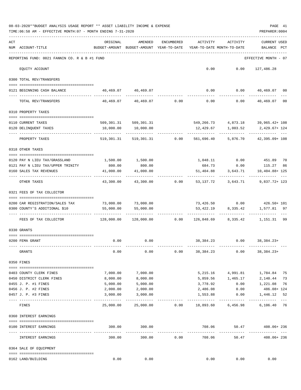| 08-03-2020**BUDGET ANALYSIS USAGE REPORT ** ASSET LIABILITY INCOME & EXPENSE | PAGE 41        |
|------------------------------------------------------------------------------|----------------|
| TIME:06:58 AM - EFFECTIVE MONTH:07 - MONTH ENDING 7-31-2020                  | PREPARER: 0004 |

| REPORTING FUND: 0021 FANNIN CO. R & B #1 FUND<br>EFFECTIVE MONTH - 07<br>0.00<br>0.00<br>EQUITY ACCOUNT<br>127,486.28<br>0300 TOTAL REV/TRANSFERS<br>40,469.07 40,469.07<br>$0.00$ $0.00$ $40,469.07$ 00<br>0121 BEGINNING CASH BALANCE<br>40,469.07 40,469.07<br>0.00<br>0.00<br>0.00<br>TOTAL REV/TRANSFERS<br>0310 PROPERTY TAXES<br>509, 301. 31 509, 301. 31<br>549, 266. 73 4, 873. 18 39, 965. 42 + 108<br>0110 CURRENT TAXES<br>0120 DELINQUENT TAXES<br>10,000.00<br>10,000.00<br>12,429.67<br>1,003.52<br>2,429.67+ 124<br>.<br>5,876.70<br>PROPERTY TAXES<br>519,301.31<br>519,301.31<br>0.00<br>561,696.40<br>0318 OTHER TAXES<br>1,048.11 0.00 451.89 70<br>1,500.00<br>1,500.00<br>0120 PAY N LIEU TAX/GRASSLAND<br>0121 PAY N LIEU TAX/UPPER TRINITY<br>800.00<br>800.00<br>684.73 0.00<br>115.27<br>86<br>41,000.00<br>41,000.00<br>3,643.71<br>0160 SALES TAX REVENUES<br>51,404.88<br>10,404.88+ 125<br>OTHER TAXES<br>43,300.00<br>43,300.00<br>0.00<br>53,137.72<br>3,643.71<br>0321 FEES OF TAX COLLECTOR<br>73,000.00<br>73,426.50   0.00   426.50+ 101<br>73,000.00<br>0200 CAR REGISTRATION/SALES TAX<br>0300 COUNTY'S ADDITIONAL \$10<br>55,000.00<br>55,000.00<br>53,422.19<br>8,335.42<br>1,577.81 97<br>128,000.00<br>128,000.00<br>0.00<br>126,848.69<br>8,335.42<br>FEES OF TAX COLLECTOR<br>0330 GRANTS<br>0.00<br>38, 384. 23<br>0.00<br>$38,384.23+$<br>0200 FEMA GRANT<br>0.00<br>0.00<br>0.00<br>0.00<br>38, 384. 23<br>0.00<br>$38,384.23+$<br>GRANTS<br>0350 FINES<br>7,000.00<br>5,215.16<br>4,991.81<br>0403 COUNTY CLERK FINES<br>7,000.00<br>1,784.84 75<br>5,859.56 1,465.17<br>0450 DISTRICT CLERK FINES<br>8,000.00<br>8,000.00<br>2,140.44 73<br>0455 J. P. #1 FINES<br>5,000.00<br>5,000.00<br>3,778.92<br>0.00<br>1,221.08 76<br>486.08+ 124<br>0456 J. P. #2 FINES<br>2,000.00<br>2,000.00<br>2,486.08 0.00<br>0457 J. P. #3 FINES<br>3,000.00<br>3,000.00<br>1,553.88<br>0.00<br>1,446.12<br>52<br>25,000.00<br>25,000.00<br>0.00<br>18,893.60 6,456.98<br>6,106.40 76<br>FINES<br>0360 INTEREST EARNINGS<br>708.06<br>300.00<br>300.00<br>50.47<br>0100 INTEREST EARNINGS<br>-----------<br>---------<br>-----------------<br>300.00<br>300.00<br>0.00<br>708.06<br>50.47<br>INTEREST EARNINGS<br>0364 SALE OF EQUIPMENT<br>0162 LAND/BUILDING<br>0.00<br>0.00<br>0.00<br>0.00<br>0.00 | ACT | NUM ACCOUNT-TITLE | ORIGINAL | AMENDED<br>BUDGET-AMOUNT BUDGET-AMOUNT YEAR-TO-DATE | ENCUMBERED | ACTIVITY<br>YEAR-TO-DATE MONTH-TO-DATE | ACTIVITY | CURRENT USED<br>BALANCE<br>PCT |
|------------------------------------------------------------------------------------------------------------------------------------------------------------------------------------------------------------------------------------------------------------------------------------------------------------------------------------------------------------------------------------------------------------------------------------------------------------------------------------------------------------------------------------------------------------------------------------------------------------------------------------------------------------------------------------------------------------------------------------------------------------------------------------------------------------------------------------------------------------------------------------------------------------------------------------------------------------------------------------------------------------------------------------------------------------------------------------------------------------------------------------------------------------------------------------------------------------------------------------------------------------------------------------------------------------------------------------------------------------------------------------------------------------------------------------------------------------------------------------------------------------------------------------------------------------------------------------------------------------------------------------------------------------------------------------------------------------------------------------------------------------------------------------------------------------------------------------------------------------------------------------------------------------------------------------------------------------------------------------------------------------------------------------------------------------------------------------------------------------------------------------------------------------------------------------------------------------------------------------------------------------------------------------------------------------------------------------------|-----|-------------------|----------|-----------------------------------------------------|------------|----------------------------------------|----------|--------------------------------|
|                                                                                                                                                                                                                                                                                                                                                                                                                                                                                                                                                                                                                                                                                                                                                                                                                                                                                                                                                                                                                                                                                                                                                                                                                                                                                                                                                                                                                                                                                                                                                                                                                                                                                                                                                                                                                                                                                                                                                                                                                                                                                                                                                                                                                                                                                                                                          |     |                   |          |                                                     |            |                                        |          |                                |
|                                                                                                                                                                                                                                                                                                                                                                                                                                                                                                                                                                                                                                                                                                                                                                                                                                                                                                                                                                                                                                                                                                                                                                                                                                                                                                                                                                                                                                                                                                                                                                                                                                                                                                                                                                                                                                                                                                                                                                                                                                                                                                                                                                                                                                                                                                                                          |     |                   |          |                                                     |            |                                        |          |                                |
|                                                                                                                                                                                                                                                                                                                                                                                                                                                                                                                                                                                                                                                                                                                                                                                                                                                                                                                                                                                                                                                                                                                                                                                                                                                                                                                                                                                                                                                                                                                                                                                                                                                                                                                                                                                                                                                                                                                                                                                                                                                                                                                                                                                                                                                                                                                                          |     |                   |          |                                                     |            |                                        |          |                                |
|                                                                                                                                                                                                                                                                                                                                                                                                                                                                                                                                                                                                                                                                                                                                                                                                                                                                                                                                                                                                                                                                                                                                                                                                                                                                                                                                                                                                                                                                                                                                                                                                                                                                                                                                                                                                                                                                                                                                                                                                                                                                                                                                                                                                                                                                                                                                          |     |                   |          |                                                     |            |                                        |          |                                |
|                                                                                                                                                                                                                                                                                                                                                                                                                                                                                                                                                                                                                                                                                                                                                                                                                                                                                                                                                                                                                                                                                                                                                                                                                                                                                                                                                                                                                                                                                                                                                                                                                                                                                                                                                                                                                                                                                                                                                                                                                                                                                                                                                                                                                                                                                                                                          |     |                   |          |                                                     |            |                                        |          | 40,469.07 00                   |
|                                                                                                                                                                                                                                                                                                                                                                                                                                                                                                                                                                                                                                                                                                                                                                                                                                                                                                                                                                                                                                                                                                                                                                                                                                                                                                                                                                                                                                                                                                                                                                                                                                                                                                                                                                                                                                                                                                                                                                                                                                                                                                                                                                                                                                                                                                                                          |     |                   |          |                                                     |            |                                        |          |                                |
|                                                                                                                                                                                                                                                                                                                                                                                                                                                                                                                                                                                                                                                                                                                                                                                                                                                                                                                                                                                                                                                                                                                                                                                                                                                                                                                                                                                                                                                                                                                                                                                                                                                                                                                                                                                                                                                                                                                                                                                                                                                                                                                                                                                                                                                                                                                                          |     |                   |          |                                                     |            |                                        |          |                                |
|                                                                                                                                                                                                                                                                                                                                                                                                                                                                                                                                                                                                                                                                                                                                                                                                                                                                                                                                                                                                                                                                                                                                                                                                                                                                                                                                                                                                                                                                                                                                                                                                                                                                                                                                                                                                                                                                                                                                                                                                                                                                                                                                                                                                                                                                                                                                          |     |                   |          |                                                     |            |                                        |          |                                |
|                                                                                                                                                                                                                                                                                                                                                                                                                                                                                                                                                                                                                                                                                                                                                                                                                                                                                                                                                                                                                                                                                                                                                                                                                                                                                                                                                                                                                                                                                                                                                                                                                                                                                                                                                                                                                                                                                                                                                                                                                                                                                                                                                                                                                                                                                                                                          |     |                   |          |                                                     |            |                                        |          |                                |
|                                                                                                                                                                                                                                                                                                                                                                                                                                                                                                                                                                                                                                                                                                                                                                                                                                                                                                                                                                                                                                                                                                                                                                                                                                                                                                                                                                                                                                                                                                                                                                                                                                                                                                                                                                                                                                                                                                                                                                                                                                                                                                                                                                                                                                                                                                                                          |     |                   |          |                                                     |            |                                        |          | 42,395.09+ 108                 |
|                                                                                                                                                                                                                                                                                                                                                                                                                                                                                                                                                                                                                                                                                                                                                                                                                                                                                                                                                                                                                                                                                                                                                                                                                                                                                                                                                                                                                                                                                                                                                                                                                                                                                                                                                                                                                                                                                                                                                                                                                                                                                                                                                                                                                                                                                                                                          |     |                   |          |                                                     |            |                                        |          |                                |
|                                                                                                                                                                                                                                                                                                                                                                                                                                                                                                                                                                                                                                                                                                                                                                                                                                                                                                                                                                                                                                                                                                                                                                                                                                                                                                                                                                                                                                                                                                                                                                                                                                                                                                                                                                                                                                                                                                                                                                                                                                                                                                                                                                                                                                                                                                                                          |     |                   |          |                                                     |            |                                        |          |                                |
|                                                                                                                                                                                                                                                                                                                                                                                                                                                                                                                                                                                                                                                                                                                                                                                                                                                                                                                                                                                                                                                                                                                                                                                                                                                                                                                                                                                                                                                                                                                                                                                                                                                                                                                                                                                                                                                                                                                                                                                                                                                                                                                                                                                                                                                                                                                                          |     |                   |          |                                                     |            |                                        |          |                                |
|                                                                                                                                                                                                                                                                                                                                                                                                                                                                                                                                                                                                                                                                                                                                                                                                                                                                                                                                                                                                                                                                                                                                                                                                                                                                                                                                                                                                                                                                                                                                                                                                                                                                                                                                                                                                                                                                                                                                                                                                                                                                                                                                                                                                                                                                                                                                          |     |                   |          |                                                     |            |                                        |          |                                |
|                                                                                                                                                                                                                                                                                                                                                                                                                                                                                                                                                                                                                                                                                                                                                                                                                                                                                                                                                                                                                                                                                                                                                                                                                                                                                                                                                                                                                                                                                                                                                                                                                                                                                                                                                                                                                                                                                                                                                                                                                                                                                                                                                                                                                                                                                                                                          |     |                   |          |                                                     |            |                                        |          |                                |
|                                                                                                                                                                                                                                                                                                                                                                                                                                                                                                                                                                                                                                                                                                                                                                                                                                                                                                                                                                                                                                                                                                                                                                                                                                                                                                                                                                                                                                                                                                                                                                                                                                                                                                                                                                                                                                                                                                                                                                                                                                                                                                                                                                                                                                                                                                                                          |     |                   |          |                                                     |            |                                        |          | 9,837.72+ 123                  |
|                                                                                                                                                                                                                                                                                                                                                                                                                                                                                                                                                                                                                                                                                                                                                                                                                                                                                                                                                                                                                                                                                                                                                                                                                                                                                                                                                                                                                                                                                                                                                                                                                                                                                                                                                                                                                                                                                                                                                                                                                                                                                                                                                                                                                                                                                                                                          |     |                   |          |                                                     |            |                                        |          |                                |
|                                                                                                                                                                                                                                                                                                                                                                                                                                                                                                                                                                                                                                                                                                                                                                                                                                                                                                                                                                                                                                                                                                                                                                                                                                                                                                                                                                                                                                                                                                                                                                                                                                                                                                                                                                                                                                                                                                                                                                                                                                                                                                                                                                                                                                                                                                                                          |     |                   |          |                                                     |            |                                        |          |                                |
|                                                                                                                                                                                                                                                                                                                                                                                                                                                                                                                                                                                                                                                                                                                                                                                                                                                                                                                                                                                                                                                                                                                                                                                                                                                                                                                                                                                                                                                                                                                                                                                                                                                                                                                                                                                                                                                                                                                                                                                                                                                                                                                                                                                                                                                                                                                                          |     |                   |          |                                                     |            |                                        |          |                                |
|                                                                                                                                                                                                                                                                                                                                                                                                                                                                                                                                                                                                                                                                                                                                                                                                                                                                                                                                                                                                                                                                                                                                                                                                                                                                                                                                                                                                                                                                                                                                                                                                                                                                                                                                                                                                                                                                                                                                                                                                                                                                                                                                                                                                                                                                                                                                          |     |                   |          |                                                     |            |                                        |          |                                |
|                                                                                                                                                                                                                                                                                                                                                                                                                                                                                                                                                                                                                                                                                                                                                                                                                                                                                                                                                                                                                                                                                                                                                                                                                                                                                                                                                                                                                                                                                                                                                                                                                                                                                                                                                                                                                                                                                                                                                                                                                                                                                                                                                                                                                                                                                                                                          |     |                   |          |                                                     |            |                                        |          | 1,151.31 99                    |
|                                                                                                                                                                                                                                                                                                                                                                                                                                                                                                                                                                                                                                                                                                                                                                                                                                                                                                                                                                                                                                                                                                                                                                                                                                                                                                                                                                                                                                                                                                                                                                                                                                                                                                                                                                                                                                                                                                                                                                                                                                                                                                                                                                                                                                                                                                                                          |     |                   |          |                                                     |            |                                        |          |                                |
|                                                                                                                                                                                                                                                                                                                                                                                                                                                                                                                                                                                                                                                                                                                                                                                                                                                                                                                                                                                                                                                                                                                                                                                                                                                                                                                                                                                                                                                                                                                                                                                                                                                                                                                                                                                                                                                                                                                                                                                                                                                                                                                                                                                                                                                                                                                                          |     |                   |          |                                                     |            |                                        |          |                                |
|                                                                                                                                                                                                                                                                                                                                                                                                                                                                                                                                                                                                                                                                                                                                                                                                                                                                                                                                                                                                                                                                                                                                                                                                                                                                                                                                                                                                                                                                                                                                                                                                                                                                                                                                                                                                                                                                                                                                                                                                                                                                                                                                                                                                                                                                                                                                          |     |                   |          |                                                     |            |                                        |          |                                |
|                                                                                                                                                                                                                                                                                                                                                                                                                                                                                                                                                                                                                                                                                                                                                                                                                                                                                                                                                                                                                                                                                                                                                                                                                                                                                                                                                                                                                                                                                                                                                                                                                                                                                                                                                                                                                                                                                                                                                                                                                                                                                                                                                                                                                                                                                                                                          |     |                   |          |                                                     |            |                                        |          |                                |
|                                                                                                                                                                                                                                                                                                                                                                                                                                                                                                                                                                                                                                                                                                                                                                                                                                                                                                                                                                                                                                                                                                                                                                                                                                                                                                                                                                                                                                                                                                                                                                                                                                                                                                                                                                                                                                                                                                                                                                                                                                                                                                                                                                                                                                                                                                                                          |     |                   |          |                                                     |            |                                        |          |                                |
|                                                                                                                                                                                                                                                                                                                                                                                                                                                                                                                                                                                                                                                                                                                                                                                                                                                                                                                                                                                                                                                                                                                                                                                                                                                                                                                                                                                                                                                                                                                                                                                                                                                                                                                                                                                                                                                                                                                                                                                                                                                                                                                                                                                                                                                                                                                                          |     |                   |          |                                                     |            |                                        |          |                                |
|                                                                                                                                                                                                                                                                                                                                                                                                                                                                                                                                                                                                                                                                                                                                                                                                                                                                                                                                                                                                                                                                                                                                                                                                                                                                                                                                                                                                                                                                                                                                                                                                                                                                                                                                                                                                                                                                                                                                                                                                                                                                                                                                                                                                                                                                                                                                          |     |                   |          |                                                     |            |                                        |          |                                |
|                                                                                                                                                                                                                                                                                                                                                                                                                                                                                                                                                                                                                                                                                                                                                                                                                                                                                                                                                                                                                                                                                                                                                                                                                                                                                                                                                                                                                                                                                                                                                                                                                                                                                                                                                                                                                                                                                                                                                                                                                                                                                                                                                                                                                                                                                                                                          |     |                   |          |                                                     |            |                                        |          |                                |
|                                                                                                                                                                                                                                                                                                                                                                                                                                                                                                                                                                                                                                                                                                                                                                                                                                                                                                                                                                                                                                                                                                                                                                                                                                                                                                                                                                                                                                                                                                                                                                                                                                                                                                                                                                                                                                                                                                                                                                                                                                                                                                                                                                                                                                                                                                                                          |     |                   |          |                                                     |            |                                        |          |                                |
|                                                                                                                                                                                                                                                                                                                                                                                                                                                                                                                                                                                                                                                                                                                                                                                                                                                                                                                                                                                                                                                                                                                                                                                                                                                                                                                                                                                                                                                                                                                                                                                                                                                                                                                                                                                                                                                                                                                                                                                                                                                                                                                                                                                                                                                                                                                                          |     |                   |          |                                                     |            |                                        |          |                                |
|                                                                                                                                                                                                                                                                                                                                                                                                                                                                                                                                                                                                                                                                                                                                                                                                                                                                                                                                                                                                                                                                                                                                                                                                                                                                                                                                                                                                                                                                                                                                                                                                                                                                                                                                                                                                                                                                                                                                                                                                                                                                                                                                                                                                                                                                                                                                          |     |                   |          |                                                     |            |                                        |          |                                |
|                                                                                                                                                                                                                                                                                                                                                                                                                                                                                                                                                                                                                                                                                                                                                                                                                                                                                                                                                                                                                                                                                                                                                                                                                                                                                                                                                                                                                                                                                                                                                                                                                                                                                                                                                                                                                                                                                                                                                                                                                                                                                                                                                                                                                                                                                                                                          |     |                   |          |                                                     |            |                                        |          |                                |
|                                                                                                                                                                                                                                                                                                                                                                                                                                                                                                                                                                                                                                                                                                                                                                                                                                                                                                                                                                                                                                                                                                                                                                                                                                                                                                                                                                                                                                                                                                                                                                                                                                                                                                                                                                                                                                                                                                                                                                                                                                                                                                                                                                                                                                                                                                                                          |     |                   |          |                                                     |            |                                        |          | 408.06+ 236                    |
|                                                                                                                                                                                                                                                                                                                                                                                                                                                                                                                                                                                                                                                                                                                                                                                                                                                                                                                                                                                                                                                                                                                                                                                                                                                                                                                                                                                                                                                                                                                                                                                                                                                                                                                                                                                                                                                                                                                                                                                                                                                                                                                                                                                                                                                                                                                                          |     |                   |          |                                                     |            |                                        |          | 408.06+ 236                    |
|                                                                                                                                                                                                                                                                                                                                                                                                                                                                                                                                                                                                                                                                                                                                                                                                                                                                                                                                                                                                                                                                                                                                                                                                                                                                                                                                                                                                                                                                                                                                                                                                                                                                                                                                                                                                                                                                                                                                                                                                                                                                                                                                                                                                                                                                                                                                          |     |                   |          |                                                     |            |                                        |          |                                |
|                                                                                                                                                                                                                                                                                                                                                                                                                                                                                                                                                                                                                                                                                                                                                                                                                                                                                                                                                                                                                                                                                                                                                                                                                                                                                                                                                                                                                                                                                                                                                                                                                                                                                                                                                                                                                                                                                                                                                                                                                                                                                                                                                                                                                                                                                                                                          |     |                   |          |                                                     |            |                                        |          |                                |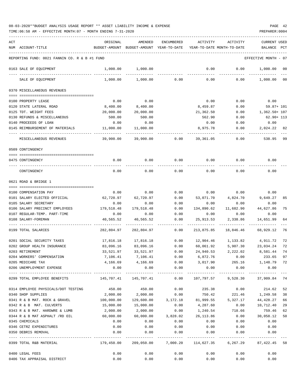| ACT |                                               | ORIGINAL      | AMENDED                                                | ENCUMBERED    | ACTIVITY                                 | ACTIVITY      | <b>CURRENT USED</b>              |                |
|-----|-----------------------------------------------|---------------|--------------------------------------------------------|---------------|------------------------------------------|---------------|----------------------------------|----------------|
|     | NUM ACCOUNT-TITLE                             | BUDGET-AMOUNT | BUDGET-AMOUNT YEAR-TO-DATE                             |               | YEAR-TO-DATE MONTH-TO-DATE               |               | BALANCE                          | PCT            |
|     | REPORTING FUND: 0021 FANNIN CO. R & B #1 FUND |               |                                                        |               |                                          |               | EFFECTIVE MONTH - 07             |                |
|     | 0163 SALE OF EQUIPMENT                        | 1,000.00      | 1,000.00                                               |               | 0.00                                     | 0.00          | 1,000.00                         | 00             |
|     | SALE OF EQUIPMENT                             | 1,000.00      | 1,000.00                                               | 0.00          | 0.00                                     | 0.00          | 1,000.00                         | 0 <sup>0</sup> |
|     |                                               |               |                                                        |               |                                          |               |                                  |                |
|     | 0370 MISCELLANEOUS REVENUES                   |               |                                                        |               |                                          |               |                                  |                |
|     | 0100 PROPERTY LEASE                           | 0.00          | 0.00                                                   |               | 0.00                                     | 0.00          | 0.00                             |                |
|     | 0120 STATE LATERAL ROAD                       | 8,400.00      | 8,400.00                                               |               | 8,459.87                                 | 0.00          | 59.87+ 101                       |                |
|     | 0125 TDT. WEIGHT FEES                         | 20,000.00     | 20,000.00                                              |               | 21,362.50                                | 0.00          | 1,362.50+ 107                    |                |
|     | 0130 REFUNDS & MISCELLANEOUS                  | 500.00        | 500.00                                                 |               | 562.90                                   | 0.00          | $62.90 + 113$                    |                |
|     | 0140 PROCEEDS OF LOAN                         | 0.00          | 0.00                                                   |               | 0.00                                     | 0.00          | 0.00                             |                |
|     | 0145 REIMBURSEMENT OF MATERIALS               | 11,000.00     | 11,000.00                                              |               | 8,975.78                                 | 0.00          | 2,024.22                         | 82             |
|     | MISCELLANEOUS REVENUES                        | 39,900.00     | 39,900.00                                              | 0.00          | 39,361.05                                | 0.00          | 538.95                           | 99             |
|     | 0509 CONTINGENCY                              |               |                                                        |               |                                          |               |                                  |                |
|     |                                               |               |                                                        |               |                                          |               |                                  |                |
|     | 0475 CONTINGENCY                              | 0.00          | 0.00                                                   | 0.00          | 0.00                                     | 0.00          | 0.00                             |                |
|     | CONTINGENCY                                   | 0.00          | 0.00                                                   | 0.00          | 0.00                                     | 0.00          | 0.00                             |                |
|     | 0621 ROAD & BRIDGE 1                          |               |                                                        |               |                                          |               |                                  |                |
|     |                                               |               |                                                        |               |                                          |               |                                  |                |
|     | 0100 COMPENSATION PAY                         | 0.00          | 0.00                                                   | 0.00          | 0.00                                     | 0.00          | 0.00                             |                |
|     | 0101 SALARY ELECTED OFFICIAL                  | 62,720.97     | 62,720.97                                              | 0.00          | 53,071.70                                | 4,824.70      | 9,649.27                         | 85             |
|     | 0105 SALARY SECRETARY                         | 0.00          | 0.00                                                   | 0.00          | 0.00                                     | 0.00          | 0.00                             |                |
|     | 0106 SALARY PRECINCT EMPLOYEES                | 179,518.48    | 179,518.48                                             | 0.00          | 134,890.62                               | 11,682.90     | 44,627.86                        | 75             |
|     | 0107 REGULAR-TEMP. PART-TIME                  | 0.00          | 0.00                                                   | 0.00          | 0.00                                     | 0.00          | 0.00                             |                |
|     | 0108 SALARY-FOREMAN                           | 40,565.52     | 40,565.52                                              | 0.00          | 25,913.53                                | 2,338.86      | 14,651.99                        | 64             |
|     | 0199 TOTAL SALARIES                           | 282,804.97    | 282,804.97                                             | 0.00          | 213,875.85                               | 18,846.46     | 68,929.12                        | 76             |
|     | 0201 SOCIAL SECURITY TAXES                    | 17,816.18     | 17,816.18                                              | 0.00          | 12,904.46                                | 1,133.82      | 4,911.72                         | 72             |
|     | 0202 GROUP HEALTH INSURANCE                   | 83,096.16     | 83,096.16                                              | 0.00          | 60,061.92                                | 5,907.30      | 23,034.24                        | 72             |
|     | 0203 RETIREMENT                               | 33,521.97     | 33,521.97                                              | 0.00          | 24,940.53                                | 2,222.02      | 8,581.44                         | 74             |
|     | 0204 WORKERS' COMPENSATION                    |               | 7,106.41 7,106.41                                      | 0.00          | 6,872.76                                 |               | $0.00$ 233.65                    | 97             |
|     | 0205 MEDICARE TAX                             |               | 4, 166.69 4, 166.69                                    |               | $0.00$ $3,017.90$ $265.16$ $1,148.79$ 72 |               |                                  |                |
|     | 0206 UNEMPLOYMENT EXPENSE                     | 0.00          | 0.00<br>-------------- ------------                    | 0.00          |                                          | $0.00$ 0.00   | 0.00                             |                |
|     | 0299 TOTAL EMPLOYEE BENEFITS                  |               |                                                        | 0.00          |                                          |               | 107,797.57 9,528.30 37,909.84 74 |                |
|     | 0314 EMPLOYEE PHYSICALS/DOT TESTING           |               | 450.00 450.00                                          | 0.00          | 235.38                                   | 0.00          | 214.62                           | 52             |
|     | 0340 SHOP SUPPLIES                            | 2,000.00      |                                                        | 2,000.00 0.00 |                                          | 750.42 221.46 | 1,249.58                         | 38             |
|     | 0341 R & B MAT. ROCK & GRAVEL                 | 100,000.00    |                                                        |               | 129,600.00 3,172.18 81,999.55            | 5,327.17      | 44,428.27                        | 66             |
|     | 0342 R & B MAT. CULVERTS                      | 15,000.00     | 15,000.00                                              | 0.00          | 4,287.60                                 | 0.00          | 10,712.40                        | 29             |
|     | 0343 R & B MAT. HARDWRE & LUMB                | 2,000.00      | 2,000.00                                               | 0.00          | 1,240.54                                 | 718.66        | 759.46                           | 62             |
|     | 0344 R & B MAT ASPHALT /RD OIL                | 60,000.00     | 60,000.00                                              | 3,828.02      | 26,113.86                                | 0.00          | 30,058.12                        | 50             |
|     | 0345 CHEMICALS                                | 0.00          | 0.00                                                   | 0.00          | 0.00                                     | 0.00          | 0.00                             |                |
|     | 0346 CETRZ EXPENDITURES                       | 0.00          | 0.00                                                   | 0.00          | 0.00                                     | 0.00          | 0.00                             |                |
|     | 0350 DEBRIS REMOVAL                           | 0.00          | 0.00                                                   | 0.00          | 0.00                                     | 0.00          | 0.00                             |                |
|     | 0399 TOTAL R&B MATERIAL                       |               | 179,450.00  209,050.00  7,000.20  114,627.35  6,267.29 | ------------  |                                          |               | 87,422.45                        | 58             |
|     | 0400 LEGAL FEES                               | 0.00          | 0.00                                                   | 0.00          | 0.00                                     | 0.00          | 0.00                             |                |
|     | 0406 TAX APPRAISAL DISTRICT                   | 0.00          | 0.00                                                   | 0.00          | 0.00                                     | 0.00          | 0.00                             |                |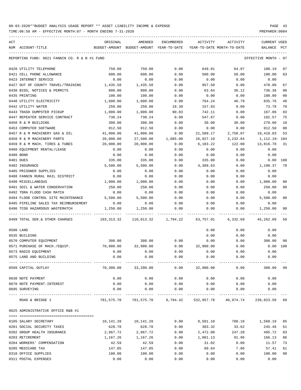| ACT |                                                      | ORIGINAL      | AMENDED                    | ENCUMBERED          | ACTIVITY                   | ACTIVITY  | <b>CURRENT USED</b>  |                |
|-----|------------------------------------------------------|---------------|----------------------------|---------------------|----------------------------|-----------|----------------------|----------------|
|     | NUM ACCOUNT-TITLE                                    | BUDGET-AMOUNT | BUDGET-AMOUNT YEAR-TO-DATE |                     | YEAR-TO-DATE MONTH-TO-DATE |           | BALANCE              | $_{\rm PCT}$   |
|     |                                                      |               |                            |                     |                            |           |                      |                |
|     | REPORTING FUND: 0021 FANNIN CO. R & B #1 FUND        |               |                            |                     |                            |           | EFFECTIVE MONTH - 07 |                |
|     | 0420 UTILITY TELEPHONE                               | 750.00        | 750.00                     | 0.00                | 649.81                     | 64.87     | 100.19               | 87             |
|     | 0421 CELL PHONE ALLOWANCE                            | 600.00        | 600.00                     | 0.00                | 500.00                     | 50.00     | 100.00               | 83             |
|     | 0423 INTERNET SERVICE                                | 0.00          | 0.00                       | 0.00                | 0.00                       | 0.00      | 0.00                 |                |
|     | 0427 OUT OF COUNTY TRAVEL/TRAINING                   | 1,435.58      | 1,435.58                   | 0.00                | 957.50                     | 0.00      | 478.08               | 67             |
|     | 0430 BIDS, NOTICES & PERMITS                         | 800.00        | 800.00                     | 0.00                | 63.64                      | 36.12     | 736.36               | 08             |
|     | 0435 PRINTING                                        | 100.00        | 100.00                     | 0.00                | 0.00                       | 0.00      | 100.00               | 00             |
|     | 0440 UTILITY ELECTRICITY                             | 1,600.00      | 1,600.00                   | 0.00                | 764.24                     | 46.79     | 835.76               | 48             |
|     | 0442 UTILITY WATER                                   | 250.00        | 250.00                     | 18.39               | 157.83                     | 0.00      | 73.78                | 70             |
|     | 0443 TRASH DUMPSTER PICKUP                           | 1,000.00      | 1,000.00                   | 90.83               | 742.11                     | 0.00      | 167.06               | 83             |
|     | 0447 REPEATER SERVICE CONTRACT                       | 730.24        | 730.24                     | 0.00                | 547.67                     | 0.00      | 182.57               | 75             |
|     | 0450 R & M BUILDING                                  | 300.00        | 300.00                     | 0.00                | 30.00                      | 30.00     | 270.00               | 10             |
|     | 0453 COMPUTER SOFTWARE                               | 912.50        | 912.50                     | 0.00                | 0.00                       | 0.00      | 912.50               | 0 <sub>0</sub> |
|     | 0457 R & M MACHINERY GAS & OIL                       | 41,000.00     | 41,000.00                  | 0.00                | 21,589.17                  | 2,750.07  | 19,410.83            | 53             |
|     | 0458 R & M MACHINERY PARTS                           | 20,000.00     | 27,500.00                  | 1,685.00            | 26,927.19                  | 3,232.84  | 1,112.19- 104        |                |
|     | 0459 R & M MACH. TIRES & TUBES                       | 20,000.00     | 20,000.00                  | 0.00                | 6,183.22                   | 122.00    | 13,816.78            | 31             |
|     | 0460 EQUIPMENT RENTAL/LEASE                          | 0.00          | 0.00                       | 0.00                | 0.00                       | 0.00      | 0.00                 |                |
|     |                                                      |               |                            |                     |                            |           |                      |                |
|     | 0480 BOND                                            | 0.00          | 0.00                       | 0.00                | 0.00                       | 0.00      | 0.00                 |                |
|     | 0481 DUES                                            | 335.00        | 335.00                     | 0.00                | 335.00                     | 0.00      | 0.00                 | 100            |
|     | 0482 INSURANCE                                       | 5,500.00      | 5,500.00                   | 0.00                | 4,309.63                   | 0.00      | 1,190.37             | 78             |
|     | 0485 PRISONER SUPPLIES                               | 0.00          | 0.00                       | 0.00                | 0.00                       | 0.00      | 0.00                 |                |
|     | 0488 FANNIN RURAL RAIL DISTRICT                      | 0.00          | 0.00                       | 0.00                | 0.00                       | 0.00      | 0.00                 |                |
|     | 0490 MISCELLANEOUS                                   | 1,000.00      | 1,000.00                   | 0.00                | 0.00                       | 0.00      | 1,000.00             | 00             |
|     | 0491 SOIL & WATER CONSERVATION                       | 250.00        | 250.00                     | 0.00                | 0.00                       | 0.00      | 250.00               | 00             |
|     | 0492 TDRA FLOOD CASH MATCH                           | 0.00          | 0.00                       | 0.00                | 0.00                       | 0.00      | 0.00                 |                |
|     | 0494 FLOOD CONTROL SITE MAINTENANCE                  | 5,500.00      | 5,500.00                   | 0.00                | 0.00                       | 0.00      | 5,500.00             | 0 <sup>0</sup> |
|     | 0495 PIPELINE SALES TAX REIMBURSEMENT                | 0.00          | 0.00                       | 0.00                | 0.00                       | 0.00      | 0.00                 |                |
|     | 0496 TCOG HAZARDOUS WASTEMATCH                       | 1,250.00      | 1,250.00                   | 0.00                | 0.00                       | 0.00      | 1,250.00             | 00             |
|     | 0499 TOTAL SER. & OTHER CHARGES                      | 103,313.32    | 110,813.32                 | 1,794.22            | 63,757.01                  | 6,332.69  | 45,262.09            | 59             |
|     | 0500 LAND                                            |               |                            |                     | 0.00                       | 0.00      | 0.00                 |                |
|     | 0535 BUILDING                                        |               |                            |                     | 0.00                       | 0.00      | 0.00                 |                |
|     | 0570 COMPUTER EQUIPMENT                              | 300.00        | 300.00                     | 0.00                | 0.00                       | 0.00      | 300.00               | 00             |
|     | 0571 PURCHASE OF MACH./EQUIP.                        | 70,000.00     | 32,900.00                  | 0.00                | 32,900.00                  | 0.00      | 0.00                 | 100            |
|     | 0573 RADIO EQUIPMENT                                 | 0.00          | 0.00                       | 0.00                | 0.00                       | 0.00      | 0.00                 |                |
|     | 0575 LAND AND BUILDING                               | 0.00          | 0.00                       | 0.00                | 0.00                       | 0.00      | 0.00                 |                |
|     |                                                      |               |                            |                     |                            |           |                      |                |
|     | 0599 CAPITAL OUTLAY                                  | 70,300.00     | 33,200.00                  |                     | $0.00$ 32,900.00           | 0.00      | 300.00               | 99             |
|     | 0630 NOTE PAYMENT                                    | 0.00          | 0.00                       | 0.00                | 0.00                       | 0.00      | 0.00                 |                |
|     | 0670 NOTE PAYMENT-INTEREST                           | 0.00          | 0.00                       | 0.00                | 0.00                       | 0.00      | 0.00                 |                |
|     | 0695 SURVEYING                                       | 0.00          | 0.00                       | 0.00                | 0.00                       | 0.00      | 0.00                 |                |
|     | --------------------- -----------<br>ROAD & BRIDGE 1 | 781,575.70    |                            | 781,575.70 8,794.42 | 532,957.78                 | 40,974.74 | 239,823.50 69        |                |
|     | 0625 ADMINISTRATIVE OFFICE R&B #1                    |               |                            |                     |                            |           |                      |                |
|     |                                                      |               |                            |                     |                            |           |                      |                |
|     | 0105 SALARY SECRETARY                                | 10,141.28     | 10,141.28                  | 0.00                | 8,581.10                   | 780.10    | 1,560.18             | 85             |
|     | 0201 SOCIAL SECURITY TAXES                           | 628.78        | 628.78                     | 0.00                | 383.32                     | 33.62     | 245.46               | 61             |
|     | 0202 GROUP HEALTH INSURANCE                          | 2,967.72      | 2,967.72                   | 0.00                | 2,472.00                   | 247.20    | 495.72               | 83             |
|     | 0203 RETIREMENT                                      | 1,167.26      | 1,167.26                   | 0.00                | 1,001.13                   | 91.96     | 166.13               | 86             |
|     | 0204 WORKERS' COMPENSATION                           | 42.59         | 42.59                      | 0.00                | 31.02                      | 0.00      | 11.57                | 73             |
|     | 0205 MEDICARE TAX                                    | 147.05        | 147.05                     | 0.00                | 89.64                      | 7.86      | 57.41                | 61             |
|     | 0310 OFFICE SUPPLIES                                 | 100.00        | 100.00                     | 0.00                | 0.00                       | 0.00      | 100.00               | 00             |
|     | 0311 POSTAL EXPENSES                                 | 0.00          | 0.00                       | 0.00                | 0.00                       | 0.00      | 0.00                 |                |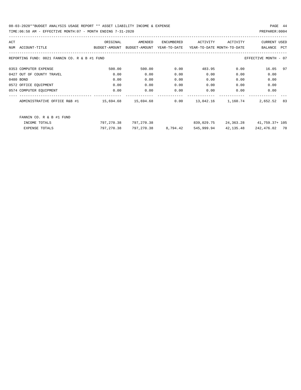| ACT |                                               | ORIGINAL      | AMENDED       | ENCUMBERED   | ACTIVITY                   | ACTIVITY  | <b>CURRENT USED</b>  |     |
|-----|-----------------------------------------------|---------------|---------------|--------------|----------------------------|-----------|----------------------|-----|
| NUM | ACCOUNT-TITLE                                 | BUDGET-AMOUNT | BUDGET-AMOUNT | YEAR-TO-DATE | YEAR-TO-DATE MONTH-TO-DATE |           | BALANCE              | PCT |
|     |                                               |               |               |              |                            |           |                      |     |
|     | REPORTING FUND: 0021 FANNIN CO. R & B #1 FUND |               |               |              |                            |           | EFFECTIVE MONTH - 07 |     |
|     | 0353 COMPUTER EXPENSE                         | 500.00        | 500.00        | 0.00         | 483.95                     | 0.00      | 16.05                | 97  |
|     | 0427 OUT OF COUNTY TRAVEL                     | 0.00          | 0.00          | 0.00         | 0.00                       | 0.00      | 0.00                 |     |
|     | 0480 BOND                                     | 0.00          | 0.00          | 0.00         | 0.00                       | 0.00      | 0.00                 |     |
|     | 0572 OFFICE EQUIPMENT                         | 0.00          | 0.00          | 0.00         | 0.00                       | 0.00      | 0.00                 |     |
|     | 0574 COMPUTER EQUIPMENT                       | 0.00          | 0.00          | 0.00         | 0.00                       | 0.00      | 0.00                 |     |
|     | ADMINISTRATIVE OFFICE R&B #1                  | 15,694.68     | 15,694.68     | 0.00         | 13,042.16                  | 1,160.74  | 2,652.52             | 83  |
|     | FANNIN CO. R & B #1 FUND                      |               |               |              |                            |           |                      |     |
|     | INCOME TOTALS                                 | 797,270.38    | 797,270.38    |              | 839,029.75                 | 24,363.28 | 41,759.37+ 105       |     |
|     | <b>EXPENSE TOTALS</b>                         | 797,270.38    | 797,270.38    | 8,794.42     | 545,999.94                 | 42,135.48 | 242,476.02           | 70  |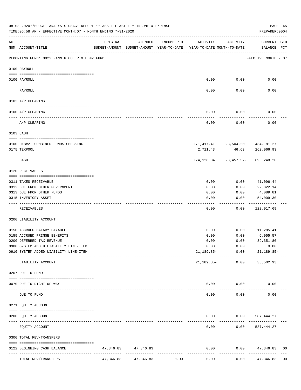|     | 08-03-2020**BUDGET ANALYSIS USAGE REPORT ** ASSET LIABILITY INCOME & EXPENSE<br>TIME: 06:58 AM - EFFECTIVE MONTH: 07 - MONTH ENDING 7-31-2020 |           |                                                                                |            |                   |                                             | PAGE 45<br>PREPARER: 0004                             |                |
|-----|-----------------------------------------------------------------------------------------------------------------------------------------------|-----------|--------------------------------------------------------------------------------|------------|-------------------|---------------------------------------------|-------------------------------------------------------|----------------|
| ACT | NUM ACCOUNT-TITLE                                                                                                                             | ORIGINAL  | AMENDED<br>BUDGET-AMOUNT BUDGET-AMOUNT YEAR-TO-DATE YEAR-TO-DATE MONTH-TO-DATE | ENCUMBERED | ACTIVITY          | ACTIVITY                                    | CURRENT USED<br>BALANCE PCT                           |                |
|     | REPORTING FUND: 0022 FANNIN CO. R & B #2 FUND                                                                                                 |           |                                                                                |            |                   |                                             | EFFECTIVE MONTH - 07                                  |                |
|     | 0100 PAYROLL                                                                                                                                  |           |                                                                                |            |                   |                                             |                                                       |                |
|     | 0100 PAYROLL                                                                                                                                  |           |                                                                                |            | 0.00              | 0.00                                        | 0.00                                                  |                |
|     | PAYROLL                                                                                                                                       |           |                                                                                |            | 0.00              | 0.00                                        | 0.00                                                  |                |
|     | 0102 A/P CLEARING                                                                                                                             |           |                                                                                |            |                   |                                             |                                                       |                |
|     | 0100 A/P CLEARING                                                                                                                             |           |                                                                                |            | 0.00              | 0.00                                        | 0.00                                                  |                |
|     | A/P CLEARING                                                                                                                                  |           |                                                                                |            | 0.00              | 0.00                                        | 0.00                                                  |                |
|     | 0103 CASH                                                                                                                                     |           |                                                                                |            |                   |                                             |                                                       |                |
|     | 0100 R&B#2- COMBINED FUNDS CHECKING                                                                                                           |           |                                                                                |            |                   |                                             |                                                       |                |
|     | 0175 TEXPOOL                                                                                                                                  |           |                                                                                |            | 2,711.43          | 46.63                                       | 171, 417. 41 23, 504. 20 - 434, 181. 27<br>262,066.93 |                |
|     | CASH                                                                                                                                          |           |                                                                                |            |                   |                                             | 174, 128.84 23, 457.57- 696, 248.20                   |                |
|     | 0120 RECEIVABLES                                                                                                                              |           |                                                                                |            |                   |                                             |                                                       |                |
|     | 0311 TAXES RECEIVABLE                                                                                                                         |           |                                                                                |            | 0.00              | 0.00                                        | 41,096.44                                             |                |
|     | 0312 DUE FROM OTHER GOVERNMENT                                                                                                                |           |                                                                                |            | 0.00              | 0.00                                        | 22,822.14                                             |                |
|     | 0313 DUE FROM OTHER FUNDS                                                                                                                     |           |                                                                                |            | 0.00              | 0.00                                        | 4,089.81                                              |                |
|     | 0315 INVENTORY ASSET                                                                                                                          |           |                                                                                |            | 0.00              | 0.00                                        | 54,009.30<br>--------                                 |                |
|     | RECEIVABLES                                                                                                                                   |           |                                                                                |            | 0.00              | 0.00                                        | 122,017.69                                            |                |
|     | 0200 LIABILITY ACCOUNT                                                                                                                        |           |                                                                                |            |                   |                                             |                                                       |                |
|     | 0150 ACCRUED SALARY PAYABLE                                                                                                                   |           |                                                                                |            | 0.00              | 0.00                                        | 11,285.41                                             |                |
|     | 0155 ACCRUED FRINGE BENEFITS                                                                                                                  |           |                                                                                |            | 0.00              | 0.00                                        | 6,055.57                                              |                |
|     | 0200 DEFERRED TAX REVENUE                                                                                                                     |           |                                                                                |            | 0.00              | 0.00                                        | 39,351.80                                             |                |
|     | 0900 SYSTEM ADDED LIABILITY LINE-ITEM                                                                                                         |           |                                                                                |            | 0.00              | 0.00                                        | 0.00                                                  |                |
|     | 0910 SYSTEM ADDED LIABILITY LINE-ITEM                                                                                                         |           |                                                                                |            |                   | $21,189.85-$ 0.00<br>--------- ------------ | 21,189.85-<br>--------------                          |                |
|     | LIABILITY ACCOUNT                                                                                                                             |           |                                                                                |            | 21,189.85-        | 0.00                                        | 35,502.93                                             |                |
|     | 0207 DUE TO FUND                                                                                                                              |           |                                                                                |            |                   |                                             |                                                       |                |
|     | 0070 DUE TO RIGHT OF WAY<br>---- -----                                                                                                        |           | --------------                                                                 |            |                   | $0.00$ 0.00                                 | 0.00                                                  |                |
|     | DUE TO FUND                                                                                                                                   |           |                                                                                |            | 0.00              | 0.00                                        | 0.00                                                  |                |
|     | 0271 EQUITY ACCOUNT                                                                                                                           |           |                                                                                |            |                   |                                             |                                                       |                |
|     | 0200 EQUITY ACCOUNT                                                                                                                           |           |                                                                                |            |                   |                                             | $0.00$ $0.00$ $587,444.27$                            |                |
|     | EQUITY ACCOUNT                                                                                                                                |           |                                                                                |            | ---------<br>0.00 |                                             | -----------<br>$0.00$ 587,444.27                      |                |
|     | 0300 TOTAL REV/TRANSFERS                                                                                                                      |           |                                                                                |            |                   |                                             |                                                       |                |
|     | 0122 BEGINNING CASH BALANCE                                                                                                                   |           | 47,346.83 47,346.83                                                            |            | 0.00              |                                             | $0.00$ 47,346.83                                      | 0 <sub>0</sub> |
|     | TOTAL REV/TRANSFERS                                                                                                                           | 47,346.83 | --------------<br>47,346.83                                                    | 0.00       | 0.00              | 0.00                                        | . <u>.</u><br>47,346.83 00                            |                |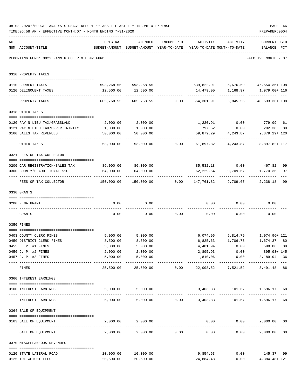|     | TIME: 06:58 AM - EFFECTIVE MONTH: 07 - MONTH ENDING 7-31-2020    |                                              |                                                                                |                                                  |                                    |                               | PREPARER: 0004                         |    |
|-----|------------------------------------------------------------------|----------------------------------------------|--------------------------------------------------------------------------------|--------------------------------------------------|------------------------------------|-------------------------------|----------------------------------------|----|
| ACT | NUM ACCOUNT-TITLE                                                | ORIGINAL                                     | AMENDED<br>BUDGET-AMOUNT BUDGET-AMOUNT YEAR-TO-DATE YEAR-TO-DATE MONTH-TO-DATE | ENCUMBERED                                       |                                    | ACTIVITY ACTIVITY             | <b>CURRENT USED</b><br>BALANCE PCT     |    |
|     | REPORTING FUND: 0022 FANNIN CO. R & B #2 FUND                    |                                              |                                                                                |                                                  |                                    |                               | EFFECTIVE MONTH - 07                   |    |
|     | 0310 PROPERTY TAXES                                              |                                              |                                                                                |                                                  |                                    |                               |                                        |    |
|     | 0110 CURRENT TAXES                                               |                                              | 593,268.55   593,268.55           639,822.91    5,676.59    46,554.36+ 108     |                                                  |                                    |                               |                                        |    |
|     | 0120 DELINQUENT TAXES                                            |                                              | 12,500.00   12,500.00                                                          |                                                  |                                    |                               | 14,479.00    1,168.97    1,979.00+ 116 |    |
|     | PROPERTY TAXES                                                   |                                              | 605,768.55 605,768.55 0.00 654,301.91 6,845.56 48,533.36+ 108                  |                                                  |                                    |                               |                                        |    |
|     | 0318 OTHER TAXES                                                 |                                              |                                                                                |                                                  |                                    |                               |                                        |    |
|     |                                                                  |                                              |                                                                                |                                                  |                                    |                               |                                        |    |
|     | 0120 PAY N LIEU TAX/GRASSLAND                                    | 2,000.00                                     | 2,000.00<br>1,000.00                                                           |                                                  | 797.62                             | $1,220.91$ 0.00               | 779.09 61<br>202.38 80                 |    |
|     | 0121 PAY N LIEU TAX/UPPER TRINITY<br>0160 SALES TAX REVENUES     | 1,000.00<br>50,000.00                        | 50,000.00                                                                      |                                                  |                                    | 0.00<br>59,879.29 4,243.87    | 9,879.29+ 120                          |    |
|     |                                                                  | ------------ -------------                   |                                                                                |                                                  |                                    |                               | . <u>.</u> .                           |    |
|     | OTHER TAXES                                                      | 53,000.00                                    |                                                                                |                                                  |                                    |                               | 8,897.82+ 117                          |    |
|     | 0321 FEES OF TAX COLLECTOR                                       |                                              |                                                                                |                                                  |                                    |                               |                                        |    |
|     | 0200 CAR REGISTRATION/SALES TAX                                  | 86,000.00 86,000.00                          |                                                                                |                                                  |                                    |                               | 85,532.18 0.00 467.82                  | 99 |
|     | 0300 COUNTY'S ADDITIONAL \$10                                    | 64,000.00                                    | 64,000.00                                                                      |                                                  | 62,229.64                          | 9,709.67                      | 1,770.36                               | 97 |
|     | FEES OF TAX COLLECTOR                                            |                                              | 150,000.00  150,000.00        0.00      147,761.82       9,709.67              |                                                  |                                    | ------------- -------------   | -------------<br>2,238.18              | 99 |
|     | 0330 GRANTS                                                      |                                              |                                                                                |                                                  |                                    |                               |                                        |    |
|     |                                                                  |                                              |                                                                                |                                                  |                                    |                               |                                        |    |
|     | 0200 FEMA GRANT                                                  | 0.00                                         | 0.00                                                                           |                                                  |                                    |                               | $0.00$ $0.00$ $0.00$                   |    |
|     | GRANTS                                                           | 0.00                                         |                                                                                |                                                  | $0.00$ $0.00$ $0.00$ $0.00$ $0.00$ |                               | 0.00                                   |    |
|     | 0350 FINES                                                       |                                              |                                                                                |                                                  |                                    |                               |                                        |    |
|     | 0403 COUNTY CLERK FINES                                          | 5,000.00                                     | 5,000.00                                                                       |                                                  |                                    |                               | 6,074.96 5,814.79 1,074.96+121         |    |
|     | 0450 DISTRICT CLERK FINES                                        | 8,500.00                                     | 8,500.00                                                                       |                                                  |                                    |                               | 6,825.63 1,706.73 1,674.37 80          |    |
|     | 0455 J. P. #1 FINES                                              | 5,000.00                                     | 5,000.00                                                                       |                                                  | 4,401.94                           | 0.00                          | 598.06 88                              |    |
|     | 0456 J. P. #2 FINES                                              | 2,000.00                                     | 2,000.00                                                                       |                                                  | 2,895.93                           | 0.00                          | 895.93+ 145                            |    |
|     | 0457 J. P. #3 FINES                                              | 5,000.00<br>------------------- ------------ | 5,000.00<br>.                                                                  |                                                  | ---------------                    | 1,810.06 0.00<br>------------ | 3,189.94 36<br>_____________           |    |
|     | FINES                                                            | 25,500.00                                    |                                                                                |                                                  |                                    |                               | 3,491.48 86                            |    |
|     | 0360 INTEREST EARNINGS                                           |                                              |                                                                                |                                                  |                                    |                               |                                        |    |
|     | 0100 INTEREST EARNINGS<br>---------------------------------- --  |                                              | 5,000.00 5,000.00                                                              |                                                  |                                    |                               | 3,403.83 101.67 1,596.17 68            |    |
|     | INTEREST EARNINGS                                                |                                              | 5,000.00 5,000.00 0.00 3,403.83                                                |                                                  |                                    |                               | 101.67    1,596.17                     | 68 |
|     | 0364 SALE OF EQUIPMENT                                           |                                              |                                                                                |                                                  |                                    |                               |                                        |    |
|     | --------------------------------------<br>0163 SALE OF EQUIPMENT |                                              | 2,000.00 2,000.00                                                              |                                                  |                                    | $0.00$ $0.00$                 | 2,000.00 00                            |    |
|     | SALE OF EQUIPMENT                                                | 2,000.00                                     |                                                                                | -------------------------------<br>2,000.00 0.00 | 0.00                               | 0.00                          | -------------<br>2,000.00 00           |    |
|     | 0370 MISCELLANEOUS REVENUES                                      |                                              |                                                                                |                                                  |                                    |                               |                                        |    |
|     | 0120 STATE LATERAL ROAD                                          | 10,000.00                                    | 10,000.00                                                                      |                                                  | 9,854.63                           |                               | $0.00$ 145.37                          | 99 |
|     | 0125 TDT WEIGHT FEES                                             | 20,500.00                                    | 20,500.00                                                                      |                                                  | 24,884.48                          |                               | 0.00<br>4,384.48+ 121                  |    |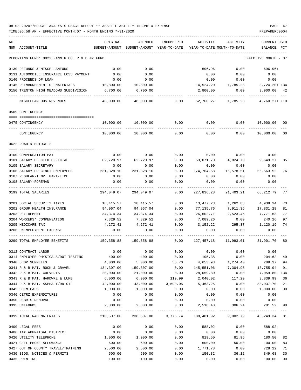| ACT                                           | ORIGINAL   | AMENDED                                  | ENCUMBERED | ACTIVITY                   | ACTIVITY                                                              | <b>CURRENT USED</b>  |              |
|-----------------------------------------------|------------|------------------------------------------|------------|----------------------------|-----------------------------------------------------------------------|----------------------|--------------|
| NUM ACCOUNT-TITLE                             |            | BUDGET-AMOUNT BUDGET-AMOUNT YEAR-TO-DATE |            | YEAR-TO-DATE MONTH-TO-DATE |                                                                       | BALANCE              | $_{\rm PCT}$ |
| REPORTING FUND: 0022 FANNIN CO. R & B #2 FUND |            |                                          |            |                            |                                                                       | EFFECTIVE MONTH - 07 |              |
| 0130 REFUNDS & MISCELLANEOUS                  | 0.00       | 0.00                                     |            | 696.96                     | 0.00                                                                  | 696.96+              |              |
| 0131 AUTOMOBILE INSURANCE LOSS PAYMENT        | 0.00       | 0.00                                     |            | 0.00                       | 0.00                                                                  | 0.00                 |              |
| 0140 PROCEEDS OF LOAN                         | 0.00       | 0.00                                     |            | 0.00                       | 0.00                                                                  | 0.00                 |              |
| 0145 REIMBURSEMENT OF MATERIALS               | 10,800.00  | 10,800.00                                |            |                            | 14,524.20   1,785.28   3,724.20+ 134                                  |                      |              |
| 0150 TRENTON HIGH MEADOWS SUBDIVISION         | 6,700.00   | 6,700.00                                 |            | 2,800.00                   | 0.00                                                                  | 3,900.00 42          |              |
| MISCELLANEOUS REVENUES                        | 48,000.00  | 48,000.00                                | 0.00       |                            | 52,760.27 1,785.28                                                    | 4,760.27+ 110        |              |
| 0509 CONTINGENCY                              |            |                                          |            |                            |                                                                       |                      |              |
|                                               |            |                                          |            |                            |                                                                       |                      |              |
| 0475 CONTINGENCY                              | 10,000.00  | 10,000.00                                | 0.00       | 0.00                       | 0.00                                                                  | 10,000.00            | 00           |
| CONTINGENCY                                   | 10,000.00  | 10,000.00                                | 0.00       | 0.00                       | 0.00                                                                  | 10,000.00            | 00           |
| 0622 ROAD & BRIDGE 2                          |            |                                          |            |                            |                                                                       |                      |              |
| 0100 COMPENSATION PAY                         | 0.00       | 0.00                                     | 0.00       | 0.00                       | 0.00                                                                  | 0.00                 |              |
| 0101 SALARY ELECTED OFFICIAL                  | 62,720.97  | 62,720.97                                | 0.00       | 53,071.70                  | 4,824.70                                                              | 9,649.27             | 85           |
| 0105 SALARY SECRETARY                         | 0.00       | 0.00                                     | 0.00       | 0.00                       | 0.00                                                                  | 0.00                 |              |
| 0106 SALARY PRECINCT EMPLOYEES                | 231,328.10 | 231,328.10                               | 0.00       | 174,764.58                 | 16,578.51                                                             | 56,563.52            | 76           |
| 0107 REGULAR-TEMP. PART-TIME                  | 0.00       | 0.00                                     | 0.00       | 0.00                       | 0.00                                                                  | 0.00                 |              |
| 0108 SALARY-FOREMAN                           | 0.00       | 0.00                                     | 0.00       | 0.00                       | 0.00                                                                  | 0.00                 |              |
| 0199 TOTAL SALARIES                           | 294,049.07 | 294,049.07                               | 0.00       | 227,836.28                 | 21,403.21                                                             | 66,212.79            | 77           |
| 0201 SOCIAL SECURITY TAXES                    | 18,415.57  | 18,415.57                                | 0.00       | 13,477.23                  | 1,262.83                                                              | 4,938.34             | 73           |
| 0202 GROUP HEALTH INSURANCE                   | 94,967.04  | 94,967.04                                | 0.00       | 77,135.76                  | 7,911.36                                                              | 17,831.28            | 81           |
| 0203 RETIREMENT                               | 34,374.34  | 34,374.34                                | 0.00       | 26,602.71                  | 2,523.45                                                              | 7,771.63             | 77           |
| 0204 WORKERS' COMPENSATION                    | 7,329.52   | 7,329.52                                 | 0.00       | 7,089.26                   | 0.00                                                                  | 240.26               | 97           |
| 0205 MEDICARE TAX                             | 4,272.41   | 4,272.41                                 | 0.00       | 3,152.22                   | 295.37                                                                | 1,120.19             | 74           |
| 0206 UNEMPLOYMENT EXPENSE                     | 0.00       | 0.00                                     | 0.00       | 0.00                       | 0.00                                                                  | 0.00                 |              |
| 0299 TOTAL EMPLOYEE BENEFITS                  |            | 159,358.88 159,358.88                    | 0.00       | 127,457.18                 | 11,993.01                                                             | 31,901.70 80         |              |
| 0312 CONTRACT LABOR                           | 0.00       | 0.00                                     | 0.00       |                            | $0.00$ 0.00                                                           | 0.00                 |              |
| 0314 EMPLOYEE PHYSICALS/DOT TESTING           | 400.00     | 400.00                                   | 0.00       | 195.38                     | 0.00                                                                  | 204.62               | 49           |
| 0340 SHOP SUPPLIES                            | 4,000.00   | 5,000.00                                 | 56.70      | 4,653.93                   | 1,274.40                                                              | 289.37               | 94           |
| 0341 R & B MAT. ROCK & GRAVEL                 | 134,307.00 | 159,307.00                               | 0.00       | 145,551.06                 | 7,304.95                                                              | 13,755.94            | 91           |
| 0342 R & B MAT. CULVERTS                      | 20,000.00  | 21,000.00                                | 0.00       | 28,059.80                  | 0.00                                                                  | 7,059.80- 134        |              |
| 0343 R & B MAT. HARDWRE & LUMB                | 6,000.00   | 6,000.00                                 | 119.99     | 2,040.02                   | 117.20                                                                | 3,839.99             | 36           |
| 0344 R & B MAT. ASPHALT/RD OIL                | 42,000.00  | 43,000.00                                | 3,599.05   | 5,463.25                   | 0.00                                                                  | 33,937.70            | 21           |
| 0345 CHEMICALS                                | 1,000.00   | 1,000.00                                 | 0.00       | 0.00                       | 0.00                                                                  | 1,000.00             | 00           |
| 0346 CETRZ EXPENDITURES                       | 0.00       | 0.00                                     | 0.00       | 0.00                       | 0.00                                                                  | 0.00                 |              |
| 0350 DEBRIS REMOVAL                           | 0.00       | 0.00                                     | 0.00       | 0.00                       | 0.00                                                                  | 0.00                 |              |
| 0395 UNIFORMS                                 | 2,800.00   | 2,800.00                                 | 0.00       | 2,518.48                   | 306.24                                                                | 281.52 90            |              |
| 0399 TOTAL R&B MATERIALS                      |            |                                          |            |                            | 210,507.00  238,507.00  3,775.74  188,481.92  9,002.79  46,249.34  81 |                      |              |
| 0400 LEGAL FEES                               | 0.00       | 0.00                                     | 0.00       | 588.02                     | 0.00                                                                  | 588.02-              |              |
| 0406 TAX APPRAISAL DISTRICT                   | 0.00       | 0.00                                     | 0.00       | 0.00                       | 0.00                                                                  | 0.00                 |              |
| 0420 UTILITY TELEPHONE                        | 1,000.00   | 1,000.00                                 | 0.00       | 819.50                     | 81.95                                                                 | 180.50               | 82           |
| 0421 CELL PHONE ALLOWANCE                     | 600.00     | 600.00                                   | 0.00       | 500.00                     | 50.00                                                                 | 100.00               | 83           |
| 0427 OUT OF COUNTY TRAVEL/TRAINING 2,500.00   |            | 2,500.00                                 | 0.00       | 1,771.78                   | 0.00                                                                  | 728.22               | 71           |
| 0430 BIDS, NOTICES & PERMITS                  | 500.00     | 500.00                                   | 0.00       | 150.32                     | 36.12                                                                 | 349.68               | 30           |
| 0435 PRINTING                                 | 100.00     | 100.00                                   | 0.00       | 0.00                       | 0.00                                                                  | 100.00               | 00           |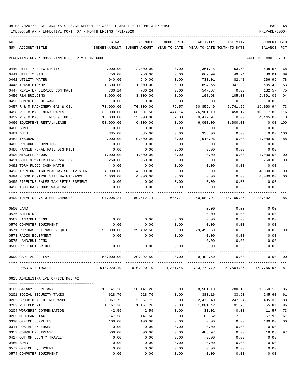TIME:06:58 AM - EFFECTIVE MONTH:07 - MONTH ENDING 7-31-2020 PREPARER:0004

----------------------------------------------------------------------------------------------------------------------------------- ACT ORIGINAL AMENDED ENCUMBERED ACTIVITY ACTIVITY CURRENT USED NUM ACCOUNT-TITLE BUDGET-AMOUNT BUDGET-AMOUNT YEAR-TO-DATE YEAR-TO-DATE MONTH-TO-DATE BALANCE PCT ----------------------------------------------------------------------------------------------------------------------------------- REPORTING FUND: 0022 FANNIN CO. R & B #2 FUND COORS AND THE SERVICE MONTH - 07 0440 UTILITY ELECTRICITY 2,000.00 2,000.00 0.00 1,361.45 153.58 638.55 68 0441 UTILITY GAS 750.00 750.00 0.00 669.99 49.24 80.01 89 0442 UTILITY WATER 940.00 940.00 0.00 733.01 82.41 206.99 78 0443 TRASH PICKUP 1,300.00 1,300.00 0.00 694.58 347.29 605.42 53 0447 REPEATER SERVICE CONTRACT 730.24 730.24 0.00 547.67 0.00 182.57 75 0450 R&M BUILDING 3,000.00 3,000.00 0.00 108.98 105.00 2,891.02 04 0453 COMPUTER SOFTWARE  $\begin{array}{cccccccc} 0.00 & 0.00 & 0.00 & 0.00 & 0.00 & 0.00 & 0.00 & 0.00 & 0.00 & 0.00 & 0.00 & 0.00 & 0.00 & 0.00 & 0.00 & 0.00 & 0.00 & 0.00 & 0.00 & 0.00 & 0.00 & 0.00 & 0.00 & 0.00 & 0.00 & 0.00 & 0.00 & 0.00 & 0.00 & 0.00 & 0.00 & 0.0$ 0457 R & M MACHINERY GAS & OIL 70,000.00 70,000.00 79.57 50,859.49 5,741.59 19,060.94 73 0458 R & M MACHINERY PARTS 30,000.00 66,507.50 444.14 76,981.19 458.17 10,917.83- 116 0459 R & M MACH. TIRES & TUBES 15,000.00 15,000.00 82.00 10,472.97 0.00 4,445.03 70 0460 EQUIPMENT RENTAL/LEASE 50,000.00 6,000.00 0.00 6,000.00 3,000.00 0.00 100 0480 BOND 0.00 0.00 0.00 0.00 0.00 0.00 0481 DUES 335.00 335.00 0.00 335.00 0.00 0.00 100 0482 INSURANCE 9,000.00 9,000.00 0.00 7,910.96 0.00 1,089.04 88 0485 PRISONER SUPPLIES 0.00 0.00 0.00 0.00 0.00 0.00 0488 FANNIN RURAL RAIL DISTRICT  $0.00$  0.00 0.00 0.00 0.00 0.00 0.00 0490 MISCELLANEOUS 1,000.00 1,000.00 0.00 0.00 0.00 1,000.00 00 0491 SOIL & WATER CONSERVATION  $250.00$   $250.00$   $250.00$  0.00 0.00 0.00  $250.00$  00 0492 TDRA FLOOD CASH MATCH 0.00 0.00 0.00 0.00 0.00 0.00 0493 TRENTON HIGH MEADOWS SUBDIVISION  $4.000.00$   $4.000.00$  0.00 0.00 0.00 0.00  $4.000.00$  00 0494 FLOOD CONTROL SITE MAINTENANCE  $4,000.00$   $4,000.00$  0.00 0.00 0.00  $4,000.00$  00 0495 PIPELINE SALES TAX REIMBURSEMENT  $0.00$  0.00 0.00 0.00 0.00 0.00 0.00 0.00 0496 TCOG HAZARDOUS WASTEMATCH 0.00 0.00 0.00 0.00 0.00 0.00 ---- ---------------------------------- ------------- ------------- ------------ ------------- ------------ ------------- --- 0499 TOTAL SER.& OTHER CHARGES 197,005.24 189,512.74 605.71 160,504.91 10,105.35 28,402.12 85 0500 LAND 0.00 0.00 0.00 0535 BUILDING 0.00 0.00 0.00 0562 LAND/BUILDING 0.00 0.00 0.00 0.00 0.00 0.00 0570 COMPUTER EQUIPMENT 0.00 0.00 0.00 0.00 0.00 0.00 0571 PURCHASE OF MACH./EQUIP. 50,000.00 29,492.50 0.00 29,492.50 0.00 0.00 100 0573 RADIO EQUIPMENT 0.00 0.00 0.00 0.00 0.00 0.00 0575 LAND/BUILDING 0.00 0.00 0.00 0580 PRECINCT BRIDGE 0.00 0.00 0.00 0.00 0.00 0.00 ---- ---------------------------------- ------------- ------------- ------------ ------------- ------------ ------------- --- 0599 CAPITAL OUTLAY 50,000.00 29,492.50 0.00 29,492.50 0.00 0.00 100 ---- ---------------------------------- ------------- ------------- ------------ ------------- ------------ ------------- --- ROAD & BRIDGE 2 910,920.19 910,920.19 4,381.45 733,772.79 52,504.36 172,765.95 81 0625 ADMINISTRATIVE OFFICE R&B #2 ==== =================================== 0105 SALARY SECRETARY 10,141.28 10,141.28 0.00 8,581.10 780.10 1,560.18 85 0201 SOCIAL SECURITY TAXES 628.76 628.76 0.00 383.16 33.60 245.60 61 0202 GROUP HEALTH INSURANCE 2,967.72 2,967.72 0.00 2,472.40 247.24 495.32 83 0203 RETIREMENT 1,167.26 1,167.26 0.00 1,001.42 91.98 165.84 86 0204 WORKERS' COMPENSATION 42.59 42.59 0.00 31.02 0.00 11.57 73 0205 MEDICARE TAX 147.58 147.58 0.00 89.62 7.86 57.96 61 0310 OFFICE SUPPLIES 100.00 100.00 0.00 0.00 0.00 100.00 00 0311 POSTAL EXPENSES 0.00 0.00 0.00 0.00 0.00 0.00 0353 COMPUTER EXPENSE 60 16.03 500.00 500.00 500.00 0.00 483.97 0.00 16.03 97 0427 OUT OF COUNTY TRAVEL 0.00 0.00 0.00 0.00 0.00 0.00 0480 BOND 0.00 0.00 0.00 0.00 0.00 0.00

0572 OFFICE EQUIPMENT 0.00 0.00 0.00 0.00 0.00 0.00 0574 COMPUTER EQUIPMENT 0.00 0.00 0.00 0.00 0.00 0.00

---- ---------------------------------- ------------- ------------- ------------ ------------- ------------ ------------- ---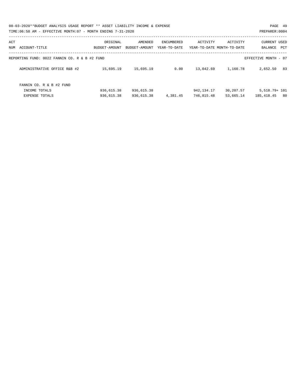|     | 08-03-2020**BUDGET ANALYSIS USAGE REPORT ** ASSET LIABILITY INCOME & EXPENSE<br>TIME:06:58 AM - EFFECTIVE MONTH:07 - MONTH ENDING 7-31-2020 |                           |                          |                            |            |                                        | PAGE 49<br>PREPARER: 0004          |    |
|-----|---------------------------------------------------------------------------------------------------------------------------------------------|---------------------------|--------------------------|----------------------------|------------|----------------------------------------|------------------------------------|----|
| ACT | NUM ACCOUNT-TITLE                                                                                                                           | ORIGINAL<br>BUDGET-AMOUNT | AMENDED<br>BUDGET-AMOUNT | ENCUMBERED<br>YEAR-TO-DATE | ACTIVITY   | ACTIVITY<br>YEAR-TO-DATE MONTH-TO-DATE | <b>CURRENT USED</b><br>BALANCE PCT |    |
|     | REPORTING FUND: 0022 FANNIN CO. R & B #2 FUND                                                                                               |                           |                          |                            |            |                                        | EFFECTIVE MONTH - 07               |    |
|     | ADMINISTRATIVE OFFICE R&B #2                                                                                                                | 15,695.19                 | 15,695.19                | 0.00                       | 13,042.69  | 1,160.78                               | 2,652.50                           | 83 |
|     | FANNIN CO. R & B #2 FUND<br>INCOME TOTALS                                                                                                   | 936,615.38                | 936,615.38               |                            | 942,134.17 | 30,207.57                              | 5,518.79+ 101                      |    |
|     | <b>EXPENSE TOTALS</b>                                                                                                                       | 936,615.38                | 936,615.38               | 4,381.45                   | 746,815.48 | 53,665.14                              | 185,418.45                         | 80 |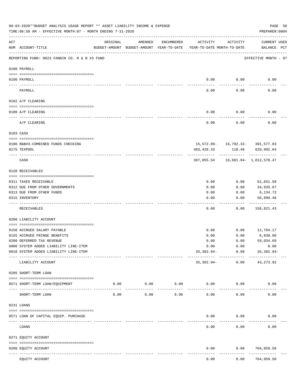|     | 08-03-2020**BUDGET ANALYSIS USAGE REPORT ** ASSET LIABILITY INCOME & EXPENSE<br>TIME: 06:58 AM - EFFECTIVE MONTH: 07 - MONTH ENDING 7-31-2020 |          |                                                                                |                    |                  |                    | PREPARER: 0004                        | PAGE 50 |
|-----|-----------------------------------------------------------------------------------------------------------------------------------------------|----------|--------------------------------------------------------------------------------|--------------------|------------------|--------------------|---------------------------------------|---------|
| ACT | NUM ACCOUNT-TITLE                                                                                                                             | ORIGINAL | AMENDED<br>BUDGET-AMOUNT BUDGET-AMOUNT YEAR-TO-DATE YEAR-TO-DATE MONTH-TO-DATE | ENCUMBERED         | ACTIVITY         | ACTIVITY           | <b>CURRENT USED</b><br>BALANCE PCT    |         |
|     | --------------------------------------<br>REPORTING FUND: 0023 FANNIN CO. R & B #3 FUND                                                       |          |                                                                                |                    |                  |                    | EFFECTIVE MONTH - 07                  |         |
|     | 0100 PAYROLL                                                                                                                                  |          |                                                                                |                    |                  |                    |                                       |         |
|     | 0100 PAYROLL                                                                                                                                  |          |                                                                                |                    | 0.00             | 0.00               | 0.00                                  |         |
|     | PAYROLL                                                                                                                                       |          |                                                                                |                    | 0.00             | 0.00               | 0.00                                  |         |
|     | 0102 A/P CLEARING                                                                                                                             |          |                                                                                |                    |                  |                    |                                       |         |
|     | 0100 A/P CLEARING                                                                                                                             |          |                                                                                |                    | 0.00             | 0.00               | 0.00                                  |         |
|     | A/P CLEARING                                                                                                                                  |          |                                                                                |                    | 0.00             | 0.00               | 0.00                                  |         |
|     | 0103 CASH                                                                                                                                     |          |                                                                                |                    |                  |                    |                                       |         |
|     |                                                                                                                                               |          |                                                                                |                    |                  |                    |                                       |         |
|     | 0100 R&B#3-COMBINED FUNDS CHECKING                                                                                                            |          |                                                                                |                    |                  |                    | 15,572.89- 16,792.32- 391,577.83      |         |
|     | 0175 TEXPOOL                                                                                                                                  |          |                                                                                |                    | 403,428.43       |                    | 110.48 620,992.64                     |         |
|     | CASH                                                                                                                                          |          |                                                                                |                    |                  |                    | 387,855.54   16,681.84   1,012,570.47 |         |
|     | 0120 RECEIVABLES                                                                                                                              |          |                                                                                |                    |                  |                    |                                       |         |
|     | 0311 TAXES RECEIVABLE                                                                                                                         |          |                                                                                |                    | 0.00             | 0.00               | 61,651.58                             |         |
|     | 0312 DUE FROM OTHER GOVERNMENTS                                                                                                               |          |                                                                                |                    | 0.00             | 0.00               | 34,935.67                             |         |
|     | 0313 DUE FROM OTHER FUNDS                                                                                                                     |          |                                                                                |                    | 0.00             | 0.00               | 6,134.72                              |         |
|     | 0315 INVENTORY                                                                                                                                |          |                                                                                |                    | 0.00             | 0.00               | 56,099.46<br>. <u>.</u>               |         |
|     | RECEIVABLES                                                                                                                                   |          |                                                                                |                    | 0.00             | 0.00               | 158,821.43                            |         |
|     | 0200 LIABILITY ACCOUNT                                                                                                                        |          |                                                                                |                    |                  |                    |                                       |         |
|     |                                                                                                                                               |          |                                                                                |                    |                  |                    |                                       |         |
|     | 0150 ACCRUED SALARY PAYABLE                                                                                                                   |          |                                                                                |                    | 0.00             | 0.00               | 12,704.17                             |         |
|     | 0155 ACCRUED FRINGE BENEFITS<br>0200 DEFERRED TAX REVENUE                                                                                     |          |                                                                                |                    | 0.00             | 0.00               | 6,838.00<br>59,034.69                 |         |
|     | 0900 SYSTEM ADDED LIABILITY LINE-ITEM                                                                                                         |          |                                                                                |                    | 0.00<br>0.00     | 0.00<br>0.00       | 0.00                                  |         |
|     | 0910 SYSTEM ADDED LIABILITY LINE-ITEM                                                                                                         |          |                                                                                |                    | $35,302.94-$     | 0.00               | $35,302.94-$                          |         |
|     | LIABILITY ACCOUNT                                                                                                                             |          |                                                                                |                    | 35,302.94-       | 0.00               | 43, 273.92                            |         |
|     | 0205 SHORT-TERM LOAN                                                                                                                          |          |                                                                                |                    |                  |                    |                                       |         |
|     | 0571 SHORT-TERM LOAN/EQUIPMENT                                                                                                                | 0.00     | 0.00<br>-----------                                                            | 0.00<br>---------- |                  | 0.00<br>0.00       | 0.00                                  |         |
|     | SHORT-TERM LOAN                                                                                                                               | 0.00     | 0.00                                                                           | 0.00               | 0.00             | 0.00               | 0.00                                  |         |
|     | 0231 LOANS                                                                                                                                    |          |                                                                                |                    |                  |                    |                                       |         |
|     |                                                                                                                                               |          |                                                                                |                    |                  |                    |                                       |         |
|     | 0571 LOAN OF CAPITAL EQUIP. PURCHASE                                                                                                          |          |                                                                                |                    | 0.00<br>-------- | 0.00<br>---------- | 0.00                                  |         |
|     | LOANS                                                                                                                                         |          |                                                                                |                    | 0.00             | 0.00               | 0.00                                  |         |
|     | 0271 EQUITY ACCOUNT                                                                                                                           |          |                                                                                |                    |                  |                    |                                       |         |
|     | 0200 EQUITY ACCOUNT                                                                                                                           |          |                                                                                |                    | 0.00             | 0.00               | 704,959.50<br>----------              |         |
|     | EQUITY ACCOUNT                                                                                                                                |          |                                                                                |                    | 0.00             | 0.00               | 704,959.50                            |         |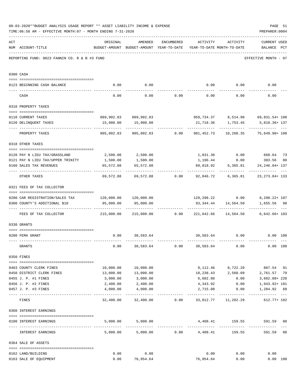|     | 08-03-2020**BUDGET ANALYSIS USAGE REPORT ** ASSET LIABILITY INCOME & EXPENSE<br>TIME: 06:58 AM - EFFECTIVE MONTH: 07 - MONTH ENDING 7-31-2020 |                                |                                                                                |                                    |                              |                       | PAGE 51<br>PREPARER: 0004                                                 |       |
|-----|-----------------------------------------------------------------------------------------------------------------------------------------------|--------------------------------|--------------------------------------------------------------------------------|------------------------------------|------------------------------|-----------------------|---------------------------------------------------------------------------|-------|
| ACT | NUM ACCOUNT-TITLE                                                                                                                             | ORIGINAL                       | AMENDED<br>BUDGET-AMOUNT BUDGET-AMOUNT YEAR-TO-DATE YEAR-TO-DATE MONTH-TO-DATE |                                    | ENCUMBERED ACTIVITY ACTIVITY |                       | <b>CURRENT USED</b><br>BALANCE PCT                                        |       |
|     | REPORTING FUND: 0023 FANNIN CO. R & B #3 FUND                                                                                                 |                                |                                                                                |                                    |                              |                       | EFFECTIVE MONTH - 07                                                      |       |
|     | 0300 CASH                                                                                                                                     |                                |                                                                                |                                    |                              |                       |                                                                           |       |
|     | 0123 BEGINNING CASH BALANCE                                                                                                                   | 0.00                           | 0.00                                                                           |                                    |                              |                       | $0.00$ $0.00$ $0.00$ $0.00$                                               |       |
|     | CASH                                                                                                                                          | 0.00                           |                                                                                | $0.00$ $0.00$ $0.00$ $0.00$ $0.00$ |                              |                       | 0.00                                                                      |       |
|     | 0310 PROPERTY TAXES                                                                                                                           |                                |                                                                                |                                    |                              |                       |                                                                           |       |
|     |                                                                                                                                               |                                |                                                                                |                                    |                              |                       |                                                                           |       |
|     | 0110 CURRENT TAXES                                                                                                                            |                                | 889,902.83 889,902.83                                                          |                                    |                              |                       | 959,734.37 8,514.90 69,831.54+108                                         |       |
|     | 0120 DELINQUENT TAXES                                                                                                                         |                                | 15,900.00  15,900.00                                                           |                                    |                              |                       | 21,718.36    1,753.45    5,818.36+137                                     |       |
|     | PROPERTY TAXES                                                                                                                                | 905,802.83                     |                                                                                |                                    |                              |                       | 905,802.83   0.00   981,452.73   10,268.35   75,649.90+   108             |       |
|     | 0318 OTHER TAXES                                                                                                                              |                                |                                                                                |                                    |                              |                       |                                                                           |       |
|     | 0120 PAY N LIEU TAX/GRASSLAND                                                                                                                 |                                | 2,500.00 2,500.00                                                              |                                    |                              |                       | 1,831.36 0.00 668.64                                                      | 73    |
|     | 0121 PAY N LIEU TAX/UPPER TRINITY                                                                                                             | 1,500.00                       | 1,500.00                                                                       |                                    |                              |                       | 1,196.44 0.00 303.56                                                      | 80    |
|     | 0160 SALES TAX REVENUES                                                                                                                       | 65,572.88                      | 65,572.88                                                                      |                                    |                              | 89,818.92 6,365.81    | 24, 246.04+ 137                                                           |       |
|     | OTHER TAXES                                                                                                                                   |                                |                                                                                |                                    |                              |                       | -----------<br>69,572.88 69,572.88 0.00 92,846.72 6,365.81 23,273.84+ 133 |       |
|     | 0321 FEES OF TAX COLLECTOR                                                                                                                    |                                |                                                                                |                                    |                              |                       |                                                                           |       |
|     |                                                                                                                                               |                                |                                                                                |                                    |                              |                       |                                                                           |       |
|     | 0200 CAR REGISTRATION/SALES TAX 120,000.00 120,000.00<br>0300 COUNTY'S ADDITIONAL \$10                                                        | 95,000.00                      | 95,000.00                                                                      |                                    |                              | 93, 344.44 14, 564.50 | 128, 298. 22 0.00 8, 298. 22+ 107<br>1,655.56 98<br>-------------         |       |
|     | FEES OF TAX COLLECTOR                                                                                                                         | $215,000.00$ $215,000.00$ 0.00 |                                                                                |                                    |                              | 221,642.66 14,564.50  | $6,642.66+103$                                                            |       |
|     | 0330 GRANTS                                                                                                                                   |                                |                                                                                |                                    |                              |                       |                                                                           |       |
|     |                                                                                                                                               |                                |                                                                                |                                    |                              |                       |                                                                           |       |
|     | 0200 FEMA GRANT                                                                                                                               |                                | $0.00$ 30,583.64                                                               |                                    |                              | 30,583.64 0.00        | 0.00 100                                                                  |       |
|     | GRANTS                                                                                                                                        | 0.00                           | 30,583.64                                                                      | 0.00                               | 30,583.64                    | 0.00                  | 0.00 100                                                                  |       |
|     | 0350 FINES                                                                                                                                    |                                |                                                                                |                                    |                              |                       |                                                                           |       |
|     | 0403 COUNTY CLERK FINES                                                                                                                       | 10,000.00                      | 10,000.00                                                                      |                                    |                              |                       | 9,112.46 8,722.20 887.54 91                                               |       |
|     | 0450 DISTRICT CLERK FINES                                                                                                                     | 13,000.00                      | 13,000.00                                                                      |                                    |                              |                       | 10,238.43 2,560.09 2,761.57 79                                            |       |
|     | 0455 J. P. #1 FINES                                                                                                                           | 3,000.00                       | 3,000.00                                                                       |                                    | 6,602.88                     | 0.00                  | 3,602.88+ 220                                                             |       |
|     | 0456 J. P. #2 FINES                                                                                                                           | 2,400.00                       | 2,400.00                                                                       |                                    | 4,343.92                     | 0.00                  | 1,943.92+ 181                                                             |       |
|     | 0457 J. P. #3 FINES                                                                                                                           | 4,000.00                       | 4,000.00                                                                       |                                    | 2,715.08                     | 0.00<br>----------    | 1,284.92 68                                                               | $---$ |
|     | FINES                                                                                                                                         |                                | 32,400.00 32,400.00 0.00 33,012.77 11,282.29                                   |                                    |                              |                       | $612.77+102$                                                              |       |
|     | 0360 INTEREST EARNINGS                                                                                                                        |                                |                                                                                |                                    |                              |                       |                                                                           |       |
|     | 0100 INTEREST EARNINGS                                                                                                                        |                                | 5,000.00 5,000.00                                                              |                                    |                              |                       | 4,408.41 159.55 591.59 88                                                 |       |
|     | INTEREST EARNINGS                                                                                                                             |                                | $5,000.00$ $5,000.00$ $0.00$ $4,408.41$                                        |                                    |                              |                       | 159.55<br>591.59                                                          | 88    |
|     | 0364 SALE OF ASSETS                                                                                                                           |                                |                                                                                |                                    |                              |                       |                                                                           |       |
|     |                                                                                                                                               |                                |                                                                                |                                    |                              |                       |                                                                           |       |
|     | 0162 LAND/BUILDING                                                                                                                            | 0.00                           | 0.00                                                                           |                                    | 0.00                         | 0.00                  | 0.00                                                                      |       |
|     | 0163 SALE OF EQUIPMENT                                                                                                                        | 0.00                           | 76,954.64                                                                      |                                    | 76,954.64                    | 0.00                  | 0.00 100                                                                  |       |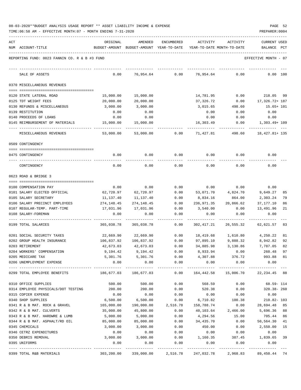TIME:06:58 AM - EFFECTIVE MONTH:07 - MONTH ENDING 7-31-2020

| ACT |                                               | ORIGINAL   | AMENDED                                  | <b>ENCUMBERED</b>    | ACTIVITY               | ACTIVITY                   | CURRENT USED            |
|-----|-----------------------------------------------|------------|------------------------------------------|----------------------|------------------------|----------------------------|-------------------------|
|     | NUM ACCOUNT-TITLE                             |            | BUDGET-AMOUNT BUDGET-AMOUNT YEAR-TO-DATE |                      |                        | YEAR-TO-DATE MONTH-TO-DATE | BALANCE<br>PCT          |
|     | REPORTING FUND: 0023 FANNIN CO. R & B #3 FUND |            |                                          |                      |                        |                            | EFFECTIVE MONTH - 07    |
|     |                                               |            |                                          |                      |                        |                            |                         |
|     | SALE OF ASSETS                                | 0.00       | 76,954.64                                | 0.00                 | 76,954.64              | 0.00                       | 0.00 100                |
|     | 0370 MISCELLANEOUS REVENUES                   |            |                                          |                      |                        |                            |                         |
|     |                                               |            |                                          |                      |                        |                            |                         |
|     | 0120 STATE LATERAL ROAD                       | 15,000.00  | 15,000.00                                |                      | 14,781.95              | 0.00                       | 218.05 99               |
|     | 0125 TDT WEIGHT FEES                          | 20,000.00  | 20,000.00                                |                      | 37,326.72              | 0.00                       | 17,326.72+ 187          |
|     | 0130 REFUNDS & MISCELLANEOUS                  | 3,000.00   | 3,000.00                                 |                      | 3,015.65               | 498.60                     | $15.65+101$             |
|     | 0139 RESTITUTION                              | 0.00       | 0.00                                     |                      | 0.00                   | 0.00                       | 0.00                    |
|     | 0140 PROCEEDS OF LOANS                        | 0.00       | 0.00                                     |                      | 0.00                   | 0.00                       | 0.00                    |
|     | 0145 REIMBURSEMENT OF MATERIALS               | 15,000.00  | 15,000.00                                |                      | 16,303.49              | 0.00                       | $1,303.49+109$          |
|     | MISCELLANEOUS REVENUES                        | 53,000.00  | 53,000.00                                | 0.00                 | 71,427.81              | 498.60                     | 18,427.81+ 135          |
|     | 0509 CONTINGENCY                              |            |                                          |                      |                        |                            |                         |
|     |                                               |            |                                          |                      |                        |                            |                         |
|     | 0475 CONTINGENCY                              | 0.00       | 0.00                                     | 0.00                 | 0.00                   | 0.00                       | 0.00                    |
|     | CONTINGENCY                                   | 0.00       | 0.00                                     | 0.00                 | 0.00                   | 0.00                       | 0.00                    |
|     | 0623 ROAD & BRIDGE 3                          |            |                                          |                      |                        |                            |                         |
|     |                                               |            |                                          |                      |                        |                            |                         |
|     | 0100 COMPENSATION PAY                         | 0.00       | 0.00                                     | 0.00                 | 0.00                   | 0.00                       | 0.00                    |
|     | 0101 SALARY ELECTED OFFICIAL                  | 62,720.97  | 62,720.97                                | 0.00                 | 53,071.70              | 4,824.70                   | 9,649.27<br>85          |
|     | 0105 SALARY SECRETARY                         | 11,137.40  | 11,137.40                                | 0.00                 | 8,834.16               | 864.00                     | 79<br>2,303.24          |
|     | 0106 SALARY PRECINCT EMPLOYEES                | 274,148.45 | 274,148.45                               | 0.00                 | 236,971.35             | 20,866.62                  | 37,177.10<br>86         |
|     | 0107 REGULAR-TEMP. PART-TIME                  | 17,031.96  | 17,031.96                                | 0.00<br>0.00         | 3,540.00               | 0.00                       | 13,491.96<br>21<br>0.00 |
|     | 0108 SALARY-FOREMAN                           | 0.00       | 0.00                                     |                      | 0.00                   | 0.00                       |                         |
|     | 0199 TOTAL SALARIES                           | 365,038.78 | 365,038.78                               | 0.00                 | 302,417.21             | 26,555.32                  | 62,621.57<br>83         |
|     | 0201 SOCIAL SECURITY TAXES                    | 22,669.90  | 22,669.90                                | 0.00                 | 18,419.68              | 1,610.80                   | 4,250.22<br>81          |
|     | 0202 GROUP HEALTH INSURANCE                   | 106,837.92 | 106,837.92                               | 0.00                 | 97,895.10              | 9,888.32                   | 92<br>8,942.82          |
|     | 0203 RETIREMENT                               | 42,673.03  | 42,673.03                                | 0.00                 | 34,885.98              | 3,130.86                   | 82<br>7,787.05          |
|     | 0204 WORKERS' COMPENSATION                    | 9,194.42   | 9,194.42                                 | 0.00                 | 8,933.94               | 0.00                       | 97<br>260.48            |
|     | 0205 MEDICARE TAX                             |            | 5,301.76 5,301.76                        | 0.00                 | 4,307.88               | 376.72                     | 993.88 81               |
|     | 0206 UNEMPLOYMENT EXPENSE                     | 0.00       | 0.00<br>-------------                    | 0.00<br>------------ | 0.00<br>______________ | 0.00                       | 0.00                    |
|     | 0299 TOTAL EMPLOYEE BENEFITS                  |            | 186,677.03 186,677.03                    |                      | $0.00$ 164,442.58      |                            | 15,006.70 22,234.45 88  |
|     | 0310 OFFICE SUPPLIES                          | 500.00     | 500.00                                   | 0.00                 | 568.59                 | 0.00                       | $68.59 - 114$           |
|     | 0314 EMPLOYEE PHYSICALS/DOT TESTING 200.00    |            | 200.00                                   | 0.00                 | 520.38                 | 0.00                       | 320.38-260              |
|     | 0315 COPIER EXPENSE                           | 0.00       | 0.00                                     | 0.00                 | 0.00                   | 0.00                       | 0.00                    |
|     | 0340 SHOP SUPPLIES                            | 6,500.00   | 6,500.00                                 | 0.00                 | 6,710.82               | 100.38                     | 210.82- 103             |
|     | 0341 R & B MAT. ROCK & GRAVEL                 | 165,000.00 | 190,000.00                               | 2,516.78             | 158,788.74             | 0.00                       | 28,694.48<br>85         |
|     | 0342 R & B MAT. CULVERTS                      | 35,000.00  | 45,800.00                                | 0.00                 | 40,103.64              | 2,466.00                   | 5,696.36 88             |
|     | 0343 R & B MAT. HARDWRE & LUMB                | 5,000.00   | 5,000.00                                 | 0.00                 | 4,294.56               | 15.00                      | 705.44<br>86            |
|     | 0344 R & B MAT. ASPHALT/RD OIL                | 85,000.00  | 85,000.00                                | 0.00                 | 34,435.70              | 0.00                       | 50,564.30<br>41         |
|     | 0345 CHEMICALS                                | 3,000.00   | 3,000.00                                 | 0.00                 | 450.00                 | 0.00                       | 2,550.00<br>15          |
|     | 0346 CETRZ EXPENDITURES                       | 0.00       | 0.00                                     | 0.00                 | 0.00                   | 0.00                       | 0.00                    |
|     | 0350 DEBRIS REMOVAL                           | 3,000.00   | 3,000.00                                 | 0.00                 | 1,160.35               | 387.45                     | 1,839.65 39             |
|     | 0395 UNIFORMS                                 | 0.00       | 0.00                                     | 0.00                 | 0.00                   | 0.00                       | 0.00                    |
|     | 0399 TOTAL R&B MATERIALS                      |            | 303,200.00 339,000.00 2,516.78           |                      | 247,032.78             | 2,968.83                   | 89,450.44 74            |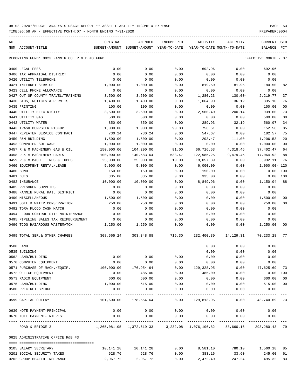TIME:06:58 AM - EFFECTIVE MONTH:07 - MONTH ENDING 7-31-2020

| ACT | NUM ACCOUNT-TITLE                                                       | ORIGINAL<br>BUDGET-AMOUNT BUDGET-AMOUNT YEAR-TO-DATE YEAR-TO-DATE MONTH-TO-DATE | AMENDED                               |        |                   | ENCUMBERED ACTIVITY ACTIVITY | <b>CURRENT USED</b><br>BALANCE PCT |                |
|-----|-------------------------------------------------------------------------|---------------------------------------------------------------------------------|---------------------------------------|--------|-------------------|------------------------------|------------------------------------|----------------|
|     |                                                                         |                                                                                 |                                       |        |                   |                              |                                    |                |
|     | REPORTING FUND: 0023 FANNIN CO. R & B #3 FUND                           |                                                                                 |                                       |        |                   |                              | EFFECTIVE MONTH - 07               |                |
|     | 0400 LEGAL FEES                                                         | 0.00                                                                            | 0.00                                  | 0.00   | 692.96            | 0.00                         | 692.96-                            |                |
|     | 0406 TAX APPRAISAL DISTRICT                                             | 0.00                                                                            | 0.00                                  | 0.00   | 0.00              | 0.00                         | 0.00                               |                |
|     | 0420 UTILITY TELEPHONE                                                  | 0.00                                                                            | 0.00                                  | 0.00   | 0.00              | 0.00                         | 0.00                               |                |
|     | 0421 INTERNET SERVICE                                                   | 1,000.00                                                                        | 1,000.00                              | 0.00   | 819.50            | 81.95                        | 180.50                             | 82             |
|     | 0423 CELL PHONE ALLOWANCE                                               | 0.00                                                                            | 0.00                                  | 0.00   | 0.00              | 0.00                         | 0.00                               |                |
|     | 0427 OUT OF COUNTY TRAVEL/TRAINING 3,500.00                             |                                                                                 | 3,500.00                              | 0.00   | 1,280.23          | 130.00-                      | 2,219.77                           | 37             |
|     | 0430 BIDS, NOTICES & PERMITS                                            | 1,400.00                                                                        | 1,400.00                              | 0.00   | 1,064.90          | 36.12                        | 335.10                             | 76             |
|     | 0435 PRINTING                                                           | 100.00                                                                          | 100.00                                | 0.00   | 0.00              | 0.00                         | 100.00                             | 0 <sub>0</sub> |
|     | 0440 UTILITY ELECTRICITY                                                | 3,500.00                                                                        | 3,500.00                              | 0.00   | 2,560.40          | 200.14                       | 939.60                             | 73             |
|     | 0441 UTILITY GAS                                                        | 500.00                                                                          | 500.00                                | 0.00   | 0.00              | 0.00                         | 500.00                             | 0 <sub>0</sub> |
|     | 0442 UTILITY WATER                                                      | 850.00                                                                          | 850.00                                | 0.00   | 289.93            | 32.19                        | 560.07                             | 34             |
|     | 0443 TRASH DUMPSTER PICKUP                                              | 1,000.00                                                                        | 1,000.00                              | 90.83  | 756.61            | 0.00                         | 152.56                             | 85             |
|     | 0447 REPEATER SERVICE CONTRACT                                          | 730.24                                                                          | 730.24                                | 0.00   | 547.67            | 0.00                         | 182.57                             | 75             |
|     | 0450 R&M BUILDING                                                       | 1,500.00                                                                        | 1,500.00                              | 0.00   | 293.47            | 111.00                       | 1,206.53                           | 20             |
|     | 0453 COMPUTER SOFTWARE                                                  | 1,000.00                                                                        | 1,000.00                              | 0.00   | 0.00              | 0.00                         | 1,000.00                           | 0 <sub>0</sub> |
|     | 0457 R & M MACHINERY GAS & OIL                                          | 150,000.00                                                                      | 104,200.00                            | 81.00  | 66,716.53         | 4,318.46                     | 37,402.47                          | 64             |
|     | 0458 R & M MACHINERY PARTS                                              | 100,000.00                                                                      | 140,583.64                            | 533.47 | 122,985.25        | 9,479.45                     | 17,064.92                          | 88             |
|     | 0459 R & M MACH. TIRES & TUBES                                          | 25,000.00                                                                       | 25,000.00                             | 10.00  | 19,057.89         | 0.00                         | 5,932.11                           | 76             |
|     | 0460 EQUIPMENT RENTAL/LEASE                                             | 5,000.00                                                                        | 5,000.00                              | 0.00   | 6,000.00          | 0.00                         | 1,000.00- 120                      |                |
|     | 0480 BOND                                                               | 150.00                                                                          | 150.00                                | 0.00   | 150.00            | 0.00                         | $0.00$ 100                         |                |
|     | 0481 DUES                                                               | 335.00                                                                          | 335.00                                | 0.00   | 335.00            | 0.00                         | 0.00 100                           |                |
|     | 0482 INSURANCE                                                          | 10,000.00                                                                       | 10,000.00                             | 0.00   | 8,849.96          | 0.00                         | 1,150.04                           | 88             |
|     | 0485 PRISONER SUPPLIES                                                  | 0.00                                                                            | 0.00                                  | 0.00   | 0.00              | 0.00                         | 0.00                               |                |
|     | 0488 FANNIN RURAL RAIL DISTRICT                                         | 0.00                                                                            | 0.00                                  | 0.00   | 0.00              | 0.00                         | 0.00                               |                |
|     | 0490 MISCELLANEOUS                                                      | 1,500.00                                                                        | 1,500.00                              | 0.00   | 0.00              | 0.00                         | 1,500.00                           | 0 <sub>0</sub> |
|     | 0491 SOIL & WATER CONSERVATION                                          | 250.00                                                                          | 250.00                                | 0.00   | 0.00              | 0.00                         | 250.00                             | 0 <sub>0</sub> |
|     | 0492 TDRA FLOOD CASH MATCH                                              | 0.00                                                                            | 0.00                                  | 0.00   | 0.00              | 0.00                         | 0.00                               |                |
|     | 0494 FLOOD CONTROL SITE MAINTENANCE                                     | 0.00                                                                            | 0.00                                  | 0.00   | 0.00              | 0.00                         | 0.00                               |                |
|     | 0495 PIPELINE SALES TAX REIMBURSEMENT                                   | 0.00                                                                            | 0.00                                  | 0.00   | 0.00              | 0.00                         | 0.00                               |                |
|     | 0496 TCOG HAZARDOUS WASTEMATCH                                          | 1,250.00                                                                        | 1,250.00                              | 0.00   | 0.00              | 0.00                         | 1,250.00                           | 00             |
|     | 0499 TOTAL SER. & OTHER CHARGES 308,565.24 303,348.88 715.30 232,400.30 |                                                                                 |                                       |        |                   | 14,129.31 70,233.28          |                                    | 77             |
|     | 0500 LAND                                                               |                                                                                 |                                       |        | 0.00              | 0.00                         | 0.00                               |                |
|     | 0535 BUILDING                                                           |                                                                                 |                                       |        | 0.00              | 0.00                         | 0.00                               |                |
|     | 0562 LAND/BUILDING                                                      | 0.00                                                                            | 0.00                                  | 0.00   | 0.00              | 0.00                         | 0.00                               |                |
|     | 0570 COMPUTER EQUIPMENT                                                 | 0.00                                                                            | 0.00                                  | 0.00   | 0.00              | 0.00                         | 0.00                               |                |
|     | 0571 PURCHASE OF MACH./EQUIP.                                           | 100,000.00                                                                      | 176,954.64                            |        | $0.00$ 129,328.95 | 0.00                         | 47,625.69                          | 73             |
|     | 0572 OFFICE EQUIPMENT                                                   | 0.00                                                                            | 485.00                                | 0.00   | 485.00            | 0.00                         | 0.00 100                           |                |
|     | 0573 RADIO EQUIPMENT                                                    | 600.00                                                                          | 600.00                                | 0.00   | 0.00              | 0.00                         | 600.00                             | 0 <sub>0</sub> |
|     | 0575 LAND/BUILDING                                                      | 1,000.00                                                                        | 515.00                                | 0.00   | 0.00              | 0.00                         | 515.00                             | 0 <sub>0</sub> |
|     | 0580 PRECINCT BRIDGE                                                    | 0.00                                                                            | 0.00                                  | 0.00   | 0.00              | 0.00                         | 0.00                               |                |
|     | 0599 CAPITAL OUTLAY                                                     |                                                                                 | 101,600.00 178,554.64 0.00 129,813.95 |        |                   | 0.00                         | 48,740.69 73                       |                |
|     | 0630 NOTE PAYMENT-PRINCIPAL                                             | 0.00                                                                            | 0.00                                  | 0.00   | 0.00              | 0.00                         | 0.00                               |                |
|     | 0670 NOTE PAYMENT-INTEREST                                              | 0.00                                                                            | 0.00                                  | 0.00   | 0.00              | 0.00                         | 0.00                               |                |
|     | ROAD & BRIDGE 3                                                         | 1,265,081.05 1,372,619.33 3,232.08 1,076,106.82 58,660.16 293,280.43            |                                       |        |                   |                              |                                    | 79             |
|     | 0625 ADMINISTRATIVE OFFICE R&B #3                                       |                                                                                 |                                       |        |                   |                              |                                    |                |
|     | 0105 SALARY SECRETARY                                                   |                                                                                 | 10, 141. 28   10, 141. 28             | 0.00   | 8,581.10          |                              | 780.10 1,560.18                    | 85             |
|     | 0201 SOCIAL SECURITY TAXES                                              | 628.76                                                                          | 628.76                                | 0.00   | 383.16            | 33.60                        | 245.60                             | 61             |

0202 GROUP HEALTH INSURANCE 2,967.72 2,967.72 0.00 2,472.40 247.24 495.32 83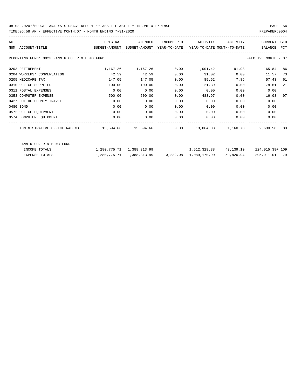| ACT |                                               | ORIGINAL                                 | AMENDED  | ENCUMBERED | ACTIVITY                   | ACTIVITY              | <b>CURRENT USED</b>  |            |
|-----|-----------------------------------------------|------------------------------------------|----------|------------|----------------------------|-----------------------|----------------------|------------|
| NUM | ACCOUNT-TITLE                                 | BUDGET-AMOUNT BUDGET-AMOUNT YEAR-TO-DATE |          |            | YEAR-TO-DATE MONTH-TO-DATE |                       | BALANCE              | <b>PCT</b> |
|     | REPORTING FUND: 0023 FANNIN CO. R & B #3 FUND |                                          |          |            |                            |                       | EFFECTIVE MONTH - 07 |            |
|     | 0203 RETIREMENT                               | 1,167.26                                 | 1,167.26 | 0.00       | 1,001.42                   | 91.98                 | 165.84               | 86         |
|     | 0204 WORKERS' COMPENSATION                    | 42.59                                    | 42.59    | 0.00       | 31.02                      | 0.00                  | 11.57                | 73         |
|     | 0205 MEDICARE TAX                             | 147.05                                   | 147.05   | 0.00       | 89.62                      | 7.86                  | 57.43                | 61         |
|     | 0310 OFFICE SUPPLIES                          | 100.00                                   | 100.00   | 0.00       | 21.39                      | 0.00                  | 78.61                | 21         |
|     | 0311 POSTAL EXPENSES                          | 0.00                                     | 0.00     | 0.00       | 0.00                       | 0.00                  | 0.00                 |            |
|     | 0353 COMPUTER EXPENSE                         | 500.00                                   | 500.00   | 0.00       | 483.97                     | 0.00                  | 16.03                | 97         |
|     | 0427 OUT OF COUNTY TRAVEL                     | 0.00                                     | 0.00     | 0.00       | 0.00                       | 0.00                  | 0.00                 |            |
|     | 0480 BOND                                     | 0.00                                     | 0.00     | 0.00       | 0.00                       | 0.00                  | 0.00                 |            |
|     | 0572 OFFICE EQUIPMENT                         | 0.00                                     | 0.00     | 0.00       | 0.00                       | 0.00                  | 0.00                 |            |
|     | 0574 COMPUTER EQUIPMENT                       | 0.00                                     | 0.00     | 0.00       | 0.00                       | 0.00                  | 0.00                 |            |
|     | ADMINISTRATIVE OFFICE R&B #3                  | $15,694.66$ $15,694.66$ 0.00             |          |            |                            | 13,064.08    1,160.78 | 2,630.58             | 83         |

| FANNIN CO. R & B #3 FUND |                           |                       |           |                  |
|--------------------------|---------------------------|-----------------------|-----------|------------------|
| INCOME TOTALS            | 1,280,775.71 1,388,313.99 | 1,512,329.38          | 43,139.10 | 124,015.39+ 109  |
| EXPENSE TOTALS           | 1,280,775.71 1,388,313.99 | 3,232.08 1,089,170.90 | 59,820.94 | 79<br>295,911.01 |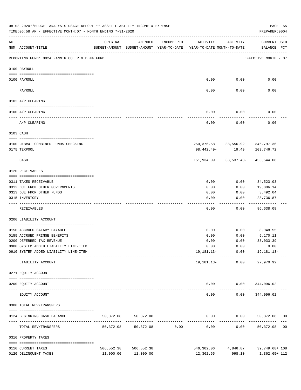|     | 08-03-2020**BUDGET ANALYSIS USAGE REPORT ** ASSET LIABILITY INCOME & EXPENSE<br>TIME:06:58 AM - EFFECTIVE MONTH:07 - MONTH ENDING 7-31-2020 |                                |                                                     |                               |                                        |                 | PAGE 55<br>PREPARER: 0004                                                |  |
|-----|---------------------------------------------------------------------------------------------------------------------------------------------|--------------------------------|-----------------------------------------------------|-------------------------------|----------------------------------------|-----------------|--------------------------------------------------------------------------|--|
| ACT | NUM ACCOUNT-TITLE                                                                                                                           | ORIGINAL                       | AMENDED<br>BUDGET-AMOUNT BUDGET-AMOUNT YEAR-TO-DATE | ENCUMBERED                    | ACTIVITY<br>YEAR-TO-DATE MONTH-TO-DATE | ACTIVITY        | <b>CURRENT USED</b><br>BALANCE PCT                                       |  |
|     | REPORTING FUND: 0024 FANNIN CO. R & B #4 FUND                                                                                               |                                |                                                     |                               |                                        |                 | EFFECTIVE MONTH - 07                                                     |  |
|     | 0100 PAYROLL                                                                                                                                |                                |                                                     |                               |                                        |                 |                                                                          |  |
|     | 0100 PAYROLL                                                                                                                                |                                |                                                     |                               | 0.00                                   | 0.00            | 0.00                                                                     |  |
|     | PAYROLL                                                                                                                                     |                                |                                                     |                               | 0.00                                   | 0.00            | 0.00                                                                     |  |
|     | 0102 A/P CLEARING                                                                                                                           |                                |                                                     |                               |                                        |                 |                                                                          |  |
|     | 0100 A/P CLEARING                                                                                                                           |                                |                                                     |                               | 0.00                                   | 0.00            | 0.00                                                                     |  |
|     | A/P CLEARING                                                                                                                                |                                |                                                     |                               | -------<br>0.00                        | 0.00            | 0.00                                                                     |  |
|     | 0103 CASH                                                                                                                                   |                                |                                                     |                               |                                        |                 |                                                                          |  |
|     |                                                                                                                                             |                                |                                                     |                               |                                        |                 |                                                                          |  |
|     | 0100 R&B#4- COMBINED FUNDS CHECKING<br>0175 TEXPOOL                                                                                         |                                |                                                     |                               | 98,442.49-                             | 19.49           | 250, 376.58 38, 556.92- 346, 797.36<br>109,746.72                        |  |
|     | CASH                                                                                                                                        |                                |                                                     |                               | 151,934.09                             |                 | 38,537.43-456,544.08                                                     |  |
|     | 0120 RECEIVABLES                                                                                                                            |                                |                                                     |                               |                                        |                 |                                                                          |  |
|     | 0311 TAXES RECEIVABLE                                                                                                                       |                                |                                                     |                               | 0.00                                   | 0.00            | 34,523.03                                                                |  |
|     | 0312 DUE FROM OTHER GOVERNMENTS                                                                                                             |                                |                                                     |                               | 0.00                                   | 0.00            | 19,886.14                                                                |  |
|     | 0313 DUE FROM OTHER FUNDS                                                                                                                   |                                |                                                     |                               | 0.00                                   | 0.00            | 3,492.04                                                                 |  |
|     | 0315 INVENTORY                                                                                                                              |                                |                                                     |                               | 0.00                                   | 0.00            | 28,736.87<br>$- - - - -$                                                 |  |
|     | RECEIVABLES                                                                                                                                 |                                |                                                     |                               | 0.00                                   | 0.00            | 86,638.08                                                                |  |
|     | 0200 LIABILITY ACCOUNT                                                                                                                      |                                |                                                     |                               |                                        |                 |                                                                          |  |
|     | 0150 ACCRUED SALARY PAYABLE                                                                                                                 |                                |                                                     |                               | 0.00                                   | 0.00            | 8,948.55                                                                 |  |
|     | 0155 ACCRUED FRINGE BENEFITS                                                                                                                |                                |                                                     |                               | 0.00                                   | 0.00            | 5,170.11                                                                 |  |
|     | 0200 DEFERRED TAX REVENUE                                                                                                                   |                                |                                                     |                               | 0.00                                   | 0.00            | 33,033.39                                                                |  |
|     | 0900 SYSTEM ADDED LIABILITY LINE-ITEM                                                                                                       |                                |                                                     |                               |                                        |                 | $0.00$ $0.00$ $0.00$ $0.00$                                              |  |
|     | 0910 SYSTEM ADDED LIABILITY LINE-ITEM                                                                                                       | -------- ------------- ------- |                                                     |                               |                                        |                 | 19, 181.13 - 0.00 19, 181.13 -                                           |  |
|     | LIABILITY ACCOUNT                                                                                                                           |                                |                                                     |                               |                                        | 19,181.13- 0.00 | 27,970.92                                                                |  |
|     | 0271 EQUITY ACCOUNT                                                                                                                         |                                |                                                     |                               |                                        |                 |                                                                          |  |
|     | 0200 EQUITY ACCOUNT                                                                                                                         |                                |                                                     |                               |                                        |                 | $0.00$ $0.00$ $344,096.02$<br>-------------------------                  |  |
|     | EQUITY ACCOUNT                                                                                                                              |                                |                                                     |                               | 0.00                                   |                 | $0.00$ $344,096.02$                                                      |  |
|     | 0300 TOTAL REV/TRANSFERS                                                                                                                    |                                |                                                     |                               |                                        |                 |                                                                          |  |
|     | 0124 BEGINNING CASH BALANCE                                                                                                                 | 50,372.08                      | 50,372.08                                           |                               |                                        |                 | $0.00$ $0.00$ $50,372.08$ 00                                             |  |
|     | TOTAL REV/TRANSFERS                                                                                                                         | 50,372.08                      |                                                     | ----------------------------- |                                        | -------------   | --------------<br>$50,372.08$ $0.00$ $0.00$ $0.00$ $0.00$ $50,372.08$ 00 |  |
|     | 0310 PROPERTY TAXES                                                                                                                         |                                |                                                     |                               |                                        |                 |                                                                          |  |
|     | 0110 CURRENT TAXES                                                                                                                          |                                | 506,552.38 506,552.38                               |                               |                                        |                 | $546, 302.06$ $4, 846.87$ $39, 749.68 + 108$                             |  |
|     | 0120 DELINQUENT TAXES                                                                                                                       |                                | 11,000.00 11,000.00                                 |                               | 12,362.65                              | 998.10          | 1,362.65+ 112                                                            |  |
|     |                                                                                                                                             |                                |                                                     |                               |                                        |                 |                                                                          |  |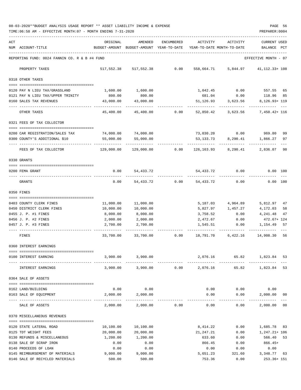08-03-2020\*\*BUDGET ANALYSIS USAGE REPORT \*\* ASSET LIABILITY INCOME & EXPENSE PAGE 56 TIME:06:58 AM - EFFECTIVE MONTH:07 - MONTH ENDING 7-31-2020 PREPARER:0004

| ACT |                                                      | ORIGINAL              | AMENDED                    | ENCUMBERED     | ACTIVITY                       | ACTIVITY                                                            | CURRENT USED               |          |
|-----|------------------------------------------------------|-----------------------|----------------------------|----------------|--------------------------------|---------------------------------------------------------------------|----------------------------|----------|
|     | NUM ACCOUNT-TITLE                                    |                       |                            |                |                                | BUDGET-AMOUNT BUDGET-AMOUNT YEAR-TO-DATE YEAR-TO-DATE MONTH-TO-DATE | BALANCE PCT                |          |
|     | REPORTING FUND: 0024 FANNIN CO. R & B #4 FUND        |                       |                            |                |                                |                                                                     | EFFECTIVE MONTH - 07       |          |
|     | PROPERTY TAXES                                       |                       | 517,552.38 517,552.38 0.00 |                | 558,664.71                     |                                                                     | 5,844.97 41,112.33+108     |          |
|     | 0318 OTHER TAXES                                     |                       |                            |                |                                |                                                                     |                            |          |
|     | 0120 PAY N LIEU TAX/GRASSLAND                        | 1,600.00              | 1,600.00                   |                |                                | 1,042.45   0.00   557.55   65                                       |                            |          |
|     | 0121 PAY N LIEU TAX/UPPER TRINITY                    | 800.00                | 800.00                     |                |                                | 681.04 0.00 118.96 85                                               |                            |          |
|     | 0160 SALES TAX REVENUES                              | 43,000.00             | 43,000.00                  |                | 51,126.93                      | 3,623.56                                                            | 8,126.93+ 119              |          |
|     |                                                      |                       |                            |                |                                |                                                                     |                            |          |
|     | OTHER TAXES                                          | 45,400.00             | 45,400.00                  | 0.00           | 52,850.42                      | 3,623.56                                                            | 7,450.42+ 116              |          |
|     | 0321 FEES OF TAX COLLECTOR                           |                       |                            |                |                                |                                                                     |                            |          |
|     | 0200 CAR REGISTRATION/SALES TAX                      |                       | 74,000.00 74,000.00        |                |                                | 73,030.20 0.00                                                      | 969.80                     | 99       |
|     | 0300 COUNTY'S ADDITIONAL \$10                        | 55,000.00             | 55,000.00                  |                | 53,133.73                      | 8,290.41                                                            | 1,866.27                   | 97       |
|     |                                                      |                       |                            |                |                                |                                                                     |                            |          |
|     | FEES OF TAX COLLECTOR                                | 129,000.00            |                            |                | $129,000.00$ 0.00 $126,163.93$ | 8,290.41                                                            | 2,836.07 98                |          |
|     | 0330 GRANTS                                          |                       |                            |                |                                |                                                                     |                            |          |
|     |                                                      |                       |                            |                |                                | 54,433.72 0.00                                                      | 0.00 100                   |          |
|     | 0200 FEMA GRANT                                      | 0.00                  | 54,433.72                  |                |                                |                                                                     |                            |          |
|     | GRANTS                                               | 0.00                  |                            | 54,433.72 0.00 | 54,433.72                      | 0.00                                                                | 0.00 100                   |          |
|     | 0350 FINES                                           |                       |                            |                |                                |                                                                     |                            |          |
|     |                                                      |                       |                            |                |                                |                                                                     |                            |          |
|     | 0403 COUNTY CLERK FINES                              | 11,000.00             | 11,000.00                  |                | 5,187.03                       | 4,964.89<br>1,457.27                                                | 5,812.97                   | 47       |
|     | 0450 DISTRICT CLERK FINES<br>0455 J. P. #1 FINES     | 10,000.00<br>8,000.00 | 10,000.00<br>8,000.00      |                | 5,827.97<br>3,758.52           | 0.00                                                                | 4,172.03<br>4,241.48       | 58<br>47 |
|     | 0456 J. P. #2 FINES                                  | 2,000.00              | 2,000.00                   |                | 2,472.67                       | 0.00                                                                | 472.67+ 124                |          |
|     | 0457 J. P. #3 FINES                                  | 2,700.00              | 2,700.00                   |                | 1,545.51                       | 0.00                                                                | 1,154.49                   | 57       |
|     | FINES                                                | 33,700.00             | 33,700.00                  | 0.00           |                                | 18,791.70 6,422.16                                                  | 14,908.30 56               |          |
|     | 0360 INTEREST EARNINGS                               |                       |                            |                |                                |                                                                     |                            |          |
|     |                                                      |                       |                            |                |                                |                                                                     |                            |          |
|     | 0100 INTEREST EARNING                                | 3,900.00              | 3,900.00                   |                |                                | 2,076.16 65.82 1,823.84 53                                          |                            |          |
|     | INTEREST EARNINGS                                    |                       | 3,900.00 3,900.00          |                | $0.00$ 2,076.16                |                                                                     | 65.82 1,823.84 53          |          |
|     | 0364 SALE OF ASSETS                                  |                       |                            |                |                                |                                                                     |                            |          |
|     |                                                      |                       |                            |                |                                |                                                                     |                            |          |
|     | 0162 LAND/BUILDING                                   | 0.00                  | 0.00                       |                | 0.00                           | 0.00                                                                | 0.00                       |          |
|     | 0163 SALE OF EQUIPMENT                               | 2,000.00              | 2,000.00<br>-------------  |                | 0.00                           | 0.00<br>---------                                                   | 2,000.00 00<br>----------- |          |
|     | SALE OF ASSETS                                       | 2,000.00              | 2,000.00                   | 0.00           | 0.00                           | 0.00                                                                | 2,000.00 00                |          |
|     | 0370 MISCELLANEOUS REVENUES                          |                       |                            |                |                                |                                                                     |                            |          |
|     |                                                      |                       |                            |                |                                |                                                                     |                            |          |
|     | 0120 STATE LATERAL ROAD                              | 10,100.00             | 10,100.00                  |                | 8,414.22                       | 0.00                                                                | 1,685.78 83                |          |
|     | 0125 TDT WEIGHT FEES<br>0130 REFUNDS & MISCELLANEOUS | 20,000.00<br>1,200.00 | 20,000.00<br>1,200.00      |                | 21,247.21<br>633.60            | 0.00<br>0.00                                                        | $1,247.21+106$<br>566.40   | 53       |
|     | 0138 SALE OF SCRAP IRON                              | 0.00                  | 0.00                       |                | 866.45                         | 0.00                                                                | $866.45+$                  |          |
|     | 0140 PROCEEDS OF LOAN                                | 0.00                  | 0.00                       |                | 0.00                           | 0.00                                                                | 0.00                       |          |
|     | 0145 REIMBURSEMENT OF MATERIALS                      | 9,000.00              | 9,000.00                   |                | 5,651.23                       | 321.60                                                              | 3,348.77 63                |          |
|     | 0146 SALE OF RECYCLED MATERIALS                      | 500.00                | 500.00                     |                | 753.36                         | 0.00                                                                | 253.36+ 151                |          |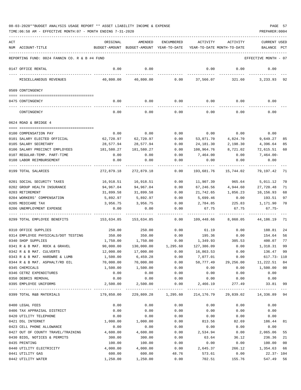| ACT |                                               | ORIGINAL   | AMENDED                                  | <b>ENCUMBERED</b> | ACTIVITY                  | ACTIVITY                   | <b>CURRENT USED</b>  |              |
|-----|-----------------------------------------------|------------|------------------------------------------|-------------------|---------------------------|----------------------------|----------------------|--------------|
|     | NUM ACCOUNT-TITLE                             |            | BUDGET-AMOUNT BUDGET-AMOUNT YEAR-TO-DATE |                   |                           | YEAR-TO-DATE MONTH-TO-DATE | BALANCE              | $_{\rm PCT}$ |
|     | REPORTING FUND: 0024 FANNIN CO. R & B #4 FUND |            |                                          |                   |                           |                            | EFFECTIVE MONTH - 07 |              |
|     | 0147 OFFICE RENTAL                            | 0.00       | 0.00                                     |                   | 0.00                      | 0.00                       | 0.00                 |              |
|     | MISCELLANEOUS REVENUES                        | 40,800.00  | 40,800.00                                | 0.00              | 37,566.07                 | 321.60                     | 3,233.93             | 92           |
|     | 0509 CONTINGENCY                              |            |                                          |                   |                           |                            |                      |              |
|     | 0475 CONTINGENCY                              | 0.00       | 0.00                                     | 0.00              | 0.00                      | 0.00                       | 0.00                 |              |
|     | CONTINGENCY                                   | 0.00       | 0.00                                     | 0.00              | 0.00                      | 0.00                       | 0.00                 |              |
|     | 0624 ROAD & BRIDGE 4                          |            |                                          |                   |                           |                            |                      |              |
|     |                                               |            |                                          |                   |                           |                            |                      |              |
|     | 0100 COMPENSATION PAY                         | 0.00       | 0.00                                     | 0.00              | 0.00                      | 0.00                       | 0.00                 |              |
|     | 0101 SALARY ELECTED OFFICIAL                  | 62,720.97  | 62,720.97                                | 0.00              | 53,071.70                 | 4,824.70                   | 9,649.27             | 85           |
|     | 0105 SALARY SECRETARY                         | 28,577.94  | 28,577.94                                | 0.00              | 24,181.30                 | 2,198.30                   | 4,396.64             | 85           |
|     | 0106 SALARY PRECINCT EMPLOYEES                | 181,580.27 | 181,580.27                               | 0.00              | 108,964.76                | 8,721.02                   | 72,615.51            | 60           |
|     | 0107 REGULAR-TEMP. PART-TIME                  | 0.00       | 0.00                                     | 0.00              | 7,464.00                  | 0.00                       | 7,464.00-            |              |
|     | 0108 LABOR REIMBURSEMENT                      | 0.00       | 0.00                                     | 0.00              | 0.00                      | 0.00                       | 0.00                 |              |
|     | 0199 TOTAL SALARIES                           | 272,879.18 | 272,879.18                               | 0.00              | 193,681.76                | 15,744.02                  | 79,197.42            | 71           |
|     | 0201 SOCIAL SECURITY TAXES                    | 16,918.51  | 16,918.51                                | 0.00              | 11,907.39                 | 965.64                     | 5,011.12             | 70           |
|     | 0202 GROUP HEALTH INSURANCE                   | 94,967.04  | 94,967.04                                | 0.00              | 67,246.56                 | 4,944.60                   | 27,720.48            | 71           |
|     | 0203 RETIREMENT                               | 31,899.58  | 31,899.58                                | 0.00              | 21,742.65                 | 1,856.23                   | 10,156.93            | 68           |
|     | 0204 WORKERS' COMPENSATION                    | 5,892.97   | 5,892.97                                 | 0.00              | 5,699.46                  | 0.00                       | 193.51               | 97           |
|     | 0205 MEDICARE TAX                             | 3,956.75   | 3,956.75                                 | 0.00              | 2,784.85                  | 225.83                     | 1,171.90             | 70           |
|     | 0206 UNEMPLOYMENT EXPENSE                     | 0.00       | 0.00                                     | 0.00              | 67.75                     | 67.75                      | $67.75-$             |              |
|     | 0299 TOTAL EMPLOYEE BENEFITS                  | 153,634.85 | 153,634.85                               | 0.00              | 109,448.66                | 8,060.05                   | 44,186.19            | -71          |
|     | 0310 OFFICE SUPPLIES                          | 250.00     | 250.00                                   | 0.00              | 61.19                     | 0.00                       | 188.81               | 24           |
|     | 0314 EMPLOYEE PHYSICALS/DOT TESTING           | 350.00     | 350.00                                   | 0.00              | 195.36                    | 0.00                       | 154.64               | 56           |
|     | 0340 SHOP SUPPLIES                            | 1,750.00   | 1,750.00                                 | 0.00              | 1,349.93                  | 305.53                     | 400.07               | 77           |
|     | 0341 R & B MAT. ROCK & GRAVEL                 | 90,000.00  | 130,000.00                               | 1,295.60          | 127,386.09                | 0.00                       | 1,318.31             | 99           |
|     | 0342 R & B MAT. CULVERTS                      | 12,000.00  | 17,000.00                                | 0.00              | 16,863.53                 | 0.00                       | 136.47               | 99           |
|     | 0343 R & B MAT. HARDWRE & LUMB                | 1,500.00   | 6,459.28                                 | 0.00              | 7,077.01                  | 0.00                       | 617.73- 110          |              |
|     | 0344 R & B MAT. ASPHALT/RD OIL                | 70,000.00  | 70,000.00                                | 0.00              | 58,777.49                 | 29,256.00                  | 11,222.51            | 84           |
|     | 0345 CHEMICALS                                | 1,500.00   | 1,500.00                                 | 0.00              | 0.00                      | 0.00                       | 1,500.00             | 00           |
|     | 0346 CETRZ EXPENDITURES                       | 0.00       | 0.00                                     | 0.00              | 0.00                      | 0.00                       | 0.00                 |              |
|     | 0350 DEBRIS REMOVAL                           | 0.00       | 0.00                                     | 0.00              | 0.00                      | 0.00                       | 0.00                 |              |
|     | 0395 EMPLOYEE UNIFORMS                        | 2,500.00   | 2,500.00<br>-------------                | 0.00              | 2,466.19<br>------------- | 277.49<br>-------------    | 33.81                | 99           |
|     | 0399 TOTAL R&B MATERIALS                      | 179,850.00 | 229,809.28                               | 1,295.60          | 214,176.79                | 29,839.02                  | 14,336.89 94         |              |
|     | 0400 LEGAL FEES                               | 0.00       | 0.00                                     | 0.00              | 0.00                      | 0.00                       | 0.00                 |              |
|     | 0406 TAX APPRAISAL DISTRICT                   | 0.00       | 0.00                                     | 0.00              | 0.00                      | 0.00                       | 0.00                 |              |
|     | 0420 UTILITY TELEPHONE                        | 0.00       | 0.00                                     | 0.00              | 0.00                      | 0.00                       | 0.00                 |              |
|     | 0421 DSL INTERNET                             | 1,000.00   | 1,000.00                                 | 0.00              | 813.56                    | 82.69                      | 186.44               | 81           |
|     | 0423 CELL PHONE ALLOWANCE                     | 0.00       | 0.00                                     | 0.00              | 0.00                      | 0.00                       | 0.00                 |              |
|     | 0427 OUT OF COUNTY TRAVEL/TRAINING            | 4,600.00   | 4,600.00                                 | 0.00              | 2,534.94                  | 0.00                       | 2,065.06             | 55           |
|     | 0430 BIDS, NOTICES & PERMITS                  | 300.00     | 300.00                                   | 0.00              | 63.64                     | 36.12                      | 236.36               | 21           |
|     | 0435 PRINTING                                 | 100.00     | 100.00                                   | 0.00              | 0.00                      | 0.00                       | 100.00               | 00           |
|     | 0440 UTILITY ELECTRICITY                      | 4,000.00   | 4,000.00                                 | 0.00              | 2,645.37                  | 266.12                     | 1,354.63             | 66           |
|     | 0441 UTILITY GAS                              | 600.00     | 600.00                                   | 48.76             | 573.61                    | 0.00                       | $22.37 - 104$        |              |

0442 UTILITY WATER 1,250.00 1,250.00 0.00 702.51 155.76 547.49 56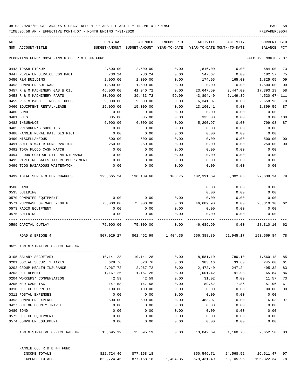| $\mathop{\rm ACT}$ |                                                                                                  | ORIGINAL                                                            | AMENDED                                                           | ENCUMBERED | ACTIVITY                                                          | ACTIVITY                          | CURRENT USED         |     |
|--------------------|--------------------------------------------------------------------------------------------------|---------------------------------------------------------------------|-------------------------------------------------------------------|------------|-------------------------------------------------------------------|-----------------------------------|----------------------|-----|
|                    | NUM ACCOUNT-TITLE                                                                                | BUDGET-AMOUNT BUDGET-AMOUNT YEAR-TO-DATE YEAR-TO-DATE MONTH-TO-DATE |                                                                   |            |                                                                   |                                   | BALANCE              | PCT |
|                    | REPORTING FUND: 0024 FANNIN CO. R & B #4 FUND                                                    |                                                                     |                                                                   |            |                                                                   |                                   | EFFECTIVE MONTH - 07 |     |
|                    | 0443 TRASH PICKUP                                                                                | 2,500.00                                                            | 2,500.00                                                          | 0.00       | 1,816.00                                                          | 0.00                              | 684.00               | 73  |
|                    | 0447 REPEATER SERVICE CONTRACT                                                                   | 730.24                                                              | 730.24                                                            | 0.00       | 547.67                                                            | 0.00                              | 182.57               | 75  |
|                    | 0450 R&M BUILDING                                                                                | 2,000.00                                                            | 2,000.00                                                          | 0.00       | 174.95                                                            |                                   | 165.00 1,825.05      | 09  |
|                    | 0453 COMPUTER SOFTWARE                                                                           | 1,500.00                                                            | 1,500.00                                                          | 0.00       | 0.00                                                              | 0.00                              | 1,500.00             | 00  |
|                    | 0457 R & M MACHINERY GAS & OIL                                                                   | 46,000.00                                                           | 41,040.72                                                         | 0.00       | 23,647.59                                                         | 2,447.00                          | 17,393.13            | 58  |
|                    | 0458 R & M MACHINERY PARTS                                                                       | 30,000.00                                                           | 39,433.72                                                         | 59.99      | 43,894.40                                                         | 5,149.39                          | 4,520.67- 111        |     |
|                    | 0459 R & M MACH. TIRES & TUBES                                                                   | 9,000.00                                                            | 9,000.00                                                          | 0.00       | 6,341.07                                                          | 0.00                              | 2,658.93             | 70  |
|                    | 0460 EQUIPMENT RENTAL/LEASE                                                                      | 15,000.00                                                           | 15,000.00                                                         | 0.00       | 13,100.41                                                         | 0.00                              | 1,899.59             | 87  |
|                    | 0480 BOND                                                                                        | 0.00                                                                | 0.00                                                              | 0.00       | 0.00                                                              | 0.00                              | 0.00                 |     |
|                    | 0481 DUES                                                                                        | 335.00                                                              | 335.00                                                            | 0.00       | 335.00                                                            | 0.00                              | 0.00                 | 100 |
|                    | 0482 INSURANCE                                                                                   | 6,000.00                                                            | 6,000.00                                                          | 0.00       | 5,200.97                                                          | 0.00                              | 799.03               | 87  |
|                    | 0485 PRISONER'S SUPPLIES                                                                         | 0.00                                                                | 0.00                                                              | 0.00       | 0.00                                                              | 0.00                              | 0.00                 |     |
|                    | 0488 FANNIN RURAL RAIL DISTRICT                                                                  | 0.00                                                                | 0.00                                                              | 0.00       | 0.00                                                              | 0.00                              | 0.00                 |     |
|                    | 0490 MISCELLANEOUS                                                                               | 500.00                                                              | 500.00                                                            | 0.00       | 0.00                                                              | 0.00                              | 500.00               | 00  |
|                    | 0491 SOIL & WATER CONSERVATION                                                                   | 250.00                                                              | 250.00                                                            | 0.00       | 0.00                                                              | 0.00                              | 250.00               | 00  |
|                    | 0492 TDRA FLOOD CASH MATCH                                                                       | 0.00                                                                | 0.00                                                              | 0.00       | 0.00                                                              | 0.00                              | 0.00                 |     |
|                    | 0494 FLOOD CONTROL SITE MAINTENANCE                                                              | 0.00                                                                | 0.00                                                              | 0.00       | 0.00                                                              | 0.00                              | 0.00                 |     |
|                    | 0495 PIPELINE SALES TAX REIMBURSEMENT                                                            | 0.00                                                                | 0.00                                                              | 0.00       | 0.00                                                              | 0.00                              | 0.00                 |     |
|                    | 0496 TCOG HAZARDOUS WASTEMATCH                                                                   | 0.00                                                                | 0.00                                                              | 0.00       | 0.00                                                              | 0.00                              | 0.00                 |     |
|                    | 0499 TOTAL SER.& OTHER CHARGES 65.24 130,139.68 108.75 102,391.69 8,302.08 27,639.24 79          |                                                                     |                                                                   |            |                                                                   |                                   |                      |     |
|                    | 0500 LAND                                                                                        |                                                                     |                                                                   |            | 0.00                                                              | 0.00                              | 0.00                 |     |
|                    | 0535 BUILDING                                                                                    |                                                                     |                                                                   |            | 0.00                                                              | 0.00                              | 0.00                 |     |
|                    | 0570 COMPUTER EQUIPMENT                                                                          | 0.00                                                                | 0.00                                                              | 0.00       | 0.00                                                              | 0.00                              | 0.00                 |     |
|                    | 0571 PURCHASE OF MACH./EQUIP. 75,000.00                                                          |                                                                     | 75,000.00                                                         | 0.00       | 46,689.90                                                         | 0.00                              | 28,310.10            | 62  |
|                    | 0573 RADIO EQUIPMENT                                                                             | 0.00                                                                | 0.00                                                              | 0.00       | 0.00                                                              | 0.00                              | 0.00                 |     |
|                    | 0575 BUILDING                                                                                    | 0.00                                                                | 0.00                                                              | 0.00       | 0.00                                                              | 0.00                              | 0.00                 |     |
|                    | 0599 CAPITAL OUTLAY                                                                              |                                                                     | 75,000.00 75,000.00                                               |            | $0.00 \qquad 46,689.90 \qquad 0.00$                               |                                   | 28,310.10 62         |     |
|                    | ROAD & BRIDGE 4                                                                                  |                                                                     |                                                                   |            | 807,029.27 861,462.99 1,404.35 666,388.80 61,945.17 193,669.84 78 |                                   |                      |     |
|                    | 0625 ADMINISTRATIVE OFFICE R&B #4                                                                |                                                                     |                                                                   |            |                                                                   |                                   |                      |     |
|                    | 0105 SALARY SECRETARY                                                                            | 10,141.28                                                           | 10,141.28                                                         | 0.00       | 8,581.10                                                          | 780.10                            | 1,560.18             | 85  |
|                    | 0201 SOCIAL SECURITY TAXES                                                                       | 628.76                                                              | 628.76                                                            | 0.00       | 383.16                                                            | 33.60                             | 245.60               | 61  |
|                    | 0202 GROUP HEALTH INSURANCE                                                                      | 2,967.72                                                            | 2,967.72                                                          | 0.00       | 2,472.40                                                          | 247.24                            | 495.32               | 83  |
|                    | 0203 RETIREMENT                                                                                  | 1,167.26                                                            | 1,167.26                                                          | 0.00       | 1,001.42                                                          | 91.98                             | 165.84               | 86  |
|                    | 0204 WORKERS' COMPENSATION                                                                       | 42.59                                                               | 42.59                                                             | 0.00       | 31.02                                                             | 0.00                              | 11.57                | 73  |
|                    | 0205 MEDICARE TAX                                                                                | 147.58                                                              | 147.58                                                            | 0.00       | 89.62                                                             | 7.86                              | 57.96                | 61  |
|                    | 0310 OFFICE SUPPLIES                                                                             | 100.00                                                              | 100.00                                                            | 0.00       | 0.00                                                              | 0.00                              | 100.00               | 00  |
|                    | 0311 POSTAL EXPENSES                                                                             | 0.00                                                                | 0.00                                                              | 0.00       | 0.00                                                              | 0.00                              | 0.00                 |     |
|                    | 0353 COMPUTER EXPENSE                                                                            | 500.00                                                              | 500.00                                                            | 0.00       | 483.97                                                            | 0.00                              | 16.03                | 97  |
|                    | 0427 OUT OF COUNTY TRAVEL                                                                        | 0.00                                                                | 0.00                                                              | 0.00       | 0.00                                                              | 0.00                              | 0.00                 |     |
|                    | 0480 BOND                                                                                        | 0.00                                                                | 0.00                                                              | 0.00       | 0.00                                                              | 0.00                              | 0.00                 |     |
|                    | 0572 OFFICE EOUIPMENT                                                                            | 0.00                                                                | 0.00                                                              | 0.00       | 0.00                                                              | 0.00                              | 0.00                 |     |
|                    | 0574 COMPUTER EQUIPMENT                                                                          | 0.00                                                                | 0.00                                                              | 0.00       | 0.00                                                              | 0.00                              | 0.00                 |     |
|                    | ADMINISTRATIVE OFFICE R&B #4 $15,695.19$ $15,695.19$ $0.00$ $13,042.69$ $1,160.78$ $2,652.50$ 83 |                                                                     |                                                                   | ---------- |                                                                   |                                   |                      |     |
|                    | FANNIN CO. R & B #4 FUND                                                                         |                                                                     |                                                                   |            |                                                                   |                                   |                      |     |
|                    | INCOME TOTALS                                                                                    |                                                                     | 822,724.46 877,158.18                                             |            |                                                                   | 850,546.71 24,568.52 26,611.47 97 |                      |     |
|                    | EXPENSE TOTALS                                                                                   |                                                                     | 822,724.46 877,158.18 1,404.35 679,431.49 63,105.95 196,322.34 78 |            |                                                                   |                                   |                      |     |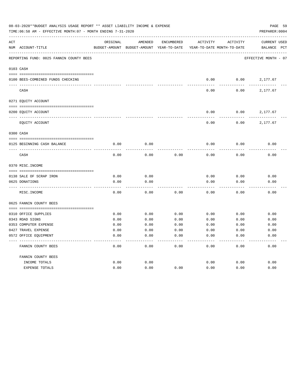|     | 08-03-2020**BUDGET ANALYSIS USAGE REPORT ** ASSET LIABILITY INCOME & EXPENSE<br>TIME: 06:58 AM - EFFECTIVE MONTH: 07 - MONTH ENDING 7-31-2020 |               |               |                   |                            |              | PAGE 59<br>PREPARER: 0004 |
|-----|-----------------------------------------------------------------------------------------------------------------------------------------------|---------------|---------------|-------------------|----------------------------|--------------|---------------------------|
| ACT |                                                                                                                                               | ORIGINAL      | AMENDED       | <b>ENCUMBERED</b> | ACTIVITY                   | ACTIVITY     | <b>CURRENT USED</b>       |
|     | NUM ACCOUNT-TITLE                                                                                                                             | BUDGET-AMOUNT | BUDGET-AMOUNT | YEAR-TO-DATE      | YEAR-TO-DATE MONTH-TO-DATE |              | BALANCE<br>PCT            |
|     | REPORTING FUND: 0025 FANNIN COUNTY BEES                                                                                                       |               |               |                   |                            |              | EFFECTIVE MONTH - 07      |
|     | 0103 CASH                                                                                                                                     |               |               |                   |                            |              |                           |
|     | 0100 BEES-COMBINED FUNDS CHECKING                                                                                                             |               |               |                   | 0.00                       | 0.00         | 2,177.67                  |
|     | CASH                                                                                                                                          |               |               |                   | 0.00                       | 0.00         | 2,177.67                  |
|     | 0271 EQUITY ACCOUNT                                                                                                                           |               |               |                   |                            |              |                           |
|     | 0200 EQUITY ACCOUNT                                                                                                                           |               |               |                   | 0.00                       | 0.00         | 2,177.67                  |
|     | EQUITY ACCOUNT                                                                                                                                |               |               |                   | 0.00                       | 0.00         | 2,177.67                  |
|     | 0300 CASH                                                                                                                                     |               |               |                   |                            |              |                           |
|     | 0125 BEGINNING CASH BALANCE                                                                                                                   | 0.00          | 0.00          |                   | 0.00                       | 0.00         | 0.00                      |
|     | CASH                                                                                                                                          | 0.00          | 0.00          | 0.00              | 0.00                       | 0.00         | 0.00                      |
|     | 0370 MISC. INCOME                                                                                                                             |               |               |                   |                            |              |                           |
|     | 0138 SALE OF SCRAP IRON                                                                                                                       | 0.00          | 0.00          |                   | 0.00                       | 0.00         | 0.00                      |
|     | 0625 DONATIONS                                                                                                                                | 0.00          | 0.00          |                   | 0.00                       | 0.00         | 0.00                      |
|     | MISC. INCOME                                                                                                                                  | 0.00          | 0.00          | 0.00              | 0.00                       | 0.00         | 0.00                      |
|     | 0625 FANNIN COUNTY BEES                                                                                                                       |               |               |                   |                            |              |                           |
|     |                                                                                                                                               |               |               |                   |                            |              |                           |
|     | 0310 OFFICE SUPPLIES                                                                                                                          | 0.00          | 0.00          | 0.00              | 0.00                       | 0.00         | 0.00                      |
|     | 0343 ROAD SIGNS<br>0353 COMPUTER EXPENSE                                                                                                      | 0.00<br>0.00  | 0.00<br>0.00  | 0.00<br>0.00      | 0.00<br>0.00               | 0.00<br>0.00 | 0.00<br>0.00              |
|     | 0427 TRAVEL EXPENSE                                                                                                                           | 0.00          | 0.00          | 0.00              | 0.00                       | 0.00         | 0.00                      |
|     | 0572 OFFICE EQUIPMENT                                                                                                                         | 0.00          | 0.00          | 0.00              | 0.00                       | 0.00         | 0.00                      |
|     | FANNIN COUNTY BEES                                                                                                                            | 0.00          | 0.00          | 0.00              | 0.00                       | 0.00         | 0.00                      |
|     | FANNIN COUNTY BEES                                                                                                                            |               |               |                   |                            |              |                           |
|     | INCOME TOTALS                                                                                                                                 | 0.00          | 0.00          |                   | 0.00                       | 0.00         | 0.00                      |
|     | <b>EXPENSE TOTALS</b>                                                                                                                         | 0.00          | 0.00          | 0.00              | 0.00                       | 0.00         | 0.00                      |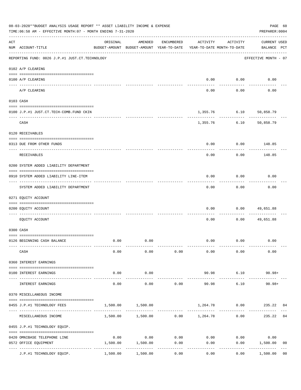|                | 08-03-2020**BUDGET ANALYSIS USAGE REPORT ** ASSET LIABILITY INCOME & EXPENSE<br>TIME: $06:58$ AM - EFFECTIVE MONTH: 07 - MONTH ENDING 7-31-2020 |                                                      |                                                |                     |                        |                                        | PAGE 60<br>PREPARER: 0004                        |
|----------------|-------------------------------------------------------------------------------------------------------------------------------------------------|------------------------------------------------------|------------------------------------------------|---------------------|------------------------|----------------------------------------|--------------------------------------------------|
| $\mathtt{ACT}$ | NUM ACCOUNT-TITLE                                                                                                                               | ORIGINAL<br>BUDGET-AMOUNT BUDGET-AMOUNT YEAR-TO-DATE | AMENDED                                        | ENCUMBERED          | ACTIVITY               | ACTIVITY<br>YEAR-TO-DATE MONTH-TO-DATE | <b>CURRENT USED</b><br>BALANCE PCT               |
|                | REPORTING FUND: 0026 J.P.#1 JUST.CT.TECHNOLOGY                                                                                                  |                                                      |                                                |                     |                        |                                        | EFFECTIVE MONTH - 07                             |
|                | 0102 A/P CLEARING                                                                                                                               |                                                      |                                                |                     |                        |                                        |                                                  |
|                | 0100 A/P CLEARING                                                                                                                               |                                                      |                                                |                     | 0.00                   | 0.00                                   | 0.00                                             |
|                | ---- ----------<br>A/P CLEARING                                                                                                                 |                                                      |                                                |                     | 0.00                   | 0.00                                   | 0.00                                             |
|                | 0103 CASH                                                                                                                                       |                                                      |                                                |                     |                        |                                        |                                                  |
|                | 0100 J.P.#1 JUST.CT.TECH-COMB.FUND CKIN                                                                                                         |                                                      |                                                |                     | 1,355.76               | 6.10                                   | 50,858.79                                        |
|                | CASH                                                                                                                                            |                                                      |                                                |                     | 1,355.76               | 6.10                                   | 50,858.79                                        |
|                | 0120 RECEIVABLES                                                                                                                                |                                                      |                                                |                     |                        |                                        |                                                  |
|                | 0313 DUE FROM OTHER FUNDS                                                                                                                       |                                                      |                                                |                     | 0.00                   | 0.00                                   | 148.85                                           |
|                | RECEIVABLES                                                                                                                                     |                                                      |                                                |                     | 0.00                   | 0.00                                   | 148.85                                           |
|                | 0200 SYSTEM ADDED LIABILITY DEPARTMENT                                                                                                          |                                                      |                                                |                     |                        |                                        |                                                  |
|                | 0910 SYSTEM ADDED LIABILITY LINE-ITEM                                                                                                           |                                                      |                                                |                     | 0.00                   | 0.00                                   | 0.00                                             |
|                | SYSTEM ADDED LIABILITY DEPARTMENT                                                                                                               |                                                      |                                                |                     | 0.00                   | 0.00                                   | 0.00                                             |
|                | 0271 EQUITY ACCOUNT                                                                                                                             |                                                      |                                                |                     |                        |                                        |                                                  |
|                | 0200 EQUITY ACCOUNT                                                                                                                             |                                                      |                                                |                     | 0.00                   | 0.00                                   | 49,651.88                                        |
|                | EQUITY ACCOUNT                                                                                                                                  |                                                      |                                                |                     | 0.00                   | 0.00                                   | 49,651.88                                        |
|                | 0300 CASH                                                                                                                                       |                                                      |                                                |                     |                        |                                        |                                                  |
|                | 0126 BEGINNING CASH BALANCE                                                                                                                     | 0.00                                                 | 0.00                                           |                     | 0.00                   | 0.00                                   | 0.00                                             |
|                | CASH                                                                                                                                            | 0.00                                                 | 0.00                                           | 0.00                | 0.00                   | 0.00                                   | 0.00                                             |
|                | 0360 INTEREST EARNINGS                                                                                                                          |                                                      |                                                |                     |                        |                                        |                                                  |
|                | 0100 INTEREST EARNINGS                                                                                                                          | 0.00                                                 | 0.00                                           |                     | 90.98                  | 6.10                                   | $90.98 +$                                        |
|                | INTEREST EARNINGS                                                                                                                               | -------------- --------------<br>0.00                | -----------<br>0.00                            | 0.00                | -------------<br>90.98 | ------------<br>6.10                   | $90.98+$                                         |
|                | 0370 MISCELLANEOUS INCOME                                                                                                                       |                                                      |                                                |                     |                        |                                        |                                                  |
|                | 0455 J.P.#1 TECHNOLOGY FEES                                                                                                                     | 1,500.00                                             | 1,500.00                                       |                     |                        |                                        | 1,264.78 0.00 235.22 84                          |
|                | MISCELLANEOUS INCOME                                                                                                                            |                                                      | $1,500.00$ $1,500.00$ $0.00$ $1,264.78$ $0.00$ |                     |                        |                                        | 84<br>235.22                                     |
|                | 0455 J.P.#1 TECHNOLOGY EQUIP.                                                                                                                   |                                                      |                                                |                     |                        |                                        |                                                  |
|                | 0420 OMNIBASE TELEPHONE LINE                                                                                                                    | 0.00                                                 |                                                | $0.00$ 0.00         |                        | $0.00$ 0.00                            | 0.00                                             |
|                | 0572 OFFICE EQUIPMENT                                                                                                                           | 1,500.00                                             | 1,500.00                                       | 0.00<br>----------- | 0.00                   | ----------                             | 0.00 1,500.00<br>0 <sub>0</sub><br>------------- |
|                | J.P.#1 TECHNOLOGY EQUIP.                                                                                                                        | 1,500.00                                             | 1,500.00                                       | 0.00                | 0.00                   | 0.00                                   | 1,500.00<br>0 <sub>0</sub>                       |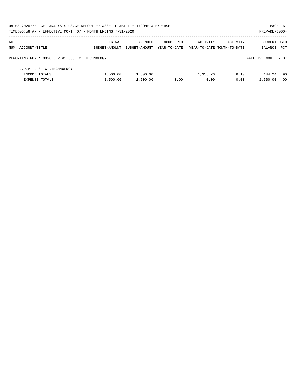| 08-03-2020**BUDGET ANALYSIS USAGE REPORT ** ASSET LIABILITY INCOME & EXPENSE |               |               |              |                            |          | PAGE 61              |                |
|------------------------------------------------------------------------------|---------------|---------------|--------------|----------------------------|----------|----------------------|----------------|
| TIME: 06:58 AM - EFFECTIVE MONTH: 07 - MONTH ENDING 7-31-2020                |               |               |              |                            |          | PREPARER: 0004       |                |
| ACT                                                                          | ORIGINAL      | AMENDED       | ENCUMBERED   | ACTIVITY                   | ACTIVITY | <b>CURRENT USED</b>  |                |
| NUM ACCOUNT-TITLE                                                            | BUDGET-AMOUNT | BUDGET-AMOUNT | YEAR-TO-DATE | YEAR-TO-DATE MONTH-TO-DATE |          | BALANCE              | PCT            |
| REPORTING FUND: 0026 J.P.#1 JUST.CT.TECHNOLOGY                               |               |               |              |                            |          | EFFECTIVE MONTH - 07 |                |
| J.P.#1 JUST.CT.TECHNOLOGY                                                    |               |               |              |                            |          |                      |                |
| INCOME TOTALS                                                                | 1,500.00      | 1,500.00      |              | 1,355.76                   | 6.10     | 144.24               | 90             |
| <b>EXPENSE TOTALS</b>                                                        | 1,500.00      | 1,500.00      | 0.00         | 0.00                       | 0.00     | 1,500.00             | 0 <sub>0</sub> |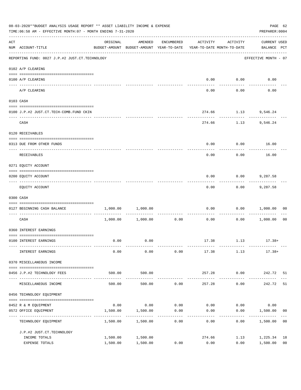|                    | 08-03-2020**BUDGET ANALYSIS USAGE REPORT ** ASSET LIABILITY INCOME & EXPENSE<br>TIME:06:58 AM - EFFECTIVE MONTH:07 - MONTH ENDING 7-31-2020 |                      |                                                                                |                     |                                    |                      | PREPARER: 0004                     | PAGE 62              |
|--------------------|---------------------------------------------------------------------------------------------------------------------------------------------|----------------------|--------------------------------------------------------------------------------|---------------------|------------------------------------|----------------------|------------------------------------|----------------------|
| $\mathop{\rm ACT}$ | NUM ACCOUNT-TITLE                                                                                                                           | ORIGINAL             | AMENDED<br>BUDGET-AMOUNT BUDGET-AMOUNT YEAR-TO-DATE YEAR-TO-DATE MONTH-TO-DATE | ENCUMBERED          | ACTIVITY                           | ACTIVITY             | <b>CURRENT USED</b><br>BALANCE PCT |                      |
|                    | ------------------------------------<br>REPORTING FUND: 0027 J.P.#2 JUST.CT.TECHNOLOGY                                                      |                      |                                                                                |                     |                                    |                      | EFFECTIVE MONTH - 07               |                      |
|                    | 0102 A/P CLEARING                                                                                                                           |                      |                                                                                |                     |                                    |                      |                                    |                      |
|                    | 0100 A/P CLEARING                                                                                                                           |                      |                                                                                |                     | 0.00                               | 0.00                 | 0.00                               |                      |
|                    | ---- -------<br>A/P CLEARING                                                                                                                |                      |                                                                                |                     | 0.00                               | 0.00                 | 0.00                               |                      |
|                    | 0103 CASH                                                                                                                                   |                      |                                                                                |                     |                                    |                      |                                    |                      |
|                    | 0100 J.P.#2 JUST.CT.TECH-COMB.FUND CKIN                                                                                                     |                      |                                                                                |                     | 274.66                             |                      | 1.13 9,546.24                      |                      |
|                    |                                                                                                                                             |                      |                                                                                |                     |                                    |                      | ------------                       |                      |
|                    | CASH                                                                                                                                        |                      |                                                                                |                     | 274.66                             |                      | 1.13 9,546.24                      |                      |
|                    | 0120 RECEIVABLES                                                                                                                            |                      |                                                                                |                     |                                    |                      |                                    |                      |
|                    | 0313 DUE FROM OTHER FUNDS                                                                                                                   |                      |                                                                                |                     | 0.00                               |                      | $0.00$ 16.00                       |                      |
|                    | RECEIVABLES                                                                                                                                 |                      |                                                                                |                     | 0.00                               | 0.00                 | 16.00                              |                      |
|                    | 0271 EQUITY ACCOUNT                                                                                                                         |                      |                                                                                |                     |                                    |                      |                                    |                      |
|                    | 0200 EQUITY ACCOUNT                                                                                                                         |                      |                                                                                |                     | 0.00                               | 0.00                 | 9,287.58                           |                      |
|                    | EQUITY ACCOUNT                                                                                                                              |                      |                                                                                |                     | 0.00                               | 0.00                 | 9,287.58                           |                      |
|                    | 0300 CASH                                                                                                                                   |                      |                                                                                |                     |                                    |                      |                                    |                      |
|                    | 0127 BEGINNING CASH BALANCE                                                                                                                 | 1,000.00             | 1,000.00                                                                       |                     | 0.00                               | 0.00                 | 1,000.00                           | 00                   |
|                    | CASH                                                                                                                                        |                      | 1,000.00 1,000.00                                                              | 0.00                | ------------ -------------<br>0.00 | .<br>0.00            | 1,000.00                           | 0 <sub>0</sub>       |
|                    | 0360 INTEREST EARNINGS                                                                                                                      |                      |                                                                                |                     |                                    |                      |                                    |                      |
|                    | 0100 INTEREST EARNINGS                                                                                                                      | 0.00                 | 0.00                                                                           |                     |                                    |                      | $17.38$ $1.13$ $17.38+$            |                      |
|                    | INTEREST EARNINGS                                                                                                                           | 0.00                 | 0.00                                                                           | 0.00                | 17.38                              | 1.13                 | $17.38+$                           |                      |
|                    | 0370 MISCELLANEOUS INCOME                                                                                                                   |                      |                                                                                |                     |                                    |                      |                                    |                      |
|                    | 0456 J.P.#2 TECHNOLOGY FEES                                                                                                                 | 500.00               | 500.00                                                                         |                     | 257.28                             | 0.00                 | 242.72 51                          |                      |
|                    | MISCELLANEOUS INCOME                                                                                                                        | 500.00               | 500.00                                                                         | 0.00                | -------------<br>257.28            | ------------<br>0.00 | ------------<br>242.72             | 51                   |
|                    | 0456 TECHNOLOGY EQUIPMENT                                                                                                                   |                      |                                                                                |                     |                                    |                      |                                    |                      |
|                    | 0452 R & M EQUIPMENT                                                                                                                        |                      | $0.00$ 0.00                                                                    | 0.00                |                                    | $0.00$ 0.00          | 0.00                               |                      |
|                    | 0572 OFFICE EQUIPMENT<br>--------------------- --                                                                                           | 1,500.00             | 1,500.00                                                                       | 0.00<br>----------- | 0.00                               | 0.00                 | 1,500.00                           | 0 <sub>0</sub>       |
|                    | TECHNOLOGY EQUIPMENT                                                                                                                        | 1,500.00             | 1,500.00                                                                       | 0.00                | 0.00                               | 0.00                 | 1,500.00                           | 0 <sub>0</sub>       |
|                    | J.P.#2 JUST.CT.TECHNOLOGY                                                                                                                   |                      |                                                                                |                     |                                    |                      |                                    |                      |
|                    | INCOME TOTALS<br>EXPENSE TOTALS                                                                                                             | 1,500.00<br>1,500.00 | 1,500.00<br>1,500.00                                                           | 0.00                | 274.66<br>0.00                     | 1.13<br>0.00         | 1,225.34<br>1,500.00               | 18<br>0 <sub>0</sub> |
|                    |                                                                                                                                             |                      |                                                                                |                     |                                    |                      |                                    |                      |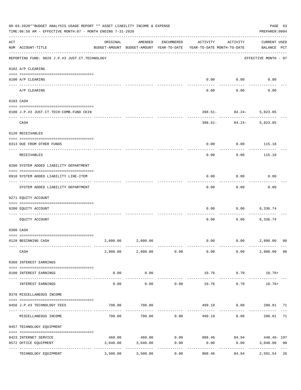|     | 08-03-2020**BUDGET ANALYSIS USAGE REPORT ** ASSET LIABILITY INCOME & EXPENSE<br>TIME:06:58 AM - EFFECTIVE MONTH:07 - MONTH ENDING 7-31-2020 |          |                   |                      |                                                                                 |                                               | PAGE 63<br>PREPARER: 0004          |                |
|-----|---------------------------------------------------------------------------------------------------------------------------------------------|----------|-------------------|----------------------|---------------------------------------------------------------------------------|-----------------------------------------------|------------------------------------|----------------|
| ACT | NUM ACCOUNT-TITLE                                                                                                                           | ORIGINAL | AMENDED           | ENCUMBERED           | ACTIVITY<br>BUDGET-AMOUNT BUDGET-AMOUNT YEAR-TO-DATE YEAR-TO-DATE MONTH-TO-DATE | ACTIVITY                                      | <b>CURRENT USED</b><br>BALANCE PCT |                |
|     | REPORTING FUND: 0028 J.P.#3 JUST.CT.TECHNOLOGY                                                                                              |          |                   |                      |                                                                                 |                                               | EFFECTIVE MONTH - 07               |                |
|     | 0102 A/P CLEARING                                                                                                                           |          |                   |                      |                                                                                 |                                               |                                    |                |
|     | 0100 A/P CLEARING<br>---- -------                                                                                                           |          |                   |                      | 0.00                                                                            | 0.00                                          | 0.00                               |                |
|     | A/P CLEARING                                                                                                                                |          |                   |                      | 0.00                                                                            | 0.00                                          | 0.00                               |                |
|     | 0103 CASH                                                                                                                                   |          |                   |                      |                                                                                 |                                               |                                    |                |
|     | 0100 J.P.#3 JUST.CT.TECH-COMB.FUND CKIN                                                                                                     |          |                   |                      | 398.51-                                                                         | $84.24-$                                      | 5,823.05                           |                |
|     | CASH                                                                                                                                        |          |                   |                      | 398.51-                                                                         | ---------<br>84.24-                           | 5,823.05                           |                |
|     | 0120 RECEIVABLES                                                                                                                            |          |                   |                      |                                                                                 |                                               |                                    |                |
|     | 0313 DUE FROM OTHER FUNDS                                                                                                                   |          |                   |                      | 0.00                                                                            | 0.00                                          | 115.18                             |                |
|     | RECEIVABLES                                                                                                                                 |          |                   |                      | 0.00                                                                            | 0.00                                          | 115.18                             |                |
|     | 0200 SYSTEM ADDED LIABILITY DEPARTMENT                                                                                                      |          |                   |                      |                                                                                 |                                               |                                    |                |
|     | 0910 SYSTEM ADDED LIABILITY LINE-ITEM                                                                                                       |          |                   |                      | 0.00                                                                            | 0.00                                          | 0.00                               |                |
|     | SYSTEM ADDED LIABILITY DEPARTMENT                                                                                                           |          |                   |                      | 0.00                                                                            | 0.00                                          | 0.00                               |                |
|     | 0271 EQUITY ACCOUNT                                                                                                                         |          |                   |                      |                                                                                 |                                               |                                    |                |
|     | 0200 EQUITY ACCOUNT                                                                                                                         |          |                   |                      | 0.00                                                                            | 0.00                                          | 6,336.74                           |                |
|     | EOUITY ACCOUNT                                                                                                                              |          |                   |                      | 0.00                                                                            | 0.00                                          | 6,336.74                           |                |
|     | 0300 CASH                                                                                                                                   |          |                   |                      |                                                                                 |                                               |                                    |                |
|     | 0128 BEGINNING CASH                                                                                                                         |          | 2,800.00 2,800.00 |                      |                                                                                 | $0.00$ $0.00$                                 | 2,800.00                           | 00             |
|     | CASH                                                                                                                                        |          |                   |                      | $2,800.00$ $2,800.00$ $0.00$ $0.00$                                             | 0.00                                          | 2,800.00                           | 0 <sub>0</sub> |
|     | 0360 INTEREST EARNINGS                                                                                                                      |          |                   |                      |                                                                                 |                                               |                                    |                |
|     | 0100 INTEREST EARNINGS                                                                                                                      | 0.00     | 0.00              |                      | 10.76                                                                           | 0.70                                          | $10.76+$                           |                |
|     |                                                                                                                                             |          | . <u>.</u> .      |                      | --------------                                                                  | ------------                                  | <u> - - - - - - - - -</u>          |                |
|     | INTEREST EARNINGS                                                                                                                           | 0.00     | 0.00              | 0.00                 | 10.76                                                                           | 0.70                                          | $10.76+$                           |                |
|     | 0370 MISCELLANEOUS INCOME                                                                                                                   |          |                   |                      |                                                                                 |                                               |                                    |                |
|     | 0456 J.P.#3 TECHNOLOGY FEES                                                                                                                 | 700.00   | 700.00            |                      | 499.19                                                                          | 0.00                                          | 200.81 71                          |                |
|     | MISCELLANEOUS INCOME                                                                                                                        | 700.00   | 700.00            | 0.00                 | 499.19                                                                          | 0.00                                          | 200.81                             | 71             |
|     | 0457 TECHNOLOGY EQUIPMENT                                                                                                                   |          |                   |                      |                                                                                 |                                               |                                    |                |
|     | 0423 INTERNET SERVICE                                                                                                                       | 460.00   |                   |                      |                                                                                 | $460.00$ $0.00$ $908.46$ $84.94$ $448.46$ 197 |                                    |                |
|     | 0572 OFFICE EQUIPMENT                                                                                                                       | 3,040.00 | 3,040.00          | 0.00                 | 0.00                                                                            | 0.00                                          | 3,040.00                           | 0 <sub>0</sub> |
|     | TECHNOLOGY EQUIPMENT                                                                                                                        | 3,500.00 | 3,500.00          | . <u>.</u> .<br>0.00 | 908.46                                                                          | -----------<br>84.94                          | -------------<br>2,591.54          | 26             |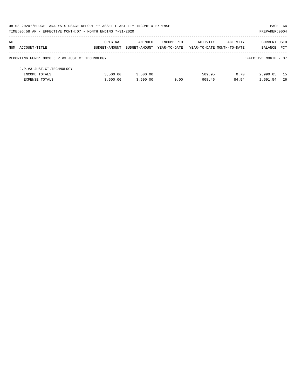|     | 08-03-2020**BUDGET ANALYSIS USAGE REPORT ** ASSET LIABILITY INCOME & EXPENSE |               |               |              |                            |          | PAGE 64              |      |
|-----|------------------------------------------------------------------------------|---------------|---------------|--------------|----------------------------|----------|----------------------|------|
|     | TIME: 06:58 AM - EFFECTIVE MONTH: 07 - MONTH ENDING 7-31-2020                |               |               |              |                            |          | PREPARER: 0004       |      |
| ACT |                                                                              | ORIGINAL      | AMENDED       | ENCUMBERED   | ACTIVITY                   | ACTIVITY | CURRENT USED         |      |
|     | NUM ACCOUNT-TITLE                                                            | BUDGET-AMOUNT | BUDGET-AMOUNT | YEAR-TO-DATE | YEAR-TO-DATE MONTH-TO-DATE |          | <b>BALANCE</b>       | PCT  |
|     | REPORTING FUND: 0028 J.P.#3 JUST.CT.TECHNOLOGY                               |               |               |              |                            |          | EFFECTIVE MONTH - 07 |      |
|     | J.P.#3 JUST.CT.TECHNOLOGY                                                    |               |               |              |                            |          |                      |      |
|     | INCOME TOTALS                                                                | 3,500.00      | 3,500.00      |              | 509.95                     | 0.70     | 2,990.05             | 15   |
|     | <b>EXPENSE TOTALS</b>                                                        | 3,500.00      | 3,500.00      | 0.00         | 908.46                     | 84.94    | 2,591.54             | - 26 |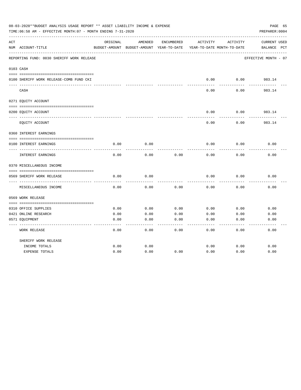|     | 08-03-2020**BUDGET ANALYSIS USAGE REPORT ** ASSET LIABILITY INCOME & EXPENSE<br>TIME: 06:58 AM - EFFECTIVE MONTH: 07 - MONTH ENDING 7-31-2020 |          |                                          |            |          |                            | PAGE 65<br>PREPARER: 0004 |
|-----|-----------------------------------------------------------------------------------------------------------------------------------------------|----------|------------------------------------------|------------|----------|----------------------------|---------------------------|
| ACT |                                                                                                                                               | ORIGINAL | AMENDED                                  | ENCUMBERED | ACTIVITY | ACTIVITY                   | CURRENT USED              |
|     | NUM ACCOUNT-TITLE                                                                                                                             |          | BUDGET-AMOUNT BUDGET-AMOUNT YEAR-TO-DATE |            |          | YEAR-TO-DATE MONTH-TO-DATE | BALANCE<br>$_{\rm PCT}$   |
|     | REPORTING FUND: 0030 SHERIFF WORK RELEASE                                                                                                     |          |                                          |            |          |                            | EFFECTIVE MONTH - 07      |
|     | 0103 CASH                                                                                                                                     |          |                                          |            |          |                            |                           |
|     | 0100 SHERIFF WORK RELEASE-COMB FUND CKI                                                                                                       |          |                                          |            | 0.00     | 0.00                       | 983.14                    |
|     | CASH                                                                                                                                          |          |                                          |            | 0.00     | 0.00                       | 983.14                    |
|     | 0271 EQUITY ACCOUNT                                                                                                                           |          |                                          |            |          |                            |                           |
|     | 0200 EQUITY ACCOUNT                                                                                                                           |          |                                          |            | 0.00     | 0.00                       | 983.14                    |
|     | EQUITY ACCOUNT                                                                                                                                |          |                                          |            | 0.00     | 0.00                       | 983.14                    |
|     | 0360 INTEREST EARNINGS                                                                                                                        |          |                                          |            |          |                            |                           |
|     | 0100 INTEREST EARNINGS                                                                                                                        | 0.00     | 0.00                                     |            | 0.00     | 0.00                       | 0.00                      |
|     | INTEREST EARNINGS                                                                                                                             | 0.00     | 0.00                                     | 0.00       | 0.00     | 0.00                       | 0.00                      |
|     | 0370 MISCELLANEOUS INCOME                                                                                                                     |          |                                          |            |          |                            |                           |
|     |                                                                                                                                               |          |                                          |            |          |                            |                           |
|     | 0569 SHERIFF WORK RELEASE<br>-----------                                                                                                      | 0.00     | 0.00                                     |            | 0.00     | 0.00                       | 0.00                      |
|     | MISCELLANEOUS INCOME                                                                                                                          | 0.00     | 0.00                                     | 0.00       | 0.00     | 0.00                       | 0.00                      |
|     | 0569 WORK RELEASE                                                                                                                             |          |                                          |            |          |                            |                           |
|     |                                                                                                                                               |          |                                          |            |          |                            |                           |
|     | 0310 OFFICE SUPPLIES                                                                                                                          | 0.00     | 0.00                                     | 0.00       | 0.00     | 0.00                       | 0.00                      |
|     | 0421 ONLINE RESEARCH                                                                                                                          | 0.00     | 0.00                                     | 0.00       | 0.00     | 0.00                       | 0.00                      |
|     | 0571 EQUIPMENT                                                                                                                                | 0.00     | 0.00                                     | 0.00       | 0.00     | 0.00                       | 0.00                      |
|     | WORK RELEASE                                                                                                                                  | 0.00     | 0.00                                     | 0.00       | 0.00     | 0.00                       | 0.00                      |
|     | SHERIFF WORK RELEASE                                                                                                                          |          |                                          |            |          |                            |                           |
|     | INCOME TOTALS                                                                                                                                 | 0.00     | 0.00                                     |            | 0.00     | 0.00                       | 0.00                      |
|     | <b>EXPENSE TOTALS</b>                                                                                                                         | 0.00     | 0.00                                     | 0.00       | 0.00     | 0.00                       | 0.00                      |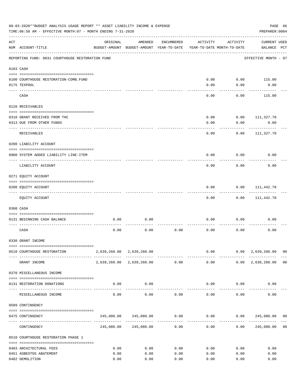|           | 08-03-2020**BUDGET ANALYSIS USAGE REPORT ** ASSET LIABILITY INCOME & EXPENSE<br>TIME: 06:58 AM - EFFECTIVE MONTH: 07 - MONTH ENDING 7-31-2020 |          |                                                                  |              |             |                                        | PREPARER: 0004                                   | PAGE 66        |
|-----------|-----------------------------------------------------------------------------------------------------------------------------------------------|----------|------------------------------------------------------------------|--------------|-------------|----------------------------------------|--------------------------------------------------|----------------|
| ACT       | NUM ACCOUNT-TITLE                                                                                                                             | ORIGINAL | AMENDED<br>BUDGET-AMOUNT BUDGET-AMOUNT YEAR-TO-DATE              | ENCUMBERED   | ACTIVITY    | ACTIVITY<br>YEAR-TO-DATE MONTH-TO-DATE | <b>CURRENT USED</b><br>BALANCE PCT               |                |
|           | REPORTING FUND: 0031 COURTHOUSE RESTORATION FUND                                                                                              |          |                                                                  |              |             |                                        | EFFECTIVE MONTH - 07                             |                |
| 0103 CASH |                                                                                                                                               |          |                                                                  |              |             |                                        |                                                  |                |
|           |                                                                                                                                               |          |                                                                  |              |             |                                        |                                                  |                |
|           | 0100 COURTHOUSE RESTORATION-COMB.FUND                                                                                                         |          |                                                                  |              | 0.00        | 0.00                                   | 115.00                                           |                |
|           | 0175 TEXPOOL                                                                                                                                  |          |                                                                  |              | 0.00        | 0.00                                   | 0.00                                             |                |
|           | CASH                                                                                                                                          |          |                                                                  |              | 0.00        | 0.00                                   | 115.00                                           |                |
|           | 0120 RECEIVABLES                                                                                                                              |          |                                                                  |              |             |                                        |                                                  |                |
|           |                                                                                                                                               |          |                                                                  |              |             |                                        |                                                  |                |
|           | 0310 GRANT RECEIVED FROM THC                                                                                                                  |          |                                                                  |              | 0.00        | 0.00                                   | 111,327.70                                       |                |
|           | 0313 DUE FROM OTHER FUNDS                                                                                                                     |          |                                                                  |              | 0.00        | 0.00                                   | 0.00                                             |                |
|           | RECEIVABLES                                                                                                                                   |          |                                                                  |              | 0.00        | 0.00                                   | 111,327.70                                       |                |
|           | 0200 LIABILITY ACCOUNT                                                                                                                        |          |                                                                  |              |             |                                        |                                                  |                |
|           | 0900 SYSTEM ADDED LIABILITY LINE-ITEM                                                                                                         |          |                                                                  |              | 0.00        | 0.00                                   | 0.00                                             |                |
|           | LIABILITY ACCOUNT                                                                                                                             |          |                                                                  |              | 0.00        | 0.00                                   | 0.00                                             |                |
|           | 0271 EQUITY ACCOUNT                                                                                                                           |          |                                                                  |              |             |                                        |                                                  |                |
|           |                                                                                                                                               |          |                                                                  |              |             |                                        |                                                  |                |
|           | 0200 EQUITY ACCOUNT<br>---- --------------                                                                                                    |          |                                                                  |              | 0.00        | 0.00                                   | 111,442.70                                       |                |
|           | EQUITY ACCOUNT                                                                                                                                |          |                                                                  |              | 0.00        | 0.00                                   | 111,442.70                                       |                |
|           | 0300 CASH                                                                                                                                     |          |                                                                  |              |             |                                        |                                                  |                |
|           | 0131 BEGINNING CASH BALANCE                                                                                                                   | 0.00     | 0.00                                                             |              | 0.00        | 0.00                                   | 0.00                                             |                |
|           | CASH                                                                                                                                          | 0.00     | 0.00                                                             | 0.00         | 0.00        | 0.00                                   | 0.00                                             |                |
|           | 0330 GRANT INCOME                                                                                                                             |          |                                                                  |              |             |                                        |                                                  |                |
|           |                                                                                                                                               |          |                                                                  |              |             |                                        |                                                  |                |
|           | 0510 COURTHOUSE RESTORATION                                                                                                                   |          | 2,639,260.00 2,639,260.00                                        |              |             | -------------                          | $0.00$ $0.00$ $2,639,260.00$ 00<br>------------- |                |
|           | GRANT INCOME                                                                                                                                  |          | 2,639,260.00 2,639,260.00 0.00                                   |              |             |                                        | $0.00$ $0.00$ $2,639,260.00$ 00                  |                |
|           | 0370 MISCELLANEOUS INCOME                                                                                                                     |          |                                                                  |              |             |                                        |                                                  |                |
|           | 0131 RESTORATION DONATIONS                                                                                                                    | 0.00     | 0.00                                                             |              |             | $0.00$ $0.00$                          | 0.00                                             |                |
|           | MISCELLANEOUS INCOME                                                                                                                          | 0.00     | -------------<br>0.00                                            | 0.00         |             | 0.00<br>0.00                           | 0.00                                             |                |
|           | 0509 CONTINGENCY                                                                                                                              |          |                                                                  |              |             |                                        |                                                  |                |
|           |                                                                                                                                               |          |                                                                  |              |             |                                        |                                                  |                |
|           | 0475 CONTINGENCY                                                                                                                              |          | $245,080.00$ $245,080.00$ $0.00$ $0.00$ $0.00$ $245,080.00$ $00$ | ------------ | ----------- |                                        |                                                  |                |
|           | CONTINGENCY                                                                                                                                   |          | 245,080.00 245,080.00                                            | 0.00         | 0.00        |                                        | 0.00 245,080.00                                  | 0 <sub>0</sub> |
|           | 0510 COURTHOUSE RESTORATION PHASE 1                                                                                                           |          |                                                                  |              |             |                                        |                                                  |                |
|           | 0403 ARCHITECTURAL FEES                                                                                                                       | 0.00     | 0.00                                                             | 0.00         | 0.00        | 0.00                                   | 0.00                                             |                |
|           | 0451 ASBESTOS ABATEMENT                                                                                                                       | 0.00     | 0.00                                                             | 0.00         | 0.00        | 0.00                                   | 0.00                                             |                |
|           |                                                                                                                                               |          |                                                                  |              |             |                                        |                                                  |                |
|           | 0482 DEMOLITION                                                                                                                               | 0.00     | 0.00                                                             | 0.00         | 0.00        | 0.00                                   | 0.00                                             |                |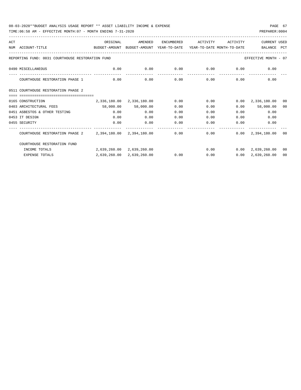TIME:06:58 AM - EFFECTIVE MONTH:07 - MONTH ENDING 7-31-2020

| ACT |                                                                                          | ORIGINAL                  | AMENDED                   | ENCUMBERED | ACTIVITY | ACTIVITY                           | CURRENT USED                    |                |
|-----|------------------------------------------------------------------------------------------|---------------------------|---------------------------|------------|----------|------------------------------------|---------------------------------|----------------|
|     | NUM ACCOUNT-TITLE<br>BUDGET-AMOUNT BUDGET-AMOUNT YEAR-TO-DATE YEAR-TO-DATE_MONTH-TO-DATE |                           |                           |            |          |                                    | BALANCE PCT                     |                |
|     |                                                                                          |                           |                           |            |          |                                    |                                 |                |
|     | REPORTING FUND: 0031 COURTHOUSE RESTORATION FUND                                         |                           |                           |            |          |                                    | EFFECTIVE MONTH - 07            |                |
|     | 0490 MISCELLANEOUS                                                                       | 0.00                      | 0.00                      |            |          | $0.00$ $0.00$ $0.00$ $0.00$ $0.00$ |                                 |                |
|     | --------------------- -------------<br>COURTHOUSE RESTORATION PHASE 1                    | 0.00                      | 0.00                      | 0.00       |          | $0.00$ 0.00                        | 0.00                            |                |
|     | 0511 COURTHOUSE RESTORATION PHASE 2                                                      |                           |                           |            |          |                                    |                                 |                |
|     |                                                                                          |                           |                           |            |          |                                    |                                 |                |
|     | 0165 CONSTRUCTION                                                                        |                           | 2,336,180.00 2,336,180.00 | 0.00       | 0.00     | 0.00                               | 2,336,180.00                    | 0 <sub>0</sub> |
|     | 0403 ARCHITECTURAL FEES                                                                  |                           | 58,000.00 58,000.00       | 0.00       | 0.00     |                                    | $0.00$ 58,000.00                | 00             |
|     | 0451 ASBESTOS & OTHER TESTING                                                            | 0.00                      | 0.00                      | 0.00       | 0.00     |                                    | 0.00<br>0.00                    |                |
|     | 0453 IT DESIGN                                                                           | 0.00                      | 0.00                      | 0.00       | 0.00     | 0.00                               | 0.00                            |                |
|     | 0455 SECURITY                                                                            | 0.00                      | 0.00                      | 0.00       | 0.00     | 0.00                               | 0.00                            |                |
|     | COURTHOUSE RESTORATION PHASE 2 2,394,180.00 2,394,180.00 0.00                            |                           |                           |            |          |                                    | $0.00$ $0.00$ $2,394,180.00$ 00 |                |
|     | COURTHOUSE RESTORATION FUND                                                              |                           |                           |            |          |                                    |                                 |                |
|     | INCOME TOTALS                                                                            | 2,639,260.00 2,639,260.00 |                           |            |          |                                    | $0.00$ $0.00$ $2,639,260.00$ 00 |                |
|     | <b>EXPENSE TOTALS</b>                                                                    |                           | 2,639,260.00 2,639,260.00 | 0.00       |          | 0.00                               | $0.00 \quad 2.639.260.00$       | 00             |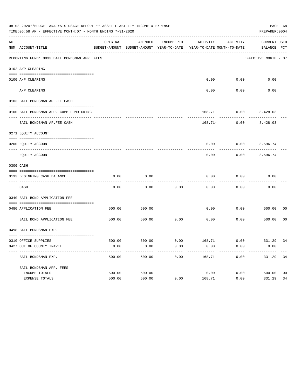|     | 08-03-2020**BUDGET ANALYSIS USAGE REPORT ** ASSET LIABILITY INCOME & EXPENSE<br>TIME: 06:58 AM - EFFECTIVE MONTH: 07 - MONTH ENDING 7-31-2020 |          |               |            |                                                                                 |                          | PAGE 68<br>PREPARER: 0004 |                |
|-----|-----------------------------------------------------------------------------------------------------------------------------------------------|----------|---------------|------------|---------------------------------------------------------------------------------|--------------------------|---------------------------|----------------|
| ACT |                                                                                                                                               | ORIGINAL | AMENDED       | ENCUMBERED |                                                                                 | ACTIVITY ACTIVITY        | CURRENT USED              |                |
|     | NUM ACCOUNT-TITLE                                                                                                                             |          |               |            | BUDGET-AMOUNT BUDGET-AMOUNT YEAR-TO-DATE YEAR-TO-DATE MONTH-TO-DATE BALANCE PCT |                          |                           |                |
|     | REPORTING FUND: 0033 BAIL BONDSMAN APP. FEES                                                                                                  |          |               |            |                                                                                 |                          | EFFECTIVE MONTH - 07      |                |
|     | 0102 A/P CLEARING                                                                                                                             |          |               |            |                                                                                 |                          |                           |                |
|     |                                                                                                                                               |          |               |            |                                                                                 |                          |                           |                |
|     | 0100 A/P CLEARING<br>----- ----------                                                                                                         |          |               |            |                                                                                 | $0.00$ $0.00$            | 0.00                      |                |
|     | A/P CLEARING                                                                                                                                  |          |               |            | 0.00                                                                            | 0.00                     | 0.00                      |                |
|     | 0103 BAIL BONDSMAN AP.FEE CASH                                                                                                                |          |               |            |                                                                                 |                          |                           |                |
|     | 0100 BAIL BONDSMAN APP.-COMB FUND CKING                                                                                                       |          |               |            |                                                                                 | $168.71 - 0.00$ 8,428.03 |                           |                |
|     | BAIL BONDSMAN AP. FEE CASH                                                                                                                    |          |               |            | $168.71-$                                                                       | $0.00$ 8,428.03          |                           |                |
|     | 0271 EQUITY ACCOUNT                                                                                                                           |          |               |            |                                                                                 |                          |                           |                |
|     | 0200 EQUITY ACCOUNT                                                                                                                           |          |               |            |                                                                                 | $0.00$ $0.00$ $8,596.74$ |                           |                |
|     |                                                                                                                                               |          |               |            |                                                                                 |                          |                           |                |
|     | EOUITY ACCOUNT                                                                                                                                |          |               |            | 0.00                                                                            | 0.00                     | 8,596.74                  |                |
|     | 0300 CASH                                                                                                                                     |          |               |            |                                                                                 |                          |                           |                |
|     |                                                                                                                                               |          |               |            |                                                                                 |                          |                           |                |
|     | 0133 BEGINNING CASH BALANCE                                                                                                                   | 0.00     | 0.00          |            | 0.00                                                                            | 0.00                     | 0.00                      |                |
|     | CASH                                                                                                                                          | 0.00     | 0.00          | 0.00       | 0.00                                                                            | 0.00                     | 0.00                      |                |
|     | 0340 BAIL BOND APPLICATION FEE                                                                                                                |          |               |            |                                                                                 |                          |                           |                |
|     | 0480 APPLICATION FEE                                                                                                                          | 500.00   | 500.00        |            | 0.00                                                                            | 0.00                     | 500.00                    | 00             |
|     | BAIL BOND APPLICATION FEE                                                                                                                     |          | 500.00 500.00 | 0.00       | 0.00                                                                            | 0.00                     | 500.00                    | 0 <sup>0</sup> |
|     | 0498 BAIL BONDSMAN EXP.                                                                                                                       |          |               |            |                                                                                 |                          |                           |                |
|     |                                                                                                                                               |          |               |            |                                                                                 |                          |                           |                |
|     | 0310 OFFICE SUPPLIES                                                                                                                          |          |               |            | 500.00 500.00 6.00 500.00 6.00 5331.29 34                                       |                          |                           |                |
|     | 0427 OUT OF COUNTY TRAVEL                                                                                                                     | 0.00     | 0.00          | 0.00       | 0.00                                                                            | 0.00                     | 0.00                      |                |
|     | BAIL BONDSMAN EXP.                                                                                                                            | 500.00   | 500.00        | 0.00       | 168.71                                                                          | 0.00                     | 331.29                    | 34             |
|     | BAIL BONDSMAN APP. FEES                                                                                                                       |          |               |            |                                                                                 |                          |                           |                |
|     | INCOME TOTALS                                                                                                                                 | 500.00   | 500.00        |            | 0.00                                                                            | 0.00                     | 500.00                    | 00             |
|     | EXPENSE TOTALS                                                                                                                                | 500.00   | 500.00        | 0.00       | 168.71                                                                          | 0.00                     | 331.29                    | 34             |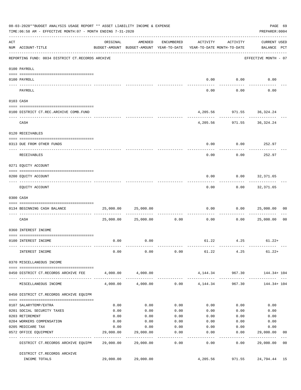|                    | 08-03-2020**BUDGET ANALYSIS USAGE REPORT ** ASSET LIABILITY INCOME & EXPENSE<br>TIME:06:58 AM - EFFECTIVE MONTH:07 - MONTH ENDING 7-31-2020 |                   |                                                     |                            |              |                                        | PREPARER: 0004              | PAGE 69        |
|--------------------|---------------------------------------------------------------------------------------------------------------------------------------------|-------------------|-----------------------------------------------------|----------------------------|--------------|----------------------------------------|-----------------------------|----------------|
| $\mathop{\rm ACT}$ | NUM ACCOUNT-TITLE                                                                                                                           | ORIGINAL          | AMENDED<br>BUDGET-AMOUNT BUDGET-AMOUNT YEAR-TO-DATE | ENCUMBERED                 | ACTIVITY     | ACTIVITY<br>YEAR-TO-DATE MONTH-TO-DATE | CURRENT USED<br>BALANCE PCT |                |
|                    | REPORTING FUND: 0034 DISTRICT CT.RECORDS ARCHIVE                                                                                            |                   |                                                     |                            |              |                                        | EFFECTIVE MONTH - 07        |                |
|                    | 0100 PAYROLL                                                                                                                                |                   |                                                     |                            |              |                                        |                             |                |
|                    | 0100 PAYROLL                                                                                                                                |                   |                                                     |                            |              | $0.00$ 0.00                            | 0.00                        |                |
|                    | PAYROLL                                                                                                                                     |                   |                                                     |                            | 0.00         | 0.00                                   | 0.00                        |                |
|                    | 0103 CASH                                                                                                                                   |                   |                                                     |                            |              |                                        |                             |                |
|                    | 0100 DISTRICT CT.REC.ARCHIVE COMB.FUND                                                                                                      |                   |                                                     |                            |              |                                        | 4, 205.56 971.55 36, 324.24 |                |
|                    | CASH                                                                                                                                        |                   |                                                     |                            |              |                                        | 4,205.56 971.55 36,324.24   |                |
|                    | 0120 RECEIVABLES                                                                                                                            |                   |                                                     |                            |              |                                        |                             |                |
|                    | 0313 DUE FROM OTHER FUNDS                                                                                                                   |                   |                                                     |                            | 0.00         |                                        | $0.00$ 252.97               |                |
|                    | RECEIVABLES                                                                                                                                 |                   |                                                     |                            | 0.00         | 0.00                                   | 252.97                      |                |
|                    | 0271 EQUITY ACCOUNT                                                                                                                         |                   |                                                     |                            |              |                                        |                             |                |
|                    | 0200 EQUITY ACCOUNT                                                                                                                         |                   |                                                     |                            | 0.00         |                                        | $0.00$ $32,371.65$          |                |
|                    | EQUITY ACCOUNT                                                                                                                              |                   |                                                     |                            | 0.00         |                                        | $0.00$ 32,371.65            |                |
|                    | 0300 CASH                                                                                                                                   |                   |                                                     |                            |              |                                        |                             |                |
|                    | 0134 BEGINNING CASH BALANCE<br>_____________________________________                                                                        | 25,000.00         | 25,000.00                                           | ------------               | 0.00         | 0.00                                   | 25,000.00                   | 00             |
|                    | CASH                                                                                                                                        |                   | 25,000.00 25,000.00                                 | 0.00                       | 0.00         | 0.00                                   | 25,000.00                   | 0 <sub>0</sub> |
|                    | 0360 INTEREST INCOME                                                                                                                        |                   |                                                     |                            |              |                                        |                             |                |
|                    | 0100 INTEREST INCOME                                                                                                                        | 0.00              | 0.00                                                |                            |              |                                        | $61.22$ $4.25$ $61.22+$     |                |
|                    | INTEREST INCOME                                                                                                                             | 0.00              | 0.00                                                |                            |              | $0.00$ 61.22 4.25                      | $61.22+$                    |                |
|                    | 0370 MISCELLANEOUS INCOME                                                                                                                   |                   |                                                     |                            |              |                                        |                             |                |
|                    | 0450 DISTRICT CT.RECORDS ARCHIVE FEE                                                                                                        |                   | 4,000.00 4,000.00                                   |                            |              | 4, 144. 34 967. 30                     | 144.34+ 104                 |                |
|                    | MISCELLANEOUS INCOME                                                                                                                        | 4,000.00          |                                                     | $4,000.00$ 0.00 $4,144.34$ |              | 967.30                                 | .<br>144.34+ 104            |                |
|                    | 0450 DISTRICT CT.RECORDS ARCHIVE EQUIPM                                                                                                     |                   |                                                     |                            |              |                                        |                             |                |
|                    | 0107 SALARYTEMP/EXTRA                                                                                                                       | 0.00              | 0.00                                                | 0.00                       | 0.00         | 0.00                                   | 0.00                        |                |
|                    | 0201 SOCIAL SECURITY TAXES                                                                                                                  | 0.00              | 0.00                                                | 0.00                       | 0.00         | 0.00                                   | 0.00                        |                |
|                    | 0203 RETIREMENT                                                                                                                             | 0.00              | 0.00                                                | 0.00                       | 0.00         | 0.00                                   | 0.00                        |                |
|                    | 0204 WORKERS COMPENSATION                                                                                                                   | 0.00              | 0.00                                                | 0.00                       | 0.00         | 0.00                                   | 0.00                        |                |
|                    | 0205 MEDICARE TAX                                                                                                                           | 0.00<br>29,000.00 | 0.00<br>29,000.00                                   | 0.00<br>0.00               | 0.00<br>0.00 | 0.00<br>0.00                           | 0.00<br>29,000.00           | 00             |
|                    | 0572 OFFICE EQUIPMENT                                                                                                                       |                   |                                                     | --------                   |              | ---------                              | -----------                 |                |
|                    | DISTRICT CT.RECORDS ARCHIVE EQUIPM 29,000.00                                                                                                |                   | 29,000.00                                           | 0.00                       | 0.00         | 0.00                                   | 29,000.00                   | 0 <sup>0</sup> |
|                    | DISTRICT CT.RECORDS ARCHIVE                                                                                                                 |                   |                                                     |                            |              |                                        |                             |                |
|                    | INCOME TOTALS                                                                                                                               | 29,000.00         | 29,000.00                                           |                            | 4,205.56     | 971.55                                 | 24,794.44 15                |                |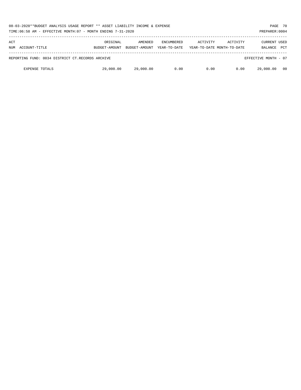| 08-03-2020**BUDGET ANALYSIS USAGE REPORT ** ASSET LIABILITY INCOME & EXPENSE<br>TIME:06:58 AM - EFFECTIVE MONTH:07 - MONTH ENDING 7-31-2020 |                                                  |                           |                          |                                   |          |                                        | PAGE 70<br>PREPARER: 0004             |            |
|---------------------------------------------------------------------------------------------------------------------------------------------|--------------------------------------------------|---------------------------|--------------------------|-----------------------------------|----------|----------------------------------------|---------------------------------------|------------|
| ACT<br>NUM                                                                                                                                  | ACCOUNT-TITLE                                    | ORIGINAL<br>BUDGET-AMOUNT | AMENDED<br>BUDGET-AMOUNT | <b>ENCUMBERED</b><br>YEAR-TO-DATE | ACTIVITY | ACTIVITY<br>YEAR-TO-DATE MONTH-TO-DATE | <b>CURRENT USED</b><br><b>BALANCE</b> | <b>PCT</b> |
|                                                                                                                                             | REPORTING FUND: 0034 DISTRICT CT.RECORDS ARCHIVE |                           |                          |                                   |          |                                        | EFFECTIVE MONTH - 07                  |            |
|                                                                                                                                             | <b>EXPENSE TOTALS</b>                            | 29,000.00                 | 29,000.00                | 0.00                              | 0.00     | 0.00                                   | 29,000.00                             | - 00       |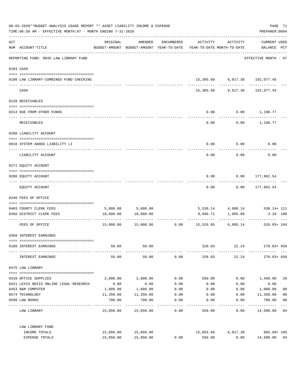| 08-03-2020**BUDGET ANALYSIS USAGE REPORT ** ASSET LIABILITY INCOME & EXPENSE<br>TIME: 06:58 AM - EFFECTIVE MONTH: 07 - MONTH ENDING 7-31-2020 |                                         |           |                                                                     |                    |           |                                    | PAGE 71<br>PREPARER: 0004   |                |
|-----------------------------------------------------------------------------------------------------------------------------------------------|-----------------------------------------|-----------|---------------------------------------------------------------------|--------------------|-----------|------------------------------------|-----------------------------|----------------|
| ACT                                                                                                                                           | NUM ACCOUNT-TITLE                       | ORIGINAL  | BUDGET-AMOUNT BUDGET-AMOUNT YEAR-TO-DATE YEAR-TO-DATE MONTH-TO-DATE | AMENDED ENCUMBERED |           | ACTIVITY ACTIVITY                  | CURRENT USED<br>BALANCE PCT |                |
|                                                                                                                                               | REPORTING FUND: 0035 LAW LIBRARY FUND   |           |                                                                     |                    |           |                                    | EFFECTIVE MONTH - 07        |                |
|                                                                                                                                               | 0103 CASH                               |           |                                                                     |                    |           |                                    |                             |                |
|                                                                                                                                               | 0100 LAW LIBRARY-COMBINED FUND CHECKING |           |                                                                     |                    |           | 15,305.68 6,917.38 192,077.45      |                             |                |
|                                                                                                                                               | CASH                                    |           |                                                                     |                    |           | 15,305.68 6,917.38 192,077.45      |                             |                |
|                                                                                                                                               | 0120 RECEIVABLES                        |           |                                                                     |                    |           |                                    |                             |                |
|                                                                                                                                               | 0313 DUE FROM OTHER FUNDS               |           |                                                                     |                    | 0.00      |                                    | $0.00$ 1,190.77             |                |
|                                                                                                                                               | RECEIVABLES                             |           |                                                                     |                    | 0.00      |                                    | $0.00$ 1,190.77             |                |
|                                                                                                                                               | 0200 LIABILITY ACCOUNT                  |           |                                                                     |                    |           |                                    |                             |                |
|                                                                                                                                               | 0910 SYSTEM ADDED LIABILITY LI          |           |                                                                     |                    | 0.00      | 0.00                               | 0.00                        |                |
|                                                                                                                                               | LIABILITY ACCOUNT                       |           |                                                                     |                    | 0.00      | 0.00                               | 0.00                        |                |
|                                                                                                                                               | 0271 EQUITY ACCOUNT                     |           |                                                                     |                    |           |                                    |                             |                |
|                                                                                                                                               | 0200 EQUITY ACCOUNT                     |           |                                                                     |                    | 0.00      |                                    | $0.00$ 177,962.54           |                |
|                                                                                                                                               | EQUITY ACCOUNT                          |           |                                                                     |                    | 0.00      |                                    | $0.00$ 177,962.54           |                |
|                                                                                                                                               | 0340 FEES OF OFFICE                     |           |                                                                     |                    |           |                                    |                             |                |
|                                                                                                                                               |                                         |           |                                                                     |                    |           |                                    |                             |                |
|                                                                                                                                               | 0403 COUNTY CLERK FEES                  |           | 5,000.00 5,000.00                                                   |                    |           | $5,530.14$ $4,900.14$ $530.14+111$ |                             |                |
|                                                                                                                                               | 0450 DISTRICT CLERK FEES                |           | 10,000.00    10,000.00                                              |                    |           | 9,996.71 1,995.00                  | 3.29 100                    |                |
|                                                                                                                                               | FEES OF OFFICE                          |           | $15,000.00$ $15,000.00$ $0.00$ $15,526.85$ $6,895.14$ $526.85+104$  |                    |           |                                    |                             |                |
|                                                                                                                                               | 0360 INTEREST EARNINGS                  |           |                                                                     |                    |           |                                    |                             |                |
|                                                                                                                                               | 0100 INTEREST EARNINGS                  | 50.00     | 50.00                                                               |                    | 328.83    | 22.24                              | $278.83 + 658$              |                |
|                                                                                                                                               | INTEREST EARNINGS                       | 50.00     | 50.00                                                               | 0.00               | 328.83    | 22.24                              | $278.83 + 658$              |                |
|                                                                                                                                               | 0475 LAW LIBRARY                        |           |                                                                     |                    |           |                                    |                             |                |
|                                                                                                                                               | 0310 OFFICE SUPPLIES                    | 2,000.00  | 2,000.00                                                            | 0.00               | 550.00    | 0.00                               | 1,450.00                    | 28             |
|                                                                                                                                               | 0421 LEXIS NEXIS ONLINE LEGAL RESEARCH  | 0.00      | 0.00                                                                | 0.00               | 0.00      | 0.00                               | 0.00                        |                |
|                                                                                                                                               | 0453 R&M COMPUTER                       | 1,000.00  | 1,000.00                                                            | 0.00               | 0.00      | 0.00                               | 1,000.00                    | 0 <sub>0</sub> |
|                                                                                                                                               | 0574 TECHNOLOGY                         | 11,350.00 | 11,350.00                                                           | 0.00               | 0.00      | 0.00                               | 11,350.00                   | 0 <sub>0</sub> |
|                                                                                                                                               | 0590 LAW BOOKS                          | 700.00    | 700.00                                                              | 0.00               | 0.00      | 0.00                               | 700.00                      | 0 <sub>0</sub> |
|                                                                                                                                               | LAW LIBRARY                             |           | 15,050.00 15,050.00                                                 | ----------<br>0.00 | 550.00    | 0.00                               | . <u>.</u><br>14,500.00 04  | $- - -$        |
|                                                                                                                                               | LAW LIBRARY FUND                        |           |                                                                     |                    |           |                                    |                             |                |
|                                                                                                                                               | INCOME TOTALS                           | 15,050.00 | 15,050.00                                                           |                    | 15,855.68 | 6,917.38                           | 805.68+ 105                 |                |
|                                                                                                                                               | EXPENSE TOTALS                          | 15,050.00 | 15,050.00                                                           | 0.00               | 550.00    | 0.00                               | 14,500.00 04                |                |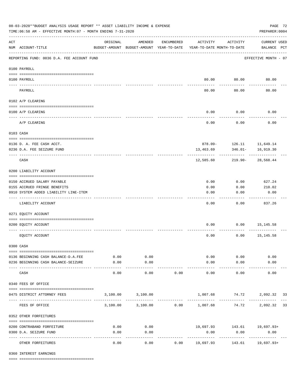|     | 08-03-2020**BUDGET ANALYSIS USAGE REPORT ** ASSET LIABILITY INCOME & EXPENSE<br>TIME:06:58 AM - EFFECTIVE MONTH:07 - MONTH ENDING 7-31-2020 |          |                                                     |            |                                        |                                                                             | PAGE 72<br>PREPARER: 0004          |  |
|-----|---------------------------------------------------------------------------------------------------------------------------------------------|----------|-----------------------------------------------------|------------|----------------------------------------|-----------------------------------------------------------------------------|------------------------------------|--|
| ACT | NUM ACCOUNT-TITLE                                                                                                                           | ORIGINAL | AMENDED<br>BUDGET-AMOUNT BUDGET-AMOUNT YEAR-TO-DATE | ENCUMBERED | ACTIVITY<br>YEAR-TO-DATE MONTH-TO-DATE | ACTIVITY                                                                    | <b>CURRENT USED</b><br>BALANCE PCT |  |
|     | REPORTING FUND: 0036 D.A. FEE ACCOUNT FUND                                                                                                  |          |                                                     |            |                                        |                                                                             | EFFECTIVE MONTH - 07               |  |
|     | 0100 PAYROLL                                                                                                                                |          |                                                     |            |                                        |                                                                             |                                    |  |
|     | 0100 PAYROLL                                                                                                                                |          |                                                     |            | 80.00                                  | 80.00                                                                       | 80.00                              |  |
|     | PAYROLL                                                                                                                                     |          |                                                     |            | 80.00                                  | 80.00                                                                       | 80.00                              |  |
|     | 0102 A/P CLEARING                                                                                                                           |          |                                                     |            |                                        |                                                                             |                                    |  |
|     | 0100 A/P CLEARING                                                                                                                           |          |                                                     |            | 0.00                                   | 0.00                                                                        | 0.00                               |  |
|     | A/P CLEARING                                                                                                                                |          |                                                     |            | 0.00                                   | 0.00                                                                        | 0.00                               |  |
|     | 0103 CASH                                                                                                                                   |          |                                                     |            |                                        |                                                                             |                                    |  |
|     | 0136 D. A. FEE CASH ACCT.<br>0236 D.A. FEE SEIZURE FUND                                                                                     |          |                                                     |            | 13,463.69                              | 878.09- 126.11 11,649.14<br>346.01-                                         | 16,919.30                          |  |
|     | CASH                                                                                                                                        |          |                                                     |            | 12,585.60                              | 219.90-                                                                     | 28,568.44                          |  |
|     | 0200 LIABILITY ACCOUNT                                                                                                                      |          |                                                     |            |                                        |                                                                             |                                    |  |
|     | 0150 ACCRUED SALARY PAYABLE                                                                                                                 |          |                                                     |            | 0.00                                   | 0.00                                                                        | 627.24                             |  |
|     | 0155 ACCRUED FRINGE BENEFITS                                                                                                                |          |                                                     |            | 0.00                                   | 0.00                                                                        | 210.02                             |  |
|     | 0910 SYSTEM ADDED LIABILITY LINE-ITEM                                                                                                       |          |                                                     |            | 0.00                                   | 0.00                                                                        | 0.00                               |  |
|     | LIABILITY ACCOUNT                                                                                                                           |          |                                                     |            | 0.00                                   | 0.00                                                                        | 837.26                             |  |
|     | 0271 EQUITY ACCOUNT                                                                                                                         |          |                                                     |            |                                        |                                                                             |                                    |  |
|     | 0200 EQUITY ACCOUNT                                                                                                                         |          |                                                     |            | 0.00                                   | 0.00                                                                        | 15,145.58                          |  |
|     | EQUITY ACCOUNT                                                                                                                              |          |                                                     |            | 0.00                                   | 0.00                                                                        | 15,145.58                          |  |
|     | 0300 CASH                                                                                                                                   |          |                                                     |            |                                        |                                                                             |                                    |  |
|     | 0136 BEGINNING CASH BALANCE-D.A.FEE                                                                                                         | 0.00     | 0.00                                                |            |                                        | $0.00$ $0.00$                                                               | 0.00                               |  |
|     | 0236 BEGINNING CASH BALANCE-SEIZURE                                                                                                         | 0.00     | 0.00<br>----------                                  |            | 0.00                                   | 0.00                                                                        | 0.00                               |  |
|     | CASH                                                                                                                                        | 0.00     | 0.00                                                | 0.00       | 0.00                                   | 0.00                                                                        | 0.00                               |  |
|     | 0340 FEES OF OFFICE                                                                                                                         |          |                                                     |            |                                        |                                                                             |                                    |  |
|     | 0475 DISTRICT ATTORNEY FEES                                                                                                                 |          | 3,100.00 3,100.00                                   |            |                                        | 1,007.68 74.72 2,092.32 33                                                  |                                    |  |
|     | FEES OF OFFICE                                                                                                                              |          |                                                     |            |                                        | ----------<br>$3,100.00$ $3,100.00$ $0.00$ $1,007.68$ $74.72$ $2,092.32$ 33 |                                    |  |
|     | 0352 OTHER FORFEITURES                                                                                                                      |          |                                                     |            |                                        |                                                                             |                                    |  |
|     | 0200 CONTRABAND FORFEITURE                                                                                                                  | 0.00     | 0.00                                                |            |                                        | 19,697.93 143.61 19,697.93+                                                 |                                    |  |
|     | 0300 D.A. SEIZURE FUND                                                                                                                      | 0.00     | 0.00                                                |            | 0.00                                   | 0.00                                                                        | 0.00                               |  |
|     | OTHER FORFEITURES                                                                                                                           | 0.00     | ----------<br>0.00                                  |            | ------------<br>$0.00$ 19,697.93       | -------------                                                               | -------------<br>143.61 19,697.93+ |  |

0360 INTEREST EARNINGS

==== ===================================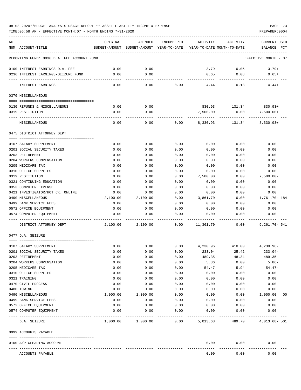TIME:06:58 AM - EFFECTIVE MONTH:07 - MONTH ENDING 7-31-2020 PREPARER:0004

| ACT<br>NUM ACCOUNT-TITLE                         | ORIGINAL         | AMENDED<br>BUDGET-AMOUNT BUDGET-AMOUNT YEAR-TO-DATE YEAR-TO-DATE MONTH-TO-DATE | ENCUMBERED   | ACTIVITY     | ACTIVITY     | <b>CURRENT USED</b><br>BALANCE PCT |
|--------------------------------------------------|------------------|--------------------------------------------------------------------------------|--------------|--------------|--------------|------------------------------------|
|                                                  |                  |                                                                                |              |              |              |                                    |
| REPORTING FUND: 0036 D.A. FEE ACCOUNT FUND       |                  |                                                                                |              |              |              | EFFECTIVE MONTH - 07               |
| 0100 INTEREST EARNINGS-D.A. FEE                  | 0.00             | 0.00                                                                           |              | 3.79         | 0.05         | $3.79+$                            |
| 0236 INTEREST EARNINGS-SEIZURE FUND              | 0.00             | 0.00                                                                           |              | 0.65         | 0.08         | $0.65+$                            |
| INTEREST EARNINGS                                | 0.00             | 0.00                                                                           | 0.00         | 4.44         | 0.13         | $4.44+$                            |
| 0370 MISCELLANEOUS                               |                  |                                                                                |              |              |              |                                    |
|                                                  |                  |                                                                                |              |              |              |                                    |
| 0130 REFUNDS & MISCELLANEOUS                     | 0.00             | 0.00                                                                           |              | 830.93       | 131.34       | 830.93+                            |
| 0319 RESTITUTION                                 | 0.00             | 0.00                                                                           |              | 7,500.00     | 0.00         | $7,500.00+$                        |
| MISCELLANEOUS                                    | 0.00             | 0.00                                                                           | 0.00         | 8,330.93     | 131.34       | 8,330.93+                          |
| 0475 DISTRICT ATTORNEY DEPT                      |                  |                                                                                |              |              |              |                                    |
|                                                  |                  |                                                                                |              |              |              |                                    |
| 0107 SALARY SUPPLEMENT                           | 0.00             | 0.00                                                                           | 0.00         | 0.00         | 0.00         | 0.00                               |
| 0201 SOCIAL SECURITY TAXES<br>0203 RETIREMENT    | 0.00<br>0.00     | 0.00<br>0.00                                                                   | 0.00<br>0.00 | 0.00<br>0.00 | 0.00<br>0.00 | 0.00<br>0.00                       |
| 0204 WORKERS COMPENSATION                        | 0.00             | 0.00                                                                           | 0.00         | 0.00         | 0.00         | 0.00                               |
| 0205 MEDICARE TAX                                | 0.00             | 0.00                                                                           | 0.00         | 0.00         | 0.00         | 0.00                               |
| 0310 OFFICE SUPPLIES                             | 0.00             | 0.00                                                                           | 0.00         | 0.00         | 0.00         | 0.00                               |
| 0319 RESTITUTION                                 | 0.00             | 0.00                                                                           | 0.00         | 7,500.00     | 0.00         | $7,500.00 -$                       |
| 0321 CONTINUING EDUCATION                        | 0.00             | 0.00                                                                           | 0.00         | 0.00         | 0.00         | 0.00                               |
| 0353 COMPUTER EXPENSE                            | 0.00             | 0.00                                                                           | 0.00         | 0.00         | 0.00         | 0.00                               |
| 0421 INVESTIGATOR/HOT CK. ONLINE                 | 0.00             | 0.00                                                                           | 0.00         | 0.00         | 0.00         | 0.00                               |
| 0490 MISCELLANEOUS                               | 2,100.00         | 2,100.00                                                                       | 0.00         | 3,861.70     | 0.00         | 1,761.70- 184                      |
| 0499 BANK SERVICE FEES                           | 0.00             | 0.00                                                                           | 0.00         | 0.00         | 0.00         | 0.00                               |
| 0572 OFFICE EQUIPMENT<br>0574 COMPUTER EQUIPMENT | 0.00<br>0.00     | 0.00<br>0.00                                                                   | 0.00<br>0.00 | 0.00<br>0.00 | 0.00<br>0.00 | 0.00<br>0.00                       |
|                                                  |                  |                                                                                |              |              |              |                                    |
| DISTRICT ATTORNEY DEPT                           | 2,100.00         | 2,100.00                                                                       | 0.00         | 11,361.70    | 0.00         | $9,261.70 - 541$                   |
| 0477 D.A. SEIZURE                                |                  |                                                                                |              |              |              |                                    |
| 0107 SALARY SUPPLEMENT                           | 0.00             | 0.00                                                                           | 0.00         | 4,230.96     | 410.00       | 4,230.96-                          |
| 0201 SOCIAL SECURITY TAXES                       | 0.00             | 0.00                                                                           | 0.00         | 233.04       | 25.42        | $233.04-$                          |
| 0203 RETIREMENT                                  | 0.00             | 0.00                                                                           | 0.00         | 489.35       | 48.34        | $489.35-$                          |
| 0204 WORKERS COMPENSATION                        | 0.00             | 0.00                                                                           | 0.00         | 5.86         | 0.00         | $5.86-$                            |
| 0205 MEDICARE TAX                                | 0.00             | 0.00                                                                           | 0.00         | 54.47        | 5.94         | $54.47-$                           |
| 0310 OFFICE SUPPLIES                             | 0.00             | 0.00                                                                           | 0.00         | 0.00         | 0.00         | 0.00                               |
| 0321 TRAINING                                    | 0.00             | 0.00                                                                           | 0.00         | 0.00         | 0.00         | 0.00                               |
| 0470 CIVIL PROCESS                               | 0.00             | 0.00                                                                           | 0.00         | 0.00         | 0.00         | 0.00                               |
| 0480 TOWING<br>0490 MISCELLANEOUS                | 0.00<br>1,000.00 | 0.00<br>1,000.00                                                               | 0.00<br>0.00 | 0.00         | 0.00<br>0.00 | 0.00<br>1,000.00<br>0 <sub>0</sub> |
| 0499 BANK SERVICE FEES                           | 0.00             | 0.00                                                                           | 0.00         | 0.00<br>0.00 | 0.00         | 0.00                               |
| 0572 OFFICE EQUIPMENT                            | 0.00             | 0.00                                                                           | 0.00         | 0.00         | 0.00         | 0.00                               |
| 0574 COMPUTER EQUIPMENT                          | 0.00             | 0.00                                                                           | 0.00         | 0.00         | 0.00         | 0.00                               |
| D.A. SEIZURE                                     | 1,000.00         | 1,000.00                                                                       | 0.00         | 5,013.68     | 489.70       | 4,013.68- 501                      |
| 0999 ACCOUNTS PAYABLE                            |                  |                                                                                |              |              |              |                                    |
| 0100 A/P CLEARING ACCOUNT                        |                  |                                                                                |              | 0.00         | 0.00         | 0.00                               |
| ACCOUNTS PAYABLE                                 |                  |                                                                                |              | 0.00         | 0.00         | 0.00                               |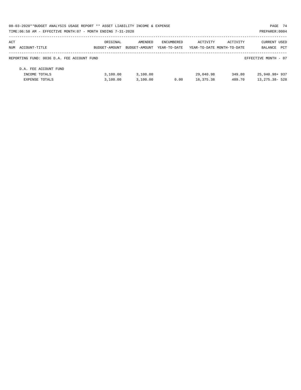| 08-03-2020**BUDGET ANALYSIS USAGE REPORT ** ASSET LIABILITY INCOME & EXPENSE |               |               |              |                            |          | PAGE 74              |  |
|------------------------------------------------------------------------------|---------------|---------------|--------------|----------------------------|----------|----------------------|--|
| TIME:06:58 AM - EFFECTIVE MONTH:07 - MONTH ENDING 7-31-2020                  |               |               |              |                            |          | PREPARER: 0004       |  |
| ACT                                                                          | ORIGINAL      | AMENDED       | ENCUMBERED   | ACTIVITY                   | ACTIVITY | <b>CURRENT USED</b>  |  |
| NUM ACCOUNT-TITLE                                                            | BUDGET-AMOUNT | BUDGET-AMOUNT | YEAR-TO-DATE | YEAR-TO-DATE MONTH-TO-DATE |          | PCT<br>BALANCE       |  |
| REPORTING FUND: 0036 D.A. FEE ACCOUNT FUND                                   |               |               |              |                            |          | EFFECTIVE MONTH - 07 |  |
| D.A. FEE ACCOUNT FUND                                                        |               |               |              |                            |          |                      |  |
| INCOME TOTALS                                                                | 3.100.00      | 3,100.00      |              | 29,040.98                  | 349.80   | 25,940.98+937        |  |
| <b>EXPENSE TOTALS</b>                                                        | 3,100.00      | 3,100.00      | 0.00         | 16,375.38                  | 489.70   | $13,275.38 - 528$    |  |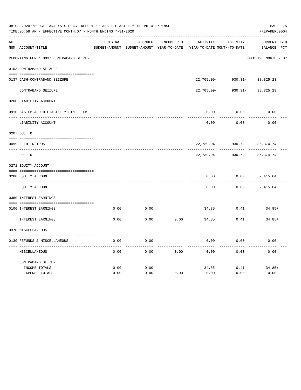|                                         |                |         |                                                             |                                                                                                                          |            | PAGE 75<br>PREPARER: 0004                                              |
|-----------------------------------------|----------------|---------|-------------------------------------------------------------|--------------------------------------------------------------------------------------------------------------------------|------------|------------------------------------------------------------------------|
|                                         | ORIGINAL       | AMENDED | ENCUMBERED                                                  | ACTIVITY                                                                                                                 | ACTIVITY   | CURRENT USED                                                           |
| NUM ACCOUNT-TITLE                       |                |         |                                                             |                                                                                                                          |            | BALANCE PCT                                                            |
| REPORTING FUND: 0037 CONTRABAND SEIZURE |                |         |                                                             |                                                                                                                          |            | EFFECTIVE MONTH - 07                                                   |
| 0103 CONTRABAND SEIZURE                 |                |         |                                                             |                                                                                                                          |            |                                                                        |
| 0137 CASH-CONTRABAND SEIZURE            |                |         |                                                             |                                                                                                                          |            |                                                                        |
| CONTRABAND SEIZURE                      |                |         |                                                             | $22,705.09 -$                                                                                                            | $930.31 -$ | 38,825.23                                                              |
| 0200 LIABILITY ACCOUNT                  |                |         |                                                             |                                                                                                                          |            |                                                                        |
| 0910 SYSTEM ADDED LIABILITY LINE-ITEM   |                |         |                                                             | 0.00                                                                                                                     | 0.00       | 0.00                                                                   |
| LIABILITY ACCOUNT                       |                |         |                                                             | 0.00                                                                                                                     | 0.00       | 0.00                                                                   |
| 0207 DUE TO                             |                |         |                                                             |                                                                                                                          |            |                                                                        |
| 0099 HELD IN TRUST                      |                |         |                                                             | $22,739.94-$                                                                                                             | $930.72 -$ | 36, 374.74                                                             |
| DUE TO                                  |                |         |                                                             | $22,739.94-$                                                                                                             | $930.72 -$ | 36, 374.74                                                             |
| 0271 EQUITY ACCOUNT                     |                |         |                                                             |                                                                                                                          |            |                                                                        |
| 0200 EQUITY ACCOUNT                     |                |         |                                                             | 0.00                                                                                                                     | 0.00       | 2,415.64                                                               |
|                                         |                |         |                                                             |                                                                                                                          |            |                                                                        |
|                                         |                |         |                                                             |                                                                                                                          |            | 2,415.64                                                               |
| 0360 INTEREST EARNINGS                  |                |         |                                                             |                                                                                                                          |            |                                                                        |
| 0100 INTEREST EARNINGS                  | 0.00           | 0.00    |                                                             | 34.85                                                                                                                    | 0.41       | 34.85+                                                                 |
| INTEREST EARNINGS                       | 0.00           | 0.00    | 0.00                                                        | 34.85                                                                                                                    | 0.41       | $34.85+$                                                               |
| 0370 MISCELLANEOUS                      |                |         |                                                             |                                                                                                                          |            |                                                                        |
|                                         |                |         |                                                             |                                                                                                                          |            |                                                                        |
| 0130 REFUNDS & MISCELLANEOUS            | 0.00           | 0.00    |                                                             | 0.00                                                                                                                     | 0.00       | 0.00                                                                   |
| MISCELLANEOUS                           | 0.00           | 0.00    | 0.00                                                        | 0.00                                                                                                                     | 0.00       | 0.00                                                                   |
| CONTRABAND SEIZURE                      |                |         |                                                             |                                                                                                                          |            |                                                                        |
| INCOME TOTALS                           | 0.00           | 0.00    |                                                             | 34.85                                                                                                                    | 0.41       | $34.85+$                                                               |
| <b>EXPENSE TOTALS</b>                   | 0.00           | 0.00    | 0.00                                                        | 0.00                                                                                                                     | 0.00       | 0.00                                                                   |
|                                         | EQUITY ACCOUNT |         | TIME:06:58 AM - EFFECTIVE MONTH:07 - MONTH ENDING 7-31-2020 | 08-03-2020**BUDGET ANALYSIS USAGE REPORT ** ASSET LIABILITY INCOME & EXPENSE<br>BUDGET-AMOUNT BUDGET-AMOUNT YEAR-TO-DATE | 0.00       | YEAR-TO-DATE MONTH-TO-DATE<br>$22,705.09 - 930.31 - 38,825.23$<br>0.00 |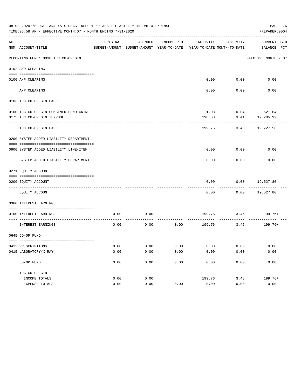|     | PAGE 76<br>08-03-2020**BUDGET ANALYSIS USAGE REPORT ** ASSET LIABILITY INCOME & EXPENSE<br>TIME: 06:58 AM - EFFECTIVE MONTH: 07 - MONTH ENDING 7-31-2020<br>PREPARER: 0004 |              |                                                     |              |              |                                        |                             |  |  |  |  |
|-----|----------------------------------------------------------------------------------------------------------------------------------------------------------------------------|--------------|-----------------------------------------------------|--------------|--------------|----------------------------------------|-----------------------------|--|--|--|--|
| ACT | NUM ACCOUNT-TITLE                                                                                                                                                          | ORIGINAL     | AMENDED<br>BUDGET-AMOUNT BUDGET-AMOUNT YEAR-TO-DATE | ENCUMBERED   | ACTIVITY     | ACTIVITY<br>YEAR-TO-DATE MONTH-TO-DATE | CURRENT USED<br>BALANCE PCT |  |  |  |  |
|     | REPORTING FUND: 0038 IHC CO-OP GIN                                                                                                                                         |              |                                                     |              |              |                                        | EFFECTIVE MONTH - 07        |  |  |  |  |
|     | 0102 A/P CLEARING                                                                                                                                                          |              |                                                     |              |              |                                        |                             |  |  |  |  |
|     | 0100 A/P CLEARING                                                                                                                                                          |              |                                                     |              |              | $0.00$ 0.00                            | 0.00                        |  |  |  |  |
|     | A/P CLEARING                                                                                                                                                               |              |                                                     |              | 0.00         | 0.00                                   | 0.00                        |  |  |  |  |
|     | 0103 IHC CO-OP GIN CASH                                                                                                                                                    |              |                                                     |              |              |                                        |                             |  |  |  |  |
|     | 0100 IHC CO-OP GIN-COMBINED FUND CKING                                                                                                                                     |              |                                                     |              | 1.08         |                                        | $0.04$ 521.64               |  |  |  |  |
|     | 0175 IHC CO-OP GIN TEXPOOL                                                                                                                                                 |              |                                                     |              | 198.68       | 3.41                                   | 19,205.92                   |  |  |  |  |
|     | ---------------------------                                                                                                                                                |              |                                                     |              |              |                                        |                             |  |  |  |  |
|     | IHC CO-OP GIN CASH                                                                                                                                                         |              |                                                     |              | 199.76       | 3.45                                   | 19,727.56                   |  |  |  |  |
|     | 0200 SYSTEM ADDED LIABILITY DEPARTMENT                                                                                                                                     |              |                                                     |              |              |                                        |                             |  |  |  |  |
|     | 0900 SYSTEM ADDED LIABILITY LINE-ITEM                                                                                                                                      |              |                                                     |              | 0.00         | 0.00                                   | 0.00                        |  |  |  |  |
|     |                                                                                                                                                                            |              |                                                     |              |              |                                        |                             |  |  |  |  |
|     | SYSTEM ADDED LIABILITY DEPARTMENT                                                                                                                                          |              |                                                     |              | 0.00         | 0.00                                   | 0.00                        |  |  |  |  |
|     | 0271 EQUITY ACCOUNT                                                                                                                                                        |              |                                                     |              |              |                                        |                             |  |  |  |  |
|     | 0200 EQUITY ACCOUNT                                                                                                                                                        |              |                                                     |              | 0.00         | 0.00                                   | 19,527.80                   |  |  |  |  |
|     | EQUITY ACCOUNT                                                                                                                                                             |              |                                                     |              | 0.00         |                                        | $0.00$ 19,527.80            |  |  |  |  |
|     | 0360 INTEREST EARNINGS                                                                                                                                                     |              |                                                     |              |              |                                        |                             |  |  |  |  |
|     | 0100 INTEREST EARNINGS                                                                                                                                                     | 0.00         | 0.00                                                |              |              | $- - - - - - - -$                      | 199.76 3.45 199.76+         |  |  |  |  |
|     | INTEREST EARNINGS                                                                                                                                                          | 0.00         | 0.00                                                | 0.00         |              | 199.76 3.45                            | 199.76+                     |  |  |  |  |
|     | 0645 CO-OP FUND                                                                                                                                                            |              |                                                     |              |              |                                        |                             |  |  |  |  |
|     |                                                                                                                                                                            |              |                                                     |              |              |                                        |                             |  |  |  |  |
|     | 0412 PRESCRIPTIONS<br>0415 LABORATORY/X-RAY                                                                                                                                | 0.00<br>0.00 | 0.00<br>0.00                                        | 0.00<br>0.00 | 0.00<br>0.00 | 0.00<br>0.00                           | 0.00<br>0.00                |  |  |  |  |
|     | -----------------------------------                                                                                                                                        |              |                                                     | -----        |              |                                        |                             |  |  |  |  |
|     | CO-OP FUND                                                                                                                                                                 | 0.00         | 0.00                                                | 0.00         | 0.00         | 0.00                                   | 0.00                        |  |  |  |  |
|     | IHC CO-OP GIN                                                                                                                                                              |              |                                                     |              |              |                                        |                             |  |  |  |  |
|     | INCOME TOTALS                                                                                                                                                              | 0.00         | 0.00                                                |              | 199.76       | 3.45                                   | $199.76+$                   |  |  |  |  |
|     | EXPENSE TOTALS                                                                                                                                                             | 0.00         | 0.00                                                | 0.00         | 0.00         | 0.00                                   | 0.00                        |  |  |  |  |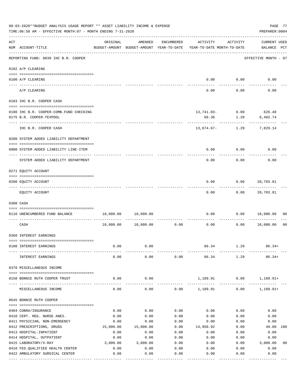| 08-03-2020**BUDGET ANALYSIS USAGE REPORT ** ASSET LIABILITY INCOME & EXPENSE<br>TIME:06:58 AM - EFFECTIVE MONTH:07 - MONTH ENDING 7-31-2020 |                                                                            |                                                      |                      |              |                                        |                                    |                                    |                |  |  |
|---------------------------------------------------------------------------------------------------------------------------------------------|----------------------------------------------------------------------------|------------------------------------------------------|----------------------|--------------|----------------------------------------|------------------------------------|------------------------------------|----------------|--|--|
| ACT                                                                                                                                         | NUM ACCOUNT-TITLE                                                          | ORIGINAL<br>BUDGET-AMOUNT BUDGET-AMOUNT YEAR-TO-DATE | AMENDED              | ENCUMBERED   | ACTIVITY<br>YEAR-TO-DATE MONTH-TO-DATE | ACTIVITY                           | <b>CURRENT USED</b><br>BALANCE PCT |                |  |  |
|                                                                                                                                             | ----------------------------------<br>REPORTING FUND: 0039 IHC B.R. COOPER |                                                      |                      |              |                                        |                                    | EFFECTIVE MONTH - 07               |                |  |  |
|                                                                                                                                             | 0102 A/P CLEARING                                                          |                                                      |                      |              |                                        |                                    |                                    |                |  |  |
|                                                                                                                                             | 0100 A/P CLEARING                                                          |                                                      |                      |              | 0.00                                   | 0.00                               | 0.00                               |                |  |  |
|                                                                                                                                             | ---- ---------<br>A/P CLEARING                                             |                                                      |                      |              | 0.00                                   | 0.00                               | 0.00                               |                |  |  |
|                                                                                                                                             | 0103 IHC B.R. COOPER CASH                                                  |                                                      |                      |              |                                        |                                    |                                    |                |  |  |
|                                                                                                                                             | 0100 IHC B.R. COOPER-COMB.FUND CHECKING                                    |                                                      |                      |              |                                        | 13,741.03- 0.09 626.40             |                                    |                |  |  |
|                                                                                                                                             | 0175 B.R. COOPER-TEXPOOL                                                   |                                                      |                      |              | 66.36                                  | 1.20                               | 6,402.74                           |                |  |  |
|                                                                                                                                             | --------------------<br>IHC B.R. COOPER CASH                               |                                                      |                      |              | -----------                            | ------------<br>$13,674.67 - 1.29$ | 7,029.14                           |                |  |  |
|                                                                                                                                             | 0200 SYSTEM ADDED LIABILITY DEPARTMENT                                     |                                                      |                      |              |                                        |                                    |                                    |                |  |  |
|                                                                                                                                             | 0900 SYSTEM ADDED LIABILITY LINE-ITEM                                      |                                                      |                      |              | 0.00                                   | 0.00                               | 0.00                               |                |  |  |
|                                                                                                                                             | SYSTEM ADDED LIABILITY DEPARTMENT                                          |                                                      |                      |              | 0.00                                   | 0.00                               | 0.00                               |                |  |  |
|                                                                                                                                             | 0271 EQUITY ACCOUNT                                                        |                                                      |                      |              |                                        |                                    |                                    |                |  |  |
|                                                                                                                                             | 0200 EQUITY ACCOUNT                                                        |                                                      |                      |              | 0.00                                   | 0.00                               | 20,703.81                          |                |  |  |
|                                                                                                                                             | EQUITY ACCOUNT                                                             |                                                      |                      |              | 0.00                                   |                                    | 0.00 20,703.81                     |                |  |  |
|                                                                                                                                             | 0300 CASH                                                                  |                                                      |                      |              |                                        |                                    |                                    |                |  |  |
|                                                                                                                                             | 0110 UNENCUMBERED FUND BALANCE                                             |                                                      | 18,000.00 18,000.00  |              | 0.00                                   |                                    | $0.00$ 18,000.00                   | 00             |  |  |
|                                                                                                                                             |                                                                            |                                                      | 18,000.00  18,000.00 |              | ------------ -------------             |                                    |                                    |                |  |  |
|                                                                                                                                             | CASH                                                                       |                                                      |                      | 0.00         | 0.00                                   | 0.00                               | 18,000.00                          | 0 <sub>0</sub> |  |  |
|                                                                                                                                             | 0360 INTEREST EARNINGS                                                     |                                                      |                      |              |                                        |                                    |                                    |                |  |  |
|                                                                                                                                             | 0100 INTEREST EARNINGS                                                     | 0.00                                                 | 0.00                 |              | 86.34                                  | 1.29                               | $86.34+$                           |                |  |  |
|                                                                                                                                             | INTEREST EARNINGS                                                          | 0.00                                                 | 0.00                 | 0.00         | 86.34                                  | 1.29                               | $86.34+$                           |                |  |  |
|                                                                                                                                             | 0370 MISCELLANEOUS INCOME                                                  |                                                      |                      |              |                                        |                                    |                                    |                |  |  |
|                                                                                                                                             | 0150 BONNIE RUTH COOPER TRUST                                              | 0.00                                                 | 0.00                 |              | 1,189.91                               | 0.00                               | $1,189.91+$                        |                |  |  |
|                                                                                                                                             | MISCELLANEOUS INCOME                                                       | 0.00                                                 | $- - - - -$<br>0.00  | 0.00         | --------------<br>1,189.91             | 0.00                               | $1,189.91+$                        |                |  |  |
|                                                                                                                                             | 0645 BONNIE RUTH COOPER                                                    |                                                      |                      |              |                                        |                                    |                                    |                |  |  |
|                                                                                                                                             |                                                                            |                                                      |                      |              |                                        |                                    |                                    |                |  |  |
|                                                                                                                                             | 0404 COBRA/INSURANCE                                                       | 0.00                                                 | 0.00                 | 0.00         | 0.00                                   | 0.00                               | 0.00                               |                |  |  |
|                                                                                                                                             | 0410 CERT. REG. NURSE ANES.<br>0411 PHYSICIAN, NON-EMERGENCY               | 0.00<br>0.00                                         | 0.00<br>0.00         | 0.00<br>0.00 | 0.00<br>0.00                           | 0.00<br>0.00                       | 0.00<br>0.00                       |                |  |  |
|                                                                                                                                             | 0412 PRESCRIPTIONS, DRUGS                                                  | 15,000.00                                            | 15,000.00            | 0.00         | 14,950.92                              | 0.00                               | 49.08                              | 100            |  |  |
|                                                                                                                                             | 0413 HOSPITAL-INPATIENT                                                    | 0.00                                                 | 0.00                 | 0.00         | 0.00                                   | 0.00                               | 0.00                               |                |  |  |
|                                                                                                                                             | 0414 HOSPITAL, OUTPATIENT                                                  | 0.00                                                 | 0.00                 | 0.00         | 0.00                                   | 0.00                               | 0.00                               |                |  |  |
|                                                                                                                                             | 0415 LABORATORY/X-RAY                                                      | 3,000.00                                             | 3,000.00             | 0.00         | 0.00                                   | 0.00                               | 3,000.00                           | 0 <sub>0</sub> |  |  |
|                                                                                                                                             | 0418 FED. QUALIFIED HEALTH CENTER                                          | 0.00                                                 | 0.00                 | 0.00         | 0.00                                   | 0.00                               | 0.00                               |                |  |  |
|                                                                                                                                             | 0422 AMBULATORY SURGICAL CENTER                                            | 0.00                                                 | 0.00                 | 0.00         | 0.00                                   | 0.00                               | 0.00                               |                |  |  |
|                                                                                                                                             |                                                                            |                                                      | -------------        | -----------  | -----------                            | ---------                          | ----------                         |                |  |  |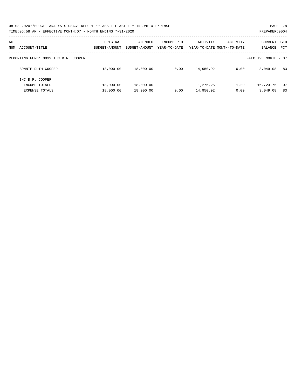08-03-2020\*\*BUDGET ANALYSIS USAGE REPORT \*\* ASSET LIABILITY INCOME & EXPENSE PAGE 78 TIME:06:58 AM - EFFECTIVE MONTH:07 - MONTH ENDING 7-31-2020

| ACT<br>ACCOUNT-TITLE<br>NUM          | ORIGINAL<br>BUDGET-AMOUNT | AMENDED<br>BUDGET-AMOUNT | ENCUMBERED<br>YEAR-TO-DATE | ACTIVITY  | ACTIVITY<br>YEAR-TO-DATE MONTH-TO-DATE | CURRENT USED<br>BALANCE<br><b>PCT</b> |
|--------------------------------------|---------------------------|--------------------------|----------------------------|-----------|----------------------------------------|---------------------------------------|
|                                      |                           |                          |                            |           |                                        |                                       |
|                                      |                           |                          |                            |           |                                        |                                       |
| REPORTING FUND: 0039 IHC B.R. COOPER |                           |                          |                            |           |                                        | EFFECTIVE MONTH - 07                  |
|                                      |                           |                          |                            |           |                                        |                                       |
| BONNIE RUTH COOPER                   | 18,000.00                 | 18,000.00                | 0.00                       | 14,950.92 | 0.00                                   | 3,049.08<br>83                        |
|                                      |                           |                          |                            |           |                                        |                                       |
| IHC B.R. COOPER                      |                           |                          |                            |           |                                        |                                       |
| INCOME TOTALS                        | 18,000.00                 | 18,000.00                |                            | 1,276.25  | 1.29                                   | 16,723.75<br>07                       |
| <b>EXPENSE TOTALS</b>                | 18,000.00                 | 18,000.00                | 0.00                       | 14,950.92 | 0.00                                   | 83<br>3,049.08                        |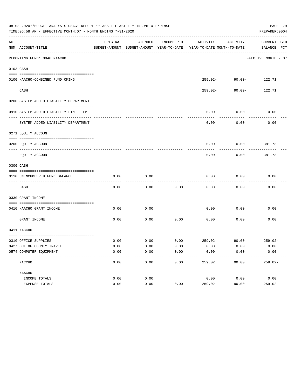|     | 08-03-2020**BUDGET ANALYSIS USAGE REPORT ** ASSET LIABILITY INCOME & EXPENSE<br>TIME: 06:58 AM - EFFECTIVE MONTH: 07 - MONTH ENDING 7-31-2020 |          |                                                     |            |                                         |                       | PAGE 79<br>PREPARER: 0004   |  |
|-----|-----------------------------------------------------------------------------------------------------------------------------------------------|----------|-----------------------------------------------------|------------|-----------------------------------------|-----------------------|-----------------------------|--|
| ACT | NUM ACCOUNT-TITLE                                                                                                                             | ORIGINAL | AMENDED<br>BUDGET-AMOUNT BUDGET-AMOUNT YEAR-TO-DATE | ENCUMBERED | ACTIVITY<br>YEAR-TO-DATE MONTH-TO-DATE  | ACTIVITY              | CURRENT USED<br>BALANCE PCT |  |
|     | REPORTING FUND: 0040 NAACHO                                                                                                                   |          |                                                     |            |                                         |                       | EFFECTIVE MONTH - 07        |  |
|     | 0103 CASH                                                                                                                                     |          |                                                     |            |                                         |                       |                             |  |
|     | 0100 NAACHO-COMBINED FUND CKING                                                                                                               |          |                                                     |            |                                         | 259.02- 90.00- 122.71 |                             |  |
|     | CASH                                                                                                                                          |          |                                                     |            | 259.02-                                 | $90.00 -$             | 122.71                      |  |
|     | 0200 SYSTEM ADDED LIABILITY DEPARTMENT                                                                                                        |          |                                                     |            |                                         |                       |                             |  |
|     | 0910 SYSTEM ADDED LIABILITY LINE-ITEM                                                                                                         |          |                                                     |            | 0.00                                    | 0.00                  | 0.00                        |  |
|     | SYSTEM ADDED LIABILITY DEPARTMENT                                                                                                             |          |                                                     |            | 0.00                                    | 0.00                  | 0.00                        |  |
|     | 0271 EQUITY ACCOUNT                                                                                                                           |          |                                                     |            |                                         |                       |                             |  |
|     | 0200 EQUITY ACCOUNT                                                                                                                           |          |                                                     |            | 0.00                                    | $0.00$ 381.73         |                             |  |
|     | EQUITY ACCOUNT                                                                                                                                |          |                                                     |            | 0.00                                    | 0.00                  | 381.73                      |  |
|     | 0300 CASH                                                                                                                                     |          |                                                     |            |                                         |                       |                             |  |
|     | 0110 UNENCUMBERED FUND BALANCE                                                                                                                | 0.00     | 0.00                                                |            | 0.00                                    | 0.00<br>-------       | 0.00                        |  |
|     | CASH                                                                                                                                          | 0.00     | 0.00                                                | 0.00       | 0.00                                    | 0.00                  | 0.00                        |  |
|     | 0330 GRANT INCOME                                                                                                                             |          |                                                     |            |                                         |                       |                             |  |
|     | 0410 NAACHO GRANT INCOME<br>---------------- --                                                                                               | 0.00     | 0.00                                                |            | 0.00                                    | 0.00                  | 0.00                        |  |
|     | GRANT INCOME                                                                                                                                  | 0.00     | 0.00                                                | 0.00       | 0.00                                    | 0.00                  | 0.00                        |  |
|     | 0411 NACCHO                                                                                                                                   |          |                                                     |            |                                         |                       |                             |  |
|     | 0310 OFFICE SUPPLIES                                                                                                                          | 0.00     |                                                     |            | $0.00$ $0.00$ $259.02$ $90.00$ $259.02$ |                       |                             |  |
|     | 0427 OUT OF COUNTY TRAVEL                                                                                                                     | 0.00     | 0.00                                                | 0.00       | 0.00                                    | 0.00                  | 0.00                        |  |
|     | 0574 COMPUTER EQUIPMENT                                                                                                                       | 0.00     | 0.00                                                | 0.00       | 0.00                                    | 0.00                  | 0.00                        |  |
|     | NACCHO                                                                                                                                        | 0.00     | 0.00                                                | 0.00       | 259.02                                  | 90.00                 | $259.02 -$                  |  |
|     | NAACHO                                                                                                                                        |          |                                                     |            |                                         |                       |                             |  |
|     | INCOME TOTALS                                                                                                                                 | 0.00     | 0.00                                                |            | 0.00                                    | 0.00                  | 0.00                        |  |
|     | EXPENSE TOTALS                                                                                                                                | 0.00     | 0.00                                                | 0.00       | 259.02                                  | 90.00                 | $259.02 -$                  |  |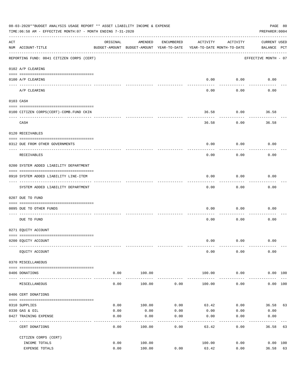|     | 08-03-2020**BUDGET ANALYSIS USAGE REPORT ** ASSET LIABILITY INCOME & EXPENSE<br>PAGE 80<br>TIME:06:58 AM - EFFECTIVE MONTH:07 - MONTH ENDING 7-31-2020<br>PREPARER: 0004 |                                                      |                      |                    |                                        |                           |                                    |    |  |  |  |
|-----|--------------------------------------------------------------------------------------------------------------------------------------------------------------------------|------------------------------------------------------|----------------------|--------------------|----------------------------------------|---------------------------|------------------------------------|----|--|--|--|
| ACT | NUM ACCOUNT-TITLE                                                                                                                                                        | ORIGINAL<br>BUDGET-AMOUNT BUDGET-AMOUNT YEAR-TO-DATE | AMENDED              | ENCUMBERED         | ACTIVITY<br>YEAR-TO-DATE MONTH-TO-DATE | ACTIVITY                  | <b>CURRENT USED</b><br>BALANCE PCT |    |  |  |  |
|     | REPORTING FUND: 0041 CITIZEN CORPS (CERT)                                                                                                                                |                                                      |                      |                    |                                        |                           | EFFECTIVE MONTH - 07               |    |  |  |  |
|     | 0102 A/P CLEARING                                                                                                                                                        |                                                      |                      |                    |                                        |                           |                                    |    |  |  |  |
|     | 0100 A/P CLEARING                                                                                                                                                        |                                                      |                      |                    | 0.00                                   | 0.00                      | 0.00                               |    |  |  |  |
|     | A/P CLEARING                                                                                                                                                             |                                                      |                      |                    | 0.00                                   | 0.00                      | 0.00                               |    |  |  |  |
|     | 0103 CASH                                                                                                                                                                |                                                      |                      |                    |                                        |                           |                                    |    |  |  |  |
|     | 0100 CITIZEN CORPS(CERT)-COMB.FUND CKIN                                                                                                                                  |                                                      |                      |                    | 36.58                                  | 0.00                      | 36.58                              |    |  |  |  |
|     | CASH                                                                                                                                                                     |                                                      |                      |                    | 36.58                                  | 0.00                      | 36.58                              |    |  |  |  |
|     | 0120 RECEIVABLES                                                                                                                                                         |                                                      |                      |                    |                                        |                           |                                    |    |  |  |  |
|     | 0312 DUE FROM OTHER GOVERNMENTS                                                                                                                                          |                                                      |                      |                    | 0.00                                   | 0.00                      | 0.00                               |    |  |  |  |
|     | RECEIVABLES                                                                                                                                                              |                                                      |                      |                    | 0.00                                   | 0.00                      | 0.00                               |    |  |  |  |
|     | 0200 SYSTEM ADDED LIABILITY DEPARTMENT                                                                                                                                   |                                                      |                      |                    |                                        |                           |                                    |    |  |  |  |
|     | 0910 SYSTEM ADDED LIABILITY LINE-ITEM                                                                                                                                    |                                                      |                      |                    | 0.00                                   | 0.00                      | 0.00                               |    |  |  |  |
|     | SYSTEM ADDED LIABILITY DEPARTMENT                                                                                                                                        |                                                      |                      |                    | 0.00                                   | 0.00                      | 0.00                               |    |  |  |  |
|     | 0207 DUE TO FUND                                                                                                                                                         |                                                      |                      |                    |                                        |                           |                                    |    |  |  |  |
|     | 0095 DUE TO OTHER FUNDS                                                                                                                                                  |                                                      |                      |                    | 0.00                                   | 0.00                      | 0.00                               |    |  |  |  |
|     | DUE TO FUND                                                                                                                                                              |                                                      |                      |                    | 0.00                                   | 0.00                      | 0.00                               |    |  |  |  |
|     | 0271 EQUITY ACCOUNT                                                                                                                                                      |                                                      |                      |                    |                                        |                           |                                    |    |  |  |  |
|     | 0200 EQUITY ACCOUNT                                                                                                                                                      |                                                      |                      |                    | 0.00                                   | 0.00                      | 0.00                               |    |  |  |  |
|     | EOUITY ACCOUNT                                                                                                                                                           |                                                      |                      |                    | 0.00                                   | 0.00                      | 0.00                               |    |  |  |  |
|     | 0370 MISCELLANEOUS                                                                                                                                                       |                                                      |                      |                    |                                        |                           |                                    |    |  |  |  |
|     | 0406 DONATIONS                                                                                                                                                           | 0.00                                                 | 100.00               |                    | 100.00                                 | 0.00                      | 0.00 100                           |    |  |  |  |
|     | MISCELLANEOUS                                                                                                                                                            | 0.00                                                 | ----------<br>100.00 | 0.00               | 100.00                                 | -----------<br>0.00       | 0.00 100                           |    |  |  |  |
|     | 0406 CERT DONATIONS                                                                                                                                                      |                                                      |                      |                    |                                        |                           |                                    |    |  |  |  |
|     |                                                                                                                                                                          |                                                      |                      |                    |                                        |                           |                                    |    |  |  |  |
|     | 0310 SUPPLIES                                                                                                                                                            | 0.00                                                 | 100.00               | 0.00               | 63.42                                  | 0.00                      | 36.58 63                           |    |  |  |  |
|     | 0330 GAS & OIL<br>0427 TRAINING EXPENSE                                                                                                                                  | 0.00<br>0.00                                         | 0.00<br>0.00         | 0.00<br>0.00       | 0.00<br>0.00                           | 0.00<br>0.00              | 0.00<br>0.00                       |    |  |  |  |
|     | CERT DONATIONS                                                                                                                                                           | 0.00                                                 | 100.00               | ----------<br>0.00 | ---------<br>63.42                     | $- - - - - - - -$<br>0.00 | 36.58 63                           |    |  |  |  |
|     | CITIZEN CORPS (CERT)                                                                                                                                                     |                                                      |                      |                    |                                        |                           |                                    |    |  |  |  |
|     | INCOME TOTALS                                                                                                                                                            | 0.00                                                 | 100.00               |                    | 100.00                                 | 0.00                      | $0.00$ 100                         |    |  |  |  |
|     | EXPENSE TOTALS                                                                                                                                                           | 0.00                                                 | 100.00               | 0.00               | 63.42                                  | 0.00                      | 36.58                              | 63 |  |  |  |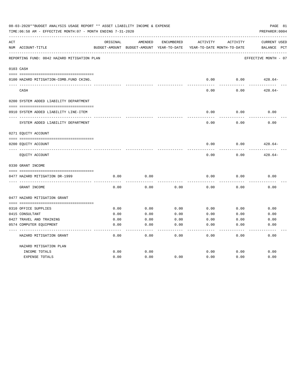|     | 08-03-2020**BUDGET ANALYSIS USAGE REPORT ** ASSET LIABILITY INCOME & EXPENSE<br>TIME: 06:58 AM - EFFECTIVE MONTH: 07 - MONTH ENDING 7-31-2020 |          |                                        |                            |          |                                        | PAGE 81<br>PREPARER: 0004             |
|-----|-----------------------------------------------------------------------------------------------------------------------------------------------|----------|----------------------------------------|----------------------------|----------|----------------------------------------|---------------------------------------|
| ACT | NUM ACCOUNT-TITLE                                                                                                                             | ORIGINAL | AMENDED<br>BUDGET-AMOUNT BUDGET-AMOUNT | ENCUMBERED<br>YEAR-TO-DATE | ACTIVITY | ACTIVITY<br>YEAR-TO-DATE MONTH-TO-DATE | <b>CURRENT USED</b><br>PCT<br>BALANCE |
|     | REPORTING FUND: 0042 HAZARD MITIGATION PLAN                                                                                                   |          |                                        |                            |          |                                        | EFFECTIVE MONTH - 07                  |
|     | 0103 CASH                                                                                                                                     |          |                                        |                            |          |                                        |                                       |
|     | 0100 HAZARD MITIGATION-COMB.FUND CKING.                                                                                                       |          |                                        |                            | 0.00     | 0.00                                   | $428.64-$                             |
|     | CASH                                                                                                                                          |          |                                        |                            | 0.00     | 0.00                                   | $428.64-$                             |
|     | 0200 SYSTEM ADDED LIABILITY DEPARTMENT                                                                                                        |          |                                        |                            |          |                                        |                                       |
|     | 0910 SYSTEM ADDED LIABILITY LINE-ITEM                                                                                                         |          |                                        |                            | 0.00     | 0.00                                   | 0.00                                  |
|     | SYSTEM ADDED LIABILITY DEPARTMENT                                                                                                             |          |                                        |                            | 0.00     | 0.00                                   | 0.00                                  |
|     | 0271 EQUITY ACCOUNT                                                                                                                           |          |                                        |                            |          |                                        |                                       |
|     | 0200 EQUITY ACCOUNT                                                                                                                           |          |                                        |                            | 0.00     | 0.00                                   | $428.64-$                             |
|     | EQUITY ACCOUNT                                                                                                                                |          |                                        |                            | 0.00     | 0.00                                   | $428.64-$                             |
|     | 0330 GRANT INCOME                                                                                                                             |          |                                        |                            |          |                                        |                                       |
|     | 0477 HAZARD MITIGATION DR-1999                                                                                                                | 0.00     | 0.00                                   |                            | 0.00     | 0.00                                   | 0.00                                  |
|     |                                                                                                                                               |          |                                        |                            |          |                                        |                                       |
|     | GRANT INCOME                                                                                                                                  | 0.00     | 0.00                                   | 0.00                       | 0.00     | 0.00                                   | 0.00                                  |
|     | 0477 HAZARD MITIGATION GRANT                                                                                                                  |          |                                        |                            |          |                                        |                                       |
|     | 0310 OFFICE SUPPLIES                                                                                                                          | 0.00     | 0.00                                   | 0.00                       | 0.00     | 0.00                                   | 0.00                                  |
|     | 0415 CONSULTANT                                                                                                                               | 0.00     | 0.00                                   | 0.00                       | 0.00     | 0.00                                   | 0.00                                  |
|     | 0427 TRAVEL AND TRAINING                                                                                                                      | 0.00     | 0.00                                   | 0.00                       | 0.00     | 0.00                                   | 0.00                                  |
|     | 0574 COMPUTER EQUIPMENT                                                                                                                       | 0.00     | 0.00                                   | 0.00                       | 0.00     | 0.00                                   | 0.00                                  |
|     | HAZARD MITIGATION GRANT                                                                                                                       | 0.00     | 0.00                                   | 0.00                       | 0.00     | 0.00                                   | 0.00                                  |
|     | HAZARD MITIGATION PLAN                                                                                                                        |          |                                        |                            |          |                                        |                                       |
|     | INCOME TOTALS                                                                                                                                 | 0.00     | 0.00                                   |                            | 0.00     | 0.00                                   | 0.00                                  |
|     | <b>EXPENSE TOTALS</b>                                                                                                                         | 0.00     | 0.00                                   | 0.00                       | 0.00     | 0.00                                   | 0.00                                  |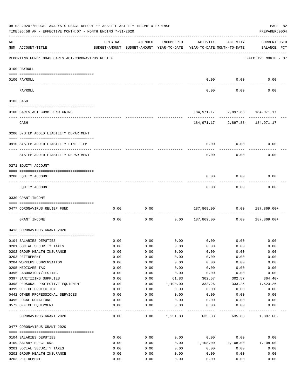|                | 08-03-2020**BUDGET ANALYSIS USAGE REPORT ** ASSET LIABILITY INCOME & EXPENSE<br>TIME: $06:58$ AM - EFFECTIVE MONTH: $07$ - MONTH ENDING $7-31-2020$ |              |                                                     |                    |                                        |                                     | PAGE 82<br>PREPARER: 0004          |
|----------------|-----------------------------------------------------------------------------------------------------------------------------------------------------|--------------|-----------------------------------------------------|--------------------|----------------------------------------|-------------------------------------|------------------------------------|
| $\mathtt{ACT}$ | NUM ACCOUNT-TITLE                                                                                                                                   | ORIGINAL     | AMENDED<br>BUDGET-AMOUNT BUDGET-AMOUNT YEAR-TO-DATE | ENCUMBERED         | ACTIVITY<br>YEAR-TO-DATE MONTH-TO-DATE | ACTIVITY                            | <b>CURRENT USED</b><br>BALANCE PCT |
|                | REPORTING FUND: 0043 CARES ACT-CORONAVIRUS RELIEF                                                                                                   |              |                                                     |                    |                                        |                                     | EFFECTIVE MONTH - 07               |
|                | 0100 PAYROLL                                                                                                                                        |              |                                                     |                    |                                        |                                     |                                    |
|                | 0100 PAYROLL                                                                                                                                        |              |                                                     |                    | 0.00                                   | 0.00                                | 0.00                               |
|                | PAYROLL                                                                                                                                             |              |                                                     |                    | 0.00                                   | 0.00                                | 0.00                               |
|                | 0103 CASH                                                                                                                                           |              |                                                     |                    |                                        |                                     |                                    |
|                | 0100 CARES ACT-COMB FUND CKING                                                                                                                      |              |                                                     |                    |                                        | 184, 971.17 2, 897.83 - 184, 971.17 |                                    |
|                | CASH                                                                                                                                                |              |                                                     |                    |                                        | 184, 971.17 2, 897.83- 184, 971.17  |                                    |
|                | 0200 SYSTEM ADDED LIABILITY DEPARTMENT                                                                                                              |              |                                                     |                    |                                        |                                     |                                    |
|                | 0910 SYSTEM ADDED LIABILITY LINE-ITEM                                                                                                               |              |                                                     |                    | 0.00                                   | 0.00                                | 0.00                               |
|                | SYSTEM ADDED LIABILITY DEPARTMENT                                                                                                                   |              |                                                     |                    | 0.00                                   | 0.00                                | 0.00                               |
|                | 0271 EQUITY ACCOUNT                                                                                                                                 |              |                                                     |                    |                                        |                                     |                                    |
|                | 0200 EQUITY ACCOUNT                                                                                                                                 |              |                                                     |                    | 0.00                                   | 0.00                                | 0.00                               |
|                | EQUITY ACCOUNT                                                                                                                                      |              |                                                     |                    | 0.00                                   | 0.00                                | 0.00                               |
|                | 0330 GRANT INCOME                                                                                                                                   |              |                                                     |                    |                                        |                                     |                                    |
|                | 0477 CORONAVIRUS RELIEF FUND                                                                                                                        | 0.00         | 0.00                                                |                    | 187,869.00                             | 0.00                                | 187,869.00+                        |
|                | GRANT INCOME                                                                                                                                        | 0.00         | 0.00                                                | 0.00               | 187,869.00                             | 0.00                                | 187,869.00+                        |
|                | 0413 CORONAVIRUS GRANT 2020                                                                                                                         |              |                                                     |                    |                                        |                                     |                                    |
|                |                                                                                                                                                     |              |                                                     | 0.00               |                                        | $0.00$ 0.00                         |                                    |
|                | 0104 SALARIES DEPUTIES<br>0201 SOCIAL SECURITY TAXES                                                                                                | 0.00<br>0.00 | 0.00<br>0.00                                        | 0.00               | 0.00                                   | 0.00                                | 0.00<br>0.00                       |
|                | 0202 GROUP HEALTH INSURANCE                                                                                                                         | 0.00         | 0.00                                                | 0.00               | 0.00                                   | 0.00                                | 0.00                               |
|                | 0203 RETIREMENT                                                                                                                                     | 0.00         | 0.00                                                | 0.00               | 0.00                                   | 0.00                                | 0.00                               |
|                | 0204 WORKERS COMPENSATION                                                                                                                           | 0.00         | 0.00                                                | 0.00               | 0.00                                   | 0.00                                | 0.00                               |
|                | 0205 MEDICARE TAX                                                                                                                                   | 0.00         | 0.00                                                | 0.00               | 0.00                                   | 0.00                                | 0.00                               |
|                | 0396 LABORATORY/TESTING                                                                                                                             | 0.00         |                                                     |                    |                                        |                                     | 0.00                               |
|                |                                                                                                                                                     |              | 0.00                                                | 0.00               | 0.00                                   | 0.00                                |                                    |
|                | 0397 SANITIZING SUPPLIES                                                                                                                            | 0.00         | 0.00                                                | 61.83              | 302.57                                 | 302.57                              | $364.40-$                          |
|                | 0398 PERSONAL PROTECTIVE EQUIPMENT                                                                                                                  | 0.00         | 0.00                                                | 1,190.00           | 333.26                                 | 333.26                              | $1,523.26-$                        |
|                | 0399 OFFICE PROTECTION                                                                                                                              | 0.00         | 0.00                                                | 0.00               | 0.00                                   | 0.00                                | 0.00                               |
|                | 0442 OTHER PROFESSIONAL SERVICES                                                                                                                    | 0.00         | 0.00                                                | 0.00               | 0.00                                   | 0.00                                | 0.00                               |
|                | 0495 LOCAL DONATIONS                                                                                                                                | 0.00         | 0.00                                                | 0.00               | 0.00                                   | 0.00                                | 0.00                               |
|                | 0572 OFFICE EQUIPMENT                                                                                                                               | 0.00         | 0.00                                                | 0.00               | 0.00                                   | 0.00                                | 0.00                               |
|                | CORONAVIRUS GRANT 2020                                                                                                                              | 0.00         |                                                     | $0.00 \t 1,251.83$ | 635.83                                 |                                     | 635.83 1,887.66-                   |
|                | 0477 CORONAVIRUS GRANT 2020                                                                                                                         |              |                                                     |                    |                                        |                                     |                                    |
|                | 0104 SALARIES DEPUTIES                                                                                                                              | 0.00         | 0.00                                                | 0.00               | 0.00                                   | 0.00                                | 0.00                               |
|                | 0109 SALARY ELECTIONS                                                                                                                               | 0.00         | 0.00                                                | 0.00               | 1,108.00                               | 1,108.00                            | $1,108.00 -$                       |
|                | 0201 SOCIAL SECURITY TAXES                                                                                                                          | 0.00         | 0.00                                                | 0.00               | 0.00                                   | 0.00                                | 0.00                               |
|                | 0202 GROUP HEALTH INSURANCE                                                                                                                         | 0.00         | 0.00                                                | 0.00               | 0.00                                   | 0.00                                | 0.00                               |
|                | 0203 RETIREMENT                                                                                                                                     | 0.00         | 0.00                                                | 0.00               | 0.00                                   | 0.00                                | 0.00                               |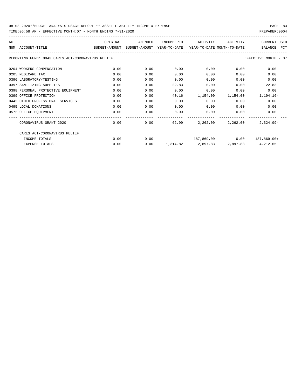TIME:06:58 AM - EFFECTIVE MONTH:07 - MONTH ENDING 7-31-2020

| ACT |                                                                                          | ORIGINAL | AMENDED | ENCUMBERED | ACTIVITY                                      | ACTIVITY     | <b>CURRENT USED</b>  |
|-----|------------------------------------------------------------------------------------------|----------|---------|------------|-----------------------------------------------|--------------|----------------------|
|     | BUDGET-AMOUNT BUDGET-AMOUNT YEAR-TO-DATE YEAR-TO-DATE_MONTH-TO-DATE<br>NUM ACCOUNT-TITLE |          |         |            |                                               |              | BALANCE PCT          |
|     | REPORTING FUND: 0043 CARES ACT-CORONAVIRUS RELIEF                                        |          |         |            |                                               |              | EFFECTIVE MONTH - 07 |
|     | 0204 WORKERS COMPENSATION                                                                | 0.00     | 0.00    | 0.00       | 0.00                                          | 0.00         | 0.00                 |
|     | 0205 MEDICARE TAX                                                                        | 0.00     | 0.00    | 0.00       | 0.00                                          | 0.00         | 0.00                 |
|     | 0396 LABORATORY/TESTING                                                                  | 0.00     | 0.00    | 0.00       | 0.00                                          | 0.00         | 0.00                 |
|     | 0397 SANITIZING SUPPLIES                                                                 | 0.00     | 0.00    | 22.83      | 0.00                                          | 0.00         | $22.83-$             |
|     | 0398 PERSONAL PROTECTIVE EQUIPMENT                                                       | 0.00     | 0.00    | 0.00       | 0.00                                          | 0.00         | 0.00                 |
|     | 0399 OFFICE PROTECTION                                                                   | 0.00     | 0.00    | 40.16      | 1,154.00                                      |              | 1,154.00 1,194.16-   |
|     | 0442 OTHER PROFESSIONAL SERVICES                                                         | 0.00     | 0.00    | 0.00       | 0.00                                          | 0.00         | 0.00                 |
|     | 0495 LOCAL DONATIONS                                                                     | 0.00     | 0.00    | 0.00       | 0.00                                          | 0.00         | 0.00                 |
|     | 0572 OFFICE EOUIPMENT                                                                    | 0.00     | 0.00    | 0.00       |                                               | 0.00<br>0.00 | 0.00                 |
|     | CORONAVIRUS GRANT 2020                                                                   | 0.00     | 0.00    |            | 62.99 2,262.00 2,262.00                       |              | $2.324.99 -$         |
|     | CARES ACT-CORONAVIRUS RELIEF                                                             |          |         |            |                                               |              |                      |
|     | INCOME TOTALS                                                                            | 0.00     | 0.00    |            | $187,869.00$ $0.00$ $187,869.00+$             |              |                      |
|     | <b>EXPENSE TOTALS</b>                                                                    | 0.00     | 0.00    |            | $1,314.82$ $2,897.83$ $2,897.83$ $4,212.65$ - |              |                      |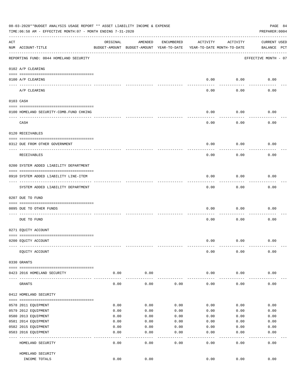|     | 08-03-2020**BUDGET ANALYSIS USAGE REPORT ** ASSET LIABILITY INCOME & EXPENSE<br>TIME: 06:58 AM - EFFECTIVE MONTH: 07 - MONTH ENDING 7-31-2020 |                      |                                                     |            |                                        |                  | PAGE 84<br>PREPARER: 0004          |
|-----|-----------------------------------------------------------------------------------------------------------------------------------------------|----------------------|-----------------------------------------------------|------------|----------------------------------------|------------------|------------------------------------|
| ACT | NUM ACCOUNT-TITLE                                                                                                                             | ORIGINAL             | AMENDED<br>BUDGET-AMOUNT BUDGET-AMOUNT YEAR-TO-DATE | ENCUMBERED | ACTIVITY<br>YEAR-TO-DATE MONTH-TO-DATE | ACTIVITY         | <b>CURRENT USED</b><br>BALANCE PCT |
|     | REPORTING FUND: 0044 HOMELAND SECURITY                                                                                                        |                      |                                                     |            |                                        |                  | EFFECTIVE MONTH - 07               |
|     | 0102 A/P CLEARING                                                                                                                             |                      |                                                     |            |                                        |                  |                                    |
|     | 0100 A/P CLEARING                                                                                                                             |                      |                                                     |            | 0.00                                   | 0.00             | 0.00                               |
|     | ---- -----------<br>A/P CLEARING                                                                                                              |                      |                                                     |            | 0.00                                   | 0.00             | 0.00                               |
|     | 0103 CASH                                                                                                                                     |                      |                                                     |            |                                        |                  |                                    |
|     | 0100 HOMELAND SECURITY-COMB.FUND CHKING                                                                                                       |                      |                                                     |            | 0.00                                   | 0.00             | 0.00                               |
|     | ---------------------<br>CASH                                                                                                                 |                      |                                                     |            | 0.00                                   | 0.00             | 0.00                               |
|     | 0120 RECEIVABLES                                                                                                                              |                      |                                                     |            |                                        |                  |                                    |
|     | 0312 DUE FROM OTHER GOVERNMENT                                                                                                                |                      |                                                     |            | 0.00                                   | 0.00             | 0.00                               |
|     | RECEIVABLES                                                                                                                                   |                      |                                                     |            | 0.00                                   | 0.00             | 0.00                               |
|     | 0200 SYSTEM ADDED LIABILITY DEPARTMENT                                                                                                        |                      |                                                     |            |                                        |                  |                                    |
|     | 0910 SYSTEM ADDED LIABILITY LINE-ITEM                                                                                                         |                      |                                                     |            | 0.00                                   | 0.00             | 0.00                               |
|     | SYSTEM ADDED LIABILITY DEPARTMENT                                                                                                             |                      |                                                     |            | 0.00                                   | 0.00             | 0.00                               |
|     | 0207 DUE TO FUND                                                                                                                              |                      |                                                     |            |                                        |                  |                                    |
|     | 0095 DUE TO OTHER FUNDS                                                                                                                       |                      |                                                     |            | 0.00                                   | 0.00             | 0.00                               |
|     | DUE TO FUND                                                                                                                                   |                      |                                                     |            | 0.00                                   | 0.00             | 0.00                               |
|     | 0271 EQUITY ACCOUNT                                                                                                                           |                      |                                                     |            |                                        |                  |                                    |
|     | 0200 EQUITY ACCOUNT                                                                                                                           |                      |                                                     |            | 0.00                                   | 0.00             | 0.00                               |
|     | EQUITY ACCOUNT                                                                                                                                |                      |                                                     |            | 0.00                                   | 0.00             | 0.00                               |
|     | 0330 GRANTS                                                                                                                                   |                      |                                                     |            |                                        |                  |                                    |
|     | 0423 2016 HOMELAND SECURITY                                                                                                                   | 0.00                 | 0.00                                                |            | 0.00                                   | 0.00             | 0.00                               |
|     | GRANTS                                                                                                                                        | . <u>.</u> .<br>0.00 | .<br>0.00                                           | 0.00       | $- - - - - -$<br>0.00                  | --------<br>0.00 | 0.00                               |
|     | 0412 HOMELAND SECURITY                                                                                                                        |                      |                                                     |            |                                        |                  |                                    |
|     | 0578 2011 EQUIPMENT                                                                                                                           | 0.00                 | 0.00                                                | 0.00       | 0.00                                   | 0.00             | 0.00                               |
|     | 0579 2012 EQUIPMENT                                                                                                                           | 0.00                 | 0.00                                                | 0.00       | 0.00                                   | 0.00             | 0.00                               |
|     | 0580 2013 EQUIPMENT                                                                                                                           | 0.00                 | 0.00                                                | 0.00       | 0.00                                   | 0.00             | 0.00                               |
|     | 0581 2014 EQUIPMENT                                                                                                                           | 0.00                 | 0.00                                                | 0.00       | 0.00                                   | 0.00             | 0.00                               |
|     | 0582 2015 EQUIPMENT                                                                                                                           | 0.00                 | 0.00                                                | 0.00       | 0.00                                   | 0.00             | 0.00                               |
|     | 0583 2016 EQUIPMENT                                                                                                                           | 0.00                 | 0.00                                                | 0.00       | 0.00                                   | 0.00             | 0.00                               |
|     | HOMELAND SECURITY                                                                                                                             | 0.00                 | 0.00                                                | 0.00       | 0.00                                   | 0.00             | $- - - - - -$<br>0.00              |
|     | HOMELAND SECURITY                                                                                                                             |                      |                                                     |            |                                        |                  |                                    |
|     | INCOME TOTALS                                                                                                                                 | 0.00                 | 0.00                                                |            | 0.00                                   | 0.00             | 0.00                               |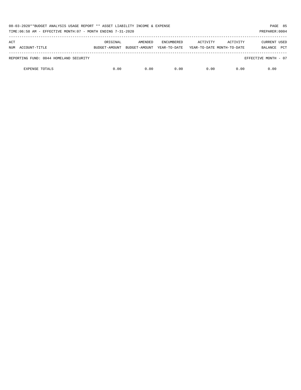| 08-03-2020**BUDGET ANALYSIS USAGE REPORT ** ASSET LIABILITY INCOME & EXPENSE<br>TIME:06:58 AM - EFFECTIVE MONTH:07 - MONTH ENDING 7-31-2020<br>PREPARER: 0004 |               |               |                   |                            |          |                       |  |  |
|---------------------------------------------------------------------------------------------------------------------------------------------------------------|---------------|---------------|-------------------|----------------------------|----------|-----------------------|--|--|
| ACT                                                                                                                                                           | ORIGINAL      | AMENDED       | <b>ENCUMBERED</b> | ACTIVITY                   | ACTIVITY | CURRENT USED          |  |  |
| NUM ACCOUNT-TITLE                                                                                                                                             | BUDGET-AMOUNT | BUDGET-AMOUNT | YEAR-TO-DATE      | YEAR-TO-DATE MONTH-TO-DATE |          | <b>PCT</b><br>BALANCE |  |  |
| REPORTING FUND: 0044 HOMELAND SECURITY                                                                                                                        |               |               |                   |                            |          | EFFECTIVE MONTH - 07  |  |  |
| <b>EXPENSE TOTALS</b>                                                                                                                                         | 0.00          | 0.00          | 0.00              | 0.00                       | 0.00     | 0.00                  |  |  |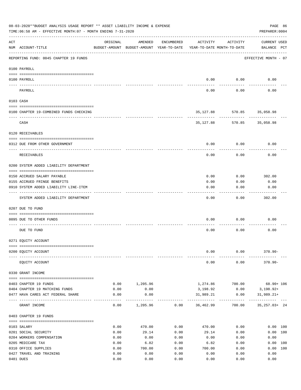|     | 08-03-2020**BUDGET ANALYSIS USAGE REPORT ** ASSET LIABILITY INCOME & EXPENSE<br>TIME:06:58 AM - EFFECTIVE MONTH:07 - MONTH ENDING 7-31-2020 |              |                                                     |              |                                        |                 | PAGE 86<br>PREPARER: 0004          |  |
|-----|---------------------------------------------------------------------------------------------------------------------------------------------|--------------|-----------------------------------------------------|--------------|----------------------------------------|-----------------|------------------------------------|--|
| ACT | NUM ACCOUNT-TITLE                                                                                                                           | ORIGINAL     | AMENDED<br>BUDGET-AMOUNT BUDGET-AMOUNT YEAR-TO-DATE | ENCUMBERED   | ACTIVITY<br>YEAR-TO-DATE MONTH-TO-DATE | ACTIVITY        | <b>CURRENT USED</b><br>BALANCE PCT |  |
|     | REPORTING FUND: 0045 CHAPTER 19 FUNDS                                                                                                       |              |                                                     |              |                                        |                 | EFFECTIVE MONTH - 07               |  |
|     | 0100 PAYROLL                                                                                                                                |              |                                                     |              |                                        |                 |                                    |  |
|     | 0100 PAYROLL                                                                                                                                |              |                                                     |              | 0.00                                   | 0.00            | 0.00                               |  |
|     | ---- ----<br>PAYROLL                                                                                                                        |              |                                                     |              | 0.00                                   | 0.00            | 0.00                               |  |
|     | 0103 CASH                                                                                                                                   |              |                                                     |              |                                        |                 |                                    |  |
|     | 0100 CHAPTER 19-COMBINED FUNDS CHECKING                                                                                                     |              |                                                     |              | 35,127.88                              |                 | 570.85 35,058.98                   |  |
|     | CASH                                                                                                                                        |              |                                                     |              | 35, 127, 88                            |                 | 570.85 35,058.98                   |  |
|     | 0120 RECEIVABLES                                                                                                                            |              |                                                     |              |                                        |                 |                                    |  |
|     | 0312 DUE FROM OTHER GOVERNMENT                                                                                                              |              |                                                     |              | 0.00                                   | 0.00            | 0.00                               |  |
|     | RECEIVABLES                                                                                                                                 |              |                                                     |              | 0.00                                   | 0.00            | 0.00                               |  |
|     | 0200 SYSTEM ADDED LIABILITY DEPARTMENT                                                                                                      |              |                                                     |              |                                        |                 |                                    |  |
|     | 0150 ACCRUED SALARY PAYABLE                                                                                                                 |              |                                                     |              | 0.00                                   | 0.00            | 302.00                             |  |
|     | 0155 ACCRUED FRINGE BENEFITS                                                                                                                |              |                                                     |              | 0.00                                   | 0.00            | 0.00                               |  |
|     | 0910 SYSTEM ADDED LIABILITY LINE-ITEM                                                                                                       |              |                                                     |              | 0.00                                   | 0.00            | 0.00                               |  |
|     | SYSTEM ADDED LIABILITY DEPARTMENT                                                                                                           |              |                                                     |              | 0.00                                   | 0.00            | 302.00                             |  |
|     | 0207 DUE TO FUND                                                                                                                            |              |                                                     |              |                                        |                 |                                    |  |
|     | 0095 DUE TO OTHER FUNDS                                                                                                                     |              |                                                     |              | 0.00                                   | 0.00            | 0.00                               |  |
|     | DUE TO FUND                                                                                                                                 |              |                                                     |              | 0.00                                   | 0.00            | 0.00                               |  |
|     | 0271 EQUITY ACCOUNT                                                                                                                         |              |                                                     |              |                                        |                 |                                    |  |
|     | 0200 EQUITY ACCOUNT                                                                                                                         |              |                                                     |              | 0.00                                   | 0.00            | $370.90 -$                         |  |
|     | EQUITY ACCOUNT                                                                                                                              |              |                                                     |              | 0.00                                   | 0.00            | $370.90 -$                         |  |
|     | 0330 GRANT INCOME                                                                                                                           |              |                                                     |              |                                        |                 |                                    |  |
|     | 0403 CHAPTER 19 FUNDS                                                                                                                       | 0.00         | 1,205.96                                            |              |                                        | 1,274.86 700.00 | $68.90 + 106$                      |  |
|     | 0404 CHAPTER 19 MATCHING FUNDS                                                                                                              | 0.00         | 0.00                                                |              | 3,198.92                               | 0.00            | 3,198.92+                          |  |
|     | 0477 HAVA CARES ACT FEDERAL SHARE                                                                                                           | 0.00         | 0.00                                                |              | 31,989.21<br>-------------             | 0.00            | $31,989.21+$<br>------------------ |  |
|     | GRANT INCOME                                                                                                                                | 0.00         | 1,205.96                                            | 0.00         | 36,462.99                              | 700.00          | $35,257.03+24$                     |  |
|     | 0403 CHAPTER 19 FUNDS                                                                                                                       |              |                                                     |              |                                        |                 |                                    |  |
|     | 0103 SALARY                                                                                                                                 | 0.00         | 470.00                                              | 0.00         | 470.00                                 | 0.00            | 0.00 100                           |  |
|     | 0201 SOCIAL SECURITY                                                                                                                        | 0.00         | 29.14                                               | 0.00         | 29.14                                  | 0.00            | 0.00 100                           |  |
|     | 0204 WORKERS COMPENSATION                                                                                                                   | 0.00         | 0.00                                                | 0.00         | 0.00                                   | 0.00            | 0.00                               |  |
|     | 0205 MEDICARE TAX<br>0310 OFFICE SUPPLIES                                                                                                   | 0.00<br>0.00 | 6.82<br>700.00                                      | 0.00<br>0.00 | 6.82<br>700.00                         | 0.00<br>0.00    | 0.00 100<br>0.00 100               |  |
|     | 0427 TRAVEL AND TRAINING                                                                                                                    | 0.00         | 0.00                                                | 0.00         | 0.00                                   | 0.00            | 0.00                               |  |
|     | 0481 DUES                                                                                                                                   | 0.00         | 0.00                                                | 0.00         | 0.00                                   | 0.00            | 0.00                               |  |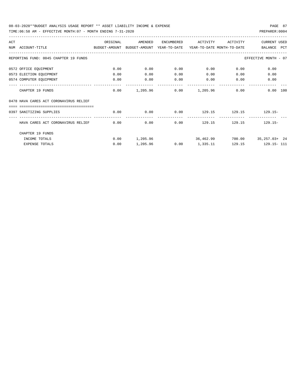TIME:06:58 AM - EFFECTIVE MONTH:07 - MONTH ENDING 7-31-2020

| ACT |                                                                                          | ORIGINAL | AMENDED  | ENCUMBERED                          | ACTIVITY        | ACTIVITY | <b>CURRENT USED</b>         |
|-----|------------------------------------------------------------------------------------------|----------|----------|-------------------------------------|-----------------|----------|-----------------------------|
|     | NUM ACCOUNT-TITLE<br>BUDGET-AMOUNT BUDGET-AMOUNT YEAR-TO-DATE YEAR-TO-DATE_MONTH-TO-DATE |          |          |                                     |                 |          | BALANCE PCT                 |
|     | REPORTING FUND: 0045 CHAPTER 19 FUNDS                                                    |          |          |                                     |                 |          | EFFECTIVE MONTH - 07        |
|     | 0572 OFFICE EQUIPMENT                                                                    | 0.00     | 0.00     | 0.00                                |                 | 0.00     | 0.00<br>0.00                |
|     | 0573 ELECTION EQUIPMENT                                                                  | 0.00     | 0.00     | 0.00                                | 0.00            | 0.00     | 0.00                        |
|     | 0574 COMPUTER EQUIPMENT                                                                  | 0.00     | 0.00     | 0.00<br>_____________               | 0.00            | 0.00     | 0.00                        |
|     | CHAPTER 19 FUNDS                                                                         | 0.00     |          | $1,205.96$ $0.00$ $1,205.96$ $0.00$ |                 |          | $0.00$ 100                  |
|     | 0478 HAVA CARES ACT CORONAVIRUS RELIEF                                                   |          |          |                                     |                 |          |                             |
|     | , __________________________________<br>0397 SANITIZING SUPPLIES                         | 0.00     | 0.00     |                                     |                 |          | $0.00$ 129.15 129.15 129.15 |
|     | HAVA CARES ACT CORONAVIRUS RELIEF                                                        | 0.00     | 0.00     |                                     | $0.00$ 129.15   | 129.15   | $129.15-$                   |
|     | CHAPTER 19 FUNDS                                                                         |          |          |                                     |                 |          |                             |
|     | INCOME TOTALS                                                                            | 0.00     | 1,205.96 |                                     | 36,462.99       |          | 700.00 35,257.03+ 24        |
|     | <b>EXPENSE TOTALS</b>                                                                    | 0.00     | 1,205.96 |                                     | $0.00$ 1,335.11 |          | 129.15 129.15-111           |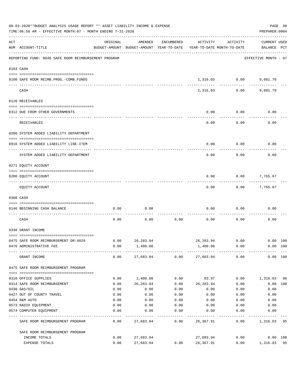|     | 08-03-2020**BUDGET ANALYSIS USAGE REPORT ** ASSET LIABILITY INCOME & EXPENSE<br>TIME:06:58 AM - EFFECTIVE MONTH:07 - MONTH ENDING 7-31-2020 |                                                                                 |            |            |                  |                         |                             |          |  |  |
|-----|---------------------------------------------------------------------------------------------------------------------------------------------|---------------------------------------------------------------------------------|------------|------------|------------------|-------------------------|-----------------------------|----------|--|--|
| ACT | NUM ACCOUNT-TITLE                                                                                                                           | ORIGINAL<br>BUDGET-AMOUNT BUDGET-AMOUNT YEAR-TO-DATE YEAR-TO-DATE MONTH-TO-DATE | AMENDED    | ENCUMBERED | ACTIVITY         | ACTIVITY                | CURRENT USED<br>BALANCE PCT |          |  |  |
|     | REPORTING FUND: 0046 SAFE ROOM REIMBURSEMENT PROGRAM                                                                                        |                                                                                 |            |            |                  |                         | EFFECTIVE MONTH - 07        |          |  |  |
|     | 0103 CASH                                                                                                                                   |                                                                                 |            |            |                  |                         |                             |          |  |  |
|     | 0100 SAFE ROOM REIMB. PROG. - COMB. FUNDS                                                                                                   |                                                                                 |            |            |                  | 1,316.03 0.00           | 9,081.70                    |          |  |  |
|     | CASH                                                                                                                                        |                                                                                 |            |            |                  | -----------<br>1,316.03 | 0.00<br>9,081.70            |          |  |  |
|     | 0120 RECEIVABLES                                                                                                                            |                                                                                 |            |            |                  |                         |                             |          |  |  |
|     | 0312 DUE FROM OTHER GOVERNMENTS                                                                                                             |                                                                                 |            |            | 0.00             | 0.00                    | 0.00                        |          |  |  |
|     | RECEIVABLES                                                                                                                                 |                                                                                 |            |            | 0.00             | 0.00                    | 0.00                        |          |  |  |
|     | 0200 SYSTEM ADDED LIABILITY DEPARTMENT                                                                                                      |                                                                                 |            |            |                  |                         |                             |          |  |  |
|     | 0910 SYSTEM ADDED LIABILITY LINE-ITEM                                                                                                       |                                                                                 |            |            | 0.00             | 0.00                    | 0.00                        |          |  |  |
|     | SYSTEM ADDED LIABILITY DEPARTMENT                                                                                                           |                                                                                 |            |            | 0.00             | 0.00                    | 0.00                        |          |  |  |
|     | 0271 EQUITY ACCOUNT                                                                                                                         |                                                                                 |            |            |                  |                         |                             |          |  |  |
|     |                                                                                                                                             |                                                                                 |            |            |                  |                         |                             |          |  |  |
|     | 0200 EQUITY ACCOUNT                                                                                                                         |                                                                                 |            |            | 0.00             | 0.00                    | 7,765.67                    |          |  |  |
|     | EQUITY ACCOUNT                                                                                                                              |                                                                                 |            |            | 0.00             |                         | $0.00$ 7,765.67             |          |  |  |
|     | 0300 CASH                                                                                                                                   |                                                                                 |            |            |                  |                         |                             |          |  |  |
|     | 0146 BEGINNING CASH BALANCE                                                                                                                 | 0.00                                                                            | 0.00       |            | 0.00             | 0.00                    | 0.00                        |          |  |  |
|     | CASH                                                                                                                                        | 0.00                                                                            | 0.00       | 0.00       | 0.00             | 0.00                    | 0.00                        |          |  |  |
|     | 0330 GRANT INCOME                                                                                                                           |                                                                                 |            |            |                  |                         |                             |          |  |  |
|     | 0475 SAFE ROOM REIMBURSEMENT DR-4029                                                                                                        | 0.00                                                                            | 26, 283.94 |            |                  | 26,283.94 0.00          | $0.00$ 100                  |          |  |  |
|     | 0476 ADMINISTRATIVE FEE                                                                                                                     | 0.00                                                                            | 1,400.00   |            | 1,400.00         | 0.00                    |                             | 0.00 100 |  |  |
|     | GRANT INCOME                                                                                                                                | 0.00                                                                            | 27,683.94  |            | $0.00$ 27,683.94 | 0.00                    |                             | 0.00 100 |  |  |
|     | 0475 SAFE ROOM REIMBURSEMENT PROGRAM                                                                                                        |                                                                                 |            |            |                  |                         |                             |          |  |  |
|     | 0310 OFFICE SUPPLIES                                                                                                                        | 0.00                                                                            | 1,400.00   | 0.00       | 83.97            | 0.00                    | 1,316.03 06                 |          |  |  |
|     | 0314 SAFE ROOM REIMBURSEMENT                                                                                                                | 0.00                                                                            | 26,283.94  | 0.00       | 26,283.94        | 0.00                    |                             | 0.00 100 |  |  |
|     | 0330 GAS/OIL                                                                                                                                | 0.00                                                                            | 0.00       | 0.00       | 0.00             | 0.00                    | 0.00                        |          |  |  |
|     | 0427 OUT OF COUNTY TRAVEL                                                                                                                   | 0.00                                                                            | 0.00       | 0.00       | 0.00             | 0.00                    | 0.00                        |          |  |  |
|     | 0454 R&M AUTO                                                                                                                               | 0.00                                                                            | 0.00       | 0.00       | 0.00             | 0.00                    | 0.00                        |          |  |  |
|     | 0573 RADIO EQUIPMENT                                                                                                                        | 0.00                                                                            | 0.00       | 0.00       | 0.00             | 0.00                    | 0.00                        |          |  |  |
|     | 0574 COMPUTER EQUIPMENT                                                                                                                     | 0.00                                                                            | 0.00       | 0.00       | 0.00             | 0.00                    | 0.00                        |          |  |  |
|     | SAFE ROOM REIMBURSEMENT PROGRAM                                                                                                             | 0.00                                                                            | 27,683.94  | 0.00       | 26,367.91        | 0.00                    | 1,316.03                    | 95       |  |  |
|     | SAFE ROOM REIMBURSEMENT PROGRAM                                                                                                             |                                                                                 |            |            |                  |                         |                             |          |  |  |
|     | INCOME TOTALS                                                                                                                               | 0.00                                                                            | 27,683.94  |            | 27,683.94        | 0.00                    |                             | 0.00 100 |  |  |
|     | EXPENSE TOTALS                                                                                                                              | 0.00                                                                            | 27,683.94  | 0.00       | 26,367.91        | 0.00                    | 1,316.03                    | 95       |  |  |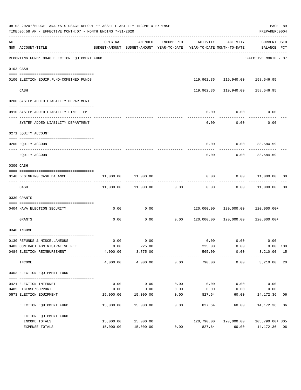|     | 08-03-2020**BUDGET ANALYSIS USAGE REPORT ** ASSET LIABILITY INCOME & EXPENSE<br>TIME:06:58 AM - EFFECTIVE MONTH:07 - MONTH ENDING 7-31-2020 |                          |                                                                                |                      |                                                    |                      | PREPARER: 0004                            | PAGE 89 |
|-----|---------------------------------------------------------------------------------------------------------------------------------------------|--------------------------|--------------------------------------------------------------------------------|----------------------|----------------------------------------------------|----------------------|-------------------------------------------|---------|
| ACT | NUM ACCOUNT-TITLE                                                                                                                           | ORIGINAL                 | AMENDED<br>BUDGET-AMOUNT BUDGET-AMOUNT YEAR-TO-DATE YEAR-TO-DATE MONTH-TO-DATE | ENCUMBERED           | ACTIVITY                                           | ACTIVITY             | CURRENT USED<br>BALANCE PCT               |         |
|     | REPORTING FUND: 0048 ELECTION EQUIPMENT FUND                                                                                                |                          |                                                                                |                      |                                                    |                      | EFFECTIVE MONTH - 07                      |         |
|     | 0103 CASH                                                                                                                                   |                          |                                                                                |                      |                                                    |                      |                                           |         |
|     |                                                                                                                                             |                          |                                                                                |                      |                                                    |                      |                                           |         |
|     | 0100 ELECTION EQUIP.FUND-COMBINED FUNDS                                                                                                     |                          |                                                                                |                      |                                                    |                      | 119,962.36 119,940.00 158,546.95          |         |
|     | CASH                                                                                                                                        |                          |                                                                                |                      |                                                    |                      | 119,962.36 119,940.00 158,546.95          |         |
|     | 0200 SYSTEM ADDED LIABILITY DEPARTMENT                                                                                                      |                          |                                                                                |                      |                                                    |                      |                                           |         |
|     |                                                                                                                                             |                          |                                                                                |                      |                                                    |                      |                                           |         |
|     | 0910 SYSTEM ADDED LIABILITY LINE-ITEM                                                                                                       |                          |                                                                                |                      | 0.00                                               | 0.00<br>-----------  | 0.00                                      |         |
|     | SYSTEM ADDED LIABILITY DEPARTMENT                                                                                                           |                          |                                                                                |                      | 0.00                                               | 0.00                 | 0.00                                      |         |
|     | 0271 EOUITY ACCOUNT                                                                                                                         |                          |                                                                                |                      |                                                    |                      |                                           |         |
|     |                                                                                                                                             |                          |                                                                                |                      |                                                    |                      |                                           |         |
|     | 0200 EQUITY ACCOUNT                                                                                                                         |                          |                                                                                |                      | 0.00                                               |                      | $0.00$ 38,584.59<br>------------          |         |
|     | EOUITY ACCOUNT                                                                                                                              |                          |                                                                                |                      | 0.00                                               | 0.00                 | 38,584.59                                 |         |
|     | 0300 CASH                                                                                                                                   |                          |                                                                                |                      |                                                    |                      |                                           |         |
|     |                                                                                                                                             |                          |                                                                                |                      |                                                    |                      |                                           |         |
|     | 0148 BEGINNING CASH BALANCE                                                                                                                 | 11,000.00                | 11,000.00                                                                      |                      | 0.00<br>. <u>.</u> .                               | ------------         | $0.00$ 11,000.00 00<br>------------------ |         |
|     | CASH                                                                                                                                        |                          | $11,000.00$ $11,000.00$ 0.00                                                   |                      |                                                    |                      | $0.00$ $0.00$ $11,000.00$                 | 00      |
|     | 0330 GRANTS                                                                                                                                 |                          |                                                                                |                      |                                                    |                      |                                           |         |
|     |                                                                                                                                             |                          |                                                                                |                      |                                                    |                      |                                           |         |
|     | 0404 HAVA ELECTION SECURITY<br>-------------------------- --                                                                                | 0.00                     | 0.00                                                                           |                      |                                                    |                      | 120,000.00  120,000.00  120,000.00+       |         |
|     | GRANTS                                                                                                                                      | 0.00                     | 0.00                                                                           |                      | $0.00$ $120,000.00$ $120,000.00$ $120,120,000.00+$ |                      |                                           |         |
|     | 0340 INCOME                                                                                                                                 |                          |                                                                                |                      |                                                    |                      |                                           |         |
|     | 0130 REFUNDS & MISCELLANEOUS                                                                                                                | 0.00                     | 0.00                                                                           |                      |                                                    | $0.00$ 0.00          | 0.00                                      |         |
|     | 0403 CONTRACT ADMINISTRATIVE FEE                                                                                                            | 0.00                     | 225.00                                                                         |                      | 225.00                                             | 0.00                 | 0.00 100                                  |         |
|     | 0484 ELECTION REIMBURSEMENT                                                                                                                 | 4,000.00                 | 3,775.00                                                                       |                      | 565.00                                             | 0.00                 | 3,210.00 15                               |         |
|     | INCOME                                                                                                                                      | . <u>.</u> .<br>4,000.00 | -----------<br>4,000.00                                                        | ------------<br>0.00 | -------<br>790.00                                  | ------------<br>0.00 | ----------<br>3,210.00                    | 20      |
|     | 0403 ELECTION EQUIPMENT FUND                                                                                                                |                          |                                                                                |                      |                                                    |                      |                                           |         |
|     | 0421 ELECTION INTERNET                                                                                                                      | 0.00                     | 0.00                                                                           | 0.00                 | 0.00                                               | 0.00                 | 0.00                                      |         |
|     | 0485 LICENSE/SUPPORT                                                                                                                        | 0.00                     | 0.00                                                                           | 0.00                 | 0.00                                               | 0.00                 | 0.00                                      |         |
|     | 0573 ELECTION EQUIPMENT                                                                                                                     | 15,000.00                | 15,000.00                                                                      | 0.00                 | 827.64                                             | 60.00                | 14,172.36                                 | 06      |
|     | ELECTION EQUIPMENT FUND                                                                                                                     | 15,000.00                | _____________<br>15,000.00                                                     | ---------<br>0.00    | ---------<br>827.64                                | ---------<br>60.00   | -----------<br>14,172.36                  | 06      |
|     | ELECTION EQUIPMENT FUND                                                                                                                     |                          |                                                                                |                      |                                                    |                      |                                           |         |
|     | INCOME TOTALS                                                                                                                               | 15,000.00                | 15,000.00                                                                      |                      | 120,790.00                                         | 120,000.00           | 105,790.00+ 805                           |         |
|     | EXPENSE TOTALS                                                                                                                              | 15,000.00                | 15,000.00                                                                      | 0.00                 | 827.64                                             | 60.00                | 14,172.36 06                              |         |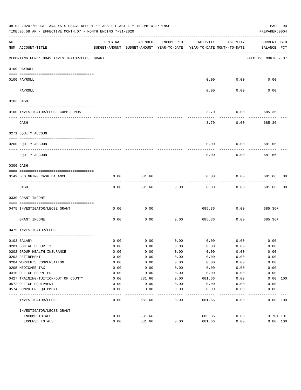|     | 08-03-2020**BUDGET ANALYSIS USAGE REPORT ** ASSET LIABILITY INCOME & EXPENSE<br>PAGE 90<br>TIME:06:58 AM - EFFECTIVE MONTH:07 - MONTH ENDING 7-31-2020<br>PREPARER: 0004 |              |                                                     |              |                                        |             |                             |  |  |  |
|-----|--------------------------------------------------------------------------------------------------------------------------------------------------------------------------|--------------|-----------------------------------------------------|--------------|----------------------------------------|-------------|-----------------------------|--|--|--|
| ACT | NUM ACCOUNT-TITLE                                                                                                                                                        | ORIGINAL     | AMENDED<br>BUDGET-AMOUNT BUDGET-AMOUNT YEAR-TO-DATE | ENCUMBERED   | ACTIVITY<br>YEAR-TO-DATE MONTH-TO-DATE | ACTIVITY    | CURRENT USED<br>BALANCE PCT |  |  |  |
|     | REPORTING FUND: 0049 INVESTIGATOR/LEOSE GRANT                                                                                                                            |              |                                                     |              |                                        |             | EFFECTIVE MONTH - 07        |  |  |  |
|     | 0100 PAYROLL                                                                                                                                                             |              |                                                     |              |                                        |             |                             |  |  |  |
|     | 0100 PAYROLL                                                                                                                                                             |              |                                                     |              | 0.00                                   | 0.00        | 0.00                        |  |  |  |
|     | PAYROLL                                                                                                                                                                  |              |                                                     |              | 0.00                                   | 0.00        | 0.00                        |  |  |  |
|     | 0103 CASH                                                                                                                                                                |              |                                                     |              |                                        |             |                             |  |  |  |
|     | 0100 INVESTIGATOR/LEOSE-COMB.FUNDS                                                                                                                                       |              |                                                     |              | 3.70                                   | 0.00        | 685.36                      |  |  |  |
|     | CASH                                                                                                                                                                     |              |                                                     |              | 3.70                                   | 0.00        | 685.36                      |  |  |  |
|     | 0271 EQUITY ACCOUNT                                                                                                                                                      |              |                                                     |              |                                        |             |                             |  |  |  |
|     | 0200 EQUITY ACCOUNT                                                                                                                                                      |              |                                                     |              | 0.00                                   | 0.00        | 681.66                      |  |  |  |
|     | EQUITY ACCOUNT                                                                                                                                                           |              |                                                     |              | 0.00                                   | 0.00        | 681.66                      |  |  |  |
|     | 0300 CASH                                                                                                                                                                |              |                                                     |              |                                        |             |                             |  |  |  |
|     | 0149 BEGINNING CASH BALANCE                                                                                                                                              | 0.00         | 681.66                                              |              | 0.00                                   | 0.00        | 681.66 00                   |  |  |  |
|     | CASH                                                                                                                                                                     | 0.00         | 681.66                                              | 0.00         | 0.00                                   | 0.00        | 681.66<br>00                |  |  |  |
|     | 0330 GRANT INCOME                                                                                                                                                        |              |                                                     |              |                                        |             |                             |  |  |  |
|     | 0475 INVESTIGATOR/LEOSE GRANT                                                                                                                                            | 0.00         | 0.00                                                |              | 685.36                                 | 0.00        | 685.36+                     |  |  |  |
|     | GRANT INCOME                                                                                                                                                             | 0.00         | 0.00                                                | 0.00         | 685.36                                 | 0.00        | 685.36+                     |  |  |  |
|     | 0475 INVESTIGATOR/LEOSE                                                                                                                                                  |              |                                                     |              |                                        |             |                             |  |  |  |
|     |                                                                                                                                                                          |              |                                                     |              |                                        |             |                             |  |  |  |
|     | 0103 SALARY                                                                                                                                                              | 0.00         | 0.00                                                | 0.00         |                                        | $0.00$ 0.00 | 0.00                        |  |  |  |
|     | 0201 SOCIAL SECURITY                                                                                                                                                     | 0.00         | 0.00                                                | 0.00         | 0.00                                   | 0.00        | 0.00                        |  |  |  |
|     | 0202 GROUP HEALTH INSURANCE                                                                                                                                              | 0.00         | 0.00                                                | 0.00         | 0.00                                   | 0.00        | 0.00                        |  |  |  |
|     | 0203 RETIREMENT                                                                                                                                                          | 0.00         | 0.00                                                | 0.00         | 0.00                                   | 0.00        | 0.00                        |  |  |  |
|     | 0204 WORKER'S COMPENSATION                                                                                                                                               | 0.00         | 0.00                                                | 0.00         | 0.00                                   | 0.00        | 0.00                        |  |  |  |
|     | 0205 MEDICARE TAX                                                                                                                                                        | 0.00         | 0.00                                                | 0.00         | 0.00                                   | 0.00        | 0.00                        |  |  |  |
|     | 0310 OFFICE SUPPLIES                                                                                                                                                     | 0.00<br>0.00 | 0.00                                                | 0.00         | 0.00                                   | 0.00        | 0.00<br>100                 |  |  |  |
|     | 0427 TRAINING/TUITION/OUT OF COUNTY<br>0572 OFFICE EQUIPMENT                                                                                                             | 0.00         | 681.66<br>0.00                                      | 0.00<br>0.00 | 681.66<br>0.00                         | 0.00        | 0.00<br>0.00                |  |  |  |
|     |                                                                                                                                                                          |              |                                                     |              |                                        | 0.00        |                             |  |  |  |
|     | 0574 COMPUTER EQUIPMENT                                                                                                                                                  | 0.00         | 0.00                                                | 0.00         | 0.00                                   | 0.00        | 0.00                        |  |  |  |
|     | INVESTIGATOR/LEOSE                                                                                                                                                       | 0.00         | 681.66                                              | 0.00         | 681.66                                 | 0.00        | 0.00 100                    |  |  |  |
|     | INVESTIGATOR/LEOSE GRANT                                                                                                                                                 |              |                                                     |              |                                        |             |                             |  |  |  |
|     | INCOME TOTALS                                                                                                                                                            | 0.00         | 681.66                                              |              | 685.36                                 | 0.00        | $3.70 + 101$                |  |  |  |
|     | EXPENSE TOTALS                                                                                                                                                           | 0.00         | 681.66                                              | 0.00         | 681.66                                 | 0.00        | 0.00 100                    |  |  |  |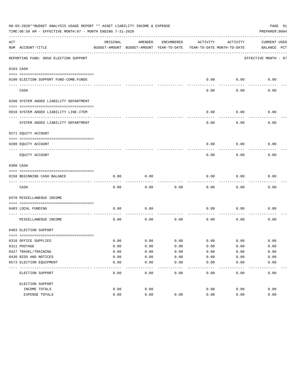|     | 08-03-2020**BUDGET ANALYSIS USAGE REPORT ** ASSET LIABILITY INCOME & EXPENSE<br>PAGE 91<br>TIME: 06:58 AM - EFFECTIVE MONTH: 07 - MONTH ENDING 7-31-2020<br>PREPARER: 0004 |              |                                                     |                     |                                        |               |                             |  |  |  |
|-----|----------------------------------------------------------------------------------------------------------------------------------------------------------------------------|--------------|-----------------------------------------------------|---------------------|----------------------------------------|---------------|-----------------------------|--|--|--|
| ACT | NUM ACCOUNT-TITLE                                                                                                                                                          | ORIGINAL     | AMENDED<br>BUDGET-AMOUNT BUDGET-AMOUNT YEAR-TO-DATE | ENCUMBERED          | ACTIVITY<br>YEAR-TO-DATE MONTH-TO-DATE | ACTIVITY      | CURRENT USED<br>BALANCE PCT |  |  |  |
|     | REPORTING FUND: 0050 ELECTION SUPPORT                                                                                                                                      |              |                                                     |                     |                                        |               | EFFECTIVE MONTH - 07        |  |  |  |
|     | 0103 CASH                                                                                                                                                                  |              |                                                     |                     |                                        |               |                             |  |  |  |
|     | 0100 ELECTION SUPPORT FUND-COMB.FUNDS                                                                                                                                      |              |                                                     |                     | 0.00                                   | 0.00          | 0.00                        |  |  |  |
|     | CASH                                                                                                                                                                       |              |                                                     |                     | 0.00                                   | 0.00          | 0.00                        |  |  |  |
|     | 0200 SYSTEM ADDED LIABILITY DEPARTMENT                                                                                                                                     |              |                                                     |                     |                                        |               |                             |  |  |  |
|     | 0910 SYSTEM ADDED LIABILITY LINE-ITEM                                                                                                                                      |              |                                                     |                     | 0.00                                   | 0.00          | 0.00                        |  |  |  |
|     | SYSTEM ADDED LIABILITY DEPARTMENT                                                                                                                                          |              |                                                     |                     | 0.00                                   | 0.00          | 0.00                        |  |  |  |
|     | 0271 EQUITY ACCOUNT                                                                                                                                                        |              |                                                     |                     |                                        |               |                             |  |  |  |
|     | 0200 EQUITY ACCOUNT                                                                                                                                                        |              |                                                     |                     | 0.00                                   | 0.00          | 0.00                        |  |  |  |
|     | EOUITY ACCOUNT                                                                                                                                                             |              |                                                     |                     | 0.00                                   | 0.00          | 0.00                        |  |  |  |
|     | 0300 CASH                                                                                                                                                                  |              |                                                     |                     |                                        |               |                             |  |  |  |
|     | 0150 BEGINNING CASH BALANCE                                                                                                                                                | 0.00         | 0.00                                                |                     | 0.00                                   | 0.00          | 0.00                        |  |  |  |
|     | CASH                                                                                                                                                                       | 0.00         | 0.00                                                | 0.00                | 0.00                                   | 0.00          | 0.00                        |  |  |  |
|     | 0370 MISCELLANEOUS INCOME                                                                                                                                                  |              |                                                     |                     |                                        |               |                             |  |  |  |
|     | 0403 LOCAL FUNDING                                                                                                                                                         | 0.00         | 0.00                                                |                     | 0.00                                   | 0.00          | 0.00                        |  |  |  |
|     | MISCELLANEOUS INCOME                                                                                                                                                       | 0.00         | 0.00                                                | 0.00                | 0.00                                   | 0.00          | 0.00                        |  |  |  |
|     | 0403 ELECTION SUPPORT                                                                                                                                                      |              |                                                     |                     |                                        |               |                             |  |  |  |
|     |                                                                                                                                                                            |              |                                                     |                     |                                        |               |                             |  |  |  |
|     | 0310 OFFICE SUPPLIES                                                                                                                                                       | 0.00         | 0.00                                                | 0.00                | 0.00                                   | 0.00          | 0.00                        |  |  |  |
|     | 0311 POSTAGE                                                                                                                                                               | 0.00         | 0.00                                                | 0.00                | 0.00                                   | 0.00          | 0.00                        |  |  |  |
|     | 0427 TRAVEL/TRAINING                                                                                                                                                       | 0.00         | 0.00                                                | 0.00                | 0.00                                   | 0.00          | 0.00                        |  |  |  |
|     | 0430 BIDS AND NOTICES<br>0573 ELECTION EQUIPMENT                                                                                                                           | 0.00<br>0.00 | 0.00<br>0.00                                        | 0.00<br>0.00        | 0.00<br>0.00                           | 0.00<br>0.00  | 0.00<br>0.00                |  |  |  |
|     | --------------<br>ELECTION SUPPORT                                                                                                                                         | 0.00         | $- - - -$<br>0.00                                   | $- - - - -$<br>0.00 | -----<br>0.00                          | -----<br>0.00 | ---------<br>0.00           |  |  |  |
|     | ELECTION SUPPORT                                                                                                                                                           |              |                                                     |                     |                                        |               |                             |  |  |  |
|     | INCOME TOTALS                                                                                                                                                              | 0.00         | 0.00                                                |                     | 0.00                                   | 0.00          | 0.00                        |  |  |  |
|     | EXPENSE TOTALS                                                                                                                                                             | 0.00         | 0.00                                                | 0.00                | 0.00                                   | 0.00          | 0.00                        |  |  |  |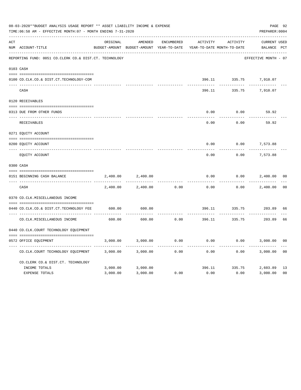|     | 08-03-2020**BUDGET ANALYSIS USAGE REPORT ** ASSET LIABILITY INCOME & EXPENSE<br>TIME: 06:58 AM - EFFECTIVE MONTH: 07 - MONTH ENDING 7-31-2020 |                         |                                                     |            |                     |                                        |                                    |                |  |  |
|-----|-----------------------------------------------------------------------------------------------------------------------------------------------|-------------------------|-----------------------------------------------------|------------|---------------------|----------------------------------------|------------------------------------|----------------|--|--|
| ACT | NUM ACCOUNT-TITLE                                                                                                                             | ORIGINAL                | AMENDED<br>BUDGET-AMOUNT BUDGET-AMOUNT YEAR-TO-DATE | ENCUMBERED | ACTIVITY            | ACTIVITY<br>YEAR-TO-DATE MONTH-TO-DATE | <b>CURRENT USED</b><br>BALANCE PCT |                |  |  |
|     | REPORTING FUND: 0051 CO.CLERK CO.& DIST.CT. TECHNOLOGY                                                                                        |                         |                                                     |            |                     |                                        | EFFECTIVE MONTH - 07               |                |  |  |
|     | 0103 CASH                                                                                                                                     |                         |                                                     |            |                     |                                        |                                    |                |  |  |
|     | 0100 CO.CLK.CO.& DIST.CT.TECHNOLOGY-COM                                                                                                       |                         |                                                     |            |                     |                                        | 396.11 335.75 7,910.07             |                |  |  |
|     | CASH                                                                                                                                          |                         |                                                     |            | 396.11              | 335.75                                 | 7,910.07                           |                |  |  |
|     | 0120 RECEIVABLES                                                                                                                              |                         |                                                     |            |                     |                                        |                                    |                |  |  |
|     | 0313 DUE FROM OTHER FUNDS                                                                                                                     |                         |                                                     |            | 0.00                | 0.00                                   | 59.92                              |                |  |  |
|     | RECEIVABLES                                                                                                                                   |                         |                                                     |            | $- - - - -$<br>0.00 | 0.00                                   | 59.92                              |                |  |  |
|     | 0271 EQUITY ACCOUNT                                                                                                                           |                         |                                                     |            |                     |                                        |                                    |                |  |  |
|     | 0200 EQUITY ACCOUNT                                                                                                                           |                         |                                                     |            | 0.00                | 0.00                                   | 7,573.88                           |                |  |  |
|     | ---- ----------------------<br>EQUITY ACCOUNT                                                                                                 |                         |                                                     |            | ------<br>0.00      | 0.00                                   | 7,573.88                           |                |  |  |
|     | 0300 CASH                                                                                                                                     |                         |                                                     |            |                     |                                        |                                    |                |  |  |
|     | 0151 BEGINNING CASH BALANCE                                                                                                                   | 2,400.00                | 2,400.00                                            |            | 0.00                | 0.00                                   | 2,400.00                           | 0 <sub>0</sub> |  |  |
|     | CASH                                                                                                                                          | -----------<br>2,400.00 | 2,400.00                                            | 0.00       | 0.00                | 0.00                                   | 2,400.00                           | 0 <sub>0</sub> |  |  |
|     | 0370 CO.CLK.MISCELLANEOUS INCOME                                                                                                              |                         |                                                     |            |                     |                                        |                                    |                |  |  |
|     | 0440 CO.CLK.CO.& DIST.CT.TECHNOLOGY FEE                                                                                                       | 600.00                  | 600.00                                              |            |                     |                                        | 396.11 335.75 203.89               | 66             |  |  |
|     | CO. CLK. MISCELLANEOUS INCOME                                                                                                                 | 600.00                  | 600.00                                              | 0.00       |                     | ----------<br>396.11 335.75            | 203.89                             | 66             |  |  |
|     | 0440 CO.CLK.COURT TECHNOLOGY EQUIPMENT                                                                                                        |                         |                                                     |            |                     |                                        |                                    |                |  |  |
|     | 0572 OFFICE EQUIPMENT                                                                                                                         | 3,000.00                | 3,000.00                                            | 0.00       | 0.00                |                                        | $0.00$ 3,000.00                    | 0 <sup>0</sup> |  |  |
|     | CO.CLK.COURT TECHNOLOGY EQUIPMENT                                                                                                             | 3,000.00                | 3,000.00                                            | 0.00       | 0.00                | 0.00                                   | 3,000.00                           | 0 <sub>0</sub> |  |  |
|     | CO.CLERK CO.& DIST.CT. TECHNOLOGY                                                                                                             |                         |                                                     |            |                     |                                        |                                    |                |  |  |
|     | INCOME TOTALS                                                                                                                                 | 3,000.00                | 3,000.00                                            |            |                     |                                        | 396.11 335.75 2,603.89             | 13             |  |  |
|     | <b>EXPENSE TOTALS</b>                                                                                                                         | 3,000.00                | 3,000.00                                            | 0.00       | 0.00                | 0.00                                   | 3,000.00                           | 0 <sub>0</sub> |  |  |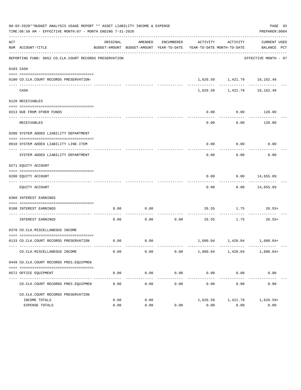|           | 08-03-2020**BUDGET ANALYSIS USAGE REPORT ** ASSET LIABILITY INCOME & EXPENSE<br>PAGE 93<br>TIME:06:58 AM - EFFECTIVE MONTH:07 - MONTH ENDING 7-31-2020<br>PREPARER: 0004 |              |                     |                     |                       |                                            |                                                                                                 |  |  |  |  |
|-----------|--------------------------------------------------------------------------------------------------------------------------------------------------------------------------|--------------|---------------------|---------------------|-----------------------|--------------------------------------------|-------------------------------------------------------------------------------------------------|--|--|--|--|
| ACT       | NUM ACCOUNT-TITLE                                                                                                                                                        | ORIGINAL     | AMENDED             | ENCUMBERED          | ACTIVITY              | ACTIVITY                                   | CURRENT USED<br>BUDGET-AMOUNT BUDGET-AMOUNT YEAR-TO-DATE YEAR-TO-DATE MONTH-TO-DATE BALANCE PCT |  |  |  |  |
|           | REPORTING FUND: 0052 CO.CLK.COURT RECORDS PRESERVATION                                                                                                                   |              |                     |                     |                       |                                            | EFFECTIVE MONTH - 07                                                                            |  |  |  |  |
| 0103 CASH |                                                                                                                                                                          |              |                     |                     |                       |                                            |                                                                                                 |  |  |  |  |
|           | 0100 CO.CLK.COURT RECORDS PRESERVATION-                                                                                                                                  |              |                     |                     |                       | 1,626.59 1,421.79 16,162.48                |                                                                                                 |  |  |  |  |
|           | CASH                                                                                                                                                                     |              |                     |                     |                       | -----------<br>1,626.59 1,421.79 16,162.48 | -------                                                                                         |  |  |  |  |
|           | 0120 RECEIVABLES                                                                                                                                                         |              |                     |                     |                       |                                            |                                                                                                 |  |  |  |  |
|           | 0313 DUE FROM OTHER FUNDS                                                                                                                                                |              |                     |                     | 0.00                  | 0.00                                       | 120.00                                                                                          |  |  |  |  |
|           | RECEIVABLES                                                                                                                                                              |              |                     |                     | 0.00                  | 0.00                                       | .<br>120.00                                                                                     |  |  |  |  |
|           | 0200 SYSTEM ADDED LIABILITY DEPARTMENT                                                                                                                                   |              |                     |                     |                       |                                            |                                                                                                 |  |  |  |  |
|           | 0910 SYSTEM ADDED LIABILITY LINE-ITEM                                                                                                                                    |              |                     |                     | 0.00                  | 0.00                                       | 0.00                                                                                            |  |  |  |  |
|           | SYSTEM ADDED LIABILITY DEPARTMENT                                                                                                                                        |              |                     |                     | 0.00                  | 0.00                                       | 0.00                                                                                            |  |  |  |  |
|           | 0271 EQUITY ACCOUNT                                                                                                                                                      |              |                     |                     |                       |                                            |                                                                                                 |  |  |  |  |
|           | 0200 EQUITY ACCOUNT                                                                                                                                                      |              |                     |                     | 0.00                  |                                            | $0.00$ 14,655.89                                                                                |  |  |  |  |
|           | EQUITY ACCOUNT                                                                                                                                                           |              |                     |                     | 0.00                  |                                            | $0.00$ 14,655.89                                                                                |  |  |  |  |
|           | 0360 INTEREST EARNINGS                                                                                                                                                   |              |                     |                     |                       |                                            |                                                                                                 |  |  |  |  |
|           | 0100 INTEREST EARNINGS                                                                                                                                                   | 0.00         | 0.00                |                     |                       | 26.55 1.75                                 | $26.55+$                                                                                        |  |  |  |  |
|           | INTEREST EARNINGS                                                                                                                                                        | 0.00         |                     | $0.00$ 0.00         |                       | 26.55 1.75                                 | $26.55+$                                                                                        |  |  |  |  |
|           | 0370 CO.CLK.MISCELLANEOUS INCOME                                                                                                                                         |              |                     |                     |                       |                                            |                                                                                                 |  |  |  |  |
|           | 0133 CO.CLK.COURT RECORDS PRESERVATION                                                                                                                                   | 0.00         | 0.00                |                     |                       | 1,600.04   1,420.04   1,600.04+            |                                                                                                 |  |  |  |  |
|           | CO. CLK. MISCELLANEOUS INCOME                                                                                                                                            | 0.00         | 0.00                | 0.00                |                       | 1,600.04 1,420.04                          | $1,600.04+$                                                                                     |  |  |  |  |
|           | 0449 CO.CLK.COURT RECORDS PRES.EQUIPMEN                                                                                                                                  |              |                     |                     |                       |                                            |                                                                                                 |  |  |  |  |
|           | 0572 OFFICE EQUIPMENT                                                                                                                                                    | 0.00         | 0.00                | 0.00                | 0.00                  | 0.00                                       | 0.00                                                                                            |  |  |  |  |
|           | CO. CLK. COURT RECORDS PRES. EOUIPMEN                                                                                                                                    | 0.00         | -----------<br>0.00 | -----------<br>0.00 | -------------<br>0.00 | -------------<br>0.00                      | -------------<br>0.00                                                                           |  |  |  |  |
|           | CO.CLK.COURT RECORDS PRESERVATION                                                                                                                                        |              |                     |                     |                       |                                            |                                                                                                 |  |  |  |  |
|           | INCOME TOTALS<br>EXPENSE TOTALS                                                                                                                                          | 0.00<br>0.00 | 0.00<br>0.00        | 0.00                | 1,626.59<br>0.00      | 1,421.79<br>0.00                           | $1,626.59+$<br>0.00                                                                             |  |  |  |  |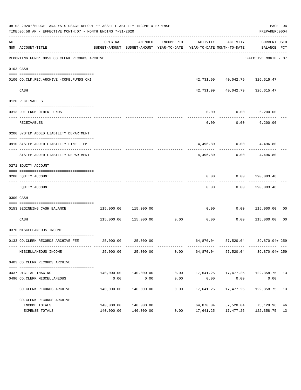|     | 08-03-2020**BUDGET ANALYSIS USAGE REPORT ** ASSET LIABILITY INCOME & EXPENSE<br>TIME:06:58 AM - EFFECTIVE MONTH:07 - MONTH ENDING 7-31-2020 |            |                       |                     |                                                                                                     |                           | PAGE 94<br>PREPARER: 0004           |                |
|-----|---------------------------------------------------------------------------------------------------------------------------------------------|------------|-----------------------|---------------------|-----------------------------------------------------------------------------------------------------|---------------------------|-------------------------------------|----------------|
| ACT | NUM ACCOUNT-TITLE                                                                                                                           | ORIGINAL   | AMENDED               |                     | ENCUMBERED ACTIVITY ACTIVITY<br>BUDGET-AMOUNT BUDGET-AMOUNT YEAR-TO-DATE YEAR-TO-DATE MONTH-TO-DATE |                           | CURRENT USED<br>BALANCE PCT         |                |
|     | REPORTING FUND: 0053 CO.CLERK RECORDS ARCHIVE                                                                                               |            |                       |                     |                                                                                                     |                           | EFFECTIVE MONTH - 07                |                |
|     | 0103 CASH                                                                                                                                   |            |                       |                     |                                                                                                     |                           |                                     |                |
|     | 0100 CO.CLK.REC.ARCHIVE -COMB.FUNDS CKI                                                                                                     |            |                       |                     |                                                                                                     |                           | 42,731.99 40,042.79 326,615.47      |                |
|     | ------------------------- ----------<br>CASH                                                                                                |            |                       |                     |                                                                                                     |                           | 42,731.99  40,042.79  326,615.47    |                |
|     | 0120 RECEIVABLES                                                                                                                            |            |                       |                     |                                                                                                     |                           |                                     |                |
|     | 0313 DUE FROM OTHER FUNDS                                                                                                                   |            |                       |                     | 0.00                                                                                                |                           | $0.00$ 6,200.00                     |                |
|     | RECEIVABLES                                                                                                                                 |            |                       |                     | 0.00                                                                                                |                           | $0.00$ 6,200.00                     |                |
|     | 0200 SYSTEM ADDED LIABILITY DEPARTMENT                                                                                                      |            |                       |                     |                                                                                                     |                           |                                     |                |
|     | 0910 SYSTEM ADDED LIABILITY LINE-ITEM                                                                                                       |            |                       |                     |                                                                                                     |                           | $4,496.80 - 0.00$ $4,496.80 -$      |                |
|     | SYSTEM ADDED LIABILITY DEPARTMENT                                                                                                           |            |                       |                     |                                                                                                     |                           | $4,496.80 - 0.00$ $4,496.80 -$      |                |
|     | 0271 EQUITY ACCOUNT                                                                                                                         |            |                       |                     |                                                                                                     |                           |                                     |                |
|     | 0200 EQUITY ACCOUNT                                                                                                                         |            |                       |                     | 0.00                                                                                                |                           | 0.00 290,083.48                     |                |
|     | EQUITY ACCOUNT                                                                                                                              |            |                       |                     | 0.00                                                                                                |                           | 0.00 290,083.48                     |                |
|     | 0300 CASH                                                                                                                                   |            |                       |                     |                                                                                                     |                           |                                     |                |
|     | 0153 BEGINNING CASH BALANCE                                                                                                                 | 115,000.00 | 115,000.00            |                     | 0.00                                                                                                |                           | $0.00$ 115,000.00 00                |                |
|     | CASH                                                                                                                                        |            |                       |                     | $115,000.00$ $115,000.00$ $0.00$ $0.00$ $0.00$ $115,000.00$                                         |                           |                                     | 0 <sub>0</sub> |
|     | 0370 MISCELLANEOUS INCOME                                                                                                                   |            |                       |                     |                                                                                                     |                           |                                     |                |
|     | 0133 CO.CLERK RECORDS ARCHIVE FEE                                                                                                           |            | 25,000.00 25,000.00   |                     |                                                                                                     |                           | 64,870.04 57,520.04 39,870.04 + 259 |                |
|     | MISCELLANEOUS INCOME                                                                                                                        | 25,000.00  | 25,000.00             | 0.00                |                                                                                                     |                           | 64,870.04 57,520.04 39,870.04 259   |                |
|     | 0403 CO.CLERK RECORDS ARCHIVE                                                                                                               |            |                       |                     |                                                                                                     |                           |                                     |                |
|     |                                                                                                                                             |            | 140,000.00 140,000.00 |                     | $0.00$ 17,641.25 17,477.25 122,358.75 13                                                            |                           |                                     |                |
|     | 0437 DIGITAL IMAGING<br>0490 CO. CLERK MISCELLANEOUS                                                                                        | 0.00       | 0.00                  | 0.00                | 0.00                                                                                                | 0.00                      | 0.00                                |                |
|     | CO. CLERK RECORDS ARCHIVE                                                                                                                   |            |                       | -----------<br>0.00 | -----------<br>17,641.25                                                                            | ------------<br>17,477.25 | -------------<br>122,358.75 13      |                |
|     | CO. CLERK RECORDS ARCHIVE                                                                                                                   |            |                       |                     |                                                                                                     |                           |                                     |                |
|     | INCOME TOTALS                                                                                                                               |            | 140,000.00 140,000.00 |                     |                                                                                                     |                           | 64,870.04 57,520.04 75,129.96       | 46             |
|     | EXPENSE TOTALS                                                                                                                              |            | 140,000.00 140,000.00 | 0.00                | 17,641.25                                                                                           | 17,477.25                 | 122,358.75 13                       |                |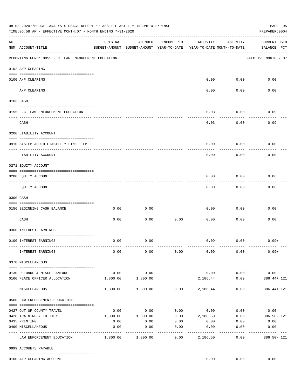|     | 08-03-2020**BUDGET ANALYSIS USAGE REPORT ** ASSET LIABILITY INCOME & EXPENSE<br>TIME: $06:58$ AM - EFFECTIVE MONTH: $07$ - MONTH ENDING 7-31-2020                                                                                                                                                                                                                                                                                                                                                                    |          |                                                     |                   |                                        |                   | PAGE 95<br>PREPARER: 0004                                     |
|-----|----------------------------------------------------------------------------------------------------------------------------------------------------------------------------------------------------------------------------------------------------------------------------------------------------------------------------------------------------------------------------------------------------------------------------------------------------------------------------------------------------------------------|----------|-----------------------------------------------------|-------------------|----------------------------------------|-------------------|---------------------------------------------------------------|
| ACT | NUM ACCOUNT-TITLE                                                                                                                                                                                                                                                                                                                                                                                                                                                                                                    | ORIGINAL | AMENDED<br>BUDGET-AMOUNT BUDGET-AMOUNT YEAR-TO-DATE | ENCUMBERED        | ACTIVITY<br>YEAR-TO-DATE MONTH-TO-DATE | ACTIVITY          | <b>CURRENT USED</b><br>BALANCE PCT                            |
|     | REPORTING FUND: 0055 F.C. LAW ENFORCEMENT EDUCATION                                                                                                                                                                                                                                                                                                                                                                                                                                                                  |          |                                                     |                   |                                        |                   | EFFECTIVE MONTH - 07                                          |
|     | 0102 A/P CLEARING                                                                                                                                                                                                                                                                                                                                                                                                                                                                                                    |          |                                                     |                   |                                        |                   |                                                               |
|     | 0100 A/P CLEARING<br>---- ---------                                                                                                                                                                                                                                                                                                                                                                                                                                                                                  |          |                                                     |                   | 0.00                                   | 0.00              | 0.00                                                          |
|     | A/P CLEARING                                                                                                                                                                                                                                                                                                                                                                                                                                                                                                         |          |                                                     |                   | 0.00                                   | 0.00              | 0.00                                                          |
|     | 0103 CASH                                                                                                                                                                                                                                                                                                                                                                                                                                                                                                            |          |                                                     |                   |                                        |                   |                                                               |
|     | 0155 F.C. LAW ENFORCEMENT EDUCATION                                                                                                                                                                                                                                                                                                                                                                                                                                                                                  |          |                                                     |                   | 0.03                                   | 0.00              | 0.09                                                          |
|     | CASH                                                                                                                                                                                                                                                                                                                                                                                                                                                                                                                 |          |                                                     |                   | 0.03                                   | 0.00              | 0.09                                                          |
|     | 0200 LIABILITY ACCOUNT                                                                                                                                                                                                                                                                                                                                                                                                                                                                                               |          |                                                     |                   |                                        |                   |                                                               |
|     | 0910 SYSTEM ADDED LIABILITY LINE-ITEM                                                                                                                                                                                                                                                                                                                                                                                                                                                                                |          |                                                     |                   | 0.00                                   | 0.00              | 0.00                                                          |
|     | LIABILITY ACCOUNT                                                                                                                                                                                                                                                                                                                                                                                                                                                                                                    |          |                                                     |                   | 0.00                                   | 0.00              | 0.00                                                          |
|     | 0271 EQUITY ACCOUNT                                                                                                                                                                                                                                                                                                                                                                                                                                                                                                  |          |                                                     |                   |                                        |                   |                                                               |
|     | 0200 EQUITY ACCOUNT                                                                                                                                                                                                                                                                                                                                                                                                                                                                                                  |          |                                                     |                   | 0.00                                   | 0.00              | 0.06                                                          |
|     | EQUITY ACCOUNT                                                                                                                                                                                                                                                                                                                                                                                                                                                                                                       |          |                                                     |                   | 0.00                                   | 0.00              | 0.06                                                          |
|     | 0300 CASH                                                                                                                                                                                                                                                                                                                                                                                                                                                                                                            |          |                                                     |                   |                                        |                   |                                                               |
|     | 0156 BEGINNING CASH BALANCE                                                                                                                                                                                                                                                                                                                                                                                                                                                                                          | 0.00     | 0.00                                                |                   | 0.00                                   | 0.00              | 0.00                                                          |
|     | CASH                                                                                                                                                                                                                                                                                                                                                                                                                                                                                                                 | 0.00     | 0.00                                                | 0.00              | 0.00                                   | 0.00              | 0.00                                                          |
|     | 0360 INTEREST EARNINGS                                                                                                                                                                                                                                                                                                                                                                                                                                                                                               |          |                                                     |                   |                                        |                   |                                                               |
|     | 0100 INTEREST EARNINGS                                                                                                                                                                                                                                                                                                                                                                                                                                                                                               | 0.00     | 0.00                                                |                   | 0.09                                   | 0.00              | $0.09+$                                                       |
|     | INTEREST EARNINGS                                                                                                                                                                                                                                                                                                                                                                                                                                                                                                    | 0.00     | 0.00                                                | 0.00              | 0.09                                   | 0.00              | $0.09+$                                                       |
|     | 0370 MISCELLANEOUS                                                                                                                                                                                                                                                                                                                                                                                                                                                                                                   |          |                                                     |                   |                                        |                   |                                                               |
|     | $\begin{minipage}{0.03\textwidth} \centering \begin{tabular}{ l l l } \hline \texttt{0.03}\end{tabular} \end{minipage} \end{minipage} \begin{minipage}{0.03\textwidth} \centering \begin{tabular}{ l l l } \hline \texttt{0.03}\end{tabular} \end{minipage} \end{minipage} \begin{minipage}{0.03\textwidth} \centering \begin{tabular}{ l l l l } \hline \texttt{0.03}\end{tabular} \end{minipage} \end{minipage} \begin{minipage}{0.03\textwidth} \centering \begin{tabular}{ l l $<br>0130 REFUNDS & MISCELLANEOUS | 0.00     | 0.00                                                |                   |                                        | $0.00$ 0.00       | 0.00                                                          |
|     | 0160 PEACE OFFICER ALLOCATION                                                                                                                                                                                                                                                                                                                                                                                                                                                                                        | 1,800.00 | 1,800.00                                            |                   | 2,186.44                               | 0.00              | 386.44+ 121                                                   |
|     | MISCELLANEOUS                                                                                                                                                                                                                                                                                                                                                                                                                                                                                                        |          | 1,800.00 1,800.00                                   |                   | $0.00$ 2,186.44                        | 0.00              | 386.44+ 121                                                   |
|     | 0560 LAW ENFORCEMENT EDUCATION                                                                                                                                                                                                                                                                                                                                                                                                                                                                                       |          |                                                     |                   |                                        |                   |                                                               |
|     | 0427 OUT OF COUNTY TRAVEL                                                                                                                                                                                                                                                                                                                                                                                                                                                                                            | 0.00     | 0.00                                                |                   |                                        |                   | $0.00$ $0.00$ $0.00$ $0.00$ $0.00$                            |
|     | 0428 TRAINING & TUITION                                                                                                                                                                                                                                                                                                                                                                                                                                                                                              |          |                                                     |                   |                                        |                   | $1,800.00$ $1,800.00$ $0.00$ $2,186.50$ $0.00$ $386.50$ $121$ |
|     | 0435 PRINTING                                                                                                                                                                                                                                                                                                                                                                                                                                                                                                        | 0.00     | 0.00                                                | 0.00              | 0.00                                   | 0.00              | 0.00                                                          |
|     | 0490 MISCELLANEOUS                                                                                                                                                                                                                                                                                                                                                                                                                                                                                                   | 0.00     | 0.00<br>----------                                  | 0.00<br>--------- | 0.00<br>----------                     | 0.00<br>--------- | 0.00<br>---------- ---                                        |
|     | LAW ENFORCEMENT EDUCATION                                                                                                                                                                                                                                                                                                                                                                                                                                                                                            |          | 1,800.00 1,800.00                                   | 0.00              | 2,186.50                               | 0.00              | 386.50-121                                                    |
|     | 0999 ACCOUNTS PAYABLE                                                                                                                                                                                                                                                                                                                                                                                                                                                                                                |          |                                                     |                   |                                        |                   |                                                               |
|     | 0100 A/P CLEARING ACCOUNT                                                                                                                                                                                                                                                                                                                                                                                                                                                                                            |          |                                                     |                   | 0.00                                   | 0.00              | 0.00                                                          |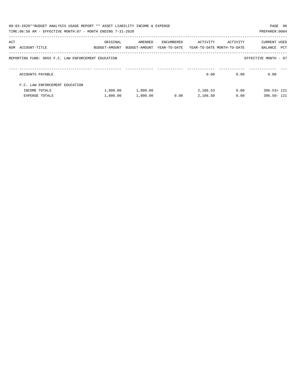| 08-03-2020**BUDGET ANALYSIS USAGE REPORT ** ASSET LIABILITY INCOME & EXPENSE<br>PAGE 96<br>TIME: 06:58 AM - EFFECTIVE MONTH: 07 - MONTH ENDING 7-31-2020<br>PREPARER: 0004 |                                                     |                           |                          |                            |                                        |          |                                |  |  |  |
|----------------------------------------------------------------------------------------------------------------------------------------------------------------------------|-----------------------------------------------------|---------------------------|--------------------------|----------------------------|----------------------------------------|----------|--------------------------------|--|--|--|
| ACT                                                                                                                                                                        | NUM ACCOUNT-TITLE                                   | ORIGINAL<br>BUDGET-AMOUNT | AMENDED<br>BUDGET-AMOUNT | ENCUMBERED<br>YEAR-TO-DATE | ACTIVITY<br>YEAR-TO-DATE MONTH-TO-DATE | ACTIVITY | CURRENT USED<br>PCT<br>BALANCE |  |  |  |
|                                                                                                                                                                            | REPORTING FUND: 0055 F.C. LAW ENFORCEMENT EDUCATION |                           |                          |                            |                                        |          | EFFECTIVE MONTH - 07           |  |  |  |
|                                                                                                                                                                            | ACCOUNTS PAYABLE                                    |                           |                          |                            | 0.00                                   | 0.00     | 0.00                           |  |  |  |
|                                                                                                                                                                            | F.C. LAW ENFORCEMENT EDUCATION                      |                           |                          |                            |                                        |          |                                |  |  |  |
|                                                                                                                                                                            | INCOME TOTALS                                       | 1,800.00                  | 1,800.00                 |                            | 2,186.53                               | 0.00     | $386.53 + 121$                 |  |  |  |
|                                                                                                                                                                            | <b>EXPENSE TOTALS</b>                               | 1,800.00                  | 1,800.00                 | 0.00                       | 2,186.50                               | 0.00     | 386.50- 121                    |  |  |  |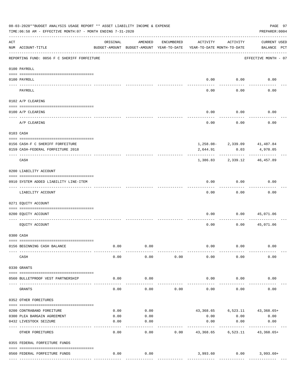|          | 08-03-2020**BUDGET ANALYSIS USAGE REPORT ** ASSET LIABILITY INCOME & EXPENSE<br>TIME:06:58 AM - EFFECTIVE MONTH:07 - MONTH ENDING 7-31-2020 |          |                                                     |            |                                        |                   | PREPARER: 0004                      | PAGE 97 |
|----------|---------------------------------------------------------------------------------------------------------------------------------------------|----------|-----------------------------------------------------|------------|----------------------------------------|-------------------|-------------------------------------|---------|
| ACT      | NUM ACCOUNT-TITLE                                                                                                                           | ORIGINAL | AMENDED<br>BUDGET-AMOUNT BUDGET-AMOUNT YEAR-TO-DATE | ENCUMBERED | ACTIVITY<br>YEAR-TO-DATE MONTH-TO-DATE | ACTIVITY          | <b>CURRENT USED</b><br>BALANCE PCT  |         |
|          | REPORTING FUND: 0056 F C SHERIFF FORFEITURE                                                                                                 |          |                                                     |            |                                        |                   | EFFECTIVE MONTH - 07                |         |
|          | 0100 PAYROLL                                                                                                                                |          |                                                     |            |                                        |                   |                                     |         |
|          | 0100 PAYROLL                                                                                                                                |          |                                                     |            | 0.00                                   | 0.00              | 0.00                                |         |
| ---- --- | PAYROLL                                                                                                                                     |          |                                                     |            | 0.00                                   | 0.00              | 0.00                                |         |
|          | 0102 A/P CLEARING                                                                                                                           |          |                                                     |            |                                        |                   |                                     |         |
|          | 0100 A/P CLEARING                                                                                                                           |          |                                                     |            | 0.00                                   | 0.00              | 0.00                                |         |
|          | -------------------<br>A/P CLEARING                                                                                                         |          |                                                     |            | 0.00                                   | 0.00              | 0.00                                |         |
|          | 0103 CASH                                                                                                                                   |          |                                                     |            |                                        |                   |                                     |         |
|          |                                                                                                                                             |          |                                                     |            |                                        |                   |                                     |         |
|          | 0156 CASH-F C SHERIFF FORFEITURE                                                                                                            |          |                                                     |            |                                        |                   | 1,258.08-2,339.09 41,487.84         |         |
|          | 0159 CASH-FEDERAL FORFEITURE 2018                                                                                                           |          |                                                     |            | 2,644.91                               | 0.03              | 4,970.05                            |         |
|          | CASH                                                                                                                                        |          |                                                     |            |                                        | 1,386.83 2,339.12 | 46,457.89                           |         |
|          | 0200 LIABILITY ACCOUNT                                                                                                                      |          |                                                     |            |                                        |                   |                                     |         |
|          | 0910 SYSTEM ADDED LIABILITY LINE-ITEM                                                                                                       |          |                                                     |            | 0.00                                   | 0.00              | 0.00                                |         |
|          | LIABILITY ACCOUNT                                                                                                                           |          |                                                     |            | 0.00                                   | 0.00              | 0.00                                |         |
|          | 0271 EQUITY ACCOUNT                                                                                                                         |          |                                                     |            |                                        |                   |                                     |         |
|          | 0200 EQUITY ACCOUNT                                                                                                                         |          |                                                     |            | 0.00                                   | 0.00              | 45,071.06                           |         |
|          | EOUITY ACCOUNT                                                                                                                              |          |                                                     |            | 0.00                                   | 0.00              | 45,071.06                           |         |
|          | 0300 CASH                                                                                                                                   |          |                                                     |            |                                        |                   |                                     |         |
|          | 0156 BEGINNING CASH BALANCE                                                                                                                 | 0.00     | 0.00                                                |            | 0.00                                   | 0.00              | 0.00                                |         |
|          | CASH                                                                                                                                        | 0.00     | 0.00                                                | 0.00       | 0.00                                   | 0.00              | 0.00                                |         |
|          | 0330 GRANTS                                                                                                                                 |          |                                                     |            |                                        |                   |                                     |         |
|          | 0560 BULLETPROOF VEST PARTNERSHIP                                                                                                           | 0.00     | 0.00                                                |            | 0.00                                   | 0.00              | 0.00                                |         |
|          | GRANTS                                                                                                                                      | 0.00     | 0.00                                                | 0.00       | 0.00                                   | 0.00              | 0.00                                |         |
|          | 0352 OTHER FOREITURES                                                                                                                       |          |                                                     |            |                                        |                   |                                     |         |
|          |                                                                                                                                             |          |                                                     |            |                                        |                   |                                     |         |
|          | 0200 CONTRABAND FOREITURE                                                                                                                   | 0.00     | 0.00                                                |            |                                        |                   | 43, 368. 65 6, 523. 11 43, 368. 65+ |         |
|          | 0300 PLEA BARGAIN AGREEMENT                                                                                                                 | 0.00     | 0.00                                                |            | 0.00                                   | 0.00              | 0.00                                |         |
|          | 0432 LIVESTOCK SEIZURE                                                                                                                      | 0.00     | 0.00                                                |            | 0.00                                   | 0.00              | 0.00                                |         |
|          | OTHER FOREITURES                                                                                                                            | 0.00     | 0.00                                                | 0.00       | 43,368.65                              | 6,523.11          | 43,368.65+                          |         |
|          | 0355 FEDERAL FORFEITURE FUNDS                                                                                                               |          |                                                     |            |                                        |                   |                                     |         |
|          | 0560 FEDERAL FORFEITURE FUNDS                                                                                                               | 0.00     | 0.00                                                |            |                                        |                   | 3,993.60 0.00 3,993.60+             |         |
|          |                                                                                                                                             |          |                                                     |            |                                        |                   |                                     |         |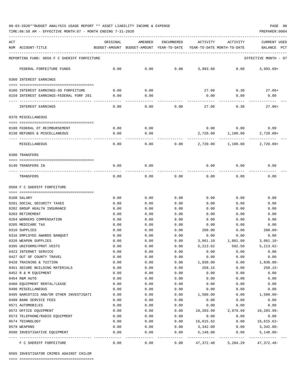TIME:06:58 AM - EFFECTIVE MONTH:07 - MONTH ENDING 7-31-2020 PREPARER:0004

| ACT |                                                           | ORIGINAL     | AMENDED                                  | ENCUMBERED          | ACTIVITY                   | ACTIVITY     | CURRENT USED                |
|-----|-----------------------------------------------------------|--------------|------------------------------------------|---------------------|----------------------------|--------------|-----------------------------|
|     | NUM ACCOUNT-TITLE                                         |              | BUDGET-AMOUNT BUDGET-AMOUNT YEAR-TO-DATE |                     | YEAR-TO-DATE MONTH-TO-DATE |              | BALANCE<br>PCT              |
|     | REPORTING FUND: 0056 F C SHERIFF FORFEITURE               |              |                                          |                     |                            |              | EFFECTIVE MONTH - 07        |
|     |                                                           |              |                                          |                     |                            |              |                             |
|     | FEDERAL FORFEITURE FUNDS                                  | 0.00         | 0.00                                     | 0.00                | 3,993.60                   | 0.00         | $3,993.60+$                 |
|     | 0360 INTEREST EARNINGS                                    |              |                                          |                     |                            |              |                             |
|     | 0100 INTEREST EARNINGS-SO FORFEITURE                      | 0.00         | 0.00                                     |                     | 27.06                      | 0.30         | 27.06+                      |
|     | 0159 INTEREST EARNINGS-FEDERAL FORF 201                   | 0.00         | 0.00                                     |                     | 0.00                       | 0.00         | 0.00                        |
|     |                                                           |              |                                          |                     |                            |              |                             |
|     | INTEREST EARNINGS                                         | 0.00         | 0.00                                     | 0.00                | 27.06                      | 0.30         | $27.06+$                    |
|     | 0370 MISCELLANEOUS                                        |              |                                          |                     |                            |              |                             |
|     |                                                           |              |                                          |                     |                            |              |                             |
|     | 0108 FEDERAL OT REIMBURSEMENT                             | 0.00         | 0.00                                     |                     | 0.00                       | 0.00         | 0.00                        |
|     | 0130 REFUNDS & MISCELLANEOUS                              | 0.00         | 0.00                                     |                     | 2,720.00                   | 1,100.00     | $2,720.00+$                 |
|     | MISCELLANEOUS                                             | 0.00         | 0.00                                     | 0.00                | 2,720.00                   | 1,100.00     | $2,720.00+$                 |
|     | 0390 TRANSFERS                                            |              |                                          |                     |                            |              |                             |
|     |                                                           |              |                                          |                     |                            |              |                             |
|     | 0140 TRANSFERS IN                                         | 0.00         | 0.00                                     |                     | 0.00                       | 0.00         | 0.00                        |
|     | TRANSFERS                                                 | 0.00         | 0.00                                     | 0.00                | 0.00                       | 0.00         | 0.00                        |
|     |                                                           |              |                                          |                     |                            |              |                             |
|     | 0560 F C SHERIFF FORFEITURE                               |              |                                          |                     |                            |              |                             |
|     |                                                           |              |                                          |                     |                            |              |                             |
|     | 0108 SALARY                                               | 0.00         | 0.00                                     | 0.00                | 0.00                       | 0.00         | 0.00                        |
|     | 0201 SOCIAL SECURITY TAXES<br>0202 GROUP HEALTH INSURANCE | 0.00         | 0.00                                     | 0.00                | 0.00                       | 0.00<br>0.00 | 0.00                        |
|     | 0203 RETIREMENT                                           | 0.00<br>0.00 | 0.00<br>0.00                             | 0.00<br>0.00        | 0.00<br>0.00               | 0.00         | 0.00<br>0.00                |
|     | 0204 WORKERS COMPENSATION                                 | 0.00         | 0.00                                     | 0.00                | 0.00                       | 0.00         | 0.00                        |
|     | 0205 MEDICARE TAX                                         | 0.00         | 0.00                                     | 0.00                | 0.00                       | 0.00         | 0.00                        |
|     | 0310 SUPPLIES                                             | 0.00         | 0.00                                     | 0.00                | 200.00                     | 0.00         | $200.00 -$                  |
|     | 0316 EMPLOYEE AWARDS BANQUET                              | 0.00         | 0.00                                     | 0.00                | 0.00                       | 0.00         | 0.00                        |
|     | 0320 WEAPON SUPPLIES                                      | 0.00         | 0.00                                     | 0.00                | 3,061.10                   | 1,801.80     | $3,061.10 -$                |
|     | 0395 UNIFORMS/PROT.VESTS                                  | 0.00         | 0.00                                     | 0.00                | 5,213.62                   | 502.50       | $5,213.62-$                 |
|     | 0423 INTERNET SERVICE                                     | 0.00         | 0.00                                     | 0.00                | 0.00                       | 0.00         | 0.00                        |
|     | 0427 OUT OF COUNTY TRAVEL                                 | 0.00         | 0.00                                     | 0.00                | 0.00                       | 0.00         | 0.00                        |
|     | 0428 TRAINING & TUITION                                   | 0.00         | 0.00                                     | 0.00                | 1,830.00                   | 0.00         | $1,830.00 -$                |
|     | 0451 SECURE BUILDING MATERIALS                            | 0.00         | 0.00                                     | 0.00                | 258.15                     | 0.00         | $258.15-$                   |
|     | 0452 R & M EQUIPMENT                                      | 0.00         | 0.00                                     | 0.00                | 0.00                       | 0.00         | 0.00                        |
|     | 0454 R&M AUTO                                             | 0.00         | 0.00                                     | 0.00                | 0.00                       | 0.00         | 0.00                        |
|     | 0460 EQUIPMENT RENTAL/LEASE                               | 0.00         | 0.00                                     | 0.00                | 0.00                       | 0.00         | 0.00                        |
|     | 0490 MISCELLANEOUS                                        | 0.00         | 0.00                                     | 0.00                | 0.00                       | 0.00         | 0.00                        |
|     | 0495 NARCOTICS AND/OR OTHER INVESTIGATI                   | 0.00         | 0.00                                     | 0.00                | 1,500.00                   | 0.00         | $1,500.00-$                 |
|     | 0499 BANK SERVICE FEES                                    | 0.00         | 0.00                                     | 0.00                | 0.00                       | 0.00         | 0.00                        |
|     | 0571 AUTOMOBILES                                          | 0.00         | 0.00                                     | 0.00                | 0.00                       | 0.00         | 0.00                        |
|     | 0572 OFFICE EQUIPMENT                                     | 0.00         | 0.00                                     | 0.00                | 10,203.99                  | 2,979.99     | $10, 203.99 -$              |
|     | 0573 TELEPHONE/RADIO EQUIPMENT                            | 0.00         | 0.00                                     | 0.00                | 0.00                       | 0.00         | 0.00                        |
|     | 0574 TECHNOLOGY                                           | 0.00         | 0.00                                     | 0.00                | 16,615.62                  | 0.00         | $16,615.62-$                |
|     | 0579 WEAPONS<br>0580 INVESTIGATIVE EQUIPMENT              | 0.00<br>0.00 | 0.00<br>0.00                             | 0.00<br>0.00        | 3,342.00<br>5,148.00       | 0.00<br>0.00 | $3,342.00-$<br>$5,148.00 -$ |
|     | F C SHERIFF FORFEITURE                                    | 0.00         | $---$<br>0.00                            | $--- - - -$<br>0.00 | .<br>47,372.48             | 5,284.29     | ----------<br>47,372.48-    |

0565 INVESTIGATOR CRIMES AGAINST CHILDR

==== ===================================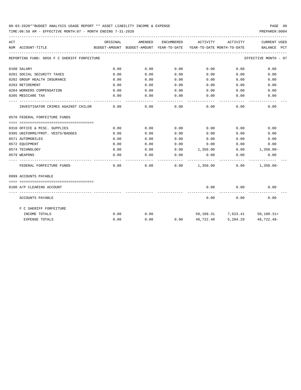TIME:06:58 AM - EFFECTIVE MONTH:07 - MONTH ENDING 7-31-2020

| ACT |                                             | ORIGINAL | AMENDED | ENCUMBERED | ACTIVITY                                                            | ACTIVITY                            | <b>CURRENT USED</b>  |
|-----|---------------------------------------------|----------|---------|------------|---------------------------------------------------------------------|-------------------------------------|----------------------|
|     | NUM ACCOUNT-TITLE                           |          |         |            | BUDGET-AMOUNT BUDGET-AMOUNT YEAR-TO-DATE YEAR-TO-DATE MONTH-TO-DATE |                                     | BALANCE PCT          |
|     | REPORTING FUND: 0056 F C SHERIFF FORFEITURE |          |         |            |                                                                     |                                     | EFFECTIVE MONTH - 07 |
|     | 0108 SALARY                                 | 0.00     | 0.00    | 0.00       | 0.00                                                                | 0.00                                | 0.00                 |
|     | 0201 SOCIAL SECURITY TAXES                  | 0.00     | 0.00    | 0.00       | 0.00                                                                | 0.00                                | 0.00                 |
|     | 0202 GROUP HEALTH INSURANCE                 | 0.00     | 0.00    | 0.00       | 0.00                                                                | 0.00                                | 0.00                 |
|     | 0203 RETIREMENT                             | 0.00     | 0.00    | 0.00       | 0.00                                                                | 0.00                                | 0.00                 |
|     | 0204 WORKERS COMPENSATION                   | 0.00     | 0.00    | 0.00       | 0.00                                                                | 0.00                                | 0.00                 |
|     | 0205 MEDICARE TAX                           | 0.00     | 0.00    | 0.00       | 0.00                                                                | 0.00                                | 0.00                 |
|     | INVESTIGATOR CRIMES AGAINST CHILDR          | 0.00     | 0.00    | 0.00       | 0.00                                                                | 0.00                                | 0.00                 |
|     | 0570 FEDERAL FORFEITURE FUNDS               |          |         |            |                                                                     |                                     |                      |
|     |                                             |          |         |            |                                                                     |                                     |                      |
|     | 0310 OFFICE & MISC. SUPPLIES                | 0.00     | 0.00    | 0.00       | 0.00                                                                | 0.00                                | 0.00                 |
|     | 0395 UNIFORMS/PROT. VESTS/BADGES            | 0.00     | 0.00    | 0.00       | 0.00                                                                | 0.00                                | 0.00                 |
|     | 0571 AUTOMOBILES                            | 0.00     | 0.00    | 0.00       | 0.00                                                                | 0.00                                | 0.00                 |
|     | 0572 EQUIPMENT                              | 0.00     | 0.00    | 0.00       | 0.00                                                                | 0.00                                | 0.00                 |
|     | 0574 TECHNOLOGY                             | 0.00     | 0.00    | 0.00       | 1,350.00                                                            | 0.00                                | $1,350.00 -$         |
|     | 0579 WEAPONS                                | 0.00     | 0.00    | 0.00       | 0.00                                                                | 0.00                                | 0.00                 |
|     | FEDERAL FORFEITURE FUNDS                    | 0.00     | 0.00    | 0.00       | 1,350.00                                                            | 0.00                                | $1,350.00 -$         |
|     | 0999 ACCOUNTS PAYABLE                       |          |         |            |                                                                     |                                     |                      |
|     |                                             |          |         |            |                                                                     |                                     |                      |
|     | 0100 A/P CLEARING ACCOUNT                   |          |         |            | 0.00<br>-----------                                                 | 0.00<br>----------                  | 0.00                 |
|     | ACCOUNTS PAYABLE                            |          |         |            | 0.00                                                                | 0.00                                | 0.00                 |
|     | F C SHERIFF FORFEITURE                      |          |         |            |                                                                     |                                     |                      |
|     | INCOME TOTALS                               | 0.00     | 0.00    |            |                                                                     | 50, 109. 31 7, 623. 41 50, 109. 31+ |                      |
|     | <b>EXPENSE TOTALS</b>                       | 0.00     | 0.00    | 0.00       | 48,722.48                                                           | 5,284.29                            | $48.722.48 -$        |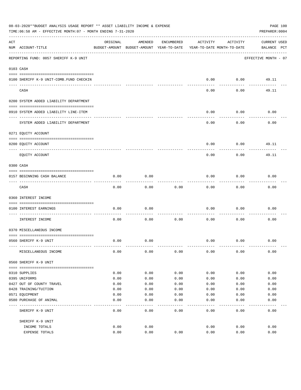|     | 08-03-2020**BUDGET ANALYSIS USAGE REPORT ** ASSET LIABILITY INCOME & EXPENSE<br>TIME:06:58 AM - EFFECTIVE MONTH:07 - MONTH ENDING 7-31-2020 |          |                                                     |            |          |                                        | PAGE 100<br>PREPARER: 0004         |
|-----|---------------------------------------------------------------------------------------------------------------------------------------------|----------|-----------------------------------------------------|------------|----------|----------------------------------------|------------------------------------|
| ACT | NUM ACCOUNT-TITLE                                                                                                                           | ORIGINAL | AMENDED<br>BUDGET-AMOUNT BUDGET-AMOUNT YEAR-TO-DATE | ENCUMBERED | ACTIVITY | ACTIVITY<br>YEAR-TO-DATE MONTH-TO-DATE | <b>CURRENT USED</b><br>BALANCE PCT |
|     | REPORTING FUND: 0057 SHERIFF K-9 UNIT                                                                                                       |          |                                                     |            |          |                                        | EFFECTIVE MONTH - 07               |
|     | 0103 CASH                                                                                                                                   |          |                                                     |            |          |                                        |                                    |
|     | 0100 SHERIFF K-9 UNIT-COMB.FUND CHECKIN                                                                                                     |          |                                                     |            | 0.00     | 0.00                                   | 49.11                              |
|     | CASH                                                                                                                                        |          |                                                     |            | 0.00     | 0.00                                   | 49.11                              |
|     | 0200 SYSTEM ADDED LIABILITY DEPARTMENT                                                                                                      |          |                                                     |            |          |                                        |                                    |
|     | 0910 SYSTEM ADDED LIABILITY LINE-ITEM                                                                                                       |          |                                                     |            | 0.00     | 0.00                                   | 0.00                               |
|     | SYSTEM ADDED LIABILITY DEPARTMENT                                                                                                           |          |                                                     |            | 0.00     | 0.00                                   | 0.00                               |
|     | 0271 EQUITY ACCOUNT                                                                                                                         |          |                                                     |            |          |                                        |                                    |
|     | 0200 EQUITY ACCOUNT                                                                                                                         |          |                                                     |            | 0.00     | 0.00                                   | 49.11                              |
|     | EQUITY ACCOUNT                                                                                                                              |          |                                                     |            | 0.00     | 0.00                                   | 49.11                              |
|     | 0300 CASH                                                                                                                                   |          |                                                     |            |          |                                        |                                    |
|     | 0157 BEGINNING CASH BALANCE                                                                                                                 | 0.00     | 0.00                                                |            | 0.00     | 0.00                                   | 0.00                               |
|     | CASH                                                                                                                                        | 0.00     | 0.00                                                | 0.00       | 0.00     | 0.00                                   | 0.00                               |
|     | 0360 INTEREST INCOME                                                                                                                        |          |                                                     |            |          |                                        |                                    |
|     | 0100 INTEREST EARNINGS                                                                                                                      | 0.00     | 0.00                                                |            | 0.00     | 0.00                                   | 0.00                               |
|     | ------------------ ---<br>INTEREST INCOME                                                                                                   | 0.00     | 0.00                                                | 0.00       | 0.00     | 0.00                                   | 0.00                               |
|     | 0370 MISCELLANEOUS INCOME                                                                                                                   |          |                                                     |            |          |                                        |                                    |
|     | 0560 SHERIFF K-9 UNIT                                                                                                                       | 0.00     | 0.00                                                |            | 0.00     | 0.00                                   | 0.00                               |
|     | MISCELLANEOUS INCOME                                                                                                                        | 0.00     | 0.00                                                | 0.00       | 0.00     | 0.00                                   | 0.00                               |
|     | 0560 SHERIFF K-9 UNIT                                                                                                                       |          |                                                     |            |          |                                        |                                    |
|     | 0310 SUPPLIES                                                                                                                               | 0.00     | 0.00                                                | 0.00       | 0.00     | 0.00                                   | 0.00                               |
|     | 0395 UNIFORMS                                                                                                                               | 0.00     | 0.00                                                | 0.00       | 0.00     | 0.00                                   | 0.00                               |
|     | 0427 OUT OF COUNTY TRAVEL                                                                                                                   | 0.00     | 0.00                                                | 0.00       | 0.00     | 0.00                                   | 0.00                               |
|     | 0428 TRAINING/TUITION                                                                                                                       | 0.00     | 0.00                                                | 0.00       | 0.00     | 0.00                                   | 0.00                               |
|     | 0571 EQUIPMENT                                                                                                                              | 0.00     | 0.00                                                | 0.00       | 0.00     | 0.00                                   | 0.00                               |
|     | 0580 PURCHASE OF ANIMAL                                                                                                                     | 0.00     | 0.00                                                | 0.00       | 0.00     | 0.00                                   | 0.00                               |
|     | SHERIFF K-9 UNIT                                                                                                                            | 0.00     | 0.00                                                | 0.00       | 0.00     | 0.00                                   | 0.00                               |
|     | SHERIFF K-9 UNIT                                                                                                                            |          |                                                     |            |          |                                        |                                    |
|     | INCOME TOTALS                                                                                                                               | 0.00     | 0.00                                                |            | 0.00     | 0.00                                   | 0.00                               |
|     | EXPENSE TOTALS                                                                                                                              | 0.00     | 0.00                                                | 0.00       | 0.00     | 0.00                                   | 0.00                               |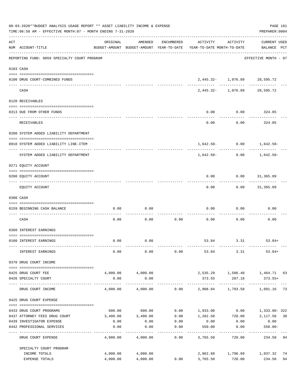|     | 08-03-2020**BUDGET ANALYSIS USAGE REPORT ** ASSET LIABILITY INCOME & EXPENSE<br>TIME: 06:58 AM - EFFECTIVE MONTH: 07 - MONTH ENDING 7-31-2020 |                      |                           |                 |                                                                                 |                                                      | PAGE 101<br>PREPARER: 0004         |          |
|-----|-----------------------------------------------------------------------------------------------------------------------------------------------|----------------------|---------------------------|-----------------|---------------------------------------------------------------------------------|------------------------------------------------------|------------------------------------|----------|
| ACT | NUM ACCOUNT-TITLE                                                                                                                             | ORIGINAL             | AMENDED                   | ENCUMBERED      | ACTIVITY<br>BUDGET-AMOUNT BUDGET-AMOUNT YEAR-TO-DATE YEAR-TO-DATE MONTH-TO-DATE | ACTIVITY                                             | <b>CURRENT USED</b><br>BALANCE PCT |          |
|     | REPORTING FUND: 0059 SPECIALTY COURT PROGRAM                                                                                                  |                      |                           |                 |                                                                                 |                                                      | EFFECTIVE MONTH - 07               |          |
|     | 0103 CASH                                                                                                                                     |                      |                           |                 |                                                                                 |                                                      |                                    |          |
|     | 0100 DRUG COURT-COMBINED FUNDS                                                                                                                |                      |                           |                 |                                                                                 | 2,445.32- 1,076.89 28,595.72                         |                                    |          |
|     | CASH                                                                                                                                          |                      |                           |                 |                                                                                 | ------- ------------<br>2,445.32- 1,076.89 28,595.72 | ___________                        |          |
|     |                                                                                                                                               |                      |                           |                 |                                                                                 |                                                      |                                    |          |
|     | 0120 RECEIVABLES                                                                                                                              |                      |                           |                 |                                                                                 |                                                      |                                    |          |
|     | 0313 DUE FROM OTHER FUNDS                                                                                                                     |                      |                           |                 | 0.00                                                                            | $0.00$ 324.05                                        |                                    |          |
|     | RECEIVABLES                                                                                                                                   |                      |                           |                 | 0.00                                                                            | 0.00                                                 | 324.05                             |          |
|     | 0200 SYSTEM ADDED LIABILITY DEPARTMENT                                                                                                        |                      |                           |                 |                                                                                 |                                                      |                                    |          |
|     | 0910 SYSTEM ADDED LIABILITY LINE-ITEM                                                                                                         |                      |                           |                 |                                                                                 | $1,642.50 - 0.00$ $1,642.50 -$                       |                                    |          |
|     | SYSTEM ADDED LIABILITY DEPARTMENT                                                                                                             |                      |                           |                 | 1,642.50-                                                                       |                                                      | $0.00$ 1,642.50-                   |          |
|     | 0271 EQUITY ACCOUNT                                                                                                                           |                      |                           |                 |                                                                                 |                                                      |                                    |          |
|     | 0200 EQUITY ACCOUNT                                                                                                                           |                      |                           |                 | 0.00                                                                            | $0.00$ $31,365.09$                                   |                                    |          |
|     | EQUITY ACCOUNT                                                                                                                                |                      |                           |                 | 0.00                                                                            |                                                      | $0.00$ 31,365.09                   |          |
|     | 0300 CASH                                                                                                                                     |                      |                           |                 |                                                                                 |                                                      |                                    |          |
|     | 0159 BEGINNING CASH BALANCE                                                                                                                   | 0.00                 | 0.00                      |                 | 0.00                                                                            | 0.00                                                 | 0.00                               |          |
|     | CASH                                                                                                                                          | 0.00                 | 0.00                      | 0.00            | 0.00                                                                            | 0.00                                                 | 0.00                               |          |
|     | 0360 INTEREST EARNINGS                                                                                                                        |                      |                           |                 |                                                                                 |                                                      |                                    |          |
|     | 0100 INTEREST EARNINGS                                                                                                                        | 0.00                 | 0.00                      |                 |                                                                                 | 53.84 3.31 53.84+                                    |                                    |          |
|     | INTEREST EARNINGS                                                                                                                             | 0.00                 | 0.00                      | 0.00            |                                                                                 | 53.84 3.31                                           | $53.84+$                           |          |
|     | 0370 DRUG COURT INCOME                                                                                                                        |                      |                           |                 |                                                                                 |                                                      |                                    |          |
|     |                                                                                                                                               |                      |                           |                 |                                                                                 |                                                      |                                    |          |
|     | 0425 DRUG COURT FEE<br>0426 SPECIALTY COURT                                                                                                   | 0.00                 | 4,000.00 4,000.00<br>0.00 |                 | 373.55                                                                          | 2,535.29 1,586.40 1,464.71 63<br>207.18              | $373.55+$                          |          |
|     | DRUG COURT INCOME                                                                                                                             | 4,000.00             | -------------<br>4,000.00 |                 | $0.00$ 2,908.84 1,793.58                                                        |                                                      | 1,091.16                           | 73       |
|     | 0425 DRUG COURT EXPENSE                                                                                                                       |                      |                           |                 |                                                                                 |                                                      |                                    |          |
|     | 0433 DRUG COURT PROGRAMS                                                                                                                      |                      | 600.00 600.00             |                 | $0.00$ 1,933.00 0.00 1,333.00-322                                               |                                                      |                                    |          |
|     | 0437 ATTORNEY FEES DRUG COURT                                                                                                                 | 3,400.00             | 3,400.00                  | 0.00            | 1,282.50                                                                        | 720.00 2,117.50 38                                   |                                    |          |
|     | 0439 INVESTIGATOR EXPENSE                                                                                                                     | 0.00                 | 0.00                      | 0.00            | 0.00                                                                            | 0.00                                                 | 0.00                               |          |
|     | 0442 PROFESSIONAL SERVICES                                                                                                                    | 0.00<br>-----------  | 0.00                      | 0.00<br>------- | 550.00<br>---------                                                             | 0.00<br>--------                                     | $550.00 -$<br>----------           |          |
|     | DRUG COURT EXPENSE                                                                                                                            | 4,000.00             | 4,000.00                  | 0.00            | 3,765.50                                                                        | 720.00                                               | 234.50                             | 94       |
|     | SPECIALTY COURT PROGRAM                                                                                                                       |                      |                           |                 |                                                                                 |                                                      |                                    |          |
|     | INCOME TOTALS<br>EXPENSE TOTALS                                                                                                               | 4,000.00<br>4,000.00 | 4,000.00<br>4,000.00      | 0.00            | 3,765.50                                                                        | 2,962.68 1,796.89 1,037.32<br>720.00                 | 234.50                             | 74<br>94 |
|     |                                                                                                                                               |                      |                           |                 |                                                                                 |                                                      |                                    |          |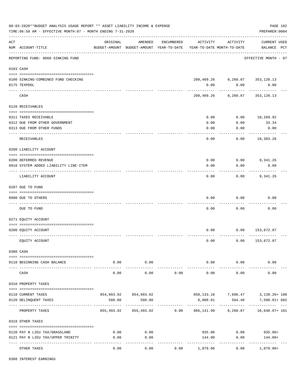| 08-03-2020**BUDGET ANALYSIS USAGE REPORT ** ASSET LIABILITY INCOME & EXPENSE<br>TIME:06:58 AM - EFFECTIVE MONTH:07 - MONTH ENDING 7-31-2020<br>PREPARER: 0004 |                                       |                       |                       |            |                                                                                 |                                |                                                   |  |  |
|---------------------------------------------------------------------------------------------------------------------------------------------------------------|---------------------------------------|-----------------------|-----------------------|------------|---------------------------------------------------------------------------------|--------------------------------|---------------------------------------------------|--|--|
| ACT                                                                                                                                                           | NUM ACCOUNT-TITLE                     | ORIGINAL              | AMENDED               | ENCUMBERED | ACTIVITY<br>BUDGET-AMOUNT BUDGET-AMOUNT YEAR-TO-DATE YEAR-TO-DATE MONTH-TO-DATE | ACTIVITY                       | <b>CURRENT USED</b><br>BALANCE PCT                |  |  |
|                                                                                                                                                               | REPORTING FUND: 0060 SINKING FUND     |                       |                       |            |                                                                                 |                                | EFFECTIVE MONTH - 07                              |  |  |
|                                                                                                                                                               | 0103 CASH                             |                       |                       |            |                                                                                 |                                |                                                   |  |  |
|                                                                                                                                                               | 0100 SINKING-COMBINED FUND CHECKING   |                       |                       |            |                                                                                 | 200,409.26 8,260.87 353,120.13 |                                                   |  |  |
|                                                                                                                                                               | 0175 TEXPOOL                          |                       |                       |            | 0.00                                                                            | 0.00                           | 0.00                                              |  |  |
|                                                                                                                                                               | CASH                                  |                       |                       |            | 200,409.26                                                                      | 8,260.87                       | 353,120.13                                        |  |  |
|                                                                                                                                                               | 0120 RECEIVABLES                      |                       |                       |            |                                                                                 |                                |                                                   |  |  |
|                                                                                                                                                               | 0311 TAXES RECEIVABLE                 |                       |                       |            | 0.00                                                                            | 0.00                           | 10,269.92                                         |  |  |
|                                                                                                                                                               | 0312 DUE FROM OTHER GOVERNMENT        |                       |                       |            | 0.00                                                                            | 0.00                           | 33.34                                             |  |  |
|                                                                                                                                                               | 0313 DUE FROM OTHER FUNDS             |                       |                       |            | 0.00                                                                            | 0.00                           | 0.00                                              |  |  |
|                                                                                                                                                               |                                       |                       |                       |            |                                                                                 |                                |                                                   |  |  |
|                                                                                                                                                               | RECEIVABLES                           |                       |                       |            | 0.00                                                                            | 0.00                           | 10,303.26                                         |  |  |
|                                                                                                                                                               | 0200 LIABILITY ACCOUNT                |                       |                       |            |                                                                                 |                                |                                                   |  |  |
|                                                                                                                                                               | 0200 DEFERRED REVENUE                 |                       |                       |            | 0.00                                                                            | 0.00                           | 9,341.26                                          |  |  |
|                                                                                                                                                               | 0910 SYSTEM ADDED LIABILITY LINE-ITEM |                       |                       |            | 0.00                                                                            | 0.00                           | 0.00                                              |  |  |
|                                                                                                                                                               | LIABILITY ACCOUNT                     |                       |                       |            | 0.00                                                                            | 0.00                           | 9,341.26                                          |  |  |
|                                                                                                                                                               | 0207 DUE TO FUND                      |                       |                       |            |                                                                                 |                                |                                                   |  |  |
|                                                                                                                                                               | 0990 DUE TO OTHERS                    |                       |                       |            | 0.00                                                                            | 0.00                           | 0.00                                              |  |  |
|                                                                                                                                                               | DUE TO FUND                           |                       |                       |            | 0.00                                                                            | 0.00                           | 0.00                                              |  |  |
|                                                                                                                                                               |                                       |                       |                       |            |                                                                                 |                                |                                                   |  |  |
|                                                                                                                                                               | 0271 EQUITY ACCOUNT                   |                       |                       |            |                                                                                 |                                |                                                   |  |  |
|                                                                                                                                                               | 0200 EQUITY ACCOUNT                   |                       |                       |            | 0.00                                                                            | 0.00                           | 153,672.87                                        |  |  |
|                                                                                                                                                               |                                       |                       |                       |            |                                                                                 |                                |                                                   |  |  |
|                                                                                                                                                               | EQUITY ACCOUNT                        |                       |                       |            | 0.00                                                                            | 0.00                           | 153,672.87                                        |  |  |
|                                                                                                                                                               | 0300 CASH                             |                       |                       |            |                                                                                 |                                |                                                   |  |  |
|                                                                                                                                                               | 0110 BEGINNING CASH BALANCE           | 0.00                  | 0.00                  |            |                                                                                 | $0.00$ 0.00                    | 0.00                                              |  |  |
|                                                                                                                                                               | CASH                                  | $- - - - - -$<br>0.00 | ---------<br>0.00     | 0.00       | 0.00                                                                            | 0.00                           | 0.00                                              |  |  |
|                                                                                                                                                               | 0310 PROPERTY TAXES                   |                       |                       |            |                                                                                 |                                |                                                   |  |  |
|                                                                                                                                                               | 0110 CURRENT TAXES                    |                       | 854,993.92 854,993.92 |            |                                                                                 |                                |                                                   |  |  |
|                                                                                                                                                               | 0120 DELINQUENT TAXES                 | 500.00                | 500.00                |            | 8,008.81                                                                        | 564.40                         | 858,133.18 7,696.47 3,139.26+100<br>7,508.81+ 602 |  |  |
|                                                                                                                                                               |                                       |                       |                       |            |                                                                                 | ---------                      |                                                   |  |  |
|                                                                                                                                                               | PROPERTY TAXES                        |                       |                       |            | 855,493.92   855,493.92      0.00   866,141.99    8,260.87    10,648.07+ 101    |                                |                                                   |  |  |
|                                                                                                                                                               | 0318 OTHER TAXES                      |                       |                       |            |                                                                                 |                                |                                                   |  |  |
|                                                                                                                                                               | 0120 PAY N LIEU TAX/GRASSLAND         | 0.00                  | 0.00                  |            | 935.06                                                                          |                                | $0.00$ 935.06+                                    |  |  |
|                                                                                                                                                               | 0121 PAY N LIEU TAX/UPPER TRINITY     | 0.00                  | 0.00                  |            | 144.00                                                                          | 0.00                           | 144.00+                                           |  |  |
|                                                                                                                                                               |                                       | --------              | ----------            |            | ------------                                                                    | -----------                    |                                                   |  |  |
|                                                                                                                                                               | OTHER TAXES                           | 0.00                  | 0.00                  | 0.00       | 1,079.06                                                                        | 0.00                           | 1,079.06+                                         |  |  |

0360 INTEREST EARNINGS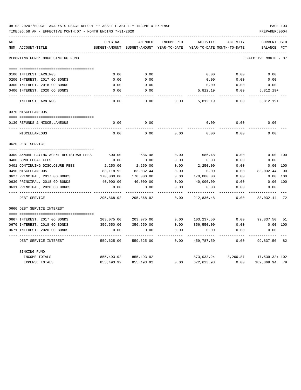| 08-03-2020**BUDGET ANALYSIS USAGE REPORT ** ASSET LIABILITY INCOME & EXPENSE | <b>PAGE 103</b> |
|------------------------------------------------------------------------------|-----------------|
| TIME:06:58 AM - EFFECTIVE MONTH:07 - MONTH ENDING 7-31-2020                  | PREPARER: 0004  |

| ACT                                     | ORIGINAL          | AMENDED                    | ENCUMBERED | <b>ACTIVITY</b> | ACTIVITY                   | <b>CURRENT USED</b>  |     |
|-----------------------------------------|-------------------|----------------------------|------------|-----------------|----------------------------|----------------------|-----|
| NUM ACCOUNT-TITLE                       | BUDGET-AMOUNT     | BUDGET-AMOUNT YEAR-TO-DATE |            |                 | YEAR-TO-DATE MONTH-TO-DATE | BALANCE              | PCT |
| REPORTING FUND: 0060 SINKING FUND       |                   |                            |            |                 |                            | EFFECTIVE MONTH - 07 |     |
|                                         |                   |                            |            |                 |                            |                      |     |
| 0100 INTEREST EARNINGS                  | 0.00              | 0.00                       |            | 0.00            | 0.00                       | 0.00                 |     |
| 0200 INTEREST, 2017 GO BONDS            | 0.00              | 0.00                       |            | 0.00            | 0.00                       | 0.00                 |     |
| 0300 INTEREST, 2018 GO BONDS            | 0.00              | 0.00                       |            | 0.00            | 0.00                       | 0.00                 |     |
| 0400 INTEREST, 2020 CO BONDS            | 0.00              | 0.00                       |            | 5,812.19        | 0.00                       | $5,812.19+$          |     |
| INTEREST EARNINGS                       | 0.00              | 0.00                       | 0.00       | 5,812.19        | 0.00                       | $5,812.19+$          |     |
| 0370 MISCELLANEOUS                      |                   |                            |            |                 |                            |                      |     |
|                                         |                   |                            |            |                 |                            |                      |     |
| 0130 REFUNDS & MISCELLANEOUS            | 0.00              | 0.00                       |            | 0.00            | 0.00                       | 0.00                 |     |
| MISCELLANEOUS                           | 0.00              | 0.00                       | 0.00       | 0.00            | 0.00                       | 0.00                 |     |
| 0620 DEBT SERVICE                       |                   |                            |            |                 |                            |                      |     |
|                                         |                   |                            |            |                 |                            |                      |     |
| 0309 ANNUAL PAYING AGENT REGISTRAR FEES | 500.00            | 586.48                     | 0.00       | 586.48          | 0.00                       | 0.00 100             |     |
| 0400 BOND LEGAL FEES                    | 0.00              | 0.00                       | 0.00       | 0.00            | 0.00                       | 0.00                 |     |
| 0401 CONTINUING DISCLOSURE FEES         | 2,250.00          | 2,250.00                   | 0.00       | 2,250.00        | 0.00                       | 0.00 100             |     |
| 0490 MISCELLANEOUS                      | 83,118.92         | 83,032.44                  | 0.00       | 0.00            | 0.00                       | 83,032.44            | 00  |
| 0627 PRINCIPAL, 2017 GO BONDS           | 170,000.00        | 170,000.00                 | 0.00       | 170,000.00      | 0.00                       | 0.00                 | 100 |
| 0630 PRINCIPAL, 2018 GO BONDS           | 40,000.00         | 40,000.00                  | 0.00       | 40,000.00       | 0.00                       | 0.00                 | 100 |
| 0631 PRINCIPAL, 2020 CO BONDS           | 0.00<br>--------- | 0.00                       | 0.00       | 0.00            | 0.00                       | 0.00                 |     |
| DEBT SERVICE                            | 295,868.92        | 295,868.92                 | 0.00       | 212,836.48      | 0.00                       | 83,032.44 72         |     |
| 0660 DEBT SERVICE INTEREST              |                   |                            |            |                 |                            |                      |     |
| 0667 INTEREST, 2017 GO BONDS            | 203,075.00        | 203,075.00                 | 0.00       | 103,237.50      | 0.00                       | 99,837.50            | 51  |
| 0670 INTEREST, 2018 GO BONDS            | 356,550.00        | 356,550.00                 | 0.00       | 356,550.00      | 0.00                       | 0.00 100             |     |
| 0671 INTEREST, 2020 CO BONDS            | 0.00              | 0.00                       | 0.00       | 0.00            | 0.00                       | 0.00                 |     |
| DEBT SERVICE INTEREST                   | 559,625.00        | 559,625.00                 | 0.00       | 459,787.50      | 0.00                       | 99,837.50 82         |     |
| SINKING FUND                            |                   |                            |            |                 |                            |                      |     |
| INCOME TOTALS                           | 855,493.92        | 855,493.92                 |            | 873,033.24      | 8,260.87                   | 17,539.32+ 102       |     |
| <b>EXPENSE TOTALS</b>                   | 855,493.92        | 855,493.92                 | 0.00       | 672,623.98      | 0.00                       | 182,869.94 79        |     |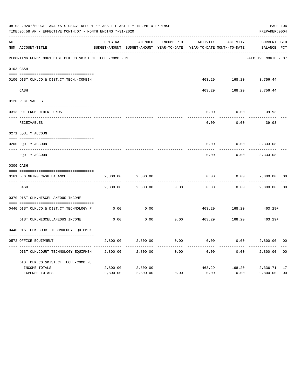|     | 08-03-2020**BUDGET ANALYSIS USAGE REPORT ** ASSET LIABILITY INCOME & EXPENSE<br>TIME: 06:58 AM - EFFECTIVE MONTH: 07 - MONTH ENDING 7-31-2020 |          |                                                     |                   |          |                                        |                                    |                |  |  |
|-----|-----------------------------------------------------------------------------------------------------------------------------------------------|----------|-----------------------------------------------------|-------------------|----------|----------------------------------------|------------------------------------|----------------|--|--|
| ACT | NUM ACCOUNT-TITLE                                                                                                                             | ORIGINAL | AMENDED<br>BUDGET-AMOUNT BUDGET-AMOUNT YEAR-TO-DATE | <b>ENCUMBERED</b> | ACTIVITY | ACTIVITY<br>YEAR-TO-DATE MONTH-TO-DATE | <b>CURRENT USED</b><br>BALANCE PCT |                |  |  |
|     | REPORTING FUND: 0061 DIST.CLK.CO.&DIST.CT.TECH.-COMB.FUN                                                                                      |          |                                                     |                   |          |                                        | EFFECTIVE MONTH - 07               |                |  |  |
|     | 0103 CASH                                                                                                                                     |          |                                                     |                   |          |                                        |                                    |                |  |  |
|     | 0100 DIST.CLK.CO.& DIST.CT.TECH.-COMBIN                                                                                                       |          |                                                     |                   | 463.29   | 168.20                                 | 3,756.44                           |                |  |  |
|     | CASH                                                                                                                                          |          |                                                     |                   | 463.29   | 168.20                                 | 3,756.44                           |                |  |  |
|     | 0120 RECEIVABLES                                                                                                                              |          |                                                     |                   |          |                                        |                                    |                |  |  |
|     | 0313 DUE FROM OTHER FUNDS                                                                                                                     |          |                                                     |                   | 0.00     | 0.00                                   | 39.93                              |                |  |  |
|     | RECEIVABLES                                                                                                                                   |          |                                                     |                   | 0.00     | 0.00                                   | 39.93                              |                |  |  |
|     | 0271 EQUITY ACCOUNT                                                                                                                           |          |                                                     |                   |          |                                        |                                    |                |  |  |
|     | 0200 EQUITY ACCOUNT                                                                                                                           |          |                                                     |                   | 0.00     | 0.00                                   | 3,333.08                           |                |  |  |
|     | ---- -----------<br>EQUITY ACCOUNT                                                                                                            |          |                                                     |                   | 0.00     | 0.00                                   | 3,333.08                           |                |  |  |
|     | 0300 CASH                                                                                                                                     |          |                                                     |                   |          |                                        |                                    |                |  |  |
|     | 0161 BEGINNING CASH BALANCE                                                                                                                   | 2,800.00 | 2,800.00                                            |                   | 0.00     | 0.00                                   | 2,800.00                           | 0 <sup>0</sup> |  |  |
|     | CASH                                                                                                                                          | 2,800.00 | 2,800.00                                            | 0.00              | 0.00     | 0.00                                   | 2,800.00                           | 0 <sup>0</sup> |  |  |
|     | 0370 DIST.CLK.MISCELLANEOUS INCOME                                                                                                            |          |                                                     |                   |          |                                        |                                    |                |  |  |
|     | 0440 DIST.CLK.CO.& DIST.CT.TECHNOLOGY F                                                                                                       | 0.00     | 0.00                                                |                   | 463.29   | 168.20                                 | $463.29+$                          |                |  |  |
|     | DIST.CLK.MISCELLANEOUS INCOME                                                                                                                 | 0.00     | 0.00                                                | 0.00              | 463.29   | 168.20                                 | $463.29+$                          |                |  |  |
|     | 0440 DIST.CLK.COURT TECHNOLOGY EQUIPMEN                                                                                                       |          |                                                     |                   |          |                                        |                                    |                |  |  |
|     | 0572 OFFICE EOUIPMENT                                                                                                                         | 2,800.00 | 2,800.00                                            | 0.00              | 0.00     | 0.00                                   | 2,800.00                           | 0 <sub>0</sub> |  |  |
|     | DIST.CLK.COURT TECHNOLOGY EQUIPMEN                                                                                                            | 2,800.00 | 2,800.00                                            | 0.00              | 0.00     | 0.00                                   | 2,800.00                           | 0 <sub>0</sub> |  |  |
|     | DIST.CLK.CO.&DIST.CT.TECH.-COMB.FU                                                                                                            |          |                                                     |                   |          |                                        |                                    |                |  |  |
|     | INCOME TOTALS                                                                                                                                 | 2,800.00 | 2,800.00                                            |                   | 463.29   | 168.20                                 | 2,336.71                           | 17             |  |  |
|     | <b>EXPENSE TOTALS</b>                                                                                                                         | 2,800.00 | 2,800.00                                            | 0.00              | 0.00     | 0.00                                   | 2,800.00                           | 0 <sub>0</sub> |  |  |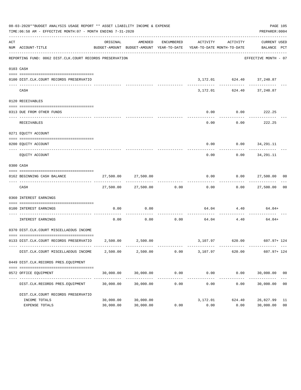|     | 08-03-2020**BUDGET ANALYSIS USAGE REPORT ** ASSET LIABILITY INCOME & EXPENSE<br>TIME:06:58 AM - EFFECTIVE MONTH:07 - MONTH ENDING 7-31-2020 |                        |                            |                      |                                                                                                                 |                                            | PAGE 105<br>PREPARER: 0004 |                      |
|-----|---------------------------------------------------------------------------------------------------------------------------------------------|------------------------|----------------------------|----------------------|-----------------------------------------------------------------------------------------------------------------|--------------------------------------------|----------------------------|----------------------|
| ACT | NUM ACCOUNT-TITLE                                                                                                                           | ORIGINAL               | AMENDED                    |                      | ENCUMBERED ACTIVITY ACTIVITY<br>BUDGET-AMOUNT BUDGET-AMOUNT YEAR-TO-DATE YEAR-TO-DATE MONTH-TO-DATE BALANCE PCT |                                            | CURRENT USED               |                      |
|     | REPORTING FUND: 0062 DIST.CLK.COURT RECORDS PRESERVATION                                                                                    |                        |                            |                      |                                                                                                                 |                                            | EFFECTIVE MONTH - 07       |                      |
|     | 0103 CASH                                                                                                                                   |                        |                            |                      |                                                                                                                 |                                            |                            |                      |
|     | 0100 DIST.CLK.COURT RECORDS PRESERVATIO                                                                                                     |                        |                            |                      |                                                                                                                 | 3,172.01 624.40 37,240.87                  |                            |                      |
|     | CASH                                                                                                                                        |                        | -------------              |                      |                                                                                                                 | -----------<br>3, 172.01 624.40 37, 240.87 | $- - - - - - -$            |                      |
|     | 0120 RECEIVABLES                                                                                                                            |                        |                            |                      |                                                                                                                 |                                            |                            |                      |
|     | 0313 DUE FROM OTHER FUNDS                                                                                                                   |                        |                            |                      | 0.00                                                                                                            |                                            | $0.00$ 222.25              |                      |
|     | RECEIVABLES                                                                                                                                 |                        |                            |                      | 0.00                                                                                                            | 0.00                                       | ----------<br>222.25       |                      |
|     | 0271 EQUITY ACCOUNT                                                                                                                         |                        |                            |                      |                                                                                                                 |                                            |                            |                      |
|     | 0200 EQUITY ACCOUNT                                                                                                                         |                        |                            |                      |                                                                                                                 | $0.00$ $0.00$ $34,291.11$                  |                            |                      |
|     | EQUITY ACCOUNT                                                                                                                              |                        |                            |                      | 0.00                                                                                                            | 0.00                                       | 34,291.11                  |                      |
|     | 0300 CASH                                                                                                                                   |                        |                            |                      |                                                                                                                 |                                            |                            |                      |
|     | 0162 BEGINNING CASH BALANCE                                                                                                                 |                        | 27,500.00 27,500.00        |                      | 0.00                                                                                                            |                                            | $0.00$ 27,500.00 00        |                      |
|     | CASH                                                                                                                                        |                        | 27,500.00 27,500.00 0.00   |                      | 0.00                                                                                                            |                                            | $0.00$ 27,500.00 00        |                      |
|     | 0360 INTEREST EARNINGS                                                                                                                      |                        |                            |                      |                                                                                                                 |                                            |                            |                      |
|     | 0100 INTEREST EARNINGS<br>----------------- ---                                                                                             | 0.00                   | 0.00                       | -----------          |                                                                                                                 | 64.04 4.40                                 | 64.04+                     |                      |
|     | INTEREST EARNINGS                                                                                                                           | 0.00                   |                            | $0.00$ 0.00          |                                                                                                                 | 64.04 4.40                                 | 64.04+                     |                      |
|     | 0370 DIST.CLK.COURT MISCELLAEOUS INCOME                                                                                                     |                        |                            |                      |                                                                                                                 |                                            |                            |                      |
|     | 0133 DIST.CLK.COURT RECORDS PRESERVATIO 2,500.00 2,500.00                                                                                   |                        |                            |                      |                                                                                                                 | 3,107.97 620.00 607.97+124                 |                            |                      |
|     | DIST.CLK.COURT MISCELLAEOUS INCOME                                                                                                          | 2,500.00               | 2,500.00                   | 0.00                 | 3,107.97                                                                                                        | 620.00                                     | $607.97 + 124$             |                      |
|     | 0449 DIST.CLK.RECORDS PRES.EQUIPMENT                                                                                                        |                        |                            |                      |                                                                                                                 |                                            |                            |                      |
|     | 0572 OFFICE EQUIPMENT                                                                                                                       | 30,000.00              | 30,000.00                  | 0.00                 | 0.00                                                                                                            | 0.00                                       | 30,000.00                  | 00                   |
|     | DIST.CLK.RECORDS PRES.EQUIPMENT                                                                                                             | 30,000.00              | _____________<br>30,000.00 | ------------<br>0.00 | 0.00                                                                                                            | ----------<br>0.00                         | . <u>.</u> .<br>30,000.00  | 0 <sub>0</sub>       |
|     | DIST.CLK.COURT RECORDS PRESERVATIO                                                                                                          |                        |                            |                      |                                                                                                                 |                                            |                            |                      |
|     | INCOME TOTALS<br>EXPENSE TOTALS                                                                                                             | 30,000.00<br>30,000.00 | 30,000.00<br>30,000.00     | 0.00                 | 3,172.01<br>0.00                                                                                                | 624.40<br>0.00                             | 26,827.99<br>30,000.00     | 11<br>0 <sub>0</sub> |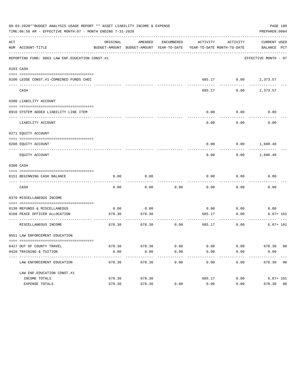|     | 08-03-2020**BUDGET ANALYSIS USAGE REPORT ** ASSET LIABILITY INCOME & EXPENSE<br>PAGE 106<br>TIME: 06:58 AM - EFFECTIVE MONTH: 07 - MONTH ENDING 7-31-2020<br>PREPARER: 0004 |          |                                                     |            |                            |                      |                             |  |  |  |  |
|-----|-----------------------------------------------------------------------------------------------------------------------------------------------------------------------------|----------|-----------------------------------------------------|------------|----------------------------|----------------------|-----------------------------|--|--|--|--|
| ACT | NUM ACCOUNT-TITLE                                                                                                                                                           | ORIGINAL | AMENDED<br>BUDGET-AMOUNT BUDGET-AMOUNT YEAR-TO-DATE | ENCUMBERED | YEAR-TO-DATE MONTH-TO-DATE | ACTIVITY ACTIVITY    | CURRENT USED<br>BALANCE PCT |  |  |  |  |
|     | REPORTING FUND: 0063 LAW ENF. EDUCATION CONST.#1                                                                                                                            |          |                                                     |            |                            |                      | EFFECTIVE MONTH - 07        |  |  |  |  |
|     | 0103 CASH                                                                                                                                                                   |          |                                                     |            |                            |                      |                             |  |  |  |  |
|     | 0100 LEOSE CONST.#1-COMBINED FUNDS CHEC                                                                                                                                     |          |                                                     |            |                            | 685.17 0.00 2,373.57 |                             |  |  |  |  |
|     | CASH                                                                                                                                                                        |          |                                                     |            | 685.17                     | 0.00                 | 2,373.57                    |  |  |  |  |
|     | 0200 LIABILITY ACCOUNT                                                                                                                                                      |          |                                                     |            |                            |                      |                             |  |  |  |  |
|     | 0910 SYSTEM ADDED LIABILITY LINE ITEM                                                                                                                                       |          |                                                     |            | 0.00                       | 0.00                 | 0.00                        |  |  |  |  |
|     | LIABILITY ACCOUNT                                                                                                                                                           |          |                                                     |            | 0.00                       | 0.00                 | 0.00                        |  |  |  |  |
|     | 0271 EQUITY ACCOUNT                                                                                                                                                         |          |                                                     |            |                            |                      |                             |  |  |  |  |
|     | 0200 EQUITY ACCOUNT                                                                                                                                                         |          |                                                     |            | 0.00                       | 0.00                 | 1,688.40                    |  |  |  |  |
|     | EQUITY ACCOUNT                                                                                                                                                              |          |                                                     |            | 0.00                       | 0.00                 | 1,688.40                    |  |  |  |  |
|     | 0300 CASH                                                                                                                                                                   |          |                                                     |            |                            |                      |                             |  |  |  |  |
|     | 0151 BEGINNING CASH BALANCE                                                                                                                                                 | 0.00     | 0.00                                                |            | 0.00                       | 0.00                 | 0.00                        |  |  |  |  |
|     | CASH                                                                                                                                                                        | 0.00     | 0.00                                                | 0.00       | 0.00                       | 0.00                 | 0.00                        |  |  |  |  |
|     | 0370 MISCELLANEOUS INCOME                                                                                                                                                   |          |                                                     |            |                            |                      |                             |  |  |  |  |
|     | 0130 REFUNDS & MISCELLANEOUS                                                                                                                                                | 0.00     | 0.00                                                |            | 0.00                       | 0.00                 | 0.00                        |  |  |  |  |
|     | 0160 PEACE OFFICER ALLOCATION                                                                                                                                               | 678.30   | 678.30                                              |            | 685.17                     | 0.00                 | $6.87 + 101$                |  |  |  |  |
|     | MISCELLANEOUS INCOME                                                                                                                                                        | 678.30   | 678.30                                              | 0.00       | 685.17                     | 0.00                 | $6.87 + 101$                |  |  |  |  |
|     | 0551 LAW ENFORCEMENT EDUCATION                                                                                                                                              |          |                                                     |            |                            |                      |                             |  |  |  |  |
|     | 0427 OUT OF COUNTY TRAVEL                                                                                                                                                   |          | 678.30 678.30                                       | 0.00       | 0.00                       | 0.00                 | 678.30 00                   |  |  |  |  |
|     | 0428 TRAINING & TUITION                                                                                                                                                     | 0.00     | 0.00                                                | 0.00       | 0.00                       | 0.00                 | 0.00                        |  |  |  |  |
|     | ----------------------------------<br>LAW ENFORCEMENT EDUCATION                                                                                                             | 678.30   | 678.30                                              | 0.00       | 0.00                       | 0.00                 | 678.30 00                   |  |  |  |  |
|     | LAW ENF. EDUCATION CONST. #1                                                                                                                                                |          |                                                     |            |                            |                      |                             |  |  |  |  |
|     | INCOME TOTALS                                                                                                                                                               | 678.30   | 678.30                                              |            | 685.17                     | 0.00                 | $6.87 + 101$                |  |  |  |  |
|     | EXPENSE TOTALS                                                                                                                                                              | 678.30   | 678.30                                              | 0.00       | 0.00                       | 0.00                 | 678.30 00                   |  |  |  |  |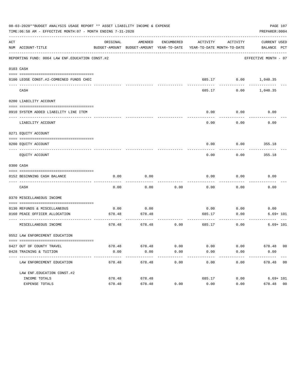| 08-03-2020**BUDGET ANALYSIS USAGE REPORT ** ASSET LIABILITY INCOME & EXPENSE<br>PAGE 107<br>TIME:06:58 AM - EFFECTIVE MONTH:07 - MONTH ENDING 7-31-2020<br>PREPARER: 0004 |                                                               |                 |                                                     |            |                            |                      |                             |                |
|---------------------------------------------------------------------------------------------------------------------------------------------------------------------------|---------------------------------------------------------------|-----------------|-----------------------------------------------------|------------|----------------------------|----------------------|-----------------------------|----------------|
| ACT                                                                                                                                                                       | NUM ACCOUNT-TITLE                                             | ORIGINAL        | AMENDED<br>BUDGET-AMOUNT BUDGET-AMOUNT YEAR-TO-DATE | ENCUMBERED | YEAR-TO-DATE MONTH-TO-DATE | ACTIVITY ACTIVITY    | CURRENT USED<br>BALANCE PCT |                |
|                                                                                                                                                                           | REPORTING FUND: 0064 LAW ENF. EDUCATION CONST.#2              |                 |                                                     |            |                            |                      | EFFECTIVE MONTH - 07        |                |
|                                                                                                                                                                           | 0103 CASH                                                     |                 |                                                     |            |                            |                      |                             |                |
|                                                                                                                                                                           | 0100 LEOSE CONST.#2-COMBINED FUNDS CHEC                       |                 |                                                     |            |                            | 685.17 0.00 1,040.35 |                             |                |
|                                                                                                                                                                           | CASH                                                          |                 |                                                     |            | 685.17                     | 0.00                 | 1,040.35                    |                |
|                                                                                                                                                                           | 0200 LIABILITY ACCOUNT                                        |                 |                                                     |            |                            |                      |                             |                |
|                                                                                                                                                                           | 0910 SYSTEM ADDED LIABILITY LINE ITEM                         |                 |                                                     |            | 0.00                       | 0.00                 | 0.00                        |                |
|                                                                                                                                                                           | LIABILITY ACCOUNT                                             |                 |                                                     |            | 0.00                       | 0.00                 | 0.00                        |                |
|                                                                                                                                                                           | 0271 EQUITY ACCOUNT                                           |                 |                                                     |            |                            |                      |                             |                |
|                                                                                                                                                                           | 0200 EQUITY ACCOUNT                                           |                 |                                                     |            | 0.00                       |                      | $0.00$ 355.18               |                |
|                                                                                                                                                                           | EQUITY ACCOUNT                                                |                 |                                                     |            | 0.00                       | 0.00                 | 355.18                      |                |
|                                                                                                                                                                           | 0300 CASH                                                     |                 |                                                     |            |                            |                      |                             |                |
|                                                                                                                                                                           | 0152 BEGINNING CASH BALANCE                                   | 0.00            | 0.00                                                |            | 0.00                       | 0.00                 | 0.00                        |                |
|                                                                                                                                                                           | CASH                                                          | 0.00            | 0.00                                                | 0.00       | 0.00                       | 0.00                 | 0.00                        |                |
|                                                                                                                                                                           | 0370 MISCELLANEOUS INCOME                                     |                 |                                                     |            |                            |                      |                             |                |
|                                                                                                                                                                           | 0130 REFUNDS & MISCELLANEOUS                                  | 0.00            | 0.00                                                |            | 0.00                       | 0.00                 | 0.00                        |                |
|                                                                                                                                                                           | 0160 PEACE OFFICER ALLOCATION                                 | 678.48          | 678.48                                              |            | 685.17                     | 0.00                 | $6.69 + 101$                |                |
|                                                                                                                                                                           | MISCELLANEOUS INCOME                                          | 678.48          | 678.48                                              | 0.00       | 685.17                     | 0.00                 | $6.69 + 101$                |                |
|                                                                                                                                                                           | 0552 LAW ENFORCEMENT EDUCATION                                |                 |                                                     |            |                            |                      |                             |                |
|                                                                                                                                                                           | 0427 OUT OF COUNTY TRAVEL                                     |                 | 678.48 678.48                                       | 0.00       | 0.00                       | 0.00                 | 678.48 00                   |                |
|                                                                                                                                                                           | 0428 TRAINING & TUITION<br>---------------------------------- | 0.00<br>------- | 0.00                                                | 0.00       | 0.00                       | 0.00                 | 0.00                        |                |
|                                                                                                                                                                           | LAW ENFORCEMENT EDUCATION                                     | 678.48          | 678.48                                              | 0.00       | 0.00                       | 0.00                 | 678.48 00                   |                |
|                                                                                                                                                                           | LAW ENF. EDUCATION CONST. #2                                  |                 |                                                     |            |                            |                      |                             |                |
|                                                                                                                                                                           | INCOME TOTALS                                                 | 678.48          | 678.48                                              |            | 685.17                     | 0.00                 | $6.69 + 101$                |                |
|                                                                                                                                                                           | EXPENSE TOTALS                                                | 678.48          | 678.48                                              | 0.00       | 0.00                       | 0.00                 | 678.48                      | 0 <sub>0</sub> |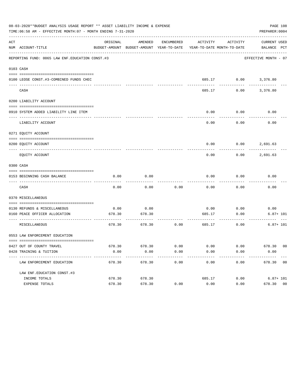|     | 08-03-2020**BUDGET ANALYSIS USAGE REPORT ** ASSET LIABILITY INCOME & EXPENSE<br>TIME: 06:58 AM - EFFECTIVE MONTH: 07 - MONTH ENDING 7-31-2020 |          |                                                                                            |      |                                        |                              | PREPARER: 0004           | PAGE 108 |
|-----|-----------------------------------------------------------------------------------------------------------------------------------------------|----------|--------------------------------------------------------------------------------------------|------|----------------------------------------|------------------------------|--------------------------|----------|
| ACT | NUM ACCOUNT-TITLE                                                                                                                             | ORIGINAL | AMENDED<br>BUDGET-AMOUNT BUDGET-AMOUNT YEAR-TO-DATE YEAR-TO-DATE MONTH-TO-DATE BALANCE PCT |      |                                        | ENCUMBERED ACTIVITY ACTIVITY | CURRENT USED             |          |
|     | REPORTING FUND: 0065 LAW ENF. EDUCATION CONST.#3                                                                                              |          |                                                                                            |      |                                        |                              | EFFECTIVE MONTH - 07     |          |
|     | 0103 CASH                                                                                                                                     |          |                                                                                            |      |                                        |                              |                          |          |
|     | 0100 LEOSE CONST.#3-COMBINED FUNDS CHEC                                                                                                       |          |                                                                                            |      |                                        |                              | 685.17 0.00 3,376.80     |          |
|     | ______________________________<br>CASH                                                                                                        |          |                                                                                            |      | 685.17                                 |                              | $0.00$ 3,376.80          |          |
|     | 0200 LIABILITY ACCOUNT                                                                                                                        |          |                                                                                            |      |                                        |                              |                          |          |
|     | 0910 SYSTEM ADDED LIABILITY LINE ITEM                                                                                                         |          |                                                                                            |      | 0.00                                   | 0.00                         | 0.00                     |          |
|     | LIABILITY ACCOUNT                                                                                                                             |          |                                                                                            |      | 0.00                                   | 0.00                         | 0.00                     |          |
|     | 0271 EQUITY ACCOUNT                                                                                                                           |          |                                                                                            |      |                                        |                              |                          |          |
|     | 0200 EQUITY ACCOUNT                                                                                                                           |          |                                                                                            |      |                                        |                              | $0.00$ $0.00$ $2,691.63$ |          |
|     | EQUITY ACCOUNT                                                                                                                                |          |                                                                                            |      | 0.00                                   | 0.00                         | 2,691.63                 |          |
|     | 0300 CASH                                                                                                                                     |          |                                                                                            |      |                                        |                              |                          |          |
|     | 0153 BEGINNING CASH BALANCE                                                                                                                   | 0.00     | 0.00                                                                                       |      | 0.00                                   | 0.00                         | 0.00                     |          |
|     | CASH                                                                                                                                          | 0.00     | 0.00                                                                                       | 0.00 | 0.00                                   | 0.00                         | 0.00                     |          |
|     | 0370 MISCELLANEOUS                                                                                                                            |          |                                                                                            |      |                                        |                              |                          |          |
|     | 0130 REFUNDS & MISCELLANEOUS                                                                                                                  | 0.00     | 0.00                                                                                       |      | 0.00                                   | 0.00                         | 0.00                     |          |
|     | 0160 PEACE OFFICER ALLOCATION                                                                                                                 | 678.30   | 678.30                                                                                     |      | 685.17                                 | 0.00                         | $6.87 + 101$             |          |
|     | MISCELLANEOUS                                                                                                                                 | 678.30   | 678.30                                                                                     | 0.00 | ------------- --------------<br>685.17 | ---------<br>0.00            | $6.87 + 101$             |          |
|     | 0553 LAW ENFORCEMENT EDUCATION                                                                                                                |          |                                                                                            |      |                                        |                              |                          |          |
|     |                                                                                                                                               |          |                                                                                            |      |                                        |                              |                          |          |
|     | 0427 OUT OF COUNTY TRAVEL                                                                                                                     | 678.30   | 678.30                                                                                     | 0.00 | 0.00                                   | 0.00                         | 678.30 00                |          |
|     | 0428 TRAINING & TUITION<br>----------------------------                                                                                       | 0.00     | 0.00                                                                                       | 0.00 | 0.00                                   | 0.00                         | 0.00                     |          |
|     | LAW ENFORCEMENT EDUCATION                                                                                                                     | 678.30   | 678.30                                                                                     | 0.00 | 0.00                                   | 0.00                         | 678.30 00                |          |
|     | LAW ENF. EDUCATION CONST. #3                                                                                                                  |          |                                                                                            |      |                                        |                              |                          |          |
|     | INCOME TOTALS                                                                                                                                 | 678.30   | 678.30                                                                                     |      | 685.17                                 | 0.00                         | $6.87 + 101$             |          |
|     | EXPENSE TOTALS                                                                                                                                | 678.30   | 678.30                                                                                     | 0.00 | 0.00                                   | 0.00                         | 678.30 00                |          |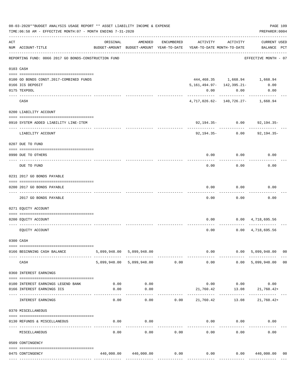|     | 08-03-2020**BUDGET ANALYSIS USAGE REPORT ** ASSET LIABILITY INCOME & EXPENSE<br>TIME: 06:58 AM - EFFECTIVE MONTH: 07 - MONTH ENDING 7-31-2020 |          |                                |            |                                                                                 |                                                |                                            |                |  |
|-----|-----------------------------------------------------------------------------------------------------------------------------------------------|----------|--------------------------------|------------|---------------------------------------------------------------------------------|------------------------------------------------|--------------------------------------------|----------------|--|
| ACT | NUM ACCOUNT-TITLE                                                                                                                             | ORIGINAL | AMENDED                        | ENCUMBERED | ACTIVITY<br>BUDGET-AMOUNT BUDGET-AMOUNT YEAR-TO-DATE YEAR-TO-DATE MONTH-TO-DATE | ACTIVITY                                       | <b>CURRENT USED</b><br>BALANCE PCT         |                |  |
|     | REPORTING FUND: 0066 2017 GO BONDS-CONSTRUCTION FUND                                                                                          |          |                                |            |                                                                                 |                                                | EFFECTIVE MONTH - 07                       |                |  |
|     | 0103 CASH                                                                                                                                     |          |                                |            |                                                                                 |                                                |                                            |                |  |
|     | 0100 GO BONDS CONST.2017-COMBINED FUNDS                                                                                                       |          |                                |            |                                                                                 |                                                | 444,468.35 1,668.94 1,668.94               |                |  |
|     | 0166 ICS DEPOSIT                                                                                                                              |          |                                |            | 5, 161, 494.97- 142, 395.21-                                                    |                                                | 0.00                                       |                |  |
|     | 0175 TEXPOOL                                                                                                                                  |          |                                |            | 0.00                                                                            | 0.00                                           | 0.00                                       |                |  |
|     | CASH                                                                                                                                          |          |                                |            | $4,717,026.62 - 140,726.27 - 1,668.94$                                          |                                                |                                            |                |  |
|     | 0200 LIABILITY ACCOUNT                                                                                                                        |          |                                |            |                                                                                 |                                                |                                            |                |  |
|     | 0910 SYSTEM ADDED LIABILITY LINE-ITEM                                                                                                         |          |                                |            |                                                                                 | $92,194.35 - 0.00$                             | 92,194.35-                                 |                |  |
|     | LIABILITY ACCOUNT                                                                                                                             |          |                                |            |                                                                                 | ________________________<br>$92,194.35 - 0.00$ | 92,194.35-                                 |                |  |
|     | 0207 DUE TO FUND                                                                                                                              |          |                                |            |                                                                                 |                                                |                                            |                |  |
|     | 0990 DUE TO OTHERS                                                                                                                            |          |                                |            | 0.00                                                                            | 0.00                                           | 0.00                                       |                |  |
|     | DUE TO FUND                                                                                                                                   |          |                                |            | 0.00                                                                            | 0.00                                           | 0.00                                       |                |  |
|     | 0231 2017 GO BONDS PAYABLE                                                                                                                    |          |                                |            |                                                                                 |                                                |                                            |                |  |
|     | 0200 2017 GO BONDS PAYABLE                                                                                                                    |          |                                |            | 0.00                                                                            | 0.00                                           | 0.00                                       |                |  |
|     | ---------------                                                                                                                               |          |                                |            |                                                                                 |                                                |                                            |                |  |
|     | 2017 GO BONDS PAYABLE                                                                                                                         |          |                                |            | 0.00                                                                            | 0.00                                           | 0.00                                       |                |  |
|     | 0271 EQUITY ACCOUNT                                                                                                                           |          |                                |            |                                                                                 |                                                |                                            |                |  |
|     | 0200 EQUITY ACCOUNT                                                                                                                           |          |                                |            |                                                                                 |                                                | $0.00$ $0.00$ $4,718,695.56$               |                |  |
|     | EQUITY ACCOUNT                                                                                                                                |          |                                |            |                                                                                 | 0.00                                           | $0.00 \quad 4,718,695.56$                  |                |  |
|     | 0300 CASH                                                                                                                                     |          |                                |            |                                                                                 |                                                |                                            |                |  |
|     | 0166 BEGINNING CASH BALANCE                                                                                                                   |          | 5,099,948.00 5,099,948.00      |            |                                                                                 |                                                | $0.00$ 0.00 5,099,948.00                   | 0 <sub>0</sub> |  |
|     | CASH                                                                                                                                          |          | 5,099,948.00 5,099,948.00 0.00 |            | ------ ----------- --------------<br>0.00                                       | -------------                                  | 0.00 5,099,948.00                          | 00             |  |
|     | 0360 INTEREST EARNINGS                                                                                                                        |          |                                |            |                                                                                 |                                                |                                            |                |  |
|     | --------------------------------------                                                                                                        |          |                                |            |                                                                                 |                                                |                                            |                |  |
|     | 0100 INTEREST EARNINGS LEGEND BANK                                                                                                            | 0.00     | 0.00                           |            |                                                                                 |                                                | $0.00$ $0.00$ $0.00$ $0.00$                |                |  |
|     | 0166 INTEREST EARNINGS ICS                                                                                                                    | 0.00     | 0.00                           |            | ------------                                                                    |                                                | 21,760.42 13.08 21,760.42+<br>------------ |                |  |
|     | INTEREST EARNINGS                                                                                                                             | 0.00     | 0.00                           |            | 0.00 21,760.42                                                                  | ------------                                   | $13.08$ $21,760.42+$                       |                |  |
|     | 0370 MISCELLANEOUS                                                                                                                            |          |                                |            |                                                                                 |                                                |                                            |                |  |
|     | 0130 REFUNDS & MISCELLANEOUS                                                                                                                  | 0.00     | 0.00<br>-----------            |            |                                                                                 | $0.00$ $0.00$                                  | 0.00                                       |                |  |
|     | MISCELLANEOUS                                                                                                                                 | 0.00     | 0.00                           | 0.00       | 0.00                                                                            | 0.00                                           | 0.00                                       |                |  |
|     | 0509 CONTINGENCY                                                                                                                              |          |                                |            |                                                                                 |                                                |                                            |                |  |
|     |                                                                                                                                               |          |                                |            |                                                                                 |                                                |                                            |                |  |
|     | 0475 CONTINGENCY                                                                                                                              |          |                                |            | $440,000.00$ $440,000.00$ $0.00$ $0.00$ $0.00$ $0.00$ $440,000.00$              |                                                |                                            | 00             |  |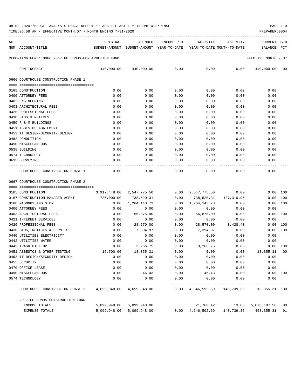TIME:06:58 AM - EFFECTIVE MONTH:07 - MONTH ENDING 7-31-2020 PREPARER:0004

| ACT |                                                           | ORIGINAL                                                                    | AMENDED                                     | ENCUMBERED   | ACTIVITY                  | ACTIVITY                                                                             | CURRENT USED         |              |
|-----|-----------------------------------------------------------|-----------------------------------------------------------------------------|---------------------------------------------|--------------|---------------------------|--------------------------------------------------------------------------------------|----------------------|--------------|
|     | NUM ACCOUNT-TITLE                                         | BUDGET-AMOUNT BUDGET-AMOUNT YEAR-TO-DATE YEAR-TO-DATE MONTH-TO-DATE BALANCE |                                             |              |                           |                                                                                      |                      | $_{\rm PCT}$ |
|     | REPORTING FUND: 0066 2017 GO BONDS-CONSTRUCTION FUND      |                                                                             |                                             |              |                           |                                                                                      | EFFECTIVE MONTH - 07 |              |
|     | CONTINGENCY                                               |                                                                             | 440,000.00 440,000.00                       | 0.00         | 0.00                      | 0.00                                                                                 | 440,000.00 00        |              |
|     | 0666 COURTHOUSE CONSTRUCTION PHASE 1                      |                                                                             |                                             |              |                           |                                                                                      |                      |              |
|     | 0165 CONSTRUCTION                                         | 0.00                                                                        | 0.00                                        | 0.00         | 0.00                      | 0.00                                                                                 | 0.00                 |              |
|     | 0400 ATTORNEY FEES                                        | 0.00                                                                        | 0.00                                        | 0.00         | 0.00                      | 0.00                                                                                 | 0.00                 |              |
|     | 0402 ENGINEERING                                          | 0.00                                                                        | 0.00                                        | 0.00         | 0.00                      | 0.00                                                                                 | 0.00                 |              |
|     | 0403 ARCHITECTURAL FEES                                   | 0.00                                                                        | 0.00                                        | 0.00         | 0.00                      | 0.00                                                                                 | 0.00                 |              |
|     | 0426 PROFESSIONAL FEES                                    | 0.00                                                                        | 0.00                                        | 0.00         | 0.00                      | 0.00                                                                                 | 0.00                 |              |
|     | 0430 BIDS & NOTICES                                       | 0.00                                                                        | 0.00                                        | 0.00         | 0.00                      | 0.00                                                                                 | 0.00                 |              |
|     | 0450 R & M BUILDINGS                                      | 0.00                                                                        | 0.00                                        | 0.00         | 0.00                      | 0.00                                                                                 | 0.00                 |              |
|     | 0451 ASBESTOS ABATEMENT                                   | 0.00                                                                        | 0.00                                        | 0.00         | 0.00                      | 0.00                                                                                 | 0.00                 |              |
|     | 0453 IT DESIGN/SECURITY DESIGN                            | 0.00                                                                        | 0.00                                        | 0.00         | 0.00                      | 0.00                                                                                 | 0.00                 |              |
|     | 0482 DEMOLITION                                           | 0.00                                                                        | 0.00                                        | 0.00         | 0.00                      | 0.00                                                                                 | 0.00                 |              |
|     | 0490 MISCELLANEOUS                                        | 0.00                                                                        | 0.00                                        | 0.00         | 0.00                      | 0.00                                                                                 | 0.00                 |              |
|     | 0535 BUILDING                                             | 0.00                                                                        | 0.00                                        | 0.00         | 0.00                      | 0.00                                                                                 | 0.00                 |              |
|     | 0574 TECHNOLOGY                                           | 0.00                                                                        | 0.00                                        | 0.00         | 0.00                      | 0.00                                                                                 | 0.00                 |              |
|     | 0695 SURVEYING                                            | 0.00                                                                        | 0.00                                        | 0.00         | 0.00                      | 0.00                                                                                 | 0.00                 |              |
|     | COURTHOUSE CONSTRUCTION PHASE 1                           | 0.00                                                                        | 0.00                                        | 0.00         | 0.00                      | 0.00                                                                                 | 0.00                 |              |
|     | 0667 COURTHOUSE CONSTRUCTION PHASE 2                      |                                                                             |                                             |              |                           |                                                                                      |                      |              |
|     |                                                           |                                                                             |                                             |              |                           |                                                                                      |                      |              |
|     | 0165 CONSTRUCTION                                         |                                                                             | 3,917,448.00 2,547,775.50 0.00 2,547,775.50 |              |                           | 0.00                                                                                 |                      | 0.00 100     |
|     | 0167 CONSTRUCTION MANAGER AGENT 726,000.00 738,520.31     |                                                                             |                                             | 0.00         | 738,520.31 137,310.95     |                                                                                      | 0.00 100             |              |
|     | 0168 MASONRY AND STONE                                    |                                                                             | $0.00 \quad 1,264,143.73$                   |              | $0.00 \quad 1,264,143.73$ | 0.00                                                                                 | 0.00                 | 100          |
|     | 0400 ATTORNEY FEES<br>0403 ARCHITECTURAL FEES             | 0.00                                                                        | 0.00                                        | 0.00         | 0.00                      | 0.00                                                                                 | 0.00                 | 0.00 100     |
|     | 0421 INTERNET SERVICES                                    | 0.00<br>0.00                                                                | 56,875.00<br>0.00                           | 0.00<br>0.00 | 56,875.00<br>0.00         | 0.00<br>0.00                                                                         | 0.00                 |              |
|     | 0426 PROFESSIONAL FEES                                    | 0.00                                                                        | 28,570.00                                   | 0.00         |                           | 28,570.00 3,428.40                                                                   | 0.00                 | 100          |
|     | 0430 BIDS, NOTICES & PERMITS                              | 0.00                                                                        | 7,394.97                                    | 0.00         | 7,394.97                  | 0.00                                                                                 | 0.00                 | 100          |
|     | 0440 UTILITIES ELECTRICITY                                | 0.00                                                                        | 0.00                                        | 0.00         | 0.00                      | 0.00                                                                                 | 0.00                 |              |
|     | 0442 UTILITIES WATER                                      | 0.00                                                                        | 0.00                                        | 0.00         | 0.00                      | 0.00                                                                                 | 0.00                 |              |
|     | 0443 TRASH PICK UP                                        | 0.00                                                                        | 3,266.75                                    | 0.00         | 3,266.75                  | 0.00                                                                                 |                      | 0.00 100     |
|     | 0451 ASBESTOS & OTHER TESTING                             | 16,500.00                                                                   | 13, 355. 31                                 | 0.00         | 0.00                      |                                                                                      | $0.00$ 13,355.31     | 00           |
|     | 0453 IT DESIGN/SECURITY DESIGN                            | 0.00                                                                        | 0.00                                        | 0.00         | 0.00                      | 0.00                                                                                 | 0.00                 |              |
|     | 0455 SECURITY                                             | 0.00                                                                        | 0.00                                        | 0.00         | 0.00                      | 0.00                                                                                 | 0.00                 |              |
|     | 0470 OFFICE LEASE                                         | 0.00                                                                        | 0.00                                        | 0.00         | 0.00                      | 0.00                                                                                 | 0.00                 |              |
|     | 0490 MISCELLANEOUS                                        | 0.00                                                                        | 46.43                                       | 0.00         | 46.43                     | 0.00                                                                                 |                      | 0.00 100     |
|     | 0574 TECHNOLOGY                                           | 0.00                                                                        | 0.00                                        | 0.00         | 0.00                      | 0.00                                                                                 | 0.00                 |              |
|     | COURTHOUSE CONSTRUCTION PHASE 2 4,659,948.00 4,659,948.00 | --------- -------------                                                     |                                             | ------------ | ------------              | ------------<br>$0.00 \quad 4,646,592.69 \quad 140,739.35 \quad 13,355.31 \quad 100$ |                      |              |

2017 GO BONDS-CONSTRUCTION FUND INCOME TOTALS 5,099,948.00 5,099,948.00 21,760.42 13.08 5,078,187.58 00 EXPENSE TOTALS 5,099,948.00 5,099,948.00 0.00 4,646,592.69 140,739.35 453,355.31 91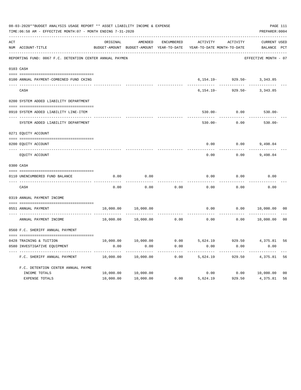|     | 08-03-2020**BUDGET ANALYSIS USAGE REPORT ** ASSET LIABILITY INCOME & EXPENSE<br>TIME: 06:58 AM - EFFECTIVE MONTH: 07 - MONTH ENDING 7-31-2020 |                   |                                          |                   |                            |                                  | PAGE 111<br>PREPARER: 0004 |                |
|-----|-----------------------------------------------------------------------------------------------------------------------------------------------|-------------------|------------------------------------------|-------------------|----------------------------|----------------------------------|----------------------------|----------------|
| ACT |                                                                                                                                               | ORIGINAL          | AMENDED                                  | <b>ENCUMBERED</b> | <b>ACTIVITY</b>            | <b>ACTIVITY</b>                  | <b>CURRENT USED</b>        |                |
|     | NUM ACCOUNT-TITLE                                                                                                                             |                   | BUDGET-AMOUNT BUDGET-AMOUNT YEAR-TO-DATE |                   | YEAR-TO-DATE MONTH-TO-DATE |                                  | BALANCE PCT                |                |
|     | REPORTING FUND: 0067 F.C. DETENTION CENTER ANNUAL PAYMEN                                                                                      |                   |                                          |                   |                            |                                  | EFFECTIVE MONTH - 07       |                |
|     | 0103 CASH                                                                                                                                     |                   |                                          |                   |                            |                                  |                            |                |
|     | 0100 ANNUAL PAYMENT-COMBINED FUND CKING                                                                                                       |                   |                                          |                   |                            | $6, 154.19 - 929.50 - 3, 343.85$ |                            |                |
|     | CASH                                                                                                                                          |                   |                                          |                   | $6, 154.19 -$              | $929.50 -$                       | 3,343.85                   |                |
|     | 0200 SYSTEM ADDED LIABILITY DEPARTMENT                                                                                                        |                   |                                          |                   |                            |                                  |                            |                |
|     | 0910 SYSTEM ADDED LIABILITY LINE-ITEM                                                                                                         |                   |                                          |                   | $530.00 -$                 | 0.00                             | $530.00 -$                 |                |
|     | ---- ----------------------------<br>SYSTEM ADDED LIABILITY DEPARTMENT                                                                        |                   |                                          |                   | $530.00 -$                 | 0.00                             | $530.00 -$                 |                |
|     | 0271 EQUITY ACCOUNT                                                                                                                           |                   |                                          |                   |                            |                                  |                            |                |
|     | 0200 EQUITY ACCOUNT                                                                                                                           |                   |                                          |                   | 0.00                       | 0.00                             | 9,498.04                   |                |
|     | EQUITY ACCOUNT                                                                                                                                |                   |                                          |                   | 0.00                       | 0.00                             | 9,498.04                   |                |
|     | 0300 CASH                                                                                                                                     |                   |                                          |                   |                            |                                  |                            |                |
|     | 0110 UNENCUMBERED FUND BALANCE                                                                                                                | 0.00              | 0.00                                     |                   | 0.00                       | 0.00                             | 0.00                       |                |
|     | CASH                                                                                                                                          | 0.00              | 0.00                                     | 0.00              | 0.00                       | 0.00                             | 0.00                       |                |
|     | 0319 ANNUAL PAYMENT INCOME                                                                                                                    |                   |                                          |                   |                            |                                  |                            |                |
|     | 0551 ANNUAL PAYMENT<br>---- ----------------                                                                                                  | 10,000.00         | 10,000.00                                |                   | 0.00                       | 0.00                             | 10,000.00                  | 0 <sub>0</sub> |
|     | ANNUAL PAYMENT INCOME                                                                                                                         | 10,000.00         | 10,000.00                                | 0.00              | 0.00                       | 0.00                             | 10,000.00                  | 0 <sub>0</sub> |
|     | 0560 F.C. SHERIFF ANNUAL PAYMENT                                                                                                              |                   |                                          |                   |                            |                                  |                            |                |
|     |                                                                                                                                               |                   |                                          | 0.00              | 5,624.19                   | 929.50                           |                            |                |
|     | 0428 TRAINING & TUITION<br>0580 INVESTIGATIVE EQUIPMENT                                                                                       | 10,000.00<br>0.00 | 10,000.00<br>0.00                        | 0.00              | 0.00                       | 0.00                             | 4,375.81<br>0.00           | 56             |
|     | F.C. SHERIFF ANNUAL PAYMENT                                                                                                                   | 10,000.00         | 10,000.00                                | 0.00              | 5,624.19                   | 929.50                           | 4,375.81                   | 56             |
|     | F.C. DETENTION CENTER ANNUAL PAYME                                                                                                            |                   |                                          |                   |                            |                                  |                            |                |
|     | INCOME TOTALS                                                                                                                                 | 10,000.00         | 10,000.00                                |                   | 0.00                       |                                  | 0.00 10,000.00             | 0 <sub>0</sub> |
|     | EXPENSE TOTALS                                                                                                                                | 10,000.00         | 10,000.00                                | 0.00              | 5,624.19                   | 929.50                           | 4,375.81                   | 56             |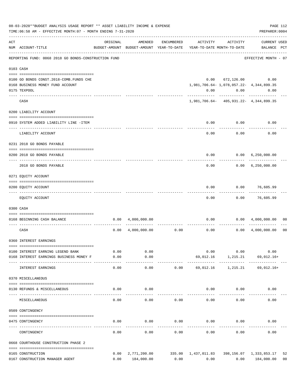|     | 08-03-2020**BUDGET ANALYSIS USAGE REPORT ** ASSET LIABILITY INCOME & EXPENSE<br>TIME: 06:58 AM - EFFECTIVE MONTH: 07 - MONTH ENDING 7-31-2020 |              |                           |                     |                                                                                                                |                   | PAGE 112<br>PREPARER: 0004                 |                      |
|-----|-----------------------------------------------------------------------------------------------------------------------------------------------|--------------|---------------------------|---------------------|----------------------------------------------------------------------------------------------------------------|-------------------|--------------------------------------------|----------------------|
| ACT | NUM ACCOUNT-TITLE                                                                                                                             | ORIGINAL     | AMENDED                   | ENCUMBERED          | ACTIVITY<br>BUDGET-AMOUNT BUDGET-AMOUNT YEAR-TO-DATE YEAR-TO-DATE MONTH-TO-DATE                                | ACTIVITY          | <b>CURRENT USED</b><br>BALANCE PCT         |                      |
|     | REPORTING FUND: 0068 2018 GO BONDS-CONSTRUCTION FUND                                                                                          |              |                           |                     |                                                                                                                |                   | EFFECTIVE MONTH - 07                       |                      |
|     | 0103 CASH                                                                                                                                     |              |                           |                     |                                                                                                                |                   |                                            |                      |
|     | 0100 GO BONDS CONST. 2018-COMB. FUNDS CHE                                                                                                     |              |                           |                     |                                                                                                                |                   | $0.00 \t 672,126.00 \t 0.00$               |                      |
|     | 0168 BUSINESS MONEY FUND ACCOUNT                                                                                                              |              |                           |                     |                                                                                                                |                   | 1,981,706.64 - 1,078,057.22 - 4,344,899.35 |                      |
|     | 0175 TEXPOOL                                                                                                                                  |              |                           |                     | 0.00                                                                                                           |                   | 0.00<br>0.00                               |                      |
|     | CASH                                                                                                                                          |              |                           |                     |                                                                                                                | -----------       | 1,981,706.64- 405,931.22- 4,344,899.35     |                      |
|     | 0200 LIABILITY ACCOUNT                                                                                                                        |              |                           |                     |                                                                                                                |                   |                                            |                      |
|     | 0910 SYSTEM ADDED LIABILITY LINE -ITEM                                                                                                        |              |                           |                     | 0.00                                                                                                           | 0.00              | 0.00                                       |                      |
|     | LIABILITY ACCOUNT                                                                                                                             |              |                           |                     | -----<br>0.00                                                                                                  | ---------<br>0.00 | 0.00                                       |                      |
|     | 0231 2018 GO BONDS PAYABLE                                                                                                                    |              |                           |                     |                                                                                                                |                   |                                            |                      |
|     | 0200 2018 GO BONDS PAYABLE                                                                                                                    |              |                           |                     |                                                                                                                |                   | $0.00$ $0.00$ $6,250,000.00$               |                      |
|     | 2018 GO BONDS PAYABLE                                                                                                                         |              |                           |                     |                                                                                                                | 0.00              | $0.00 \quad 6,250,000.00$                  |                      |
|     | 0271 EQUITY ACCOUNT                                                                                                                           |              |                           |                     |                                                                                                                |                   |                                            |                      |
|     | 0200 EQUITY ACCOUNT                                                                                                                           |              |                           |                     | 0.00                                                                                                           | 0.00              | 76,605.99                                  |                      |
|     |                                                                                                                                               |              |                           |                     |                                                                                                                |                   |                                            |                      |
|     | EQUITY ACCOUNT                                                                                                                                |              |                           |                     | 0.00                                                                                                           | 0.00              | 76,605.99                                  |                      |
|     | 0300 CASH                                                                                                                                     |              |                           |                     |                                                                                                                |                   |                                            |                      |
|     | 0168 BEGINNING CASH BALANCE                                                                                                                   |              | $0.00 \quad 4,000,000.00$ |                     |                                                                                                                |                   | $0.00$ $0.00$ $4,000,000.00$               | 00                   |
|     | CASH                                                                                                                                          | 0.00         |                           | $4,000,000.00$ 0.00 |                                                                                                                | 0.00<br>0.00      | 4,000,000.00                               | 0 <sub>0</sub>       |
|     | 0360 INTEREST EARNINGS                                                                                                                        |              |                           |                     |                                                                                                                |                   |                                            |                      |
|     |                                                                                                                                               |              |                           |                     |                                                                                                                |                   |                                            |                      |
|     | 0100 INTEREST EARNING LEGEND BANK<br>0168 INTEREST EARNINGS BUSINESS MONEY F                                                                  | 0.00<br>0.00 | 0.00<br>0.00              |                     |                                                                                                                | 0.00<br>0.00      | 0.00<br>69,012.16 1,215.21 69,012.16+      |                      |
|     | INTEREST EARNINGS                                                                                                                             | 0.00         | 0.00                      |                     | $0.00$ 69,012.16 1,215.21 69,012.16+                                                                           |                   |                                            |                      |
|     | 0370 MISCELLANEOUS                                                                                                                            |              |                           |                     |                                                                                                                |                   |                                            |                      |
|     | 0130 REFUNDS & MISCELLANEOUS                                                                                                                  | 0.00         | 0.00                      |                     |                                                                                                                | $0.00$ $0.00$     | 0.00                                       |                      |
|     | MISCELLANEOUS                                                                                                                                 | 0.00         | 0.00                      | 0.00                | 0.00                                                                                                           | 0.00              | 0.00                                       |                      |
|     | 0509 CONTINGENCY                                                                                                                              |              |                           |                     |                                                                                                                |                   |                                            |                      |
|     | 0475 CONTINGENCY                                                                                                                              | 0.00         | 0.00                      | 0.00                | $0.00$ 0.00                                                                                                    |                   | 0.00                                       |                      |
|     | CONTINGENCY                                                                                                                                   | 0.00         | 0.00                      | 0.00                | 0.00                                                                                                           | 0.00              | 0.00                                       |                      |
|     | 0668 COURTHOUSE CONSTRUCTION PHASE 2                                                                                                          |              |                           |                     |                                                                                                                |                   |                                            |                      |
|     |                                                                                                                                               |              |                           |                     |                                                                                                                |                   |                                            |                      |
|     | 0165 CONSTRUCTION<br>0167 CONSTRUCTION MANAGER AGENT                                                                                          |              | 0.00 184,000.00           |                     | $0.00$ $2,771,200.00$ $335.00$ $1,437,011.83$ $398,156.07$ $1,333,853.17$<br>$0.00$ $0.00$ $0.00$ $184,000.00$ |                   |                                            | 52<br>0 <sub>0</sub> |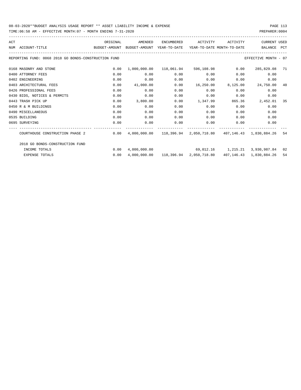| ACT |                                                                                          | ORIGINAL | AMENDED   | ENCUMBERED                                 | ACTIVITY  | ACTIVITY | <b>CURRENT USED</b>                                                       |     |
|-----|------------------------------------------------------------------------------------------|----------|-----------|--------------------------------------------|-----------|----------|---------------------------------------------------------------------------|-----|
|     | NUM ACCOUNT-TITLE<br>BUDGET-AMOUNT BUDGET-AMOUNT YEAR-TO-DATE YEAR-TO-DATE MONTH-TO-DATE |          |           |                                            |           |          | BALANCE PCT                                                               |     |
|     | REPORTING FUND: 0068 2018 GO BONDS-CONSTRUCTION FUND                                     |          |           |                                            |           |          | EFFECTIVE MONTH - 07                                                      |     |
|     | 0168 MASONRY AND STONE                                                                   | 0.00     |           | 1,000,000.00  118,061.94  596,108.98  0.00 |           |          | 285,829.08 71                                                             |     |
|     | 0400 ATTORNEY FEES                                                                       | 0.00     | 0.00      | 0.00                                       | 0.00      | 0.00     | 0.00                                                                      |     |
|     | 0402 ENGINEERING                                                                         | 0.00     | 0.00      | 0.00                                       | 0.00      | 0.00     | 0.00                                                                      |     |
|     | 0403 ARCHITECTURAL FEES                                                                  | 0.00     | 41,000.00 | 0.00                                       | 16,250.00 |          | 8,125.00 24,750.00                                                        | -40 |
|     | 0426 PROFESSIONAL FEES                                                                   | 0.00     | 0.00      | 0.00                                       | 0.00      | 0.00     | 0.00                                                                      |     |
|     | 0430 BIDS, NOTICES & PERMITS                                                             | 0.00     | 0.00      | 0.00                                       | 0.00      | 0.00     | 0.00                                                                      |     |
|     | 0443 TRASH PICK UP                                                                       | 0.00     | 3,800.00  | 0.00                                       | 1,347.99  | 865.36   | 2,452.01                                                                  | -35 |
|     | 0450 R & M BUILDINGS                                                                     | 0.00     | 0.00      | 0.00                                       | 0.00      | 0.00     | 0.00                                                                      |     |
|     | 0490 MISCELLANEOUS                                                                       | 0.00     | 0.00      | 0.00                                       | 0.00      | 0.00     | 0.00                                                                      |     |
|     | 0535 BUILDING                                                                            | 0.00     | 0.00      | 0.00                                       | 0.00      | 0.00     | 0.00                                                                      |     |
|     | 0695 SURVEYING                                                                           | 0.00     | 0.00      | 0.00                                       | 0.00      | 0.00     | 0.00                                                                      |     |
|     | COURTHOUSE CONSTRUCTION PHASE 2                                                          | 0.00     |           |                                            |           |          | $4.000.000.00$ $118.396.94$ $2.050.718.80$ $407.146.43$ $1.830.884.26$    | -54 |
|     | 2018 GO BONDS-CONSTRUCTION FUND                                                          |          |           |                                            |           |          |                                                                           |     |
|     | INCOME TOTALS                                                                            | 0.00     |           |                                            |           |          | 4,000,000.00 69,012.16 1,215.21 3,930,987.84 02                           |     |
|     | <b>EXPENSE TOTALS</b>                                                                    | 0.00     |           |                                            |           |          | 4,000,000.00   118,396.94   2,050,718.80   407,146.43   1,830,884.26   54 |     |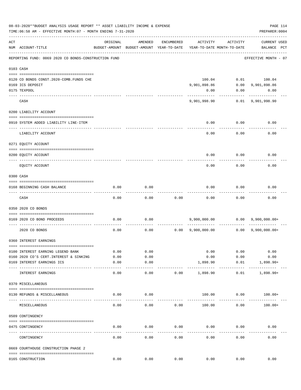|     | 08-03-2020**BUDGET ANALYSIS USAGE REPORT ** ASSET LIABILITY INCOME & EXPENSE<br>TIME: 06:58 AM - EFFECTIVE MONTH: 07 - MONTH ENDING 7-31-2020 |              |                                                     |            |                                        |              | PREPARER: 0004                                  | PAGE 114 |
|-----|-----------------------------------------------------------------------------------------------------------------------------------------------|--------------|-----------------------------------------------------|------------|----------------------------------------|--------------|-------------------------------------------------|----------|
| ACT | NUM ACCOUNT-TITLE                                                                                                                             | ORIGINAL     | AMENDED<br>BUDGET-AMOUNT BUDGET-AMOUNT YEAR-TO-DATE | ENCUMBERED | ACTIVITY<br>YEAR-TO-DATE MONTH-TO-DATE | ACTIVITY     | <b>CURRENT USED</b><br>BALANCE PCT              |          |
|     | REPORTING FUND: 0069 2020 CO BONDS-CONSTRUCTION FUND                                                                                          |              |                                                     |            |                                        |              | EFFECTIVE MONTH - 07                            |          |
|     | 0103 CASH                                                                                                                                     |              |                                                     |            |                                        |              |                                                 |          |
|     |                                                                                                                                               |              |                                                     |            |                                        |              |                                                 |          |
|     | 0120 CO BONDS CONST. 2020-COMB. FUNDS CHE                                                                                                     |              |                                                     |            | 100.04                                 |              | $0.01$ 100.04                                   |          |
|     | 0169 ICS DEPOSIT                                                                                                                              |              |                                                     |            | 9,901,898.86                           |              | $0.00$ 9,901,898.86                             |          |
|     | 0175 TEXPOOL                                                                                                                                  |              |                                                     |            | 0.00                                   | 0.00         | 0.00                                            |          |
|     | CASH                                                                                                                                          |              |                                                     |            | 9,901,998.90                           |              | ---------<br>0.01 9,901,998.90                  |          |
|     | 0200 LIABILITY ACCOUNT                                                                                                                        |              |                                                     |            |                                        |              |                                                 |          |
|     | 0910 SYSTEM ADDED LIABILITY LINE-ITEM                                                                                                         |              |                                                     |            | 0.00                                   | 0.00         | 0.00                                            |          |
|     | LIABILITY ACCOUNT                                                                                                                             |              |                                                     |            | 0.00                                   | 0.00         | 0.00                                            |          |
|     | 0271 EQUITY ACCOUNT                                                                                                                           |              |                                                     |            |                                        |              |                                                 |          |
|     | 0200 EQUITY ACCOUNT                                                                                                                           |              |                                                     |            | 0.00                                   | 0.00         | 0.00                                            |          |
|     | EQUITY ACCOUNT                                                                                                                                |              |                                                     |            | 0.00                                   | 0.00         | 0.00                                            |          |
|     | 0300 CASH                                                                                                                                     |              |                                                     |            |                                        |              |                                                 |          |
|     | 0168 BEGINNING CASH BALANCE                                                                                                                   | 0.00         | 0.00                                                |            | 0.00                                   | 0.00         | 0.00                                            |          |
|     | CASH                                                                                                                                          | 0.00         | 0.00                                                | 0.00       | 0.00                                   | 0.00         | 0.00                                            |          |
|     | 0350 2020 CO BONDS                                                                                                                            |              |                                                     |            |                                        |              |                                                 |          |
|     | 0169 2020 CO BOND PROCEEDS                                                                                                                    | 0.00         | 0.00                                                |            |                                        |              | $9,900,000.00$ $0.00$ $9,900,000.00+$           |          |
|     | 2020 CO BONDS                                                                                                                                 | 0.00         | 0.00                                                |            |                                        |              | $0.00 \t 9,900,000.00 \t 0.00 \t 9,900,000.00+$ |          |
|     | 0360 INTEREST EARNINGS                                                                                                                        |              |                                                     |            |                                        |              |                                                 |          |
|     |                                                                                                                                               |              |                                                     |            |                                        |              |                                                 |          |
|     | 0100 INTEREST EARNING LEGEND BANK<br>0160 2020 CO'S CERT. INTEREST & SINKING                                                                  | 0.00         | 0.00                                                |            | 0.00                                   | 0.00         | 0.00                                            |          |
|     | 0169 INTEREST EARNINGS ICS                                                                                                                    | 0.00<br>0.00 | 0.00<br>0.00                                        |            | 0.00<br>1,898.90                       | 0.00<br>0.01 | 0.00<br>$1,898.90+$                             |          |
|     |                                                                                                                                               | $- - - - -$  | $- - - -$                                           |            | ---------                              | ---------    |                                                 |          |
|     | INTEREST EARNINGS                                                                                                                             | 0.00         | 0.00                                                | 0.00       | 1,898.90                               | 0.01         | $1,898.90+$                                     |          |
|     | 0370 MISCELLANEOUS                                                                                                                            |              |                                                     |            |                                        |              |                                                 |          |
|     | 0130 REFUNDS & MISCELLANEOUS                                                                                                                  | 0.00         | 0.00                                                |            | 100.00                                 | 0.00         | $100.00+$                                       |          |
|     | MISCELLANEOUS                                                                                                                                 | 0.00         | 0.00                                                | 0.00       | 100.00                                 | 0.00         | $100.00+$                                       |          |
|     | 0509 CONTINGENCY                                                                                                                              |              |                                                     |            |                                        |              |                                                 |          |
|     | 0475 CONTINGENCY                                                                                                                              | 0.00         | 0.00                                                | 0.00       | 0.00                                   | 0.00         | 0.00                                            |          |
|     | CONTINGENCY                                                                                                                                   | 0.00         | 0.00                                                | 0.00       | 0.00                                   | 0.00         | 0.00                                            |          |
|     | 0669 COURTHOUSE CONSTRUCTION PHASE 2                                                                                                          |              |                                                     |            |                                        |              |                                                 |          |
|     | 0165 CONSTRUCTION                                                                                                                             | 0.00         | 0.00                                                | 0.00       | 0.00                                   | 0.00         | 0.00                                            |          |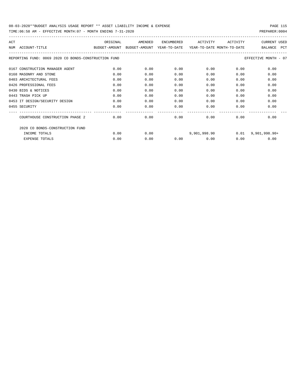| ACT                                                  | ORIGINAL                    | AMENDED | <b>ENCUMBERED</b> | ACTIVITY                   | ACTIVITY | <b>CURRENT USED</b>          |
|------------------------------------------------------|-----------------------------|---------|-------------------|----------------------------|----------|------------------------------|
| ACCOUNT-TITLE<br>NTJM                                | BUDGET-AMOUNT BUDGET-AMOUNT |         | YEAR-TO-DATE      | YEAR-TO-DATE MONTH-TO-DATE |          | <b>PCT</b><br><b>BALANCE</b> |
| REPORTING FUND: 0069 2020 CO BONDS-CONSTRUCTION FUND |                             |         |                   |                            |          | EFFECTIVE MONTH - 07         |
| 0167 CONSTRUCTION MANAGER AGENT                      | 0.00                        | 0.00    | 0.00              | 0.00                       | 0.00     | 0.00                         |
| 0168 MASONRY AND STONE                               | 0.00                        | 0.00    | 0.00              | 0.00                       | 0.00     | 0.00                         |
| 0403 ARCHITECTURAL FEES                              | 0.00                        | 0.00    | 0.00              | 0.00                       | 0.00     | 0.00                         |
| 0426 PROFESSIONAL FEES                               | 0.00                        | 0.00    | 0.00              | 0.00                       | 0.00     | 0.00                         |
| 0430 BIDS & NOTICES                                  | 0.00                        | 0.00    | 0.00              | 0.00                       | 0.00     | 0.00                         |
| 0443 TRASH PICK UP                                   | 0.00                        | 0.00    | 0.00              | 0.00                       | 0.00     | 0.00                         |
| 0453 IT DESIGN/SECURITY DESIGN                       | 0.00                        | 0.00    | 0.00              | 0.00                       | 0.00     | 0.00                         |
| 0455 SECURITY                                        | 0.00                        | 0.00    | 0.00              | 0.00                       | 0.00     | 0.00                         |
|                                                      |                             |         |                   |                            |          |                              |
| COURTHOUSE CONSTRUCTION PHASE 2                      | 0.00                        | 0.00    | 0.00              | 0.00                       | 0.00     | 0.00                         |
| 2020 CO BONDS-CONSTRUCTION FUND                      |                             |         |                   |                            |          |                              |
| INCOME TOTALS                                        | 0.00                        | 0.00    |                   | 9,901,998.90               | 0.01     | $9,901,998.90+$              |
| <b>EXPENSE TOTALS</b>                                | 0.00                        | 0.00    | 0.00              | 0.00                       | 0.00     | 0.00                         |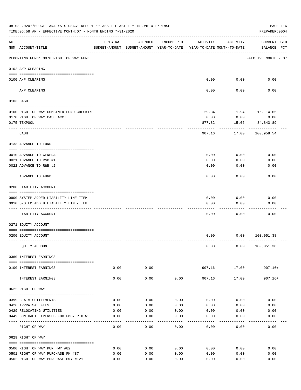|                    | 08-03-2020**BUDGET ANALYSIS USAGE REPORT ** ASSET LIABILITY INCOME & EXPENSE<br>TIME:06:58 AM - EFFECTIVE MONTH:07 - MONTH ENDING 7-31-2020 |                                                                                 |                     |              |                      |                      | PAGE 116<br>PREPARER: 0004         |
|--------------------|---------------------------------------------------------------------------------------------------------------------------------------------|---------------------------------------------------------------------------------|---------------------|--------------|----------------------|----------------------|------------------------------------|
| $\mathop{\rm ACT}$ | NUM ACCOUNT-TITLE                                                                                                                           | ORIGINAL<br>BUDGET-AMOUNT BUDGET-AMOUNT YEAR-TO-DATE YEAR-TO-DATE MONTH-TO-DATE | AMENDED             | ENCUMBERED   | ACTIVITY             | ACTIVITY             | <b>CURRENT USED</b><br>BALANCE PCT |
|                    | REPORTING FUND: 0070 RIGHT OF WAY FUND                                                                                                      |                                                                                 |                     |              |                      |                      | EFFECTIVE MONTH - 07               |
|                    | 0102 A/P CLEARING                                                                                                                           |                                                                                 |                     |              |                      |                      |                                    |
|                    | 0100 A/P CLEARING<br>---- --------                                                                                                          |                                                                                 |                     |              |                      | $0.00$ 0.00          | 0.00                               |
|                    | A/P CLEARING                                                                                                                                |                                                                                 |                     |              | 0.00                 | 0.00                 | 0.00                               |
|                    | 0103 CASH                                                                                                                                   |                                                                                 |                     |              |                      |                      |                                    |
|                    | 0100 RIGHT OF WAY-COMBINED FUND CHECKIN                                                                                                     |                                                                                 |                     |              | 29.34                |                      | 1.94 16, 114.65                    |
|                    | 0170 RIGHT OF WAY CASH ACCT.                                                                                                                |                                                                                 |                     |              | 0.00                 | 0.00                 | 0.00                               |
|                    | 0175 TEXPOOL                                                                                                                                |                                                                                 |                     |              | 877.82               | 15.06                | 84,843.89                          |
|                    | CASH                                                                                                                                        |                                                                                 |                     |              | 907.16               | 17.00                | ----------<br>100,958.54           |
|                    | 0133 ADVANCE TO FUND                                                                                                                        |                                                                                 |                     |              |                      |                      |                                    |
|                    | 0010 ADVANCE TO GENERAL                                                                                                                     |                                                                                 |                     |              | 0.00                 | 0.00                 | 0.00                               |
|                    | 0021 ADVANCE TO R&B #1                                                                                                                      |                                                                                 |                     |              | 0.00                 | 0.00                 | 0.00                               |
|                    | 0022 ADVANCE TO R&B #2                                                                                                                      |                                                                                 |                     |              | 0.00                 | 0.00                 | 0.00                               |
|                    |                                                                                                                                             |                                                                                 |                     |              |                      |                      |                                    |
|                    | ADVANCE TO FUND                                                                                                                             |                                                                                 |                     |              | 0.00                 | 0.00                 | 0.00                               |
|                    | 0200 LIABILITY ACCOUNT                                                                                                                      |                                                                                 |                     |              |                      |                      |                                    |
|                    | 0900 SYSTEM ADDED LIABILITY LINE-ITEM                                                                                                       |                                                                                 |                     |              | 0.00                 | 0.00                 | 0.00                               |
|                    | 0910 SYSTEM ADDED LIABILITY LINE-ITEM                                                                                                       |                                                                                 |                     |              | 0.00                 | 0.00                 | 0.00                               |
|                    |                                                                                                                                             |                                                                                 |                     |              |                      |                      |                                    |
|                    | LIABILITY ACCOUNT                                                                                                                           |                                                                                 |                     |              | 0.00                 | 0.00                 | 0.00                               |
|                    | 0271 EQUITY ACCOUNT                                                                                                                         |                                                                                 |                     |              |                      |                      |                                    |
|                    | 0200 EQUITY ACCOUNT                                                                                                                         |                                                                                 |                     |              | 0.00                 |                      | 0.00 100,051.38                    |
|                    | EQUITY ACCOUNT                                                                                                                              |                                                                                 |                     |              | 0.00                 |                      | 0.00 100, 051.38                   |
|                    | 0360 INTEREST EARNINGS                                                                                                                      |                                                                                 |                     |              |                      |                      |                                    |
|                    | 0100 INTEREST EARNINGS                                                                                                                      | 0.00                                                                            | 0.00                |              |                      |                      | 907.16 17.00 907.16+               |
|                    | --------------------------------------<br>INTEREST EARNINGS                                                                                 | ----------<br>0.00                                                              | -----------<br>0.00 | 0.00         | . <u>.</u><br>907.16 | -----------<br>17.00 | 907.16+                            |
|                    | 0622 RIGHT OF WAY                                                                                                                           |                                                                                 |                     |              |                      |                      |                                    |
|                    |                                                                                                                                             |                                                                                 |                     |              |                      |                      |                                    |
|                    | 0399 CLAIM SETTLEMENTS<br>0426 APPRAISAL FEES                                                                                               | 0.00<br>0.00                                                                    | 0.00<br>0.00        | 0.00<br>0.00 | 0.00<br>0.00         | 0.00<br>0.00         | 0.00<br>0.00                       |
|                    | 0429 RELOCATING UTILITIES                                                                                                                   | 0.00                                                                            | 0.00                | 0.00         | 0.00                 | 0.00                 | 0.00                               |
|                    | 0449 CONTRACT EXPENSES FOR FM87 R.O.W.                                                                                                      | 0.00                                                                            | 0.00                | 0.00         | 0.00                 | 0.00                 | 0.00                               |
|                    |                                                                                                                                             |                                                                                 |                     |              |                      |                      |                                    |
|                    | RIGHT OF WAY                                                                                                                                | 0.00                                                                            | 0.00                | 0.00         | 0.00                 | 0.00                 | 0.00                               |
|                    | 0629 RIGHT OF WAY                                                                                                                           |                                                                                 |                     |              |                      |                      |                                    |
|                    | 0500 RIGHT OF WAY PUR HWY #82                                                                                                               | 0.00                                                                            | 0.00                | 0.00         | 0.00                 | 0.00                 | 0.00                               |
|                    | 0501 RIGHT OF WAY PURCHASE FM #87                                                                                                           | 0.00                                                                            | 0.00                | 0.00         | 0.00                 | 0.00                 | 0.00                               |
|                    | 0502 RIGHT OF WAY PURCHASE HWY #121                                                                                                         | 0.00                                                                            | 0.00                | 0.00         | 0.00                 | 0.00                 | 0.00                               |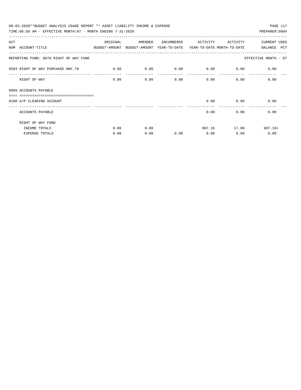| 08-03-2020**BUDGET ANALYSIS USAGE REPORT ** ASSET LIABILITY INCOME & EXPENSE |                                                                                 |          |         |            |             |              | PAGE 117             |  |  |  |
|------------------------------------------------------------------------------|---------------------------------------------------------------------------------|----------|---------|------------|-------------|--------------|----------------------|--|--|--|
|                                                                              | TIME: 06:58 AM - EFFECTIVE MONTH: 07 - MONTH ENDING 7-31-2020<br>PREPARER: 0004 |          |         |            |             |              |                      |  |  |  |
| ACT                                                                          |                                                                                 | ORIGINAL | AMENDED | ENCUMBERED | ACTIVITY    | ACTIVITY     | CURRENT USED         |  |  |  |
| NUM ACCOUNT-TITLE                                                            | BUDGET-AMOUNT BUDGET-AMOUNT YEAR-TO-DATE YEAR-TO-DATE_MONTH-TO-DATE             |          |         |            |             |              | BALANCE PCT          |  |  |  |
| REPORTING FUND: 0070 RIGHT OF WAY FUND                                       |                                                                                 |          |         |            |             |              | EFFECTIVE MONTH - 07 |  |  |  |
| 0503 RIGHT OF WAY PURCHASE HWY.78                                            |                                                                                 | 0.00     | 0.00    | 0.00       | $0.00$ 0.00 |              | 0.00                 |  |  |  |
| RIGHT OF WAY                                                                 |                                                                                 | 0.00     | 0.00    | 0.00       |             | 0.00<br>0.00 | 0.00                 |  |  |  |
| 0999 ACCOUNTS PAYABLE                                                        |                                                                                 |          |         |            |             |              |                      |  |  |  |
|                                                                              |                                                                                 |          |         |            |             |              |                      |  |  |  |
| 0100 A/P CLEARING ACCOUNT                                                    |                                                                                 |          |         |            | 0.00        | 0.00         | 0.00                 |  |  |  |
| ACCOUNTS PAYABLE                                                             |                                                                                 |          |         |            | 0.00        | 0.00         | 0.00                 |  |  |  |
| RIGHT OF WAY FUND                                                            |                                                                                 |          |         |            |             |              |                      |  |  |  |
| INCOME TOTALS                                                                |                                                                                 | 0.00     | 0.00    |            |             | 907.16 17.00 | $907.16+$            |  |  |  |
| <b>EXPENSE TOTALS</b>                                                        |                                                                                 | 0.00     | 0.00    | 0.00       | 0.00        | 0.00         | 0.00                 |  |  |  |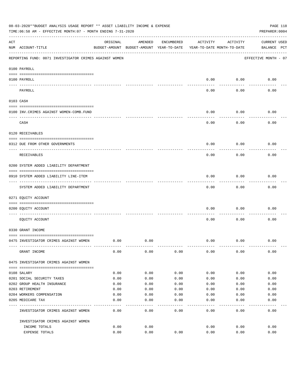|     | 08-03-2020**BUDGET ANALYSIS USAGE REPORT ** ASSET LIABILITY INCOME & EXPENSE<br>PAGE 118<br>TIME:06:58 AM - EFFECTIVE MONTH:07 - MONTH ENDING 7-31-2020<br>PREPARER: 0004 |                                                      |         |              |          |                                        |                                    |  |  |
|-----|---------------------------------------------------------------------------------------------------------------------------------------------------------------------------|------------------------------------------------------|---------|--------------|----------|----------------------------------------|------------------------------------|--|--|
| ACT | NUM ACCOUNT-TITLE                                                                                                                                                         | ORIGINAL<br>BUDGET-AMOUNT BUDGET-AMOUNT YEAR-TO-DATE | AMENDED | ENCUMBERED   | ACTIVITY | ACTIVITY<br>YEAR-TO-DATE MONTH-TO-DATE | <b>CURRENT USED</b><br>BALANCE PCT |  |  |
|     | REPORTING FUND: 0071 INVESTIGATOR CRIMES AGAINST WOMEN                                                                                                                    |                                                      |         |              |          |                                        | EFFECTIVE MONTH - 07               |  |  |
|     | 0100 PAYROLL                                                                                                                                                              |                                                      |         |              |          |                                        |                                    |  |  |
|     | 0100 PAYROLL                                                                                                                                                              |                                                      |         |              | 0.00     | 0.00                                   | 0.00                               |  |  |
|     | ---- ----<br>PAYROLL                                                                                                                                                      |                                                      |         |              | 0.00     | 0.00                                   | 0.00                               |  |  |
|     | 0103 CASH                                                                                                                                                                 |                                                      |         |              |          |                                        |                                    |  |  |
|     | 0100 INV. CRIMES AGAINST WOMEN-COMB. FUND                                                                                                                                 |                                                      |         |              | 0.00     | 0.00                                   | 0.00                               |  |  |
|     | CASH                                                                                                                                                                      |                                                      |         |              | 0.00     | 0.00                                   | 0.00                               |  |  |
|     | 0120 RECEIVABLES                                                                                                                                                          |                                                      |         |              |          |                                        |                                    |  |  |
|     | 0312 DUE FROM OTHER GOVERNMENTS                                                                                                                                           |                                                      |         |              | 0.00     | 0.00                                   | 0.00                               |  |  |
|     | RECEIVABLES                                                                                                                                                               |                                                      |         |              | 0.00     | 0.00                                   | 0.00                               |  |  |
|     | 0200 SYSTEM ADDED LIABILITY DEPARTMENT                                                                                                                                    |                                                      |         |              |          |                                        |                                    |  |  |
|     | 0910 SYSTEM ADDED LIABILITY LINE-ITEM                                                                                                                                     |                                                      |         |              | 0.00     | 0.00                                   | 0.00                               |  |  |
|     | SYSTEM ADDED LIABILITY DEPARTMENT                                                                                                                                         |                                                      |         |              | 0.00     | 0.00                                   | 0.00                               |  |  |
|     | 0271 EQUITY ACCOUNT                                                                                                                                                       |                                                      |         |              |          |                                        |                                    |  |  |
|     | 0200 EQUITY ACCOUNT                                                                                                                                                       |                                                      |         |              | 0.00     | 0.00                                   | 0.00                               |  |  |
|     | EQUITY ACCOUNT                                                                                                                                                            |                                                      |         |              | 0.00     | 0.00                                   | 0.00                               |  |  |
|     | 0330 GRANT INCOME                                                                                                                                                         |                                                      |         |              |          |                                        |                                    |  |  |
|     | 0475 INVESTIGATOR CRIMES AGAINST WOMEN                                                                                                                                    | 0.00                                                 | 0.00    |              | 0.00     | 0.00                                   | 0.00                               |  |  |
|     | GRANT INCOME                                                                                                                                                              | 0.00                                                 | 0.00    | 0.00         | 0.00     | 0.00                                   | 0.00                               |  |  |
|     | 0475 INVESTIGATOR CRIMES AGAINST WOMEN                                                                                                                                    |                                                      |         |              |          |                                        |                                    |  |  |
|     | 0108 SALARY                                                                                                                                                               | 0.00                                                 | 0.00    | 0.00         | 0.00     | 0.00                                   | 0.00                               |  |  |
|     | 0201 SOCIAL SECURITY TAXES                                                                                                                                                | 0.00                                                 | 0.00    | 0.00         | 0.00     | 0.00                                   | 0.00                               |  |  |
|     | 0202 GROUP HEALTH INSURANCE                                                                                                                                               | 0.00                                                 | 0.00    | 0.00         | 0.00     | 0.00                                   | 0.00                               |  |  |
|     | 0203 RETIREMENT                                                                                                                                                           | 0.00                                                 | 0.00    | 0.00         | 0.00     | 0.00                                   | 0.00                               |  |  |
|     | 0204 WORKERS COMPENSATION                                                                                                                                                 | 0.00                                                 | 0.00    | 0.00         | 0.00     | 0.00                                   | 0.00                               |  |  |
|     | 0205 MEDICARE TAX                                                                                                                                                         | 0.00                                                 | 0.00    | 0.00<br>---- | 0.00     | 0.00                                   | 0.00                               |  |  |
|     | INVESTIGATOR CRIMES AGAINST WOMEN                                                                                                                                         | 0.00                                                 | 0.00    | 0.00         | 0.00     | 0.00                                   | 0.00                               |  |  |
|     | INVESTIGATOR CRIMES AGAINST WOMEN                                                                                                                                         |                                                      |         |              |          |                                        |                                    |  |  |
|     | INCOME TOTALS                                                                                                                                                             | 0.00                                                 | 0.00    |              | 0.00     | 0.00                                   | 0.00                               |  |  |
|     | EXPENSE TOTALS                                                                                                                                                            | 0.00                                                 | 0.00    | 0.00         | 0.00     | 0.00                                   | 0.00                               |  |  |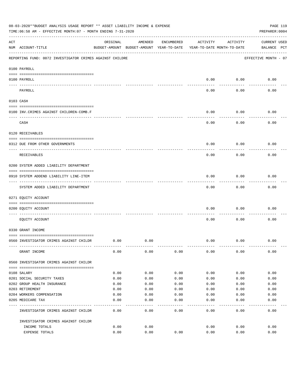|     | 08-03-2020**BUDGET ANALYSIS USAGE REPORT ** ASSET LIABILITY INCOME & EXPENSE<br>TIME:06:58 AM - EFFECTIVE MONTH:07 - MONTH ENDING 7-31-2020 |          |                                                     |              |          |                                        | PAGE 119<br>PREPARER: 0004         |
|-----|---------------------------------------------------------------------------------------------------------------------------------------------|----------|-----------------------------------------------------|--------------|----------|----------------------------------------|------------------------------------|
| ACT | NUM ACCOUNT-TITLE                                                                                                                           | ORIGINAL | AMENDED<br>BUDGET-AMOUNT BUDGET-AMOUNT YEAR-TO-DATE | ENCUMBERED   | ACTIVITY | ACTIVITY<br>YEAR-TO-DATE MONTH-TO-DATE | <b>CURRENT USED</b><br>BALANCE PCT |
|     | REPORTING FUND: 0072 INVESTIGATOR CRIMES AGAINST CHILDRE                                                                                    |          |                                                     |              |          |                                        | EFFECTIVE MONTH - 07               |
|     | 0100 PAYROLL                                                                                                                                |          |                                                     |              |          |                                        |                                    |
|     | 0100 PAYROLL                                                                                                                                |          |                                                     |              | 0.00     | 0.00                                   | 0.00                               |
|     | ---- ----<br>PAYROLL                                                                                                                        |          |                                                     |              | 0.00     | 0.00                                   | 0.00                               |
|     | 0103 CASH                                                                                                                                   |          |                                                     |              |          |                                        |                                    |
|     | 0100 INV. CRIMES AGAINST CHILDREN-COMB.F                                                                                                    |          |                                                     |              | 0.00     | 0.00                                   | 0.00                               |
|     | CASH                                                                                                                                        |          |                                                     |              | 0.00     | 0.00                                   | 0.00                               |
|     | 0120 RECEIVABLES                                                                                                                            |          |                                                     |              |          |                                        |                                    |
|     | 0312 DUE FROM OTHER GOVERNMENTS                                                                                                             |          |                                                     |              | 0.00     | 0.00                                   | 0.00                               |
|     | RECEIVABLES                                                                                                                                 |          |                                                     |              | 0.00     | 0.00                                   | 0.00                               |
|     | 0200 SYSTEM ADDED LIABILITY DEPARTMENT                                                                                                      |          |                                                     |              |          |                                        |                                    |
|     | 0910 SYSTEM ADDEND LIABILITY LINE-ITEM                                                                                                      |          |                                                     |              | 0.00     | 0.00                                   | 0.00                               |
|     | SYSTEM ADDED LIABILITY DEPARTMENT                                                                                                           |          |                                                     |              | 0.00     | 0.00                                   | 0.00                               |
|     | 0271 EQUITY ACCOUNT                                                                                                                         |          |                                                     |              |          |                                        |                                    |
|     | 0200 EQUITY ACCOUNT                                                                                                                         |          |                                                     |              | 0.00     | 0.00                                   | 0.00                               |
|     | EQUITY ACCOUNT                                                                                                                              |          |                                                     |              | 0.00     | 0.00                                   | 0.00                               |
|     | 0330 GRANT INCOME                                                                                                                           |          |                                                     |              |          |                                        |                                    |
|     | 0560 INVESTIGATOR CRIMES AGAINST CHILDR                                                                                                     | 0.00     | 0.00                                                |              | 0.00     | 0.00                                   | 0.00                               |
|     | GRANT INCOME                                                                                                                                | 0.00     | 0.00                                                | 0.00         | 0.00     | 0.00                                   | 0.00                               |
|     | 0560 INVESTIGATOR CRIMES AGAINST CHILDR                                                                                                     |          |                                                     |              |          |                                        |                                    |
|     | 0108 SALARY                                                                                                                                 | 0.00     | 0.00                                                | 0.00         | 0.00     | 0.00                                   | 0.00                               |
|     | 0201 SOCIAL SECURITY TAXES                                                                                                                  | 0.00     | 0.00                                                | 0.00         | 0.00     | 0.00                                   | 0.00                               |
|     | 0202 GROUP HEALTH INSURANCE                                                                                                                 | 0.00     | 0.00                                                | 0.00         | 0.00     | 0.00                                   | 0.00                               |
|     | 0203 RETIREMENT                                                                                                                             | 0.00     | 0.00                                                | 0.00         | 0.00     | 0.00                                   | 0.00                               |
|     | 0204 WORKERS COMPENSATION                                                                                                                   | 0.00     | 0.00                                                | 0.00         | 0.00     | 0.00                                   | 0.00                               |
|     | 0205 MEDICARE TAX                                                                                                                           | 0.00     | 0.00                                                | 0.00<br>---- | 0.00     | 0.00                                   | 0.00                               |
|     | INVESTIGATOR CRIMES AGAINST CHILDR                                                                                                          | 0.00     | 0.00                                                | 0.00         | 0.00     | 0.00                                   | 0.00                               |
|     | INVESTIGATOR CRIMES AGAINST CHILDR                                                                                                          |          |                                                     |              |          |                                        |                                    |
|     | INCOME TOTALS                                                                                                                               | 0.00     | 0.00                                                |              | 0.00     | 0.00                                   | 0.00                               |
|     | EXPENSE TOTALS                                                                                                                              | 0.00     | 0.00                                                | 0.00         | 0.00     | 0.00                                   | 0.00                               |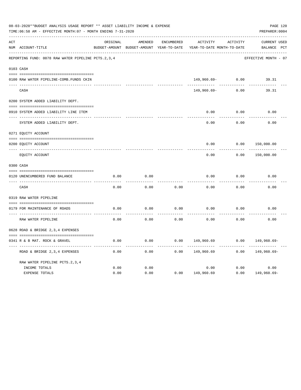|     | 08-03-2020**BUDGET ANALYSIS USAGE REPORT ** ASSET LIABILITY INCOME & EXPENSE<br>TIME: 06:58 AM - EFFECTIVE MONTH: 07 - MONTH ENDING 7-31-2020 |          |                                                     |                   |                                        |          | PREPARER: 0004                     | PAGE 120 |
|-----|-----------------------------------------------------------------------------------------------------------------------------------------------|----------|-----------------------------------------------------|-------------------|----------------------------------------|----------|------------------------------------|----------|
| ACT | NUM ACCOUNT-TITLE                                                                                                                             | ORIGINAL | AMENDED<br>BUDGET-AMOUNT BUDGET-AMOUNT YEAR-TO-DATE | <b>ENCUMBERED</b> | ACTIVITY<br>YEAR-TO-DATE MONTH-TO-DATE | ACTIVITY | <b>CURRENT USED</b><br>BALANCE PCT |          |
|     | REPORTING FUND: 0078 RAW WATER PIPELINE PCTS. 2, 3, 4                                                                                         |          |                                                     |                   |                                        |          | EFFECTIVE MONTH - 07               |          |
|     | 0103 CASH                                                                                                                                     |          |                                                     |                   |                                        |          |                                    |          |
|     | 0100 RAW WATER PIPELINE-COMB. FUNDS CKIN                                                                                                      |          |                                                     |                   | 149,960.69-                            | 0.00     | 39.31                              |          |
|     | CASH                                                                                                                                          |          |                                                     |                   | 149,960.69-                            | 0.00     | 39.31                              |          |
|     | 0200 SYSTEM ADDED LIABILITY DEPT.                                                                                                             |          |                                                     |                   |                                        |          |                                    |          |
|     | 0910 SYSTEM ADDED LIABILITY LINE ITEM                                                                                                         |          |                                                     |                   | 0.00                                   | 0.00     | 0.00                               |          |
|     | SYSTEM ADDED LIABILITY DEPT.                                                                                                                  |          |                                                     |                   | 0.00                                   | 0.00     | 0.00                               |          |
|     | 0271 EQUITY ACCOUNT                                                                                                                           |          |                                                     |                   |                                        |          |                                    |          |
|     | 0200 EQUITY ACCOUNT                                                                                                                           |          |                                                     |                   | 0.00                                   | 0.00     | 150,000.00                         |          |
|     | ---- -----------<br>EQUITY ACCOUNT                                                                                                            |          |                                                     |                   | 0.00                                   | 0.00     | 150,000.00                         |          |
|     | 0300 CASH                                                                                                                                     |          |                                                     |                   |                                        |          |                                    |          |
|     | 0120 UNENCUMBERED FUND BALANCE                                                                                                                | 0.00     | 0.00                                                |                   | 0.00                                   | 0.00     | 0.00                               |          |
|     | CASH                                                                                                                                          | 0.00     | 0.00                                                | 0.00              | 0.00                                   | 0.00     | 0.00                               |          |
|     | 0319 RAW WATER PIPELINE                                                                                                                       |          |                                                     |                   |                                        |          |                                    |          |
|     | 0179 FOR MAINTENANCE OF ROADS                                                                                                                 | 0.00     | 0.00                                                | 0.00              | 0.00                                   | 0.00     | 0.00                               |          |
|     | RAW WATER PIPELINE                                                                                                                            | 0.00     | 0.00                                                | 0.00              | 0.00                                   | 0.00     | 0.00                               |          |
|     | 0628 ROAD & BRIDGE 2,3,4 EXPENSES                                                                                                             |          |                                                     |                   |                                        |          |                                    |          |
|     | 0341 R & B MAT. ROCK & GRAVEL                                                                                                                 | 0.00     | 0.00                                                | 0.00              | 149,960.69                             | 0.00     | 149,960.69-                        |          |
|     | ROAD & BRIDGE 2, 3, 4 EXPENSES                                                                                                                | 0.00     | 0.00                                                | 0.00              | 149,960.69                             | 0.00     | 149,960.69-                        |          |
|     | RAW WATER PIPELINE PCTS. 2, 3, 4                                                                                                              |          |                                                     |                   |                                        |          |                                    |          |
|     | INCOME TOTALS                                                                                                                                 | 0.00     | 0.00                                                |                   | 0.00                                   | 0.00     | 0.00                               |          |
|     | <b>EXPENSE TOTALS</b>                                                                                                                         | 0.00     | 0.00                                                | 0.00              | 149,960.69                             | 0.00     | 149,960.69-                        |          |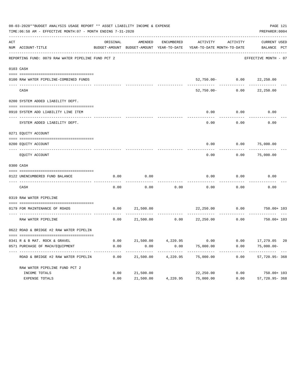|     | 08-03-2020**BUDGET ANALYSIS USAGE REPORT ** ASSET LIABILITY INCOME & EXPENSE<br>TIME: 06:58 AM - EFFECTIVE MONTH: 07 - MONTH ENDING 7-31-2020 |              |           |            |                                                                                 |                                         | PAGE 121<br>PREPARER: 0004                                     |
|-----|-----------------------------------------------------------------------------------------------------------------------------------------------|--------------|-----------|------------|---------------------------------------------------------------------------------|-----------------------------------------|----------------------------------------------------------------|
| ACT | NUM ACCOUNT-TITLE                                                                                                                             | ORIGINAL     | AMENDED   | ENCUMBERED | ACTIVITY<br>BUDGET-AMOUNT BUDGET-AMOUNT YEAR-TO-DATE YEAR-TO-DATE MONTH-TO-DATE | ACTIVITY                                | CURRENT USED<br>BALANCE PCT                                    |
|     | REPORTING FUND: 0079 RAW WATER PIPELINE FUND PCT 2                                                                                            |              |           |            |                                                                                 |                                         | EFFECTIVE MONTH - 07                                           |
|     | 0103 CASH                                                                                                                                     |              |           |            |                                                                                 |                                         |                                                                |
|     |                                                                                                                                               |              |           |            |                                                                                 |                                         |                                                                |
|     | 0100 RAW WATER PIPELINE-COMBINED FUNDS                                                                                                        |              |           |            |                                                                                 | 52,750.00- 0.00 22,250.00<br>---------- | ----------                                                     |
|     | CASH                                                                                                                                          |              |           |            | 52,750.00-                                                                      | 0.00                                    | 22,250.00                                                      |
|     | 0200 SYSTEM ADDED LIABILITY DEPT.                                                                                                             |              |           |            |                                                                                 |                                         |                                                                |
|     | 0910 SYSTEM ADD LIABILITY LINE ITEM                                                                                                           |              |           |            | 0.00                                                                            | 0.00                                    | 0.00                                                           |
|     | SYSTEM ADDED LIABILITY DEPT.                                                                                                                  |              |           |            | 0.00                                                                            | 0.00                                    | 0.00                                                           |
|     | 0271 EQUITY ACCOUNT                                                                                                                           |              |           |            |                                                                                 |                                         |                                                                |
|     | 0200 EQUITY ACCOUNT                                                                                                                           |              |           |            |                                                                                 | $0.00$ $0.00$ $75,000.00$               |                                                                |
|     | EQUITY ACCOUNT                                                                                                                                |              |           |            | 0.00                                                                            | 0.00                                    | 75,000.00                                                      |
|     | 0300 CASH                                                                                                                                     |              |           |            |                                                                                 |                                         |                                                                |
|     | 0122 UNENCUMBERED FUND BALANCE                                                                                                                | 0.00         | 0.00      |            | 0.00                                                                            | 0.00                                    | 0.00                                                           |
|     | CASH                                                                                                                                          | 0.00         | 0.00      | 0.00       | 0.00                                                                            | 0.00                                    | 0.00                                                           |
|     | 0319 RAW WATER PIPELINE                                                                                                                       |              |           |            |                                                                                 |                                         |                                                                |
|     | 0179 FOR MAINTENANCE OF ROADS                                                                                                                 | 0.00         | 21,500.00 |            | 22,250.00                                                                       | 0.00                                    | 750.00+ 103                                                    |
|     | RAW WATER PIPELINE                                                                                                                            | 0.00         | 21,500.00 |            | $0.00$ 22,250.00                                                                | 0.00                                    | $750.00 + 103$                                                 |
|     | 0622 ROAD & BRIDGE #2 RAW WATER PIPELIN                                                                                                       |              |           |            |                                                                                 |                                         |                                                                |
|     |                                                                                                                                               |              |           |            |                                                                                 |                                         |                                                                |
|     | 0341 R & B MAT. ROCK & GRAVEL<br>0571 PURCHASE OF MACH/EQUIPMENT                                                                              | 0.00<br>0.00 | 0.00      | 0.00       | 75,000.00                                                                       | 0.00                                    | 21,500.00  4,220.95  0.00  0.00  17,279.05  20<br>$75,000.00-$ |
|     |                                                                                                                                               |              |           |            |                                                                                 |                                         |                                                                |
|     | ROAD & BRIDGE #2 RAW WATER PIPELIN                                                                                                            | 0.00         | 21,500.00 | 4,220.95   | 75,000.00                                                                       | 0.00                                    | 57,720.95-368                                                  |
|     | RAW WATER PIPELINE FUND PCT 2                                                                                                                 |              |           |            |                                                                                 |                                         |                                                                |
|     | INCOME TOTALS                                                                                                                                 | 0.00         | 21,500.00 |            | 22,250.00                                                                       | 0.00                                    | 750.00+ 103                                                    |
|     | EXPENSE TOTALS                                                                                                                                | 0.00         | 21,500.00 | 4,220.95   | 75,000.00                                                                       | 0.00                                    | 57,720.95-368                                                  |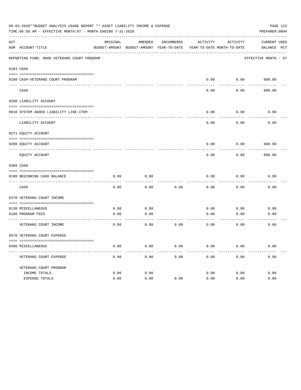|     | 08-03-2020**BUDGET ANALYSIS USAGE REPORT ** ASSET LIABILITY INCOME & EXPENSE<br>TIME:06:58 AM - EFFECTIVE MONTH:07 - MONTH ENDING 7-31-2020 |          |                 |            |                                                                     |          | PAGE 122<br>PREPARER: 0004 |
|-----|---------------------------------------------------------------------------------------------------------------------------------------------|----------|-----------------|------------|---------------------------------------------------------------------|----------|----------------------------|
| ACT |                                                                                                                                             | ORIGINAL | AMENDED         | ENCUMBERED | ACTIVITY                                                            | ACTIVITY | CURRENT USED               |
|     | NUM ACCOUNT-TITLE                                                                                                                           |          |                 |            | BUDGET-AMOUNT BUDGET-AMOUNT YEAR-TO-DATE YEAR-TO-DATE MONTH-TO-DATE |          | BALANCE PCT                |
|     | REPORTING FUND: 0080 VETERANS COURT PROGRAM                                                                                                 |          |                 |            |                                                                     |          | EFFECTIVE MONTH - 07       |
|     | 0103 CASH                                                                                                                                   |          |                 |            |                                                                     |          |                            |
|     |                                                                                                                                             |          |                 |            | 0.00                                                                | 0.00     | 600.00                     |
|     | 0180 CASH-VETERANS COURT PROGRAM                                                                                                            |          |                 |            |                                                                     |          |                            |
|     | CASH                                                                                                                                        |          |                 |            | 0.00                                                                | 0.00     | 600.00                     |
|     | 0200 LIABILITY ACCOUNT                                                                                                                      |          |                 |            |                                                                     |          |                            |
|     | 0910 SYSTEM ADDED LIABILITY LINE-ITEM                                                                                                       |          |                 |            | 0.00                                                                | 0.00     | 0.00                       |
|     | LIABILITY ACCOUNT                                                                                                                           |          |                 |            | 0.00                                                                | 0.00     | 0.00                       |
|     | 0271 EQUITY ACCOUNT                                                                                                                         |          |                 |            |                                                                     |          |                            |
|     | 0200 EQUITY ACCOUNT                                                                                                                         |          |                 |            | 0.00                                                                | 0.00     | 600.00                     |
|     | EQUITY ACCOUNT                                                                                                                              |          |                 |            | 0.00                                                                | 0.00     | 600.00                     |
|     | 0300 CASH                                                                                                                                   |          |                 |            |                                                                     |          |                            |
|     | 0180 BEGINNING CASH BALANCE                                                                                                                 | 0.00     | 0.00            |            | 0.00                                                                | 0.00     | 0.00                       |
|     | CASH                                                                                                                                        | 0.00     | 0.00            | 0.00       | 0.00                                                                | 0.00     | 0.00                       |
|     | 0370 VETERANS COURT INCOME                                                                                                                  |          |                 |            |                                                                     |          |                            |
|     | 0130 MISCELLANEOUS                                                                                                                          | 0.00     | 0.00            |            | 0.00                                                                | 0.00     | 0.00                       |
|     | 0180 PROGRAM FEES                                                                                                                           | 0.00     | 0.00            |            | 0.00                                                                | 0.00     | 0.00                       |
|     | ------------------------ ---<br>VETERANS COURT INCOME                                                                                       | 0.00     | -------<br>0.00 | 0.00       | 0.00                                                                | 0.00     | 0.00                       |
|     | 0570 VETERANS COURT EXPENSE                                                                                                                 |          |                 |            |                                                                     |          |                            |
|     | 0490 MISCELLANEOUS                                                                                                                          | 0.00     | 0.00            | 0.00       | 0.00                                                                | 0.00     | 0.00                       |
|     | VETERANS COURT EXPENSE                                                                                                                      | 0.00     | 0.00            | 0.00       | 0.00                                                                | 0.00     | 0.00                       |
|     | VETERANS COURT PROGRAM                                                                                                                      |          |                 |            |                                                                     |          |                            |
|     | INCOME TOTALS                                                                                                                               | 0.00     | 0.00            |            | 0.00                                                                | 0.00     | 0.00                       |
|     | EXPENSE TOTALS                                                                                                                              | 0.00     | 0.00            | 0.00       | 0.00                                                                | 0.00     | 0.00                       |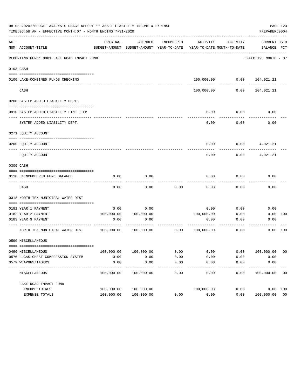|     | 08-03-2020**BUDGET ANALYSIS USAGE REPORT ** ASSET LIABILITY INCOME & EXPENSE<br>TIME: 06:58 AM - EFFECTIVE MONTH: 07 - MONTH ENDING 7-31-2020 |            |                                                     |               |                                        |                                | PREPARER: 0004              | PAGE 123 |
|-----|-----------------------------------------------------------------------------------------------------------------------------------------------|------------|-----------------------------------------------------|---------------|----------------------------------------|--------------------------------|-----------------------------|----------|
| ACT | NUM ACCOUNT-TITLE                                                                                                                             | ORIGINAL   | AMENDED<br>BUDGET-AMOUNT BUDGET-AMOUNT YEAR-TO-DATE | ENCUMBERED    | ACTIVITY<br>YEAR-TO-DATE MONTH-TO-DATE | ACTIVITY                       | CURRENT USED<br>BALANCE PCT |          |
|     | REPORTING FUND: 0081 LAKE ROAD IMPACT FUND                                                                                                    |            |                                                     |               |                                        |                                | EFFECTIVE MONTH - 07        |          |
|     | 0103 CASH                                                                                                                                     |            |                                                     |               |                                        |                                |                             |          |
|     | 0100 LAKE-COMBINED FUNDS CHECKING                                                                                                             |            |                                                     |               |                                        | 100,000.00   0.00   104,021.21 |                             |          |
|     | CASH                                                                                                                                          |            |                                                     |               | 100,000.00                             | 0.00                           | 104,021.21                  |          |
|     | 0200 SYSTEM ADDED LIABILITY DEPT.                                                                                                             |            |                                                     |               |                                        |                                |                             |          |
|     | 0910 SYSTEM ADDED LIABILITY LINE ITEM                                                                                                         |            |                                                     |               | 0.00                                   | 0.00                           | 0.00                        |          |
|     | SYSTEM ADDED LIABILITY DEPT.                                                                                                                  |            |                                                     |               | 0.00                                   | 0.00                           | 0.00                        |          |
|     | 0271 EQUITY ACCOUNT                                                                                                                           |            |                                                     |               |                                        |                                |                             |          |
|     | 0200 EQUITY ACCOUNT                                                                                                                           |            |                                                     |               | 0.00                                   | 0.00                           | 4,021.21                    |          |
|     | EQUITY ACCOUNT                                                                                                                                |            |                                                     |               | 0.00                                   | 0.00                           | 4,021.21                    |          |
|     | 0300 CASH                                                                                                                                     |            |                                                     |               |                                        |                                |                             |          |
|     | 0110 UNENCUMBERED FUND BALANCE                                                                                                                | 0.00       | 0.00                                                |               | 0.00                                   | 0.00                           | 0.00                        |          |
|     | CASH                                                                                                                                          | 0.00       | 0.00                                                | 0.00          | 0.00                                   | 0.00                           | 0.00                        |          |
|     | 0318 NORTH TEX MUNICIPAL WATER DIST                                                                                                           |            |                                                     |               |                                        |                                |                             |          |
|     | 0181 YEAR 1 PAYMENT                                                                                                                           | 0.00       | 0.00                                                |               | 0.00                                   | 0.00                           | 0.00                        |          |
|     | 0182 YEAR 2 PAYMENT                                                                                                                           |            | 100,000.00 100,000.00                               |               | 100,000.00                             | 0.00                           | 0.00 100                    |          |
|     | 0183 YEAR 3 PAYMENT                                                                                                                           | 0.00       | 0.00                                                |               | 0.00                                   | 0.00                           | 0.00                        |          |
|     | NORTH TEX MUNICIPAL WATER DIST 100,000.00 100,000.00                                                                                          |            |                                                     | 0.00          | 100,000.00                             | 0.00                           | 0.00 100                    |          |
|     | 0590 MISCELLANEOUS                                                                                                                            |            |                                                     |               |                                        |                                |                             |          |
|     | 0490 MISCELLANEOUS                                                                                                                            | 100,000.00 | 100,000.00                                          | 0.00          | 0.00                                   | 0.00                           | 100,000.00                  | 00       |
|     | 0576 LUCAS CHEST COMPRESSION SYSTEM                                                                                                           | 0.00       | 0.00                                                | 0.00          | 0.00                                   | 0.00                           | 0.00                        |          |
|     | 0579 WEAPONS/TASERS                                                                                                                           | 0.00       | 0.00<br>-------------                               | 0.00<br>----- | 0.00<br>$- - - - - -$                  | 0.00<br>$- - - - -$            | 0.00<br>-----------         |          |
|     | MISCELLANEOUS                                                                                                                                 | 100,000.00 | 100,000.00                                          | 0.00          | 0.00                                   | 0.00                           | 100,000.00                  | 00       |
|     | LAKE ROAD IMPACT FUND                                                                                                                         |            |                                                     |               |                                        |                                |                             |          |
|     | INCOME TOTALS                                                                                                                                 | 100,000.00 | 100,000.00                                          |               | 100,000.00                             | 0.00                           | 0.00 100                    |          |
|     | EXPENSE TOTALS                                                                                                                                | 100,000.00 | 100,000.00                                          | 0.00          | 0.00                                   | 0.00                           | 100,000.00 00               |          |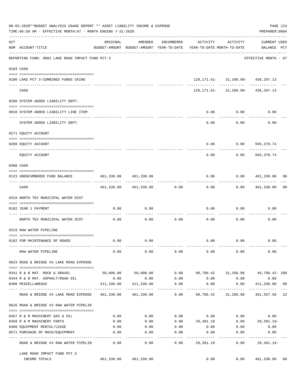|     | 08-03-2020**BUDGET ANALYSIS USAGE REPORT ** ASSET LIABILITY INCOME & EXPENSE<br>TIME:06:58 AM - EFFECTIVE MONTH:07 - MONTH ENDING 7-31-2020 |                                 |                                                     |                               |                                        |                                          | PREPARER: 0004                     | PAGE 124 |
|-----|---------------------------------------------------------------------------------------------------------------------------------------------|---------------------------------|-----------------------------------------------------|-------------------------------|----------------------------------------|------------------------------------------|------------------------------------|----------|
| ACT | NUM ACCOUNT-TITLE                                                                                                                           | ORIGINAL                        | AMENDED<br>BUDGET-AMOUNT BUDGET-AMOUNT YEAR-TO-DATE | ENCUMBERED                    | ACTIVITY<br>YEAR-TO-DATE MONTH-TO-DATE | ACTIVITY                                 | <b>CURRENT USED</b><br>BALANCE PCT |          |
|     | REPORTING FUND: 0082 LAKE ROAD IMPACT FUND PCT.3                                                                                            |                                 |                                                     |                               |                                        |                                          | EFFECTIVE MONTH - 07               |          |
|     | 0103 CASH                                                                                                                                   |                                 |                                                     |                               |                                        |                                          |                                    |          |
|     | 0100 LAKE PCT 3-COMBINED FUNDS CKING                                                                                                        |                                 | -------------                                       |                               |                                        | 129, 171.61- 31, 268.90- 436, 207.13     |                                    |          |
|     | CASH                                                                                                                                        |                                 |                                                     |                               |                                        | $129, 171.61 - 31, 268.90 - 436, 207.13$ |                                    |          |
|     | 0200 SYSTEM ADDED LIABILITY DEPT.                                                                                                           |                                 |                                                     |                               |                                        |                                          |                                    |          |
|     | 0910 SYSTEM ADDED LIABILITY LINE ITEM                                                                                                       |                                 |                                                     |                               | 0.00                                   | 0.00                                     | 0.00                               |          |
|     | SYSTEM ADDED LIABILITY DEPT.                                                                                                                |                                 |                                                     |                               | 0.00                                   | 0.00                                     | 0.00                               |          |
|     | 0271 EQUITY ACCOUNT                                                                                                                         |                                 |                                                     |                               |                                        |                                          |                                    |          |
|     | 0200 EQUITY ACCOUNT                                                                                                                         |                                 |                                                     |                               | 0.00                                   | $0.00$ 565,378.74                        |                                    |          |
|     | EQUITY ACCOUNT                                                                                                                              |                                 |                                                     |                               | -----<br>0.00                          | ---------<br>0.00                        | -------------<br>565,378.74        |          |
|     | 0300 CASH                                                                                                                                   |                                 |                                                     |                               |                                        |                                          |                                    |          |
|     | 0123 UNENCUMBERED FUND BALANCE                                                                                                              | 461,338.00<br>--- ------------- | 461,338.00                                          |                               | 0.00                                   |                                          | 0.00 461,338.00 00                 |          |
|     | CASH                                                                                                                                        |                                 | 461,338.00 461,338.00                               | 0.00                          | 0.00                                   |                                          | $0.00$ $461,338.00$                | 00       |
|     | 0318 NORTH TEX MUNICIPAL WATER DIST                                                                                                         |                                 |                                                     |                               |                                        |                                          |                                    |          |
|     | 0182 YEAR 1 PAYMENT                                                                                                                         | 0.00                            | 0.00                                                | --------- -                   | 0.00                                   | 0.00                                     | 0.00                               |          |
|     | NORTH TEX MUNICIPAL WATER DIST                                                                                                              | 0.00                            | 0.00                                                | 0.00                          | 0.00                                   | 0.00                                     | 0.00                               |          |
|     | 0319 RAW WATER PIPELINE                                                                                                                     |                                 |                                                     |                               |                                        |                                          |                                    |          |
|     | 0182 FOR MAINTENANCE OF ROADS                                                                                                               | 0.00                            | 0.00                                                |                               |                                        | 0.00 0.00                                | 0.00                               |          |
|     | RAW WATER PIPELINE                                                                                                                          | 0.00                            | 0.00                                                | 0.00                          | 0.00                                   | 0.00                                     | 0.00                               |          |
|     | 0623 ROAD & BRIDGE #3 LAKE ROAD EXPENSE                                                                                                     |                                 |                                                     |                               |                                        |                                          |                                    |          |
|     | 0341 R & B MAT. ROCK & GRAVEL                                                                                                               |                                 | 50,000.00 50,000.00                                 |                               |                                        | $0.00$ 99,780.42 31,268.90               | 49,780.42- 200                     |          |
|     | 0344 R & B MAT. ASPHALT/ROAD OIL                                                                                                            | 0.00                            | 0.00                                                | 0.00                          |                                        | $0.00$ 0.00                              | 0.00                               |          |
|     | 0490 MISCELLANEOUS                                                                                                                          | 411,338.00                      | 411,338.00                                          | 0.00<br>. _ _ _ _ _ _ _ _ _ _ | 0.00<br>-----------                    | 0.00                                     | 411,338.00 00                      |          |
|     | ROAD & BRIDGE #3 LAKE ROAD EXPENSE                                                                                                          |                                 | 461,338.00 461,338.00                               | 0.00                          |                                        | 99,780.42 31,268.90                      | 361,557.58 22                      |          |
|     | 0626 ROAD & BRIDGE #3 RAW WATER PIPELIN                                                                                                     |                                 |                                                     |                               |                                        |                                          |                                    |          |
|     | 0457 R & M MACHINERY GAS & OIL                                                                                                              | 0.00                            | 0.00                                                |                               |                                        | $0.00$ $0.00$ $0.00$ $0.00$ $0.00$       |                                    |          |
|     | 0458 R & M MACHINERY PARTS                                                                                                                  | 0.00                            | 0.00                                                |                               |                                        | $0.00$ 29,391.19 $0.00$ 29,391.19-       |                                    |          |
|     | 0460 EQUIPMENT RENTAL/LEASE                                                                                                                 | 0.00                            | 0.00                                                | 0.00                          | 0.00                                   | 0.00                                     | 0.00                               |          |
|     | 0571 PURCHASE OF MACH/EQUIPMENT                                                                                                             | 0.00<br>----------              | 0.00                                                | 0.00<br>-----                 | 0.00                                   | 0.00<br>---------                        | 0.00                               |          |
|     | ROAD & BRIDGE #3 RAW WATER PIPELIN                                                                                                          | 0.00                            | 0.00                                                | 0.00                          | 29,391.19                              | 0.00                                     | $29,391.19-$                       |          |
|     | LAKE ROAD IMPACT FUND PCT.3<br>INCOME TOTALS                                                                                                |                                 | 461,338.00 461,338.00                               |                               | 0.00                                   | 0.00                                     | 461,338.00                         | 00       |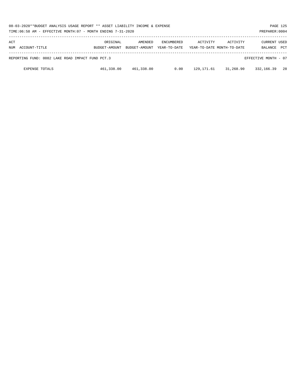| 08-03-2020**BUDGET ANALYSIS USAGE REPORT ** ASSET LIABILITY INCOME & EXPENSE<br>TIME: $06:58$ AM - EFFECTIVE MONTH: $07$ - MONTH ENDING 7-31-2020 |                           |                          |                                   |            |                                        |                         |            |  |  |
|---------------------------------------------------------------------------------------------------------------------------------------------------|---------------------------|--------------------------|-----------------------------------|------------|----------------------------------------|-------------------------|------------|--|--|
| ACT<br>NUM ACCOUNT-TITLE                                                                                                                          | ORIGINAL<br>BUDGET-AMOUNT | AMENDED<br>BUDGET-AMOUNT | <b>ENCUMBERED</b><br>YEAR-TO-DATE | ACTIVITY   | ACTIVITY<br>YEAR-TO-DATE MONTH-TO-DATE | CURRENT USED<br>BALANCE | <b>PCT</b> |  |  |
| REPORTING FUND: 0082 LAKE ROAD IMPACT FUND PCT.3<br>EFFECTIVE MONTH - 07                                                                          |                           |                          |                                   |            |                                        |                         |            |  |  |
| <b>EXPENSE TOTALS</b>                                                                                                                             | 461,338.00                | 461,338.00               | 0.00                              | 129,171.61 | 31,268.90                              | 332,166.39              | 28         |  |  |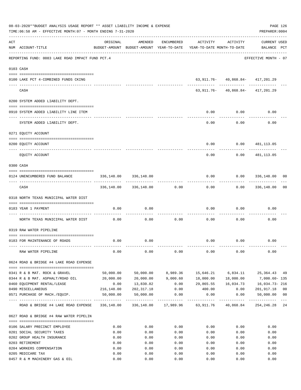|     | 08-03-2020**BUDGET ANALYSIS USAGE REPORT ** ASSET LIABILITY INCOME & EXPENSE<br>TIME:06:58 AM - EFFECTIVE MONTH:07 - MONTH ENDING 7-31-2020 |            |                         |                    |                                                                                 |                                          | PAGE 126<br>PREPARER: 0004         |                |
|-----|---------------------------------------------------------------------------------------------------------------------------------------------|------------|-------------------------|--------------------|---------------------------------------------------------------------------------|------------------------------------------|------------------------------------|----------------|
| ACT | NUM ACCOUNT-TITLE                                                                                                                           | ORIGINAL   | AMENDED                 | ENCUMBERED         | ACTIVITY<br>BUDGET-AMOUNT BUDGET-AMOUNT YEAR-TO-DATE YEAR-TO-DATE MONTH-TO-DATE | ACTIVITY                                 | <b>CURRENT USED</b><br>BALANCE PCT |                |
|     | REPORTING FUND: 0083 LAKE ROAD IMPACT FUND PCT.4                                                                                            |            |                         |                    |                                                                                 |                                          | EFFECTIVE MONTH - 07               |                |
|     | 0103 CASH                                                                                                                                   |            |                         |                    |                                                                                 |                                          |                                    |                |
|     | 0100 LAKE PCT 4-COMBINED FUNDS CKING                                                                                                        |            |                         |                    |                                                                                 | 63, 911. 76 - 40, 868. 84 - 417, 201. 29 |                                    |                |
|     | CASH                                                                                                                                        |            |                         |                    |                                                                                 | $63,911.76 - 40,868.84 - 417,201.29$     |                                    |                |
|     | 0200 SYSTEM ADDED LIABILITY DEPT.                                                                                                           |            |                         |                    |                                                                                 |                                          |                                    |                |
|     | 0910 SYSTEM ADDED LIABILITY LINE ITEM                                                                                                       |            |                         |                    | 0.00                                                                            | 0.00                                     | 0.00                               |                |
|     | SYSTEM ADDED LIABILITY DEPT.                                                                                                                |            |                         |                    | 0.00                                                                            | 0.00                                     | 0.00                               |                |
|     | 0271 EQUITY ACCOUNT                                                                                                                         |            |                         |                    |                                                                                 |                                          |                                    |                |
|     | 0200 EQUITY ACCOUNT                                                                                                                         |            |                         |                    | 0.00                                                                            |                                          | 0.0000481,113.05                   |                |
|     | ----------------------- ----------<br>EOUITY ACCOUNT                                                                                        |            |                         |                    | 0.00                                                                            | 0.00                                     | ----------<br>481,113.05           |                |
|     | 0300 CASH                                                                                                                                   |            |                         |                    |                                                                                 |                                          |                                    |                |
|     | 0124 UNENCUMBERED FUND BALANCE                                                                                                              | 336,148.00 | 336,148.00              |                    | 0.00                                                                            |                                          | 0.0000336,148.00                   | 00             |
|     | CASH                                                                                                                                        |            | 336,148.00 336,148.00   | 0.00               | 0.00                                                                            |                                          | $0.00$ 336,148.00                  | 00             |
|     | 0318 NORTH TEXAS MUNICIPAL WATER DIST                                                                                                       |            |                         |                    |                                                                                 |                                          |                                    |                |
|     | 0183 YEAR 1 PAYMENT<br>----------------------------------                                                                                   | 0.00       | 0.00                    |                    | 0.00                                                                            | 0.00                                     | 0.00                               |                |
|     | NORTH TEXAS MUNICIPAL WATER DIST                                                                                                            | 0.00       | 0.00                    | 0.00               | 0.00                                                                            | 0.00                                     | 0.00                               |                |
|     | 0319 RAW WATER PIPELINE                                                                                                                     |            |                         |                    |                                                                                 |                                          |                                    |                |
|     | 0183 FOR MAINTENANCE OF ROADS                                                                                                               | 0.00       | 0.00                    |                    |                                                                                 | $0.00$ $0.00$                            | 0.00                               |                |
|     | RAW WATER PIPELINE                                                                                                                          | 0.00       | 0.00                    | 0.00               | 0.00                                                                            | 0.00                                     | 0.00                               |                |
|     | 0624 ROAD & BRIDGE #4 LAKE ROAD EXPENSE                                                                                                     |            |                         |                    |                                                                                 |                                          |                                    |                |
|     | 0341 R & B MAT. ROCK & GRAVEL                                                                                                               | 50,000.00  | 50,000.00               | 8,989.36           | 15,646.21                                                                       | 6,834.11                                 | 25,364.43 49                       |                |
|     | 0344 R & B MAT. ASPHALT/ROAD OIL                                                                                                            | 20,000.00  |                         | 20,000.00 9,000.60 |                                                                                 | 18,000.00  18,000.00                     | 7,000.60- 135                      |                |
|     | 0460 EQUIPMENT RENTAL/LEASE                                                                                                                 | 0.00       | 13,830.82               |                    | $0.00$ 29,865.55 16,034.73 16,034.73 216                                        |                                          |                                    |                |
|     | 0490 MISCELLANEOUS                                                                                                                          |            | 216, 148.00 202, 317.18 | 0.00               | 400.00                                                                          |                                          | 0.000001,917.18                    | 0 <sub>0</sub> |
|     | 0571 PURCHASE OF MACH./EQUIP.                                                                                                               |            | 50,000.00 50,000.00     | 0.00               | 0.00                                                                            | 0.00<br>-------------                    | 50,000.00<br>-------------         | 00             |
|     | ROAD & BRIDGE #4 LAKE ROAD EXPENSE 336,148.00 336,148.00 17,989.96 63,911.76 40,868.84 254,246.28 24                                        |            |                         |                    |                                                                                 |                                          |                                    | $---$          |
|     | 0627 ROAD & BRIDGE #4 RAW WATER PIPELIN                                                                                                     |            |                         |                    |                                                                                 |                                          |                                    |                |
|     | 0106 SALARY PRECINCT EMPLOYEE                                                                                                               | 0.00       | 0.00                    | 0.00               | 0.00                                                                            | 0.00                                     | 0.00                               |                |
|     | 0201 SOCIAL SECURITY TAXES                                                                                                                  | 0.00       | 0.00                    | 0.00               | 0.00                                                                            | 0.00                                     | 0.00                               |                |
|     | 0202 GROUP HEALTH INSURANCE                                                                                                                 | 0.00       | 0.00                    | 0.00               | 0.00                                                                            | 0.00                                     | 0.00                               |                |
|     | 0203 RETIREMENT                                                                                                                             | 0.00       | 0.00                    | 0.00               | 0.00                                                                            | 0.00                                     | 0.00                               |                |
|     | 0204 WORKERS COMPENSATION                                                                                                                   | 0.00       | 0.00                    | 0.00               | 0.00                                                                            | 0.00                                     | 0.00                               |                |
|     | 0205 MEDICARE TAX                                                                                                                           | 0.00       | 0.00                    | 0.00               | 0.00                                                                            | 0.00                                     | 0.00                               |                |
|     | 0457 R & M MACHINERY GAS & OIL                                                                                                              | 0.00       | 0.00                    | 0.00               | 0.00                                                                            | 0.00                                     | 0.00                               |                |
|     |                                                                                                                                             |            |                         |                    |                                                                                 |                                          |                                    |                |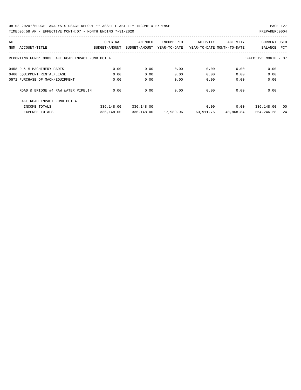| ACT |                                                  | ORIGINAL      | AMENDED       | ENCUMBERED   | ACTIVITY                   | ACTIVITY  | <b>CURRENT USED</b>  |     |
|-----|--------------------------------------------------|---------------|---------------|--------------|----------------------------|-----------|----------------------|-----|
| NUM | ACCOUNT-TITLE                                    | BUDGET-AMOUNT | BUDGET-AMOUNT | YEAR-TO-DATE | YEAR-TO-DATE MONTH-TO-DATE |           | BALANCE              | PCT |
|     |                                                  |               |               |              |                            |           |                      |     |
|     | REPORTING FUND: 0083 LAKE ROAD IMPACT FUND PCT.4 |               |               |              |                            |           | EFFECTIVE MONTH - 07 |     |
|     | 0458 R & M MACHINERY PARTS                       | 0.00          | 0.00          | 0.00         | 0.00                       | 0.00      | 0.00                 |     |
|     | 0460 EQUIPMENT RENTAL/LEASE                      | 0.00          | 0.00          | 0.00         | 0.00                       | 0.00      | 0.00                 |     |
|     | 0571 PURCHASE OF MACH/EOUIPMENT                  | 0.00          | 0.00          | 0.00         | 0.00                       | 0.00      | 0.00                 |     |
|     | ROAD & BRIDGE #4 RAW WATER PIPELIN               | 0.00          | 0.00          | 0.00         | 0.00                       | 0.00      | 0.00                 |     |
|     |                                                  |               |               |              |                            |           |                      |     |
|     | LAKE ROAD IMPACT FUND PCT. 4                     |               |               |              |                            |           |                      |     |
|     | INCOME TOTALS                                    | 336,148.00    | 336,148.00    |              | 0.00                       | 0.00      | 336,148.00           | 00  |
|     | <b>EXPENSE TOTALS</b>                            | 336,148.00    | 336,148.00    | 17,989.96    | 63,911.76                  | 40,868.84 | 254,246.28           | 24  |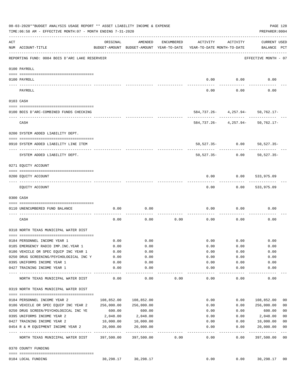|     | 08-03-2020**BUDGET ANALYSIS USAGE REPORT ** ASSET LIABILITY INCOME & EXPENSE<br>TIME: 06:58 AM - EFFECTIVE MONTH: 07 - MONTH ENDING 7-31-2020 |                       |                             |            |                                                                                 |                                                         | PAGE 128<br>PREPARER: 0004         |                |
|-----|-----------------------------------------------------------------------------------------------------------------------------------------------|-----------------------|-----------------------------|------------|---------------------------------------------------------------------------------|---------------------------------------------------------|------------------------------------|----------------|
| ACT | NUM ACCOUNT-TITLE                                                                                                                             | ORIGINAL              | AMENDED                     | ENCUMBERED | ACTIVITY<br>BUDGET-AMOUNT BUDGET-AMOUNT YEAR-TO-DATE YEAR-TO-DATE MONTH-TO-DATE | ACTIVITY                                                | <b>CURRENT USED</b><br>BALANCE PCT |                |
|     | REPORTING FUND: 0084 BOIS D'ARC LAKE RESERVOIR                                                                                                |                       |                             |            |                                                                                 |                                                         | EFFECTIVE MONTH - 07               |                |
|     | 0100 PAYROLL                                                                                                                                  |                       |                             |            |                                                                                 |                                                         |                                    |                |
|     | 0100 PAYROLL                                                                                                                                  |                       |                             |            | 0.00                                                                            | 0.00                                                    | 0.00                               |                |
|     | PAYROLL                                                                                                                                       |                       |                             |            | 0.00                                                                            | 0.00                                                    | 0.00                               |                |
|     | 0103 CASH                                                                                                                                     |                       |                             |            |                                                                                 |                                                         |                                    |                |
|     | 0100 BOIS D'ARC-COMBINED FUNDS CHECKING                                                                                                       |                       |                             |            |                                                                                 | 584,737.26- 4,257.94- 50,762.17-                        |                                    |                |
|     | CASH                                                                                                                                          |                       |                             |            |                                                                                 | -----------<br>$584, 737.26 - 4, 257.94 - 50, 762.17 -$ |                                    |                |
|     | 0200 SYSTEM ADDED LIABILITY DEPT.                                                                                                             |                       |                             |            |                                                                                 |                                                         |                                    |                |
|     | 0910 SYSTEM ADDED LIABILITY LINE ITEM                                                                                                         |                       |                             |            |                                                                                 | $50,527.35 - 0.00$                                      | $50,527.35-$                       |                |
|     | SYSTEM ADDED LIABILITY DEPT.                                                                                                                  |                       |                             |            | 50,527.35-                                                                      | 0.00                                                    | $50,527.35-$                       |                |
|     | 0271 EQUITY ACCOUNT                                                                                                                           |                       |                             |            |                                                                                 |                                                         |                                    |                |
|     | 0200 EQUITY ACCOUNT                                                                                                                           |                       |                             |            | 0.00                                                                            | 0.00                                                    | 533,975.09                         |                |
|     | EQUITY ACCOUNT                                                                                                                                |                       |                             |            | 0.00                                                                            | 0.00                                                    | 533,975.09                         |                |
|     | 0300 CASH                                                                                                                                     |                       |                             |            |                                                                                 |                                                         |                                    |                |
|     | 0110 UNENCUMBERED FUND BALANCE                                                                                                                | 0.00                  | 0.00                        |            | 0.00                                                                            | 0.00                                                    | 0.00                               |                |
|     | CASH                                                                                                                                          | 0.00                  | 0.00                        | 0.00       | 0.00                                                                            | 0.00                                                    | 0.00                               |                |
|     | 0318 NORTH TEXAS MUNICIPAL WATER DIST                                                                                                         |                       |                             |            |                                                                                 |                                                         |                                    |                |
|     | 0184 PERSONNEL INCOME YEAR 1                                                                                                                  | 0.00                  | 0.00                        |            | 0.00                                                                            | 0.00                                                    | 0.00                               |                |
|     | 0185 EMERGENCY RADIO IMP. INC. YEAR 1                                                                                                         | 0.00                  | 0.00                        |            | 0.00                                                                            | 0.00                                                    | 0.00                               |                |
|     | 0186 VEHICLE OR SPEC EQUIP INC YEAR 1                                                                                                         | 0.00                  | 0.00                        |            | 0.00                                                                            | 0.00                                                    | 0.00                               |                |
|     | 0250 DRUG SCREENING/PSYCHOLOGICAL INC Y                                                                                                       | 0.00                  | 0.00                        |            | 0.00                                                                            | 0.00                                                    | 0.00                               |                |
|     | 0395 UNIFORMS INCOME YEAR 1                                                                                                                   | 0.00                  | 0.00                        |            | 0.00                                                                            | 0.00                                                    | 0.00                               |                |
|     | 0427 TRAINING INCOME YEAR 1                                                                                                                   | 0.00<br>------------- | 0.00<br>----                |            | 0.00<br>-----                                                                   | 0.00<br>-----                                           | 0.00                               |                |
|     | NORTH TEXAS MUNICIPAL WATER DIST                                                                                                              | 0.00                  | 0.00                        | 0.00       | 0.00                                                                            | 0.00                                                    | 0.00                               |                |
|     | 0319 NORTH TEXAS MUNICIPAL WATER DIST                                                                                                         |                       |                             |            |                                                                                 |                                                         |                                    |                |
|     | 0184 PERSONNEL INCOME YEAR 2                                                                                                                  | 108,852.00            | 108,852.00                  |            | 0.00                                                                            | 0.00                                                    | 108,852.00                         | 00             |
|     | 0186 VEHICLE OR SPEC EQUIP INC YEAR 2                                                                                                         | 256,000.00            | 256,000.00                  |            | 0.00                                                                            | 0.00                                                    | 256,000.00                         | 0 <sub>0</sub> |
|     | 0250 DRUG SCREEN/PSYCHOLOGICAL INC YE                                                                                                         | 600.00                | 600.00                      |            | 0.00                                                                            | 0.00                                                    | 600.00                             | 0 <sub>0</sub> |
|     | 0395 UNIFORMS INCOME YEAR 2                                                                                                                   | 2,048.00              | 2,048.00                    |            | 0.00                                                                            | 0.00                                                    | 2,048.00                           | 0 <sub>0</sub> |
|     | 0427 TRAINING INCOME YEAR 2                                                                                                                   | 10,000.00             | 10,000.00                   |            | 0.00                                                                            | 0.00                                                    | 10,000.00                          | 0 <sub>0</sub> |
|     | 0454 R & M EQUIPMENT INCOME YEAR 2                                                                                                            | 20,000.00             | 20,000.00                   |            | 0.00                                                                            | 0.00                                                    | 20,000.00                          | 0 <sub>0</sub> |
|     | NORTH TEXAS MUNICIPAL WATER DIST                                                                                                              | 397,500.00            | -------------<br>397,500.00 | 0.00       | -----<br>0.00                                                                   | -----<br>0.00                                           | ----------<br>397,500.00           | $---$<br>00    |
|     | 0370 COUNTY FUNDING                                                                                                                           |                       |                             |            |                                                                                 |                                                         |                                    |                |
|     | 0184 LOCAL FUNDING                                                                                                                            | 30,298.17             | 30,298.17                   |            | 0.00                                                                            | 0.00                                                    | 30,298.17                          | 00             |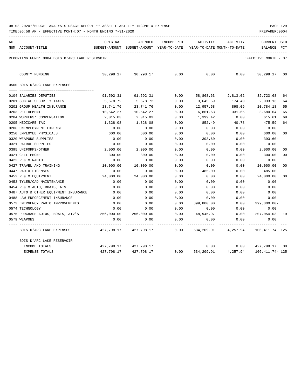| ACT |                                                | ORIGINAL  | AMENDED                                  | ENCUMBERED | ACTIVITY                   | ACTIVITY                                | <b>CURRENT USED</b> |                |
|-----|------------------------------------------------|-----------|------------------------------------------|------------|----------------------------|-----------------------------------------|---------------------|----------------|
|     | NUM ACCOUNT-TITLE                              |           | BUDGET-AMOUNT BUDGET-AMOUNT YEAR-TO-DATE |            | YEAR-TO-DATE MONTH-TO-DATE |                                         | BALANCE             | PCT            |
|     | REPORTING FUND: 0084 BOIS D'ARC LAKE RESERVOIR |           |                                          |            |                            |                                         | EFFECTIVE MONTH     | - 07           |
|     | COUNTY FUNDING                                 | 30,298.17 | 30,298.17                                | 0.00       | 0.00                       | 0.00                                    | 30,298.17           | 00             |
|     | 0560 BOIS D'ARC LAKE EXPENSES                  |           |                                          |            |                            |                                         |                     |                |
|     |                                                |           |                                          |            |                            |                                         |                     |                |
|     | 0104 SALARIES DEPUTIES                         | 91,592.31 | 91,592.31                                | 0.00       |                            | 58,868.63 2,813.02                      | 32,723.68           | 64             |
|     | 0201 SOCIAL SECURITY TAXES                     | 5,678.72  | 5,678.72                                 | 0.00       | 3,645.59                   | 174.40                                  | 2,033.13            | 64             |
|     | 0202 GROUP HEALTH INSURANCE                    | 23,741.76 | 23,741.76                                | 0.00       | 12,957.58                  | 898.09                                  | 10,784.18           | 55             |
|     | 0203 RETIREMENT                                | 10,542.27 | 10,542.27                                | 0.00       | 6,861.63                   | 331.65                                  | 3,680.64            | 65             |
|     | 0204 WORKERS' COMPENSATION                     | 2,015.03  | 2,015.03                                 | 0.00       | 1,399.42                   | 0.00                                    | 615.61              | 69             |
|     | 0205 MEDICARE TAX                              | 1,328.08  | 1,328.08                                 | 0.00       | 852.49                     | 40.78                                   | 475.59              | 64             |
|     | 0206 UNEMPLOYMENT EXPENSE                      | 0.00      | 0.00                                     | 0.00       | 0.00                       | 0.00                                    | 0.00                |                |
|     | 0250 EMPLOYEE PHYSICALS                        | 600.00    | 600.00                                   | 0.00       | 0.00                       | 0.00                                    | 600.00              | 00             |
|     | 0320 WEAPONS SUPPLIES                          | 0.00      | 0.00                                     | 0.00       | 393.60                     | 0.00                                    | 393.60-             |                |
|     | 0321 PATROL SUPPLIES                           | 0.00      | 0.00                                     | 0.00       | 0.00                       | 0.00                                    | 0.00                |                |
|     | 0395 UNIFORMS/OTHER                            | 2,000.00  | 2,000.00                                 | 0.00       | 0.00                       | 0.00                                    | 2,000.00            | 0 <sup>0</sup> |
|     | 0421 CELL PHONE                                | 300.00    | 300.00                                   | 0.00       | 0.00                       | 0.00                                    | 300.00              | 0 <sup>0</sup> |
|     | 0422 R & M RADIO                               | 0.00      | 0.00                                     | 0.00       | 0.00                       | 0.00                                    | 0.00                |                |
|     | 0427 TRAVEL AND TRAINING                       | 10,000.00 | 10,000.00                                | 0.00       | 0.00                       | 0.00                                    | 10,000.00           | 0 <sup>0</sup> |
|     | 0447 RADIO LICENSES                            | 0.00      | 0.00                                     | 0.00       | 485.00                     | 0.00                                    | 485.00-             |                |
|     | 0452 R & M EQUIPMENT                           | 24,000.00 | 24,000.00                                | 0.00       | 0.00                       | 0.00                                    | 24,000.00           | 0 <sup>0</sup> |
|     | 0453 TYLER/CAD MAINTENANCE                     | 0.00      | 0.00                                     | 0.00       | 0.00                       | 0.00                                    | 0.00                |                |
|     | 0454 R & M AUTO, BOATS, ATV                    | 0.00      | 0.00                                     | 0.00       | 0.00                       | 0.00                                    | 0.00                |                |
|     | 0487 AUTO & OTHER EQUIPMENT INSURANCE          | 0.00      | 0.00                                     | 0.00       | 0.00                       | 0.00                                    | 0.00                |                |
|     | 0488 LAW ENFORCEMENT INSURANCE                 | 0.00      | 0.00                                     | 0.00       | 0.00                       | 0.00                                    | 0.00                |                |
|     | 0573 EMERGENCY RADIO IMPROVEMENTS              | 0.00      | 0.00                                     | 0.00       | 399,800.00                 | 0.00                                    | $399,800.00 -$      |                |
|     | 0574 TECHNOLOGY                                | 0.00      | 0.00                                     | 0.00       | 0.00                       | 0.00                                    | 0.00                |                |
|     | 0575 PURCHASE AUTOS, BOATS, ATV'S 256,000.00   |           | 256,000.00                               | 0.00       | 48,945.97                  | 0.00                                    | 207,054.03 19       |                |
|     | 0579 WEAPONS                                   | 0.00      | 0.00                                     | 0.00       | 0.00                       | 0.00                                    | 0.00                |                |
|     | BOIS D'ARC LAKE EXPENSES                       |           | 427,798.17 427,798.17                    | 0.00       |                            | 534, 209.91 4, 257.94 106, 411.74 - 125 |                     |                |
|     | BOIS D'ARC LAKE RESERVOIR                      |           |                                          |            |                            |                                         |                     |                |
|     | INCOME TOTALS                                  |           | 427,798.17 427,798.17                    |            | 0.00                       | 0.00                                    | 427,798.17 00       |                |
|     | <b>EXPENSE TOTALS</b>                          |           | 427,798.17 427,798.17                    |            |                            | $0.00$ $534,209.91$ $4,257.94$          | 106, 411. 74- 125   |                |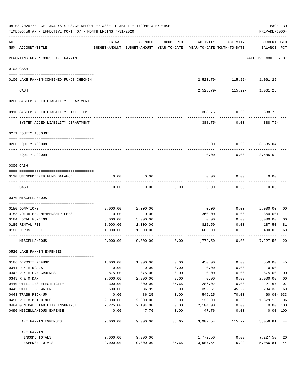|                | 08-03-2020**BUDGET ANALYSIS USAGE REPORT ** ASSET LIABILITY INCOME & EXPENSE<br>TIME:06:58 AM - EFFECTIVE MONTH:07 - MONTH ENDING 7-31-2020 |          |          |            |                                                                                 |                            |                             |                |  |
|----------------|---------------------------------------------------------------------------------------------------------------------------------------------|----------|----------|------------|---------------------------------------------------------------------------------|----------------------------|-----------------------------|----------------|--|
| $\mathtt{ACT}$ | NUM ACCOUNT-TITLE                                                                                                                           | ORIGINAL | AMENDED  | ENCUMBERED | ACTIVITY<br>BUDGET-AMOUNT BUDGET-AMOUNT YEAR-TO-DATE YEAR-TO-DATE MONTH-TO-DATE | ACTIVITY                   | CURRENT USED<br>BALANCE PCT |                |  |
|                | REPORTING FUND: 0085 LAKE FANNIN                                                                                                            |          |          |            |                                                                                 |                            | EFFECTIVE MONTH - 07        |                |  |
|                | 0103 CASH                                                                                                                                   |          |          |            |                                                                                 |                            |                             |                |  |
|                | 0100 LAKE FANNIN-COMBINED FUNDS CHECKIN                                                                                                     |          |          |            |                                                                                 | 2,523.79- 115.22- 1,061.25 |                             |                |  |
|                | CASH                                                                                                                                        |          |          |            | 2,523.79-                                                                       | -------------              | 115.22- 1,061.25            |                |  |
|                | 0200 SYSTEM ADDED LIABILITY DEPARTMENT                                                                                                      |          |          |            |                                                                                 |                            |                             |                |  |
|                | 0910 SYSTEM ADDED LIABILITY LINE-ITEM                                                                                                       |          |          |            |                                                                                 | $388.75 - 0.00$            | 388.75-                     |                |  |
|                | SYSTEM ADDED LIABILITY DEPARTMENT                                                                                                           |          |          |            | 388.75-                                                                         | 0.00                       | 388.75-                     |                |  |
|                | 0271 EQUITY ACCOUNT                                                                                                                         |          |          |            |                                                                                 |                            |                             |                |  |
|                | 0200 EQUITY ACCOUNT                                                                                                                         |          |          |            | 0.00                                                                            | 0.00                       | 3,585.04                    |                |  |
|                | EQUITY ACCOUNT                                                                                                                              |          |          |            | 0.00                                                                            | 0.00                       | 3,585.04                    |                |  |
|                | 0300 CASH                                                                                                                                   |          |          |            |                                                                                 |                            |                             |                |  |
|                | 0110 UNENCUMBERED FUND BALANCE                                                                                                              | 0.00     | 0.00     |            | 0.00                                                                            | 0.00                       | 0.00                        |                |  |
|                | CASH                                                                                                                                        | 0.00     | 0.00     | 0.00       | 0.00                                                                            | 0.00                       | 0.00                        |                |  |
|                | 0370 MISCELLANEOUS                                                                                                                          |          |          |            |                                                                                 |                            |                             |                |  |
|                | 0150 DONATIONS                                                                                                                              | 2,000.00 | 2,000.00 |            | 0.00                                                                            | 0.00                       | 2,000.00                    | 00             |  |
|                | 0183 VOLUNTEER MEMBERSHIP FEES                                                                                                              | 0.00     | 0.00     |            | 360.00                                                                          | 0.00                       | $360.00+$                   |                |  |
|                | 0184 LOCAL FUNDING                                                                                                                          | 5,000.00 | 5,000.00 |            | 0.00                                                                            | 0.00                       | 5,000.00                    | 0 <sub>0</sub> |  |
|                | 0185 RENTAL FEE                                                                                                                             | 1,000.00 | 1,000.00 |            | 812.50                                                                          | 0.00                       | 187.50                      | 81             |  |
|                | 0186 DEPOSIT FEE                                                                                                                            | 1,000.00 | 1,000.00 |            | 600.00                                                                          | 0.00                       | 400.00                      | 60             |  |
|                | MISCELLANEOUS                                                                                                                               | 9.000.00 | 9,000.00 | 0.00       | 1,772.50                                                                        | 0.00                       | 7,227.50                    | 20             |  |
|                | 0520 LAKE FANNIN EXPENSES                                                                                                                   |          |          |            |                                                                                 |                            |                             |                |  |
|                | 0186 DEPOSIT REFUND                                                                                                                         | 1,000.00 | 1,000.00 | 0.00       | 450.00                                                                          | 0.00                       | 550.00                      | 45             |  |
|                | 0341 R & M ROADS                                                                                                                            | 0.00     | 0.00     | 0.00       | 0.00                                                                            | 0.00                       | 0.00                        |                |  |
|                | 0342 R & M CAMPGROUNDS                                                                                                                      | 875.00   | 875.00   | 0.00       | 0.00                                                                            | 0.00                       | 875.00                      | 0 <sub>0</sub> |  |
|                | 0343 R & M DAM                                                                                                                              | 2,000.00 | 2,000.00 | 0.00       | 0.00                                                                            | 0.00                       | 2,000.00                    | 00             |  |
|                | 0440 UTILITIES ELECTRICITY                                                                                                                  | 300.00   | 300.00   | 35.65      | 286.02                                                                          | 0.00                       | 21.67- 107                  |                |  |
|                | 0442 UTILITIES WATER                                                                                                                        | 600.00   | 586.99   | 0.00       | 352.61                                                                          | 45.22                      | 234.38                      | 60             |  |
|                | 0443 TRASH PICK-UP                                                                                                                          | 0.00     | 86.25    | 0.00       | 546.25                                                                          | 70.00                      | 460.00- 633                 |                |  |
|                | 0450 R & M BUILDINGS                                                                                                                        | 2,000.00 | 2,000.00 | 0.00       | 120.90                                                                          | 0.00                       | 1,879.10                    | 06             |  |
|                | 0484 GENERAL LIABILITY INSURANCE                                                                                                            | 2,225.00 | 2,104.00 | 0.00       | 2,104.00                                                                        | 0.00                       | 0.00 100                    |                |  |
|                | 0490 MISCELLANEOUS EXPENSE                                                                                                                  | 0.00     | 47.76    | 0.00       | 47.76                                                                           | 0.00                       | $0.00$ 100                  |                |  |
|                | LAKE FANNIN EXPENSES                                                                                                                        | 9,000.00 | 9,000.00 | 35.65      | 3,907.54                                                                        | 115.22                     | 5,056.81 44                 |                |  |
|                | LAKE FANNIN                                                                                                                                 |          |          |            |                                                                                 |                            |                             |                |  |
|                | INCOME TOTALS                                                                                                                               | 9,000.00 | 9,000.00 |            | 1,772.50                                                                        | 0.00                       | 7,227.50                    | 20             |  |
|                | EXPENSE TOTALS                                                                                                                              | 9,000.00 | 9,000.00 | 35.65      | 3,907.54                                                                        | 115.22                     | 5,056.81                    | 44             |  |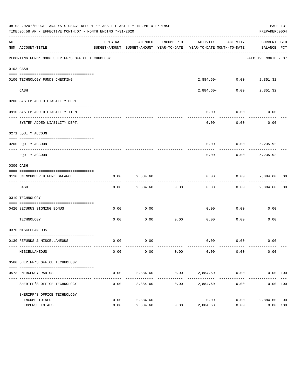|     | 08-03-2020**BUDGET ANALYSIS USAGE REPORT ** ASSET LIABILITY INCOME & EXPENSE<br>TIME:06:58 AM - EFFECTIVE MONTH:07 - MONTH ENDING 7-31-2020 |          |               |            |                                                                                 |                                                                                                                              | PAGE 131<br>PREPARER: 0004  |    |
|-----|---------------------------------------------------------------------------------------------------------------------------------------------|----------|---------------|------------|---------------------------------------------------------------------------------|------------------------------------------------------------------------------------------------------------------------------|-----------------------------|----|
| ACT | NUM ACCOUNT-TITLE                                                                                                                           | ORIGINAL | AMENDED       | ENCUMBERED | ACTIVITY<br>BUDGET-AMOUNT BUDGET-AMOUNT YEAR-TO-DATE YEAR-TO-DATE MONTH-TO-DATE | ACTIVITY                                                                                                                     | CURRENT USED<br>BALANCE PCT |    |
|     | REPORTING FUND: 0086 SHERIFF'S OFFICE TECHNOLOGY                                                                                            |          |               |            |                                                                                 |                                                                                                                              | EFFECTIVE MONTH - 07        |    |
|     | 0103 CASH                                                                                                                                   |          |               |            |                                                                                 |                                                                                                                              |                             |    |
|     | 0100 TECHNOLOGY FUNDS CHECKING                                                                                                              |          | ------------- |            |                                                                                 | $2\, , \, 8 \, 8 \, 4 \, . \, 6 \, 0 \, - \qquad \qquad 0 \, . \, 0 \, 0 \qquad \qquad 2 \, , \, 3 \, 5 \, 1 \, . \, 3 \, 2$ |                             |    |
|     | CASH                                                                                                                                        |          |               |            | 2,884.60-                                                                       |                                                                                                                              | $0.00$ 2,351.32             |    |
|     | 0200 SYSTEM ADDED LIABILITY DEPT.                                                                                                           |          |               |            |                                                                                 |                                                                                                                              |                             |    |
|     | 0910 SYSTEM ADDED LIABILITY ITEM                                                                                                            |          |               |            | 0.00                                                                            | 0.00                                                                                                                         | 0.00                        |    |
|     | SYSTEM ADDED LIABILITY DEPT.                                                                                                                |          |               |            | 0.00                                                                            | 0.00                                                                                                                         | 0.00                        |    |
|     | 0271 EQUITY ACCOUNT                                                                                                                         |          |               |            |                                                                                 |                                                                                                                              |                             |    |
|     | 0200 EQUITY ACCOUNT                                                                                                                         |          |               |            | 0.00                                                                            | $0.00$ 5,235.92                                                                                                              |                             |    |
|     | -------------------- ----------<br>EQUITY ACCOUNT                                                                                           |          |               |            | 0.00                                                                            | 0.00                                                                                                                         | 5,235.92                    |    |
|     | 0300 CASH                                                                                                                                   |          |               |            |                                                                                 |                                                                                                                              |                             |    |
|     | 0110 UNENCUMBERED FUND BALANCE                                                                                                              | 0.00     | 2,884.60      |            | 0.00                                                                            |                                                                                                                              | $0.00$ 2,884.60 00          |    |
|     | CASH                                                                                                                                        | 0.00     | 2,884.60      | 0.00       | 0.00                                                                            |                                                                                                                              | $0.00$ 2,884.60             | 00 |
|     | 0319 TECHNOLOGY                                                                                                                             |          |               |            |                                                                                 |                                                                                                                              |                             |    |
|     | 0420 SECURUS SIGNING BONUS<br>_____________________________                                                                                 | 0.00     | 0.00          |            | 0.00                                                                            | 0.00                                                                                                                         | 0.00                        |    |
|     | TECHNOLOGY                                                                                                                                  | 0.00     | 0.00          | .<br>0.00  | 0.00                                                                            | 0.00                                                                                                                         | 0.00                        |    |
|     | 0370 MISCELLANEOUS                                                                                                                          |          |               |            |                                                                                 |                                                                                                                              |                             |    |
|     | 0130 REFUNDS & MISCELLANEOUS                                                                                                                | 0.00     | 0.00          |            |                                                                                 | $0.00$ 0.00                                                                                                                  | 0.00                        |    |
|     | MISCELLANEOUS                                                                                                                               | 0.00     | 0.00          | 0.00       | 0.00                                                                            | 0.00                                                                                                                         | 0.00                        |    |
|     | 0560 SHERIFF'S OFFICE TECHNOLOGY                                                                                                            |          |               |            |                                                                                 |                                                                                                                              |                             |    |
|     | 0573 EMERGENCY RADIOS                                                                                                                       | 0.00     | 2,884.60      |            | $0.00$ 2,884.60 0.00                                                            |                                                                                                                              | 0.00 100                    |    |
|     | SHERIFF'S OFFICE TECHNOLOGY                                                                                                                 | 0.00     | 2,884.60      | 0.00       | 2,884.60                                                                        | 0.00                                                                                                                         | 0.00 100                    |    |
|     | SHERIFF'S OFFICE TECHNOLOGY<br>INCOME TOTALS                                                                                                | 0.00     | 2,884.60      |            | 0.00                                                                            | 0.00                                                                                                                         | 2,884.60 00                 |    |
|     | EXPENSE TOTALS                                                                                                                              | 0.00     | 2,884.60      | 0.00       | 2,884.60                                                                        | 0.00                                                                                                                         | 0.00 100                    |    |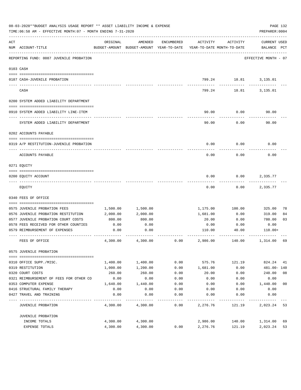|     | 08-03-2020**BUDGET ANALYSIS USAGE REPORT ** ASSET LIABILITY INCOME & EXPENSE<br>TIME:06:58 AM - EFFECTIVE MONTH:07 - MONTH ENDING 7-31-2020 |          |                                                                                |            |          |             | PAGE 132<br>PREPARER: 0004  |                |
|-----|---------------------------------------------------------------------------------------------------------------------------------------------|----------|--------------------------------------------------------------------------------|------------|----------|-------------|-----------------------------|----------------|
| ACT | NUM ACCOUNT-TITLE                                                                                                                           | ORIGINAL | AMENDED<br>BUDGET-AMOUNT BUDGET-AMOUNT YEAR-TO-DATE YEAR-TO-DATE MONTH-TO-DATE | ENCUMBERED | ACTIVITY | ACTIVITY    | CURRENT USED<br>BALANCE PCT |                |
|     | -----------------------------------<br>REPORTING FUND: 0087 JUVENILE PROBATION                                                              |          |                                                                                |            |          |             | EFFECTIVE MONTH - 07        |                |
|     | 0103 CASH                                                                                                                                   |          |                                                                                |            |          |             |                             |                |
|     |                                                                                                                                             |          |                                                                                |            |          |             |                             |                |
|     | 0187 CASH-JUVENILE PROBATION                                                                                                                |          |                                                                                |            |          | ----------- | 799.24 18.81 3,135.01       |                |
|     | CASH                                                                                                                                        |          |                                                                                |            | 799.24   |             | 18.81 3,135.01              |                |
|     | 0200 SYSTEM ADDED LIABILITY DEPARTMENT                                                                                                      |          |                                                                                |            |          |             |                             |                |
|     |                                                                                                                                             |          |                                                                                |            |          |             |                             |                |
|     | 0910 SYSTEM ADDED LIABILITY LINE-ITEM                                                                                                       |          |                                                                                |            | 90.00    | 0.00        | 90.00                       |                |
|     | SYSTEM ADDED LIABILITY DEPARTMENT                                                                                                           |          |                                                                                |            | 90.00    | 0.00        | 90.00                       |                |
|     | 0202 ACCOUNTS PAYABLE                                                                                                                       |          |                                                                                |            |          |             |                             |                |
|     |                                                                                                                                             |          |                                                                                |            |          |             |                             |                |
|     | 0319 A/P RESTITUTION-JUVENILE PROBATION                                                                                                     |          |                                                                                |            | 0.00     | 0.00        | 0.00                        |                |
|     | ACCOUNTS PAYABLE                                                                                                                            |          |                                                                                |            | 0.00     | 0.00        | 0.00                        |                |
|     | 0271 EQUITY                                                                                                                                 |          |                                                                                |            |          |             |                             |                |
|     |                                                                                                                                             |          |                                                                                |            |          |             |                             |                |
|     | 0200 EQUITY ACCOUNT                                                                                                                         |          |                                                                                |            | 0.00     | 0.00        | 2,335.77                    |                |
|     | EQUITY                                                                                                                                      |          |                                                                                |            | 0.00     | 0.00        | 2,335.77                    |                |
|     | 0340 FEES OF OFFICE                                                                                                                         |          |                                                                                |            |          |             |                             |                |
|     |                                                                                                                                             |          |                                                                                |            |          |             |                             |                |
|     | 0575 JUVENILE PROBATION FEES                                                                                                                | 1,500.00 | 1,500.00                                                                       |            | 1,175.00 | 100.00      | 325.00                      | 78             |
|     | 0576 JUVENILE PROBATION RESTITUTION                                                                                                         | 2,000.00 | 2,000.00                                                                       |            | 1,681.00 | 0.00        | 319.00                      | 84             |
|     | 0577 JUVENILE PROBATION COURT COSTS                                                                                                         | 800.00   | 800.00                                                                         |            | 20.00    | 0.00        | 780.00                      | 03             |
|     | 0578 FEES RECEIVED FOR OTHER COUNTIES<br>0579 REIMBURSEMENT OF EXPENSES                                                                     | 0.00     | 0.00                                                                           |            | 0.00     | 0.00        | 0.00                        |                |
|     |                                                                                                                                             | 0.00     | 0.00                                                                           |            | 110.00   | 40.00       | 110.00+                     |                |
|     | FEES OF OFFICE                                                                                                                              | 4,300.00 | 4,300.00                                                                       | 0.00       | 2,986.00 | 140.00      | 1,314.00                    | 69             |
|     | 0575 JUVENILE PROBATION                                                                                                                     |          |                                                                                |            |          |             |                             |                |
|     | 0310 OFFICE SUPP./MISC.                                                                                                                     | 1,400.00 | 1,400.00                                                                       | 0.00       | 575.76   | 121.19      | 824.24                      | 41             |
|     | 0319 RESTITUTION                                                                                                                            | 1,000.00 | 1,200.00                                                                       | 0.00       | 1,681.00 | 0.00        | 481.00- 140                 |                |
|     | 0320 COURT COSTS                                                                                                                            | 260.00   | 260.00                                                                         | 0.00       | 20.00    | 0.00        | 240.00                      | 08             |
|     | 0321 REIMBURSEMENT OF FEES FOR OTHER CO                                                                                                     | 0.00     | 0.00                                                                           | 0.00       | 0.00     | 0.00        | 0.00                        |                |
|     | 0353 COMPUTER EXPENSE                                                                                                                       | 1,640.00 | 1,440.00                                                                       | 0.00       | 0.00     | 0.00        | 1,440.00                    | 0 <sub>0</sub> |
|     | 0416 STRUCTURAL FAMILY THERAPY                                                                                                              | 0.00     | 0.00                                                                           | 0.00       | 0.00     | 0.00        | 0.00                        |                |
|     | 0427 TRAVEL AND TRAINING                                                                                                                    | 0.00     | 0.00                                                                           | 0.00       | 0.00     | 0.00        | 0.00                        |                |
|     | JUVENILE PROBATION                                                                                                                          | 4,300.00 | 4,300.00                                                                       | 0.00       | 2,276.76 | 121.19      | 2,023.24                    | 53             |
|     | JUVENILE PROBATION                                                                                                                          |          |                                                                                |            |          |             |                             |                |
|     | INCOME TOTALS                                                                                                                               | 4,300.00 | 4,300.00                                                                       |            | 2,986.00 | 140.00      | 1,314.00                    | 69             |
|     | EXPENSE TOTALS                                                                                                                              | 4,300.00 | 4,300.00                                                                       | 0.00       | 2,276.76 | 121.19      | 2,023.24                    | 53             |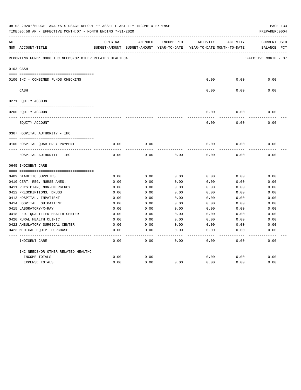| 08-03-2020**BUDGET ANALYSIS USAGE REPORT ** ASSET LIABILITY INCOME & EXPENSE<br>PAGE 133<br>TIME: 06:58 AM - EFFECTIVE MONTH: 07 - MONTH ENDING 7-31-2020<br>PREPARER: 0004 |                                                                |          |                                                     |            |          |                                        |                                    |
|-----------------------------------------------------------------------------------------------------------------------------------------------------------------------------|----------------------------------------------------------------|----------|-----------------------------------------------------|------------|----------|----------------------------------------|------------------------------------|
| ACT                                                                                                                                                                         | NUM ACCOUNT-TITLE                                              | ORIGINAL | AMENDED<br>BUDGET-AMOUNT BUDGET-AMOUNT YEAR-TO-DATE | ENCUMBERED | ACTIVITY | ACTIVITY<br>YEAR-TO-DATE MONTH-TO-DATE | <b>CURRENT USED</b><br>BALANCE PCT |
|                                                                                                                                                                             | REPORTING FUND: 0088 IHC NEEDS/OR OTHER RELATED HEALTHCA       |          |                                                     |            |          |                                        | EFFECTIVE MONTH - 07               |
|                                                                                                                                                                             | 0103 CASH                                                      |          |                                                     |            |          |                                        |                                    |
|                                                                                                                                                                             | 0100 IHC - COMBINED FUNDS CHECKING                             |          |                                                     |            | 0.00     | 0.00                                   | 0.00                               |
|                                                                                                                                                                             | CASH                                                           |          |                                                     |            | 0.00     | 0.00                                   | 0.00                               |
|                                                                                                                                                                             | 0271 EQUITY ACCOUNT                                            |          |                                                     |            |          |                                        |                                    |
|                                                                                                                                                                             |                                                                |          |                                                     |            |          |                                        |                                    |
|                                                                                                                                                                             | 0200 EQUITY ACCOUNT                                            |          |                                                     |            | 0.00     | 0.00                                   | 0.00                               |
|                                                                                                                                                                             | EQUITY ACCOUNT                                                 |          |                                                     |            | 0.00     | 0.00                                   | 0.00                               |
|                                                                                                                                                                             | 0367 HOSPITAL AUTHORITY - IHC                                  |          |                                                     |            |          |                                        |                                    |
|                                                                                                                                                                             |                                                                |          |                                                     |            |          |                                        |                                    |
|                                                                                                                                                                             | 0100 HOSPITAL QUARTERLY PAYMENT                                | 0.00     | 0.00                                                |            | 0.00     | 0.00                                   | 0.00                               |
|                                                                                                                                                                             | ----------------------------------<br>HOSPITAL AUTHORITY - IHC | 0.00     | 0.00                                                | 0.00       | 0.00     | 0.00                                   | 0.00                               |
|                                                                                                                                                                             | 0645 INDIGENT CARE                                             |          |                                                     |            |          |                                        |                                    |
|                                                                                                                                                                             |                                                                |          |                                                     |            |          |                                        |                                    |
|                                                                                                                                                                             | 0409 DIABETIC SUPPLIES                                         | 0.00     | 0.00                                                | 0.00       | 0.00     | 0.00                                   | 0.00                               |
|                                                                                                                                                                             | 0410 CERT. REG. NURSE ANES.                                    | 0.00     | 0.00                                                | 0.00       | 0.00     | 0.00                                   | 0.00                               |
|                                                                                                                                                                             | 0411 PHYSICIAN, NON-EMERGENCY                                  | 0.00     | 0.00                                                | 0.00       | 0.00     | 0.00                                   | 0.00                               |
|                                                                                                                                                                             | 0412 PRESCRIPTIONS, DRUGS                                      | 0.00     | 0.00                                                | 0.00       | 0.00     | 0.00                                   | 0.00                               |
|                                                                                                                                                                             | 0413 HOSPITAL, INPATIENT                                       | 0.00     | 0.00                                                | 0.00       | 0.00     | 0.00                                   | 0.00                               |
|                                                                                                                                                                             | 0414 HOSPITAL, OUTPATIENT                                      | 0.00     | 0.00                                                | 0.00       | 0.00     | 0.00                                   | 0.00                               |
|                                                                                                                                                                             | 0415 LABORATORY/X-RAY                                          | 0.00     | 0.00                                                | 0.00       | 0.00     | 0.00                                   | 0.00                               |
|                                                                                                                                                                             | 0418 FED. QUALIFIED HEALTH CENTER                              | 0.00     | 0.00                                                | 0.00       | 0.00     | 0.00                                   | 0.00                               |
|                                                                                                                                                                             | 0420 RURAL HEALTH CLINIC                                       | 0.00     | 0.00                                                | 0.00       | 0.00     | 0.00                                   | 0.00                               |
|                                                                                                                                                                             | 0422 AMBULATORY SURGICAL CENTER                                | 0.00     | 0.00                                                | 0.00       | 0.00     | 0.00                                   | 0.00                               |
|                                                                                                                                                                             | 0423 MEDICAL EQUIP. PURCHASE                                   | 0.00     | 0.00                                                | 0.00       | 0.00     | 0.00                                   | 0.00                               |
|                                                                                                                                                                             | INDIGENT CARE                                                  | 0.00     | 0.00                                                | 0.00       | 0.00     | 0.00                                   | -----<br>0.00                      |
|                                                                                                                                                                             | IHC NEEDS/OR OTHER RELATED HEALTHC                             |          |                                                     |            |          |                                        |                                    |
|                                                                                                                                                                             | INCOME TOTALS                                                  | 0.00     | 0.00                                                |            | 0.00     | 0.00                                   | 0.00                               |
|                                                                                                                                                                             | <b>EXPENSE TOTALS</b>                                          | 0.00     | 0.00                                                | 0.00       | 0.00     | 0.00                                   | 0.00                               |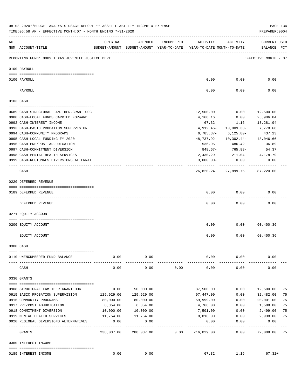| 08-03-2020**BUDGET ANALYSIS USAGE REPORT ** ASSET LIABILITY INCOME & EXPENSE<br>PAGE 134<br>TIME: 06:58 AM - EFFECTIVE MONTH: 07 - MONTH ENDING 7-31-2020<br>PREPARER: 0004 |                                                                                  |                          |            |            |                                                                                 |                                                |                             |    |
|-----------------------------------------------------------------------------------------------------------------------------------------------------------------------------|----------------------------------------------------------------------------------|--------------------------|------------|------------|---------------------------------------------------------------------------------|------------------------------------------------|-----------------------------|----|
| ACT                                                                                                                                                                         | NUM ACCOUNT-TITLE                                                                | ORIGINAL                 | AMENDED    | ENCUMBERED | ACTIVITY<br>BUDGET-AMOUNT BUDGET-AMOUNT YEAR-TO-DATE YEAR-TO-DATE MONTH-TO-DATE | ACTIVITY                                       | CURRENT USED<br>BALANCE PCT |    |
|                                                                                                                                                                             | REPORTING FUND: 0089 TEXAS JUVENILE JUSTICE DEPT.                                |                          |            |            |                                                                                 |                                                | EFFECTIVE MONTH - 07        |    |
|                                                                                                                                                                             | 0100 PAYROLL                                                                     |                          |            |            |                                                                                 |                                                |                             |    |
|                                                                                                                                                                             | 0100 PAYROLL                                                                     |                          |            |            | 0.00                                                                            | 0.00                                           | 0.00                        |    |
|                                                                                                                                                                             | ---- ----<br>PAYROLL                                                             |                          |            |            | 0.00                                                                            | 0.00                                           | 0.00                        |    |
|                                                                                                                                                                             | 0103 CASH                                                                        |                          |            |            |                                                                                 |                                                |                             |    |
|                                                                                                                                                                             |                                                                                  |                          |            |            | $12,500.00 -$                                                                   | 0.00                                           |                             |    |
|                                                                                                                                                                             | 0689 CASH-STRUCTURAL FAM.THER.GRANT OOG<br>0988 CASH-LOCAL FUNDS CARRIED FORWARD |                          |            |            | 4,168.16                                                                        | 0.00                                           | 12,500.00-<br>25,906.04     |    |
|                                                                                                                                                                             | 0992 CASH-INTEREST INCOME                                                        |                          |            |            | 67.32                                                                           | 1.16                                           | 13,281.94                   |    |
|                                                                                                                                                                             | 0993 CASH-BASIC PROBATION SUPERVISION                                            |                          |            |            | 4,912.46-                                                                       | $10,009.33-$                                   | 7,778.68                    |    |
|                                                                                                                                                                             | 0994 CASH-COMMUNITY PROGRAMS                                                     |                          |            |            | $6,785.37-$                                                                     | 6,125.80-                                      | 437.23                      |    |
|                                                                                                                                                                             | 0995 CASH-LOCAL FUNDING FY 2020                                                  |                          |            |            | 48,737.92                                                                       | 10,302.44-                                     | 48,046.66                   |    |
|                                                                                                                                                                             | 0996 CASH-PRE/POST ADJUDICATION                                                  |                          |            |            | $536.95 -$                                                                      | 486.42-                                        | 36.89                       |    |
|                                                                                                                                                                             | 0997 CASH-COMMITMENT DIVERSION                                                   |                          |            |            | 848.67-                                                                         | $765.88 -$                                     | 54.37                       |    |
|                                                                                                                                                                             | 0998 CASH-MENTAL HEALTH SERVICES                                                 |                          |            |            | 2,430.29                                                                        | $211.04-$                                      | 4,178.79                    |    |
|                                                                                                                                                                             | 0999 CASH-REGIONALS DIVERSIONS ALTERNAT                                          |                          |            |            | $3,000.00-$                                                                     | 0.00                                           | 0.00                        |    |
|                                                                                                                                                                             | CASH                                                                             |                          |            |            |                                                                                 | ------------<br>26,820.24 27,899.75- 87,220.60 |                             |    |
|                                                                                                                                                                             | 0220 DEFERRED REVENUE                                                            |                          |            |            |                                                                                 |                                                |                             |    |
|                                                                                                                                                                             | 0189 DEFERRED REVENUE                                                            |                          |            |            | 0.00                                                                            | 0.00                                           | 0.00                        |    |
|                                                                                                                                                                             |                                                                                  |                          |            |            |                                                                                 |                                                |                             |    |
|                                                                                                                                                                             | DEFERRED REVENUE                                                                 |                          |            |            | 0.00                                                                            | 0.00                                           | 0.00                        |    |
|                                                                                                                                                                             | 0271 EQUITY ACCOUNT                                                              |                          |            |            |                                                                                 |                                                |                             |    |
|                                                                                                                                                                             | 0200 EQUITY ACCOUNT                                                              |                          |            |            | 0.00                                                                            | 0.00                                           | 60,400.36                   |    |
|                                                                                                                                                                             | EQUITY ACCOUNT                                                                   |                          |            |            | 0.00                                                                            | 0.00                                           | 60,400.36                   |    |
|                                                                                                                                                                             | 0300 CASH                                                                        |                          |            |            |                                                                                 |                                                |                             |    |
|                                                                                                                                                                             | 0110 UNENCUMBERED FUND BALANCE                                                   | 0.00                     | 0.00       |            | 0.00                                                                            | 0.00                                           | 0.00                        |    |
|                                                                                                                                                                             | CASH                                                                             | 0.00                     | 0.00       | 0.00       | 0.00                                                                            | 0.00                                           | 0.00                        |    |
|                                                                                                                                                                             | 0330 GRANTS                                                                      |                          |            |            |                                                                                 |                                                |                             |    |
|                                                                                                                                                                             | 0908 STRUCTURAL FAM. THER. GRANT OOG                                             | 0.00                     | 50,000.00  |            | 37,500.00                                                                       | 0.00                                           | 12,500.00                   | 75 |
|                                                                                                                                                                             | 0915 BASIC PROBATION SUPERVISION                                                 | 129,929.00               | 129,929.00 |            | 97,447.00                                                                       | 0.00                                           | 32,482.00                   | 75 |
|                                                                                                                                                                             | 0916 COMMUNITY PROGRAMS                                                          | 80,000.00                | 80,000.00  |            | 59,999.00                                                                       | 0.00                                           | 20,001.00                   | 75 |
|                                                                                                                                                                             | 0917 PRE/POST ADJUDICATION                                                       | 6,354.00                 | 6,354.00   |            | 4,766.00                                                                        | 0.00                                           | 1,588.00                    | 75 |
|                                                                                                                                                                             | 0918 COMMITMENT DIVERSION                                                        | 10,000.00                | 10,000.00  |            | 7,501.00                                                                        | 0.00                                           | 2,499.00                    | 75 |
|                                                                                                                                                                             | 0919 MENTAL HEALTH SERVICES                                                      | 11,754.00                | 11,754.00  |            | 8,816.00                                                                        |                                                | $0.00$ 2,938.00             | 75 |
|                                                                                                                                                                             | 0920 REGIONAL DIVERSIONS ALTERNATIVES                                            | 0.00                     | 0.00       |            | 0.00                                                                            | 0.00                                           | 0.00                        |    |
|                                                                                                                                                                             | GRANTS                                                                           | ----------<br>238,037.00 | 288,037.00 | 0.00       | ---------<br>216,029.00                                                         | 0.00                                           | 72,008.00                   | 75 |
|                                                                                                                                                                             | 0360 INTEREST INCOME                                                             |                          |            |            |                                                                                 |                                                |                             |    |
|                                                                                                                                                                             |                                                                                  |                          |            |            |                                                                                 |                                                |                             |    |
|                                                                                                                                                                             | 0189 INTEREST INCOME                                                             | 0.00                     | 0.00       |            | 67.32                                                                           | 1.16                                           | $67.32+$                    |    |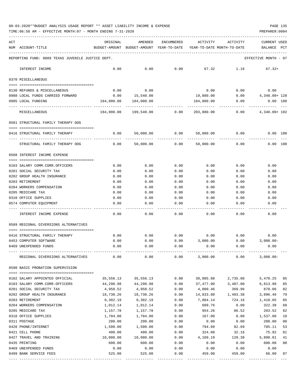TIME:06:58 AM - EFFECTIVE MONTH:07 - MONTH ENDING 7-31-2020 PREPARER:0004

| ACT |                                                   | ORIGINAL                                 | AMENDED    | <b>ENCUMBERED</b> | ACTIVITY                   | ACTIVITY | CURRENT USED         |                |
|-----|---------------------------------------------------|------------------------------------------|------------|-------------------|----------------------------|----------|----------------------|----------------|
|     | NUM ACCOUNT-TITLE                                 | BUDGET-AMOUNT BUDGET-AMOUNT YEAR-TO-DATE |            |                   | YEAR-TO-DATE MONTH-TO-DATE |          | BALANCE              | PCT            |
|     |                                                   |                                          |            |                   |                            |          |                      |                |
|     | REPORTING FUND: 0089 TEXAS JUVENILE JUSTICE DEPT. |                                          |            |                   |                            |          | EFFECTIVE MONTH - 07 |                |
|     | INTEREST INCOME                                   | 0.00                                     | 0.00       | 0.00              | 67.32                      | 1.16     | $67.32+$             |                |
|     | 0370 MISCELLANEOUS                                |                                          |            |                   |                            |          |                      |                |
|     | 0130 REFUNDS & MISCELLANEOUS                      | 0.00                                     | 0.00       |                   | 0.00                       | 0.00     | 0.00                 |                |
|     | 0988 LOCAL FUNDS CARRIED FORWARD                  | 0.00                                     | 15,540.00  |                   | 19,880.00                  | 0.00     | 4,340.00+ 128        |                |
|     | 0995 LOCAL FUNDING                                | 184,000.00                               | 184,000.00 |                   | 184,000.00                 | 0.00     | $0.00$ 100           |                |
|     | MISCELLANEOUS                                     | 184,000.00                               | 199,540.00 | 0.00              | 203,880.00                 | 0.00     | 4,340.00+ 102        |                |
|     | 0581 STRUCTURAL FAMILY THERAPY OOG                |                                          |            |                   |                            |          |                      |                |
|     |                                                   |                                          |            |                   |                            |          |                      |                |
|     | 0416 STRUCTURAL FAMILY THERAPY                    | 0.00                                     | 50,000.00  | 0.00              | 50,000.00                  | 0.00     | 0.00 100             |                |
|     | STRUCTURAL FAMILY THERAPY OOG                     | 0.00                                     | 50,000.00  | 0.00              | 50,000.00                  | 0.00     | 0.00 100             |                |
|     | 0588 INTEREST INCOME EXPENSE                      |                                          |            |                   |                            |          |                      |                |
|     | 0103 SALARY COMM.CORR.OFFICERS                    | 0.00                                     | 0.00       | 0.00              | 0.00                       | 0.00     | 0.00                 |                |
|     | 0201 SOCIAL SECURITY TAX                          | 0.00                                     | 0.00       | 0.00              | 0.00                       | 0.00     | 0.00                 |                |
|     | 0202 GROUP HEALTH INSURANCE                       | 0.00                                     | 0.00       | 0.00              | 0.00                       | 0.00     | 0.00                 |                |
|     | 0203 RETIREMENT                                   | 0.00                                     | 0.00       | 0.00              | 0.00                       | 0.00     | 0.00                 |                |
|     | 0204 WORKERS COMPENSATION                         | 0.00                                     | 0.00       | 0.00              | 0.00                       | 0.00     | 0.00                 |                |
|     | 0205 MEDICARE TAX                                 | 0.00                                     | 0.00       | 0.00              | 0.00                       | 0.00     | 0.00                 |                |
|     | 0310 OFFICE SUPPLIES                              | 0.00                                     | 0.00       | 0.00              | 0.00                       | 0.00     | 0.00                 |                |
|     | 0574 COMPUTER EQUIPMENT                           | 0.00                                     | 0.00       | 0.00              | 0.00                       | 0.00     | 0.00                 |                |
|     |                                                   |                                          |            |                   |                            |          |                      |                |
|     | INTEREST INCOME EXPENSE                           | 0.00                                     | 0.00       | 0.00              | 0.00                       | 0.00     | 0.00                 |                |
|     | 0589 REGIONAL DIVERSIONS ALTERNATIVES             |                                          |            |                   |                            |          |                      |                |
|     | 0416 STRUCTURAL FAMILY THERAPY                    | 0.00                                     | 0.00       | 0.00              | 0.00                       | 0.00     | 0.00                 |                |
|     | 0453 COMPUTER SOFTWARE                            | 0.00                                     | 0.00       | 0.00              | 3,000.00                   | 0.00     | $3,000.00 -$         |                |
|     | 0469 UNEXPENDED FUNDS                             | 0.00                                     | 0.00       | 0.00              | 0.00                       | 0.00     | 0.00                 |                |
|     |                                                   |                                          |            |                   |                            |          |                      |                |
|     | REGIONAL DIVERSIONS ALTERNATIVES                  | 0.00                                     | 0.00       | 0.00              | 3,000.00                   | 0.00     | $3,000.00-$          |                |
|     | 0590 BASIC PROBATION SUPERVISION                  |                                          |            |                   |                            |          |                      |                |
|     | 0102 SALARY APPOINTED OFFICIAL                    | 35,556.13                                | 35,556.13  | 0.00              | 30,085.88                  | 2,735.08 | 5,470.25             | 85             |
|     | 0103 SALARY COMM.CORR.OFFICERS                    | 44,290.98                                | 44,290.98  | 0.00              | 37,477.00                  | 3,407.00 | 6,813.98             | 85             |
|     | 0201 SOCIAL SECURITY TAX                          | 4,950.52                                 | 4,950.52   | 0.00              | 4,080.46                   | 369.96   | 870.06               | 82             |
|     | 0202 GROUP HEALTH INSURANCE                       | 18,730.26                                | 18,730.26  | 0.00              | 14,833.80                  | 1,483.38 | 3,896.46             | 79             |
|     | 0203 RETIREMENT                                   | 9,302.19                                 | 9,302.19   | 0.00              | 7,884.14                   | 724.16   | 1,418.05             | 85             |
|     | 0204 WORKERS COMPENSATION                         | 1,012.14                                 | 1,012.14   | 0.00              | 689.76                     | 0.00     | 322.38               | 68             |
|     | 0205 MEDICARE TAX                                 | 1,157.78                                 | 1,157.78   | 0.00              | 954.26                     | 86.52    | 203.52               | 82             |
|     | 0310 OFFICE SUPPLIES                              | 1,704.00                                 | 1,704.00   | 0.00              | 167.00                     | 0.00     | 1,537.00             | 10             |
|     | 0311 POSTAGE                                      | 200.00                                   | 200.00     | 0.00              | 0.00                       | 0.00     | 200.00               | 0 <sub>0</sub> |
|     | 0420 PHONE/INTERNET                               | 1,500.00                                 | 1,500.00   | 0.00              | 794.89                     | 82.69    | 705.11               | 53             |
|     | 0421 CELL PHONE                                   | 400.00                                   | 400.00     | 0.00              | 324.08                     | 32.16    | 75.92                | 81             |
|     | 0427 TRAVEL AND TRAINING                          | 10,000.00                                | 10,000.00  | 0.00              | 4,109.19                   | 129.38   | 5,890.81             | 41             |
|     | 0435 PRINTING                                     | 600.00                                   | 600.00     | 0.00              | 0.00                       | 0.00     | 600.00               | 00             |
|     | 0469 UNEXPENDED FUNDS                             | 0.00                                     | 0.00       | 0.00              | 0.00                       | 0.00     | 0.00                 |                |
|     | 0499 BANK SERVICE FEES                            | 525.00                                   | 525.00     | 0.00              | 459.00                     | 459.00   | 66.00                | 87             |
|     |                                                   |                                          |            |                   |                            |          |                      |                |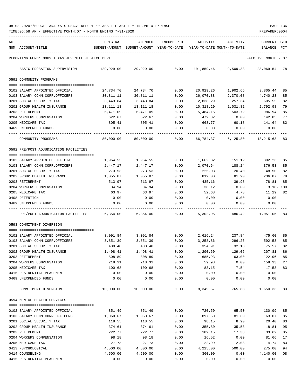|     | TIME: 06:58 AM - EFFECTIVE MONTH: 07 - MONTH ENDING 7-31-2020<br>PREPARER: 0004 |                                                                     |                    |               |                  |                     |                      |          |
|-----|---------------------------------------------------------------------------------|---------------------------------------------------------------------|--------------------|---------------|------------------|---------------------|----------------------|----------|
| ACT |                                                                                 | ORIGINAL                                                            | AMENDED            | ENCUMBERED    | ACTIVITY         | ACTIVITY            | <b>CURRENT USED</b>  |          |
|     | NUM ACCOUNT-TITLE                                                               | BUDGET-AMOUNT BUDGET-AMOUNT YEAR-TO-DATE YEAR-TO-DATE MONTH-TO-DATE |                    |               |                  |                     | BALANCE              | PCT      |
|     | REPORTING FUND: 0089 TEXAS JUVENILE JUSTICE DEPT.                               |                                                                     |                    |               |                  |                     | EFFECTIVE MONTH - 07 |          |
|     | BASIC PROBATION SUPERVISION                                                     | 129,929.00                                                          | 129,929.00         | 0.00          |                  | 101,859.46 9,509.33 | 28,069.54 78         |          |
|     | 0591 COMMUNITY PROGRAMS                                                         |                                                                     |                    |               |                  |                     |                      |          |
|     |                                                                                 |                                                                     |                    |               |                  |                     |                      |          |
|     | 0102 SALARY APPOINTED OFFICIAL                                                  | 24,734.70                                                           | 24,734.70          | 0.00          | 20,929.26        | 1,902.66            | 3,805.44             | 85       |
|     | 0103 SALARY COMM.CORR.OFFICERS                                                  | 30,811.11                                                           | 30,811.11          | 0.00          | 26,070.88        | 2,370.08            | 4,740.23             | 85       |
|     | 0201 SOCIAL SECURITY TAX                                                        | 3,443.84                                                            | 3,443.84           | 0.00          | 2,838.29         | 257.34              | 605.55               | 82       |
|     | 0202 GROUP HEALTH INSURANCE                                                     | 13,111.18                                                           | 13,111.18          | 0.00          | 10,318.20        | 1,031.82            | 2,792.98             | 79       |
|     | 0203 RETIREMENT                                                                 | 6,471.09                                                            | 6,471.09           | 0.00          | 5,484.15         | 503.72              | 986.94               | 85       |
|     | 0204 WORKERS COMPENSATION                                                       | 622.67                                                              | 622.67             | 0.00          | 479.82           | 0.00                | 142.85               | 77       |
|     | 0205 MEDICARE TAX                                                               | 805.41                                                              | 805.41             | 0.00          | 663.77           | 60.18               | 141.64               | 82       |
|     | 0469 UNEXPENDED FUNDS                                                           | 0.00                                                                | 0.00               | 0.00          | 0.00             | 0.00                | 0.00                 |          |
|     | COMMUNITY PROGRAMS                                                              | 80,000.00                                                           | 80,000.00          | 0.00          | 66,784.37        | 6,125.80            | 13,215.63            | 83       |
|     | 0592 PRE/POST ADJUDICATION FACILITIES                                           |                                                                     |                    |               |                  |                     |                      |          |
|     |                                                                                 |                                                                     |                    |               |                  |                     |                      |          |
|     | 0102 SALARY APPOINTED OFFICIAL                                                  | 1,964.55                                                            | 1,964.55           | 0.00          | 1,662.32         | 151.12              | 302.23               | 85       |
|     | 0103 SALARY COMM.CORR.OFFICERS<br>0201 SOCIAL SECURITY TAX                      | 2,447.17                                                            | 2,447.17           | 0.00          | 2,070.64         | 188.24              | 376.53               | 85       |
|     |                                                                                 | 273.53                                                              | 273.53             | 0.00          | 225.03           | 20.40<br>81.90      | 48.50<br>236.87      | 82<br>78 |
|     | 0202 GROUP HEALTH INSURANCE<br>0203 RETIREMENT                                  | 1,055.87<br>513.97                                                  | 1,055.87<br>513.97 | 0.00<br>0.00  | 819.00<br>435.16 | 39.98               | 78.81                | 85       |
|     | 0204 WORKERS COMPENSATION                                                       | 34.94                                                               | 34.94              | 0.00          | 38.12            | 0.00                | 3.18- 109            |          |
|     | 0205 MEDICARE TAX                                                               | 63.97                                                               | 63.97              | 0.00          | 52.68            | 4.78                | 11.29                | 82       |
|     | 0408 DETENTION                                                                  | 0.00                                                                | 0.00               | 0.00          | 0.00             | 0.00                | 0.00                 |          |
|     | 0469 UNEXPENDED FUNDS                                                           | 0.00                                                                | 0.00               | 0.00          | 0.00             | 0.00                | 0.00                 |          |
|     | PRE/POST ADJUDICATION FACILITIES                                                | 6,354.00                                                            | 6,354.00           | 0.00          | 5,302.95         | 486.42              | 1,051.05 83          |          |
|     | 0593 COMMITMENT DIVERSION                                                       |                                                                     |                    |               |                  |                     |                      |          |
|     |                                                                                 |                                                                     |                    |               |                  |                     |                      |          |
|     | 0102 SALARY APPOINTED OFFICIAL                                                  | 3,091.84                                                            | 3,091.84           | 0.00          | 2,616.24         | 237.84              | 475.60               | 85       |
|     | 0103 SALARY COMM.CORR.OFFICERS                                                  | 3,851.39                                                            | 3,851.39           | 0.00          | 3,258.86         | 296.26              | 592.53               | 85       |
|     | 0201 SOCIAL SECURITY TAX                                                        | 430.48                                                              | 430.48             | 0.00          | 354.91           | 32.18               | 75.57                | 82       |
|     | 0202 GROUP HEALTH INSURANCE                                                     | 1,498.41                                                            | 1,498.41           | 0.00          | 1,290.60         | 129.06              | 207.81               | 86       |
|     | 0203 RETIREMENT                                                                 | 808.89                                                              | 808.89             | 0.00          | 685.93           | 63.00               | 122.96               | 85       |
|     | 0204 WORKERS COMPENSATION                                                       | 218.31                                                              | 218.31             | 0.00          | 59.98            | 0.00                | 158.33               | 27       |
|     | 0205 MEDICARE TAX                                                               | 100.68                                                              | 100.68             | 0.00          | 83.15            | 7.54                | 17.53                | 83       |
|     | 0415 RESIDENTIAL PLACEMENT                                                      | 0.00                                                                | 0.00               | 0.00          | 0.00             | 0.00                | 0.00                 |          |
|     | 0469 UNEXPENDED FUNDS                                                           | 0.00                                                                | 0.00               | 0.00<br>----- | 0.00             | 0.00                | 0.00                 |          |
|     | COMMITMENT DIVERSION                                                            | 10,000.00                                                           | 10,000.00          | 0.00          | 8,349.67         | 765.88              | 1,650.33 83          |          |
|     | 0594 MENTAL HEALTH SERVICES                                                     |                                                                     |                    |               |                  |                     |                      |          |
|     | 0102 SALARY APPOINTED OFFICIAL                                                  | 851.49                                                              | 851.49             | 0.00          | 720.50           | 65.50               | 130.99               | 85       |
|     | 0103 SALARY COMM.CORR.OFFICERS                                                  | 1,060.67                                                            | 1,060.67           | 0.00          | 897.60           | 81.60               | 163.07               | 85       |
|     | 0201 SOCIAL SECURITY TAX                                                        | 118.55                                                              | 118.55             | 0.00          | 98.15            | 8.90                | 20.40                | 83       |
|     | 0202 GROUP HEALTH INSURANCE                                                     | 374.61                                                              | 374.61             | 0.00          | 355.80           | 35.58               | 18.81                | 95       |
|     | 0203 RETIREMENT                                                                 | 222.77                                                              | 222.77             | 0.00          | 189.15           | 17.38               | 33.62                | 85       |
|     | 0204 WORKERS COMPENSATION                                                       | 98.18                                                               | 98.18              | 0.00          | 16.52            | 0.00                | 81.66                | 17       |
|     | 0205 MEDICARE TAX                                                               | 27.73                                                               | 27.73              | 0.00          | 22.99            | 2.08                | 4.74                 | 83       |
|     | 0413 PSYCHOLOGICAL                                                              | 4,500.00                                                            | 4,500.00           | 0.00          | 4,225.00         | 500.00              | 275.00               | 94       |
|     | 0414 COUNSELING                                                                 | 4,500.00                                                            | 4,500.00           | 0.00          | 360.00           | 0.00                | 4,140.00             | 08       |

0415 RESIDENTIAL PLACEMENT 0.00 0.00 0.00 0.00 0.00 0.00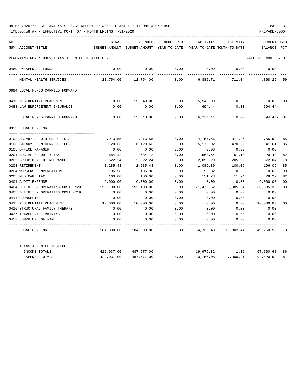| ACT |                                                   | ORIGINAL      | AMENDED       | ENCUMBERED          | ACTIVITY                   | ACTIVITY                       | <b>CURRENT USED</b>  |                |
|-----|---------------------------------------------------|---------------|---------------|---------------------|----------------------------|--------------------------------|----------------------|----------------|
|     | NUM ACCOUNT-TITLE                                 | BUDGET-AMOUNT | BUDGET-AMOUNT | YEAR-TO-DATE        | YEAR-TO-DATE MONTH-TO-DATE |                                | BALANCE              | PCT            |
|     | REPORTING FUND: 0089 TEXAS JUVENILE JUSTICE DEPT. |               |               |                     |                            |                                | EFFECTIVE MONTH - 07 |                |
|     | 0469 UNEXPENDED FUNDS                             | 0.00          | 0.00          | 0.00                | 0.00                       | 0.00                           | 0.00                 |                |
|     | MENTAL HEALTH SERVICES                            | 11,754.00     | 11,754.00     | 0.00                | 6,885.71                   | 711.04                         | 4,868.29 59          |                |
|     | 0994 LOCAL FUNDS CARRIED FORWARD                  |               |               |                     |                            |                                |                      |                |
|     |                                                   |               |               |                     |                            |                                |                      |                |
|     | 0415 RESIDENTIAL PLACEMENT                        | 0.00<br>0.00  | 15,540.00     | 0.00                | 0.00 15,540.00             | 0.00<br>0.00                   | $0.00$ 100           |                |
|     | 0488 LAW ENFORCEMENT INSURANCE                    |               | 0.00          |                     | 694.44                     |                                | 694.44-              |                |
|     | LOCAL FUNDS CARRIED FORWARD                       | 0.00          | 15,540.00     | 0.00                | 16,234.44                  | 0.00                           | 694.44- 104          |                |
|     | 0995 LOCAL FUNDING                                |               |               |                     |                            |                                |                      |                |
|     |                                                   |               |               |                     |                            |                                |                      |                |
|     | 0102 SALARY APPOINTED OFFICIAL                    | 4,913.55      | 4,913.55      | 0.00                | 4,157.56                   | 377.96                         | 755.99               | 85             |
|     | 0103 SALARY COMM.CORR.OFFICERS                    | 6,120.63      | 6,120.63      | 0.00                | 5,179.02                   | 470.82                         | 941.61               | 85             |
|     | 0105 OFFICE MANAGER                               | 0.00          | 0.00          | 0.00                | 0.00                       | 0.00                           | 0.00                 |                |
|     | 0201 SOCIAL SECURITY TAX                          | 684.12        | 684.12        | 0.00                | 563.64                     | 51.10                          | 120.48               | 82             |
|     | 0202 GROUP HEALTH INSURANCE                       | 2,622.24      | 2,622.24      | 0.00                | 2,050.20                   | 205.02                         | 572.04               | 78             |
|     | 0203 RETIREMENT                                   | 1,285.48      | 1,285.48      | 0.00                | 1,089.39                   | 100.06                         | 196.09               | 85             |
|     | 0204 WORKERS COMPENSATION                         | 105.98        | 105.98        | 0.00                | 95.32                      | 0.00                           | 10.66                | 90             |
|     | 0205 MEDICARE TAX                                 | 160.00        | 160.00        | 0.00                | 131.73                     | 11.94                          | 28.27                | 82             |
|     | 0401 AUDIT EXPENSE                                | 6,000.00      | 6,000.00      | 0.00                | 0.00                       | 0.00                           | 6,000.00             | 0 <sup>0</sup> |
|     | 0404 DETENTION OPERATING COST FY20                | 152,108.00    | 152,108.00    | 0.00                | 121,472.62                 | 9,085.54                       | 30,635.38            | 80             |
|     | 0405 DETENTION OPERATING COST FY19                | 0.00          | 0.00          | 0.00                | 0.00                       | 0.00                           | 0.00                 |                |
|     | 0414 COUNSELING                                   | 0.00          | 0.00          | 0.00                | 0.00                       | 0.00                           | 0.00                 |                |
|     | 0415 RESIDENTIAL PLACEMENT                        | 10,000.00     | 10,000.00     | 0.00                | 0.00                       | 0.00                           | 10,000.00            | 00             |
|     | 0416 STRUCTURAL FAMILY THERAPY                    | 0.00          | 0.00          | 0.00                | 0.00                       | 0.00                           | 0.00                 |                |
|     | 0427 TRAVEL AND TRAINING                          | 0.00          | 0.00          | 0.00                | 0.00                       | 0.00                           | 0.00                 |                |
|     | 0453 COMPUTER SOFTWARE                            | 0.00          | 0.00          | 0.00<br>$- - - - -$ | 0.00                       | 0.00                           | 0.00                 |                |
|     | LOCAL FUNDING                                     | 184,000.00    | 184,000.00    | 0.00                |                            | 134,739.48 10,302.44 49,260.52 |                      | 73             |
|     | TEXAS JUVENILE JUSTICE DEPT.                      |               |               |                     |                            |                                |                      |                |
|     | INCOME TOTALS                                     | 422,037.00    | 487,577.00    |                     |                            | 419,976.32 1.16                | 67,600.68            | 86             |
|     | <b>EXPENSE TOTALS</b>                             | 422,037.00    | 487,577.00    | 0.00                | 393,156.08                 | 27,900.91                      | 94,420.92            | 81             |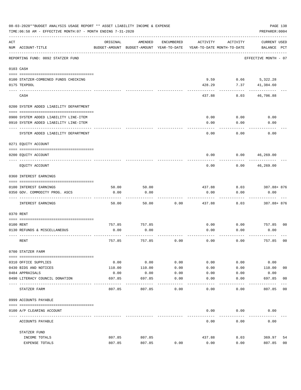|     | 08-03-2020**BUDGET ANALYSIS USAGE REPORT ** ASSET LIABILITY INCOME & EXPENSE<br>TIME: 06:58 AM - EFFECTIVE MONTH: 07 - MONTH ENDING 7-31-2020 |               |                                                     |               |                                        |              | PAGE 138<br>PREPARER: 0004         |                |
|-----|-----------------------------------------------------------------------------------------------------------------------------------------------|---------------|-----------------------------------------------------|---------------|----------------------------------------|--------------|------------------------------------|----------------|
| ACT | NUM ACCOUNT-TITLE                                                                                                                             | ORIGINAL      | AMENDED<br>BUDGET-AMOUNT BUDGET-AMOUNT YEAR-TO-DATE | ENCUMBERED    | ACTIVITY<br>YEAR-TO-DATE MONTH-TO-DATE | ACTIVITY     | <b>CURRENT USED</b><br>BALANCE PCT |                |
|     | REPORTING FUND: 0092 STATZER FUND                                                                                                             |               |                                                     |               |                                        |              | EFFECTIVE MONTH - 07               |                |
|     | 0103 CASH                                                                                                                                     |               |                                                     |               |                                        |              |                                    |                |
|     | 0100 STATZER-COMBINED FUNDS CHECKING<br>0175 TEXPOOL                                                                                          |               |                                                     |               | 9.59<br>428.29                         | 7.37         | $0.66$ 5,322.28<br>41,384.60       |                |
|     | CASH                                                                                                                                          |               |                                                     |               | 437.88                                 | 8.03         | 46,706.88                          |                |
|     | 0200 SYSTEM ADDED LIABILITY DEPARTMENT                                                                                                        |               |                                                     |               |                                        |              |                                    |                |
|     | 0900 SYSTEM ADDED LIABILITY LINE-ITEM                                                                                                         |               |                                                     |               | 0.00                                   | 0.00         | 0.00                               |                |
|     | 0910 SYSTEM ADDED LIABILITY LINE-ITEM                                                                                                         |               |                                                     |               | 0.00                                   | 0.00         | 0.00                               |                |
|     | SYSTEM ADDED LIABILITY DEPARTMENT                                                                                                             |               |                                                     |               | 0.00                                   | 0.00         | 0.00                               |                |
|     | 0271 EQUITY ACCOUNT                                                                                                                           |               |                                                     |               |                                        |              |                                    |                |
|     | 0200 EQUITY ACCOUNT                                                                                                                           |               |                                                     |               | 0.00                                   | 0.00         | 46,269.00                          |                |
|     | EQUITY ACCOUNT                                                                                                                                |               |                                                     |               | 0.00                                   | 0.00         | 46,269.00                          |                |
|     | 0360 INTEREST EARNINGS                                                                                                                        |               |                                                     |               |                                        |              |                                    |                |
|     |                                                                                                                                               |               |                                                     |               |                                        |              |                                    |                |
|     | 0100 INTEREST EARNINGS<br>0350 GOV. COMMODITY PROG. ASCS                                                                                      | 50.00<br>0.00 | 50.00<br>0.00                                       |               | 437.88<br>0.00                         | 8.03<br>0.00 | 387.88+876<br>0.00                 |                |
|     | INTEREST EARNINGS                                                                                                                             | 50.00         | 50.00                                               | 0.00          | 437.88                                 | 8.03         | 387.88+ 876                        |                |
|     | 0370 RENT                                                                                                                                     |               |                                                     |               |                                        |              |                                    |                |
|     |                                                                                                                                               |               |                                                     |               |                                        |              |                                    |                |
|     | 0100 RENT                                                                                                                                     | 757.85        | 757.85                                              |               | 0.00                                   | 0.00         | 757.85                             | 0 <sub>0</sub> |
|     | 0130 REFUNDS & MISCELLANEOUS                                                                                                                  | 0.00          | 0.00                                                |               | 0.00                                   | 0.00         | 0.00                               |                |
|     | RENT                                                                                                                                          | 757.85        | 757.85                                              | 0.00          | 0.00                                   | 0.00         | 757.85                             | 0 <sub>0</sub> |
|     | 0700 STATZER FARM                                                                                                                             |               |                                                     |               |                                        |              |                                    |                |
|     | 0310 OFFICE SUPPLIES                                                                                                                          | 0.00          | 0.00                                                | 0.00          | 0.00                                   | 0.00         | 0.00                               |                |
|     | 0430 BIDS AND NOTICES                                                                                                                         | 110.00        | 110.00                                              | 0.00          | 0.00                                   | 0.00         | 110.00                             | 00             |
|     | 0484 APPRAISALS                                                                                                                               | 0.00          | 0.00                                                | 0.00          | 0.00                                   | 0.00         | 0.00                               |                |
|     | 0490 LITERACY COUNCIL DONATION                                                                                                                | 697.85        | 697.85                                              | 0.00          | 0.00                                   | 0.00         | 697.85                             | 0 <sub>0</sub> |
|     | STATZER FARM                                                                                                                                  | 807.85        | 807.85                                              | $---$<br>0.00 | 0.00                                   | 0.00         | 807.85                             | 00             |
|     | 0999 ACCOUNTS PAYABLE                                                                                                                         |               |                                                     |               |                                        |              |                                    |                |
|     |                                                                                                                                               |               |                                                     |               |                                        |              |                                    |                |
|     | 0100 A/P CLEARING ACCOUNT                                                                                                                     |               |                                                     |               | 0.00                                   | 0.00         | 0.00                               |                |
|     | ACCOUNTS PAYABLE                                                                                                                              |               |                                                     |               | 0.00                                   | 0.00         | 0.00                               |                |
|     | STATZER FUND                                                                                                                                  |               |                                                     |               |                                        |              |                                    |                |
|     | INCOME TOTALS                                                                                                                                 | 807.85        | 807.85                                              |               | 437.88                                 | 8.03         | 369.97                             | 54             |
|     | EXPENSE TOTALS                                                                                                                                | 807.85        | 807.85                                              | 0.00          | 0.00                                   | 0.00         | 807.85                             | 0 <sub>0</sub> |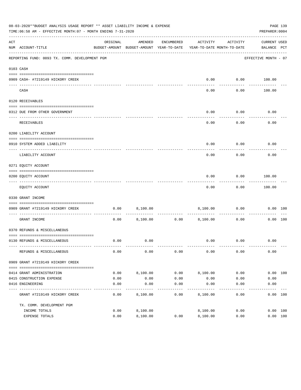|     | 08-03-2020**BUDGET ANALYSIS USAGE REPORT ** ASSET LIABILITY INCOME & EXPENSE<br>TIME: 06:58 AM - EFFECTIVE MONTH: 07 - MONTH ENDING 7-31-2020 |          |                                                                                |               |                             |                   | PREPARER: 0004              | PAGE 139 |
|-----|-----------------------------------------------------------------------------------------------------------------------------------------------|----------|--------------------------------------------------------------------------------|---------------|-----------------------------|-------------------|-----------------------------|----------|
| ACT | NUM ACCOUNT-TITLE                                                                                                                             | ORIGINAL | AMENDED<br>BUDGET-AMOUNT BUDGET-AMOUNT YEAR-TO-DATE YEAR-TO-DATE MONTH-TO-DATE | ENCUMBERED    | ACTIVITY                    | ACTIVITY          | CURRENT USED<br>BALANCE PCT |          |
|     | REPORTING FUND: 0093 TX. COMM. DEVELOPMENT PGM                                                                                                |          |                                                                                |               |                             |                   | EFFECTIVE MONTH - 07        |          |
|     | 0103 CASH                                                                                                                                     |          |                                                                                |               |                             |                   |                             |          |
|     | 0909 CASH- #7219149 HICKORY CREEK                                                                                                             |          |                                                                                |               | 0.00                        |                   | $0.00$ 100.00               |          |
|     | CASH                                                                                                                                          |          |                                                                                |               | -----<br>0.00               | ---------<br>0.00 | 100.00                      |          |
|     | 0120 RECEIVABLES                                                                                                                              |          |                                                                                |               |                             |                   |                             |          |
|     | 0312 DUE FROM OTHER GOVERNMENT                                                                                                                |          |                                                                                |               | 0.00                        | 0.00              | 0.00                        |          |
|     | RECEIVABLES                                                                                                                                   |          |                                                                                |               | 0.00                        | ---------<br>0.00 | 0.00                        |          |
|     | 0200 LIABILITY ACCOUNT                                                                                                                        |          |                                                                                |               |                             |                   |                             |          |
|     | 0910 SYSTEM ADDED LIABILITY                                                                                                                   |          |                                                                                |               | 0.00                        | 0.00              | 0.00                        |          |
|     | LIABILITY ACCOUNT                                                                                                                             |          |                                                                                |               | 0.00                        | 0.00              | 0.00                        |          |
|     | 0271 EQUITY ACCOUNT                                                                                                                           |          |                                                                                |               |                             |                   |                             |          |
|     | 0200 EQUITY ACCOUNT                                                                                                                           |          |                                                                                |               | 0.00                        | 0.00              | 100.00                      |          |
|     | ----------------------------------<br>EQUITY ACCOUNT                                                                                          |          |                                                                                |               | 0.00                        | ---------<br>0.00 | ----------<br>100.00        |          |
|     | 0330 GRANT INCOME                                                                                                                             |          |                                                                                |               |                             |                   |                             |          |
|     | 0909 GRANT #7219149 HICKORY CREEK                                                                                                             | 0.00     | 8,100.00                                                                       |               |                             | 8,100.00 0.00     |                             | 0.00 100 |
|     | GRANT INCOME                                                                                                                                  | 0.00     |                                                                                | 8,100.00 0.00 | 8,100.00                    | 0.00              |                             | 0.00 100 |
|     | 0370 REFUNDS & MISCELLANEOUS                                                                                                                  |          |                                                                                |               |                             |                   |                             |          |
|     |                                                                                                                                               |          |                                                                                |               |                             |                   |                             |          |
|     | 0130 REFUNDS & MISCELLANEOUS                                                                                                                  | 0.00     | 0.00                                                                           |               |                             | $0.00$ $0.00$     | 0.00                        |          |
|     | REFUNDS & MISCELLANEOUS                                                                                                                       | 0.00     | 0.00                                                                           | 0.00          | 0.00                        | 0.00              | 0.00                        |          |
|     | 0909 GRANT #7219149 HICKORY CREEK                                                                                                             |          |                                                                                |               |                             |                   |                             |          |
|     | 0414 GRANT ADMINISTRATION                                                                                                                     | 0.00     | 8,100.00                                                                       | 0.00          | 8,100.00                    | 0.00              |                             | 0.00 100 |
|     | 0415 CONSTRUCTION EXPENSE                                                                                                                     | 0.00     | 0.00                                                                           | 0.00          | 0.00                        | 0.00              | 0.00                        |          |
|     | 0416 ENGINEERING                                                                                                                              | 0.00     | 0.00                                                                           | 0.00          | 0.00                        | 0.00              | 0.00                        |          |
|     | GRANT #7219149 HICKORY CREEK                                                                                                                  | 0.00     | 8,100.00                                                                       | 0.00          | $- - - - - - -$<br>8,100.00 | 0.00              |                             | 0.00 100 |
|     | TX. COMM. DEVELOPMENT PGM                                                                                                                     |          |                                                                                |               |                             |                   |                             |          |
|     | INCOME TOTALS                                                                                                                                 | 0.00     | 8,100.00                                                                       |               | 8,100.00                    | 0.00              |                             | 0.00 100 |
|     | EXPENSE TOTALS                                                                                                                                | 0.00     | 8,100.00                                                                       | 0.00          | 8,100.00                    | 0.00              |                             | 0.00 100 |
|     |                                                                                                                                               |          |                                                                                |               |                             |                   |                             |          |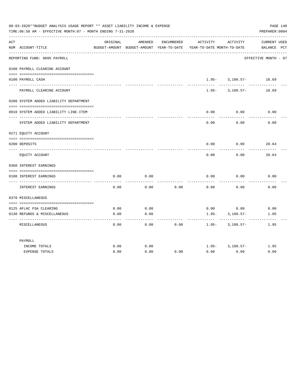| 08-03-2020**BUDGET ANALYSIS USAGE REPORT ** ASSET LIABILITY INCOME & EXPENSE<br>PAGE 140<br>TIME: 06:58 AM - EFFECTIVE MONTH: 07 - MONTH ENDING 7-31-2020<br>PREPARER: 0004 |                                        |          |                                                     |            |                                        |                     |                             |
|-----------------------------------------------------------------------------------------------------------------------------------------------------------------------------|----------------------------------------|----------|-----------------------------------------------------|------------|----------------------------------------|---------------------|-----------------------------|
| ACT                                                                                                                                                                         | NUM ACCOUNT-TITLE                      | ORIGINAL | AMENDED<br>BUDGET-AMOUNT BUDGET-AMOUNT YEAR-TO-DATE | ENCUMBERED | ACTIVITY<br>YEAR-TO-DATE MONTH-TO-DATE | ACTIVITY            | CURRENT USED<br>BALANCE PCT |
|                                                                                                                                                                             | REPORTING FUND: 0095 PAYROLL           |          |                                                     |            |                                        |                     | EFFECTIVE MONTH - 07        |
|                                                                                                                                                                             | 0100 PAYROLL CLEARING ACCOUNT          |          |                                                     |            |                                        |                     |                             |
|                                                                                                                                                                             | 0100 PAYROLL CASH                      |          |                                                     |            |                                        | $1.95 - 3.109.57 -$ | 18.69                       |
|                                                                                                                                                                             | PAYROLL CLEARING ACCOUNT               |          |                                                     |            | $1.95 -$                               | 3,109.57-           | 18.69                       |
|                                                                                                                                                                             | 0200 SYSTEM ADDED LIABILITY DEPARTMENT |          |                                                     |            |                                        |                     |                             |
|                                                                                                                                                                             | 0910 SYSTEM ADDED LIABILITY LINE-ITEM  |          |                                                     |            | 0.00                                   | 0.00                | 0.00                        |
|                                                                                                                                                                             | SYSTEM ADDED LIABILITY DEPARTMENT      |          |                                                     |            | 0.00                                   | 0.00                | 0.00                        |
|                                                                                                                                                                             | 0271 EQUITY ACCOUNT                    |          |                                                     |            |                                        |                     |                             |
|                                                                                                                                                                             | 0200 DEPOSITS                          |          |                                                     |            | 0.00                                   | 0.00                | 20.64                       |
|                                                                                                                                                                             |                                        |          |                                                     |            |                                        |                     |                             |
|                                                                                                                                                                             | EQUITY ACCOUNT                         |          |                                                     |            | 0.00                                   | 0.00                | 20.64                       |
|                                                                                                                                                                             | 0360 INTEREST EARNINGS                 |          |                                                     |            |                                        |                     |                             |
|                                                                                                                                                                             |                                        |          |                                                     |            |                                        |                     |                             |
|                                                                                                                                                                             | 0100 INTEREST EARNINGS                 | 0.00     | 0.00                                                |            | 0.00                                   | 0.00                | 0.00                        |
|                                                                                                                                                                             | INTEREST EARNINGS                      | 0.00     | 0.00                                                | 0.00       | 0.00                                   | 0.00                | 0.00                        |
|                                                                                                                                                                             | 0370 MISCELLANEOUS                     |          |                                                     |            |                                        |                     |                             |
|                                                                                                                                                                             |                                        |          |                                                     |            |                                        |                     |                             |
|                                                                                                                                                                             | 0125 AFLAC FSA CLEARING                | 0.00     | 0.00                                                |            | 0.00                                   | 0.00                | 0.00                        |
|                                                                                                                                                                             | 0130 REFUNDS & MISCELLANEOUS           | 0.00     | 0.00                                                |            | $1.95 -$                               | $3,109.57-$         | 1.95                        |
|                                                                                                                                                                             | MISCELLANEOUS                          | 0.00     | 0.00                                                | 0.00       | $1.95 -$                               | $3,109.57-$         | 1.95                        |
|                                                                                                                                                                             | PAYROLL                                |          |                                                     |            |                                        |                     |                             |
|                                                                                                                                                                             | INCOME TOTALS                          | 0.00     | 0.00                                                |            |                                        | $1.95 - 3.109.57 -$ | 1.95                        |
|                                                                                                                                                                             | <b>EXPENSE TOTALS</b>                  | 0.00     | 0.00                                                | 0.00       | 0.00                                   | 0.00                | 0.00                        |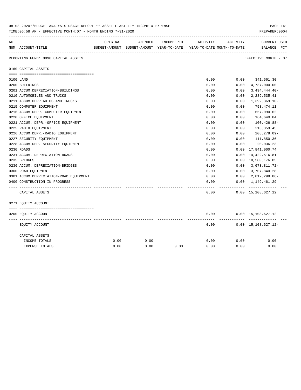|     | 08-03-2020**BUDGET ANALYSIS USAGE REPORT ** ASSET LIABILITY INCOME & EXPENSE<br>TIME: 06:58 AM - EFFECTIVE MONTH: 07 - MONTH ENDING 7-31-2020 |          |         |            |                                                                     |            | PAGE 141<br>PREPARER: 0004                  |
|-----|-----------------------------------------------------------------------------------------------------------------------------------------------|----------|---------|------------|---------------------------------------------------------------------|------------|---------------------------------------------|
| ACT |                                                                                                                                               | ORIGINAL | AMENDED | ENCUMBERED | ACTIVITY                                                            | ACTIVITY   | ------------<br><b>CURRENT USED</b>         |
|     | NUM ACCOUNT-TITLE                                                                                                                             |          |         |            | BUDGET-AMOUNT BUDGET-AMOUNT YEAR-TO-DATE YEAR-TO-DATE MONTH-TO-DATE |            | BALANCE PCT                                 |
|     | REPORTING FUND: 0098 CAPITAL ASSETS                                                                                                           |          |         |            |                                                                     |            | EFFECTIVE MONTH - 07                        |
|     | 0160 CAPITAL ASSETS                                                                                                                           |          |         |            |                                                                     |            |                                             |
|     |                                                                                                                                               |          |         |            |                                                                     |            |                                             |
|     | 0100 LAND                                                                                                                                     |          |         |            | 0.00                                                                |            | $0.00$ 341,561.30                           |
|     | 0200 BUILDINGS                                                                                                                                |          |         |            | 0.00                                                                | 0.00       | 4,737,000.00                                |
|     | 0201 ACCUM.DEPRECIATION-BUILDINGS                                                                                                             |          |         |            | 0.00                                                                | 0.00       | $3,494,444.40-$                             |
|     | 0210 AUTOMOBILES AND TRUCKS                                                                                                                   |          |         |            | 0.00                                                                | 0.00       | 2, 289, 535.41                              |
|     | 0211 ACCUM.DEPR.AUTOS AND TRUCKS                                                                                                              |          |         |            | 0.00                                                                | 0.00       | $1,392,369.10-$                             |
|     | 0215 COMPUTER EQUIPMENT                                                                                                                       |          |         |            | 0.00                                                                | 0.00       | 753,474.11                                  |
|     | 0216 ACCUM.DEPR.-COMPUTER EQUIPMENT                                                                                                           |          |         |            | 0.00                                                                | 0.00       | 657,090.62-                                 |
|     | 0220 OFFICE EQUIPMENT                                                                                                                         |          |         |            | 0.00                                                                | 0.00       | 164,640.04                                  |
|     | 0221 ACCUM. DEPR.-OFFICE EQUIPMENT                                                                                                            |          |         |            | 0.00                                                                | 0.00       | $100, 426.88 -$                             |
|     | 0225 RADIO EQUIPMENT                                                                                                                          |          |         |            | 0.00                                                                | 0.00       | 213, 359.45                                 |
|     | 0226 ACCUM.DEPR.-RADIO EQUIPMENT                                                                                                              |          |         |            | 0.00                                                                | 0.00       | $208, 278.09 -$                             |
|     | 0227 SECURITY EQUIPMENT                                                                                                                       |          |         |            | 0.00                                                                | 0.00       | 111,850.36                                  |
|     | 0228 ACCUM.DEP. - SECURITY EQUIPMENT                                                                                                          |          |         |            | 0.00                                                                | 0.00       | 20,036.23-                                  |
|     | 0230 ROADS                                                                                                                                    |          |         |            | 0.00                                                                |            | $0.00 \quad 17,841,000.74$                  |
|     | 0231 ACCUM. DEPRECIATION-ROADS                                                                                                                |          |         |            | 0.00                                                                | 0.00       | 14, 422, 516.81-                            |
|     | 0235 BRIDGES                                                                                                                                  |          |         |            | 0.00                                                                |            | 0.00 10,580,176.85                          |
|     | 0236 ACCUM. DEPRECIATION-BRIDGES                                                                                                              |          |         |            | 0.00                                                                | 0.00       | 3,673,811.72-                               |
|     | 0300 ROAD EQUIPMENT                                                                                                                           |          |         |            | 0.00                                                                |            | $0.00$ 3, 707, 840.28                       |
|     | 0301 ACCUM.DEPRECIATION-ROAD EQUIPMENT                                                                                                        |          |         |            | 0.00                                                                | 0.00       | 2,812,298.86-                               |
|     | 0400 CONSTRUCTION IN PROGRESS                                                                                                                 |          |         |            | 0.00                                                                |            | $0.00 \quad 1,149,461.29$                   |
|     | CAPITAL ASSETS                                                                                                                                |          |         |            | 0.00                                                                | ---------- | -------------<br>$0.00 \quad 15,108,627.12$ |
|     | 0271 EQUITY ACCOUNT                                                                                                                           |          |         |            |                                                                     |            |                                             |
|     |                                                                                                                                               |          |         |            |                                                                     |            |                                             |
|     | 0200 EQUITY ACCOUNT                                                                                                                           |          |         |            | 0.00                                                                |            | $0.00 \quad 15,108,627.12$ -                |
|     | EQUITY ACCOUNT                                                                                                                                |          |         |            | 0.00                                                                |            | . <u>.</u><br>$0.00 \quad 15,108,627.12$ -  |
|     | CAPITAL ASSETS                                                                                                                                |          |         |            |                                                                     |            |                                             |
|     | INCOME TOTALS                                                                                                                                 | 0.00     | 0.00    |            | 0.00                                                                | 0.00       | 0.00                                        |
|     | <b>EXPENSE TOTALS</b>                                                                                                                         | 0.00     | 0.00    | 0.00       | 0.00                                                                | 0.00       | 0.00                                        |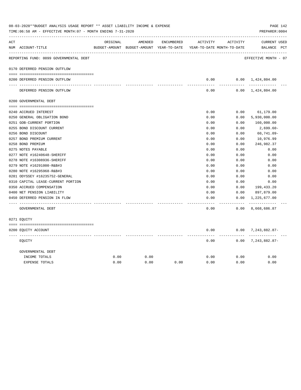|     | 08-03-2020**BUDGET ANALYSIS USAGE REPORT ** ASSET LIABILITY INCOME & EXPENSE<br>TIME:06:58 AM - EFFECTIVE MONTH:07 - MONTH ENDING 7-31-2020 |          |         |            |                                                                     |                 | PAGE 142<br>PREPARER: 0004    |
|-----|---------------------------------------------------------------------------------------------------------------------------------------------|----------|---------|------------|---------------------------------------------------------------------|-----------------|-------------------------------|
| ACT | ------------------------------------                                                                                                        | ORIGINAL | AMENDED | ENCUMBERED | ACTIVITY                                                            | ACTIVITY        | <b>CURRENT USED</b>           |
|     | NUM ACCOUNT-TITLE                                                                                                                           |          |         |            | BUDGET-AMOUNT BUDGET-AMOUNT YEAR-TO-DATE YEAR-TO-DATE MONTH-TO-DATE |                 | BALANCE PCT                   |
|     | REPORTING FUND: 0099 GOVERNMENTAL DEBT                                                                                                      |          |         |            |                                                                     |                 | EFFECTIVE MONTH - 07          |
|     | 0170 DEFERRED PENSION OUTFLOW                                                                                                               |          |         |            |                                                                     |                 |                               |
|     |                                                                                                                                             |          |         |            |                                                                     |                 |                               |
|     | 0200 DEFERRED PENSION OUTFLOW                                                                                                               |          |         |            | 0.00<br>-----                                                       | --------        | $0.00 \quad 1,424,804.00$     |
|     | DEFERRED PENSION OUTFLOW                                                                                                                    |          |         |            | 0.00                                                                |                 | $0.00 \quad 1,424,804.00$     |
|     | 0200 GOVERNMENTAL DEBT                                                                                                                      |          |         |            |                                                                     |                 |                               |
|     |                                                                                                                                             |          |         |            |                                                                     |                 |                               |
|     | 0240 ACCRUED INTEREST                                                                                                                       |          |         |            | 0.00                                                                | 0.00            | 61,179.00                     |
|     | 0250 GENERAL OBLIGATION BOND                                                                                                                |          |         |            | 0.00                                                                | 0.00            | 5,930,000.00                  |
|     | 0251 GOB-CURRENT PORTION                                                                                                                    |          |         |            | 0.00                                                                | 0.00            | 160,000.00                    |
|     | 0255 BOND DISCOUNT CURRENT                                                                                                                  |          |         |            | 0.00                                                                | 0.00            | 2,699.60-                     |
|     | 0256 BOND DISCOUNT                                                                                                                          |          |         |            | 0.00                                                                | 0.00            | $60,741.09 -$                 |
|     | 0257 BOND PREMIUM CURRENT                                                                                                                   |          |         |            | 0.00                                                                | 0.00            | 10,976.99                     |
|     | 0258 BOND PREMIUM                                                                                                                           |          |         |            | 0.00                                                                | 0.00            | 246,982.37                    |
|     | 0275 NOTES PAYABLE                                                                                                                          |          |         |            | 0.00                                                                | 0.00            | 0.00                          |
|     | 0277 NOTE #16240648-SHERIFF                                                                                                                 |          |         |            | 0.00                                                                | 0.00            | 0.00                          |
|     | 0278 NOTE #16308936-SHERIFF                                                                                                                 |          |         |            | 0.00                                                                | 0.00            | 0.00                          |
|     | 0279 NOTE #16291000-R&B#3                                                                                                                   |          |         |            | 0.00                                                                | 0.00            | 0.00                          |
|     | 0280 NOTE #16295968-R&B#3                                                                                                                   |          |         |            | 0.00                                                                | 0.00            | 0.00                          |
|     | 0281 ODYSSEY #16235752-GENERAL                                                                                                              |          |         |            | 0.00                                                                | 0.00            | 0.00                          |
|     | 0310 CAPITAL LEASE-CURRENT PORTION                                                                                                          |          |         |            | 0.00                                                                | 0.00            | 0.00                          |
|     | 0350 ACCRUED COMPENSATION                                                                                                                   |          |         |            | 0.00                                                                | 0.00            | 199,433.20                    |
|     | 0400 NET PENSION LIABILITY                                                                                                                  |          |         |            | 0.00                                                                | 0.00            | 897,879.00                    |
|     | 0450 DEFERRED PENSION IN FLOW                                                                                                               |          |         |            | 0.00                                                                | 0.00            | 1,225,677.00                  |
|     | GOVERNMENTAL DEBT                                                                                                                           |          |         |            | -----<br>0.00                                                       | -------<br>0.00 | -------------<br>8,668,686.87 |
|     | 0271 EOUITY                                                                                                                                 |          |         |            |                                                                     |                 |                               |
|     |                                                                                                                                             |          |         |            |                                                                     |                 |                               |
|     | 0200 EQUITY ACCOUNT                                                                                                                         |          |         |            | 0.00                                                                | .               | $0.00$ 7, 243, 882.87-        |
|     | EQUITY                                                                                                                                      |          |         |            | 0.00                                                                |                 | $0.00$ 7, 243, 882.87-        |
|     | GOVERNMENTAL DEBT                                                                                                                           |          |         |            |                                                                     |                 |                               |
|     | INCOME TOTALS                                                                                                                               | 0.00     | 0.00    |            | 0.00                                                                | 0.00            | 0.00                          |
|     | <b>EXPENSE TOTALS</b>                                                                                                                       | 0.00     | 0.00    | 0.00       | 0.00                                                                | 0.00            | 0.00                          |